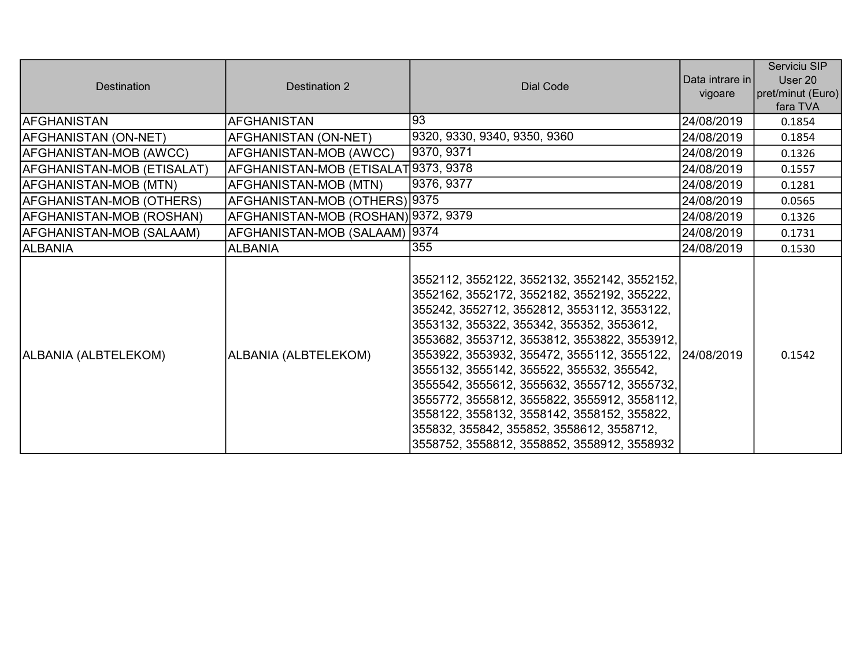| <b>Destination</b>         | Destination 2                        | Dial Code                                                                                                                                                                                                                                                                                                                                                                                                                                                                                                                                                                      | Data intrare in l<br>vigoare | Serviciu SIP<br>User 20<br>pret/minut (Euro)<br>fara TVA |
|----------------------------|--------------------------------------|--------------------------------------------------------------------------------------------------------------------------------------------------------------------------------------------------------------------------------------------------------------------------------------------------------------------------------------------------------------------------------------------------------------------------------------------------------------------------------------------------------------------------------------------------------------------------------|------------------------------|----------------------------------------------------------|
| <b>AFGHANISTAN</b>         | <b>AFGHANISTAN</b>                   | 93                                                                                                                                                                                                                                                                                                                                                                                                                                                                                                                                                                             | 24/08/2019                   | 0.1854                                                   |
| AFGHANISTAN (ON-NET)       | AFGHANISTAN (ON-NET)                 | 9320, 9330, 9340, 9350, 9360                                                                                                                                                                                                                                                                                                                                                                                                                                                                                                                                                   | 24/08/2019                   | 0.1854                                                   |
| AFGHANISTAN-MOB (AWCC)     | AFGHANISTAN-MOB (AWCC)               | 9370, 9371                                                                                                                                                                                                                                                                                                                                                                                                                                                                                                                                                                     | 24/08/2019                   | 0.1326                                                   |
| AFGHANISTAN-MOB (ETISALAT) | AFGHANISTAN-MOB (ETISALAT 9373, 9378 |                                                                                                                                                                                                                                                                                                                                                                                                                                                                                                                                                                                | 24/08/2019                   | 0.1557                                                   |
| AFGHANISTAN-MOB (MTN)      | AFGHANISTAN-MOB (MTN)                | 9376, 9377                                                                                                                                                                                                                                                                                                                                                                                                                                                                                                                                                                     | 24/08/2019                   | 0.1281                                                   |
| AFGHANISTAN-MOB (OTHERS)   | AFGHANISTAN-MOB (OTHERS) 9375        |                                                                                                                                                                                                                                                                                                                                                                                                                                                                                                                                                                                | 24/08/2019                   | 0.0565                                                   |
| AFGHANISTAN-MOB (ROSHAN)   | AFGHANISTAN-MOB (ROSHAN) 9372, 9379  |                                                                                                                                                                                                                                                                                                                                                                                                                                                                                                                                                                                | 24/08/2019                   | 0.1326                                                   |
| AFGHANISTAN-MOB (SALAAM)   | AFGHANISTAN-MOB (SALAAM)  9374       |                                                                                                                                                                                                                                                                                                                                                                                                                                                                                                                                                                                | 24/08/2019                   | 0.1731                                                   |
| <b>ALBANIA</b>             | <b>ALBANIA</b>                       | 355                                                                                                                                                                                                                                                                                                                                                                                                                                                                                                                                                                            | 24/08/2019                   | 0.1530                                                   |
| ALBANIA (ALBTELEKOM)       | ALBANIA (ALBTELEKOM)                 | 3552112, 3552122, 3552132, 3552142, 3552152,<br>3552162, 3552172, 3552182, 3552192, 355222,<br>355242, 3552712, 3552812, 3553112, 3553122,<br>3553132, 355322, 355342, 355352, 3553612,<br>3553682, 3553712, 3553812, 3553822, 3553912,<br>3553922, 3553932, 355472, 3555112, 3555122,<br>3555132, 3555142, 355522, 355532, 355542,<br>3555542, 3555612, 3555632, 3555712, 3555732,<br>3555772, 3555812, 3555822, 3555912, 3558112,<br>3558122, 3558132, 3558142, 3558152, 355822,<br>355832, 355842, 355852, 3558612, 3558712,<br>3558752, 3558812, 3558852, 3558912, 3558932 | 24/08/2019                   | 0.1542                                                   |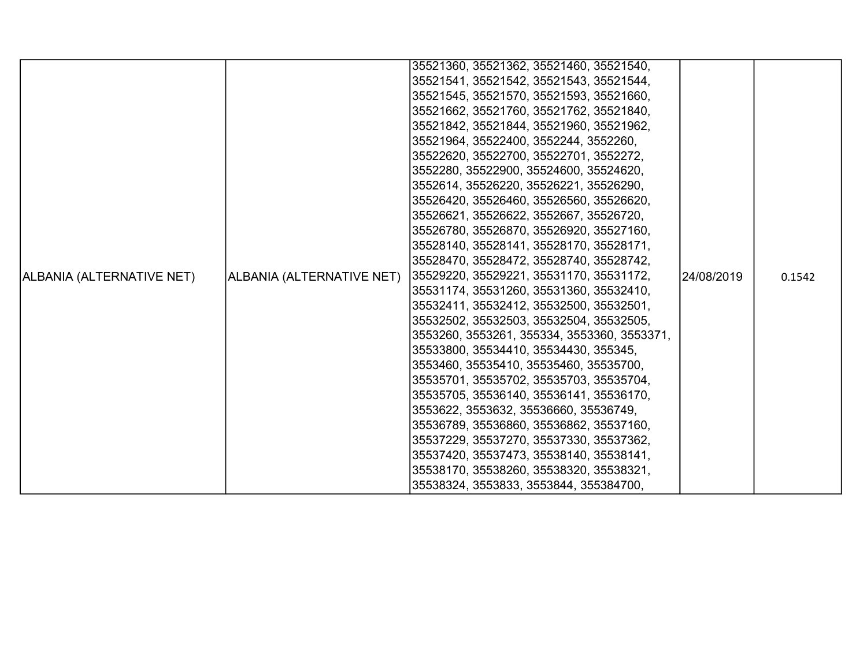|                           |                                       | 35521360, 35521362, 35521460, 35521540,     |            |        |
|---------------------------|---------------------------------------|---------------------------------------------|------------|--------|
|                           |                                       | 35521541, 35521542, 35521543, 35521544,     |            |        |
|                           |                                       | 35521545, 35521570, 35521593, 35521660,     |            |        |
|                           |                                       | 35521662, 35521760, 35521762, 35521840,     |            |        |
|                           |                                       | 35521842, 35521844, 35521960, 35521962,     |            |        |
|                           |                                       | 35521964, 35522400, 3552244, 3552260,       |            |        |
|                           |                                       | 35522620, 35522700, 35522701, 3552272,      |            |        |
|                           |                                       | 3552280, 35522900, 35524600, 35524620,      |            |        |
|                           |                                       | 3552614, 35526220, 35526221, 35526290,      |            |        |
|                           |                                       | 35526420, 35526460, 35526560, 35526620,     |            |        |
|                           |                                       | 35526621, 35526622, 3552667, 35526720,      |            |        |
|                           |                                       | 35526780, 35526870, 35526920, 35527160,     |            |        |
|                           |                                       | 35528140, 35528141, 35528170, 35528171,     |            |        |
|                           |                                       | 35528470, 35528472, 35528740, 35528742,     |            |        |
| ALBANIA (ALTERNATIVE NET) | ALBANIA (ALTERNATIVE NET)             | 35529220, 35529221, 35531170, 35531172,     | 24/08/2019 | 0.1542 |
|                           |                                       | 35531174, 35531260, 35531360, 35532410,     |            |        |
|                           |                                       | 35532411, 35532412, 35532500, 35532501,     |            |        |
|                           |                                       | 35532502, 35532503, 35532504, 35532505,     |            |        |
|                           |                                       | 3553260, 3553261, 355334, 3553360, 3553371, |            |        |
|                           | 35533800, 35534410, 35534430, 355345, |                                             |            |        |
|                           |                                       | 3553460, 35535410, 35535460, 35535700,      |            |        |
|                           |                                       | 35535701, 35535702, 35535703, 35535704,     |            |        |
|                           |                                       | 35535705, 35536140, 35536141, 35536170,     |            |        |
|                           |                                       | 3553622, 3553632, 35536660, 35536749,       |            |        |
|                           |                                       | 35536789, 35536860, 35536862, 35537160,     |            |        |
|                           |                                       | 35537229, 35537270, 35537330, 35537362,     |            |        |
|                           |                                       | 35537420, 35537473, 35538140, 35538141,     |            |        |
|                           |                                       | 35538170, 35538260, 35538320, 35538321,     |            |        |
|                           |                                       | 35538324, 3553833, 3553844, 355384700,      |            |        |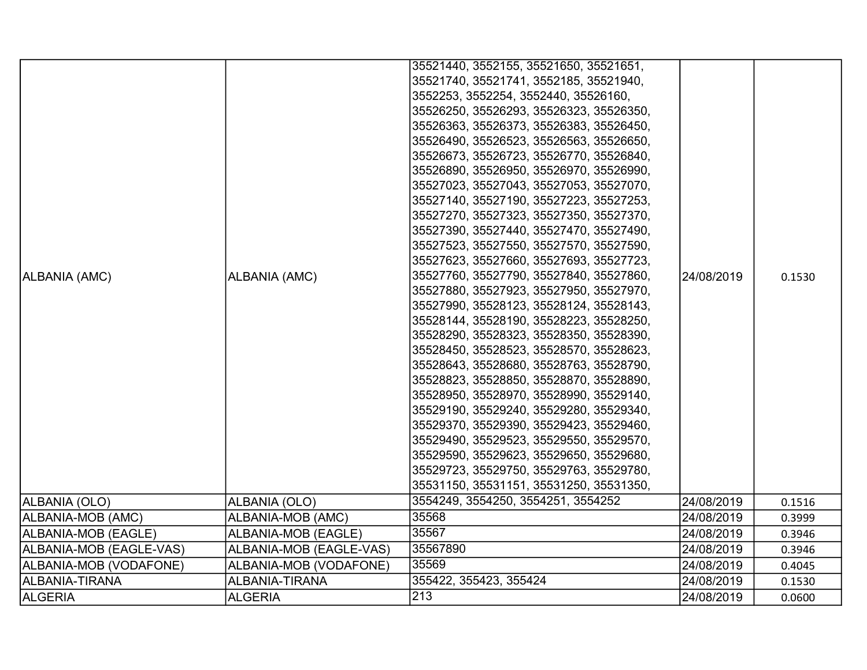|                         |                         | 35521440, 3552155, 35521650, 35521651,                                          |            |        |
|-------------------------|-------------------------|---------------------------------------------------------------------------------|------------|--------|
|                         |                         | 35521740, 35521741, 3552185, 35521940,                                          |            |        |
|                         |                         | 3552253, 3552254, 3552440, 35526160,<br>35526250, 35526293, 35526323, 35526350, |            |        |
|                         |                         | 35526363, 35526373, 35526383, 35526450,                                         |            |        |
|                         |                         | 35526490, 35526523, 35526563, 35526650,                                         |            |        |
|                         |                         | 35526673, 35526723, 35526770, 35526840,                                         |            |        |
|                         |                         | 35526890, 35526950, 35526970, 35526990,                                         |            |        |
|                         |                         | 35527023, 35527043, 35527053, 35527070,                                         |            |        |
|                         |                         | 35527140, 35527190, 35527223, 35527253,                                         |            |        |
|                         |                         | 35527270, 35527323, 35527350, 35527370,                                         |            |        |
|                         |                         | 35527390, 35527440, 35527470, 35527490,                                         |            |        |
|                         |                         | 35527523, 35527550, 35527570, 35527590,                                         |            |        |
|                         |                         | 35527623, 35527660, 35527693, 35527723,                                         |            |        |
| ALBANIA (AMC)           | ALBANIA (AMC)           | 35527760, 35527790, 35527840, 35527860,                                         | 24/08/2019 | 0.1530 |
|                         |                         | 35527880, 35527923, 35527950, 35527970,                                         |            |        |
|                         |                         | 35527990, 35528123, 35528124, 35528143,                                         |            |        |
|                         |                         | 35528144, 35528190, 35528223, 35528250,                                         |            |        |
|                         |                         | 35528290, 35528323, 35528350, 35528390,                                         |            |        |
|                         |                         | 35528450, 35528523, 35528570, 35528623,                                         |            |        |
|                         |                         | 35528643, 35528680, 35528763, 35528790,                                         |            |        |
|                         |                         | 35528823, 35528850, 35528870, 35528890,                                         |            |        |
|                         |                         | 35528950, 35528970, 35528990, 35529140,                                         |            |        |
|                         |                         | 35529190, 35529240, 35529280, 35529340,                                         |            |        |
|                         |                         | 35529370, 35529390, 35529423, 35529460,                                         |            |        |
|                         |                         | 35529490, 35529523, 35529550, 35529570,                                         |            |        |
|                         |                         | 35529590, 35529623, 35529650, 35529680,                                         |            |        |
|                         |                         | 35529723, 35529750, 35529763, 35529780,                                         |            |        |
|                         |                         | 35531150, 35531151, 35531250, 35531350,                                         |            |        |
| ALBANIA (OLO)           | ALBANIA (OLO)           | 3554249, 3554250, 3554251, 3554252                                              | 24/08/2019 | 0.1516 |
| ALBANIA-MOB (AMC)       | ALBANIA-MOB (AMC)       | 35568                                                                           | 24/08/2019 | 0.3999 |
| ALBANIA-MOB (EAGLE)     | ALBANIA-MOB (EAGLE)     | 35567                                                                           | 24/08/2019 | 0.3946 |
| ALBANIA-MOB (EAGLE-VAS) | ALBANIA-MOB (EAGLE-VAS) | 35567890                                                                        | 24/08/2019 | 0.3946 |
| ALBANIA-MOB (VODAFONE)  | ALBANIA-MOB (VODAFONE)  | 35569                                                                           | 24/08/2019 | 0.4045 |
| ALBANIA-TIRANA          | ALBANIA-TIRANA          | 355422, 355423, 355424                                                          | 24/08/2019 | 0.1530 |
| <b>ALGERIA</b>          | <b>ALGERIA</b>          | 213                                                                             | 24/08/2019 | 0.0600 |
|                         |                         |                                                                                 |            |        |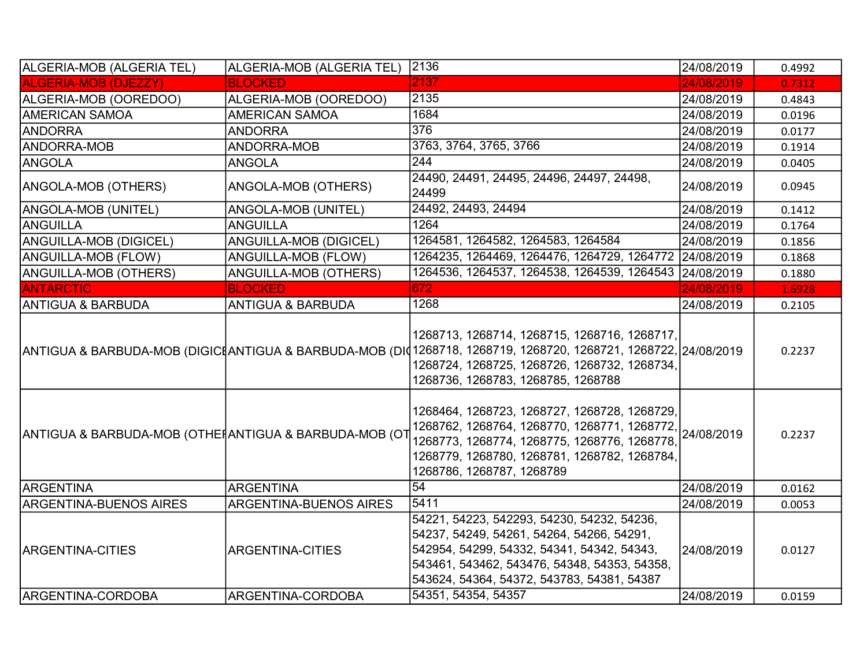| ALGERIA-MOB (ALGERIA TEL)                              | ALGERIA-MOB (ALGERIA TEL)     | 2136                                                                                                                                                                                                                                                            | 24/08/2019 | 0.4992 |
|--------------------------------------------------------|-------------------------------|-----------------------------------------------------------------------------------------------------------------------------------------------------------------------------------------------------------------------------------------------------------------|------------|--------|
| <b>ALGERIA-MOB (DJEZZY)</b>                            | <b>BLOCKED</b>                | 2137                                                                                                                                                                                                                                                            | 24/08/2019 | 0.7312 |
| ALGERIA-MOB (OOREDOO)                                  | ALGERIA-MOB (OOREDOO)         | 2135                                                                                                                                                                                                                                                            | 24/08/2019 | 0.4843 |
| <b>AMERICAN SAMOA</b>                                  | <b>AMERICAN SAMOA</b>         | 1684                                                                                                                                                                                                                                                            | 24/08/2019 | 0.0196 |
| <b>ANDORRA</b>                                         | <b>ANDORRA</b>                | 376                                                                                                                                                                                                                                                             | 24/08/2019 | 0.0177 |
| <b>ANDORRA-MOB</b>                                     | ANDORRA-MOB                   | 3763, 3764, 3765, 3766                                                                                                                                                                                                                                          | 24/08/2019 | 0.1914 |
| ANGOLA                                                 | <b>ANGOLA</b>                 | 244                                                                                                                                                                                                                                                             | 24/08/2019 | 0.0405 |
| ANGOLA-MOB (OTHERS)                                    | ANGOLA-MOB (OTHERS)           | 24490, 24491, 24495, 24496, 24497, 24498,<br>24499                                                                                                                                                                                                              | 24/08/2019 | 0.0945 |
| ANGOLA-MOB (UNITEL)                                    | ANGOLA-MOB (UNITEL)           | 24492, 24493, 24494                                                                                                                                                                                                                                             | 24/08/2019 | 0.1412 |
| ANGUILLA                                               | <b>ANGUILLA</b>               | 1264                                                                                                                                                                                                                                                            | 24/08/2019 | 0.1764 |
| ANGUILLA-MOB (DIGICEL)                                 | ANGUILLA-MOB (DIGICEL)        | 1264581, 1264582, 1264583, 1264584                                                                                                                                                                                                                              | 24/08/2019 | 0.1856 |
| <b>ANGUILLA-MOB (FLOW)</b>                             | ANGUILLA-MOB (FLOW)           | 1264235, 1264469, 1264476, 1264729, 1264772 24/08/2019                                                                                                                                                                                                          |            | 0.1868 |
| ANGUILLA-MOB (OTHERS)                                  | ANGUILLA-MOB (OTHERS)         | 1264536, 1264537, 1264538, 1264539, 1264543 24/08/2019                                                                                                                                                                                                          |            | 0.1880 |
| <b>ANTARCTIC</b>                                       | <b>BLOCKED</b>                | 672                                                                                                                                                                                                                                                             | 24/08/2019 | 1.6928 |
| <b>ANTIGUA &amp; BARBUDA</b>                           | <b>ANTIGUA &amp; BARBUDA</b>  | 1268                                                                                                                                                                                                                                                            | 24/08/2019 | 0.2105 |
|                                                        |                               | 1268713, 1268714, 1268715, 1268716, 1268717,<br>ANTIGUA & BARBUDA-MOB (DIGICIANTIGUA & BARBUDA-MOB (DI01268718, 1268719, 1268720, 1268721, 1268722, 24/08/2019 <br>1268724, 1268725, 1268726, 1268732, 1268734,<br>1268736, 1268783, 1268785, 1268788           |            | 0.2237 |
| ANTIGUA & BARBUDA-MOB (OTHEI ANTIGUA & BARBUDA-MOB (OT |                               | 1268464, 1268723, 1268727, 1268728, 1268729,<br>1200–0–1, 12001–0, 1–0,<br>1268762, 1268764, 1268770, 1268771, 1268772, 24/08/2019<br>1268773, 1268774, 1268775, 1268776, 1268778,<br>1268779, 1268780, 1268781, 1268782, 1268784,<br>1268786, 1268787, 1268789 |            | 0.2237 |
| <b>ARGENTINA</b>                                       | <b>ARGENTINA</b>              | $\overline{54}$                                                                                                                                                                                                                                                 | 24/08/2019 | 0.0162 |
| <b>ARGENTINA-BUENOS AIRES</b>                          | <b>ARGENTINA-BUENOS AIRES</b> | 5411                                                                                                                                                                                                                                                            | 24/08/2019 | 0.0053 |
| <b>ARGENTINA-CITIES</b>                                | <b>ARGENTINA-CITIES</b>       | 54221, 54223, 542293, 54230, 54232, 54236,<br>54237, 54249, 54261, 54264, 54266, 54291,<br>542954, 54299, 54332, 54341, 54342, 54343,<br>543461, 543462, 543476, 54348, 54353, 54358,<br>543624, 54364, 54372, 543783, 54381, 54387                             | 24/08/2019 | 0.0127 |
| ARGENTINA-CORDOBA                                      | ARGENTINA-CORDOBA             | 54351, 54354, 54357                                                                                                                                                                                                                                             | 24/08/2019 | 0.0159 |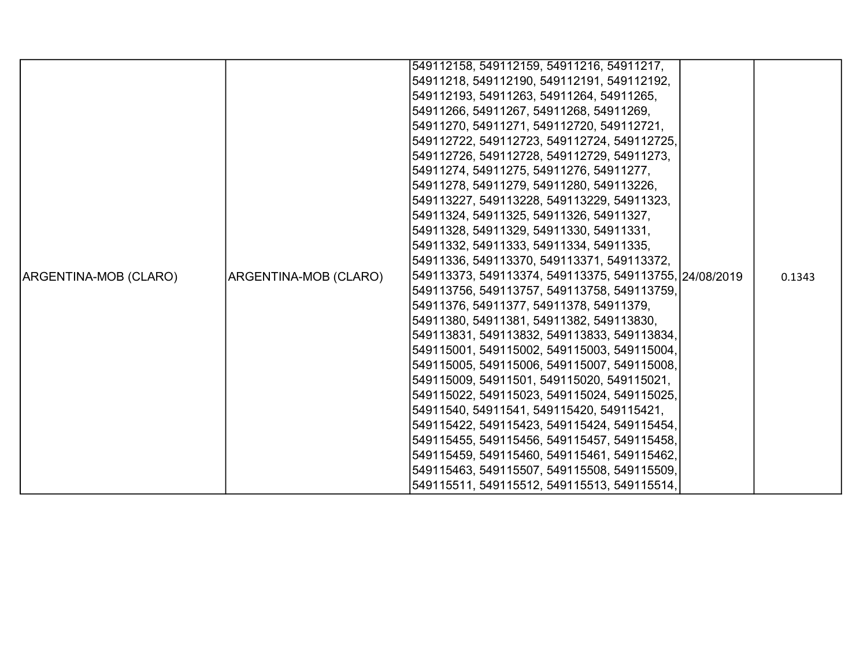|                       |                       | 549112158, 549112159, 54911216, 54911217,              |        |
|-----------------------|-----------------------|--------------------------------------------------------|--------|
|                       |                       | 54911218, 549112190, 549112191, 549112192,             |        |
|                       |                       | 549112193, 54911263, 54911264, 54911265,               |        |
|                       |                       | 54911266, 54911267, 54911268, 54911269,                |        |
|                       |                       | 54911270, 54911271, 549112720, 549112721,              |        |
|                       |                       | 549112722, 549112723, 549112724, 549112725,            |        |
|                       |                       | 549112726, 549112728, 549112729, 54911273,             |        |
|                       |                       | 54911274, 54911275, 54911276, 54911277,                |        |
|                       |                       | 54911278, 54911279, 54911280, 549113226,               |        |
|                       |                       | 549113227, 549113228, 549113229, 54911323,             |        |
|                       |                       | 54911324, 54911325, 54911326, 54911327,                |        |
|                       |                       | 54911328, 54911329, 54911330, 54911331,                |        |
|                       |                       | 54911332, 54911333, 54911334, 54911335,                |        |
|                       |                       | 54911336, 549113370, 549113371, 549113372,             |        |
| ARGENTINA-MOB (CLARO) | ARGENTINA-MOB (CLARO) | 549113373, 549113374, 549113375, 549113755, 24/08/2019 | 0.1343 |
|                       |                       | 549113756, 549113757, 549113758, 549113759,            |        |
|                       |                       | 54911376, 54911377, 54911378, 54911379,                |        |
|                       |                       | 54911380, 54911381, 54911382, 549113830,               |        |
|                       |                       | 549113831, 549113832, 549113833, 549113834,            |        |
|                       |                       | 549115001, 549115002, 549115003, 549115004,            |        |
|                       |                       | 549115005, 549115006, 549115007, 549115008,            |        |
|                       |                       | 549115009, 54911501, 549115020, 549115021,             |        |
|                       |                       | 549115022, 549115023, 549115024, 549115025,            |        |
|                       |                       | 54911540, 54911541, 549115420, 549115421,              |        |
|                       |                       | 549115422, 549115423, 549115424, 549115454,            |        |
|                       |                       | 549115455, 549115456, 549115457, 549115458,            |        |
|                       |                       | 549115459, 549115460, 549115461, 549115462,            |        |
|                       |                       | 549115463, 549115507, 549115508, 549115509,            |        |
|                       |                       | 549115511, 549115512, 549115513, 549115514,            |        |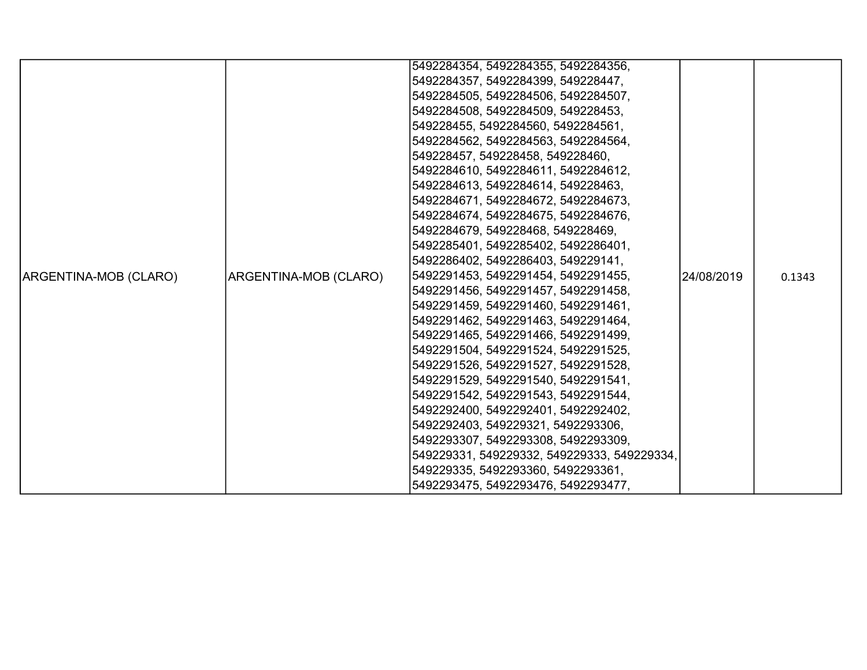|                       |                       | 5492284354, 5492284355, 5492284356,         |            |        |
|-----------------------|-----------------------|---------------------------------------------|------------|--------|
|                       |                       | 5492284357, 5492284399, 549228447,          |            |        |
|                       |                       | 5492284505, 5492284506, 5492284507,         |            |        |
|                       |                       | 5492284508, 5492284509, 549228453,          |            |        |
|                       |                       | 549228455, 5492284560, 5492284561,          |            |        |
|                       |                       | 5492284562, 5492284563, 5492284564,         |            |        |
|                       |                       | 549228457, 549228458, 549228460,            |            |        |
|                       |                       | 5492284610, 5492284611, 5492284612,         |            |        |
|                       |                       | 5492284613, 5492284614, 549228463,          |            |        |
|                       |                       | 5492284671, 5492284672, 5492284673,         |            |        |
|                       |                       | 5492284674, 5492284675, 5492284676,         |            |        |
|                       |                       | 5492284679, 549228468, 549228469,           |            |        |
|                       |                       | 5492285401, 5492285402, 5492286401,         |            |        |
|                       |                       | 5492286402, 5492286403, 549229141,          |            |        |
| ARGENTINA-MOB (CLARO) | ARGENTINA-MOB (CLARO) | 5492291453, 5492291454, 5492291455,         | 24/08/2019 | 0.1343 |
|                       |                       | 5492291456, 5492291457, 5492291458,         |            |        |
|                       |                       | 5492291459, 5492291460, 5492291461,         |            |        |
|                       |                       | 5492291462, 5492291463, 5492291464,         |            |        |
|                       |                       | 5492291465, 5492291466, 5492291499,         |            |        |
|                       |                       | 5492291504, 5492291524, 5492291525,         |            |        |
|                       |                       | 5492291526, 5492291527, 5492291528,         |            |        |
|                       |                       | 5492291529, 5492291540, 5492291541,         |            |        |
|                       |                       | 5492291542, 5492291543, 5492291544,         |            |        |
|                       |                       | 5492292400, 5492292401, 5492292402,         |            |        |
|                       |                       | 5492292403, 549229321, 5492293306,          |            |        |
|                       |                       | 5492293307, 5492293308, 5492293309,         |            |        |
|                       |                       | 549229331, 549229332, 549229333, 549229334, |            |        |
|                       |                       | 549229335, 5492293360, 5492293361,          |            |        |
|                       |                       | 5492293475, 5492293476, 5492293477,         |            |        |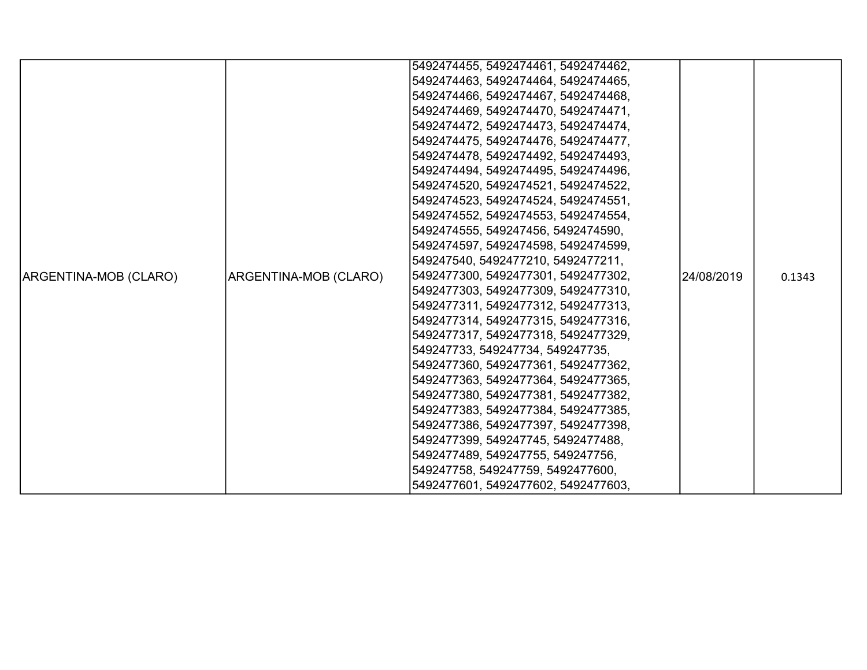|                       |                       | 5492474455, 5492474461, 5492474462, |            |        |
|-----------------------|-----------------------|-------------------------------------|------------|--------|
|                       |                       | 5492474463, 5492474464, 5492474465, |            |        |
|                       |                       | 5492474466, 5492474467, 5492474468, |            |        |
|                       |                       | 5492474469, 5492474470, 5492474471, |            |        |
|                       |                       | 5492474472, 5492474473, 5492474474, |            |        |
|                       |                       | 5492474475, 5492474476, 5492474477, |            |        |
|                       |                       | 5492474478, 5492474492, 5492474493, |            |        |
|                       |                       | 5492474494, 5492474495, 5492474496, |            |        |
|                       |                       | 5492474520, 5492474521, 5492474522, |            |        |
|                       |                       | 5492474523, 5492474524, 5492474551, |            |        |
|                       |                       | 5492474552, 5492474553, 5492474554, |            |        |
|                       |                       | 5492474555, 549247456, 5492474590,  |            |        |
|                       |                       | 5492474597, 5492474598, 5492474599, |            |        |
|                       |                       | 549247540, 5492477210, 5492477211,  |            |        |
| ARGENTINA-MOB (CLARO) | ARGENTINA-MOB (CLARO) | 5492477300, 5492477301, 5492477302, | 24/08/2019 | 0.1343 |
|                       |                       | 5492477303, 5492477309, 5492477310, |            |        |
|                       |                       | 5492477311, 5492477312, 5492477313, |            |        |
|                       |                       | 5492477314, 5492477315, 5492477316, |            |        |
|                       |                       | 5492477317, 5492477318, 5492477329, |            |        |
|                       |                       | 549247733, 549247734, 549247735,    |            |        |
|                       |                       | 5492477360, 5492477361, 5492477362, |            |        |
|                       |                       | 5492477363, 5492477364, 5492477365, |            |        |
|                       |                       | 5492477380, 5492477381, 5492477382, |            |        |
|                       |                       | 5492477383, 5492477384, 5492477385, |            |        |
|                       |                       | 5492477386, 5492477397, 5492477398, |            |        |
|                       |                       | 5492477399, 549247745, 5492477488,  |            |        |
|                       |                       | 5492477489, 549247755, 549247756,   |            |        |
|                       |                       | 549247758, 549247759, 5492477600,   |            |        |
|                       |                       | 5492477601, 5492477602, 5492477603, |            |        |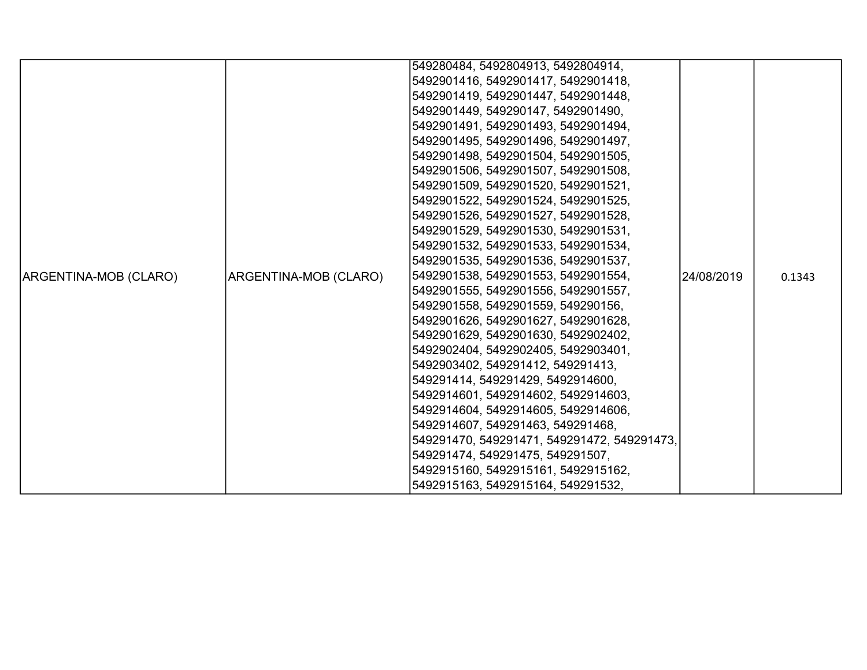|                       |                       | 549280484, 5492804913, 5492804914,          |            |        |
|-----------------------|-----------------------|---------------------------------------------|------------|--------|
|                       |                       | 5492901416, 5492901417, 5492901418,         |            |        |
|                       |                       | 5492901419, 5492901447, 5492901448,         |            |        |
|                       |                       | 5492901449, 549290147, 5492901490,          |            |        |
|                       |                       | 5492901491, 5492901493, 5492901494,         |            |        |
|                       |                       |                                             |            |        |
|                       |                       | 5492901495, 5492901496, 5492901497,         |            |        |
|                       |                       | 5492901498, 5492901504, 5492901505,         |            |        |
|                       |                       | 5492901506, 5492901507, 5492901508,         |            |        |
|                       |                       | 5492901509, 5492901520, 5492901521,         |            |        |
|                       |                       | 5492901522, 5492901524, 5492901525,         |            |        |
|                       |                       | 5492901526, 5492901527, 5492901528,         |            |        |
|                       |                       | 5492901529, 5492901530, 5492901531,         |            |        |
|                       |                       | 5492901532, 5492901533, 5492901534,         |            |        |
|                       |                       | 5492901535, 5492901536, 5492901537,         |            |        |
| ARGENTINA-MOB (CLARO) | ARGENTINA-MOB (CLARO) | 5492901538, 5492901553, 5492901554,         | 24/08/2019 | 0.1343 |
|                       |                       | 5492901555, 5492901556, 5492901557,         |            |        |
|                       |                       | 5492901558, 5492901559, 549290156,          |            |        |
|                       |                       | 5492901626, 5492901627, 5492901628,         |            |        |
|                       |                       | 5492901629, 5492901630, 5492902402,         |            |        |
|                       |                       | 5492902404, 5492902405, 5492903401,         |            |        |
|                       |                       | 5492903402, 549291412, 549291413,           |            |        |
|                       |                       | 549291414, 549291429, 5492914600,           |            |        |
|                       |                       | 5492914601, 5492914602, 5492914603,         |            |        |
|                       |                       | 5492914604, 5492914605, 5492914606,         |            |        |
|                       |                       | 5492914607, 549291463, 549291468,           |            |        |
|                       |                       | 549291470, 549291471, 549291472, 549291473, |            |        |
|                       |                       | 549291474, 549291475, 549291507,            |            |        |
|                       |                       | 5492915160, 5492915161, 5492915162,         |            |        |
|                       |                       | 5492915163, 5492915164, 549291532,          |            |        |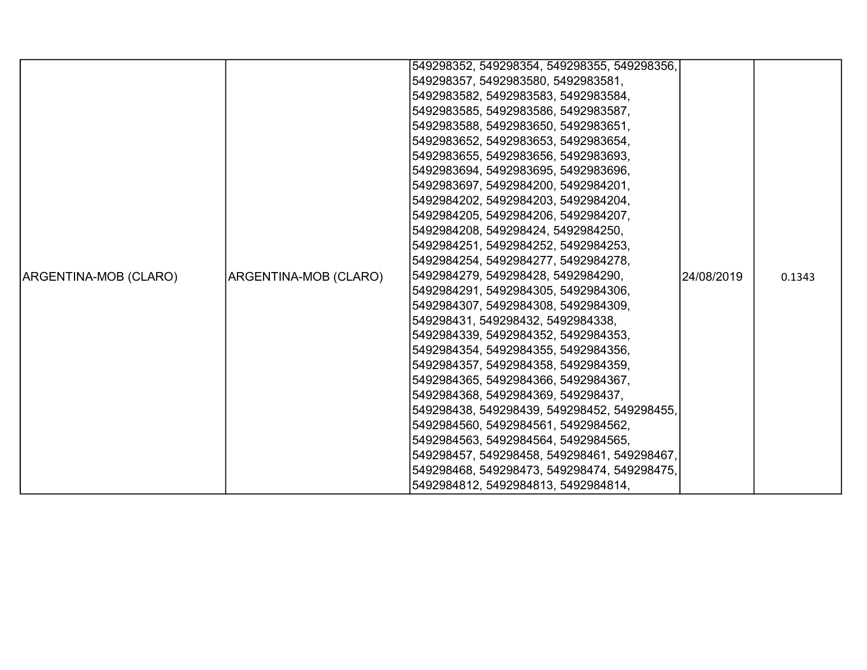|                       |                       | 549298352, 549298354, 549298355, 549298356, |            |        |
|-----------------------|-----------------------|---------------------------------------------|------------|--------|
|                       |                       | 549298357, 5492983580, 5492983581,          |            |        |
|                       |                       | 5492983582, 5492983583, 5492983584,         |            |        |
|                       |                       | 5492983585, 5492983586, 5492983587,         |            |        |
|                       |                       | 5492983588, 5492983650, 5492983651,         |            |        |
|                       |                       | 5492983652, 5492983653, 5492983654,         |            |        |
|                       |                       | 5492983655, 5492983656, 5492983693,         |            |        |
|                       |                       | 5492983694, 5492983695, 5492983696,         |            |        |
|                       |                       | 5492983697, 5492984200, 5492984201,         |            |        |
|                       |                       | 5492984202, 5492984203, 5492984204,         |            |        |
|                       |                       | 5492984205, 5492984206, 5492984207,         |            |        |
|                       |                       | 5492984208, 549298424, 5492984250,          |            |        |
|                       |                       | 5492984251, 5492984252, 5492984253,         |            |        |
|                       |                       | 5492984254, 5492984277, 5492984278,         |            |        |
| ARGENTINA-MOB (CLARO) | ARGENTINA-MOB (CLARO) | 5492984279, 549298428, 5492984290,          | 24/08/2019 | 0.1343 |
|                       |                       | 5492984291, 5492984305, 5492984306,         |            |        |
|                       |                       | 5492984307, 5492984308, 5492984309,         |            |        |
|                       |                       | 549298431, 549298432, 5492984338,           |            |        |
|                       |                       | 5492984339, 5492984352, 5492984353,         |            |        |
|                       |                       | 5492984354, 5492984355, 5492984356,         |            |        |
|                       |                       | 5492984357, 5492984358, 5492984359,         |            |        |
|                       |                       | 5492984365, 5492984366, 5492984367,         |            |        |
|                       |                       | 5492984368, 5492984369, 549298437,          |            |        |
|                       |                       | 549298438, 549298439, 549298452, 549298455, |            |        |
|                       |                       | 5492984560, 5492984561, 5492984562,         |            |        |
|                       |                       | 5492984563, 5492984564, 5492984565,         |            |        |
|                       |                       | 549298457, 549298458, 549298461, 549298467, |            |        |
|                       |                       | 549298468, 549298473, 549298474, 549298475, |            |        |
|                       |                       | 5492984812, 5492984813, 5492984814,         |            |        |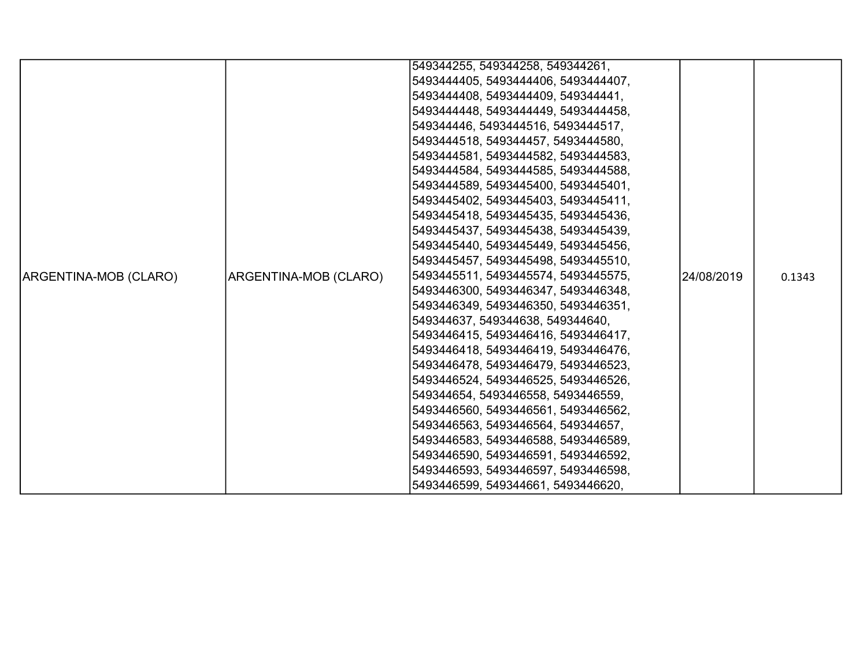|                       |                       | 549344255, 549344258, 549344261,    |            |        |
|-----------------------|-----------------------|-------------------------------------|------------|--------|
|                       |                       | 5493444405, 5493444406, 5493444407, |            |        |
|                       |                       | 5493444408, 5493444409, 549344441,  |            |        |
|                       |                       | 5493444448, 5493444449, 5493444458, |            |        |
|                       |                       | 549344446, 5493444516, 5493444517,  |            |        |
|                       |                       | 5493444518, 549344457, 5493444580,  |            |        |
|                       |                       | 5493444581, 5493444582, 5493444583, |            |        |
|                       |                       | 5493444584, 5493444585, 5493444588, |            |        |
|                       |                       | 5493444589, 5493445400, 5493445401, |            |        |
|                       |                       | 5493445402, 5493445403, 5493445411, |            |        |
|                       |                       | 5493445418, 5493445435, 5493445436, |            |        |
|                       |                       | 5493445437, 5493445438, 5493445439, |            |        |
|                       |                       | 5493445440, 5493445449, 5493445456, |            |        |
|                       |                       | 5493445457, 5493445498, 5493445510, |            |        |
| ARGENTINA-MOB (CLARO) | ARGENTINA-MOB (CLARO) | 5493445511, 5493445574, 5493445575, | 24/08/2019 | 0.1343 |
|                       |                       | 5493446300, 5493446347, 5493446348, |            |        |
|                       |                       | 5493446349, 5493446350, 5493446351, |            |        |
|                       |                       | 549344637, 549344638, 549344640,    |            |        |
|                       |                       | 5493446415, 5493446416, 5493446417, |            |        |
|                       |                       | 5493446418, 5493446419, 5493446476, |            |        |
|                       |                       | 5493446478, 5493446479, 5493446523, |            |        |
|                       |                       | 5493446524, 5493446525, 5493446526, |            |        |
|                       |                       | 549344654, 5493446558, 5493446559,  |            |        |
|                       |                       | 5493446560, 5493446561, 5493446562, |            |        |
|                       |                       | 5493446563, 5493446564, 549344657,  |            |        |
|                       |                       | 5493446583, 5493446588, 5493446589, |            |        |
|                       |                       | 5493446590, 5493446591, 5493446592, |            |        |
|                       |                       | 5493446593, 5493446597, 5493446598, |            |        |
|                       |                       | 5493446599, 549344661, 5493446620,  |            |        |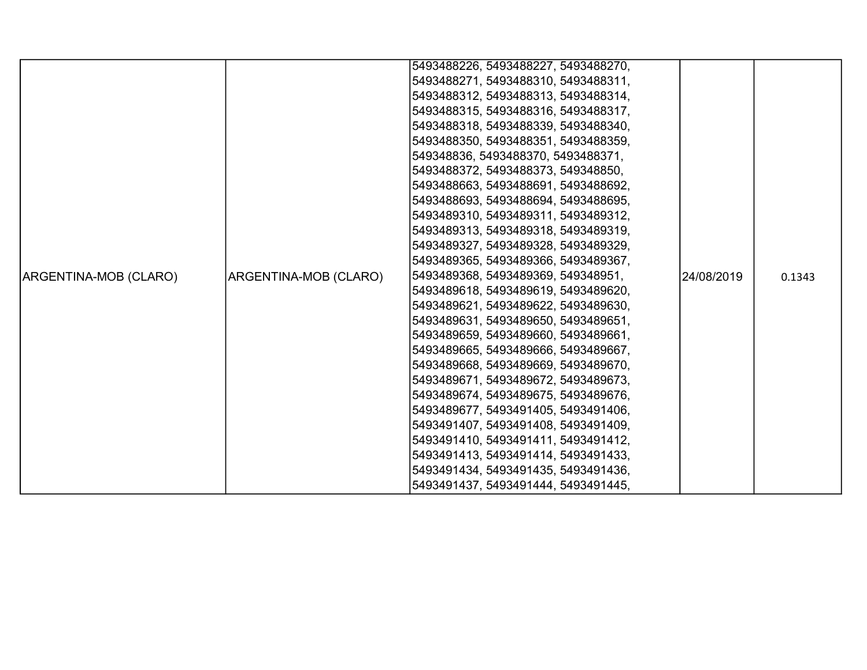|                       |                       | 5493488226, 5493488227, 5493488270, |            |        |
|-----------------------|-----------------------|-------------------------------------|------------|--------|
|                       |                       | 5493488271, 5493488310, 5493488311, |            |        |
|                       |                       | 5493488312, 5493488313, 5493488314, |            |        |
|                       |                       | 5493488315, 5493488316, 5493488317, |            |        |
|                       |                       | 5493488318, 5493488339, 5493488340, |            |        |
|                       |                       | 5493488350, 5493488351, 5493488359, |            |        |
|                       |                       | 549348836, 5493488370, 5493488371,  |            |        |
|                       |                       | 5493488372, 5493488373, 549348850,  |            |        |
|                       |                       | 5493488663, 5493488691, 5493488692, |            |        |
|                       |                       | 5493488693, 5493488694, 5493488695, |            |        |
|                       |                       | 5493489310, 5493489311, 5493489312, |            |        |
|                       |                       | 5493489313, 5493489318, 5493489319, |            |        |
|                       |                       | 5493489327, 5493489328, 5493489329, |            |        |
|                       |                       | 5493489365, 5493489366, 5493489367, |            |        |
| ARGENTINA-MOB (CLARO) | ARGENTINA-MOB (CLARO) | 5493489368, 5493489369, 549348951,  | 24/08/2019 | 0.1343 |
|                       |                       | 5493489618, 5493489619, 5493489620, |            |        |
|                       |                       | 5493489621, 5493489622, 5493489630, |            |        |
|                       |                       | 5493489631, 5493489650, 5493489651, |            |        |
|                       |                       | 5493489659, 5493489660, 5493489661, |            |        |
|                       |                       | 5493489665, 5493489666, 5493489667, |            |        |
|                       |                       | 5493489668, 5493489669, 5493489670, |            |        |
|                       |                       | 5493489671, 5493489672, 5493489673, |            |        |
|                       |                       | 5493489674, 5493489675, 5493489676, |            |        |
|                       |                       | 5493489677, 5493491405, 5493491406, |            |        |
|                       |                       | 5493491407, 5493491408, 5493491409, |            |        |
|                       |                       | 5493491410, 5493491411, 5493491412, |            |        |
|                       |                       | 5493491413, 5493491414, 5493491433, |            |        |
|                       |                       | 5493491434, 5493491435, 5493491436, |            |        |
|                       |                       | 5493491437, 5493491444, 5493491445, |            |        |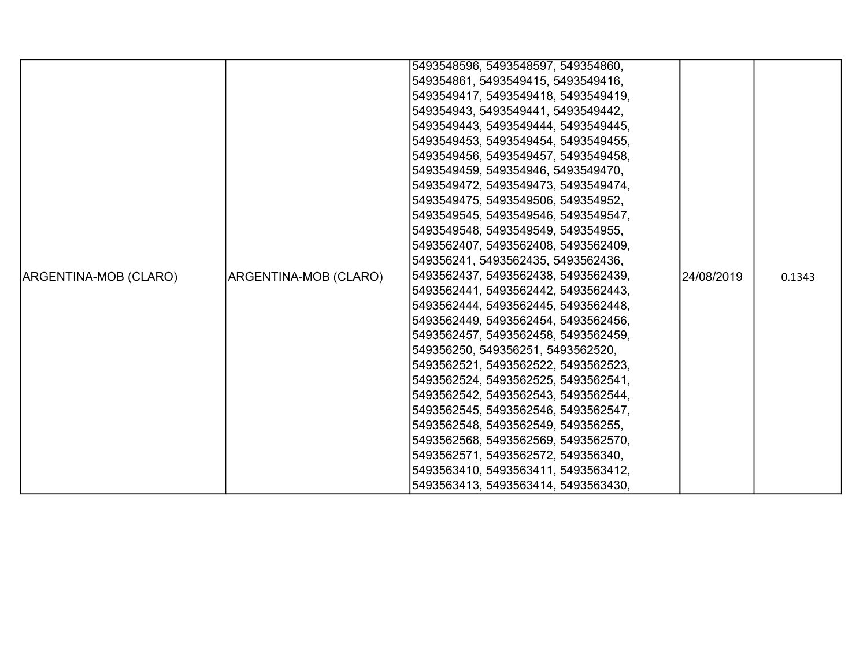|                       |                       | 5493548596, 5493548597, 549354860,  |            |        |
|-----------------------|-----------------------|-------------------------------------|------------|--------|
|                       |                       | 549354861, 5493549415, 5493549416,  |            |        |
|                       |                       | 5493549417, 5493549418, 5493549419, |            |        |
|                       |                       | 549354943, 5493549441, 5493549442,  |            |        |
|                       |                       | 5493549443, 5493549444, 5493549445, |            |        |
|                       |                       | 5493549453, 5493549454, 5493549455, |            |        |
|                       |                       | 5493549456, 5493549457, 5493549458, |            |        |
|                       |                       | 5493549459, 549354946, 5493549470,  |            |        |
|                       |                       | 5493549472, 5493549473, 5493549474, |            |        |
|                       |                       | 5493549475, 5493549506, 549354952,  |            |        |
|                       |                       | 5493549545, 5493549546, 5493549547, |            |        |
|                       |                       | 5493549548, 5493549549, 549354955,  |            |        |
|                       |                       | 5493562407, 5493562408, 5493562409, |            |        |
|                       |                       | 549356241, 5493562435, 5493562436,  |            |        |
| ARGENTINA-MOB (CLARO) | ARGENTINA-MOB (CLARO) | 5493562437, 5493562438, 5493562439, | 24/08/2019 | 0.1343 |
|                       |                       | 5493562441, 5493562442, 5493562443, |            |        |
|                       |                       | 5493562444, 5493562445, 5493562448, |            |        |
|                       |                       | 5493562449, 5493562454, 5493562456, |            |        |
|                       |                       | 5493562457, 5493562458, 5493562459, |            |        |
|                       |                       | 549356250, 549356251, 5493562520,   |            |        |
|                       |                       | 5493562521, 5493562522, 5493562523, |            |        |
|                       |                       | 5493562524, 5493562525, 5493562541, |            |        |
|                       |                       | 5493562542, 5493562543, 5493562544, |            |        |
|                       |                       | 5493562545, 5493562546, 5493562547, |            |        |
|                       |                       | 5493562548, 5493562549, 549356255,  |            |        |
|                       |                       | 5493562568, 5493562569, 5493562570, |            |        |
|                       |                       | 5493562571, 5493562572, 549356340,  |            |        |
|                       |                       | 5493563410, 5493563411, 5493563412, |            |        |
|                       |                       | 5493563413, 5493563414, 5493563430, |            |        |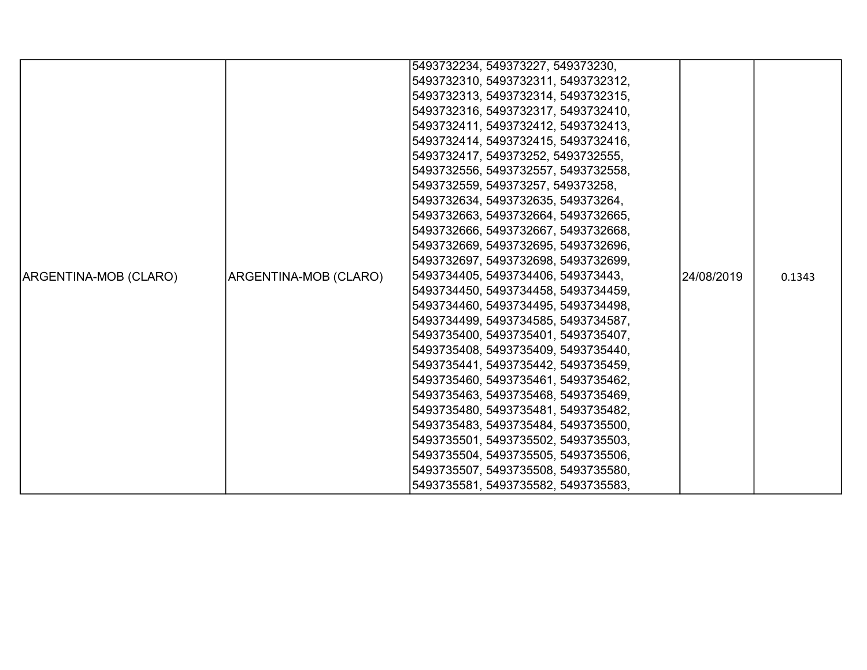|                       |                       | 5493732234, 549373227, 549373230,   |            |        |
|-----------------------|-----------------------|-------------------------------------|------------|--------|
|                       |                       |                                     |            |        |
|                       |                       | 5493732310, 5493732311, 5493732312, |            |        |
|                       |                       | 5493732313, 5493732314, 5493732315, |            |        |
|                       |                       | 5493732316, 5493732317, 5493732410, |            |        |
|                       |                       | 5493732411, 5493732412, 5493732413, |            |        |
|                       |                       | 5493732414, 5493732415, 5493732416, |            |        |
|                       |                       | 5493732417, 549373252, 5493732555,  |            |        |
|                       |                       | 5493732556, 5493732557, 5493732558, |            |        |
|                       |                       | 5493732559, 549373257, 549373258,   |            |        |
|                       |                       | 5493732634, 5493732635, 549373264,  |            |        |
|                       |                       | 5493732663, 5493732664, 5493732665, |            |        |
|                       |                       | 5493732666, 5493732667, 5493732668, |            |        |
|                       |                       | 5493732669, 5493732695, 5493732696, |            |        |
|                       |                       | 5493732697, 5493732698, 5493732699, |            |        |
| ARGENTINA-MOB (CLARO) | ARGENTINA-MOB (CLARO) | 5493734405, 5493734406, 549373443,  | 24/08/2019 | 0.1343 |
|                       |                       | 5493734450, 5493734458, 5493734459, |            |        |
|                       |                       | 5493734460, 5493734495, 5493734498, |            |        |
|                       |                       | 5493734499, 5493734585, 5493734587, |            |        |
|                       |                       | 5493735400, 5493735401, 5493735407, |            |        |
|                       |                       | 5493735408, 5493735409, 5493735440, |            |        |
|                       |                       | 5493735441, 5493735442, 5493735459, |            |        |
|                       |                       | 5493735460, 5493735461, 5493735462, |            |        |
|                       |                       | 5493735463, 5493735468, 5493735469, |            |        |
|                       |                       | 5493735480, 5493735481, 5493735482, |            |        |
|                       |                       | 5493735483, 5493735484, 5493735500, |            |        |
|                       |                       | 5493735501, 5493735502, 5493735503, |            |        |
|                       |                       | 5493735504, 5493735505, 5493735506, |            |        |
|                       |                       | 5493735507, 5493735508, 5493735580, |            |        |
|                       |                       | 5493735581, 5493735582, 5493735583, |            |        |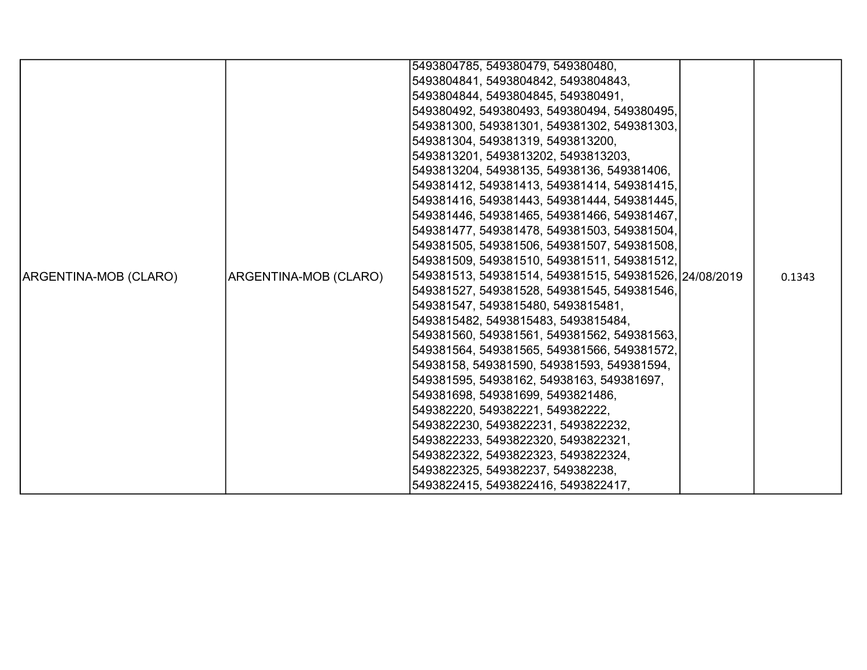|                       |                       | 5493804785, 549380479, 549380480,                      |        |
|-----------------------|-----------------------|--------------------------------------------------------|--------|
|                       |                       | 5493804841, 5493804842, 5493804843,                    |        |
|                       |                       | 5493804844, 5493804845, 549380491,                     |        |
|                       |                       | 549380492, 549380493, 549380494, 549380495,            |        |
|                       |                       | 549381300, 549381301, 549381302, 549381303,            |        |
|                       |                       | 549381304, 549381319, 5493813200,                      |        |
|                       |                       | 5493813201, 5493813202, 5493813203,                    |        |
|                       |                       | 5493813204, 54938135, 54938136, 549381406,             |        |
|                       |                       | 549381412, 549381413, 549381414, 549381415,            |        |
|                       |                       | 549381416, 549381443, 549381444, 549381445,            |        |
|                       |                       | 549381446, 549381465, 549381466, 549381467,            |        |
|                       |                       | 549381477, 549381478, 549381503, 549381504,            |        |
|                       |                       | 549381505, 549381506, 549381507, 549381508,            |        |
|                       |                       | 549381509, 549381510, 549381511, 549381512,            |        |
| ARGENTINA-MOB (CLARO) | ARGENTINA-MOB (CLARO) | 549381513, 549381514, 549381515, 549381526, 24/08/2019 | 0.1343 |
|                       |                       | 549381527, 549381528, 549381545, 549381546,            |        |
|                       |                       | 549381547, 5493815480, 5493815481,                     |        |
|                       |                       | 5493815482, 5493815483, 5493815484,                    |        |
|                       |                       | 549381560, 549381561, 549381562, 549381563,            |        |
|                       |                       | 549381564, 549381565, 549381566, 549381572,            |        |
|                       |                       | 54938158, 549381590, 549381593, 549381594,             |        |
|                       |                       | 549381595, 54938162, 54938163, 549381697,              |        |
|                       |                       | 549381698, 549381699, 5493821486,                      |        |
|                       |                       | 549382220, 549382221, 549382222,                       |        |
|                       |                       | 5493822230, 5493822231, 5493822232,                    |        |
|                       |                       | 5493822233, 5493822320, 5493822321,                    |        |
|                       |                       | 5493822322, 5493822323, 5493822324,                    |        |
|                       |                       | 5493822325, 549382237, 549382238,                      |        |
|                       |                       | 5493822415, 5493822416, 5493822417,                    |        |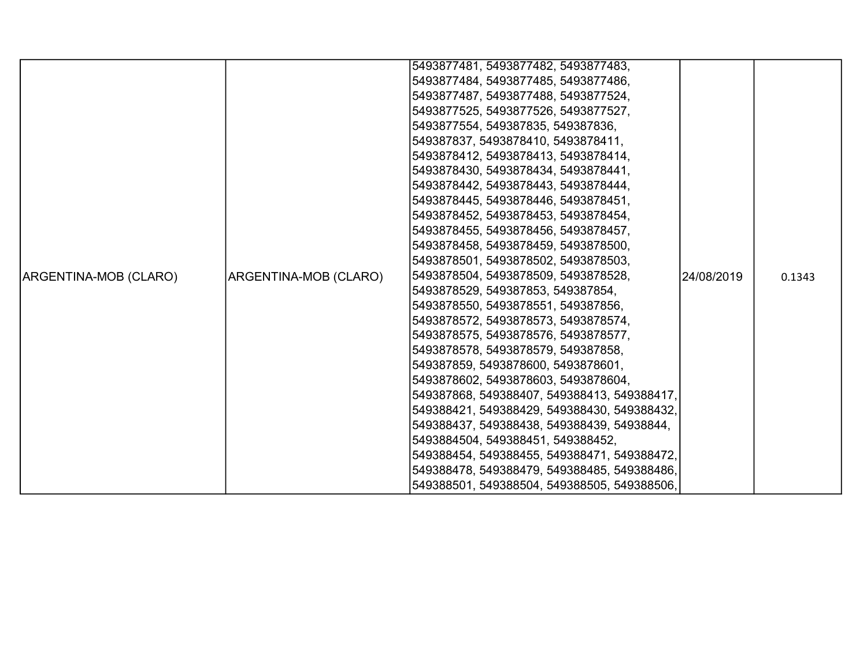|                       |                       | 5493877481, 5493877482, 5493877483,         |            |        |
|-----------------------|-----------------------|---------------------------------------------|------------|--------|
|                       |                       | 5493877484, 5493877485, 5493877486,         |            |        |
|                       |                       | 5493877487, 5493877488, 5493877524,         |            |        |
|                       |                       | 5493877525, 5493877526, 5493877527,         |            |        |
|                       |                       | 5493877554, 549387835, 549387836,           |            |        |
|                       |                       | 549387837, 5493878410, 5493878411,          |            |        |
|                       |                       | 5493878412, 5493878413, 5493878414,         |            |        |
|                       |                       | 5493878430, 5493878434, 5493878441,         |            |        |
|                       |                       | 5493878442, 5493878443, 5493878444,         |            |        |
|                       |                       | 5493878445, 5493878446, 5493878451,         |            |        |
|                       |                       | 5493878452, 5493878453, 5493878454,         |            |        |
|                       |                       | 5493878455, 5493878456, 5493878457,         |            |        |
|                       |                       | 5493878458, 5493878459, 5493878500,         |            |        |
|                       |                       | 5493878501, 5493878502, 5493878503,         |            |        |
| ARGENTINA-MOB (CLARO) | ARGENTINA-MOB (CLARO) | 5493878504, 5493878509, 5493878528,         | 24/08/2019 | 0.1343 |
|                       |                       | 5493878529, 549387853, 549387854,           |            |        |
|                       |                       | 5493878550, 5493878551, 549387856,          |            |        |
|                       |                       | 5493878572, 5493878573, 5493878574,         |            |        |
|                       |                       | 5493878575, 5493878576, 5493878577,         |            |        |
|                       |                       | 5493878578, 5493878579, 549387858,          |            |        |
|                       |                       | 549387859, 5493878600, 5493878601,          |            |        |
|                       |                       | 5493878602, 5493878603, 5493878604,         |            |        |
|                       |                       | 549387868, 549388407, 549388413, 549388417, |            |        |
|                       |                       | 549388421, 549388429, 549388430, 549388432, |            |        |
|                       |                       | 549388437, 549388438, 549388439, 54938844,  |            |        |
|                       |                       | 5493884504, 549388451, 549388452,           |            |        |
|                       |                       | 549388454, 549388455, 549388471, 549388472, |            |        |
|                       |                       | 549388478, 549388479, 549388485, 549388486, |            |        |
|                       |                       | 549388501, 549388504, 549388505, 549388506, |            |        |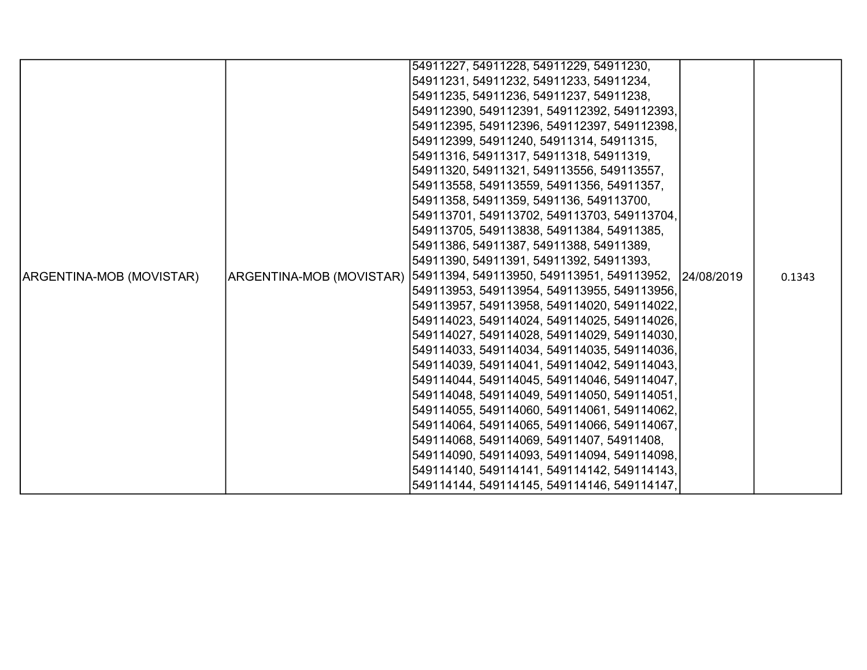|                          |                                 | 54911227, 54911228, 54911229, 54911230,               |  |        |
|--------------------------|---------------------------------|-------------------------------------------------------|--|--------|
|                          |                                 | 54911231, 54911232, 54911233, 54911234,               |  |        |
|                          |                                 | 54911235, 54911236, 54911237, 54911238,               |  |        |
|                          |                                 | 549112390, 549112391, 549112392, 549112393,           |  |        |
|                          |                                 | 549112395, 549112396, 549112397, 549112398,           |  |        |
|                          |                                 | 549112399, 54911240, 54911314, 54911315,              |  |        |
|                          |                                 | 54911316, 54911317, 54911318, 54911319,               |  |        |
|                          |                                 | 54911320, 54911321, 549113556, 549113557,             |  |        |
|                          |                                 | 549113558, 549113559, 54911356, 54911357,             |  |        |
|                          |                                 | 54911358, 54911359, 5491136, 549113700,               |  |        |
|                          |                                 | 549113701, 549113702, 549113703, 549113704,           |  |        |
|                          |                                 | 549113705, 549113838, 54911384, 54911385,             |  |        |
|                          |                                 | 54911386, 54911387, 54911388, 54911389,               |  |        |
|                          |                                 | 54911390, 54911391, 54911392, 54911393,               |  |        |
| ARGENTINA-MOB (MOVISTAR) | <b>ARGENTINA-MOB (MOVISTAR)</b> | 54911394, 549113950, 549113951, 549113952, 24/08/2019 |  | 0.1343 |
|                          |                                 | 549113953, 549113954, 549113955, 549113956,           |  |        |
|                          |                                 | 549113957, 549113958, 549114020, 549114022,           |  |        |
|                          |                                 | 549114023, 549114024, 549114025, 549114026,           |  |        |
|                          |                                 | 549114027, 549114028, 549114029, 549114030,           |  |        |
|                          |                                 | 549114033, 549114034, 549114035, 549114036,           |  |        |
|                          |                                 | 549114039, 549114041, 549114042, 549114043,           |  |        |
|                          |                                 | 549114044, 549114045, 549114046, 549114047,           |  |        |
|                          |                                 | 549114048, 549114049, 549114050, 549114051,           |  |        |
|                          |                                 | 549114055, 549114060, 549114061, 549114062,           |  |        |
|                          |                                 | 549114064, 549114065, 549114066, 549114067,           |  |        |
|                          |                                 | 549114068, 549114069, 54911407, 54911408,             |  |        |
|                          |                                 | 549114090, 549114093, 549114094, 549114098,           |  |        |
|                          |                                 | 549114140, 549114141, 549114142, 549114143,           |  |        |
|                          |                                 | 549114144, 549114145, 549114146, 549114147,           |  |        |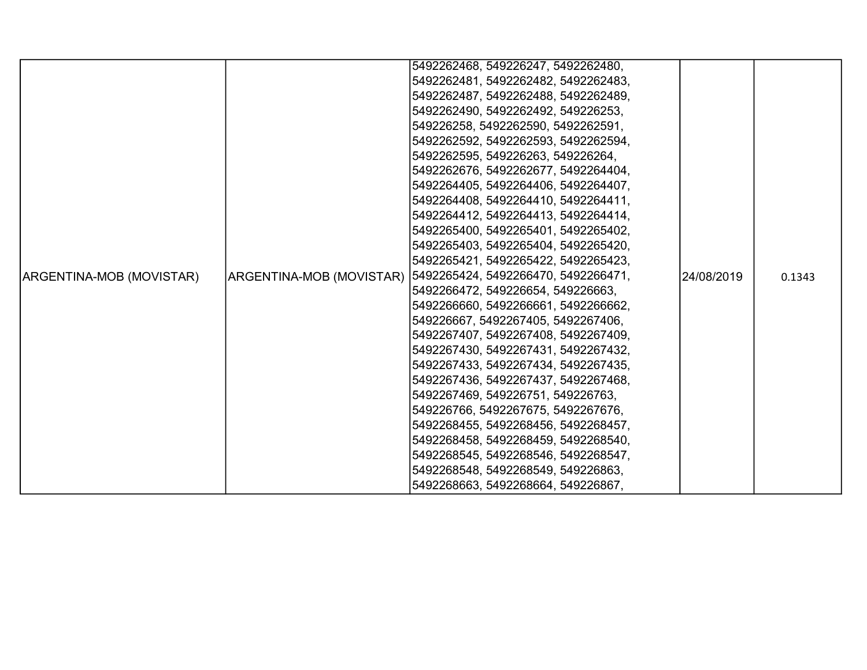|                          | 5492262468, 549226247, 5492262480,                            |            |        |
|--------------------------|---------------------------------------------------------------|------------|--------|
|                          | 5492262481, 5492262482, 5492262483,                           |            |        |
|                          | 5492262487, 5492262488, 5492262489,                           |            |        |
|                          | 5492262490, 5492262492, 549226253,                            |            |        |
|                          | 549226258, 5492262590, 5492262591,                            |            |        |
|                          | 5492262592, 5492262593, 5492262594,                           |            |        |
|                          | 5492262595, 549226263, 549226264,                             |            |        |
|                          | 5492262676, 5492262677, 5492264404,                           |            |        |
|                          | 5492264405, 5492264406, 5492264407,                           |            |        |
|                          | 5492264408, 5492264410, 5492264411,                           |            |        |
|                          | 5492264412, 5492264413, 5492264414,                           |            |        |
|                          | 5492265400, 5492265401, 5492265402,                           |            |        |
|                          | 5492265403, 5492265404, 5492265420,                           |            |        |
|                          | 5492265421, 5492265422, 5492265423,                           |            |        |
| ARGENTINA-MOB (MOVISTAR) | ARGENTINA-MOB (MOVISTAR)  5492265424, 5492266470, 5492266471, | 24/08/2019 | 0.1343 |
|                          | 5492266472, 549226654, 549226663,                             |            |        |
|                          | 5492266660, 5492266661, 5492266662,                           |            |        |
|                          | 549226667, 5492267405, 5492267406,                            |            |        |
|                          | 5492267407, 5492267408, 5492267409,                           |            |        |
|                          | 5492267430, 5492267431, 5492267432,                           |            |        |
|                          | 5492267433, 5492267434, 5492267435,                           |            |        |
|                          | 5492267436, 5492267437, 5492267468,                           |            |        |
|                          | 5492267469, 549226751, 549226763,                             |            |        |
|                          | 549226766, 5492267675, 5492267676,                            |            |        |
|                          | 5492268455, 5492268456, 5492268457,                           |            |        |
|                          | 5492268458, 5492268459, 5492268540,                           |            |        |
|                          | 5492268545, 5492268546, 5492268547,                           |            |        |
|                          | 5492268548, 5492268549, 549226863,                            |            |        |
|                          | 5492268663, 5492268664, 549226867,                            |            |        |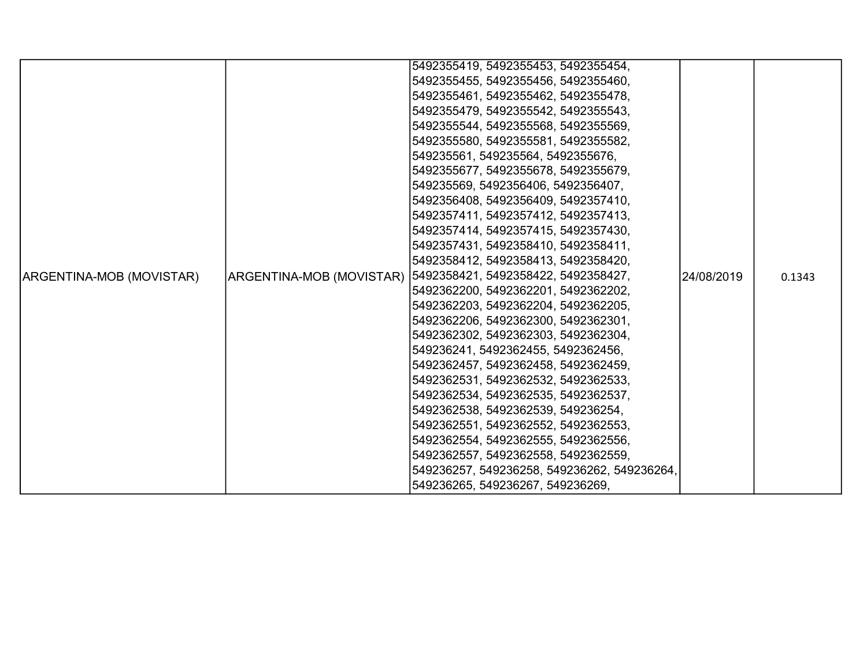|                          | 5492355419, 5492355453, 5492355454,                           |            |        |
|--------------------------|---------------------------------------------------------------|------------|--------|
|                          | 5492355455, 5492355456, 5492355460,                           |            |        |
|                          | 5492355461, 5492355462, 5492355478,                           |            |        |
|                          | 5492355479, 5492355542, 5492355543,                           |            |        |
|                          | 5492355544, 5492355568, 5492355569,                           |            |        |
|                          | 5492355580, 5492355581, 5492355582,                           |            |        |
|                          | 549235561, 549235564, 5492355676,                             |            |        |
|                          | 5492355677, 5492355678, 5492355679,                           |            |        |
|                          | 549235569, 5492356406, 5492356407,                            |            |        |
|                          | 5492356408, 5492356409, 5492357410,                           |            |        |
|                          | 5492357411, 5492357412, 5492357413,                           |            |        |
|                          | 5492357414, 5492357415, 5492357430,                           |            |        |
|                          | 5492357431, 5492358410, 5492358411,                           |            |        |
|                          | 5492358412, 5492358413, 5492358420,                           |            |        |
| ARGENTINA-MOB (MOVISTAR) | ARGENTINA-MOB (MOVISTAR)  5492358421, 5492358422, 5492358427, | 24/08/2019 | 0.1343 |
|                          | 5492362200, 5492362201, 5492362202,                           |            |        |
|                          | 5492362203, 5492362204, 5492362205,                           |            |        |
|                          | 5492362206, 5492362300, 5492362301,                           |            |        |
|                          | 5492362302, 5492362303, 5492362304,                           |            |        |
|                          | 549236241, 5492362455, 5492362456,                            |            |        |
|                          | 5492362457, 5492362458, 5492362459,                           |            |        |
|                          | 5492362531, 5492362532, 5492362533,                           |            |        |
|                          | 5492362534, 5492362535, 5492362537,                           |            |        |
|                          | 5492362538, 5492362539, 549236254,                            |            |        |
|                          | 5492362551, 5492362552, 5492362553,                           |            |        |
|                          | 5492362554, 5492362555, 5492362556,                           |            |        |
|                          | 5492362557, 5492362558, 5492362559,                           |            |        |
|                          | 549236257, 549236258, 549236262, 549236264,                   |            |        |
|                          | 549236265, 549236267, 549236269,                              |            |        |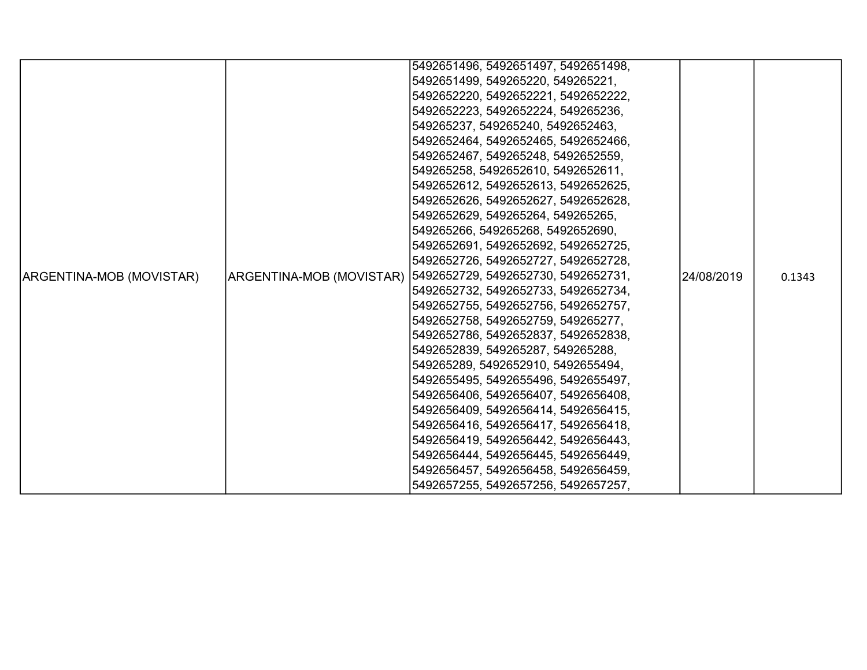|                          |                          | 5492651496, 5492651497, 5492651498, |            |        |
|--------------------------|--------------------------|-------------------------------------|------------|--------|
|                          |                          | 5492651499, 549265220, 549265221,   |            |        |
|                          |                          | 5492652220, 5492652221, 5492652222, |            |        |
|                          |                          | 5492652223, 5492652224, 549265236,  |            |        |
|                          |                          | 549265237, 549265240, 5492652463,   |            |        |
|                          |                          | 5492652464, 5492652465, 5492652466, |            |        |
|                          |                          | 5492652467, 549265248, 5492652559,  |            |        |
|                          |                          | 549265258, 5492652610, 5492652611,  |            |        |
|                          |                          | 5492652612, 5492652613, 5492652625, |            |        |
|                          |                          | 5492652626, 5492652627, 5492652628, |            |        |
|                          |                          | 5492652629, 549265264, 549265265,   |            |        |
|                          |                          | 549265266, 549265268, 5492652690,   |            |        |
|                          |                          | 5492652691, 5492652692, 5492652725, |            |        |
|                          |                          | 5492652726, 5492652727, 5492652728, |            |        |
| ARGENTINA-MOB (MOVISTAR) | ARGENTINA-MOB (MOVISTAR) | 5492652729, 5492652730, 5492652731, | 24/08/2019 | 0.1343 |
|                          |                          | 5492652732, 5492652733, 5492652734, |            |        |
|                          |                          | 5492652755, 5492652756, 5492652757, |            |        |
|                          |                          | 5492652758, 5492652759, 549265277,  |            |        |
|                          |                          | 5492652786, 5492652837, 5492652838, |            |        |
|                          |                          | 5492652839, 549265287, 549265288,   |            |        |
|                          |                          | 549265289, 5492652910, 5492655494,  |            |        |
|                          |                          | 5492655495, 5492655496, 5492655497, |            |        |
|                          |                          | 5492656406, 5492656407, 5492656408, |            |        |
|                          |                          | 5492656409, 5492656414, 5492656415, |            |        |
|                          |                          | 5492656416, 5492656417, 5492656418, |            |        |
|                          |                          | 5492656419, 5492656442, 5492656443, |            |        |
|                          |                          | 5492656444, 5492656445, 5492656449, |            |        |
|                          |                          | 5492656457, 5492656458, 5492656459, |            |        |
|                          |                          | 5492657255, 5492657256, 5492657257, |            |        |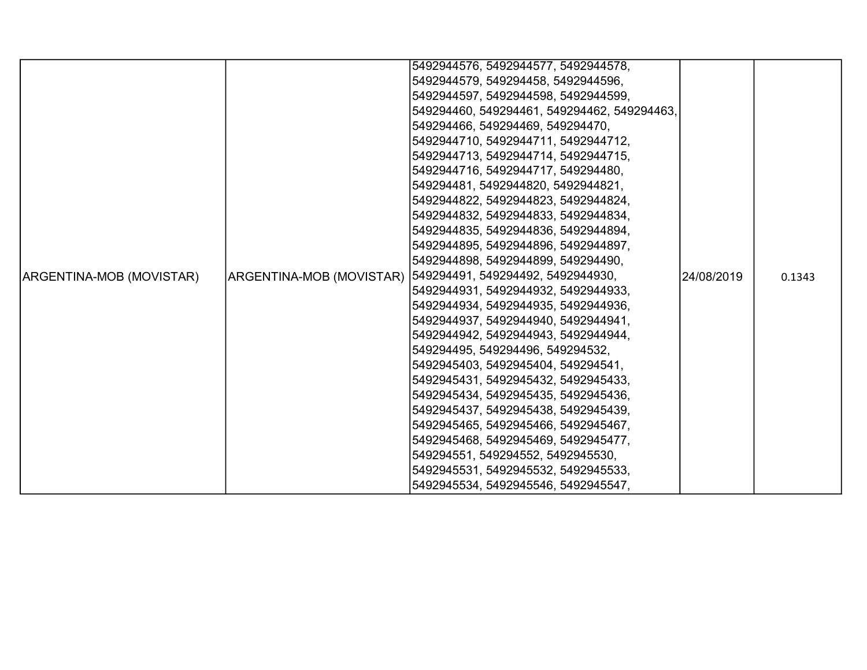|                          | 5492944576, 5492944577, 5492944578,                         |            |        |
|--------------------------|-------------------------------------------------------------|------------|--------|
|                          | 5492944579, 549294458, 5492944596,                          |            |        |
|                          | 5492944597, 5492944598, 5492944599,                         |            |        |
|                          | 549294460, 549294461, 549294462, 549294463,                 |            |        |
|                          | 549294466, 549294469, 549294470,                            |            |        |
|                          | 5492944710, 5492944711, 5492944712,                         |            |        |
|                          | 5492944713, 5492944714, 5492944715,                         |            |        |
|                          | 5492944716, 5492944717, 549294480,                          |            |        |
|                          | 549294481, 5492944820, 5492944821,                          |            |        |
|                          | 5492944822, 5492944823, 5492944824,                         |            |        |
|                          | 5492944832, 5492944833, 5492944834,                         |            |        |
|                          | 5492944835, 5492944836, 5492944894,                         |            |        |
|                          | 5492944895, 5492944896, 5492944897,                         |            |        |
|                          | 5492944898, 5492944899, 549294490,                          |            |        |
| ARGENTINA-MOB (MOVISTAR) | ARGENTINA-MOB (MOVISTAR)  549294491, 549294492, 5492944930, | 24/08/2019 | 0.1343 |
|                          | 5492944931, 5492944932, 5492944933,                         |            |        |
|                          | 5492944934, 5492944935, 5492944936,                         |            |        |
|                          | 5492944937, 5492944940, 5492944941,                         |            |        |
|                          | 5492944942, 5492944943, 5492944944,                         |            |        |
|                          | 549294495, 549294496, 549294532,                            |            |        |
|                          | 5492945403, 5492945404, 549294541,                          |            |        |
|                          | 5492945431, 5492945432, 5492945433,                         |            |        |
|                          | 5492945434, 5492945435, 5492945436,                         |            |        |
|                          | 5492945437, 5492945438, 5492945439,                         |            |        |
|                          | 5492945465, 5492945466, 5492945467,                         |            |        |
|                          | 5492945468, 5492945469, 5492945477,                         |            |        |
|                          | 549294551, 549294552, 5492945530,                           |            |        |
|                          | 5492945531, 5492945532, 5492945533,                         |            |        |
|                          | 5492945534, 5492945546, 5492945547,                         |            |        |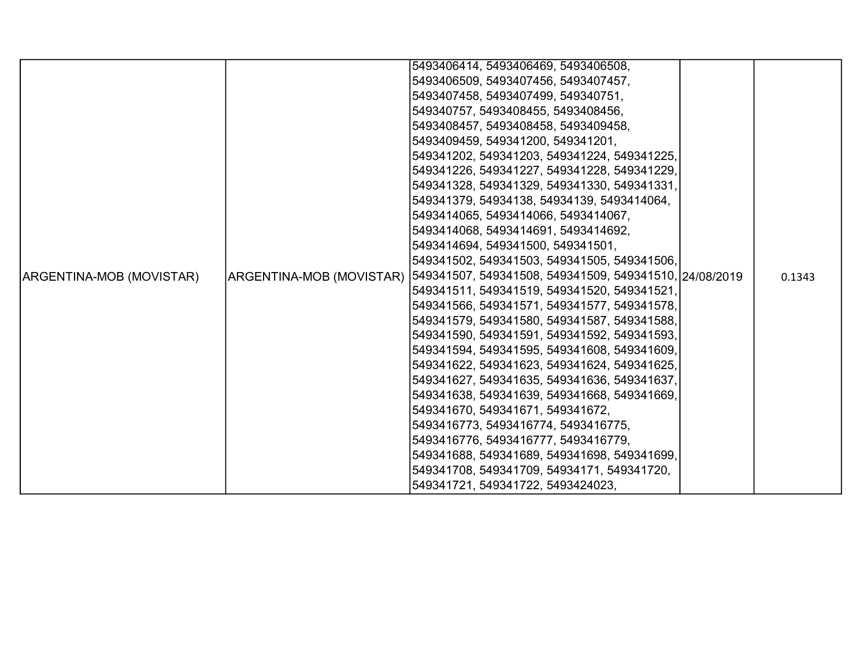|                          | 5493406414, 5493406469, 5493406508,                                              |        |
|--------------------------|----------------------------------------------------------------------------------|--------|
|                          | 5493406509, 5493407456, 5493407457,                                              |        |
|                          | 5493407458, 5493407499, 549340751,                                               |        |
|                          | 549340757, 5493408455, 5493408456,                                               |        |
|                          | 5493408457, 5493408458, 5493409458,                                              |        |
|                          | 5493409459, 549341200, 549341201,                                                |        |
|                          | 549341202, 549341203, 549341224, 549341225,                                      |        |
|                          | 549341226, 549341227, 549341228, 549341229,                                      |        |
|                          | 549341328, 549341329, 549341330, 549341331,                                      |        |
|                          | 549341379, 54934138, 54934139, 5493414064,                                       |        |
|                          | 5493414065, 5493414066, 5493414067,                                              |        |
|                          | 5493414068, 5493414691, 5493414692,                                              |        |
|                          | 5493414694, 549341500, 549341501,                                                |        |
|                          | 549341502, 549341503, 549341505, 549341506,                                      |        |
| ARGENTINA-MOB (MOVISTAR) | ARGENTINA-MOB (MOVISTAR)  549341507, 549341508, 549341509, 549341510, 24/08/2019 | 0.1343 |
|                          | 549341511, 549341519, 549341520, 549341521,                                      |        |
|                          | 549341566, 549341571, 549341577, 549341578,                                      |        |
|                          | 549341579, 549341580, 549341587, 549341588,                                      |        |
|                          | 549341590, 549341591, 549341592, 549341593,                                      |        |
|                          | 549341594, 549341595, 549341608, 549341609,                                      |        |
|                          | 549341622, 549341623, 549341624, 549341625,                                      |        |
|                          | 549341627, 549341635, 549341636, 549341637,                                      |        |
|                          | 549341638, 549341639, 549341668, 549341669,                                      |        |
|                          | 549341670, 549341671, 549341672,                                                 |        |
|                          | 5493416773, 5493416774, 5493416775,                                              |        |
|                          | 5493416776, 5493416777, 5493416779,                                              |        |
|                          | 549341688, 549341689, 549341698, 549341699,                                      |        |
|                          | 549341708, 549341709, 54934171, 549341720,                                       |        |
|                          | 549341721, 549341722, 5493424023,                                                |        |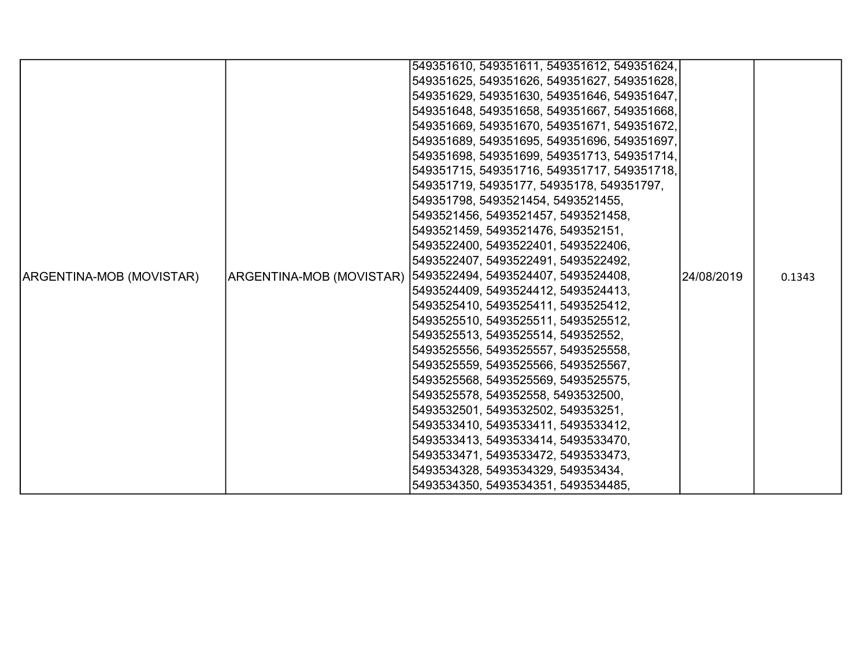|                          | 549351610, 549351611, 549351612, 549351624,                   |            |        |
|--------------------------|---------------------------------------------------------------|------------|--------|
|                          | 549351625, 549351626, 549351627, 549351628,                   |            |        |
|                          | 549351629, 549351630, 549351646, 549351647,                   |            |        |
|                          | 549351648, 549351658, 549351667, 549351668,                   |            |        |
|                          | 549351669, 549351670, 549351671, 549351672,                   |            |        |
|                          | 549351689, 549351695, 549351696, 549351697,                   |            |        |
|                          | 549351698, 549351699, 549351713, 549351714,                   |            |        |
|                          | 549351715, 549351716, 549351717, 549351718,                   |            |        |
|                          | 549351719, 54935177, 54935178, 549351797,                     |            |        |
|                          | 549351798, 5493521454, 5493521455,                            |            |        |
|                          | 5493521456, 5493521457, 5493521458,                           |            |        |
|                          | 5493521459, 5493521476, 549352151,                            |            |        |
|                          | 5493522400, 5493522401, 5493522406,                           |            |        |
|                          | 5493522407, 5493522491, 5493522492,                           |            |        |
| ARGENTINA-MOB (MOVISTAR) | ARGENTINA-MOB (MOVISTAR)  5493522494, 5493524407, 5493524408, | 24/08/2019 | 0.1343 |
|                          | 5493524409, 5493524412, 5493524413,                           |            |        |
|                          | 5493525410, 5493525411, 5493525412,                           |            |        |
|                          | 5493525510, 5493525511, 5493525512,                           |            |        |
|                          | 5493525513, 5493525514, 549352552,                            |            |        |
|                          | 5493525556, 5493525557, 5493525558,                           |            |        |
|                          | 5493525559, 5493525566, 5493525567,                           |            |        |
|                          | 5493525568, 5493525569, 5493525575,                           |            |        |
|                          | 5493525578, 549352558, 5493532500,                            |            |        |
|                          | 5493532501, 5493532502, 549353251,                            |            |        |
|                          | 5493533410, 5493533411, 5493533412,                           |            |        |
|                          | 5493533413, 5493533414, 5493533470,                           |            |        |
|                          | 5493533471, 5493533472, 5493533473,                           |            |        |
|                          | 5493534328, 5493534329, 549353434,                            |            |        |
|                          | 5493534350, 5493534351, 5493534485,                           |            |        |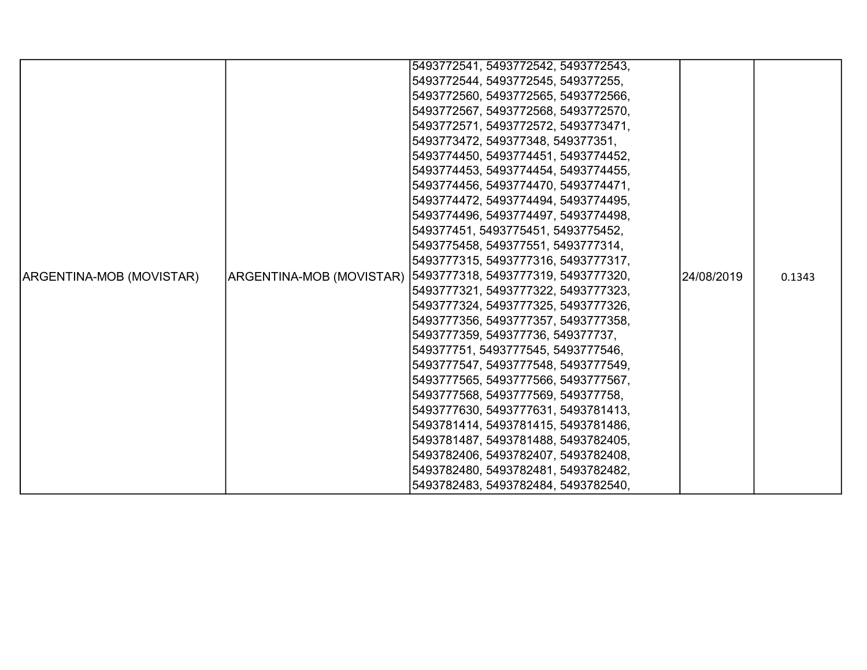|                          |                          | 5493772541, 5493772542, 5493772543, |            |        |
|--------------------------|--------------------------|-------------------------------------|------------|--------|
|                          |                          | 5493772544, 5493772545, 549377255,  |            |        |
|                          |                          | 5493772560, 5493772565, 5493772566, |            |        |
|                          |                          | 5493772567, 5493772568, 5493772570, |            |        |
|                          |                          | 5493772571, 5493772572, 5493773471, |            |        |
|                          |                          | 5493773472, 549377348, 549377351,   |            |        |
|                          |                          | 5493774450, 5493774451, 5493774452, |            |        |
|                          |                          | 5493774453, 5493774454, 5493774455, |            |        |
|                          |                          | 5493774456, 5493774470, 5493774471, |            |        |
|                          |                          | 5493774472, 5493774494, 5493774495, |            |        |
|                          |                          | 5493774496, 5493774497, 5493774498, |            |        |
|                          |                          | 549377451, 5493775451, 5493775452,  |            |        |
|                          |                          | 5493775458, 549377551, 5493777314,  |            |        |
|                          |                          | 5493777315, 5493777316, 5493777317, |            |        |
| ARGENTINA-MOB (MOVISTAR) | ARGENTINA-MOB (MOVISTAR) | 5493777318, 5493777319, 5493777320, | 24/08/2019 | 0.1343 |
|                          |                          | 5493777321, 5493777322, 5493777323, |            |        |
|                          |                          | 5493777324, 5493777325, 5493777326, |            |        |
|                          |                          | 5493777356, 5493777357, 5493777358, |            |        |
|                          |                          | 5493777359, 549377736, 549377737,   |            |        |
|                          |                          | 549377751, 5493777545, 5493777546,  |            |        |
|                          |                          | 5493777547, 5493777548, 5493777549, |            |        |
|                          |                          | 5493777565, 5493777566, 5493777567, |            |        |
|                          |                          | 5493777568, 5493777569, 549377758,  |            |        |
|                          |                          | 5493777630, 5493777631, 5493781413, |            |        |
|                          |                          | 5493781414, 5493781415, 5493781486, |            |        |
|                          |                          | 5493781487, 5493781488, 5493782405, |            |        |
|                          |                          | 5493782406, 5493782407, 5493782408, |            |        |
|                          |                          | 5493782480, 5493782481, 5493782482, |            |        |
|                          |                          | 5493782483, 5493782484, 5493782540, |            |        |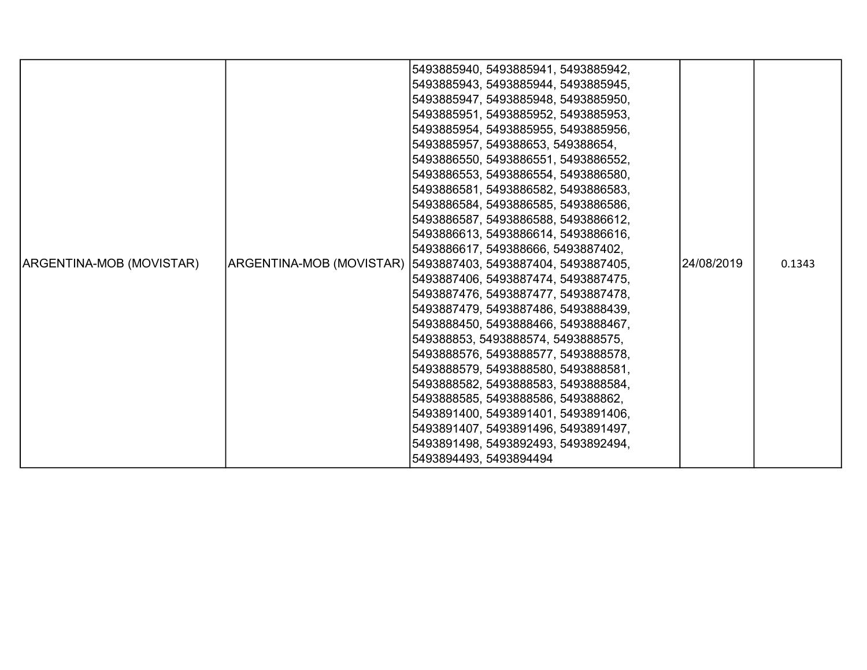|                          | 5493885940, 5493885941, 5493885942,<br>5493885943, 5493885944, 5493885945,<br>5493885947, 5493885948, 5493885950,<br>5493885951, 5493885952, 5493885953,                                                                                                                                                                                                                                                                                                                                                                                                                                                         |            |        |
|--------------------------|------------------------------------------------------------------------------------------------------------------------------------------------------------------------------------------------------------------------------------------------------------------------------------------------------------------------------------------------------------------------------------------------------------------------------------------------------------------------------------------------------------------------------------------------------------------------------------------------------------------|------------|--------|
|                          | 5493885954, 5493885955, 5493885956,<br>5493885957, 549388653, 549388654,<br>5493886550, 5493886551, 5493886552,<br>5493886553, 5493886554, 5493886580,<br>5493886581, 5493886582, 5493886583,<br>5493886584, 5493886585, 5493886586,<br>5493886587, 5493886588, 5493886612,<br>5493886613, 5493886614, 5493886616,                                                                                                                                                                                                                                                                                               |            |        |
| ARGENTINA-MOB (MOVISTAR) | 5493886617, 549388666, 5493887402,<br> ARGENTINA-MOB (MOVISTAR)  5493887403, 5493887404, 5493887405,<br>5493887406, 5493887474, 5493887475,<br>5493887476, 5493887477, 5493887478,<br>5493887479, 5493887486, 5493888439,<br>5493888450, 5493888466, 5493888467,<br>549388853, 5493888574, 5493888575,<br>5493888576, 5493888577, 5493888578,<br>5493888579, 5493888580, 5493888581,<br>5493888582, 5493888583, 5493888584,<br>5493888585, 5493888586, 549388862,<br>5493891400, 5493891401, 5493891406,<br>5493891407, 5493891496, 5493891497,<br>5493891498, 5493892493, 5493892494,<br>5493894493, 5493894494 | 24/08/2019 | 0.1343 |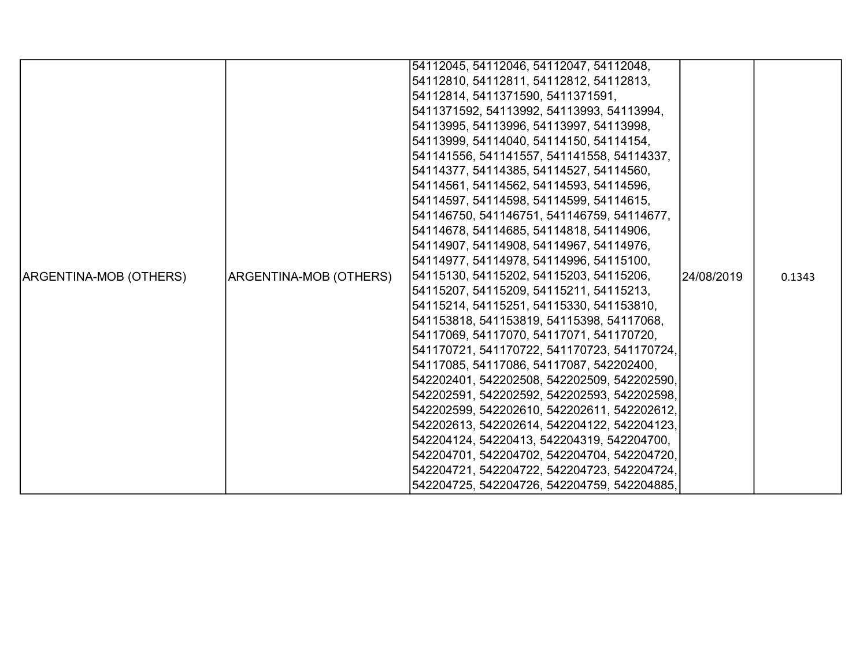|                        |                        | 54112045, 54112046, 54112047, 54112048,     |            |        |
|------------------------|------------------------|---------------------------------------------|------------|--------|
|                        |                        | 54112810, 54112811, 54112812, 54112813,     |            |        |
|                        |                        | 54112814, 5411371590, 5411371591,           |            |        |
|                        |                        | 5411371592, 54113992, 54113993, 54113994,   |            |        |
|                        |                        | 54113995, 54113996, 54113997, 54113998,     |            |        |
|                        |                        | 54113999, 54114040, 54114150, 54114154,     |            |        |
|                        |                        | 541141556, 541141557, 541141558, 54114337,  |            |        |
|                        |                        | [54114377, 54114385, 54114527, 54114560,    |            |        |
|                        |                        | 54114561, 54114562, 54114593, 54114596,     |            |        |
|                        |                        | 54114597, 54114598, 54114599, 54114615,     |            |        |
|                        |                        | 541146750, 541146751, 541146759, 54114677,  |            |        |
|                        |                        | 54114678, 54114685, 54114818, 54114906,     |            |        |
|                        |                        | 54114907, 54114908, 54114967, 54114976,     |            |        |
|                        |                        | 54114977, 54114978, 54114996, 54115100,     |            |        |
| ARGENTINA-MOB (OTHERS) | ARGENTINA-MOB (OTHERS) | 54115130, 54115202, 54115203, 54115206,     | 24/08/2019 | 0.1343 |
|                        |                        | 54115207, 54115209, 54115211, 54115213,     |            |        |
|                        |                        | 54115214, 54115251, 54115330, 541153810,    |            |        |
|                        |                        | 541153818, 541153819, 54115398, 54117068,   |            |        |
|                        |                        | 54117069, 54117070, 54117071, 541170720,    |            |        |
|                        |                        | 541170721, 541170722, 541170723, 541170724, |            |        |
|                        |                        | 54117085, 54117086, 54117087, 542202400,    |            |        |
|                        |                        | 542202401, 542202508, 542202509, 542202590, |            |        |
|                        |                        | 542202591, 542202592, 542202593, 542202598, |            |        |
|                        |                        | 542202599, 542202610, 542202611, 542202612, |            |        |
|                        |                        | 542202613, 542202614, 542204122, 542204123, |            |        |
|                        |                        | 542204124, 54220413, 542204319, 542204700,  |            |        |
|                        |                        | 542204701, 542204702, 542204704, 542204720, |            |        |
|                        |                        | 542204721, 542204722, 542204723, 542204724, |            |        |
|                        |                        | 542204725, 542204726, 542204759, 542204885, |            |        |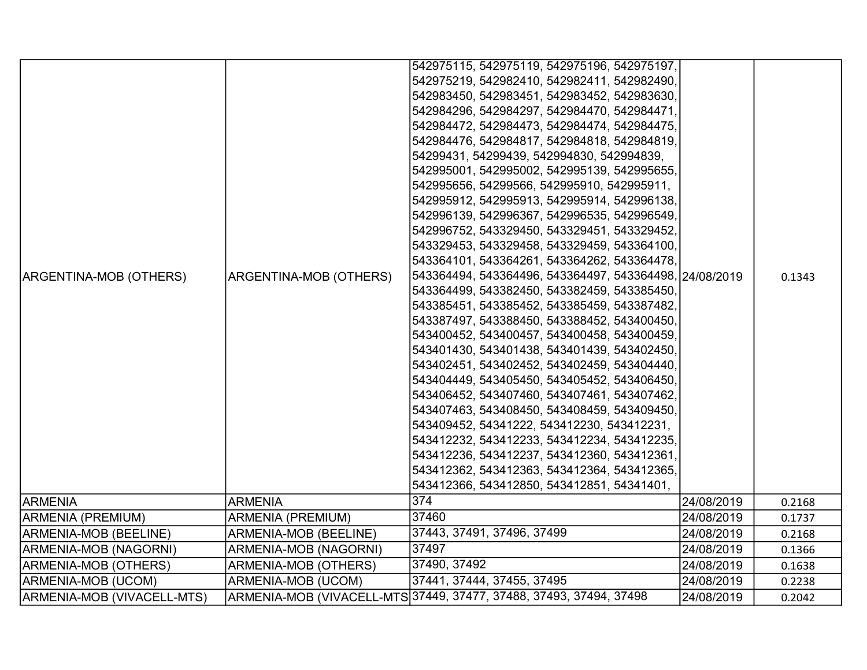|                              |                               | 542975115, 542975119, 542975196, 542975197,<br>542975219, 542982410, 542982411, 542982490,<br>542983450, 542983451, 542983452, 542983630,<br>542984296, 542984297, 542984470, 542984471,<br>542984472, 542984473, 542984474, 542984475,<br>542984476, 542984817, 542984818, 542984819,<br>54299431, 54299439, 542994830, 542994839,<br>542995001, 542995002, 542995139, 542995655,<br>542995656, 54299566, 542995910, 542995911,<br>542995912, 542995913, 542995914, 542996138,<br>542996139, 542996367, 542996535, 542996549,                                                                                                                                                                                                                                                                                                                                                      |            |        |
|------------------------------|-------------------------------|-------------------------------------------------------------------------------------------------------------------------------------------------------------------------------------------------------------------------------------------------------------------------------------------------------------------------------------------------------------------------------------------------------------------------------------------------------------------------------------------------------------------------------------------------------------------------------------------------------------------------------------------------------------------------------------------------------------------------------------------------------------------------------------------------------------------------------------------------------------------------------------|------------|--------|
| ARGENTINA-MOB (OTHERS)       | <b>ARGENTINA-MOB (OTHERS)</b> | 542996752, 543329450, 543329451, 543329452,<br>543329453, 543329458, 543329459, 543364100,<br>543364101, 543364261, 543364262, 543364478,<br>543364494, 543364496, 543364497, 543364498, 24/08/2019<br>543364499, 543382450, 543382459, 543385450,<br>543385451, 543385452, 543385459, 543387482,<br>543387497, 543388450, 543388452, 543400450,<br>543400452, 543400457, 543400458, 543400459,<br>543401430, 543401438, 543401439, 543402450,<br>543402451, 543402452, 543402459, 543404440,<br>543404449, 543405450, 543405452, 543406450,<br>543406452, 543407460, 543407461, 543407462,<br>543407463, 543408450, 543408459, 543409450,<br>543409452, 54341222, 543412230, 543412231,<br>543412232, 543412233, 543412234, 543412235,<br>543412236, 543412237, 543412360, 543412361,<br>543412362, 543412363, 543412364, 543412365,<br>543412366, 543412850, 543412851, 54341401, |            | 0.1343 |
| <b>ARMENIA</b>               | <b>ARMENIA</b>                | 374                                                                                                                                                                                                                                                                                                                                                                                                                                                                                                                                                                                                                                                                                                                                                                                                                                                                                 | 24/08/2019 | 0.2168 |
| ARMENIA (PREMIUM)            | <b>ARMENIA (PREMIUM)</b>      | 37460                                                                                                                                                                                                                                                                                                                                                                                                                                                                                                                                                                                                                                                                                                                                                                                                                                                                               | 24/08/2019 | 0.1737 |
| <b>ARMENIA-MOB (BEELINE)</b> | ARMENIA-MOB (BEELINE)         | 37443, 37491, 37496, 37499                                                                                                                                                                                                                                                                                                                                                                                                                                                                                                                                                                                                                                                                                                                                                                                                                                                          | 24/08/2019 | 0.2168 |
| ARMENIA-MOB (NAGORNI)        | ARMENIA-MOB (NAGORNI)         | 37497                                                                                                                                                                                                                                                                                                                                                                                                                                                                                                                                                                                                                                                                                                                                                                                                                                                                               | 24/08/2019 | 0.1366 |
| <b>ARMENIA-MOB (OTHERS)</b>  | <b>ARMENIA-MOB (OTHERS)</b>   | 37490, 37492                                                                                                                                                                                                                                                                                                                                                                                                                                                                                                                                                                                                                                                                                                                                                                                                                                                                        | 24/08/2019 | 0.1638 |
| ARMENIA-MOB (UCOM)           | <b>ARMENIA-MOB (UCOM)</b>     | 37441, 37444, 37455, 37495                                                                                                                                                                                                                                                                                                                                                                                                                                                                                                                                                                                                                                                                                                                                                                                                                                                          | 24/08/2019 | 0.2238 |
| ARMENIA-MOB (VIVACELL-MTS)   |                               | ARMENIA-MOB (VIVACELL-MTS 37449, 37477, 37488, 37493, 37494, 37498                                                                                                                                                                                                                                                                                                                                                                                                                                                                                                                                                                                                                                                                                                                                                                                                                  | 24/08/2019 | 0.2042 |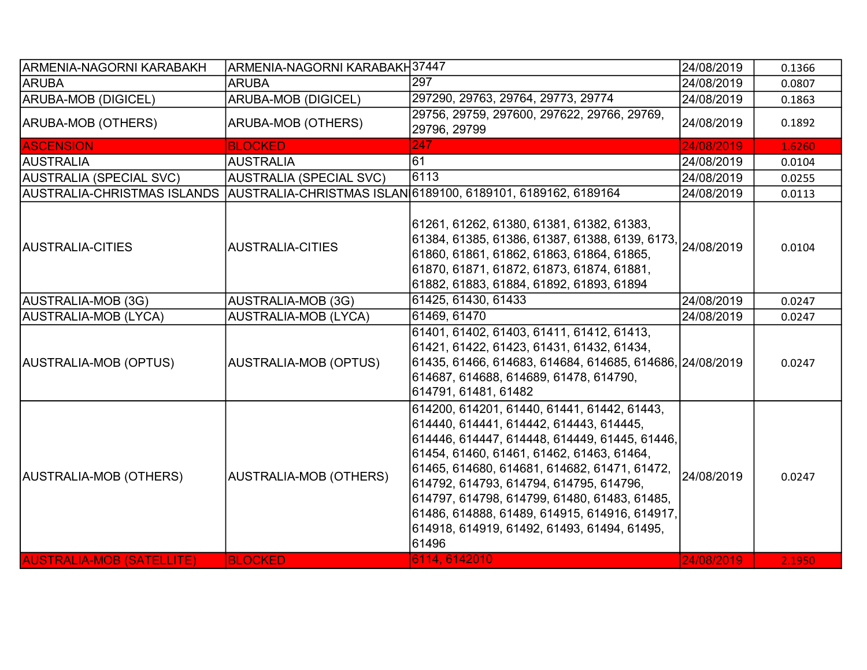| <b>ARMENIA-NAGORNI KARABAKH</b>  | ARMENIA-NAGORNI KARABAKH37447  |                                                                                                                                                                                                                                                                                                                                                                                                                                                           | 24/08/2019 | 0.1366 |
|----------------------------------|--------------------------------|-----------------------------------------------------------------------------------------------------------------------------------------------------------------------------------------------------------------------------------------------------------------------------------------------------------------------------------------------------------------------------------------------------------------------------------------------------------|------------|--------|
| <b>ARUBA</b>                     | <b>ARUBA</b>                   | 297                                                                                                                                                                                                                                                                                                                                                                                                                                                       | 24/08/2019 | 0.0807 |
| ARUBA-MOB (DIGICEL)              | <b>ARUBA-MOB (DIGICEL)</b>     | 297290, 29763, 29764, 29773, 29774                                                                                                                                                                                                                                                                                                                                                                                                                        | 24/08/2019 | 0.1863 |
| ARUBA-MOB (OTHERS)               | ARUBA-MOB (OTHERS)             | 29756, 29759, 297600, 297622, 29766, 29769,<br>29796, 29799                                                                                                                                                                                                                                                                                                                                                                                               | 24/08/2019 | 0.1892 |
| <b>ASCENSION</b>                 | <b>BLOCKED</b>                 | 247                                                                                                                                                                                                                                                                                                                                                                                                                                                       | 24/08/2019 | 1.6260 |
| <b>AUSTRALIA</b>                 | <b>AUSTRALIA</b>               | 61                                                                                                                                                                                                                                                                                                                                                                                                                                                        | 24/08/2019 | 0.0104 |
| <b>AUSTRALIA (SPECIAL SVC)</b>   | <b>AUSTRALIA (SPECIAL SVC)</b> | 6113                                                                                                                                                                                                                                                                                                                                                                                                                                                      | 24/08/2019 | 0.0255 |
| AUSTRALIA-CHRISTMAS ISLANDS      |                                | AUSTRALIA-CHRISTMAS ISLAN 6189100, 6189101, 6189162, 6189164                                                                                                                                                                                                                                                                                                                                                                                              | 24/08/2019 | 0.0113 |
| <b>AUSTRALIA-CITIES</b>          | <b>AUSTRALIA-CITIES</b>        | 61261, 61262, 61380, 61381, 61382, 61383,<br>61384, 61385, 61386, 61387, 61388, 6139, 6173, 24/08/2019<br>61860, 61861, 61862, 61863, 61864, 61865,<br>61870, 61871, 61872, 61873, 61874, 61881,<br>61882, 61883, 61884, 61892, 61893, 61894                                                                                                                                                                                                              |            | 0.0104 |
| AUSTRALIA-MOB (3G)               | <b>AUSTRALIA-MOB (3G)</b>      | 61425, 61430, 61433                                                                                                                                                                                                                                                                                                                                                                                                                                       | 24/08/2019 | 0.0247 |
| AUSTRALIA-MOB (LYCA)             | <b>AUSTRALIA-MOB (LYCA)</b>    | 61469, 61470                                                                                                                                                                                                                                                                                                                                                                                                                                              | 24/08/2019 | 0.0247 |
| AUSTRALIA-MOB (OPTUS)            | <b>AUSTRALIA-MOB (OPTUS)</b>   | 61401, 61402, 61403, 61411, 61412, 61413,<br>61421, 61422, 61423, 61431, 61432, 61434,<br>61435, 61466, 614683, 614684, 614685, 614686, 24/08/2019<br>614687, 614688, 614689, 61478, 614790,<br>614791, 61481, 61482                                                                                                                                                                                                                                      |            | 0.0247 |
| AUSTRALIA-MOB (OTHERS)           | <b>AUSTRALIA-MOB (OTHERS)</b>  | 614200, 614201, 61440, 61441, 61442, 61443,<br>614440, 614441, 614442, 614443, 614445,<br>614446, 614447, 614448, 614449, 61445, 61446,<br>61454, 61460, 61461, 61462, 61463, 61464,<br>61465, 614680, 614681, 614682, 61471, 61472,<br>614792, 614793, 614794, 614795, 614796,<br>614797, 614798, 614799, 61480, 61483, 61485,<br>61486, 614888, 61489, 614915, 614916, 614917,<br>614918, 614919, 61492, 61493, 61494, 61495,<br>61496<br>6114, 6142010 | 24/08/2019 | 0.0247 |
| <b>AUSTRALIA-MOB (SATELLITE)</b> | <b>BLOCKED</b>                 |                                                                                                                                                                                                                                                                                                                                                                                                                                                           | 24/08/2019 | 2.1950 |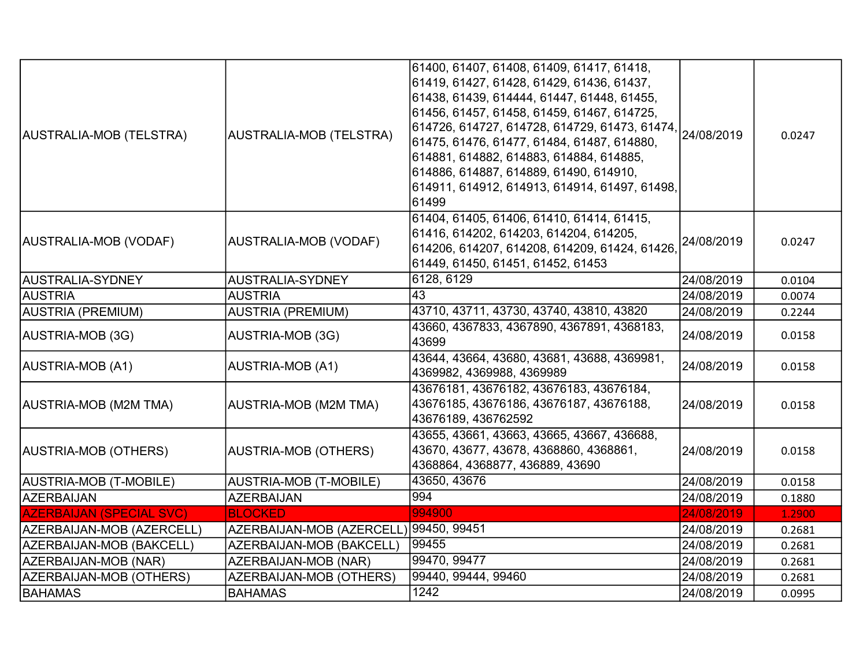| AUSTRALIA-MOB (TELSTRA)         | AUSTRALIA-MOB (TELSTRA)                | 61400, 61407, 61408, 61409, 61417, 61418,<br>61419, 61427, 61428, 61429, 61436, 61437,<br>61438, 61439, 614444, 61447, 61448, 61455,<br>61456, 61457, 61458, 61459, 61467, 614725,<br>61475, 61476, 61477, 61484, 61487, 614880,<br>614881, 614882, 614883, 614884, 614885,<br>614886, 614887, 614889, 61490, 614910,<br>614911, 614912, 614913, 614914, 61497, 61498,<br>61499 |            | 0.0247 |
|---------------------------------|----------------------------------------|---------------------------------------------------------------------------------------------------------------------------------------------------------------------------------------------------------------------------------------------------------------------------------------------------------------------------------------------------------------------------------|------------|--------|
| AUSTRALIA-MOB (VODAF)           | AUSTRALIA-MOB (VODAF)                  | 61404, 61405, 61406, 61410, 61414, 61415,<br>61416, 614202, 614203, 614204, 614205,<br>614206, 614207, 614208, 614209, 61424, 61426,<br>61449, 61450, 61451, 61452, 61453                                                                                                                                                                                                       | 24/08/2019 | 0.0247 |
| AUSTRALIA-SYDNEY                | AUSTRALIA-SYDNEY                       | 6128, 6129                                                                                                                                                                                                                                                                                                                                                                      | 24/08/2019 | 0.0104 |
| <b>AUSTRIA</b>                  | <b>AUSTRIA</b>                         | 43                                                                                                                                                                                                                                                                                                                                                                              | 24/08/2019 | 0.0074 |
| AUSTRIA (PREMIUM)               | <b>AUSTRIA (PREMIUM)</b>               | 43710, 43711, 43730, 43740, 43810, 43820                                                                                                                                                                                                                                                                                                                                        | 24/08/2019 | 0.2244 |
| AUSTRIA-MOB (3G)                | AUSTRIA-MOB (3G)                       | 43660, 4367833, 4367890, 4367891, 4368183,<br>43699                                                                                                                                                                                                                                                                                                                             | 24/08/2019 | 0.0158 |
| AUSTRIA-MOB (A1)                | <b>AUSTRIA-MOB (A1)</b>                | 43644, 43664, 43680, 43681, 43688, 4369981,<br>4369982, 4369988, 4369989                                                                                                                                                                                                                                                                                                        | 24/08/2019 | 0.0158 |
| AUSTRIA-MOB (M2M TMA)           | <b>AUSTRIA-MOB (M2M TMA)</b>           | 43676181, 43676182, 43676183, 43676184,<br>43676185, 43676186, 43676187, 43676188,<br>43676189, 436762592                                                                                                                                                                                                                                                                       | 24/08/2019 | 0.0158 |
| AUSTRIA-MOB (OTHERS)            | <b>AUSTRIA-MOB (OTHERS)</b>            | 43655, 43661, 43663, 43665, 43667, 436688,<br>43670, 43677, 43678, 4368860, 4368861,<br>4368864, 4368877, 436889, 43690                                                                                                                                                                                                                                                         | 24/08/2019 | 0.0158 |
| AUSTRIA-MOB (T-MOBILE)          | <b>AUSTRIA-MOB (T-MOBILE)</b>          | 43650, 43676                                                                                                                                                                                                                                                                                                                                                                    | 24/08/2019 | 0.0158 |
| AZERBAIJAN                      | <b>AZERBAIJAN</b>                      | 994                                                                                                                                                                                                                                                                                                                                                                             | 24/08/2019 | 0.1880 |
| <b>AZERBAIJAN (SPECIAL SVC)</b> | <b>BLOCKED</b>                         | 994900                                                                                                                                                                                                                                                                                                                                                                          | 24/08/2019 | 1.2900 |
| AZERBAIJAN-MOB (AZERCELL)       | AZERBAIJAN-MOB (AZERCELL) 99450, 99451 |                                                                                                                                                                                                                                                                                                                                                                                 | 24/08/2019 | 0.2681 |
| AZERBAIJAN-MOB (BAKCELL)        | AZERBAIJAN-MOB (BAKCELL)               | 99455                                                                                                                                                                                                                                                                                                                                                                           | 24/08/2019 | 0.2681 |
| AZERBAIJAN-MOB (NAR)            | AZERBAIJAN-MOB (NAR)                   | 99470, 99477                                                                                                                                                                                                                                                                                                                                                                    | 24/08/2019 | 0.2681 |
| AZERBAIJAN-MOB (OTHERS)         | AZERBAIJAN-MOB (OTHERS)                | 99440, 99444, 99460                                                                                                                                                                                                                                                                                                                                                             | 24/08/2019 | 0.2681 |
| <b>BAHAMAS</b>                  | <b>BAHAMAS</b>                         | 1242                                                                                                                                                                                                                                                                                                                                                                            | 24/08/2019 | 0.0995 |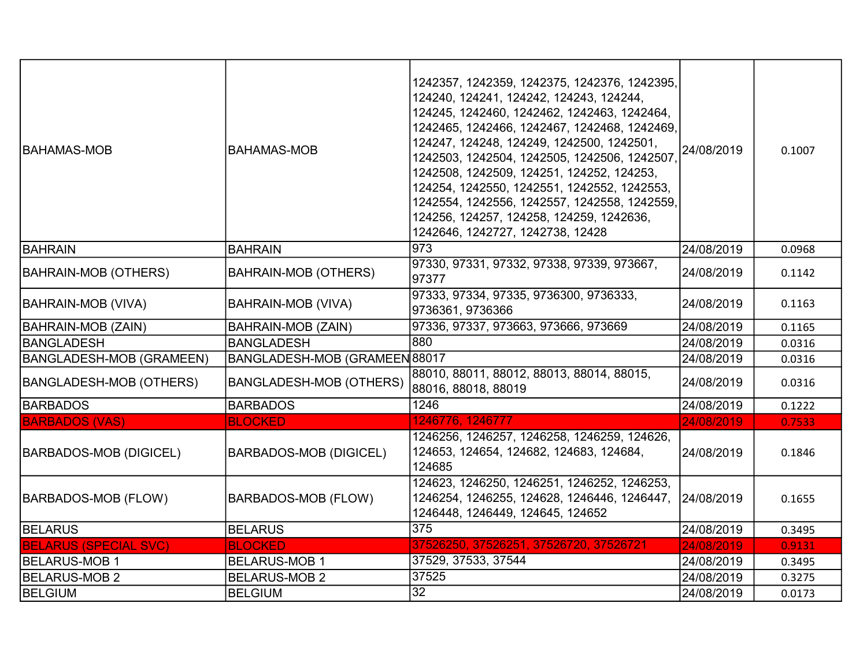| IBAHAMAS-MOB                    | BAHAMAS-MOB                    | 1242357, 1242359, 1242375, 1242376, 1242395,<br>124240, 124241, 124242, 124243, 124244,<br>124245, 1242460, 1242462, 1242463, 1242464,<br>1242465, 1242466, 1242467, 1242468, 1242469,<br>124247, 124248, 124249, 1242500, 1242501,<br>1242503, 1242504, 1242505, 1242506, 1242507<br>1242508, 1242509, 124251, 124252, 124253,<br>124254, 1242550, 1242551, 1242552, 1242553,<br>1242554, 1242556, 1242557, 1242558, 1242559,<br>124256, 124257, 124258, 124259, 1242636,<br>1242646, 1242727, 1242738, 12428 | 24/08/2019 | 0.1007 |
|---------------------------------|--------------------------------|----------------------------------------------------------------------------------------------------------------------------------------------------------------------------------------------------------------------------------------------------------------------------------------------------------------------------------------------------------------------------------------------------------------------------------------------------------------------------------------------------------------|------------|--------|
| BAHRAIN                         | <b>BAHRAIN</b>                 | 973                                                                                                                                                                                                                                                                                                                                                                                                                                                                                                            | 24/08/2019 | 0.0968 |
| BAHRAIN-MOB (OTHERS)            | <b>BAHRAIN-MOB (OTHERS)</b>    | 97330, 97331, 97332, 97338, 97339, 973667,<br>97377                                                                                                                                                                                                                                                                                                                                                                                                                                                            | 24/08/2019 | 0.1142 |
| BAHRAIN-MOB (VIVA)              | <b>BAHRAIN-MOB (VIVA)</b>      | 97333, 97334, 97335, 9736300, 9736333,<br>9736361, 9736366                                                                                                                                                                                                                                                                                                                                                                                                                                                     | 24/08/2019 | 0.1163 |
| <b>BAHRAIN-MOB (ZAIN)</b>       | <b>BAHRAIN-MOB (ZAIN)</b>      | 97336, 97337, 973663, 973666, 973669                                                                                                                                                                                                                                                                                                                                                                                                                                                                           | 24/08/2019 | 0.1165 |
| BANGLADESH                      | <b>BANGLADESH</b>              | $\overline{880}$                                                                                                                                                                                                                                                                                                                                                                                                                                                                                               | 24/08/2019 | 0.0316 |
| <b>BANGLADESH-MOB (GRAMEEN)</b> | BANGLADESH-MOB (GRAMEEN 88017  |                                                                                                                                                                                                                                                                                                                                                                                                                                                                                                                | 24/08/2019 | 0.0316 |
| <b>BANGLADESH-MOB (OTHERS)</b>  | <b>BANGLADESH-MOB (OTHERS)</b> | 88010, 88011, 88012, 88013, 88014, 88015,<br>88016, 88018, 88019                                                                                                                                                                                                                                                                                                                                                                                                                                               | 24/08/2019 | 0.0316 |
| <b>BARBADOS</b>                 | <b>BARBADOS</b>                | 1246                                                                                                                                                                                                                                                                                                                                                                                                                                                                                                           | 24/08/2019 | 0.1222 |
| <b>BARBADOS (VAS)</b>           | <b>BLOCKED</b>                 | 1246776, 1246777                                                                                                                                                                                                                                                                                                                                                                                                                                                                                               | 24/08/2019 | 0.7533 |
| <b>BARBADOS-MOB (DIGICEL)</b>   | <b>BARBADOS-MOB (DIGICEL)</b>  | 1246256, 1246257, 1246258, 1246259, 124626,<br>124653, 124654, 124682, 124683, 124684,<br>124685                                                                                                                                                                                                                                                                                                                                                                                                               | 24/08/2019 | 0.1846 |
| BARBADOS-MOB (FLOW)             | <b>BARBADOS-MOB (FLOW)</b>     | 124623, 1246250, 1246251, 1246252, 1246253,<br>1246254, 1246255, 124628, 1246446, 1246447,<br>1246448, 1246449, 124645, 124652                                                                                                                                                                                                                                                                                                                                                                                 | 24/08/2019 | 0.1655 |
| <b>BELARUS</b>                  | <b>BELARUS</b>                 | 375                                                                                                                                                                                                                                                                                                                                                                                                                                                                                                            | 24/08/2019 | 0.3495 |
| <b>BELARUS (SPECIAL SVC)</b>    | <b>BLOCKED</b>                 | 37526250, 37526251, 37526720, 37526721                                                                                                                                                                                                                                                                                                                                                                                                                                                                         | 24/08/2019 | 0.9131 |
| <b>BELARUS-MOB 1</b>            | <b>BELARUS-MOB 1</b>           | 37529, 37533, 37544                                                                                                                                                                                                                                                                                                                                                                                                                                                                                            | 24/08/2019 | 0.3495 |
| <b>BELARUS-MOB 2</b>            | <b>BELARUS-MOB 2</b>           | 37525                                                                                                                                                                                                                                                                                                                                                                                                                                                                                                          | 24/08/2019 | 0.3275 |
| <b>BELGIUM</b>                  | <b>BELGIUM</b>                 | 32                                                                                                                                                                                                                                                                                                                                                                                                                                                                                                             | 24/08/2019 | 0.0173 |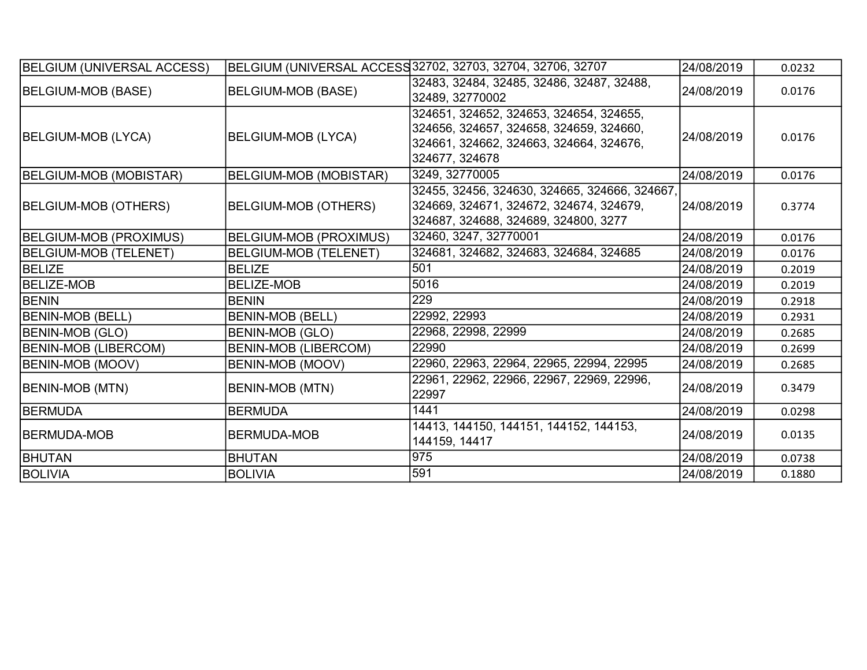| BELGIUM (UNIVERSAL ACCESS)   |                               | BELGIUM (UNIVERSAL ACCESS 32702, 32703, 32704, 32706, 32707                                                                                     | 24/08/2019 | 0.0232 |
|------------------------------|-------------------------------|-------------------------------------------------------------------------------------------------------------------------------------------------|------------|--------|
| BELGIUM-MOB (BASE)           | <b>BELGIUM-MOB (BASE)</b>     | 32483, 32484, 32485, 32486, 32487, 32488,<br>32489, 32770002                                                                                    | 24/08/2019 | 0.0176 |
| BELGIUM-MOB (LYCA)           | <b>BELGIUM-MOB (LYCA)</b>     | 324651, 324652, 324653, 324654, 324655,<br>324656, 324657, 324658, 324659, 324660,<br>324661, 324662, 324663, 324664, 324676,<br>324677, 324678 | 24/08/2019 | 0.0176 |
| BELGIUM-MOB (MOBISTAR)       | <b>BELGIUM-MOB (MOBISTAR)</b> | 3249, 32770005                                                                                                                                  | 24/08/2019 | 0.0176 |
| BELGIUM-MOB (OTHERS)         | <b>BELGIUM-MOB (OTHERS)</b>   | 32455, 32456, 324630, 324665, 324666, 324667,<br>324669, 324671, 324672, 324674, 324679,<br>324687, 324688, 324689, 324800, 3277                | 24/08/2019 | 0.3774 |
| BELGIUM-MOB (PROXIMUS)       | BELGIUM-MOB (PROXIMUS)        | 32460, 3247, 32770001                                                                                                                           | 24/08/2019 | 0.0176 |
| <b>BELGIUM-MOB (TELENET)</b> | <b>BELGIUM-MOB (TELENET)</b>  | 324681, 324682, 324683, 324684, 324685                                                                                                          | 24/08/2019 | 0.0176 |
| <b>BELIZE</b>                | <b>BELIZE</b>                 | 501                                                                                                                                             | 24/08/2019 | 0.2019 |
| <b>BELIZE-MOB</b>            | <b>BELIZE-MOB</b>             | 5016                                                                                                                                            | 24/08/2019 | 0.2019 |
| <b>BENIN</b>                 | <b>BENIN</b>                  | 229                                                                                                                                             | 24/08/2019 | 0.2918 |
| <b>BENIN-MOB (BELL)</b>      | <b>BENIN-MOB (BELL)</b>       | 22992, 22993                                                                                                                                    | 24/08/2019 | 0.2931 |
| <b>BENIN-MOB (GLO)</b>       | BENIN-MOB (GLO)               | 22968, 22998, 22999                                                                                                                             | 24/08/2019 | 0.2685 |
| <b>BENIN-MOB (LIBERCOM)</b>  | <b>BENIN-MOB (LIBERCOM)</b>   | 22990                                                                                                                                           | 24/08/2019 | 0.2699 |
| <b>BENIN-MOB (MOOV)</b>      | <b>BENIN-MOB (MOOV)</b>       | 22960, 22963, 22964, 22965, 22994, 22995                                                                                                        | 24/08/2019 | 0.2685 |
| BENIN-MOB (MTN)              | BENIN-MOB (MTN)               | 22961, 22962, 22966, 22967, 22969, 22996,<br>22997                                                                                              | 24/08/2019 | 0.3479 |
| <b>BERMUDA</b>               | <b>BERMUDA</b>                | 1441                                                                                                                                            | 24/08/2019 | 0.0298 |
| <b>IBERMUDA-MOB</b>          | <b>BERMUDA-MOB</b>            | 14413, 144150, 144151, 144152, 144153,<br>144159, 14417                                                                                         | 24/08/2019 | 0.0135 |
| <b>BHUTAN</b>                | <b>BHUTAN</b>                 | 975                                                                                                                                             | 24/08/2019 | 0.0738 |
| <b>BOLIVIA</b>               | <b>BOLIVIA</b>                | 591                                                                                                                                             | 24/08/2019 | 0.1880 |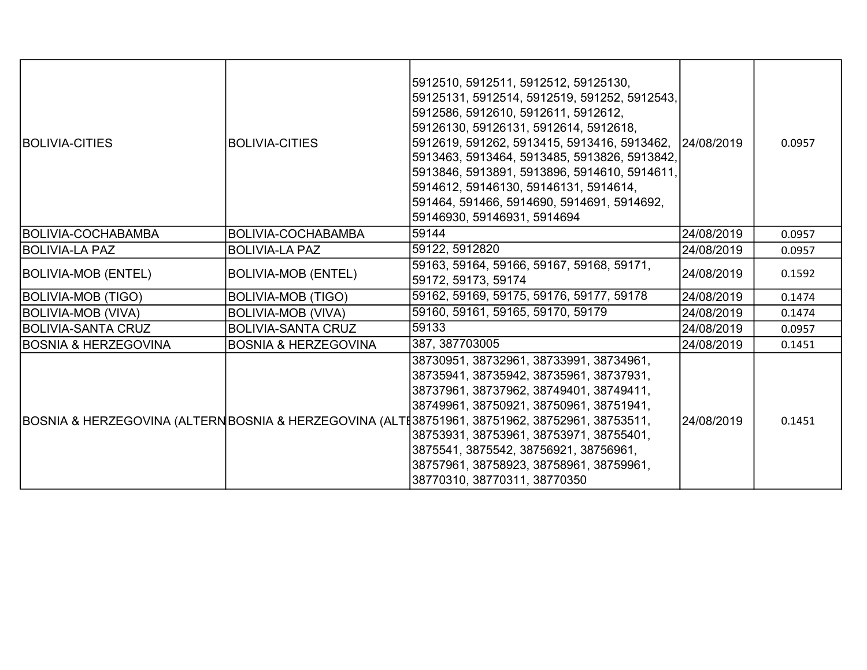| <b>BOLIVIA-CITIES</b>           | <b>BOLIVIA-CITIES</b>           | 5912510, 5912511, 5912512, 59125130,<br> 59125131, 5912514, 5912519, 591252, 5912543,<br>5912586, 5912610, 5912611, 5912612,<br>59126130, 59126131, 5912614, 5912618,<br>5912619, 591262, 5913415, 5913416, 5913462, 24/08/2019<br>5913463, 5913464, 5913485, 5913826, 5913842,<br>5913846, 5913891, 5913896, 5914610, 5914611,<br>5914612, 59146130, 59146131, 5914614,<br>591464, 591466, 5914690, 5914691, 5914692,<br>59146930, 59146931, 5914694 |             | 0.0957 |
|---------------------------------|---------------------------------|-------------------------------------------------------------------------------------------------------------------------------------------------------------------------------------------------------------------------------------------------------------------------------------------------------------------------------------------------------------------------------------------------------------------------------------------------------|-------------|--------|
| <b>BOLIVIA-COCHABAMBA</b>       | BOLIVIA-COCHABAMBA              | 59144                                                                                                                                                                                                                                                                                                                                                                                                                                                 | 24/08/2019  | 0.0957 |
| <b>IBOLIVIA-LA PAZ</b>          | <b>BOLIVIA-LA PAZ</b>           | 59122, 5912820                                                                                                                                                                                                                                                                                                                                                                                                                                        | 24/08/2019  | 0.0957 |
| <b>BOLIVIA-MOB (ENTEL)</b>      | <b>BOLIVIA-MOB (ENTEL)</b>      | 59163, 59164, 59166, 59167, 59168, 59171,<br>59172, 59173, 59174                                                                                                                                                                                                                                                                                                                                                                                      | 24/08/2019  | 0.1592 |
| <b>BOLIVIA-MOB (TIGO)</b>       | <b>BOLIVIA-MOB (TIGO)</b>       | 59162, 59169, 59175, 59176, 59177, 59178                                                                                                                                                                                                                                                                                                                                                                                                              | 24/08/2019  | 0.1474 |
| <b>BOLIVIA-MOB (VIVA)</b>       | <b>BOLIVIA-MOB (VIVA)</b>       | 59160, 59161, 59165, 59170, 59179                                                                                                                                                                                                                                                                                                                                                                                                                     | 24/08/2019  | 0.1474 |
| <b>BOLIVIA-SANTA CRUZ</b>       | <b>BOLIVIA-SANTA CRUZ</b>       | 59133                                                                                                                                                                                                                                                                                                                                                                                                                                                 | 24/08/2019  | 0.0957 |
| <b>BOSNIA &amp; HERZEGOVINA</b> | <b>BOSNIA &amp; HERZEGOVINA</b> | 387, 387703005                                                                                                                                                                                                                                                                                                                                                                                                                                        | 24/08/2019  | 0.1451 |
|                                 |                                 | 38730951, 38732961, 38733991, 38734961,<br>38735941, 38735942, 38735961, 38737931,<br>38737961, 38737962, 38749401, 38749411,<br>38749961, 38750921, 38750961, 38751941,<br>BOSNIA & HERZEGOVINA (ALTERNBOSNIA & HERZEGOVINA (ALTE38751961, 38751962, 38752961, 38753511,<br>38753931, 38753961, 38753971, 38755401,<br>3875541, 3875542, 38756921, 38756961,<br>38757961, 38758923, 38758961, 38759961,<br>38770310, 38770311, 38770350              | 124/08/2019 | 0.1451 |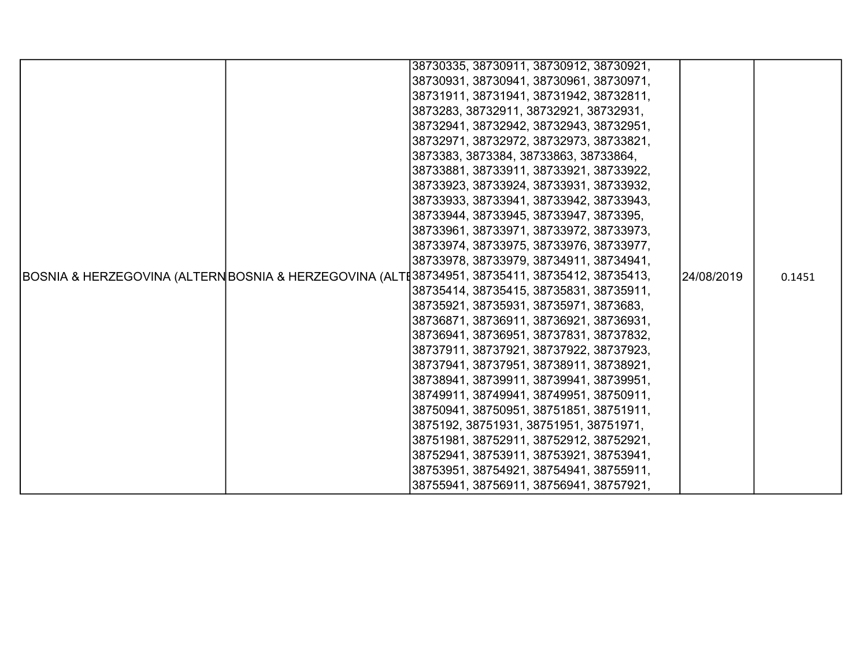| 38730335, 38730911, 38730912, 38730921,                                                                     |        |
|-------------------------------------------------------------------------------------------------------------|--------|
| 38730931, 38730941, 38730961, 38730971,                                                                     |        |
| 38731911, 38731941, 38731942, 38732811,                                                                     |        |
| 3873283, 38732911, 38732921, 38732931,                                                                      |        |
| 38732941, 38732942, 38732943, 38732951,                                                                     |        |
| 38732971, 38732972, 38732973, 38733821,                                                                     |        |
| 3873383, 3873384, 38733863, 38733864,                                                                       |        |
| 38733881, 38733911, 38733921, 38733922,                                                                     |        |
| 38733923, 38733924, 38733931, 38733932,                                                                     |        |
| 38733933, 38733941, 38733942, 38733943,                                                                     |        |
| 38733944, 38733945, 38733947, 3873395,                                                                      |        |
| 38733961, 38733971, 38733972, 38733973,                                                                     |        |
| 38733974, 38733975, 38733976, 38733977,                                                                     |        |
| 38733978, 38733979, 38734911, 38734941,                                                                     |        |
| BOSNIA & HERZEGOVINA (ALTERNBOSNIA & HERZEGOVINA (ALTE38734951, 38735411, 38735412, 38735413,<br>24/08/2019 | 0.1451 |
| 38735414, 38735415, 38735831, 38735911,                                                                     |        |
| 38735921, 38735931, 38735971, 3873683,                                                                      |        |
| 38736871, 38736911, 38736921, 38736931,                                                                     |        |
| 38736941, 38736951, 38737831, 38737832,                                                                     |        |
| 38737911, 38737921, 38737922, 38737923,                                                                     |        |
| 38737941, 38737951, 38738911, 38738921,                                                                     |        |
| 38738941, 38739911, 38739941, 38739951,                                                                     |        |
| 38749911, 38749941, 38749951, 38750911,                                                                     |        |
| 38750941, 38750951, 38751851, 38751911,                                                                     |        |
| 3875192, 38751931, 38751951, 38751971,                                                                      |        |
| 38751981, 38752911, 38752912, 38752921,                                                                     |        |
| 38752941, 38753911, 38753921, 38753941,                                                                     |        |
| 38753951, 38754921, 38754941, 38755911,                                                                     |        |
| 38755941, 38756911, 38756941, 38757921,                                                                     |        |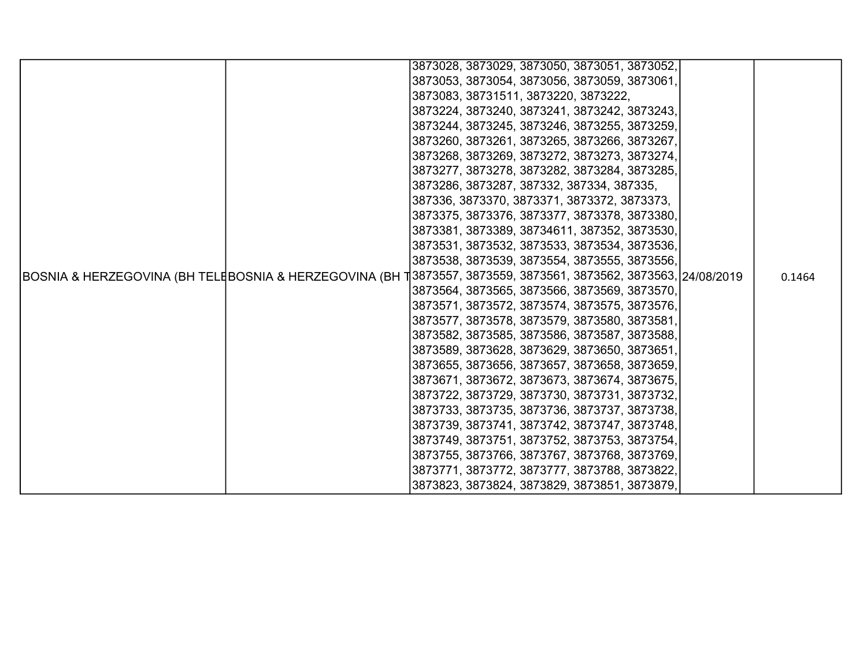|                                                                                                                 |  | 3873028, 3873029, 3873050, 3873051, 3873052, |  |        |
|-----------------------------------------------------------------------------------------------------------------|--|----------------------------------------------|--|--------|
|                                                                                                                 |  |                                              |  |        |
|                                                                                                                 |  | 3873053, 3873054, 3873056, 3873059, 3873061, |  |        |
|                                                                                                                 |  | 3873083, 38731511, 3873220, 3873222,         |  |        |
|                                                                                                                 |  | 3873224, 3873240, 3873241, 3873242, 3873243, |  |        |
|                                                                                                                 |  | 3873244, 3873245, 3873246, 3873255, 3873259, |  |        |
|                                                                                                                 |  | 3873260, 3873261, 3873265, 3873266, 3873267, |  |        |
|                                                                                                                 |  | 3873268, 3873269, 3873272, 3873273, 3873274, |  |        |
|                                                                                                                 |  | 3873277, 3873278, 3873282, 3873284, 3873285, |  |        |
|                                                                                                                 |  | 3873286, 3873287, 387332, 387334, 387335,    |  |        |
|                                                                                                                 |  | 387336, 3873370, 3873371, 3873372, 3873373,  |  |        |
|                                                                                                                 |  | 3873375, 3873376, 3873377, 3873378, 3873380, |  |        |
|                                                                                                                 |  | 3873381, 3873389, 38734611, 387352, 3873530, |  |        |
|                                                                                                                 |  | 3873531, 3873532, 3873533, 3873534, 3873536, |  |        |
|                                                                                                                 |  | 3873538, 3873539, 3873554, 3873555, 3873556, |  |        |
| BOSNIA & HERZEGOVINA (BH TELĘBOSNIA & HERZEGOVINA (BH 1]3873557, 3873559, 3873561, 3873562, 3873563, 24/08/2019 |  |                                              |  | 0.1464 |
|                                                                                                                 |  | 3873564, 3873565, 3873566, 3873569, 3873570, |  |        |
|                                                                                                                 |  | 3873571, 3873572, 3873574, 3873575, 3873576, |  |        |
|                                                                                                                 |  | 3873577, 3873578, 3873579, 3873580, 3873581, |  |        |
|                                                                                                                 |  | 3873582, 3873585, 3873586, 3873587, 3873588, |  |        |
|                                                                                                                 |  | 3873589, 3873628, 3873629, 3873650, 3873651, |  |        |
|                                                                                                                 |  | 3873655, 3873656, 3873657, 3873658, 3873659, |  |        |
|                                                                                                                 |  | 3873671, 3873672, 3873673, 3873674, 3873675, |  |        |
|                                                                                                                 |  | 3873722, 3873729, 3873730, 3873731, 3873732, |  |        |
|                                                                                                                 |  | 3873733, 3873735, 3873736, 3873737, 3873738, |  |        |
|                                                                                                                 |  | 3873739, 3873741, 3873742, 3873747, 3873748, |  |        |
|                                                                                                                 |  | 3873749, 3873751, 3873752, 3873753, 3873754, |  |        |
|                                                                                                                 |  | 3873755, 3873766, 3873767, 3873768, 3873769, |  |        |
|                                                                                                                 |  | 3873771, 3873772, 3873777, 3873788, 3873822, |  |        |
|                                                                                                                 |  | 3873823, 3873824, 3873829, 3873851, 3873879, |  |        |
|                                                                                                                 |  |                                              |  |        |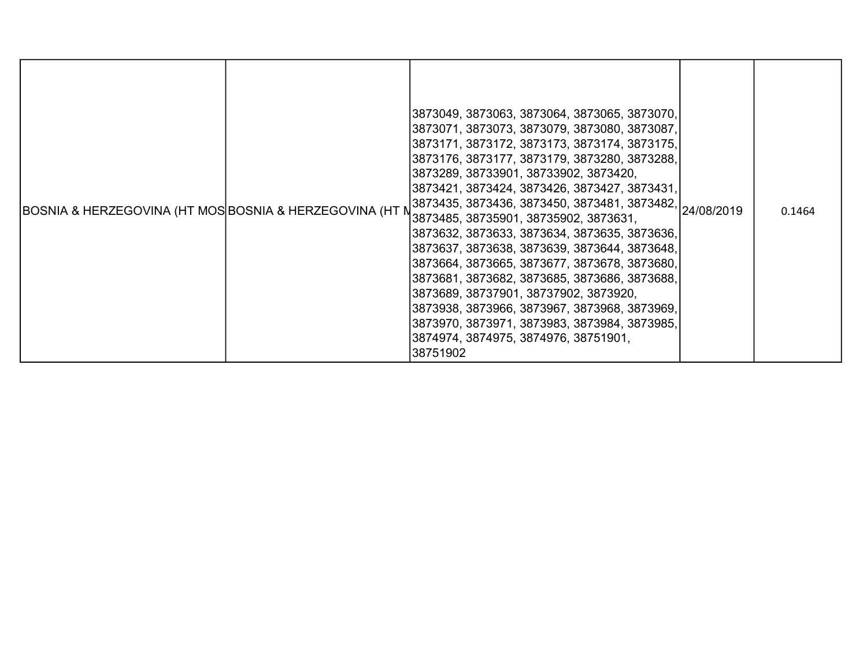| BOSNIA & HERZEGOVINA (HT MOS BOSNIA & HERZEGOVINA (HT N |  | 3873049, 3873063, 3873064, 3873065, 3873070,<br> 3873071, 3873073, 3873079, 3873080, 3873087,<br>3873171, 3873172, 3873173, 3873174, 3873175,<br>3873176, 3873177, 3873179, 3873280, 3873288,<br> 3873289, 38733901, 38733902, 3873420,<br>3873421, 3873424, 3873426, 3873427, 3873431,<br>3873435, 3873436, 3873450, 3873481, 3873482, 24/08/2019<br>3873485, 38735901, 38735902, 3873631,<br>3873632, 3873633, 3873634, 3873635, 3873636,<br>3873637, 3873638, 3873639, 3873644, 3873648,<br> 3873664, 3873665, 3873677, 3873678, 3873680,<br>3873681, 3873682, 3873685, 3873686, 3873688,<br> 3873689, 38737901, 38737902, 3873920,<br>3873938, 3873966, 3873967, 3873968, 3873969,<br>3873970, 3873971, 3873983, 3873984, 3873985,<br>3874974, 3874975, 3874976, 38751901,<br>38751902 |  | 0.1464 |
|---------------------------------------------------------|--|--------------------------------------------------------------------------------------------------------------------------------------------------------------------------------------------------------------------------------------------------------------------------------------------------------------------------------------------------------------------------------------------------------------------------------------------------------------------------------------------------------------------------------------------------------------------------------------------------------------------------------------------------------------------------------------------------------------------------------------------------------------------------------------------|--|--------|
|---------------------------------------------------------|--|--------------------------------------------------------------------------------------------------------------------------------------------------------------------------------------------------------------------------------------------------------------------------------------------------------------------------------------------------------------------------------------------------------------------------------------------------------------------------------------------------------------------------------------------------------------------------------------------------------------------------------------------------------------------------------------------------------------------------------------------------------------------------------------------|--|--------|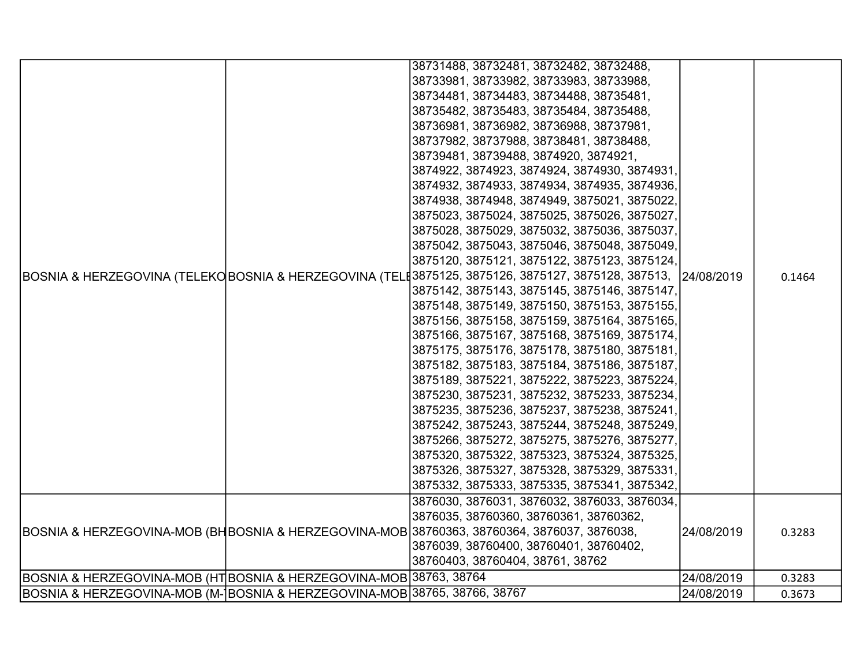|                                                                           | 38731488, 38732481, 38732482, 38732488,                                                            |            |        |
|---------------------------------------------------------------------------|----------------------------------------------------------------------------------------------------|------------|--------|
|                                                                           | 38733981, 38733982, 38733983, 38733988,                                                            |            |        |
|                                                                           | 38734481, 38734483, 38734488, 38735481,                                                            |            |        |
|                                                                           | 38735482, 38735483, 38735484, 38735488,                                                            |            |        |
|                                                                           | 38736981, 38736982, 38736988, 38737981,                                                            |            |        |
|                                                                           | 38737982, 38737988, 38738481, 38738488,                                                            |            |        |
|                                                                           | 38739481, 38739488, 3874920, 3874921,                                                              |            |        |
|                                                                           | 3874922, 3874923, 3874924, 3874930, 3874931,                                                       |            |        |
|                                                                           | 3874932, 3874933, 3874934, 3874935, 3874936,                                                       |            |        |
|                                                                           | 3874938, 3874948, 3874949, 3875021, 3875022,                                                       |            |        |
|                                                                           | 3875023, 3875024, 3875025, 3875026, 3875027,                                                       |            |        |
|                                                                           | 3875028, 3875029, 3875032, 3875036, 3875037,                                                       |            |        |
|                                                                           | 3875042, 3875043, 3875046, 3875048, 3875049,                                                       |            |        |
|                                                                           | 3875120, 3875121, 3875122, 3875123, 3875124,                                                       |            |        |
|                                                                           | BOSNIA & HERZEGOVINA (TELEKO BOSNIA & HERZEGOVINA (TEL[3875125, 3875126, 3875127, 3875128, 387513, | 24/08/2019 | 0.1464 |
|                                                                           | 3875142, 3875143, 3875145, 3875146, 3875147,                                                       |            |        |
|                                                                           | 3875148, 3875149, 3875150, 3875153, 3875155,                                                       |            |        |
|                                                                           | 3875156, 3875158, 3875159, 3875164, 3875165,                                                       |            |        |
|                                                                           | 3875166, 3875167, 3875168, 3875169, 3875174,                                                       |            |        |
|                                                                           | 3875175, 3875176, 3875178, 3875180, 3875181,                                                       |            |        |
|                                                                           | 3875182, 3875183, 3875184, 3875186, 3875187,                                                       |            |        |
|                                                                           | 3875189, 3875221, 3875222, 3875223, 3875224,                                                       |            |        |
|                                                                           | 3875230, 3875231, 3875232, 3875233, 3875234,                                                       |            |        |
|                                                                           | 3875235, 3875236, 3875237, 3875238, 3875241,                                                       |            |        |
|                                                                           | 3875242, 3875243, 3875244, 3875248, 3875249,                                                       |            |        |
|                                                                           | 3875266, 3875272, 3875275, 3875276, 3875277,                                                       |            |        |
|                                                                           | 3875320, 3875322, 3875323, 3875324, 3875325,                                                       |            |        |
|                                                                           | 3875326, 3875327, 3875328, 3875329, 3875331,                                                       |            |        |
|                                                                           | 3875332, 3875333, 3875335, 3875341, 3875342,                                                       |            |        |
|                                                                           | 3876030, 3876031, 3876032, 3876033, 3876034,                                                       |            |        |
|                                                                           | 3876035, 38760360, 38760361, 38760362,                                                             |            |        |
|                                                                           | BOSNIA & HERZEGOVINA-MOB (BHBOSNIA & HERZEGOVINA-MOB 38760363, 38760364, 3876037, 3876038,         | 24/08/2019 | 0.3283 |
|                                                                           | 3876039, 38760400, 38760401, 38760402,                                                             |            |        |
|                                                                           | 38760403, 38760404, 38761, 38762                                                                   |            |        |
| BOSNIA & HERZEGOVINA-MOB (HT BOSNIA & HERZEGOVINA-MOB 38763, 38764        |                                                                                                    | 24/08/2019 | 0.3283 |
| BOSNIA & HERZEGOVINA-MOB (M- BOSNIA & HERZEGOVINA-MOB 38765, 38766, 38767 |                                                                                                    | 24/08/2019 | 0.3673 |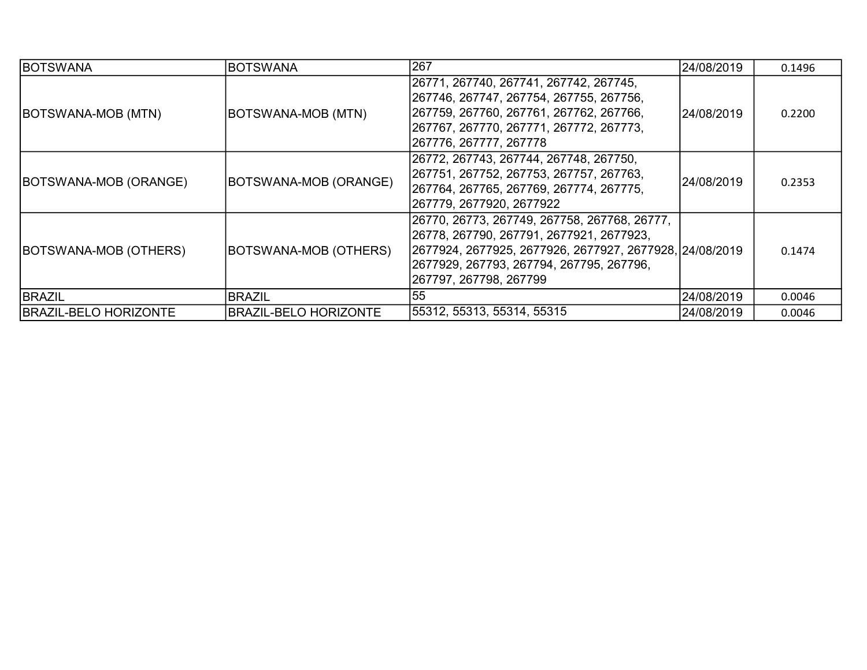| <b>BOTSWANA</b>              | <b>BOTSWANA</b>              | 267                                                                                                                                                                                                                        | 24/08/2019  | 0.1496 |
|------------------------------|------------------------------|----------------------------------------------------------------------------------------------------------------------------------------------------------------------------------------------------------------------------|-------------|--------|
| BOTSWANA-MOB (MTN)           | BOTSWANA-MOB (MTN)           | 26771, 267740, 267741, 267742, 267745,<br>267746, 267747, 267754, 267755, 267756,<br>267759, 267760, 267761, 267762, 267766,<br>267767, 267770, 267771, 267772, 267773,<br>267776, 267777, 267778                          | l24/08/2019 | 0.2200 |
| BOTSWANA-MOB (ORANGE)        | BOTSWANA-MOB (ORANGE)        | 26772, 267743, 267744, 267748, 267750,<br>267751, 267752, 267753, 267757, 267763,<br>267764, 267765, 267769, 267774, 267775,<br>267779, 2677920, 2677922                                                                   | l24/08/2019 | 0.2353 |
| BOTSWANA-MOB (OTHERS)        | BOTSWANA-MOB (OTHERS)        | 26770, 26773, 267749, 267758, 267768, 26777,<br>26778, 267790, 267791, 2677921, 2677923,<br> 2677924, 2677925, 2677926, 2677927, 2677928, 24/08/2019<br>2677929, 267793, 267794, 267795, 267796,<br>267797, 267798, 267799 |             | 0.1474 |
| <b>BRAZIL</b>                | <b>BRAZIL</b>                | 55                                                                                                                                                                                                                         | 24/08/2019  | 0.0046 |
| <b>BRAZIL-BELO HORIZONTE</b> | <b>BRAZIL-BELO HORIZONTE</b> | 55312, 55313, 55314, 55315                                                                                                                                                                                                 | 24/08/2019  | 0.0046 |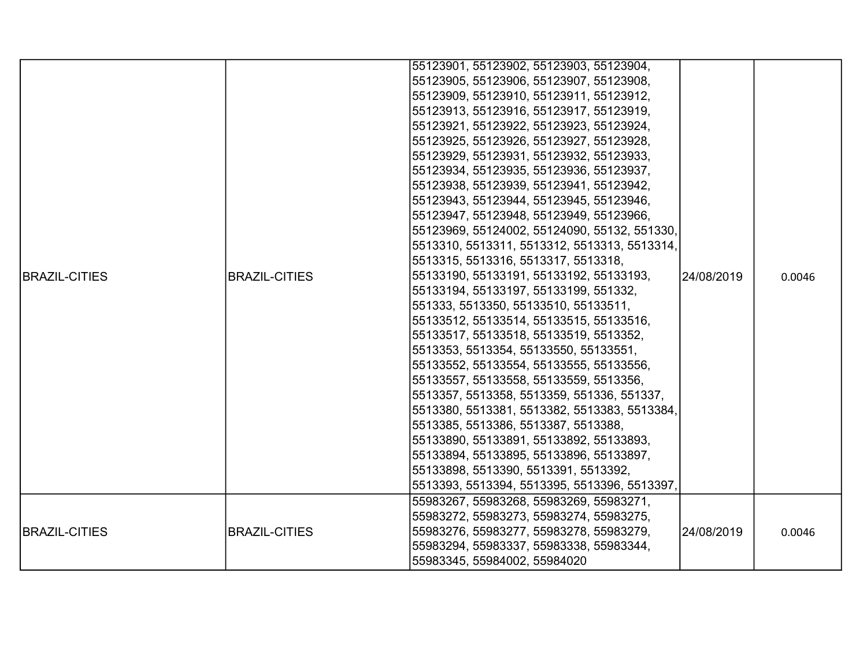|                      |                      | 55123901, 55123902, 55123903, 55123904,      |            |        |
|----------------------|----------------------|----------------------------------------------|------------|--------|
|                      |                      | 55123905, 55123906, 55123907, 55123908,      |            |        |
|                      |                      | 55123909, 55123910, 55123911, 55123912,      |            |        |
|                      |                      | 55123913, 55123916, 55123917, 55123919,      |            |        |
|                      |                      | 55123921, 55123922, 55123923, 55123924,      |            |        |
|                      |                      | 55123925, 55123926, 55123927, 55123928,      |            |        |
|                      |                      | 55123929, 55123931, 55123932, 55123933,      |            |        |
|                      |                      | 55123934, 55123935, 55123936, 55123937,      |            |        |
|                      |                      | 55123938, 55123939, 55123941, 55123942,      |            |        |
|                      |                      | 55123943, 55123944, 55123945, 55123946,      |            |        |
|                      |                      | 55123947, 55123948, 55123949, 55123966,      |            |        |
|                      |                      | 55123969, 55124002, 55124090, 55132, 551330, |            |        |
|                      |                      | 5513310, 5513311, 5513312, 5513313, 5513314, |            |        |
|                      |                      | 5513315, 5513316, 5513317, 5513318,          |            |        |
| <b>BRAZIL-CITIES</b> | <b>BRAZIL-CITIES</b> | 55133190, 55133191, 55133192, 55133193,      | 24/08/2019 | 0.0046 |
|                      |                      | 55133194, 55133197, 55133199, 551332,        |            |        |
|                      |                      | 551333, 5513350, 55133510, 55133511,         |            |        |
|                      |                      | 55133512, 55133514, 55133515, 55133516,      |            |        |
|                      |                      | 55133517, 55133518, 55133519, 5513352,       |            |        |
|                      |                      | 5513353, 5513354, 55133550, 55133551,        |            |        |
|                      |                      | 55133552, 55133554, 55133555, 55133556,      |            |        |
|                      |                      | 55133557, 55133558, 55133559, 5513356,       |            |        |
|                      |                      | 5513357, 5513358, 5513359, 551336, 551337,   |            |        |
|                      |                      | 5513380, 5513381, 5513382, 5513383, 5513384, |            |        |
|                      |                      | 5513385, 5513386, 5513387, 5513388,          |            |        |
|                      |                      | 55133890, 55133891, 55133892, 55133893,      |            |        |
|                      |                      | 55133894, 55133895, 55133896, 55133897,      |            |        |
|                      |                      | 55133898, 5513390, 5513391, 5513392,         |            |        |
|                      |                      | 5513393, 5513394, 5513395, 5513396, 5513397, |            |        |
|                      |                      | 55983267, 55983268, 55983269, 55983271,      |            |        |
|                      |                      | 55983272, 55983273, 55983274, 55983275,      |            |        |
| <b>BRAZIL-CITIES</b> | <b>BRAZIL-CITIES</b> | 55983276, 55983277, 55983278, 55983279,      | 24/08/2019 | 0.0046 |
|                      |                      | 55983294, 55983337, 55983338, 55983344,      |            |        |
|                      |                      | 55983345, 55984002, 55984020                 |            |        |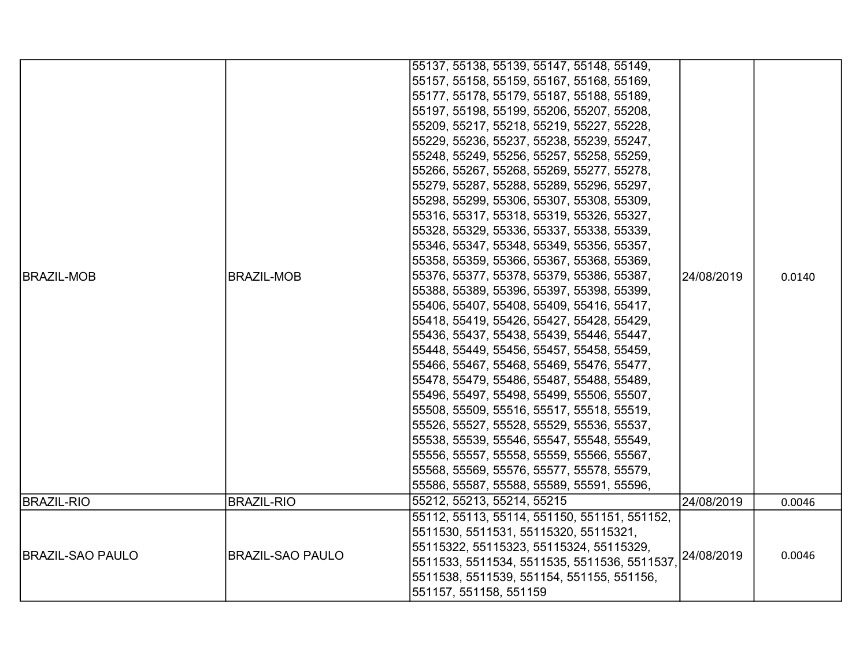| <b>BRAZIL-MOB</b>       | <b>BRAZIL-MOB</b>       | 55137, 55138, 55139, 55147, 55148, 55149,<br>55157, 55158, 55159, 55167, 55168, 55169,<br>55177, 55178, 55179, 55187, 55188, 55189,<br>55197, 55198, 55199, 55206, 55207, 55208,<br>55209, 55217, 55218, 55219, 55227, 55228,<br>55229, 55236, 55237, 55238, 55239, 55247,<br>55248, 55249, 55256, 55257, 55258, 55259,<br>55266, 55267, 55268, 55269, 55277, 55278,<br>55279, 55287, 55288, 55289, 55296, 55297,<br> 55298, 55299, 55306, 55307, 55308, 55309,<br>55316, 55317, 55318, 55319, 55326, 55327,<br> 55328, 55329, 55336, 55337, 55338, 55339,<br> 55346, 55347, 55348, 55349, 55356, 55357,<br> 55358, 55359, 55366, 55367, 55368, 55369,<br> 55376, 55377, 55378, 55379, 55386, 55387,<br> 55388, 55389, 55396, 55397, 55398, 55399,<br>55406, 55407, 55408, 55409, 55416, 55417,<br>55418, 55419, 55426, 55427, 55428, 55429,<br>55436, 55437, 55438, 55439, 55446, 55447,<br>55448, 55449, 55456, 55457, 55458, 55459,<br>55466, 55467, 55468, 55469, 55476, 55477,<br>55478, 55479, 55486, 55487, 55488, 55489,<br>55496, 55497, 55498, 55499, 55506, 55507,<br>55508, 55509, 55516, 55517, 55518, 55519,<br>55526, 55527, 55528, 55529, 55536, 55537,<br>55538, 55539, 55546, 55547, 55548, 55549,<br> 55556, 55557, 55558, 55559, 55566, 55567,<br>55568, 55569, 55576, 55577, 55578, 55579, | 24/08/2019 | 0.0140 |
|-------------------------|-------------------------|-----------------------------------------------------------------------------------------------------------------------------------------------------------------------------------------------------------------------------------------------------------------------------------------------------------------------------------------------------------------------------------------------------------------------------------------------------------------------------------------------------------------------------------------------------------------------------------------------------------------------------------------------------------------------------------------------------------------------------------------------------------------------------------------------------------------------------------------------------------------------------------------------------------------------------------------------------------------------------------------------------------------------------------------------------------------------------------------------------------------------------------------------------------------------------------------------------------------------------------------------------------------------------------------------------------------|------------|--------|
|                         |                         | 55586, 55587, 55588, 55589, 55591, 55596,<br>55212, 55213, 55214, 55215                                                                                                                                                                                                                                                                                                                                                                                                                                                                                                                                                                                                                                                                                                                                                                                                                                                                                                                                                                                                                                                                                                                                                                                                                                         |            |        |
| <b>BRAZIL-RIO</b>       | <b>BRAZIL-RIO</b>       |                                                                                                                                                                                                                                                                                                                                                                                                                                                                                                                                                                                                                                                                                                                                                                                                                                                                                                                                                                                                                                                                                                                                                                                                                                                                                                                 | 24/08/2019 | 0.0046 |
| <b>BRAZIL-SAO PAULO</b> | <b>BRAZIL-SAO PAULO</b> | 55112, 55113, 55114, 551150, 551151, 551152,<br>5511530, 5511531, 55115320, 55115321,<br>55115322, 55115323, 55115324, 55115329,<br>5511533, 5511534, 5511535, 5511536, 5511537,<br>5511538, 5511539, 551154, 551155, 551156,<br>551157, 551158, 551159                                                                                                                                                                                                                                                                                                                                                                                                                                                                                                                                                                                                                                                                                                                                                                                                                                                                                                                                                                                                                                                         | 24/08/2019 | 0.0046 |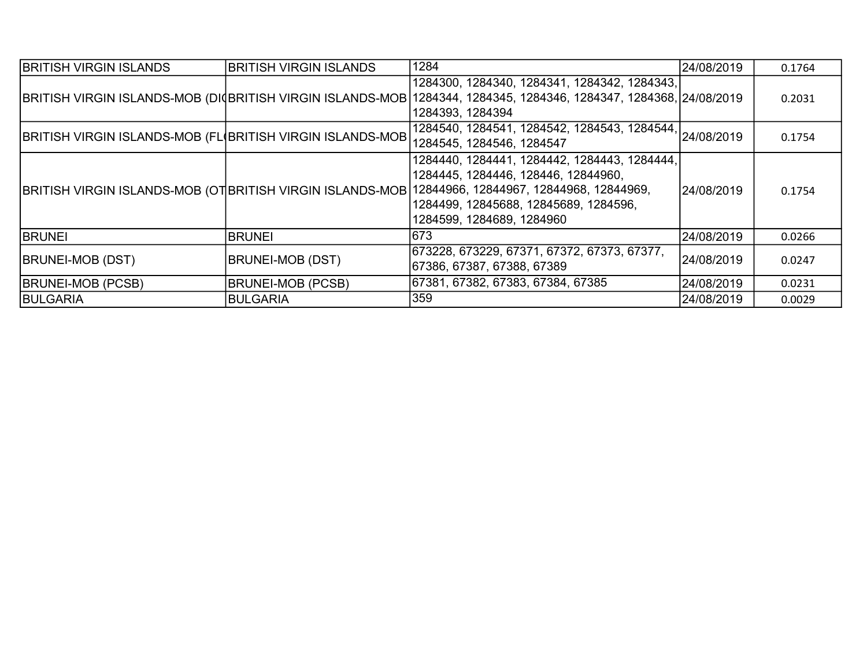| <b>BRITISH VIRGIN ISLANDS</b>                              | <b>BRITISH VIRGIN ISLANDS</b> | 1284                                                                                                                                                                                                                                                           | 24/08/2019 | 0.1764 |
|------------------------------------------------------------|-------------------------------|----------------------------------------------------------------------------------------------------------------------------------------------------------------------------------------------------------------------------------------------------------------|------------|--------|
|                                                            |                               | 1284300, 1284340, 1284341, 1284342, 1284343,<br> BRITISH VIRGIN ISLANDS-MOB (DIQBRITISH VIRGIN ISLANDS-MOB 1284344, 1284345, 1284346, 1284347, 1284368, 24/08/2019<br>1284393, 1284394                                                                         |            | 0.2031 |
| BRITISH VIRGIN ISLANDS-MOB (FL(BRITISH VIRGIN ISLANDS-MOB) |                               | $\frac{125}{1284540}$ , 1284541, 1284542, 1284543, 1284544, 24/08/2019<br>1284545, 1284546, 1284547                                                                                                                                                            |            | 0.1754 |
|                                                            |                               | 1284440, 1284441, 1284442, 1284443, 1284444,<br>1284445, 1284446, 128446, 12844960,<br>BRITISH VIRGIN ISLANDS-MOB (OT BRITISH VIRGIN ISLANDS-MOB 12844966, 12844967, 12844968, 12844969,<br>1284499, 12845688, 12845689, 1284596,<br>1284599, 1284689, 1284960 | 24/08/2019 | 0.1754 |
| <b>BRUNEI</b>                                              | <b>BRUNEI</b>                 | 673                                                                                                                                                                                                                                                            | 24/08/2019 | 0.0266 |
| <b>BRUNEI-MOB (DST)</b>                                    | <b>BRUNEI-MOB (DST)</b>       | 673228, 673229, 67371, 67372, 67373, 67377,<br>67386, 67387, 67388, 67389                                                                                                                                                                                      | 24/08/2019 | 0.0247 |
| <b>BRUNEI-MOB (PCSB)</b>                                   | <b>BRUNEI-MOB (PCSB)</b>      | 67381, 67382, 67383, 67384, 67385                                                                                                                                                                                                                              | 24/08/2019 | 0.0231 |
| <b>BULGARIA</b>                                            | BULGARIA                      | 359                                                                                                                                                                                                                                                            | 24/08/2019 | 0.0029 |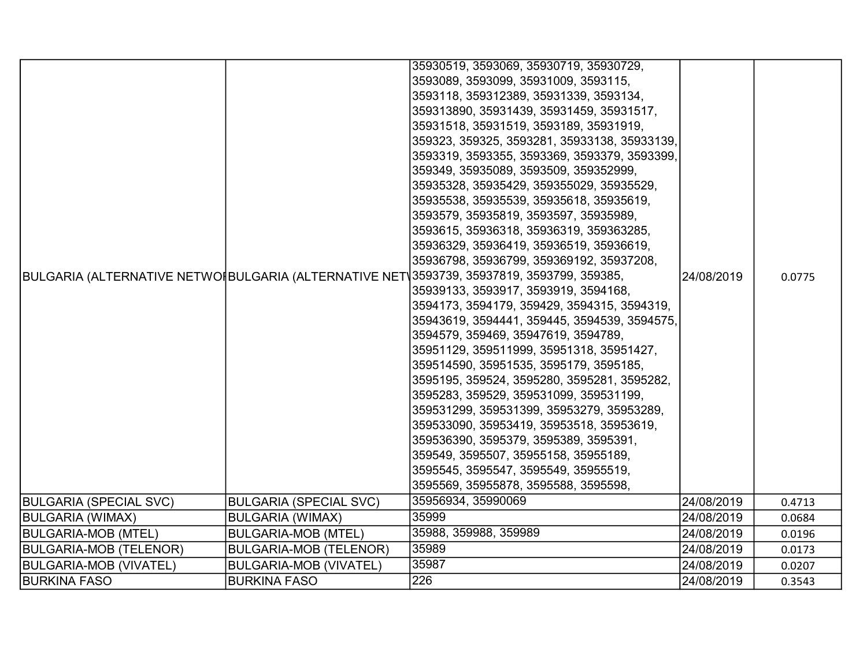|                               |                               | 35930519, 3593069, 35930719, 35930729,                                                     |            |        |
|-------------------------------|-------------------------------|--------------------------------------------------------------------------------------------|------------|--------|
|                               |                               | 3593089, 3593099, 35931009, 3593115,                                                       |            |        |
|                               |                               | 3593118, 359312389, 35931339, 3593134,                                                     |            |        |
|                               |                               | 359313890, 35931439, 35931459, 35931517,                                                   |            |        |
|                               |                               | 35931518, 35931519, 3593189, 35931919,                                                     |            |        |
|                               |                               | 359323, 359325, 3593281, 35933138, 35933139,                                               |            |        |
|                               |                               | 3593319, 3593355, 3593369, 3593379, 3593399,                                               |            |        |
|                               |                               | 359349, 35935089, 3593509, 359352999,                                                      |            |        |
|                               |                               | 35935328, 35935429, 359355029, 35935529,                                                   |            |        |
|                               |                               | 35935538, 35935539, 35935618, 35935619,                                                    |            |        |
|                               |                               | 3593579, 35935819, 3593597, 35935989,                                                      |            |        |
|                               |                               | 3593615, 35936318, 35936319, 359363285,                                                    |            |        |
|                               |                               | 35936329, 35936419, 35936519, 35936619,                                                    |            |        |
|                               |                               | 35936798, 35936799, 359369192, 35937208,                                                   |            |        |
|                               |                               | BULGARIA (ALTERNATIVE NETWOI BULGARIA (ALTERNATIVE NET 3593739, 35937819, 3593799, 359385, | 24/08/2019 | 0.0775 |
|                               |                               | 35939133, 3593917, 3593919, 3594168,                                                       |            |        |
|                               |                               | 3594173, 3594179, 359429, 3594315, 3594319,                                                |            |        |
|                               |                               | 35943619, 3594441, 359445, 3594539, 3594575,                                               |            |        |
|                               |                               | 3594579, 359469, 35947619, 3594789,                                                        |            |        |
|                               |                               | 35951129, 359511999, 35951318, 35951427,                                                   |            |        |
|                               |                               | 359514590, 35951535, 3595179, 3595185,                                                     |            |        |
|                               |                               | 3595195, 359524, 3595280, 3595281, 3595282,                                                |            |        |
|                               |                               | 3595283, 359529, 359531099, 359531199,                                                     |            |        |
|                               |                               | 359531299, 359531399, 35953279, 35953289,                                                  |            |        |
|                               |                               | 359533090, 35953419, 35953518, 35953619,                                                   |            |        |
|                               |                               | 359536390, 3595379, 3595389, 3595391,                                                      |            |        |
|                               |                               | 359549, 3595507, 35955158, 35955189,                                                       |            |        |
|                               |                               | 3595545, 3595547, 3595549, 35955519,                                                       |            |        |
|                               |                               | 3595569, 35955878, 3595588, 3595598,                                                       |            |        |
| <b>BULGARIA (SPECIAL SVC)</b> | <b>BULGARIA (SPECIAL SVC)</b> | 35956934, 35990069                                                                         | 24/08/2019 | 0.4713 |
| <b>BULGARIA (WIMAX)</b>       | <b>BULGARIA (WIMAX)</b>       | 35999                                                                                      | 24/08/2019 | 0.0684 |
| <b>BULGARIA-MOB (MTEL)</b>    | <b>BULGARIA-MOB (MTEL)</b>    | 35988, 359988, 359989                                                                      | 24/08/2019 | 0.0196 |
| <b>BULGARIA-MOB (TELENOR)</b> | <b>BULGARIA-MOB (TELENOR)</b> | 35989                                                                                      | 24/08/2019 | 0.0173 |
| <b>BULGARIA-MOB (VIVATEL)</b> | <b>BULGARIA-MOB (VIVATEL)</b> | 35987                                                                                      | 24/08/2019 | 0.0207 |
| <b>BURKINA FASO</b>           | <b>BURKINA FASO</b>           | 226                                                                                        | 24/08/2019 | 0.3543 |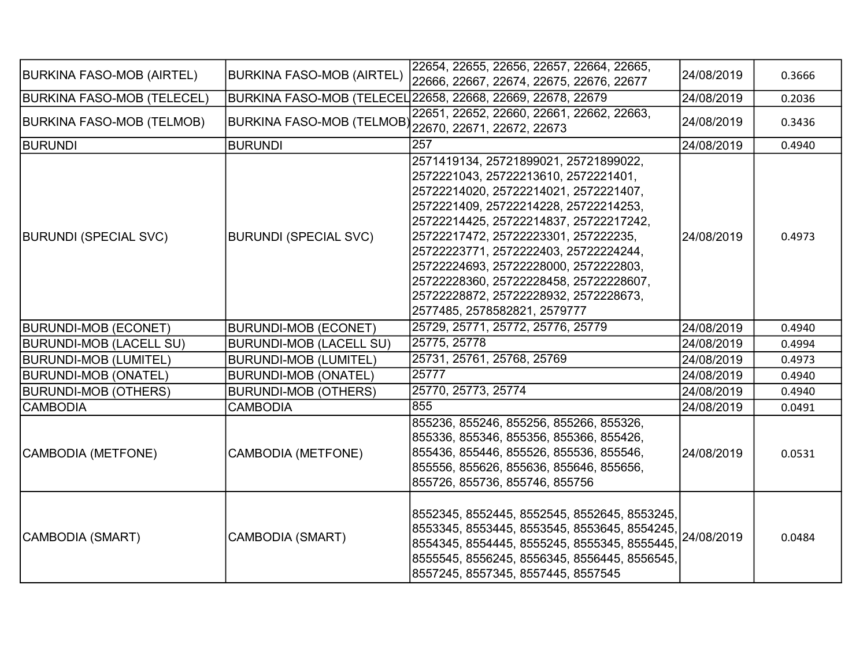| <b>BURKINA FASO-MOB (AIRTEL)</b>  | <b>BURKINA FASO-MOB (AIRTEL)</b>                     | 22654, 22655, 22656, 22657, 22664, 22665,<br>22666, 22667, 22674, 22675, 22676, 22677                                                                                                                                                                                                                                                                                                                                                                  | 24/08/2019 | 0.3666 |
|-----------------------------------|------------------------------------------------------|--------------------------------------------------------------------------------------------------------------------------------------------------------------------------------------------------------------------------------------------------------------------------------------------------------------------------------------------------------------------------------------------------------------------------------------------------------|------------|--------|
| <b>BURKINA FASO-MOB (TELECEL)</b> |                                                      | BURKINA FASO-MOB (TELECEL 22658, 22668, 22669, 22678, 22679                                                                                                                                                                                                                                                                                                                                                                                            | 24/08/2019 | 0.2036 |
| <b>BURKINA FASO-MOB (TELMOB)</b>  | BURKINA FASO-MOB (TELMOB) 22670, 22671, 22672, 22673 | 22651, 22652, 22660, 22661, 22662, 22663,                                                                                                                                                                                                                                                                                                                                                                                                              | 24/08/2019 | 0.3436 |
| <b>BURUNDI</b>                    | <b>BURUNDI</b>                                       | 257                                                                                                                                                                                                                                                                                                                                                                                                                                                    | 24/08/2019 | 0.4940 |
| <b>BURUNDI (SPECIAL SVC)</b>      | <b>BURUNDI (SPECIAL SVC)</b>                         | 2571419134, 25721899021, 25721899022,<br>2572221043, 25722213610, 2572221401,<br>25722214020, 25722214021, 2572221407,<br>2572221409, 25722214228, 25722214253,<br>25722214425, 25722214837, 25722217242,<br>25722217472, 25722223301, 257222235,<br>25722223771, 2572222403, 25722224244,<br>25722224693, 25722228000, 2572222803,<br>25722228360, 25722228458, 25722228607,<br>25722228872, 25722228932, 2572228673,<br>2577485, 2578582821, 2579777 | 24/08/2019 | 0.4973 |
| <b>BURUNDI-MOB (ECONET)</b>       | <b>BURUNDI-MOB (ECONET)</b>                          | 25729, 25771, 25772, 25776, 25779                                                                                                                                                                                                                                                                                                                                                                                                                      | 24/08/2019 | 0.4940 |
| <b>BURUNDI-MOB (LACELL SU)</b>    | <b>BURUNDI-MOB (LACELL SU)</b>                       | 25775, 25778                                                                                                                                                                                                                                                                                                                                                                                                                                           | 24/08/2019 | 0.4994 |
| <b>BURUNDI-MOB (LUMITEL)</b>      | <b>BURUNDI-MOB (LUMITEL)</b>                         | 25731, 25761, 25768, 25769                                                                                                                                                                                                                                                                                                                                                                                                                             | 24/08/2019 | 0.4973 |
| <b>BURUNDI-MOB (ONATEL)</b>       | <b>BURUNDI-MOB (ONATEL)</b>                          | 25777                                                                                                                                                                                                                                                                                                                                                                                                                                                  | 24/08/2019 | 0.4940 |
| <b>BURUNDI-MOB (OTHERS)</b>       | <b>BURUNDI-MOB (OTHERS)</b>                          | 25770, 25773, 25774                                                                                                                                                                                                                                                                                                                                                                                                                                    | 24/08/2019 | 0.4940 |
| CAMBODIA                          | <b>CAMBODIA</b>                                      | 855                                                                                                                                                                                                                                                                                                                                                                                                                                                    | 24/08/2019 | 0.0491 |
| CAMBODIA (METFONE)                | <b>CAMBODIA (METFONE)</b>                            | 855236, 855246, 855256, 855266, 855326,<br>855336, 855346, 855356, 855366, 855426,<br>855436, 855446, 855526, 855536, 855546,<br>855556, 855626, 855636, 855646, 855656,<br>855726, 855736, 855746, 855756                                                                                                                                                                                                                                             | 24/08/2019 | 0.0531 |
| CAMBODIA (SMART)                  | CAMBODIA (SMART)                                     | 8552345, 8552445, 8552545, 8552645, 8553245,<br>8553345, 8553445, 8553545, 8553645, 8554245,<br>8554345, 8554445, 8555245, 8555345, 8555445,<br>8555545, 8556245, 8556345, 8556445, 8556545,<br>8557245, 8557345, 8557445, 8557545                                                                                                                                                                                                                     | 24/08/2019 | 0.0484 |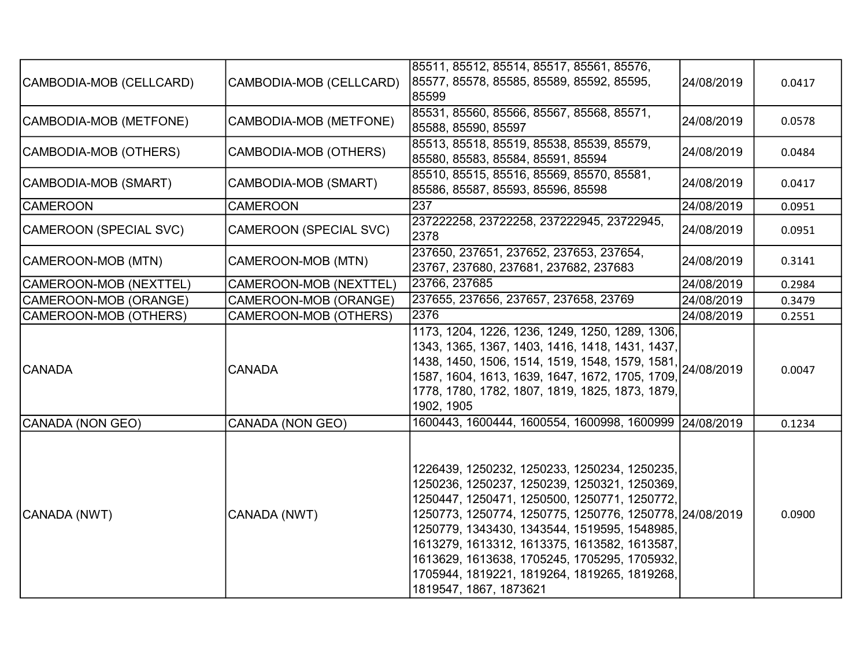|                         |                               | 85511, 85512, 85514, 85517, 85561, 85576,                  |            |        |
|-------------------------|-------------------------------|------------------------------------------------------------|------------|--------|
| CAMBODIA-MOB (CELLCARD) | CAMBODIA-MOB (CELLCARD)       | 85577, 85578, 85585, 85589, 85592, 85595,                  | 24/08/2019 | 0.0417 |
|                         |                               | 85599                                                      |            |        |
|                         |                               | 85531, 85560, 85566, 85567, 85568, 85571,                  |            |        |
| CAMBODIA-MOB (METFONE)  | CAMBODIA-MOB (METFONE)        | 85588, 85590, 85597                                        | 24/08/2019 | 0.0578 |
|                         |                               | 85513, 85518, 85519, 85538, 85539, 85579,                  |            |        |
| CAMBODIA-MOB (OTHERS)   | CAMBODIA-MOB (OTHERS)         | 85580, 85583, 85584, 85591, 85594                          | 24/08/2019 | 0.0484 |
| CAMBODIA-MOB (SMART)    | CAMBODIA-MOB (SMART)          | 85510, 85515, 85516, 85569, 85570, 85581,                  | 24/08/2019 | 0.0417 |
|                         |                               | 85586, 85587, 85593, 85596, 85598                          |            |        |
| <b>CAMEROON</b>         | <b>CAMEROON</b>               | $23\overline{7}$                                           | 24/08/2019 | 0.0951 |
| CAMEROON (SPECIAL SVC)  | <b>CAMEROON (SPECIAL SVC)</b> | 237222258, 23722258, 237222945, 23722945,<br>2378          | 24/08/2019 | 0.0951 |
| CAMEROON-MOB (MTN)      | CAMEROON-MOB (MTN)            | 237650, 237651, 237652, 237653, 237654,                    | 24/08/2019 | 0.3141 |
|                         |                               | 23767, 237680, 237681, 237682, 237683<br>23766, 237685     |            |        |
| CAMEROON-MOB (NEXTTEL)  | CAMEROON-MOB (NEXTTEL)        | 237655, 237656, 237657, 237658, 23769                      | 24/08/2019 | 0.2984 |
| CAMEROON-MOB (ORANGE)   | CAMEROON-MOB (ORANGE)         |                                                            | 24/08/2019 | 0.3479 |
| CAMEROON-MOB (OTHERS)   | CAMEROON-MOB (OTHERS)         | 2376                                                       | 24/08/2019 | 0.2551 |
|                         |                               | 1173, 1204, 1226, 1236, 1249, 1250, 1289, 1306,            |            |        |
|                         |                               | 1343, 1365, 1367, 1403, 1416, 1418, 1431, 1437,            |            |        |
| <b>CANADA</b>           | <b>CANADA</b>                 | 1438, 1450, 1506, 1514, 1519, 1548, 1579, 1581, 24/08/2019 |            | 0.0047 |
|                         |                               | 1587, 1604, 1613, 1639, 1647, 1672, 1705, 1709,            |            |        |
|                         |                               | 1778, 1780, 1782, 1807, 1819, 1825, 1873, 1879,            |            |        |
|                         |                               | 1902, 1905                                                 |            |        |
| CANADA (NON GEO)        | CANADA (NON GEO)              | 1600443, 1600444, 1600554, 1600998, 1600999 24/08/2019     |            | 0.1234 |
|                         |                               |                                                            |            |        |
|                         |                               |                                                            |            |        |
|                         |                               | 1226439, 1250232, 1250233, 1250234, 1250235,               |            |        |
|                         |                               | 1250236, 1250237, 1250239, 1250321, 1250369,               |            |        |
|                         |                               | 1250447, 1250471, 1250500, 1250771, 1250772,               |            |        |
| CANADA (NWT)            | CANADA (NWT)                  | 1250773, 1250774, 1250775, 1250776, 1250778, 24/08/2019    |            | 0.0900 |
|                         |                               | 1250779, 1343430, 1343544, 1519595, 1548985,               |            |        |
|                         |                               | 1613279, 1613312, 1613375, 1613582, 1613587,               |            |        |
|                         |                               | 1613629, 1613638, 1705245, 1705295, 1705932,               |            |        |
|                         |                               | 1705944, 1819221, 1819264, 1819265, 1819268,               |            |        |
|                         |                               | 1819547, 1867, 1873621                                     |            |        |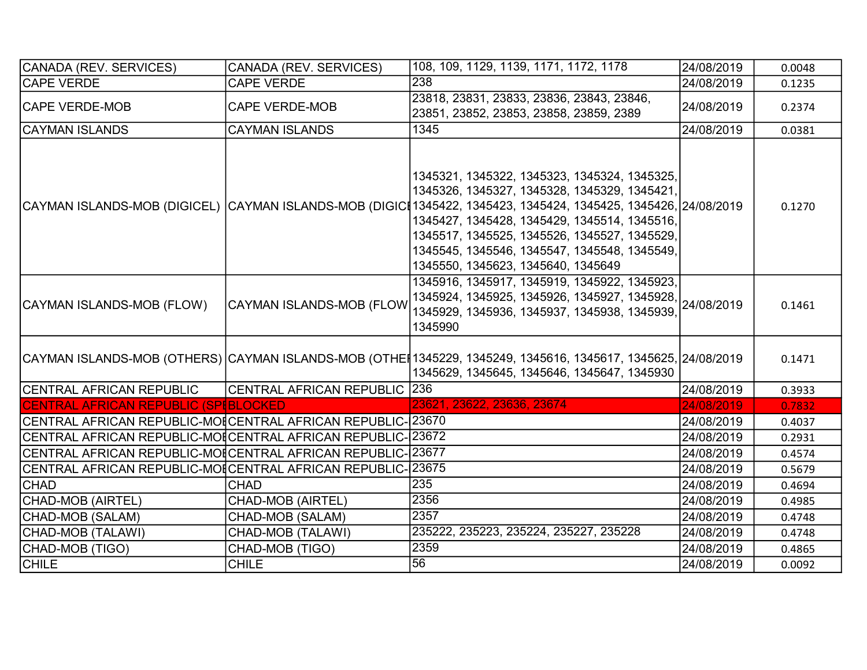| CANADA (REV. SERVICES)                                      | CANADA (REV. SERVICES)       | 108, 109, 1129, 1139, 1171, 1172, 1178                                                                                                                                                                                                                                                                                                                                                                 | 24/08/2019 | 0.0048 |
|-------------------------------------------------------------|------------------------------|--------------------------------------------------------------------------------------------------------------------------------------------------------------------------------------------------------------------------------------------------------------------------------------------------------------------------------------------------------------------------------------------------------|------------|--------|
| <b>CAPE VERDE</b>                                           | <b>CAPE VERDE</b>            | 238                                                                                                                                                                                                                                                                                                                                                                                                    | 24/08/2019 | 0.1235 |
| <b>CAPE VERDE-MOB</b>                                       | <b>CAPE VERDE-MOB</b>        | 23818, 23831, 23833, 23836, 23843, 23846,<br>23851, 23852, 23853, 23858, 23859, 2389                                                                                                                                                                                                                                                                                                                   | 24/08/2019 | 0.2374 |
| CAYMAN ISLANDS                                              | <b>CAYMAN ISLANDS</b>        | 1345                                                                                                                                                                                                                                                                                                                                                                                                   | 24/08/2019 | 0.0381 |
|                                                             |                              | 1345321, 1345322, 1345323, 1345324, 1345325,<br>1345326, 1345327, 1345328, 1345329, 1345421,<br> CAYMAN ISLANDS-MOB (DIGICEL)  CAYMAN ISLANDS-MOB (DIGICI1345422, 1345423, 1345424, 1345425, 1345426, 24/08/2019<br>1345427, 1345428, 1345429, 1345514, 1345516,<br>1345517, 1345525, 1345526, 1345527, 1345529,<br>1345545, 1345546, 1345547, 1345548, 1345549,<br>1345550, 1345623, 1345640, 1345649 |            | 0.1270 |
| CAYMAN ISLANDS-MOB (FLOW)                                   | CAYMAN ISLANDS-MOB (FLOW     | 1345916, 1345917, 1345919, 1345922, 1345923,<br>1345924, 1345925, 1345926, 1345927, 1345928, 24/08/2019<br>1345929, 1345936, 1345937, 1345938, 1345939,<br>1345990                                                                                                                                                                                                                                     |            | 0.1461 |
|                                                             |                              | CAYMAN ISLANDS-MOB (OTHERS)  CAYMAN ISLANDS-MOB (OTHE∥1345229, 1345249, 1345616, 1345617, 1345625, 24/08/2019<br>1345629, 1345645, 1345646, 1345647, 1345930                                                                                                                                                                                                                                           |            | 0.1471 |
| CENTRAL AFRICAN REPUBLIC                                    | CENTRAL AFRICAN REPUBLIC 236 |                                                                                                                                                                                                                                                                                                                                                                                                        | 24/08/2019 | 0.3933 |
| CENTRAL AFRICAN REPUBLIC (SPIBLOCKED                        |                              | 23621, 23622, 23636, 23674                                                                                                                                                                                                                                                                                                                                                                             | 24/08/2019 | 0.7832 |
| CENTRAL AFRICAN REPUBLIC-MOICENTRAL AFRICAN REPUBLIC- 23670 |                              |                                                                                                                                                                                                                                                                                                                                                                                                        | 24/08/2019 | 0.4037 |
| CENTRAL AFRICAN REPUBLIC-MOICENTRAL AFRICAN REPUBLIC-123672 |                              |                                                                                                                                                                                                                                                                                                                                                                                                        | 24/08/2019 | 0.2931 |
| CENTRAL AFRICAN REPUBLIC-MOICENTRAL AFRICAN REPUBLIC-123677 |                              |                                                                                                                                                                                                                                                                                                                                                                                                        | 24/08/2019 | 0.4574 |
| CENTRAL AFRICAN REPUBLIC-MOICENTRAL AFRICAN REPUBLIC- 23675 |                              |                                                                                                                                                                                                                                                                                                                                                                                                        | 24/08/2019 | 0.5679 |
| <b>CHAD</b>                                                 | <b>CHAD</b>                  | 235                                                                                                                                                                                                                                                                                                                                                                                                    | 24/08/2019 | 0.4694 |
| CHAD-MOB (AIRTEL)                                           | <b>CHAD-MOB (AIRTEL)</b>     | 2356                                                                                                                                                                                                                                                                                                                                                                                                   | 24/08/2019 | 0.4985 |
| CHAD-MOB (SALAM)                                            | CHAD-MOB (SALAM)             | 2357                                                                                                                                                                                                                                                                                                                                                                                                   | 24/08/2019 | 0.4748 |
| CHAD-MOB (TALAWI)                                           | CHAD-MOB (TALAWI)            | 235222, 235223, 235224, 235227, 235228                                                                                                                                                                                                                                                                                                                                                                 | 24/08/2019 | 0.4748 |
| <b>CHAD-MOB (TIGO)</b>                                      | CHAD-MOB (TIGO)              | 2359                                                                                                                                                                                                                                                                                                                                                                                                   | 24/08/2019 | 0.4865 |
| <b>CHILE</b>                                                | <b>CHILE</b>                 | 56                                                                                                                                                                                                                                                                                                                                                                                                     | 24/08/2019 | 0.0092 |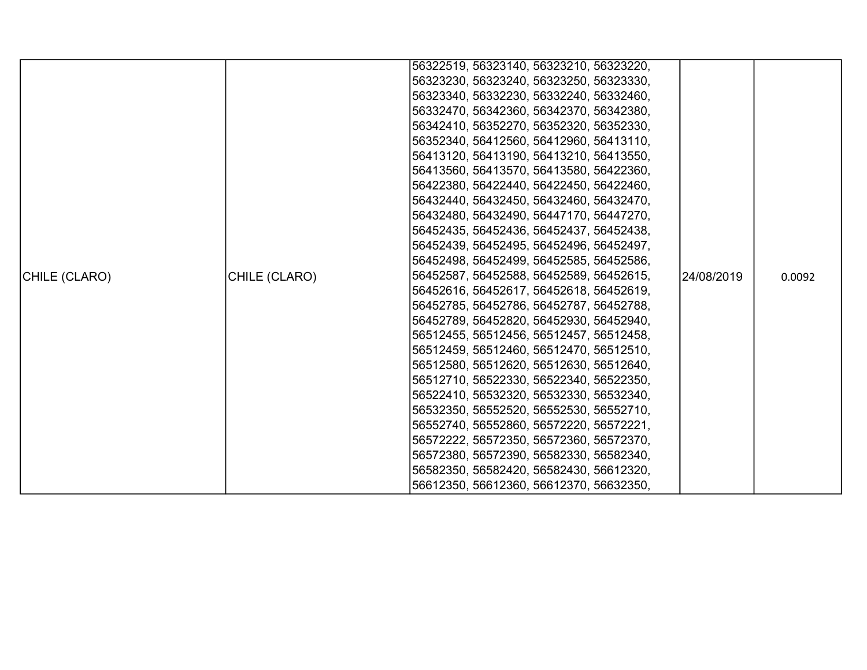|               |               | 56322519, 56323140, 56323210, 56323220, |            |        |
|---------------|---------------|-----------------------------------------|------------|--------|
|               |               | 56323230, 56323240, 56323250, 56323330, |            |        |
|               |               | 56323340, 56332230, 56332240, 56332460, |            |        |
|               |               | 56332470, 56342360, 56342370, 56342380, |            |        |
|               |               | 56342410, 56352270, 56352320, 56352330, |            |        |
|               |               | 56352340, 56412560, 56412960, 56413110, |            |        |
|               |               | 56413120, 56413190, 56413210, 56413550, |            |        |
|               |               | 56413560, 56413570, 56413580, 56422360, |            |        |
|               |               | 56422380, 56422440, 56422450, 56422460, |            |        |
|               |               | 56432440, 56432450, 56432460, 56432470, |            |        |
|               |               | 56432480, 56432490, 56447170, 56447270, |            |        |
|               |               | 56452435, 56452436, 56452437, 56452438, |            |        |
|               |               | 56452439, 56452495, 56452496, 56452497, |            |        |
|               |               | 56452498, 56452499, 56452585, 56452586, |            |        |
| CHILE (CLARO) | CHILE (CLARO) | 56452587, 56452588, 56452589, 56452615, | 24/08/2019 | 0.0092 |
|               |               | 56452616, 56452617, 56452618, 56452619, |            |        |
|               |               | 56452785, 56452786, 56452787, 56452788, |            |        |
|               |               | 56452789, 56452820, 56452930, 56452940, |            |        |
|               |               | 56512455, 56512456, 56512457, 56512458, |            |        |
|               |               | 56512459, 56512460, 56512470, 56512510, |            |        |
|               |               | 56512580, 56512620, 56512630, 56512640, |            |        |
|               |               | 56512710, 56522330, 56522340, 56522350, |            |        |
|               |               | 56522410, 56532320, 56532330, 56532340, |            |        |
|               |               | 56532350, 56552520, 56552530, 56552710, |            |        |
|               |               | 56552740, 56552860, 56572220, 56572221, |            |        |
|               |               | 56572222, 56572350, 56572360, 56572370, |            |        |
|               |               | 56572380, 56572390, 56582330, 56582340, |            |        |
|               |               | 56582350, 56582420, 56582430, 56612320, |            |        |
|               |               | 56612350, 56612360, 56612370, 56632350, |            |        |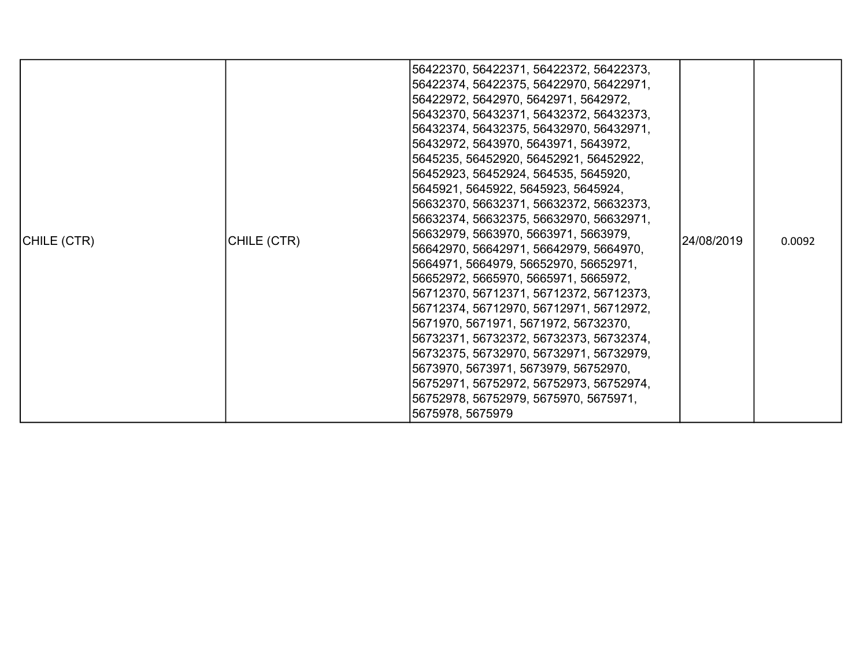| CHILE (CTR) | CHILE (CTR) | 56422370, 56422371, 56422372, 56422373,<br> 56422374, 56422375, 56422970, 56422971,<br> 56422972, 5642970, 5642971, 5642972,<br>56432370, 56432371, 56432372, 56432373,<br>56432374, 56432375, 56432970, 56432971,<br>56432972, 5643970, 5643971, 5643972,<br>5645235, 56452920, 56452921, 56452922,<br>56452923, 56452924, 564535, 5645920,<br> 5645921, 5645922, 5645923, 5645924,<br>56632370, 56632371, 56632372, 56632373,<br>56632374, 56632375, 56632970, 56632971,<br> 56632979, 5663970, 5663971, 5663979,<br>56642970, 56642971, 56642979, 5664970,<br>5664971, 5664979, 56652970, 56652971,<br> 56652972, 5665970, 5665971, 5665972,<br> 56712370, 56712371, 56712372, 56712373,<br>56712374, 56712970, 56712971, 56712972,<br> 5671970, 5671971, 5671972, 56732370,<br> 56732371, 56732372, 56732373, 56732374,<br>56732375, 56732970, 56732971, 56732979,<br> 5673970, 5673971, 5673979, 56752970,<br>56752971, 56752972, 56752973, 56752974,<br>56752978, 56752979, 5675970, 5675971,<br>5675978, 5675979 | 24/08/2019 | 0.0092 |
|-------------|-------------|-------------------------------------------------------------------------------------------------------------------------------------------------------------------------------------------------------------------------------------------------------------------------------------------------------------------------------------------------------------------------------------------------------------------------------------------------------------------------------------------------------------------------------------------------------------------------------------------------------------------------------------------------------------------------------------------------------------------------------------------------------------------------------------------------------------------------------------------------------------------------------------------------------------------------------------------------------------------------------------------------------------------------|------------|--------|
|-------------|-------------|-------------------------------------------------------------------------------------------------------------------------------------------------------------------------------------------------------------------------------------------------------------------------------------------------------------------------------------------------------------------------------------------------------------------------------------------------------------------------------------------------------------------------------------------------------------------------------------------------------------------------------------------------------------------------------------------------------------------------------------------------------------------------------------------------------------------------------------------------------------------------------------------------------------------------------------------------------------------------------------------------------------------------|------------|--------|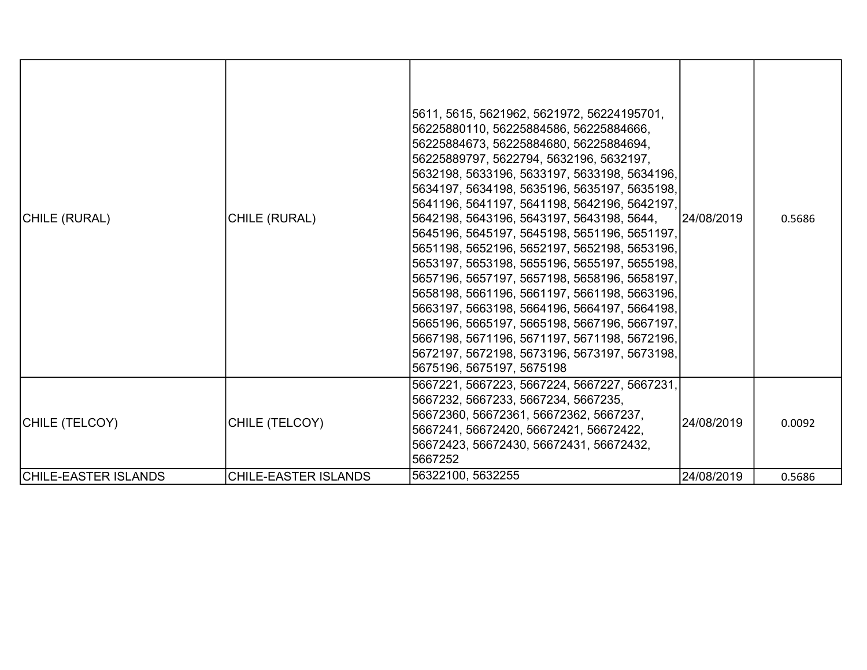| CHILE (RURAL)               | CHILE (RURAL)               | 5611, 5615, 5621962, 5621972, 56224195701,<br>56225880110, 56225884586, 56225884666,<br>56225884673, 56225884680, 56225884694,<br>56225889797, 5622794, 5632196, 5632197,<br>5632198, 5633196, 5633197, 5633198, 5634196,<br>5634197, 5634198, 5635196, 5635197, 5635198,<br>5641196, 5641197, 5641198, 5642196, 5642197,<br>5642198, 5643196, 5643197, 5643198, 5644,<br>5645196, 5645197, 5645198, 5651196, 5651197,<br>5651198, 5652196, 5652197, 5652198, 5653196,<br>5653197, 5653198, 5655196, 5655197, 5655198,<br>5657196, 5657197, 5657198, 5658196, 5658197,<br>5658198, 5661196, 5661197, 5661198, 5663196,<br>5663197, 5663198, 5664196, 5664197, 5664198,<br>5665196, 5665197, 5665198, 5667196, 5667197,<br>5667198, 5671196, 5671197, 5671198, 5672196,<br>5672197, 5672198, 5673196, 5673197, 5673198,<br>5675196, 5675197, 5675198 | l24/08/2019 | 0.5686 |
|-----------------------------|-----------------------------|-----------------------------------------------------------------------------------------------------------------------------------------------------------------------------------------------------------------------------------------------------------------------------------------------------------------------------------------------------------------------------------------------------------------------------------------------------------------------------------------------------------------------------------------------------------------------------------------------------------------------------------------------------------------------------------------------------------------------------------------------------------------------------------------------------------------------------------------------------|-------------|--------|
| CHILE (TELCOY)              | CHILE (TELCOY)              | 5667221, 5667223, 5667224, 5667227, 5667231,<br>5667232, 5667233, 5667234, 5667235,<br>56672360, 56672361, 56672362, 5667237,<br>5667241, 56672420, 56672421, 56672422,<br>56672423, 56672430, 56672431, 56672432,<br>5667252                                                                                                                                                                                                                                                                                                                                                                                                                                                                                                                                                                                                                       | 24/08/2019  | 0.0092 |
| <b>CHILE-EASTER ISLANDS</b> | <b>CHILE-EASTER ISLANDS</b> | 56322100, 5632255                                                                                                                                                                                                                                                                                                                                                                                                                                                                                                                                                                                                                                                                                                                                                                                                                                   | 24/08/2019  | 0.5686 |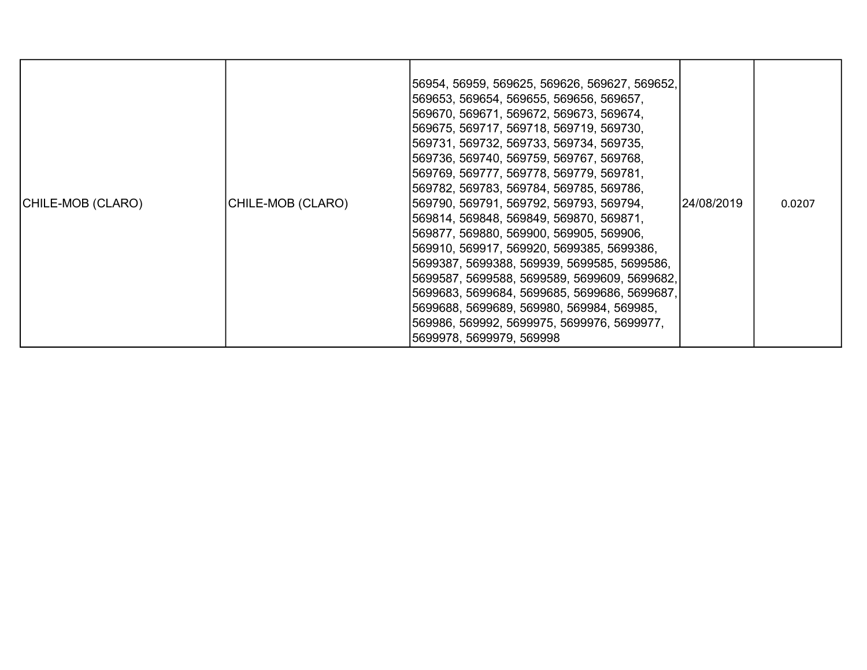| CHILE-MOB (CLARO) | CHILE-MOB (CLARO) | 56954, 56959, 569625, 569626, 569627, 569652, <br>569653, 569654, 569655, 569656, 569657,<br> 569670, 569671, 569672, 569673, 569674,<br> 569675, 569717, 569718, 569719, 569730,<br> 569731, 569732, 569733, 569734, 569735,<br> 569736, 569740, 569759, 569767, 569768,<br> 569769, 569777, 569778, 569779, 569781,<br> 569782, 569783, 569784, 569785, 569786,<br> 569790, 569791, 569792, 569793, 569794,<br>569814, 569848, 569849, 569870, 569871,<br> 569877, 569880, 569900, 569905, 569906,<br>569910, 569917, 569920, 5699385, 5699386,<br> 5699387, 5699388, 569939, 5699585, 5699586,<br> 5699587, 5699588, 5699589, 5699609, 5699682,<br>5699683, 5699684, 5699685, 5699686, 5699687,<br> 5699688, 5699689, 569980, 569984, 569985,<br> 569986, 569992, 5699975, 5699976, 5699977,<br>5699978, 5699979, 569998 | 24/08/2019 | 0.0207 |
|-------------------|-------------------|-----------------------------------------------------------------------------------------------------------------------------------------------------------------------------------------------------------------------------------------------------------------------------------------------------------------------------------------------------------------------------------------------------------------------------------------------------------------------------------------------------------------------------------------------------------------------------------------------------------------------------------------------------------------------------------------------------------------------------------------------------------------------------------------------------------------------------|------------|--------|
|-------------------|-------------------|-----------------------------------------------------------------------------------------------------------------------------------------------------------------------------------------------------------------------------------------------------------------------------------------------------------------------------------------------------------------------------------------------------------------------------------------------------------------------------------------------------------------------------------------------------------------------------------------------------------------------------------------------------------------------------------------------------------------------------------------------------------------------------------------------------------------------------|------------|--------|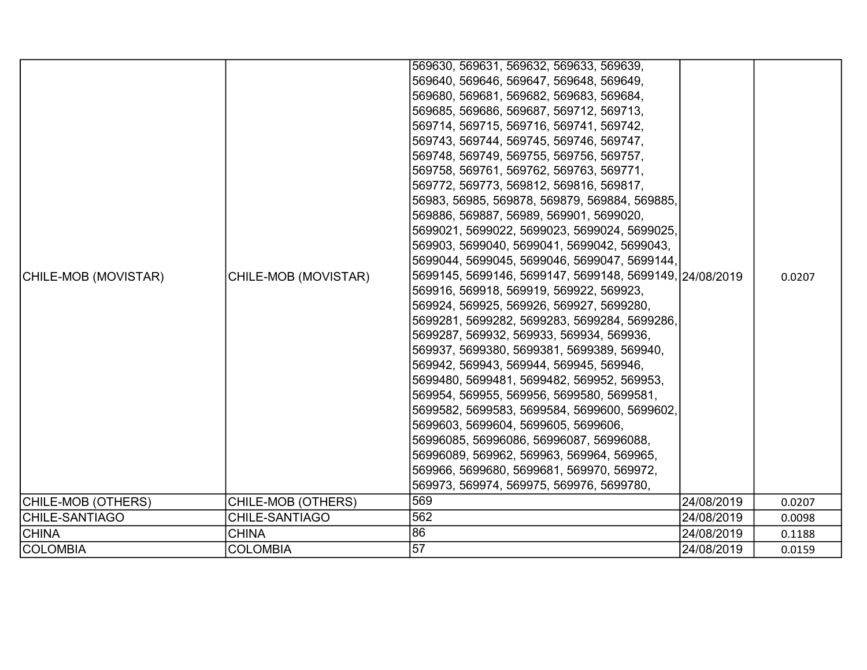| CHILE-MOB (MOVISTAR)  | CHILE-MOB (MOVISTAR) | 569630, 569631, 569632, 569633, 569639,<br>569640, 569646, 569647, 569648, 569649,<br>569680, 569681, 569682, 569683, 569684,<br>569685, 569686, 569687, 569712, 569713,<br>569714, 569715, 569716, 569741, 569742,<br>569743, 569744, 569745, 569746, 569747,<br>569748, 569749, 569755, 569756, 569757,<br>569758, 569761, 569762, 569763, 569771,<br>569772, 569773, 569812, 569816, 569817,<br>56983, 56985, 569878, 569879, 569884, 569885,<br>569886, 569887, 56989, 569901, 5699020,<br>5699021, 5699022, 5699023, 5699024, 5699025,<br>569903, 5699040, 5699041, 5699042, 5699043,<br>5699044, 5699045, 5699046, 5699047, 5699144,<br>5699145, 5699146, 5699147, 5699148, 5699149, 24/08/2019<br>569916, 569918, 569919, 569922, 569923,<br>569924, 569925, 569926, 569927, 5699280,<br>5699281, 5699282, 5699283, 5699284, 5699286,<br>5699287, 569932, 569933, 569934, 569936,<br>569937, 5699380, 5699381, 5699389, 569940,<br>569942, 569943, 569944, 569945, 569946,<br>5699480, 5699481, 5699482, 569952, 569953,<br>569954, 569955, 569956, 5699580, 5699581,<br>5699582, 5699583, 5699584, 5699600, 5699602,<br>5699603, 5699604, 5699605, 5699606,<br>56996085, 56996086, 56996087, 56996088,<br>56996089, 569962, 569963, 569964, 569965,<br>569966, 5699680, 5699681, 569970, 569972,<br>569973, 569974, 569975, 569976, 5699780, |            | 0.0207 |
|-----------------------|----------------------|------------------------------------------------------------------------------------------------------------------------------------------------------------------------------------------------------------------------------------------------------------------------------------------------------------------------------------------------------------------------------------------------------------------------------------------------------------------------------------------------------------------------------------------------------------------------------------------------------------------------------------------------------------------------------------------------------------------------------------------------------------------------------------------------------------------------------------------------------------------------------------------------------------------------------------------------------------------------------------------------------------------------------------------------------------------------------------------------------------------------------------------------------------------------------------------------------------------------------------------------------------------------------------------------------------------------------------------------------|------------|--------|
| CHILE-MOB (OTHERS)    | CHILE-MOB (OTHERS)   | 569                                                                                                                                                                                                                                                                                                                                                                                                                                                                                                                                                                                                                                                                                                                                                                                                                                                                                                                                                                                                                                                                                                                                                                                                                                                                                                                                                  | 24/08/2019 | 0.0207 |
| <b>CHILE-SANTIAGO</b> | CHILE-SANTIAGO       | 562                                                                                                                                                                                                                                                                                                                                                                                                                                                                                                                                                                                                                                                                                                                                                                                                                                                                                                                                                                                                                                                                                                                                                                                                                                                                                                                                                  | 24/08/2019 | 0.0098 |
| <b>CHINA</b>          | <b>CHINA</b>         | 86                                                                                                                                                                                                                                                                                                                                                                                                                                                                                                                                                                                                                                                                                                                                                                                                                                                                                                                                                                                                                                                                                                                                                                                                                                                                                                                                                   | 24/08/2019 | 0.1188 |
| <b>COLOMBIA</b>       | <b>COLOMBIA</b>      | 57                                                                                                                                                                                                                                                                                                                                                                                                                                                                                                                                                                                                                                                                                                                                                                                                                                                                                                                                                                                                                                                                                                                                                                                                                                                                                                                                                   | 24/08/2019 | 0.0159 |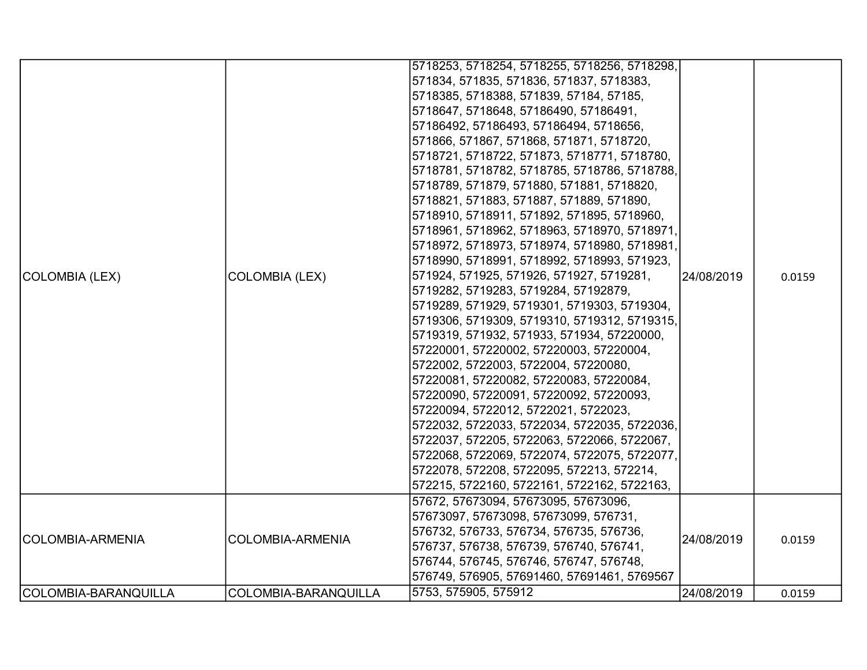|                      |                         | 5718253, 5718254, 5718255, 5718256, 5718298, |            |        |
|----------------------|-------------------------|----------------------------------------------|------------|--------|
|                      |                         | 571834, 571835, 571836, 571837, 5718383,     |            |        |
|                      |                         | 5718385, 5718388, 571839, 57184, 57185,      |            |        |
|                      |                         | 5718647, 5718648, 57186490, 57186491,        |            |        |
|                      |                         | 57186492, 57186493, 57186494, 5718656,       |            |        |
|                      |                         | 571866, 571867, 571868, 571871, 5718720,     |            |        |
|                      |                         | 5718721, 5718722, 571873, 5718771, 5718780,  |            |        |
|                      |                         | 5718781, 5718782, 5718785, 5718786, 5718788, |            |        |
|                      |                         | 5718789, 571879, 571880, 571881, 5718820,    |            |        |
|                      |                         | 5718821, 571883, 571887, 571889, 571890,     |            |        |
|                      |                         | 5718910, 5718911, 571892, 571895, 5718960,   |            |        |
|                      |                         | 5718961, 5718962, 5718963, 5718970, 5718971, |            |        |
|                      |                         | 5718972, 5718973, 5718974, 5718980, 5718981, |            |        |
| COLOMBIA (LEX)       |                         | 5718990, 5718991, 5718992, 5718993, 571923,  |            |        |
|                      | <b>COLOMBIA (LEX)</b>   | 571924, 571925, 571926, 571927, 5719281,     | 24/08/2019 | 0.0159 |
|                      |                         | 5719282, 5719283, 5719284, 57192879,         |            |        |
|                      |                         | 5719289, 571929, 5719301, 5719303, 5719304,  |            |        |
|                      |                         | 5719306, 5719309, 5719310, 5719312, 5719315, |            |        |
|                      |                         | 5719319, 571932, 571933, 571934, 57220000,   |            |        |
|                      |                         | 57220001, 57220002, 57220003, 57220004,      |            |        |
|                      |                         | 5722002, 5722003, 5722004, 57220080,         |            |        |
|                      |                         | 57220081, 57220082, 57220083, 57220084,      |            |        |
|                      |                         | 57220090, 57220091, 57220092, 57220093,      |            |        |
|                      |                         | 57220094, 5722012, 5722021, 5722023,         |            |        |
|                      |                         | 5722032, 5722033, 5722034, 5722035, 5722036, |            |        |
|                      |                         | 5722037, 572205, 5722063, 5722066, 5722067,  |            |        |
|                      |                         | 5722068, 5722069, 5722074, 5722075, 5722077, |            |        |
|                      |                         | 5722078, 572208, 5722095, 572213, 572214,    |            |        |
|                      |                         | 572215, 5722160, 5722161, 5722162, 5722163,  |            |        |
|                      |                         | 57672, 57673094, 57673095, 57673096,         |            |        |
|                      |                         | 57673097, 57673098, 57673099, 576731,        |            |        |
| COLOMBIA-ARMENIA     | <b>COLOMBIA-ARMENIA</b> | 576732, 576733, 576734, 576735, 576736,      | 24/08/2019 | 0.0159 |
|                      |                         | 576737, 576738, 576739, 576740, 576741,      |            |        |
|                      |                         | 576744, 576745, 576746, 576747, 576748,      |            |        |
|                      |                         | 576749, 576905, 57691460, 57691461, 5769567  |            |        |
| COLOMBIA-BARANQUILLA | COLOMBIA-BARANQUILLA    | 5753, 575905, 575912                         | 24/08/2019 | 0.0159 |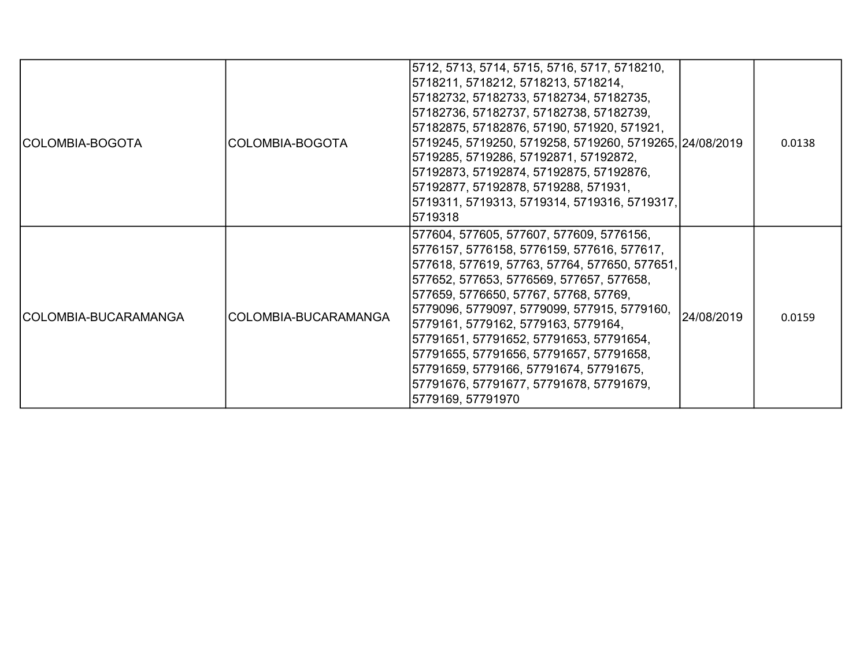| COLOMBIA-BOGOTA      | COLOMBIA-BOGOTA      | 5712, 5713, 5714, 5715, 5716, 5717, 5718210,<br>5718211, 5718212, 5718213, 5718214,<br>57182732, 57182733, 57182734, 57182735,<br>57182736, 57182737, 57182738, 57182739,<br>57182875, 57182876, 57190, 571920, 571921,<br>5719245, 5719250, 5719258, 5719260, 5719265, 24/08/2019<br>5719285, 5719286, 57192871, 57192872,<br>57192873, 57192874, 57192875, 57192876,<br>57192877, 57192878, 5719288, 571931,<br>5719311, 5719313, 5719314, 5719316, 5719317,<br>5719318                                          |            | 0.0138 |
|----------------------|----------------------|--------------------------------------------------------------------------------------------------------------------------------------------------------------------------------------------------------------------------------------------------------------------------------------------------------------------------------------------------------------------------------------------------------------------------------------------------------------------------------------------------------------------|------------|--------|
| COLOMBIA-BUCARAMANGA | COLOMBIA-BUCARAMANGA | 577604, 577605, 577607, 577609, 5776156,<br>5776157, 5776158, 5776159, 577616, 577617,<br>577618, 577619, 57763, 57764, 577650, 577651,<br>577652, 577653, 5776569, 577657, 577658,<br>577659, 5776650, 57767, 57768, 57769,<br>5779096, 5779097, 5779099, 577915, 5779160,<br>5779161, 5779162, 5779163, 5779164,<br>57791651, 57791652, 57791653, 57791654,<br>57791655, 57791656, 57791657, 57791658,<br>57791659, 5779166, 57791674, 57791675,<br>57791676, 57791677, 57791678, 57791679,<br>5779169, 57791970 | 24/08/2019 | 0.0159 |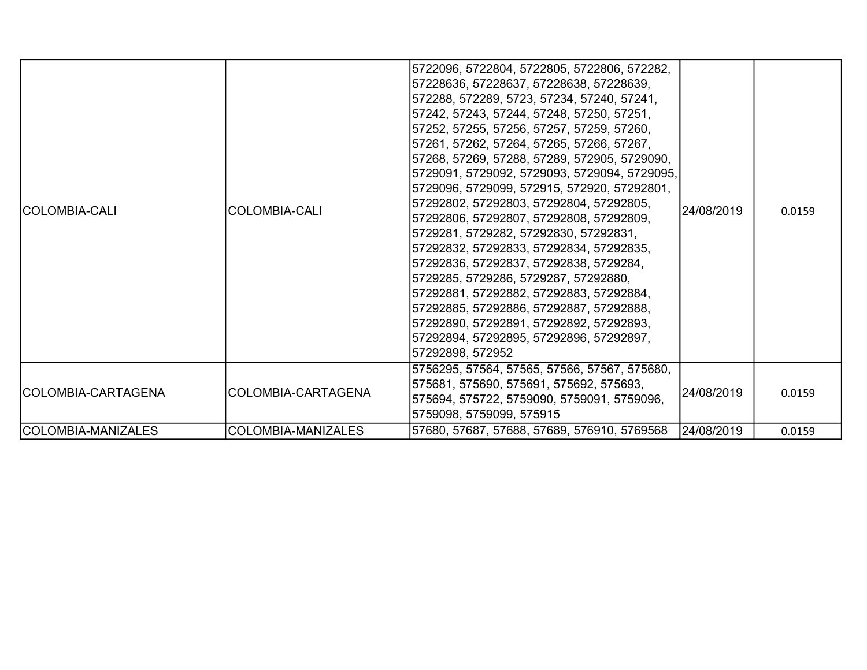| COLOMBIA-CALI      | <b>COLOMBIA-CALI</b> | 5722096, 5722804, 5722805, 5722806, 572282,<br>57228636, 57228637, 57228638, 57228639,<br>572288, 572289, 5723, 57234, 57240, 57241,<br>57242, 57243, 57244, 57248, 57250, 57251,<br>57252, 57255, 57256, 57257, 57259, 57260,<br>57261, 57262, 57264, 57265, 57266, 57267,<br>57268, 57269, 57288, 57289, 572905, 5729090,<br>5729091, 5729092, 5729093, 5729094, 5729095,<br>5729096, 5729099, 572915, 572920, 57292801,<br>57292802, 57292803, 57292804, 57292805,<br>57292806, 57292807, 57292808, 57292809,<br>5729281, 5729282, 57292830, 57292831,<br>57292832, 57292833, 57292834, 57292835,<br>57292836, 57292837, 57292838, 5729284,<br>5729285, 5729286, 5729287, 57292880,<br>57292881, 57292882, 57292883, 57292884,<br>57292885, 57292886, 57292887, 57292888,<br>57292890, 57292891, 57292892, 57292893,<br>57292894, 57292895, 57292896, 57292897,<br>57292898, 572952 | 24/08/2019 | 0.0159 |
|--------------------|----------------------|----------------------------------------------------------------------------------------------------------------------------------------------------------------------------------------------------------------------------------------------------------------------------------------------------------------------------------------------------------------------------------------------------------------------------------------------------------------------------------------------------------------------------------------------------------------------------------------------------------------------------------------------------------------------------------------------------------------------------------------------------------------------------------------------------------------------------------------------------------------------------------------|------------|--------|
| COLOMBIA-CARTAGENA | COLOMBIA-CARTAGENA   | 5756295, 57564, 57565, 57566, 57567, 575680,<br>575681, 575690, 575691, 575692, 575693,<br>575694, 575722, 5759090, 5759091, 5759096,<br>5759098, 5759099, 575915                                                                                                                                                                                                                                                                                                                                                                                                                                                                                                                                                                                                                                                                                                                      | 24/08/2019 | 0.0159 |
| COLOMBIA-MANIZALES | COLOMBIA-MANIZALES   | 57680, 57687, 57688, 57689, 576910, 5769568                                                                                                                                                                                                                                                                                                                                                                                                                                                                                                                                                                                                                                                                                                                                                                                                                                            | 24/08/2019 | 0.0159 |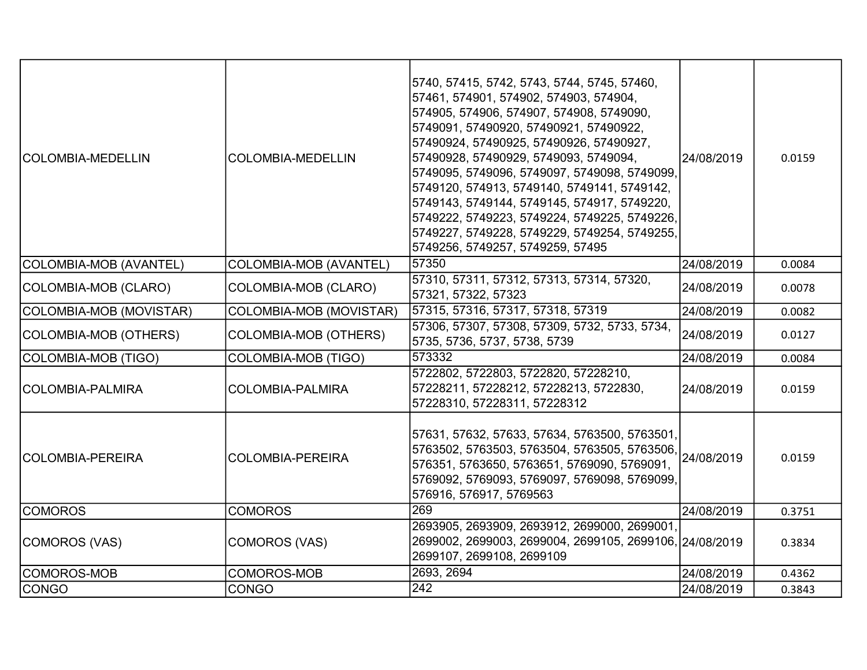| COLOMBIA-MEDELLIN       | <b>COLOMBIA-MEDELLIN</b>     | 5740, 57415, 5742, 5743, 5744, 5745, 57460,<br>57461, 574901, 574902, 574903, 574904,<br>574905, 574906, 574907, 574908, 5749090,<br>5749091, 57490920, 57490921, 57490922,<br>57490924, 57490925, 57490926, 57490927,<br>57490928, 57490929, 5749093, 5749094,<br>5749095, 5749096, 5749097, 5749098, 5749099,<br>5749120, 574913, 5749140, 5749141, 5749142,<br>5749143, 5749144, 5749145, 574917, 5749220,<br>5749222, 5749223, 5749224, 5749225, 5749226,<br>5749227, 5749228, 5749229, 5749254, 5749255,<br>5749256, 5749257, 5749259, 57495 | 24/08/2019 | 0.0159 |
|-------------------------|------------------------------|---------------------------------------------------------------------------------------------------------------------------------------------------------------------------------------------------------------------------------------------------------------------------------------------------------------------------------------------------------------------------------------------------------------------------------------------------------------------------------------------------------------------------------------------------|------------|--------|
| COLOMBIA-MOB (AVANTEL)  | COLOMBIA-MOB (AVANTEL)       | 57350                                                                                                                                                                                                                                                                                                                                                                                                                                                                                                                                             | 24/08/2019 | 0.0084 |
| COLOMBIA-MOB (CLARO)    | COLOMBIA-MOB (CLARO)         | 57310, 57311, 57312, 57313, 57314, 57320,<br>57321, 57322, 57323                                                                                                                                                                                                                                                                                                                                                                                                                                                                                  | 24/08/2019 | 0.0078 |
| COLOMBIA-MOB (MOVISTAR) | COLOMBIA-MOB (MOVISTAR)      | 57315, 57316, 57317, 57318, 57319                                                                                                                                                                                                                                                                                                                                                                                                                                                                                                                 | 24/08/2019 | 0.0082 |
| COLOMBIA-MOB (OTHERS)   | <b>COLOMBIA-MOB (OTHERS)</b> | 57306, 57307, 57308, 57309, 5732, 5733, 5734,<br>5735, 5736, 5737, 5738, 5739                                                                                                                                                                                                                                                                                                                                                                                                                                                                     | 24/08/2019 | 0.0127 |
| COLOMBIA-MOB (TIGO)     | <b>COLOMBIA-MOB (TIGO)</b>   | 573332                                                                                                                                                                                                                                                                                                                                                                                                                                                                                                                                            | 24/08/2019 | 0.0084 |
| COLOMBIA-PALMIRA        | <b>COLOMBIA-PALMIRA</b>      | 5722802, 5722803, 5722820, 57228210,<br>57228211, 57228212, 57228213, 5722830,<br>57228310, 57228311, 57228312                                                                                                                                                                                                                                                                                                                                                                                                                                    | 24/08/2019 | 0.0159 |
| COLOMBIA-PEREIRA        | <b>COLOMBIA-PEREIRA</b>      | 57631, 57632, 57633, 57634, 5763500, 5763501,<br>5763502, 5763503, 5763504, 5763505, 5763506, 24/08/2019<br>576351, 5763650, 5763651, 5769090, 5769091,<br>5769092, 5769093, 5769097, 5769098, 5769099,<br>576916, 576917, 5769563                                                                                                                                                                                                                                                                                                                |            | 0.0159 |
| <b>COMOROS</b>          | <b>COMOROS</b>               | 269                                                                                                                                                                                                                                                                                                                                                                                                                                                                                                                                               | 24/08/2019 | 0.3751 |
| COMOROS (VAS)           | COMOROS (VAS)                | 2693905, 2693909, 2693912, 2699000, 2699001,<br>2699002, 2699003, 2699004, 2699105, 2699106, 24/08/2019<br>2699107, 2699108, 2699109                                                                                                                                                                                                                                                                                                                                                                                                              |            | 0.3834 |
| COMOROS-MOB             | COMOROS-MOB                  | 2693, 2694                                                                                                                                                                                                                                                                                                                                                                                                                                                                                                                                        | 24/08/2019 | 0.4362 |
| <b>CONGO</b>            | <b>CONGO</b>                 | $\overline{242}$                                                                                                                                                                                                                                                                                                                                                                                                                                                                                                                                  | 24/08/2019 | 0.3843 |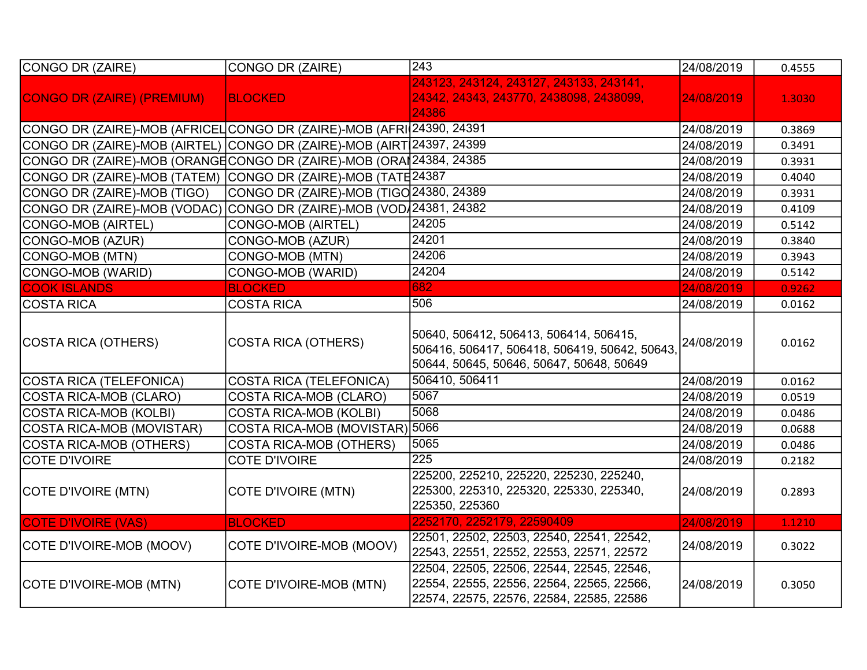| CONGO DR (ZAIRE)                                                      | CONGO DR (ZAIRE)                        | 243                                                                                                                                            | 24/08/2019 | 0.4555 |
|-----------------------------------------------------------------------|-----------------------------------------|------------------------------------------------------------------------------------------------------------------------------------------------|------------|--------|
| <b>CONGO DR (ZAIRE) (PREMIUM)</b>                                     | <b>BLOCKED</b>                          | 243123, 243124, 243127, 243133, 243141,<br>24342, 24343, 243770, 2438098, 2438099,<br>24386                                                    | 24/08/2019 | 1.3030 |
| CONGO DR (ZAIRE)-MOB (AFRICEL CONGO DR (ZAIRE)-MOB (AFRI 24390, 24391 |                                         |                                                                                                                                                | 24/08/2019 | 0.3869 |
| CONGO DR (ZAIRE)-MOB (AIRTEL) CONGO DR (ZAIRE)-MOB (AIRT 24397, 24399 |                                         |                                                                                                                                                | 24/08/2019 | 0.3491 |
| CONGO DR (ZAIRE)-MOB (ORANGE CONGO DR (ZAIRE)-MOB (ORAI 24384, 24385  |                                         |                                                                                                                                                | 24/08/2019 | 0.3931 |
| CONGO DR (ZAIRE)-MOB (TATEM)                                          | CONGO DR (ZAIRE)-MOB (TATE 24387        |                                                                                                                                                | 24/08/2019 | 0.4040 |
| CONGO DR (ZAIRE)-MOB (TIGO)                                           | CONGO DR (ZAIRE)-MOB (TIGO 24380, 24389 |                                                                                                                                                | 24/08/2019 | 0.3931 |
| CONGO DR (ZAIRE)-MOB (VODAC)                                          | CONGO DR (ZAIRE)-MOB (VOD 24381, 24382  |                                                                                                                                                | 24/08/2019 | 0.4109 |
| CONGO-MOB (AIRTEL)                                                    | CONGO-MOB (AIRTEL)                      | 24205                                                                                                                                          | 24/08/2019 | 0.5142 |
| CONGO-MOB (AZUR)                                                      | CONGO-MOB (AZUR)                        | 24201                                                                                                                                          | 24/08/2019 | 0.3840 |
| CONGO-MOB (MTN)                                                       | CONGO-MOB (MTN)                         | 24206                                                                                                                                          | 24/08/2019 | 0.3943 |
| CONGO-MOB (WARID)                                                     | CONGO-MOB (WARID)                       | 24204                                                                                                                                          | 24/08/2019 | 0.5142 |
| <b>COOK ISLANDS</b>                                                   | <b>BLOCKED</b>                          | 682                                                                                                                                            | 24/08/2019 | 0.9262 |
| <b>COSTA RICA</b>                                                     | <b>COSTA RICA</b>                       | 506                                                                                                                                            | 24/08/2019 | 0.0162 |
| COSTA RICA (OTHERS)                                                   | <b>COSTA RICA (OTHERS)</b>              | 50640, 506412, 506413, 506414, 506415,<br>506416, 506417, 506418, 506419, 50642, 50643, 24/08/2019<br>50644, 50645, 50646, 50647, 50648, 50649 |            | 0.0162 |
| COSTA RICA (TELEFONICA)                                               | <b>COSTA RICA (TELEFONICA)</b>          | 506410, 506411                                                                                                                                 | 24/08/2019 | 0.0162 |
| COSTA RICA-MOB (CLARO)                                                | <b>COSTA RICA-MOB (CLARO)</b>           | 5067                                                                                                                                           | 24/08/2019 | 0.0519 |
| <b>COSTA RICA-MOB (KOLBI)</b>                                         | <b>COSTA RICA-MOB (KOLBI)</b>           | 5068                                                                                                                                           | 24/08/2019 | 0.0486 |
| COSTA RICA-MOB (MOVISTAR)                                             | COSTA RICA-MOB (MOVISTAR) 5066          |                                                                                                                                                | 24/08/2019 | 0.0688 |
| COSTA RICA-MOB (OTHERS)                                               | <b>COSTA RICA-MOB (OTHERS)</b>          | 5065                                                                                                                                           | 24/08/2019 | 0.0486 |
| <b>COTE D'IVOIRE</b>                                                  | <b>COTE D'IVOIRE</b>                    | 225                                                                                                                                            | 24/08/2019 | 0.2182 |
| COTE D'IVOIRE (MTN)                                                   | <b>COTE D'IVOIRE (MTN)</b>              | 225200, 225210, 225220, 225230, 225240,<br>225300, 225310, 225320, 225330, 225340,<br>225350, 225360                                           | 24/08/2019 | 0.2893 |
| <b>COTE D'IVOIRE (VAS)</b>                                            | <b>BLOCKED</b>                          | 2252170, 2252179, 22590409                                                                                                                     | 24/08/2019 | 1.1210 |
| COTE D'IVOIRE-MOB (MOOV)                                              | COTE D'IVOIRE-MOB (MOOV)                | 22501, 22502, 22503, 22540, 22541, 22542,<br>22543, 22551, 22552, 22553, 22571, 22572                                                          | 24/08/2019 | 0.3022 |
| COTE D'IVOIRE-MOB (MTN)                                               | COTE D'IVOIRE-MOB (MTN)                 | 22504, 22505, 22506, 22544, 22545, 22546,<br>22554, 22555, 22556, 22564, 22565, 22566,<br>22574, 22575, 22576, 22584, 22585, 22586             | 24/08/2019 | 0.3050 |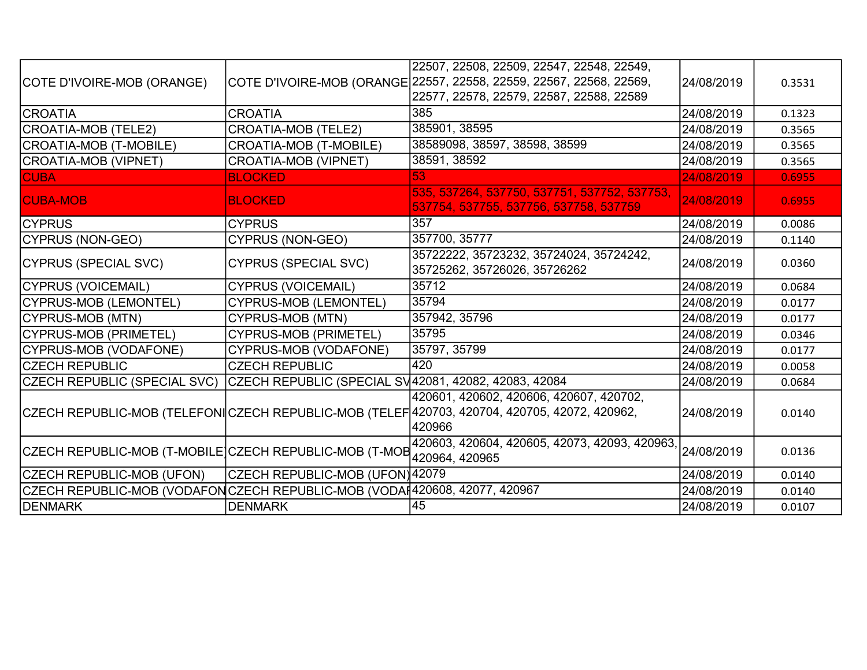|                                                                            |                                                      | 22507, 22508, 22509, 22547, 22548, 22549,                                                                                                         |            |        |
|----------------------------------------------------------------------------|------------------------------------------------------|---------------------------------------------------------------------------------------------------------------------------------------------------|------------|--------|
|                                                                            |                                                      |                                                                                                                                                   | 24/08/2019 |        |
| COTE D'IVOIRE-MOB (ORANGE)                                                 |                                                      | COTE D'IVOIRE-MOB (ORANGE 22557, 22558, 22559, 22567, 22568, 22569,<br>22577, 22578, 22579, 22587, 22588, 22589                                   |            | 0.3531 |
|                                                                            |                                                      |                                                                                                                                                   |            |        |
| <b>CROATIA</b>                                                             | <b>CROATIA</b>                                       | 385                                                                                                                                               | 24/08/2019 | 0.1323 |
| CROATIA-MOB (TELE2)                                                        | <b>CROATIA-MOB (TELE2)</b>                           | 385901, 38595                                                                                                                                     | 24/08/2019 | 0.3565 |
| CROATIA-MOB (T-MOBILE)                                                     | <b>CROATIA-MOB (T-MOBILE)</b>                        | 38589098, 38597, 38598, 38599                                                                                                                     | 24/08/2019 | 0.3565 |
| CROATIA-MOB (VIPNET)                                                       | <b>CROATIA-MOB (VIPNET)</b>                          | 38591, 38592                                                                                                                                      | 24/08/2019 | 0.3565 |
| <b>CUBA</b>                                                                | <b>BLOCKED</b>                                       | 53                                                                                                                                                | 24/08/2019 | 0.6955 |
| <b>CUBA-MOB</b>                                                            | <b>BLOCKED</b>                                       | 535, 537264, 537750, 537751, 537752, 537753,<br>537754, 537755, 537756, 537758, 537759                                                            | 24/08/2019 | 0.6955 |
| <b>ICYPRUS</b>                                                             | <b>CYPRUS</b>                                        | 357                                                                                                                                               | 24/08/2019 | 0.0086 |
| CYPRUS (NON-GEO)                                                           | <b>CYPRUS (NON-GEO)</b>                              | 357700, 35777                                                                                                                                     | 24/08/2019 | 0.1140 |
| CYPRUS (SPECIAL SVC)                                                       | <b>CYPRUS (SPECIAL SVC)</b>                          | 35722222, 35723232, 35724024, 35724242,<br>35725262, 35726026, 35726262                                                                           | 24/08/2019 | 0.0360 |
| CYPRUS (VOICEMAIL)                                                         | <b>CYPRUS (VOICEMAIL)</b>                            | 35712                                                                                                                                             | 24/08/2019 | 0.0684 |
| CYPRUS-MOB (LEMONTEL)                                                      | <b>CYPRUS-MOB (LEMONTEL)</b>                         | 35794                                                                                                                                             | 24/08/2019 | 0.0177 |
| CYPRUS-MOB (MTN)                                                           | <b>CYPRUS-MOB (MTN)</b>                              | 357942, 35796                                                                                                                                     | 24/08/2019 | 0.0177 |
| CYPRUS-MOB (PRIMETEL)                                                      | <b>CYPRUS-MOB (PRIMETEL)</b>                         | 35795                                                                                                                                             | 24/08/2019 | 0.0346 |
| CYPRUS-MOB (VODAFONE)                                                      | CYPRUS-MOB (VODAFONE)                                | 35797, 35799                                                                                                                                      | 24/08/2019 | 0.0177 |
| <b>CZECH REPUBLIC</b>                                                      | <b>CZECH REPUBLIC</b>                                | 420                                                                                                                                               | 24/08/2019 | 0.0058 |
| CZECH REPUBLIC (SPECIAL SVC)                                               | CZECH REPUBLIC (SPECIAL SV42081, 42082, 42083, 42084 |                                                                                                                                                   | 24/08/2019 | 0.0684 |
|                                                                            |                                                      | 420601, 420602, 420606, 420607, 420702,<br>CZECH REPUBLIC-MOB (TELEFONICZECH REPUBLIC-MOB (TELEF 420703, 420704, 420705, 42072, 420962,<br>420966 | 24/08/2019 | 0.0140 |
| CZECH REPUBLIC-MOB (T-MOBILE CZECH REPUBLIC-MOB (T-MOB 120064, 420965      |                                                      | 420603, 420604, 420605, 42073, 42093, 420963, 24/08/2019                                                                                          |            | 0.0136 |
| CZECH REPUBLIC-MOB (UFON)                                                  | CZECH REPUBLIC-MOB (UFON)42079                       |                                                                                                                                                   | 24/08/2019 | 0.0140 |
| CZECH REPUBLIC-MOB (VODAFON CZECH REPUBLIC-MOB (VODA 420608, 42077, 420967 |                                                      |                                                                                                                                                   | 24/08/2019 | 0.0140 |
| DENMARK                                                                    | <b>DENMARK</b>                                       | 45                                                                                                                                                | 24/08/2019 | 0.0107 |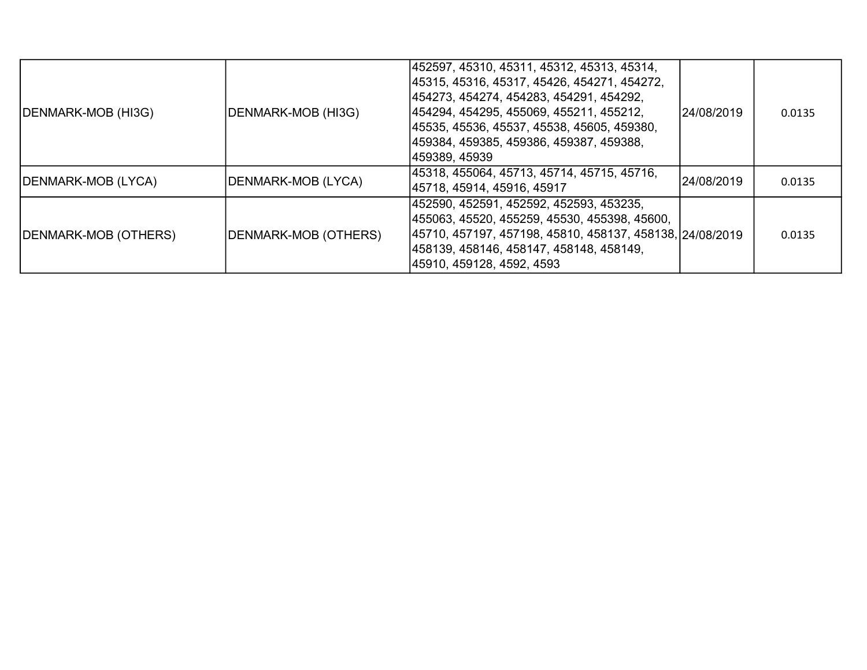| DENMARK-MOB (HI3G)   | DENMARK-MOB (HI3G)   | 452597, 45310, 45311, 45312, 45313, 45314,<br> 45315, 45316, 45317, 45426, 454271, 454272,<br> 454273, 454274, 454283, 454291, 454292,<br> 454294, 454295, 455069, 455211, 455212,<br> 45535, 45536, 45537, 45538, 45605, 459380,<br> 459384, 459385, 459386, 459387, 459388,<br> 459389, 45939 | l24/08/2019 | 0.0135 |
|----------------------|----------------------|-------------------------------------------------------------------------------------------------------------------------------------------------------------------------------------------------------------------------------------------------------------------------------------------------|-------------|--------|
| DENMARK-MOB (LYCA)   | DENMARK-MOB (LYCA)   | 45318, 455064, 45713, 45714, 45715, 45716,<br> 45718, 45914, 45916, 45917                                                                                                                                                                                                                       | 24/08/2019  | 0.0135 |
| DENMARK-MOB (OTHERS) | DENMARK-MOB (OTHERS) | 452590, 452591, 452592, 452593, 453235,<br> 455063, 45520, 455259, 45530, 455398, 45600,<br> 45710, 457197, 457198, 45810, 458137, 458138, 24/08/2019<br> 458139, 458146, 458147, 458148, 458149,<br>45910, 459128, 4592, 4593                                                                  |             | 0.0135 |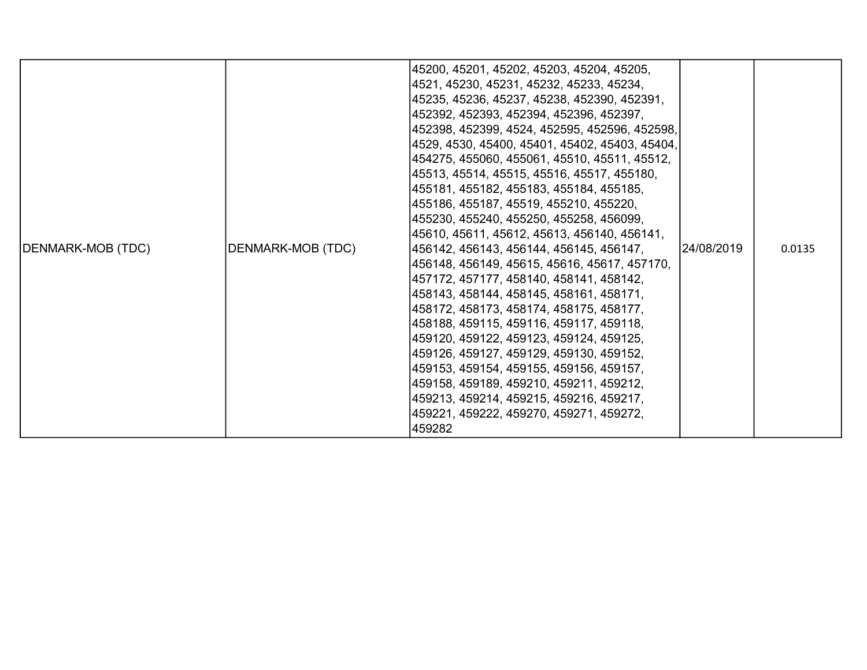| DENMARK-MOB (TDC) | DENMARK-MOB (TDC) | 45200, 45201, 45202, 45203, 45204, 45205,<br> 4521, 45230, 45231, 45232, 45233, 45234,<br> 45235, 45236, 45237, 45238, 452390, 452391,<br> 452392, 452393, 452394, 452396, 452397,<br> 452398, 452399, 4524, 452595, 452596, 452598,<br> 4529, 4530, 45400, 45401, 45402, 45403, 45404,<br> 454275, 455060, 455061, 45510, 45511, 45512,<br> 45513, 45514, 45515, 45516, 45517, 455180,<br> 455181, 455182, 455183, 455184, 455185,<br> 455186, 455187, 45519, 455210, 455220,<br> 455230, 455240, 455250, 455258, 456099,<br> 45610, 45611, 45612, 45613, 456140, 456141,<br> 456142, 456143, 456144, 456145, 456147,<br> 456148, 456149, 45615, 45616, 45617, 457170,<br> 457172, 457177, 458140, 458141, 458142,<br> 458143, 458144, 458145, 458161, 458171,<br> 458172, 458173, 458174, 458175, 458177,<br> 458188, 459115, 459116, 459117, 459118,<br> 459120, 459122, 459123, 459124, 459125,<br> 459126, 459127, 459129, 459130, 459152,<br> 459153, 459154, 459155, 459156, 459157,<br> 459158, 459189, 459210, 459211, 459212,<br> 459213, 459214, 459215, 459216, 459217,<br> 459221, 459222, 459270, 459271, 459272,<br>459282 | 24/08/2019 | 0.0135 |
|-------------------|-------------------|-------------------------------------------------------------------------------------------------------------------------------------------------------------------------------------------------------------------------------------------------------------------------------------------------------------------------------------------------------------------------------------------------------------------------------------------------------------------------------------------------------------------------------------------------------------------------------------------------------------------------------------------------------------------------------------------------------------------------------------------------------------------------------------------------------------------------------------------------------------------------------------------------------------------------------------------------------------------------------------------------------------------------------------------------------------------------------------------------------------------------------------------|------------|--------|
|-------------------|-------------------|-------------------------------------------------------------------------------------------------------------------------------------------------------------------------------------------------------------------------------------------------------------------------------------------------------------------------------------------------------------------------------------------------------------------------------------------------------------------------------------------------------------------------------------------------------------------------------------------------------------------------------------------------------------------------------------------------------------------------------------------------------------------------------------------------------------------------------------------------------------------------------------------------------------------------------------------------------------------------------------------------------------------------------------------------------------------------------------------------------------------------------------------|------------|--------|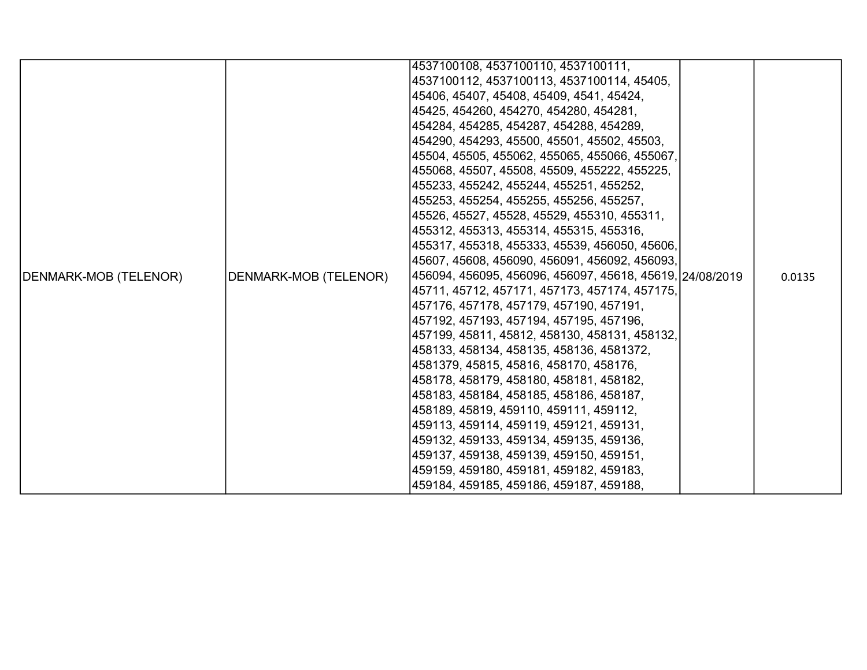|                       |                       | 4537100108, 4537100110, 4537100111,                      |  |        |
|-----------------------|-----------------------|----------------------------------------------------------|--|--------|
|                       |                       | 4537100112, 4537100113, 4537100114, 45405,               |  |        |
|                       |                       | 45406, 45407, 45408, 45409, 4541, 45424,                 |  |        |
|                       |                       | 45425, 454260, 454270, 454280, 454281,                   |  |        |
|                       |                       | 454284, 454285, 454287, 454288, 454289,                  |  |        |
|                       |                       | 454290, 454293, 45500, 45501, 45502, 45503,              |  |        |
|                       |                       | 45504, 45505, 455062, 455065, 455066, 455067,            |  |        |
|                       |                       | 455068, 45507, 45508, 45509, 455222, 455225,             |  |        |
|                       |                       | 455233, 455242, 455244, 455251, 455252,                  |  |        |
|                       |                       | 455253, 455254, 455255, 455256, 455257,                  |  | 0.0135 |
|                       |                       | 45526, 45527, 45528, 45529, 455310, 455311,              |  |        |
|                       |                       | 455312, 455313, 455314, 455315, 455316,                  |  |        |
|                       |                       | 455317, 455318, 455333, 45539, 456050, 45606,            |  |        |
|                       | DENMARK-MOB (TELENOR) | 45607, 45608, 456090, 456091, 456092, 456093,            |  |        |
| DENMARK-MOB (TELENOR) |                       | 456094, 456095, 456096, 456097, 45618, 45619, 24/08/2019 |  |        |
|                       |                       | 45711, 45712, 457171, 457173, 457174, 457175,            |  |        |
|                       |                       | 457176, 457178, 457179, 457190, 457191,                  |  |        |
|                       |                       | 457192, 457193, 457194, 457195, 457196,                  |  |        |
|                       |                       | 457199, 45811, 45812, 458130, 458131, 458132,            |  |        |
|                       |                       | 458133, 458134, 458135, 458136, 4581372,                 |  |        |
|                       |                       | 4581379, 45815, 45816, 458170, 458176,                   |  |        |
|                       |                       | 458178, 458179, 458180, 458181, 458182,                  |  |        |
|                       |                       | 458183, 458184, 458185, 458186, 458187,                  |  |        |
|                       |                       | 458189, 45819, 459110, 459111, 459112,                   |  |        |
|                       |                       | 459113, 459114, 459119, 459121, 459131,                  |  |        |
|                       |                       | 459132, 459133, 459134, 459135, 459136,                  |  |        |
|                       |                       | 459137, 459138, 459139, 459150, 459151,                  |  |        |
|                       |                       | 459159, 459180, 459181, 459182, 459183,                  |  |        |
|                       |                       | 459184, 459185, 459186, 459187, 459188,                  |  |        |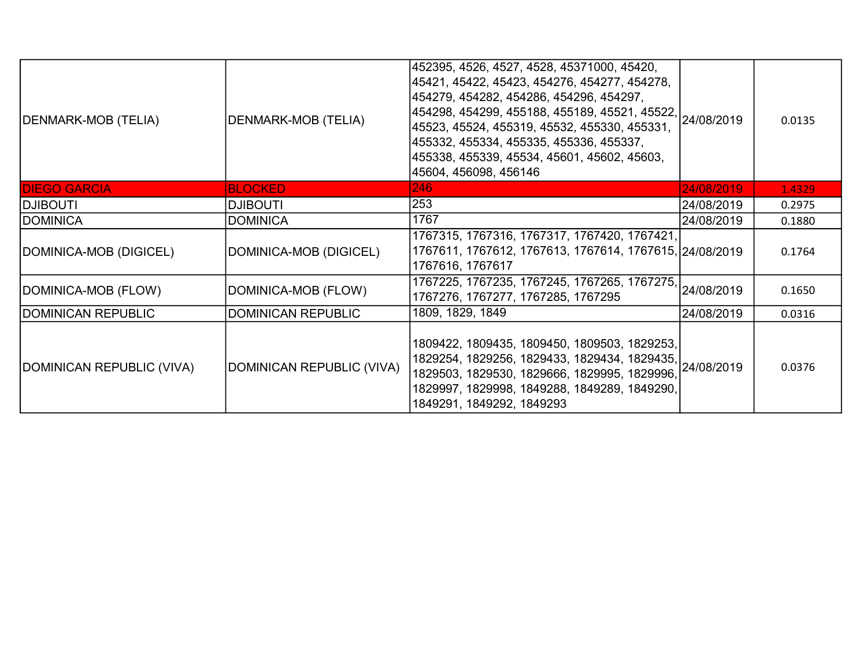| DENMARK-MOB (TELIA)       | <b>DENMARK-MOB (TELIA)</b> | 452395, 4526, 4527, 4528, 45371000, 45420,<br>45421, 45422, 45423, 454276, 454277, 454278,<br> 454279, 454282, 454286, 454296, 454297,<br>454298, 454299, 455188, 455189, 45521, 45522, 24/08/2019<br>45523, 45524, 455319, 45532, 455330, 455331,<br>455332, 455334, 455335, 455336, 455337,<br>455338, 455339, 45534, 45601, 45602, 45603,<br>45604, 456098, 456146 |            | 0.0135 |
|---------------------------|----------------------------|-----------------------------------------------------------------------------------------------------------------------------------------------------------------------------------------------------------------------------------------------------------------------------------------------------------------------------------------------------------------------|------------|--------|
| <b>DIEGO GARCIA</b>       | <b>BLOCKED</b>             | 246                                                                                                                                                                                                                                                                                                                                                                   | 24/08/2019 | 1.4329 |
| <b>ITUOBILG</b>           | <b>DJIBOUTI</b>            | 253                                                                                                                                                                                                                                                                                                                                                                   | 24/08/2019 | 0.2975 |
| <b>DOMINICA</b>           | <b>DOMINICA</b>            | 1767                                                                                                                                                                                                                                                                                                                                                                  | 24/08/2019 | 0.1880 |
| DOMINICA-MOB (DIGICEL)    | DOMINICA-MOB (DIGICEL)     | 1767315, 1767316, 1767317, 1767420, 1767421,<br>1767611, 1767612, 1767613, 1767614, 1767615, 24/08/2019<br>1767616, 1767617                                                                                                                                                                                                                                           |            | 0.1764 |
| DOMINICA-MOB (FLOW)       | DOMINICA-MOB (FLOW)        | 1767225, 1767235, 1767245, 1767265, 1767275,<br>1767276, 1767277, 1767285, 1767295                                                                                                                                                                                                                                                                                    | 24/08/2019 | 0.1650 |
| DOMINICAN REPUBLIC        | <b>DOMINICAN REPUBLIC</b>  | 1809, 1829, 1849                                                                                                                                                                                                                                                                                                                                                      | 24/08/2019 | 0.0316 |
| DOMINICAN REPUBLIC (VIVA) | DOMINICAN REPUBLIC (VIVA)  | 1809422, 1809435, 1809450, 1809503, 1829253,<br>1888122, 18881887.<br> 1829254, 1829256, 1829433, 1829434, 1829435, 24/08/2019<br>1829503, 1829530, 1829666, 1829995, 1829996,<br>1829997, 1829998, 1849288, 1849289, 1849290,<br>1849291, 1849292, 1849293                                                                                                           |            | 0.0376 |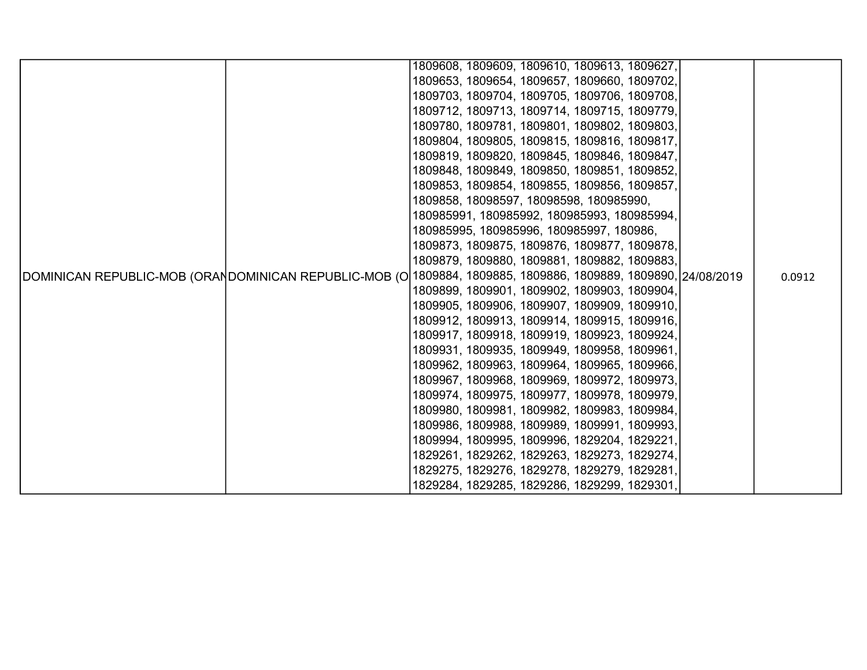|                                                                                                               | 1809608, 1809609, 1809610, 1809613, 1809627, |                                              |  |  |        |
|---------------------------------------------------------------------------------------------------------------|----------------------------------------------|----------------------------------------------|--|--|--------|
|                                                                                                               |                                              | 1809653, 1809654, 1809657, 1809660, 1809702, |  |  |        |
|                                                                                                               | 1809703, 1809704, 1809705, 1809706, 1809708, |                                              |  |  |        |
|                                                                                                               | 1809712, 1809713, 1809714, 1809715, 1809779, |                                              |  |  |        |
|                                                                                                               | 1809780, 1809781, 1809801, 1809802, 1809803, |                                              |  |  |        |
|                                                                                                               | 1809804, 1809805, 1809815, 1809816, 1809817, |                                              |  |  |        |
|                                                                                                               | 1809819, 1809820, 1809845, 1809846, 1809847, |                                              |  |  |        |
|                                                                                                               | 1809848, 1809849, 1809850, 1809851, 1809852, |                                              |  |  |        |
|                                                                                                               | 1809853, 1809854, 1809855, 1809856, 1809857, |                                              |  |  |        |
|                                                                                                               | 1809858, 18098597, 18098598, 180985990,      |                                              |  |  |        |
|                                                                                                               |                                              | 180985991, 180985992, 180985993, 180985994,  |  |  |        |
|                                                                                                               | 180985995, 180985996, 180985997, 180986,     |                                              |  |  |        |
|                                                                                                               |                                              | 1809873, 1809875, 1809876, 1809877, 1809878, |  |  |        |
|                                                                                                               | 1809879, 1809880, 1809881, 1809882, 1809883, |                                              |  |  |        |
| DOMINICAN REPUBLIC-MOB (ORANDOMINICAN REPUBLIC-MOB (O∣1809884, 1809885, 1809886, 1809889, 1809890, 24/08/2019 |                                              |                                              |  |  | 0.0912 |
|                                                                                                               | 1809899, 1809901, 1809902, 1809903, 1809904, |                                              |  |  |        |
|                                                                                                               | 1809905, 1809906, 1809907, 1809909, 1809910, |                                              |  |  |        |
|                                                                                                               | 1809912, 1809913, 1809914, 1809915, 1809916, |                                              |  |  |        |
|                                                                                                               | 1809917, 1809918, 1809919, 1809923, 1809924, |                                              |  |  |        |
|                                                                                                               | 1809931, 1809935, 1809949, 1809958, 1809961, |                                              |  |  |        |
|                                                                                                               | 1809962, 1809963, 1809964, 1809965, 1809966, |                                              |  |  |        |
|                                                                                                               | 1809967, 1809968, 1809969, 1809972, 1809973, |                                              |  |  |        |
|                                                                                                               | 1809974, 1809975, 1809977, 1809978, 1809979, |                                              |  |  |        |
|                                                                                                               |                                              | 1809980, 1809981, 1809982, 1809983, 1809984, |  |  |        |
|                                                                                                               | 1809986, 1809988, 1809989, 1809991, 1809993, |                                              |  |  |        |
|                                                                                                               | 1809994, 1809995, 1809996, 1829204, 1829221, |                                              |  |  |        |
|                                                                                                               | 1829261, 1829262, 1829263, 1829273, 1829274, |                                              |  |  |        |
|                                                                                                               | 1829275, 1829276, 1829278, 1829279, 1829281, |                                              |  |  |        |
|                                                                                                               | 1829284, 1829285, 1829286, 1829299, 1829301, |                                              |  |  |        |
|                                                                                                               |                                              |                                              |  |  |        |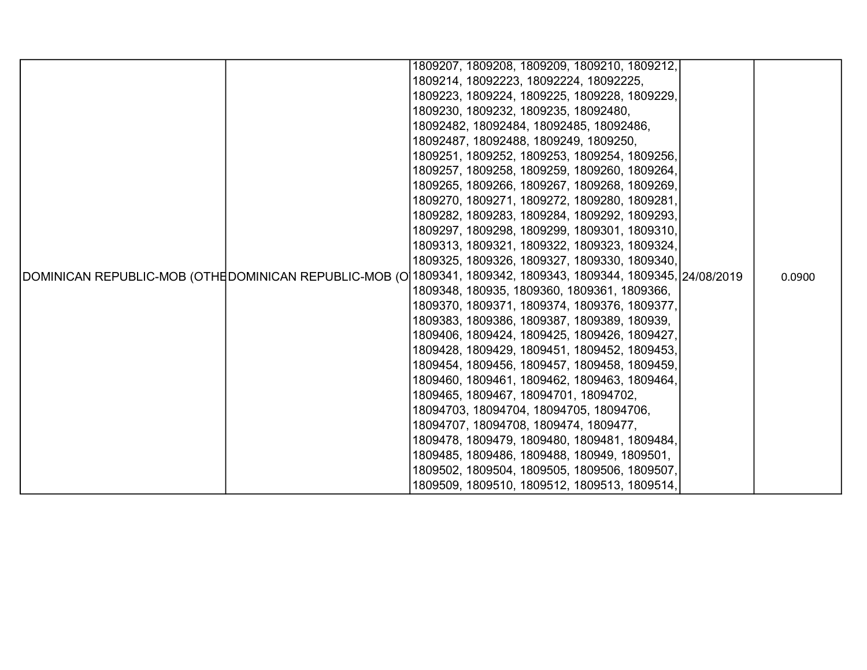|                                                                                                                |  | 1809207, 1809208, 1809209, 1809210, 1809212, |  |  |        |
|----------------------------------------------------------------------------------------------------------------|--|----------------------------------------------|--|--|--------|
|                                                                                                                |  | 1809214, 18092223, 18092224, 18092225,       |  |  |        |
|                                                                                                                |  | 1809223, 1809224, 1809225, 1809228, 1809229, |  |  |        |
|                                                                                                                |  | 1809230, 1809232, 1809235, 18092480,         |  |  |        |
|                                                                                                                |  | 18092482, 18092484, 18092485, 18092486,      |  |  |        |
|                                                                                                                |  | 18092487, 18092488, 1809249, 1809250,        |  |  |        |
|                                                                                                                |  | 1809251, 1809252, 1809253, 1809254, 1809256, |  |  |        |
|                                                                                                                |  | 1809257, 1809258, 1809259, 1809260, 1809264, |  |  |        |
|                                                                                                                |  | 1809265, 1809266, 1809267, 1809268, 1809269, |  |  |        |
|                                                                                                                |  | 1809270, 1809271, 1809272, 1809280, 1809281, |  |  |        |
|                                                                                                                |  | 1809282, 1809283, 1809284, 1809292, 1809293, |  |  |        |
|                                                                                                                |  | 1809297, 1809298, 1809299, 1809301, 1809310, |  |  |        |
|                                                                                                                |  | 1809313, 1809321, 1809322, 1809323, 1809324, |  |  |        |
|                                                                                                                |  | 1809325, 1809326, 1809327, 1809330, 1809340, |  |  |        |
| DOMINICAN REPUBLIC-MOB (OTHE DOMINICAN REPUBLIC-MOB (O 1809341, 1809342, 1809343, 1809344, 1809345, 24/08/2019 |  |                                              |  |  | 0.0900 |
|                                                                                                                |  | 1809348, 180935, 1809360, 1809361, 1809366,  |  |  |        |
|                                                                                                                |  | 1809370, 1809371, 1809374, 1809376, 1809377, |  |  |        |
|                                                                                                                |  | 1809383, 1809386, 1809387, 1809389, 180939,  |  |  |        |
|                                                                                                                |  | 1809406, 1809424, 1809425, 1809426, 1809427, |  |  |        |
|                                                                                                                |  | 1809428, 1809429, 1809451, 1809452, 1809453, |  |  |        |
|                                                                                                                |  | 1809454, 1809456, 1809457, 1809458, 1809459, |  |  |        |
|                                                                                                                |  | 1809460, 1809461, 1809462, 1809463, 1809464, |  |  |        |
|                                                                                                                |  | 1809465, 1809467, 18094701, 18094702,        |  |  |        |
|                                                                                                                |  | 18094703, 18094704, 18094705, 18094706,      |  |  |        |
|                                                                                                                |  | 18094707, 18094708, 1809474, 1809477,        |  |  |        |
|                                                                                                                |  | 1809478, 1809479, 1809480, 1809481, 1809484, |  |  |        |
|                                                                                                                |  | 1809485, 1809486, 1809488, 180949, 1809501,  |  |  |        |
|                                                                                                                |  | 1809502, 1809504, 1809505, 1809506, 1809507, |  |  |        |
|                                                                                                                |  | 1809509, 1809510, 1809512, 1809513, 1809514, |  |  |        |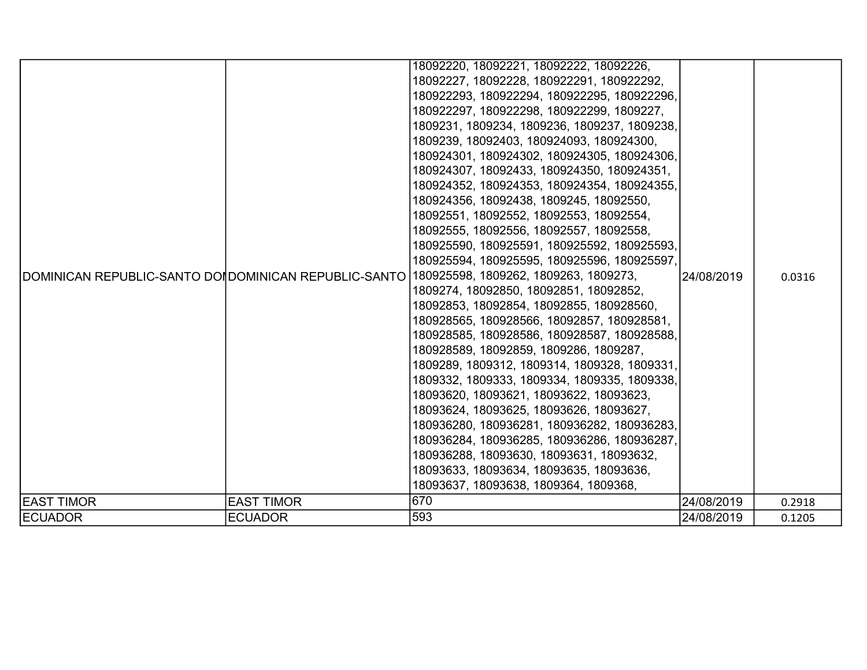|                   |                   | 18092220, 18092221, 18092222, 18092226,                                                     |            |        |
|-------------------|-------------------|---------------------------------------------------------------------------------------------|------------|--------|
|                   |                   | 18092227, 18092228, 180922291, 180922292,                                                   |            |        |
|                   |                   | 180922293, 180922294, 180922295, 180922296,                                                 |            |        |
|                   |                   | 180922297, 180922298, 180922299, 1809227,                                                   |            |        |
|                   |                   | 1809231, 1809234, 1809236, 1809237, 1809238,                                                |            |        |
|                   |                   | 1809239, 18092403, 180924093, 180924300,                                                    |            |        |
|                   |                   | 180924301, 180924302, 180924305, 180924306,                                                 |            |        |
|                   |                   | 180924307, 18092433, 180924350, 180924351,                                                  |            |        |
|                   |                   | 180924352, 180924353, 180924354, 180924355,                                                 |            |        |
|                   |                   | 180924356, 18092438, 1809245, 18092550,                                                     |            |        |
|                   |                   | 18092551, 18092552, 18092553, 18092554,                                                     |            |        |
|                   |                   | 18092555, 18092556, 18092557, 18092558,                                                     |            |        |
|                   |                   | 180925590, 180925591, 180925592, 180925593,                                                 | 24/08/2019 |        |
|                   |                   | 180925594, 180925595, 180925596, 180925597,                                                 |            |        |
|                   |                   | DOMINICAN REPUBLIC-SANTO DOI DOMINICAN REPUBLIC-SANTO 180925598, 1809262, 1809263, 1809273, |            | 0.0316 |
|                   |                   | 1809274, 18092850, 18092851, 18092852,                                                      |            |        |
|                   |                   | 18092853, 18092854, 18092855, 180928560,                                                    |            |        |
|                   |                   | 180928565, 180928566, 18092857, 180928581,                                                  |            |        |
|                   |                   | 180928585, 180928586, 180928587, 180928588,                                                 |            |        |
|                   |                   | 180928589, 18092859, 1809286, 1809287,                                                      |            |        |
|                   |                   | 1809289, 1809312, 1809314, 1809328, 1809331,                                                |            |        |
|                   |                   | 1809332, 1809333, 1809334, 1809335, 1809338,                                                |            |        |
|                   |                   | 18093620, 18093621, 18093622, 18093623,                                                     |            |        |
|                   |                   | 18093624, 18093625, 18093626, 18093627,                                                     |            |        |
|                   |                   | 180936280, 180936281, 180936282, 180936283,                                                 |            |        |
|                   |                   | 180936284, 180936285, 180936286, 180936287,                                                 |            |        |
|                   |                   | 180936288, 18093630, 18093631, 18093632,                                                    |            |        |
|                   |                   | 18093633, 18093634, 18093635, 18093636,                                                     |            |        |
|                   |                   | 18093637, 18093638, 1809364, 1809368,                                                       |            |        |
| <b>EAST TIMOR</b> | <b>EAST TIMOR</b> | 670                                                                                         | 24/08/2019 | 0.2918 |
| <b>ECUADOR</b>    | <b>ECUADOR</b>    | 593                                                                                         | 24/08/2019 | 0.1205 |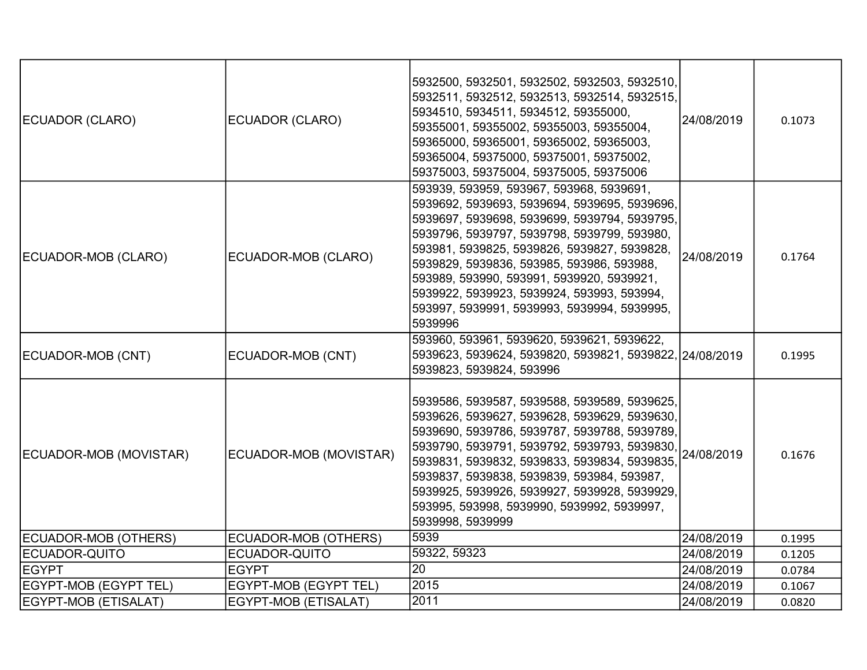| ECUADOR (CLARO)              | ECUADOR (CLARO)              | 5932500, 5932501, 5932502, 5932503, 5932510,<br>5932511, 5932512, 5932513, 5932514, 5932515,<br>5934510, 5934511, 5934512, 59355000,<br>59355001, 59355002, 59355003, 59355004,<br>59365000, 59365001, 59365002, 59365003,<br>59365004, 59375000, 59375001, 59375002,<br>59375003, 59375004, 59375005, 59375006                                                                                                                          | 24/08/2019 | 0.1073 |
|------------------------------|------------------------------|------------------------------------------------------------------------------------------------------------------------------------------------------------------------------------------------------------------------------------------------------------------------------------------------------------------------------------------------------------------------------------------------------------------------------------------|------------|--------|
| ECUADOR-MOB (CLARO)          | ECUADOR-MOB (CLARO)          | 593939, 593959, 593967, 593968, 5939691,<br>5939692, 5939693, 5939694, 5939695, 5939696,<br>5939697, 5939698, 5939699, 5939794, 5939795,<br>5939796, 5939797, 5939798, 5939799, 593980,<br>593981, 5939825, 5939826, 5939827, 5939828,<br>5939829, 5939836, 593985, 593986, 593988,<br>593989, 593990, 593991, 5939920, 5939921,<br>5939922, 5939923, 5939924, 593993, 593994,<br>593997, 5939991, 5939993, 5939994, 5939995,<br>5939996 | 24/08/2019 | 0.1764 |
| ECUADOR-MOB (CNT)            | ECUADOR-MOB (CNT)            | 593960, 593961, 5939620, 5939621, 5939622,<br>5939623, 5939624, 5939820, 5939821, 5939822, 24/08/2019<br>5939823, 5939824, 593996                                                                                                                                                                                                                                                                                                        |            | 0.1995 |
| ECUADOR-MOB (MOVISTAR)       | ECUADOR-MOB (MOVISTAR)       | 5939586, 5939587, 5939588, 5939589, 5939625,<br>5939626, 5939627, 5939628, 5939629, 5939630,<br>5939690, 5939786, 5939787, 5939788, 5939789,<br>5939790, 5939791, 5939792, 5939793, 5939830, 24/08/2019<br>5939831, 5939832, 5939833, 5939834, 5939835,<br>5939837, 5939838, 5939839, 593984, 593987,<br>5939925, 5939926, 5939927, 5939928, 5939929,<br>593995, 593998, 5939990, 5939992, 5939997,<br>5939998, 5939999                  |            | 0.1676 |
| ECUADOR-MOB (OTHERS)         | ECUADOR-MOB (OTHERS)         | 5939                                                                                                                                                                                                                                                                                                                                                                                                                                     | 24/08/2019 | 0.1995 |
| ECUADOR-QUITO                | ECUADOR-QUITO                | 59322, 59323                                                                                                                                                                                                                                                                                                                                                                                                                             | 24/08/2019 | 0.1205 |
| <b>EGYPT</b>                 | <b>EGYPT</b>                 | 20                                                                                                                                                                                                                                                                                                                                                                                                                                       | 24/08/2019 | 0.0784 |
| <b>EGYPT-MOB (EGYPT TEL)</b> | <b>EGYPT-MOB (EGYPT TEL)</b> | 2015                                                                                                                                                                                                                                                                                                                                                                                                                                     | 24/08/2019 | 0.1067 |
| EGYPT-MOB (ETISALAT)         | EGYPT-MOB (ETISALAT)         | 2011                                                                                                                                                                                                                                                                                                                                                                                                                                     | 24/08/2019 | 0.0820 |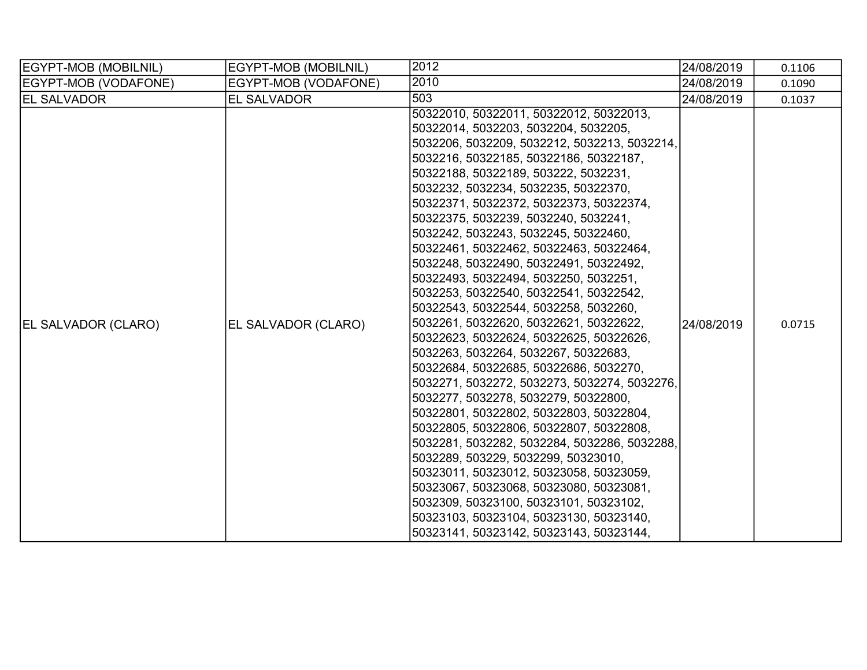| EGYPT-MOB (MOBILNIL)       | EGYPT-MOB (MOBILNIL) | 2012                                         | 24/08/2019 | 0.1106 |
|----------------------------|----------------------|----------------------------------------------|------------|--------|
| EGYPT-MOB (VODAFONE)       | EGYPT-MOB (VODAFONE) | 2010                                         | 24/08/2019 | 0.1090 |
| <b>EL SALVADOR</b>         | <b>EL SALVADOR</b>   | 503                                          | 24/08/2019 | 0.1037 |
|                            |                      | 50322010, 50322011, 50322012, 50322013,      |            |        |
|                            |                      | 50322014, 5032203, 5032204, 5032205,         |            |        |
|                            |                      | 5032206, 5032209, 5032212, 5032213, 5032214, |            |        |
|                            |                      | 5032216, 50322185, 50322186, 50322187,       |            |        |
|                            |                      | 50322188, 50322189, 503222, 5032231,         |            |        |
|                            |                      | 5032232, 5032234, 5032235, 50322370,         |            |        |
|                            |                      | 50322371, 50322372, 50322373, 50322374,      |            |        |
|                            |                      | 50322375, 5032239, 5032240, 5032241,         |            |        |
|                            |                      | 5032242, 5032243, 5032245, 50322460,         |            |        |
|                            |                      | 50322461, 50322462, 50322463, 50322464,      |            |        |
|                            | EL SALVADOR (CLARO)  | 5032248, 50322490, 50322491, 50322492,       |            |        |
|                            |                      | 50322493, 50322494, 5032250, 5032251,        |            |        |
|                            |                      | 5032253, 50322540, 50322541, 50322542,       |            |        |
|                            |                      | 50322543, 50322544, 5032258, 5032260,        |            |        |
| <b>EL SALVADOR (CLARO)</b> |                      | 5032261, 50322620, 50322621, 50322622,       | 24/08/2019 | 0.0715 |
|                            |                      | 50322623, 50322624, 50322625, 50322626,      |            |        |
|                            |                      | 5032263, 5032264, 5032267, 50322683,         |            |        |
|                            |                      | 50322684, 50322685, 50322686, 5032270,       |            |        |
|                            |                      | 5032271, 5032272, 5032273, 5032274, 5032276, |            |        |
|                            |                      | 5032277, 5032278, 5032279, 50322800,         |            |        |
|                            |                      | 50322801, 50322802, 50322803, 50322804,      |            |        |
|                            |                      | 50322805, 50322806, 50322807, 50322808,      |            |        |
|                            |                      | 5032281, 5032282, 5032284, 5032286, 5032288, |            |        |
|                            |                      | 5032289, 503229, 5032299, 50323010,          |            |        |
|                            |                      | 50323011, 50323012, 50323058, 50323059,      |            |        |
|                            |                      | 50323067, 50323068, 50323080, 50323081,      |            |        |
|                            |                      | 5032309, 50323100, 50323101, 50323102,       |            |        |
|                            |                      | 50323103, 50323104, 50323130, 50323140,      |            |        |
|                            |                      | 50323141, 50323142, 50323143, 50323144,      |            |        |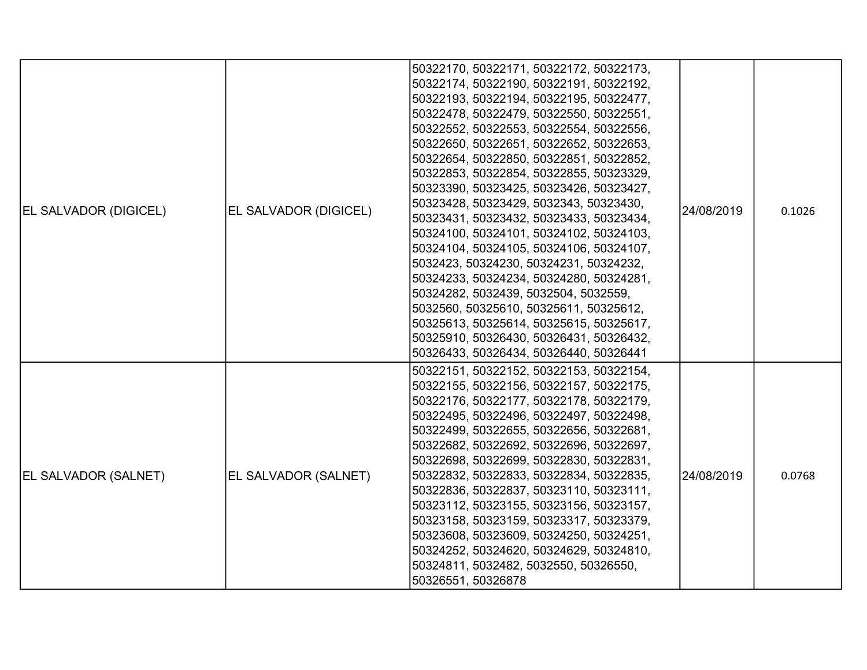| <b>EL SALVADOR (DIGICEL)</b> | EL SALVADOR (DIGICEL) | 50322170, 50322171, 50322172, 50322173,<br>50322174, 50322190, 50322191, 50322192,<br>50322193, 50322194, 50322195, 50322477,<br>50322478, 50322479, 50322550, 50322551,<br>50322552, 50322553, 50322554, 50322556,<br>50322650, 50322651, 50322652, 50322653,<br>50322654, 50322850, 50322851, 50322852,<br>50322853, 50322854, 50322855, 50323329,<br>50323390, 50323425, 50323426, 50323427,<br>50323428, 50323429, 5032343, 50323430,<br>50323431, 50323432, 50323433, 50323434,<br>50324100, 50324101, 50324102, 50324103,<br>50324104, 50324105, 50324106, 50324107,<br>5032423, 50324230, 50324231, 50324232,<br>50324233, 50324234, 50324280, 50324281,<br>50324282, 5032439, 5032504, 5032559,<br>5032560, 50325610, 50325611, 50325612,<br>50325613, 50325614, 50325615, 50325617,<br>50325910, 50326430, 50326431, 50326432, | 24/08/2019 | 0.1026 |
|------------------------------|-----------------------|-----------------------------------------------------------------------------------------------------------------------------------------------------------------------------------------------------------------------------------------------------------------------------------------------------------------------------------------------------------------------------------------------------------------------------------------------------------------------------------------------------------------------------------------------------------------------------------------------------------------------------------------------------------------------------------------------------------------------------------------------------------------------------------------------------------------------------------------|------------|--------|
| <b>EL SALVADOR (SALNET)</b>  | EL SALVADOR (SALNET)  | 50326433, 50326434, 50326440, 50326441<br>50322151, 50322152, 50322153, 50322154,<br>50322155, 50322156, 50322157, 50322175,<br>50322176, 50322177, 50322178, 50322179,<br>50322495, 50322496, 50322497, 50322498,<br>50322499, 50322655, 50322656, 50322681,<br>50322682, 50322692, 50322696, 50322697,<br>50322698, 50322699, 50322830, 50322831,<br>50322832, 50322833, 50322834, 50322835,<br>50322836, 50322837, 50323110, 50323111,<br>50323112, 50323155, 50323156, 50323157,<br>50323158, 50323159, 50323317, 50323379,<br>50323608, 50323609, 50324250, 50324251,<br>50324252, 50324620, 50324629, 50324810,<br>50324811, 5032482, 5032550, 50326550,<br>50326551, 50326878                                                                                                                                                    | 24/08/2019 | 0.0768 |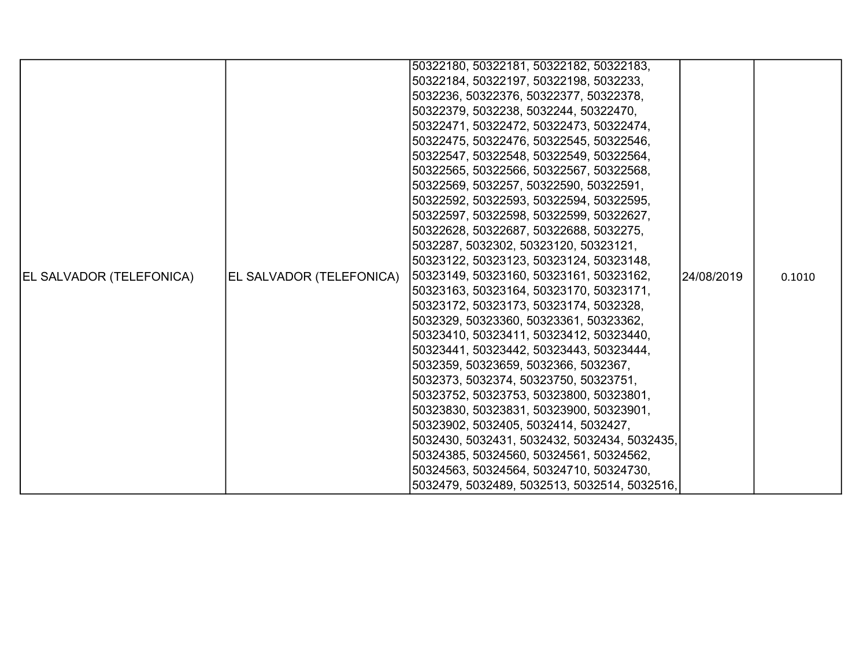|                                 |                          | 50322180, 50322181, 50322182, 50322183,      |            |        |
|---------------------------------|--------------------------|----------------------------------------------|------------|--------|
|                                 |                          | 50322184, 50322197, 50322198, 5032233,       |            |        |
|                                 |                          | 5032236, 50322376, 50322377, 50322378,       |            |        |
|                                 |                          | 50322379, 5032238, 5032244, 50322470,        |            |        |
|                                 |                          | 50322471, 50322472, 50322473, 50322474,      |            |        |
|                                 |                          | 50322475, 50322476, 50322545, 50322546,      |            |        |
|                                 |                          | 50322547, 50322548, 50322549, 50322564,      |            |        |
|                                 |                          | 50322565, 50322566, 50322567, 50322568,      |            |        |
|                                 |                          | 50322569, 5032257, 50322590, 50322591,       |            |        |
|                                 |                          | 50322592, 50322593, 50322594, 50322595,      | 24/08/2019 | 0.1010 |
|                                 |                          | 50322597, 50322598, 50322599, 50322627,      |            |        |
|                                 | EL SALVADOR (TELEFONICA) | 50322628, 50322687, 50322688, 5032275,       |            |        |
|                                 |                          | 5032287, 5032302, 50323120, 50323121,        |            |        |
|                                 |                          | 50323122, 50323123, 50323124, 50323148,      |            |        |
| <b>EL SALVADOR (TELEFONICA)</b> |                          | 50323149, 50323160, 50323161, 50323162,      |            |        |
|                                 |                          | 50323163, 50323164, 50323170, 50323171,      |            |        |
|                                 |                          | 50323172, 50323173, 50323174, 5032328,       |            |        |
|                                 |                          | 5032329, 50323360, 50323361, 50323362,       |            |        |
|                                 |                          | 50323410, 50323411, 50323412, 50323440,      |            |        |
|                                 |                          | 50323441, 50323442, 50323443, 50323444,      |            |        |
|                                 |                          | 5032359, 50323659, 5032366, 5032367,         |            |        |
|                                 |                          | 5032373, 5032374, 50323750, 50323751,        |            |        |
|                                 |                          | 50323752, 50323753, 50323800, 50323801,      |            |        |
|                                 |                          | 50323830, 50323831, 50323900, 50323901,      |            |        |
|                                 |                          | 50323902, 5032405, 5032414, 5032427,         |            |        |
|                                 |                          | 5032430, 5032431, 5032432, 5032434, 5032435, |            |        |
|                                 |                          | 50324385, 50324560, 50324561, 50324562,      |            |        |
|                                 |                          | 50324563, 50324564, 50324710, 50324730,      |            |        |
|                                 |                          | 5032479, 5032489, 5032513, 5032514, 5032516, |            |        |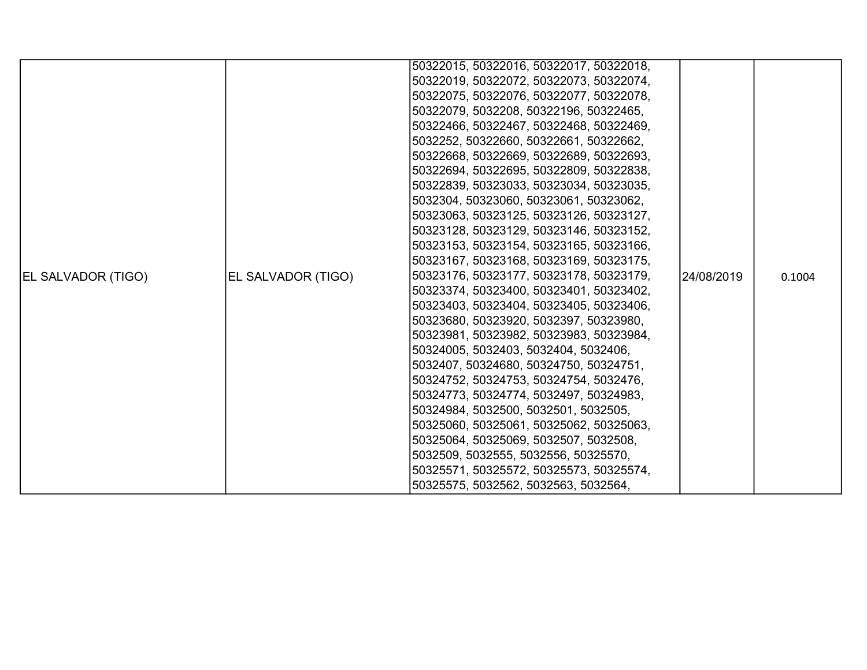|                    |                    | 50322015, 50322016, 50322017, 50322018, |            |        |
|--------------------|--------------------|-----------------------------------------|------------|--------|
|                    |                    |                                         |            |        |
|                    |                    | 50322019, 50322072, 50322073, 50322074, |            |        |
|                    |                    | 50322075, 50322076, 50322077, 50322078, |            |        |
|                    |                    | 50322079, 5032208, 50322196, 50322465,  |            |        |
|                    |                    | 50322466, 50322467, 50322468, 50322469, |            |        |
|                    |                    | 5032252, 50322660, 50322661, 50322662,  |            |        |
|                    |                    | 50322668, 50322669, 50322689, 50322693, |            |        |
|                    |                    | 50322694, 50322695, 50322809, 50322838, |            |        |
|                    |                    | 50322839, 50323033, 50323034, 50323035, |            |        |
|                    |                    | 5032304, 50323060, 50323061, 50323062,  |            |        |
|                    |                    | 50323063, 50323125, 50323126, 50323127, |            |        |
|                    |                    | 50323128, 50323129, 50323146, 50323152, |            |        |
|                    |                    | 50323153, 50323154, 50323165, 50323166, |            |        |
|                    |                    | 50323167, 50323168, 50323169, 50323175, |            |        |
| EL SALVADOR (TIGO) | EL SALVADOR (TIGO) | 50323176, 50323177, 50323178, 50323179, | 24/08/2019 | 0.1004 |
|                    |                    | 50323374, 50323400, 50323401, 50323402, |            |        |
|                    |                    | 50323403, 50323404, 50323405, 50323406, |            |        |
|                    |                    | 50323680, 50323920, 5032397, 50323980,  |            |        |
|                    |                    | 50323981, 50323982, 50323983, 50323984, |            |        |
|                    |                    | 50324005, 5032403, 5032404, 5032406,    |            |        |
|                    |                    | 5032407, 50324680, 50324750, 50324751,  |            |        |
|                    |                    | 50324752, 50324753, 50324754, 5032476,  |            |        |
|                    |                    | 50324773, 50324774, 5032497, 50324983,  |            |        |
|                    |                    | 50324984, 5032500, 5032501, 5032505,    |            |        |
|                    |                    | 50325060, 50325061, 50325062, 50325063, |            |        |
|                    |                    | 50325064, 50325069, 5032507, 5032508,   |            |        |
|                    |                    | 5032509, 5032555, 5032556, 50325570,    |            |        |
|                    |                    | 50325571, 50325572, 50325573, 50325574, |            |        |
|                    |                    |                                         |            |        |
|                    |                    | 50325575, 5032562, 5032563, 5032564,    |            |        |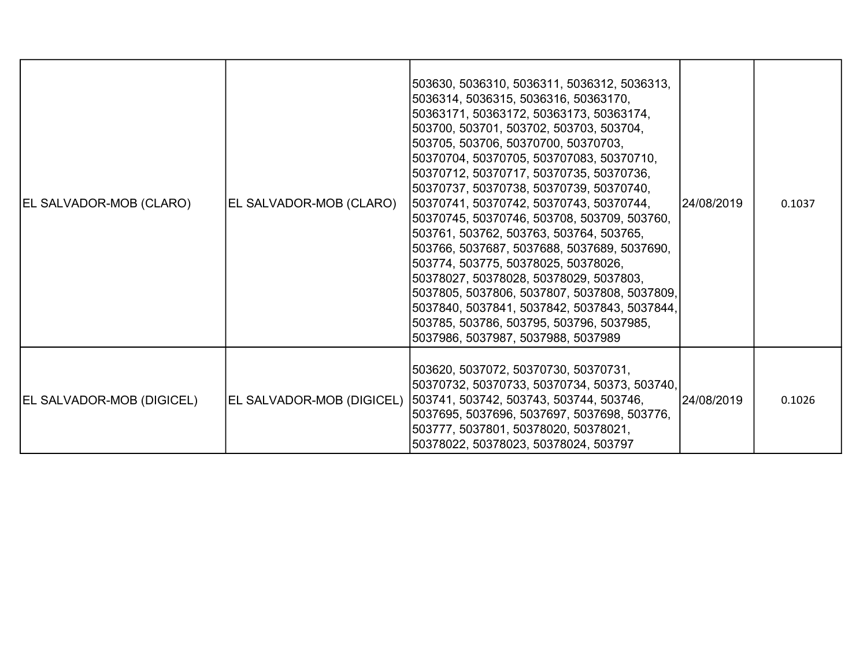| EL SALVADOR-MOB (CLARO)          | EL SALVADOR-MOB (CLARO)   | 503630, 5036310, 5036311, 5036312, 5036313,<br>5036314, 5036315, 5036316, 50363170,<br>50363171, 50363172, 50363173, 50363174,<br>503700, 503701, 503702, 503703, 503704,<br>503705, 503706, 50370700, 50370703,<br>50370704, 50370705, 503707083, 50370710,<br>50370712, 50370717, 50370735, 50370736,<br>50370737, 50370738, 50370739, 50370740,<br> 50370741, 50370742, 50370743, 50370744,<br>50370745, 50370746, 503708, 503709, 503760,<br>503761, 503762, 503763, 503764, 503765,<br>503766, 5037687, 5037688, 5037689, 5037690,<br>503774, 503775, 50378025, 50378026,<br> 50378027, 50378028, 50378029, 5037803,<br>5037805, 5037806, 5037807, 5037808, 5037809,<br>5037840, 5037841, 5037842, 5037843, 5037844,<br>503785, 503786, 503795, 503796, 5037985,<br>5037986, 5037987, 5037988, 5037989 | 24/08/2019 | 0.1037 |
|----------------------------------|---------------------------|-------------------------------------------------------------------------------------------------------------------------------------------------------------------------------------------------------------------------------------------------------------------------------------------------------------------------------------------------------------------------------------------------------------------------------------------------------------------------------------------------------------------------------------------------------------------------------------------------------------------------------------------------------------------------------------------------------------------------------------------------------------------------------------------------------------|------------|--------|
| <b>EL SALVADOR-MOB (DIGICEL)</b> | EL SALVADOR-MOB (DIGICEL) | 503620, 5037072, 50370730, 50370731,<br> 50370732, 50370733, 50370734, 50373, 503740,<br> 503741, 503742, 503743, 503744, 503746,<br>5037695, 5037696, 5037697, 5037698, 503776,<br>503777, 5037801, 50378020, 50378021,<br>50378022, 50378023, 50378024, 503797                                                                                                                                                                                                                                                                                                                                                                                                                                                                                                                                            | 24/08/2019 | 0.1026 |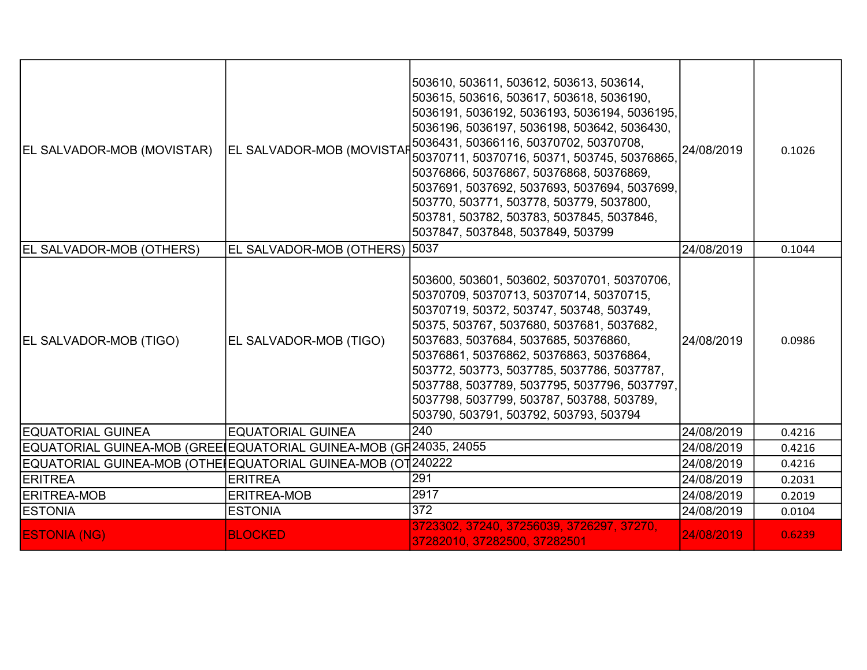| EL SALVADOR-MOB (MOVISTAR)                                        | EL SALVADOR-MOB (MOVISTAP     | 503610, 503611, 503612, 503613, 503614,<br>503615, 503616, 503617, 503618, 5036190,<br>5036191, 5036192, 5036193, 5036194, 5036195,<br>5036196, 5036197, 5036198, 503642, 5036430,<br>5036431, 50366116, 50370702, 50370708,<br>50370711, 50370716, 50371, 503745, 50376865,<br>50376866, 50376867, 50376868, 50376869,<br>5037691, 5037692, 5037693, 5037694, 5037699,<br>503770, 503771, 503778, 503779, 5037800,<br>503781, 503782, 503783, 5037845, 5037846,<br>5037847, 5037848, 5037849, 503799 | 24/08/2019 | 0.1026 |
|-------------------------------------------------------------------|-------------------------------|-------------------------------------------------------------------------------------------------------------------------------------------------------------------------------------------------------------------------------------------------------------------------------------------------------------------------------------------------------------------------------------------------------------------------------------------------------------------------------------------------------|------------|--------|
| <b>EL SALVADOR-MOB (OTHERS)</b>                                   | EL SALVADOR-MOB (OTHERS) 5037 |                                                                                                                                                                                                                                                                                                                                                                                                                                                                                                       | 24/08/2019 | 0.1044 |
| EL SALVADOR-MOB (TIGO)                                            | EL SALVADOR-MOB (TIGO)        | 503600, 503601, 503602, 50370701, 50370706,<br>50370709, 50370713, 50370714, 50370715,<br>50370719, 50372, 503747, 503748, 503749,<br>50375, 503767, 5037680, 5037681, 5037682,<br>5037683, 5037684, 5037685, 50376860,<br>50376861, 50376862, 50376863, 50376864,<br>503772, 503773, 5037785, 5037786, 5037787,<br>5037788, 5037789, 5037795, 5037796, 5037797,<br>5037798, 5037799, 503787, 503788, 503789,<br>503790, 503791, 503792, 503793, 503794                                               | 24/08/2019 | 0.0986 |
| <b>EQUATORIAL GUINEA</b>                                          | <b>EQUATORIAL GUINEA</b>      | 240                                                                                                                                                                                                                                                                                                                                                                                                                                                                                                   | 24/08/2019 | 0.4216 |
| EQUATORIAL GUINEA-MOB (GREEIEQUATORIAL GUINEA-MOB (GH24035, 24055 |                               |                                                                                                                                                                                                                                                                                                                                                                                                                                                                                                       | 24/08/2019 | 0.4216 |
| EQUATORIAL GUINEA-MOB (OTHEIEQUATORIAL GUINEA-MOB (OT 240222      |                               |                                                                                                                                                                                                                                                                                                                                                                                                                                                                                                       | 24/08/2019 | 0.4216 |
| <b>ERITREA</b>                                                    | <b>ERITREA</b>                | 291                                                                                                                                                                                                                                                                                                                                                                                                                                                                                                   | 24/08/2019 | 0.2031 |
| <b>ERITREA-MOB</b>                                                | <b>ERITREA-MOB</b>            | 2917                                                                                                                                                                                                                                                                                                                                                                                                                                                                                                  | 24/08/2019 | 0.2019 |
| <b>ESTONIA</b>                                                    | <b>ESTONIA</b>                | 372                                                                                                                                                                                                                                                                                                                                                                                                                                                                                                   | 24/08/2019 | 0.0104 |
| <b>ESTONIA (NG)</b>                                               | <b>BLOCKED</b>                | 3723302, 37240, 37256039, 3726297, 37270,<br>37282010, 37282500, 37282501                                                                                                                                                                                                                                                                                                                                                                                                                             | 24/08/2019 | 0.6239 |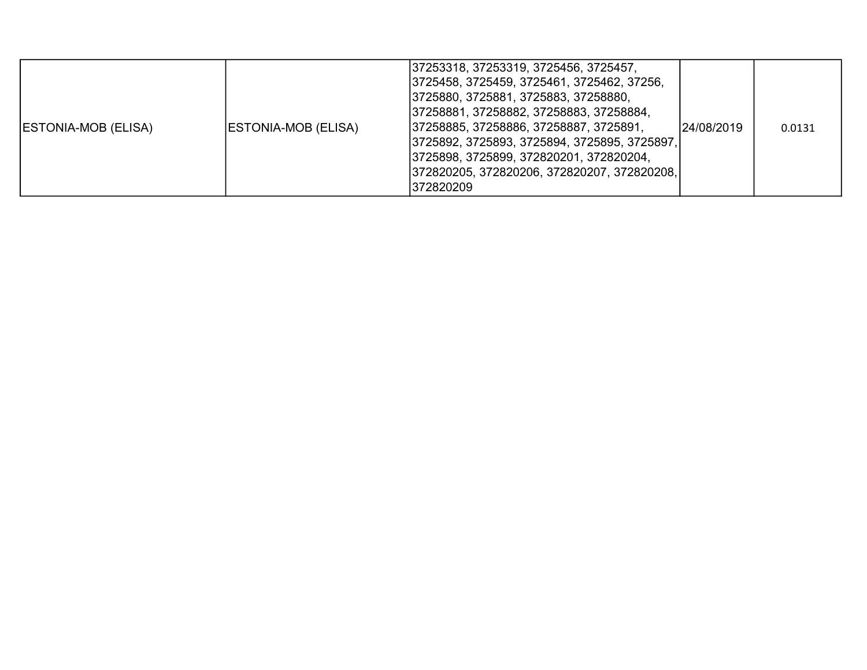| <b>ESTONIA-MOB (ELISA)</b> | ESTONIA-MOB (ELISA) | 37253318, 37253319, 3725456, 3725457,<br> 3725458, 3725459, 3725461, 3725462, 37256,<br>3725880, 3725881, 3725883, 37258880,<br> 37258881, 37258882, 37258883, 37258884,<br> 37258885, 37258886, 37258887, 3725891,<br> 3725892, 3725893, 3725894, 3725895, 3725897,<br>3725898, 3725899, 372820201, 372820204,<br> 372820205, 372820206, 372820207, 372820208,<br>1372820209 | l24/08/2019 | 0.0131 |
|----------------------------|---------------------|-------------------------------------------------------------------------------------------------------------------------------------------------------------------------------------------------------------------------------------------------------------------------------------------------------------------------------------------------------------------------------|-------------|--------|
|----------------------------|---------------------|-------------------------------------------------------------------------------------------------------------------------------------------------------------------------------------------------------------------------------------------------------------------------------------------------------------------------------------------------------------------------------|-------------|--------|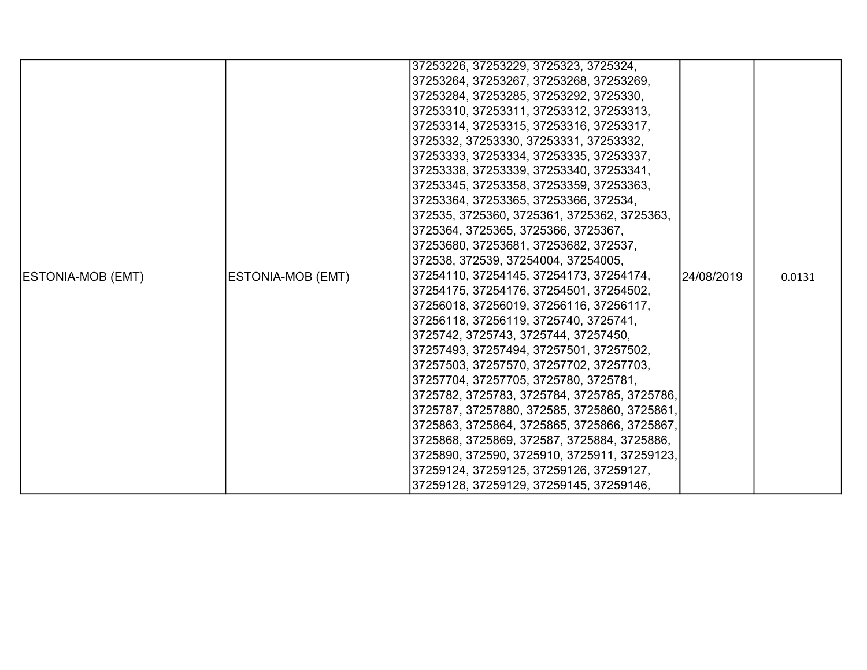|                          |                          | 37253226, 37253229, 3725323, 3725324,        |            |        |
|--------------------------|--------------------------|----------------------------------------------|------------|--------|
|                          |                          | 37253264, 37253267, 37253268, 37253269,      |            |        |
|                          |                          | 37253284, 37253285, 37253292, 3725330,       |            |        |
|                          |                          | 37253310, 37253311, 37253312, 37253313,      |            |        |
|                          |                          | 37253314, 37253315, 37253316, 37253317,      |            |        |
|                          |                          | 3725332, 37253330, 37253331, 37253332,       |            |        |
|                          |                          | 37253333, 37253334, 37253335, 37253337,      |            |        |
|                          |                          | 37253338, 37253339, 37253340, 37253341,      |            |        |
|                          |                          | 37253345, 37253358, 37253359, 37253363,      |            |        |
|                          |                          | 37253364, 37253365, 37253366, 372534,        |            |        |
|                          |                          | 372535, 3725360, 3725361, 3725362, 3725363,  |            |        |
|                          |                          | 3725364, 3725365, 3725366, 3725367,          |            |        |
|                          |                          | 37253680, 37253681, 37253682, 372537,        |            |        |
|                          |                          | 372538, 372539, 37254004, 37254005,          |            |        |
| <b>ESTONIA-MOB (EMT)</b> | <b>ESTONIA-MOB (EMT)</b> | 37254110, 37254145, 37254173, 37254174,      | 24/08/2019 | 0.0131 |
|                          |                          | 37254175, 37254176, 37254501, 37254502,      |            |        |
|                          |                          | 37256018, 37256019, 37256116, 37256117,      |            |        |
|                          |                          | 37256118, 37256119, 3725740, 3725741,        |            |        |
|                          |                          | 3725742, 3725743, 3725744, 37257450,         |            |        |
|                          |                          | 37257493, 37257494, 37257501, 37257502,      |            |        |
|                          |                          | 37257503, 37257570, 37257702, 37257703,      |            |        |
|                          |                          | 37257704, 37257705, 3725780, 3725781,        |            |        |
|                          |                          | 3725782, 3725783, 3725784, 3725785, 3725786, |            |        |
|                          |                          | 3725787, 37257880, 372585, 3725860, 3725861, |            |        |
|                          |                          | 3725863, 3725864, 3725865, 3725866, 3725867, |            |        |
|                          |                          | 3725868, 3725869, 372587, 3725884, 3725886,  |            |        |
|                          |                          | 3725890, 372590, 3725910, 3725911, 37259123, |            |        |
|                          |                          | 37259124, 37259125, 37259126, 37259127,      |            |        |
|                          |                          | 37259128, 37259129, 37259145, 37259146,      |            |        |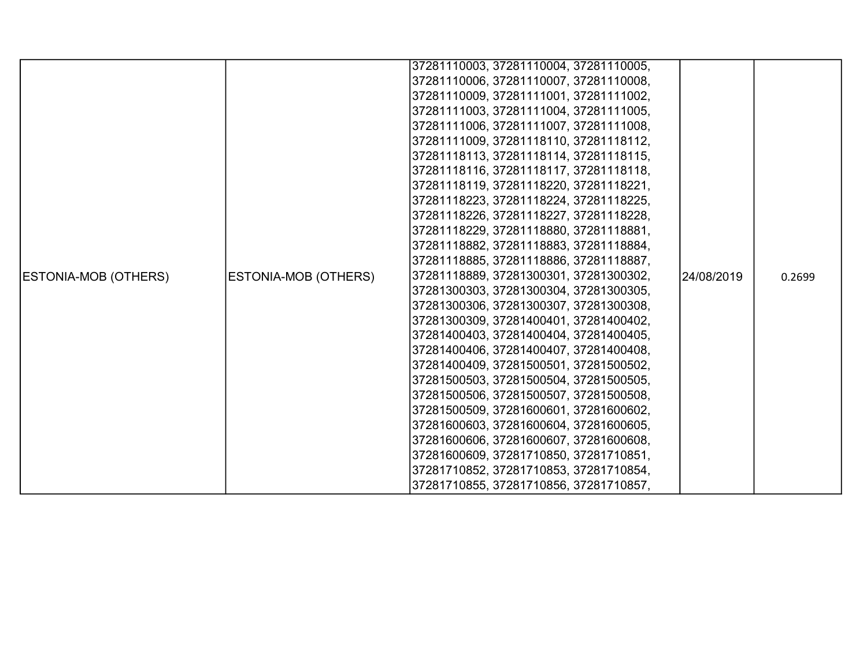|                      |                             | 37281110003, 37281110004, 37281110005, |            |        |
|----------------------|-----------------------------|----------------------------------------|------------|--------|
|                      |                             | 37281110006, 37281110007, 37281110008, |            |        |
|                      |                             | 37281110009, 37281111001, 37281111002, |            |        |
|                      |                             | 37281111003, 37281111004, 37281111005, |            |        |
|                      |                             | 37281111006, 37281111007, 37281111008, |            |        |
|                      |                             | 37281111009, 37281118110, 37281118112, |            |        |
|                      |                             | 37281118113, 37281118114, 37281118115, |            |        |
|                      |                             | 37281118116, 37281118117, 37281118118, |            |        |
|                      |                             | 37281118119, 37281118220, 37281118221, |            |        |
|                      |                             | 37281118223, 37281118224, 37281118225, |            |        |
|                      |                             | 37281118226, 37281118227, 37281118228, |            |        |
|                      |                             | 37281118229, 37281118880, 37281118881, |            |        |
|                      |                             | 37281118882, 37281118883, 37281118884, |            |        |
|                      |                             | 37281118885, 37281118886, 37281118887, |            |        |
| ESTONIA-MOB (OTHERS) | <b>ESTONIA-MOB (OTHERS)</b> | 37281118889, 37281300301, 37281300302, | 24/08/2019 | 0.2699 |
|                      |                             | 37281300303, 37281300304, 37281300305, |            |        |
|                      |                             | 37281300306, 37281300307, 37281300308, |            |        |
|                      |                             | 37281300309, 37281400401, 37281400402, |            |        |
|                      |                             | 37281400403, 37281400404, 37281400405, |            |        |
|                      |                             | 37281400406, 37281400407, 37281400408, |            |        |
|                      |                             | 37281400409, 37281500501, 37281500502, |            |        |
|                      |                             | 37281500503, 37281500504, 37281500505, |            |        |
|                      |                             | 37281500506, 37281500507, 37281500508, |            |        |
|                      |                             | 37281500509, 37281600601, 37281600602, |            |        |
|                      |                             | 37281600603, 37281600604, 37281600605, |            |        |
|                      |                             | 37281600606, 37281600607, 37281600608, |            |        |
|                      |                             | 37281600609, 37281710850, 37281710851, |            |        |
|                      |                             | 37281710852, 37281710853, 37281710854, |            |        |
|                      |                             | 37281710855, 37281710856, 37281710857, |            |        |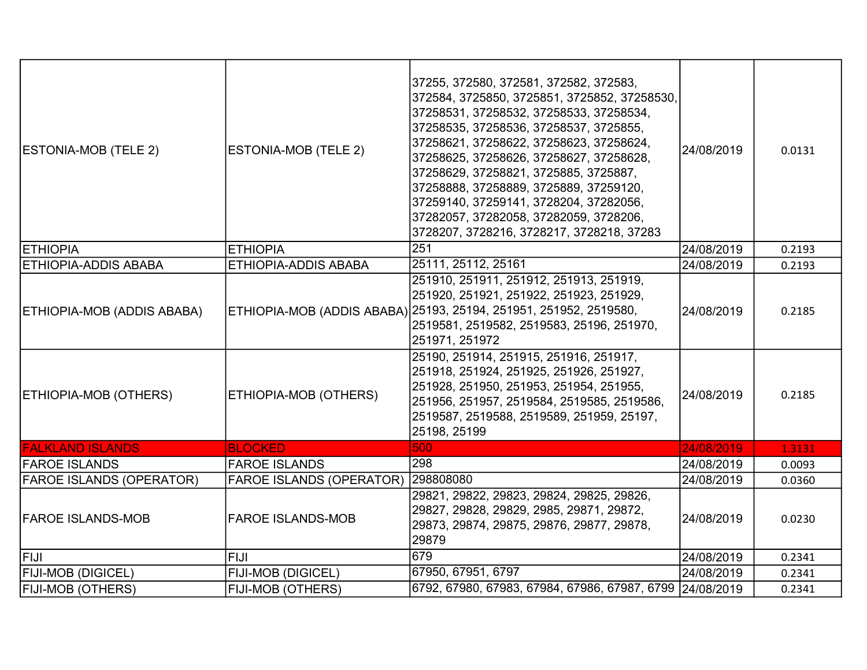| ESTONIA-MOB (TELE 2)            | ESTONIA-MOB (TELE 2)            | 37255, 372580, 372581, 372582, 372583,<br>372584, 3725850, 3725851, 3725852, 37258530,<br>37258531, 37258532, 37258533, 37258534,<br>37258535, 37258536, 37258537, 3725855,<br>37258621, 37258622, 37258623, 37258624,<br>37258625, 37258626, 37258627, 37258628,<br>37258629, 37258821, 3725885, 3725887,<br>37258888, 37258889, 3725889, 37259120,<br>37259140, 37259141, 3728204, 37282056,<br>37282057, 37282058, 37282059, 3728206,<br>3728207, 3728216, 3728217, 3728218, 37283 | 24/08/2019 | 0.0131 |
|---------------------------------|---------------------------------|---------------------------------------------------------------------------------------------------------------------------------------------------------------------------------------------------------------------------------------------------------------------------------------------------------------------------------------------------------------------------------------------------------------------------------------------------------------------------------------|------------|--------|
| <b>ETHIOPIA</b>                 | <b>ETHIOPIA</b>                 | 251                                                                                                                                                                                                                                                                                                                                                                                                                                                                                   | 24/08/2019 | 0.2193 |
| <b>ETHIOPIA-ADDIS ABABA</b>     | ETHIOPIA-ADDIS ABABA            | 25111, 25112, 25161                                                                                                                                                                                                                                                                                                                                                                                                                                                                   | 24/08/2019 | 0.2193 |
| ETHIOPIA-MOB (ADDIS ABABA)      |                                 | 251910, 251911, 251912, 251913, 251919,<br>251920, 251921, 251922, 251923, 251929,<br>ETHIOPIA-MOB (ADDIS ABABA) 25193, 25194, 251951, 251952, 2519580,<br>2519581, 2519582, 2519583, 25196, 251970,<br>251971, 251972                                                                                                                                                                                                                                                                | 24/08/2019 | 0.2185 |
| ETHIOPIA-MOB (OTHERS)           | ETHIOPIA-MOB (OTHERS)           | 25190, 251914, 251915, 251916, 251917,<br>251918, 251924, 251925, 251926, 251927,<br>251928, 251950, 251953, 251954, 251955,<br>251956, 251957, 2519584, 2519585, 2519586,<br>2519587, 2519588, 2519589, 251959, 25197,<br>25198, 25199                                                                                                                                                                                                                                               | 24/08/2019 | 0.2185 |
| <b>FALKLAND ISLANDS</b>         | <b>BLOCKED</b>                  | 500                                                                                                                                                                                                                                                                                                                                                                                                                                                                                   | 24/08/2019 | 1.3131 |
| <b>FAROE ISLANDS</b>            | <b>FAROE ISLANDS</b>            | 298                                                                                                                                                                                                                                                                                                                                                                                                                                                                                   | 24/08/2019 | 0.0093 |
| <b>FAROE ISLANDS (OPERATOR)</b> | <b>FAROE ISLANDS (OPERATOR)</b> | 298808080                                                                                                                                                                                                                                                                                                                                                                                                                                                                             | 24/08/2019 | 0.0360 |
| <b>FAROE ISLANDS-MOB</b>        | <b>FAROE ISLANDS-MOB</b>        | 29821, 29822, 29823, 29824, 29825, 29826,<br>29827, 29828, 29829, 2985, 29871, 29872,<br>29873, 29874, 29875, 29876, 29877, 29878,<br>29879                                                                                                                                                                                                                                                                                                                                           | 24/08/2019 | 0.0230 |
| FIJI                            | <b>FIJI</b>                     | 679                                                                                                                                                                                                                                                                                                                                                                                                                                                                                   | 24/08/2019 | 0.2341 |
| <b>FIJI-MOB (DIGICEL)</b>       | FIJI-MOB (DIGICEL)              | 67950, 67951, 6797                                                                                                                                                                                                                                                                                                                                                                                                                                                                    | 24/08/2019 | 0.2341 |
| <b>FIJI-MOB (OTHERS)</b>        | FIJI-MOB (OTHERS)               | 6792, 67980, 67983, 67984, 67986, 67987, 6799 24/08/2019                                                                                                                                                                                                                                                                                                                                                                                                                              |            | 0.2341 |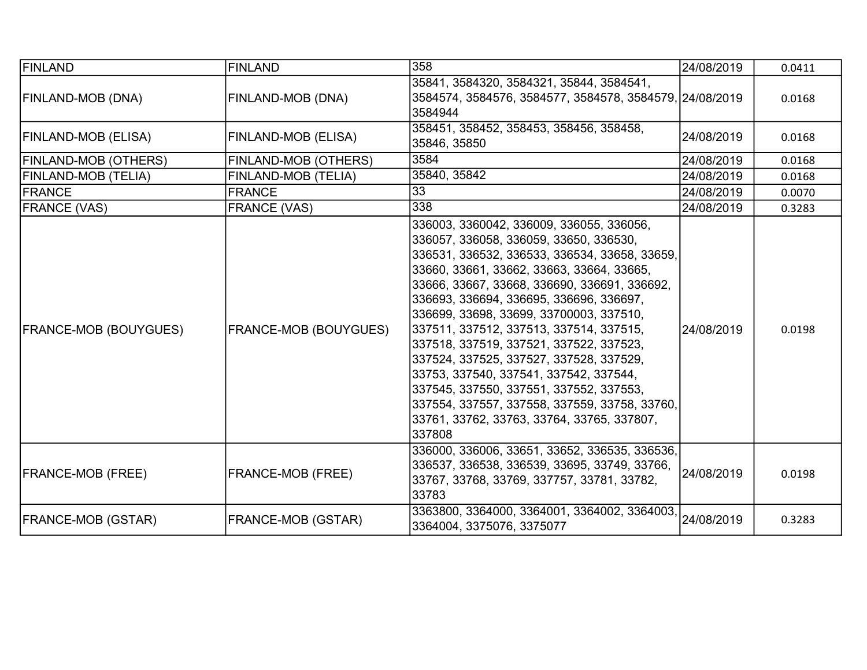| FINLAND                      | <b>FINLAND</b>               | 358                                                                                                                                                                                                                                                                                                                                                                                                                                                                                                                                                                                                                                                   | 24/08/2019 | 0.0411 |
|------------------------------|------------------------------|-------------------------------------------------------------------------------------------------------------------------------------------------------------------------------------------------------------------------------------------------------------------------------------------------------------------------------------------------------------------------------------------------------------------------------------------------------------------------------------------------------------------------------------------------------------------------------------------------------------------------------------------------------|------------|--------|
| FINLAND-MOB (DNA)            | FINLAND-MOB (DNA)            | 35841, 3584320, 3584321, 35844, 3584541,<br>3584574, 3584576, 3584577, 3584578, 3584579, 24/08/2019<br>3584944                                                                                                                                                                                                                                                                                                                                                                                                                                                                                                                                        |            | 0.0168 |
| FINLAND-MOB (ELISA)          | FINLAND-MOB (ELISA)          | 358451, 358452, 358453, 358456, 358458,<br>35846, 35850                                                                                                                                                                                                                                                                                                                                                                                                                                                                                                                                                                                               | 24/08/2019 | 0.0168 |
| <b>FINLAND-MOB (OTHERS)</b>  | FINLAND-MOB (OTHERS)         | 3584                                                                                                                                                                                                                                                                                                                                                                                                                                                                                                                                                                                                                                                  | 24/08/2019 | 0.0168 |
| FINLAND-MOB (TELIA)          | FINLAND-MOB (TELIA)          | 35840, 35842                                                                                                                                                                                                                                                                                                                                                                                                                                                                                                                                                                                                                                          | 24/08/2019 | 0.0168 |
| FRANCE                       | <b>FRANCE</b>                | 33                                                                                                                                                                                                                                                                                                                                                                                                                                                                                                                                                                                                                                                    | 24/08/2019 | 0.0070 |
| <b>FRANCE (VAS)</b>          | <b>FRANCE (VAS)</b>          | 338                                                                                                                                                                                                                                                                                                                                                                                                                                                                                                                                                                                                                                                   | 24/08/2019 | 0.3283 |
| <b>FRANCE-MOB (BOUYGUES)</b> | <b>FRANCE-MOB (BOUYGUES)</b> | 336003, 3360042, 336009, 336055, 336056,<br>336057, 336058, 336059, 33650, 336530,<br>336531, 336532, 336533, 336534, 33658, 33659,<br>33660, 33661, 33662, 33663, 33664, 33665,<br>33666, 33667, 33668, 336690, 336691, 336692,<br>336693, 336694, 336695, 336696, 336697,<br>336699, 33698, 33699, 33700003, 337510,<br>337511, 337512, 337513, 337514, 337515,<br>337518, 337519, 337521, 337522, 337523,<br>337524, 337525, 337527, 337528, 337529,<br>33753, 337540, 337541, 337542, 337544,<br>337545, 337550, 337551, 337552, 337553,<br>337554, 337557, 337558, 337559, 33758, 33760,<br>33761, 33762, 33763, 33764, 33765, 337807,<br>337808 | 24/08/2019 | 0.0198 |
| <b>FRANCE-MOB (FREE)</b>     | <b>FRANCE-MOB (FREE)</b>     | 336000, 336006, 33651, 33652, 336535, 336536,<br>336537, 336538, 336539, 33695, 33749, 33766,<br>33767, 33768, 33769, 337757, 33781, 33782,<br>33783                                                                                                                                                                                                                                                                                                                                                                                                                                                                                                  | 24/08/2019 | 0.0198 |
| <b>FRANCE-MOB (GSTAR)</b>    | <b>FRANCE-MOB (GSTAR)</b>    | 3363800, 3364000, 3364001, 3364002, 3364003,<br>3364004, 3375076, 3375077                                                                                                                                                                                                                                                                                                                                                                                                                                                                                                                                                                             | 24/08/2019 | 0.3283 |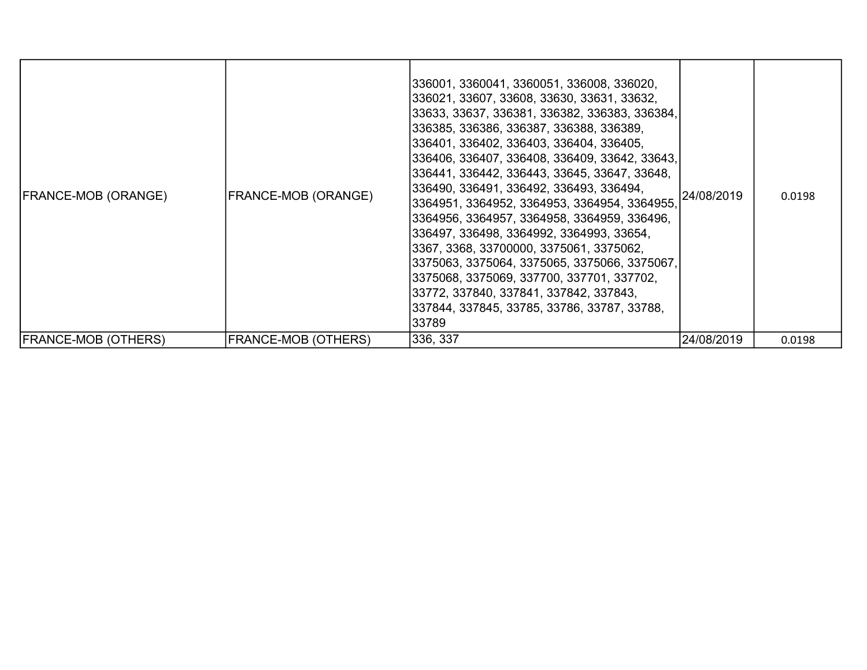| <b>FRANCE-MOB (ORANGE)</b> | FRANCE-MOB (ORANGE)        | 336001, 3360041, 3360051, 336008, 336020,<br>336021, 33607, 33608, 33630, 33631, 33632,<br>33633, 33637, 336381, 336382, 336383, 336384,<br>336385, 336386, 336387, 336388, 336389,<br>336401, 336402, 336403, 336404, 336405,<br>336406, 336407, 336408, 336409, 33642, 33643,<br>336441, 336442, 336443, 33645, 33647, 33648,<br>336490, 336491, 336492, 336493, 336494,<br> 3364951, 3364952, 3364953, 3364954, 3364955,<br>3364956, 3364957, 3364958, 3364959, 336496,<br>336497, 336498, 3364992, 3364993, 33654,<br>3367, 3368, 33700000, 3375061, 3375062,<br>3375063, 3375064, 3375065, 3375066, 3375067,<br>3375068, 3375069, 337700, 337701, 337702,<br>33772, 337840, 337841, 337842, 337843,<br>337844, 337845, 33785, 33786, 33787, 33788,<br>33789 | 24/08/2019 | 0.0198 |
|----------------------------|----------------------------|------------------------------------------------------------------------------------------------------------------------------------------------------------------------------------------------------------------------------------------------------------------------------------------------------------------------------------------------------------------------------------------------------------------------------------------------------------------------------------------------------------------------------------------------------------------------------------------------------------------------------------------------------------------------------------------------------------------------------------------------------------------|------------|--------|
| <b>FRANCE-MOB (OTHERS)</b> | <b>FRANCE-MOB (OTHERS)</b> | 336, 337                                                                                                                                                                                                                                                                                                                                                                                                                                                                                                                                                                                                                                                                                                                                                         | 24/08/2019 | 0.0198 |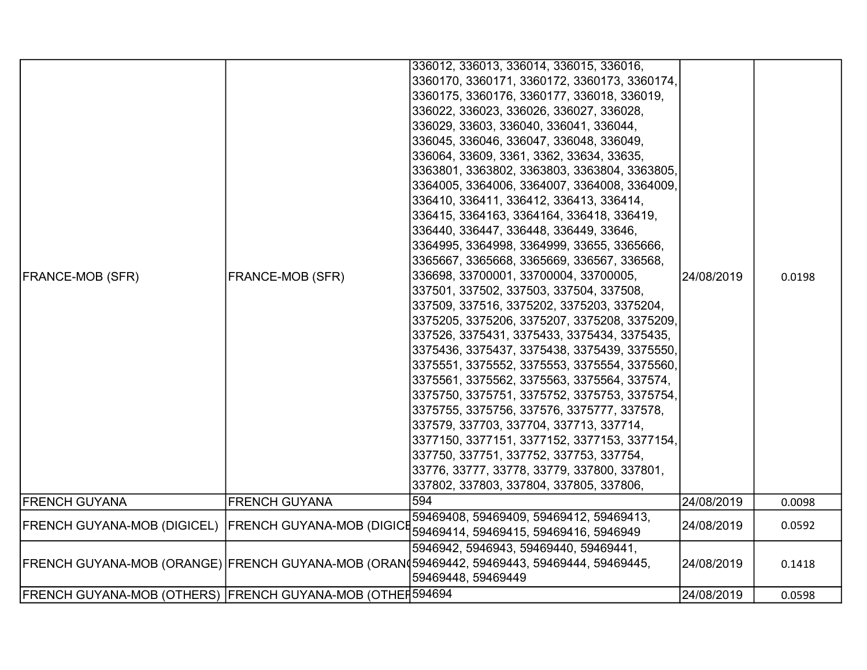|                                                           |                         | 336012, 336013, 336014, 336015, 336016,                                                    |            |        |
|-----------------------------------------------------------|-------------------------|--------------------------------------------------------------------------------------------|------------|--------|
|                                                           |                         | 3360170, 3360171, 3360172, 3360173, 3360174,                                               |            |        |
|                                                           |                         | 3360175, 3360176, 3360177, 336018, 336019,                                                 |            |        |
|                                                           |                         | 336022, 336023, 336026, 336027, 336028,                                                    |            |        |
|                                                           |                         | 336029, 33603, 336040, 336041, 336044,                                                     |            |        |
|                                                           |                         | 336045, 336046, 336047, 336048, 336049,                                                    |            |        |
|                                                           |                         | 336064, 33609, 3361, 3362, 33634, 33635,                                                   |            |        |
|                                                           |                         | 3363801, 3363802, 3363803, 3363804, 3363805,                                               |            |        |
|                                                           |                         | 3364005, 3364006, 3364007, 3364008, 3364009,                                               |            |        |
|                                                           |                         | 336410, 336411, 336412, 336413, 336414,                                                    |            |        |
|                                                           |                         | 336415, 3364163, 3364164, 336418, 336419,                                                  |            |        |
|                                                           |                         | 336440, 336447, 336448, 336449, 33646,                                                     |            |        |
|                                                           |                         | 3364995, 3364998, 3364999, 33655, 3365666,                                                 |            |        |
|                                                           |                         | 3365667, 3365668, 3365669, 336567, 336568,                                                 |            |        |
| <b>FRANCE-MOB (SFR)</b>                                   | <b>FRANCE-MOB (SFR)</b> | 336698, 33700001, 33700004, 33700005,                                                      | 24/08/2019 | 0.0198 |
|                                                           |                         | 337501, 337502, 337503, 337504, 337508,                                                    |            |        |
|                                                           |                         | 337509, 337516, 3375202, 3375203, 3375204,                                                 |            |        |
|                                                           |                         | 3375205, 3375206, 3375207, 3375208, 3375209,                                               |            |        |
|                                                           |                         | 337526, 3375431, 3375433, 3375434, 3375435,                                                |            |        |
|                                                           |                         | 3375436, 3375437, 3375438, 3375439, 3375550,                                               |            |        |
|                                                           |                         | 3375551, 3375552, 3375553, 3375554, 3375560,                                               |            |        |
|                                                           |                         | 3375561, 3375562, 3375563, 3375564, 337574,                                                |            |        |
|                                                           |                         | 3375750, 3375751, 3375752, 3375753, 3375754,                                               |            |        |
|                                                           |                         | 3375755, 3375756, 337576, 3375777, 337578,                                                 |            |        |
|                                                           |                         | 337579, 337703, 337704, 337713, 337714,                                                    |            |        |
|                                                           |                         | 3377150, 3377151, 3377152, 3377153, 3377154,                                               |            |        |
|                                                           |                         | 337750, 337751, 337752, 337753, 337754,                                                    |            |        |
|                                                           |                         | 33776, 33777, 33778, 33779, 337800, 337801,                                                |            |        |
|                                                           |                         | 337802, 337803, 337804, 337805, 337806,                                                    |            |        |
| <b>FRENCH GUYANA</b>                                      | <b>FRENCH GUYANA</b>    | 594                                                                                        | 24/08/2019 | 0.0098 |
| FRENCH GUYANA-MOB (DIGICEL)  FRENCH GUYANA-MOB (DIGICE    |                         | 59469408, 59469409, 59469412, 59469413,                                                    | 24/08/2019 | 0.0592 |
|                                                           |                         | 59469414, 59469415, 59469416, 5946949                                                      |            |        |
|                                                           |                         | 5946942, 5946943, 59469440, 59469441,                                                      |            |        |
|                                                           |                         | FRENCH GUYANA-MOB (ORANGE) FRENCH GUYANA-MOB (ORAN 59469442, 59469443, 59469444, 59469445, | 24/08/2019 | 0.1418 |
|                                                           |                         | 59469448, 59469449                                                                         |            |        |
| FRENCH GUYANA-MOB (OTHERS) FRENCH GUYANA-MOB (OTHEI594694 |                         |                                                                                            | 24/08/2019 | 0.0598 |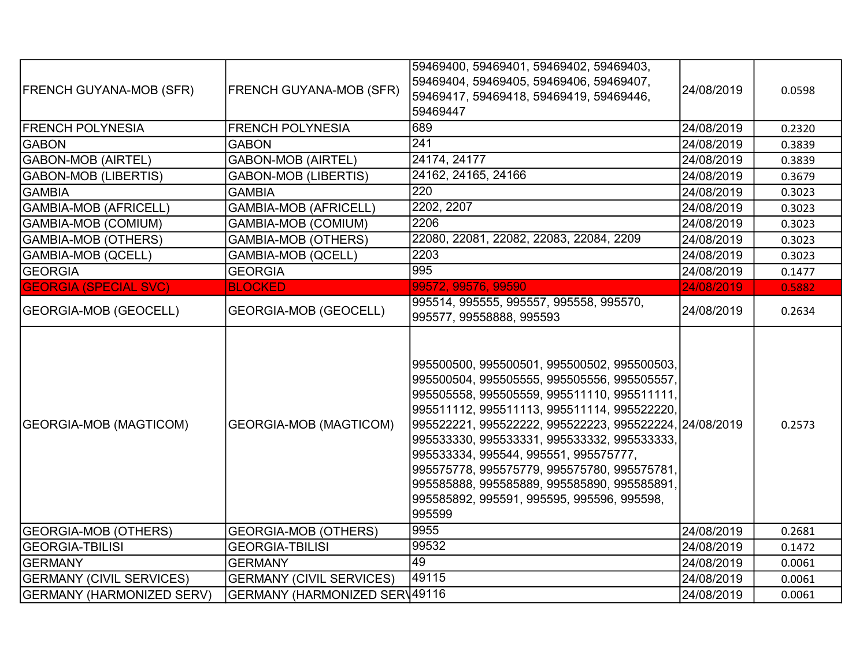| <b>FRENCH GUYANA-MOB (SFR)</b>   | <b>FRENCH GUYANA-MOB (SFR)</b>  | 59469400, 59469401, 59469402, 59469403,<br>59469404, 59469405, 59469406, 59469407,<br>59469417, 59469418, 59469419, 59469446,<br>59469447                                                                                                                                                                                                                                                                                                                                                        | 24/08/2019 | 0.0598 |
|----------------------------------|---------------------------------|--------------------------------------------------------------------------------------------------------------------------------------------------------------------------------------------------------------------------------------------------------------------------------------------------------------------------------------------------------------------------------------------------------------------------------------------------------------------------------------------------|------------|--------|
| <b>FRENCH POLYNESIA</b>          | <b>FRENCH POLYNESIA</b>         | 689                                                                                                                                                                                                                                                                                                                                                                                                                                                                                              | 24/08/2019 | 0.2320 |
| <b>GABON</b>                     | <b>GABON</b>                    | 241                                                                                                                                                                                                                                                                                                                                                                                                                                                                                              | 24/08/2019 | 0.3839 |
| GABON-MOB (AIRTEL)               | <b>GABON-MOB (AIRTEL)</b>       | 24174, 24177                                                                                                                                                                                                                                                                                                                                                                                                                                                                                     | 24/08/2019 | 0.3839 |
| <b>GABON-MOB (LIBERTIS)</b>      | <b>GABON-MOB (LIBERTIS)</b>     | 24162, 24165, 24166                                                                                                                                                                                                                                                                                                                                                                                                                                                                              | 24/08/2019 | 0.3679 |
| <b>GAMBIA</b>                    | <b>GAMBIA</b>                   | $\overline{220}$                                                                                                                                                                                                                                                                                                                                                                                                                                                                                 | 24/08/2019 | 0.3023 |
| GAMBIA-MOB (AFRICELL)            | <b>GAMBIA-MOB (AFRICELL)</b>    | 2202, 2207                                                                                                                                                                                                                                                                                                                                                                                                                                                                                       | 24/08/2019 | 0.3023 |
| GAMBIA-MOB (COMIUM)              | <b>GAMBIA-MOB (COMIUM)</b>      | 2206                                                                                                                                                                                                                                                                                                                                                                                                                                                                                             | 24/08/2019 | 0.3023 |
| GAMBIA-MOB (OTHERS)              | <b>GAMBIA-MOB (OTHERS)</b>      | 22080, 22081, 22082, 22083, 22084, 2209                                                                                                                                                                                                                                                                                                                                                                                                                                                          | 24/08/2019 | 0.3023 |
| GAMBIA-MOB (QCELL)               | <b>GAMBIA-MOB (QCELL)</b>       | 2203                                                                                                                                                                                                                                                                                                                                                                                                                                                                                             | 24/08/2019 | 0.3023 |
| <b>GEORGIA</b>                   | <b>GEORGIA</b>                  | 995                                                                                                                                                                                                                                                                                                                                                                                                                                                                                              | 24/08/2019 | 0.1477 |
| <b>GEORGIA (SPECIAL SVC)</b>     | <b>BLOCKED</b>                  | 99572, 99576, 99590                                                                                                                                                                                                                                                                                                                                                                                                                                                                              | 24/08/2019 | 0.5882 |
| <b>GEORGIA-MOB (GEOCELL)</b>     | <b>GEORGIA-MOB (GEOCELL)</b>    | 995514, 995555, 995557, 995558, 995570,<br>995577, 99558888, 995593                                                                                                                                                                                                                                                                                                                                                                                                                              | 24/08/2019 | 0.2634 |
| <b>GEORGIA-MOB (MAGTICOM)</b>    | <b>GEORGIA-MOB (MAGTICOM)</b>   | 995500500, 995500501, 995500502, 995500503,<br>995500504, 995505555, 995505556, 995505557,<br>995505558, 995505559, 995511110, 995511111,<br>995511112, 995511113, 995511114, 995522220,<br>995522221, 995522222, 995522223, 995522224, 24/08/2019<br>995533330, 995533331, 995533332, 995533333,<br>995533334, 995544, 995551, 995575777,<br>995575778, 995575779, 995575780, 995575781,<br>995585888, 995585889, 995585890, 995585891,<br>995585892, 995591, 995595, 995596, 995598,<br>995599 |            | 0.2573 |
| <b>GEORGIA-MOB (OTHERS)</b>      | <b>GEORGIA-MOB (OTHERS)</b>     | 9955                                                                                                                                                                                                                                                                                                                                                                                                                                                                                             | 24/08/2019 | 0.2681 |
| <b>GEORGIA-TBILISI</b>           | <b>GEORGIA-TBILISI</b>          | 99532                                                                                                                                                                                                                                                                                                                                                                                                                                                                                            | 24/08/2019 | 0.1472 |
| <b>GERMANY</b>                   | <b>GERMANY</b>                  | 49                                                                                                                                                                                                                                                                                                                                                                                                                                                                                               | 24/08/2019 | 0.0061 |
| <b>GERMANY (CIVIL SERVICES)</b>  | <b>GERMANY (CIVIL SERVICES)</b> | 49115                                                                                                                                                                                                                                                                                                                                                                                                                                                                                            | 24/08/2019 | 0.0061 |
| <b>GERMANY (HARMONIZED SERV)</b> | GERMANY (HARMONIZED SERV49116   |                                                                                                                                                                                                                                                                                                                                                                                                                                                                                                  | 24/08/2019 | 0.0061 |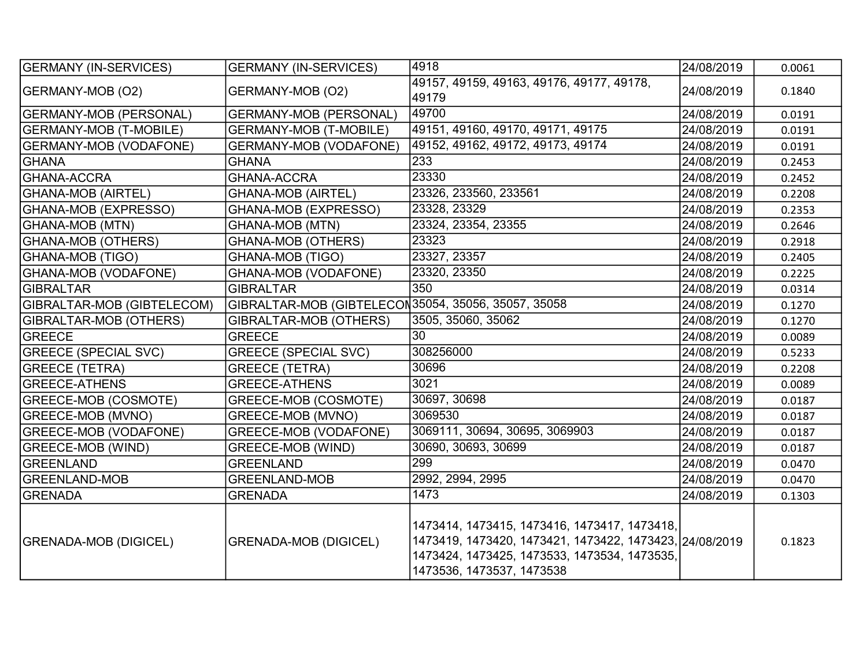| <b>GERMANY (IN-SERVICES)</b>  | <b>GERMANY (IN-SERVICES)</b>                         | 4918                                                                                                                                                                                 | 24/08/2019 | 0.0061 |
|-------------------------------|------------------------------------------------------|--------------------------------------------------------------------------------------------------------------------------------------------------------------------------------------|------------|--------|
| GERMANY-MOB (O2)              | GERMANY-MOB (O2)                                     | 49157, 49159, 49163, 49176, 49177, 49178,<br>49179                                                                                                                                   | 24/08/2019 | 0.1840 |
| <b>GERMANY-MOB (PERSONAL)</b> | <b>GERMANY-MOB (PERSONAL)</b>                        | 49700                                                                                                                                                                                | 24/08/2019 | 0.0191 |
| <b>GERMANY-MOB (T-MOBILE)</b> | <b>GERMANY-MOB (T-MOBILE)</b>                        | 49151, 49160, 49170, 49171, 49175                                                                                                                                                    | 24/08/2019 | 0.0191 |
| <b>GERMANY-MOB (VODAFONE)</b> | <b>GERMANY-MOB (VODAFONE)</b>                        | 49152, 49162, 49172, 49173, 49174                                                                                                                                                    | 24/08/2019 | 0.0191 |
| <b>GHANA</b>                  | <b>GHANA</b>                                         | 233                                                                                                                                                                                  | 24/08/2019 | 0.2453 |
| <b>GHANA-ACCRA</b>            | <b>GHANA-ACCRA</b>                                   | 23330                                                                                                                                                                                | 24/08/2019 | 0.2452 |
| <b>GHANA-MOB (AIRTEL)</b>     | <b>GHANA-MOB (AIRTEL)</b>                            | 23326, 233560, 233561                                                                                                                                                                | 24/08/2019 | 0.2208 |
| GHANA-MOB (EXPRESSO)          | GHANA-MOB (EXPRESSO)                                 | 23328, 23329                                                                                                                                                                         | 24/08/2019 | 0.2353 |
| <b>GHANA-MOB (MTN)</b>        | <b>GHANA-MOB (MTN)</b>                               | 23324, 23354, 23355                                                                                                                                                                  | 24/08/2019 | 0.2646 |
| <b>GHANA-MOB (OTHERS)</b>     | <b>GHANA-MOB (OTHERS)</b>                            | 23323                                                                                                                                                                                | 24/08/2019 | 0.2918 |
| GHANA-MOB (TIGO)              | <b>GHANA-MOB (TIGO)</b>                              | 23327, 23357                                                                                                                                                                         | 24/08/2019 | 0.2405 |
| <b>GHANA-MOB (VODAFONE)</b>   | GHANA-MOB (VODAFONE)                                 | 23320, 23350                                                                                                                                                                         | 24/08/2019 | 0.2225 |
| GIBRALTAR                     | <b>GIBRALTAR</b>                                     | 350                                                                                                                                                                                  | 24/08/2019 | 0.0314 |
| GIBRALTAR-MOB (GIBTELECOM)    | GIBRALTAR-MOB (GIBTELECON 35054, 35056, 35057, 35058 |                                                                                                                                                                                      | 24/08/2019 | 0.1270 |
| GIBRALTAR-MOB (OTHERS)        | <b>GIBRALTAR-MOB (OTHERS)</b>                        | 3505, 35060, 35062                                                                                                                                                                   | 24/08/2019 | 0.1270 |
| GREECE                        | <b>GREECE</b>                                        | 30                                                                                                                                                                                   | 24/08/2019 | 0.0089 |
| <b>GREECE (SPECIAL SVC)</b>   | <b>GREECE (SPECIAL SVC)</b>                          | 308256000                                                                                                                                                                            | 24/08/2019 | 0.5233 |
| <b>GREECE (TETRA)</b>         | <b>GREECE (TETRA)</b>                                | 30696                                                                                                                                                                                | 24/08/2019 | 0.2208 |
| <b>GREECE-ATHENS</b>          | <b>GREECE-ATHENS</b>                                 | 3021                                                                                                                                                                                 | 24/08/2019 | 0.0089 |
| <b>GREECE-MOB (COSMOTE)</b>   | GREECE-MOB (COSMOTE)                                 | 30697, 30698                                                                                                                                                                         | 24/08/2019 | 0.0187 |
| <b>GREECE-MOB (MVNO)</b>      | GREECE-MOB (MVNO)                                    | 3069530                                                                                                                                                                              | 24/08/2019 | 0.0187 |
| <b>GREECE-MOB (VODAFONE)</b>  | <b>GREECE-MOB (VODAFONE)</b>                         | 3069111, 30694, 30695, 3069903                                                                                                                                                       | 24/08/2019 | 0.0187 |
| <b>GREECE-MOB (WIND)</b>      | GREECE-MOB (WIND)                                    | 30690, 30693, 30699                                                                                                                                                                  | 24/08/2019 | 0.0187 |
| GREENLAND                     | <b>GREENLAND</b>                                     | 299                                                                                                                                                                                  | 24/08/2019 | 0.0470 |
| <b>GREENLAND-MOB</b>          | <b>GREENLAND-MOB</b>                                 | 2992, 2994, 2995                                                                                                                                                                     | 24/08/2019 | 0.0470 |
| <b>GRENADA</b>                | <b>GRENADA</b>                                       | 1473                                                                                                                                                                                 | 24/08/2019 | 0.1303 |
| <b>GRENADA-MOB (DIGICEL)</b>  | <b>GRENADA-MOB (DIGICEL)</b>                         | 1473414, 1473415, 1473416, 1473417, 1473418,<br>1473419, 1473420, 1473421, 1473422, 1473423, 24/08/2019<br>1473424, 1473425, 1473533, 1473534, 1473535,<br>1473536, 1473537, 1473538 |            | 0.1823 |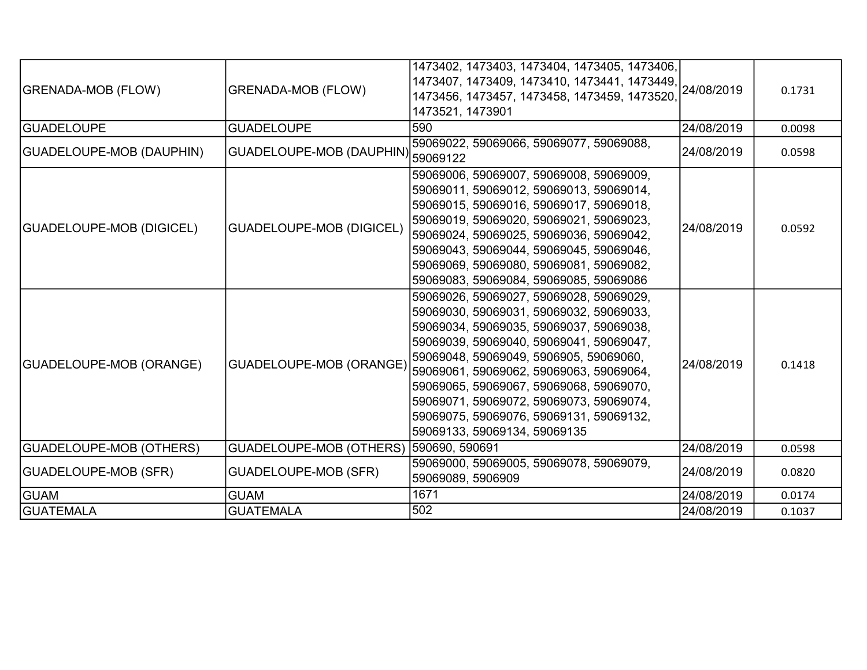| <b>GRENADA-MOB (FLOW)</b>       | <b>GRENADA-MOB (FLOW)</b>       | 1473402, 1473403, 1473404, 1473405, 1473406,<br>1473407, 1473409, 1473410, 1473441, 1473449, 24/08/2019<br>1473456, 1473457, 1473458, 1473459, 1473520,<br>1473521, 1473901                                                                                                                                                                                                                                                                             |            | 0.1731 |
|---------------------------------|---------------------------------|---------------------------------------------------------------------------------------------------------------------------------------------------------------------------------------------------------------------------------------------------------------------------------------------------------------------------------------------------------------------------------------------------------------------------------------------------------|------------|--------|
| <b>GUADELOUPE</b>               | <b>GUADELOUPE</b>               | 590                                                                                                                                                                                                                                                                                                                                                                                                                                                     | 24/08/2019 | 0.0098 |
| GUADELOUPE-MOB (DAUPHIN)        | <b>GUADELOUPE-MOB (DAUPHIN)</b> | 59069022, 59069066, 59069077, 59069088,<br>59069122                                                                                                                                                                                                                                                                                                                                                                                                     | 24/08/2019 | 0.0598 |
| <b>GUADELOUPE-MOB (DIGICEL)</b> | <b>GUADELOUPE-MOB (DIGICEL)</b> | 59069006, 59069007, 59069008, 59069009,<br>59069011, 59069012, 59069013, 59069014,<br>59069015, 59069016, 59069017, 59069018,<br>59069019, 59069020, 59069021, 59069023,<br>59069024, 59069025, 59069036, 59069042,<br>59069043, 59069044, 59069045, 59069046,<br>59069069, 59069080, 59069081, 59069082,<br>59069083, 59069084, 59069085, 59069086                                                                                                     | 24/08/2019 | 0.0592 |
| <b>GUADELOUPE-MOB (ORANGE)</b>  |                                 | 59069026, 59069027, 59069028, 59069029,<br>59069030, 59069031, 59069032, 59069033,<br>59069034, 59069035, 59069037, 59069038,<br>59069039, 59069040, 59069041, 59069047,<br>59069048, 59069049, 5906905, 59069060,<br>GUADELOUPE-MOB (ORANGE) 59069061, 59069062, 59069063, 59069064,<br>59069065, 59069067, 59069068, 59069070,<br>59069071, 59069072, 59069073, 59069074,<br>59069075, 59069076, 59069131, 59069132,<br> 59069133, 59069134, 59069135 | 24/08/2019 | 0.1418 |
| <b>GUADELOUPE-MOB (OTHERS)</b>  | <b>GUADELOUPE-MOB (OTHERS)</b>  | 590690, 590691                                                                                                                                                                                                                                                                                                                                                                                                                                          | 24/08/2019 | 0.0598 |
| GUADELOUPE-MOB (SFR)            | <b>GUADELOUPE-MOB (SFR)</b>     | 59069000, 59069005, 59069078, 59069079,<br>59069089, 5906909                                                                                                                                                                                                                                                                                                                                                                                            | 24/08/2019 | 0.0820 |
| <b>GUAM</b>                     | <b>GUAM</b>                     | 1671                                                                                                                                                                                                                                                                                                                                                                                                                                                    | 24/08/2019 | 0.0174 |
| <b>GUATEMALA</b>                | <b>GUATEMALA</b>                | 502                                                                                                                                                                                                                                                                                                                                                                                                                                                     | 24/08/2019 | 0.1037 |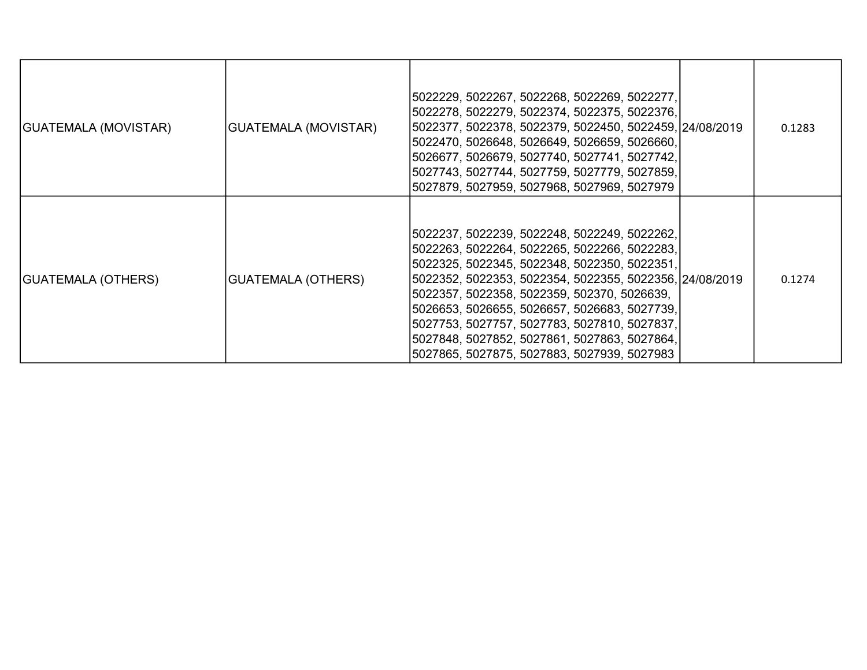| GUATEMALA (MOVISTAR) | <b>GUATEMALA (MOVISTAR)</b> | 5022229, 5022267, 5022268, 5022269, 5022277,<br>5022278, 5022279, 5022374, 5022375, 5022376,<br>5022377, 5022378, 5022379, 5022450, 5022459, 24/08/2019<br>5022470, 5026648, 5026649, 5026659, 5026660,<br>5026677, 5026679, 5027740, 5027741, 5027742,<br>5027743, 5027744, 5027759, 5027779, 5027859,<br>5027879, 5027959, 5027968, 5027969, 5027979                                                                                                | 0.1283 |
|----------------------|-----------------------------|-------------------------------------------------------------------------------------------------------------------------------------------------------------------------------------------------------------------------------------------------------------------------------------------------------------------------------------------------------------------------------------------------------------------------------------------------------|--------|
| GUATEMALA (OTHERS)   | <b>GUATEMALA (OTHERS)</b>   | 5022237, 5022239, 5022248, 5022249, 5022262,<br>5022263, 5022264, 5022265, 5022266, 5022283,<br>5022325, 5022345, 5022348, 5022350, 5022351,<br>5022352, 5022353, 5022354, 5022355, 5022356, 24/08/2019<br>5022357, 5022358, 5022359, 502370, 5026639,<br>5026653, 5026655, 5026657, 5026683, 5027739,<br>5027753, 5027757, 5027783, 5027810, 5027837,<br>5027848, 5027852, 5027861, 5027863, 5027864,<br>5027865, 5027875, 5027883, 5027939, 5027983 | 0.1274 |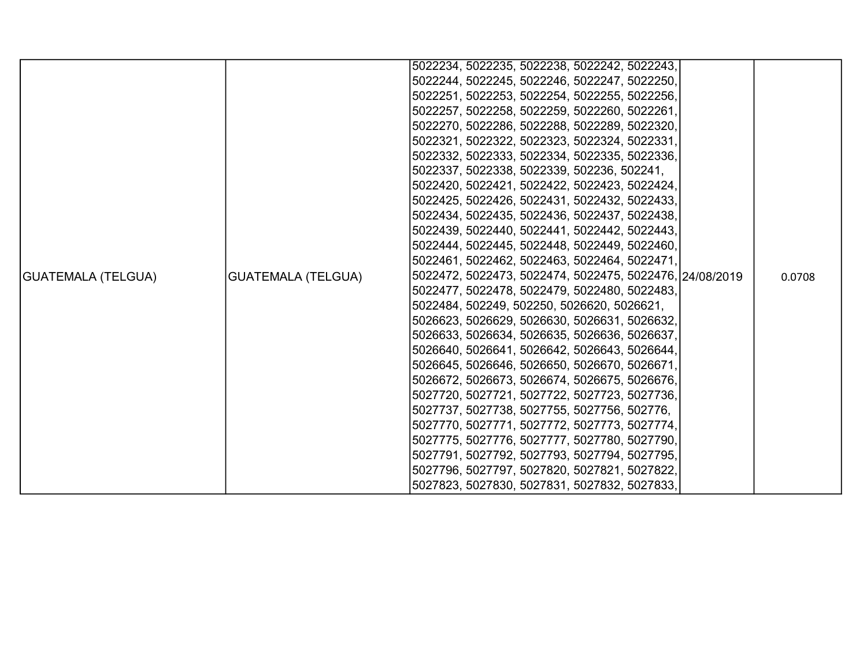|                           |                           | 5022234, 5022235, 5022238, 5022242, 5022243,            |        |
|---------------------------|---------------------------|---------------------------------------------------------|--------|
|                           |                           | 5022244, 5022245, 5022246, 5022247, 5022250,            |        |
|                           |                           | 5022251, 5022253, 5022254, 5022255, 5022256,            |        |
|                           |                           | 5022257, 5022258, 5022259, 5022260, 5022261,            |        |
|                           |                           | 5022270, 5022286, 5022288, 5022289, 5022320,            |        |
|                           |                           | 5022321, 5022322, 5022323, 5022324, 5022331,            |        |
|                           |                           | 5022332, 5022333, 5022334, 5022335, 5022336,            |        |
|                           |                           | 5022337, 5022338, 5022339, 502236, 502241,              |        |
|                           |                           | 5022420, 5022421, 5022422, 5022423, 5022424,            |        |
|                           |                           | 5022425, 5022426, 5022431, 5022432, 5022433,            |        |
|                           |                           | 5022434, 5022435, 5022436, 5022437, 5022438,            |        |
|                           |                           | 5022439, 5022440, 5022441, 5022442, 5022443,            |        |
|                           |                           | 5022444, 5022445, 5022448, 5022449, 5022460,            |        |
|                           |                           | 5022461, 5022462, 5022463, 5022464, 5022471,            |        |
| <b>GUATEMALA (TELGUA)</b> | <b>GUATEMALA (TELGUA)</b> | 5022472, 5022473, 5022474, 5022475, 5022476, 24/08/2019 | 0.0708 |
|                           |                           | 5022477, 5022478, 5022479, 5022480, 5022483,            |        |
|                           |                           | 5022484, 502249, 502250, 5026620, 5026621,              |        |
|                           |                           | 5026623, 5026629, 5026630, 5026631, 5026632,            |        |
|                           |                           | 5026633, 5026634, 5026635, 5026636, 5026637,            |        |
|                           |                           | 5026640, 5026641, 5026642, 5026643, 5026644,            |        |
|                           |                           | 5026645, 5026646, 5026650, 5026670, 5026671,            |        |
|                           |                           | 5026672, 5026673, 5026674, 5026675, 5026676,            |        |
|                           |                           | 5027720, 5027721, 5027722, 5027723, 5027736,            |        |
|                           |                           | 5027737, 5027738, 5027755, 5027756, 502776,             |        |
|                           |                           | 5027770, 5027771, 5027772, 5027773, 5027774,            |        |
|                           |                           | 5027775, 5027776, 5027777, 5027780, 5027790,            |        |
|                           |                           | 5027791, 5027792, 5027793, 5027794, 5027795,            |        |
|                           |                           | 5027796, 5027797, 5027820, 5027821, 5027822,            |        |
|                           |                           | 5027823, 5027830, 5027831, 5027832, 5027833,            |        |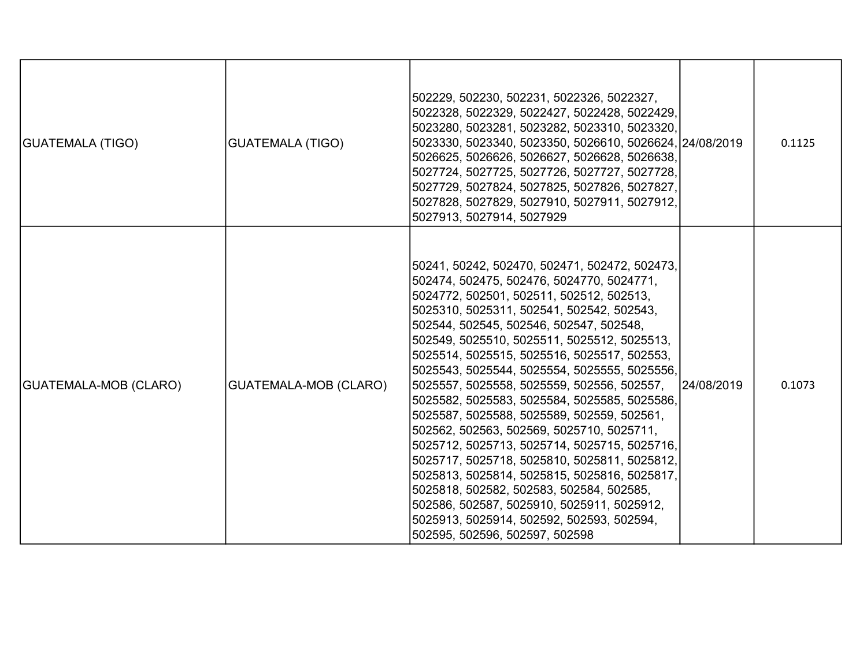| <b>GUATEMALA (TIGO)</b> | <b>GUATEMALA (TIGO)</b> | 502229, 502230, 502231, 5022326, 5022327,<br>5022328, 5022329, 5022427, 5022428, 5022429,<br>5023280, 5023281, 5023282, 5023310, 5023320,<br>5023330, 5023340, 5023350, 5026610, 5026624, 24/08/2019<br>5026625, 5026626, 5026627, 5026628, 5026638,<br>5027724, 5027725, 5027726, 5027727, 5027728,<br>5027729, 5027824, 5027825, 5027826, 5027827,<br>5027828, 5027829, 5027910, 5027911, 5027912,<br>5027913, 5027914, 5027929                                                                                                                                                                                                                                                                                                                                                                                                                                                              |            | 0.1125 |
|-------------------------|-------------------------|------------------------------------------------------------------------------------------------------------------------------------------------------------------------------------------------------------------------------------------------------------------------------------------------------------------------------------------------------------------------------------------------------------------------------------------------------------------------------------------------------------------------------------------------------------------------------------------------------------------------------------------------------------------------------------------------------------------------------------------------------------------------------------------------------------------------------------------------------------------------------------------------|------------|--------|
| GUATEMALA-MOB (CLARO)   | GUATEMALA-MOB (CLARO)   | 50241, 50242, 502470, 502471, 502472, 502473,<br>502474, 502475, 502476, 5024770, 5024771,<br>5024772, 502501, 502511, 502512, 502513,<br>5025310, 5025311, 502541, 502542, 502543,<br>502544, 502545, 502546, 502547, 502548,<br>502549, 5025510, 5025511, 5025512, 5025513,<br>5025514, 5025515, 5025516, 5025517, 502553,<br>5025543, 5025544, 5025554, 5025555, 5025556,<br>5025557, 5025558, 5025559, 502556, 502557,<br>5025582, 5025583, 5025584, 5025585, 5025586,<br>5025587, 5025588, 5025589, 502559, 502561,<br>502562, 502563, 502569, 5025710, 5025711,<br>5025712, 5025713, 5025714, 5025715, 5025716,<br>5025717, 5025718, 5025810, 5025811, 5025812,<br>5025813, 5025814, 5025815, 5025816, 5025817,<br>5025818, 502582, 502583, 502584, 502585,<br>502586, 502587, 5025910, 5025911, 5025912,<br>5025913, 5025914, 502592, 502593, 502594,<br>502595, 502596, 502597, 502598 | 24/08/2019 | 0.1073 |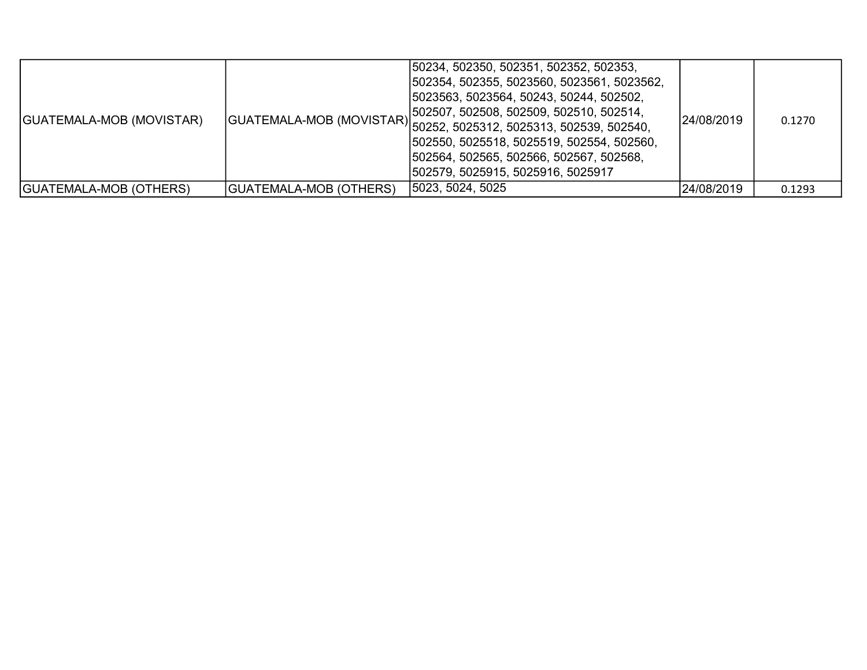| GUATEMALA-MOB (MOVISTAR)      |                               | 50234, 502350, 502351, 502352, 502353,<br> 502354, 502355, 5023560, 5023561, 5023562,<br> 5023563, 5023564, 50243, 50244, 502502,<br>[502507, 502508, 502509, 502510, 502514,<br> GUATEMALA-MOB (MOVISTAR) <br> 502521, 5025312, 5025313, 502539, 502539, 502540,<br> 502550, 5025518, 5025519, 502554, 502560,<br> 502564, 502565, 502566, 502567, 502568,<br> 502579, 5025915, 5025916, 5025917 | 24/08/2019 | 0.1270 |
|-------------------------------|-------------------------------|---------------------------------------------------------------------------------------------------------------------------------------------------------------------------------------------------------------------------------------------------------------------------------------------------------------------------------------------------------------------------------------------------|------------|--------|
| <b>GUATEMALA-MOB (OTHERS)</b> | <b>GUATEMALA-MOB (OTHERS)</b> | 5023, 5024, 5025                                                                                                                                                                                                                                                                                                                                                                                  | 24/08/2019 | 0.1293 |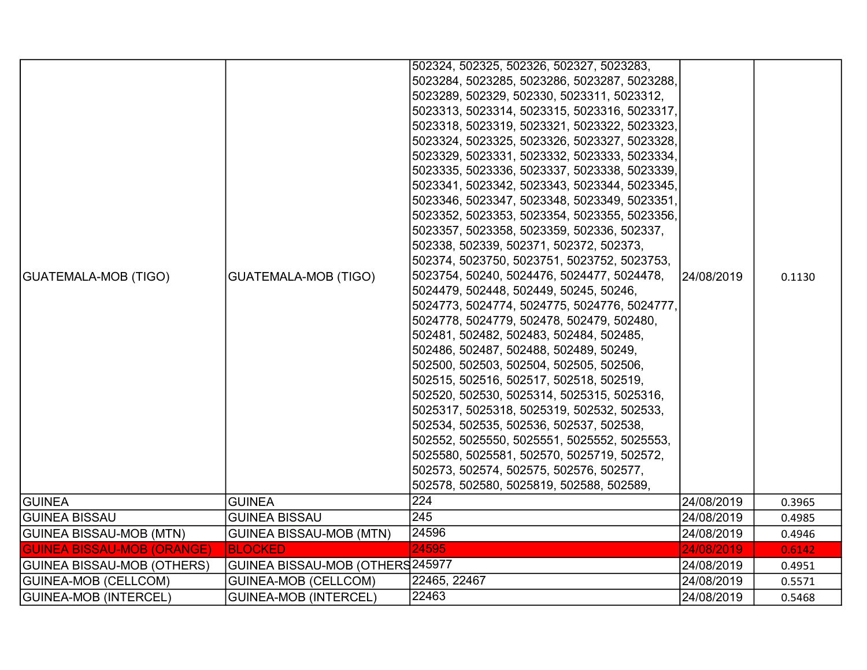| <b>GUATEMALA-MOB (TIGO)</b>       | <b>GUATEMALA-MOB (TIGO)</b>      | 502324, 502325, 502326, 502327, 5023283,<br>5023284, 5023285, 5023286, 5023287, 5023288,<br>5023289, 502329, 502330, 5023311, 5023312,<br>5023313, 5023314, 5023315, 5023316, 5023317,<br>5023318, 5023319, 5023321, 5023322, 5023323,<br>5023324, 5023325, 5023326, 5023327, 5023328,<br>5023329, 5023331, 5023332, 5023333, 5023334,<br>5023335, 5023336, 5023337, 5023338, 5023339,<br>5023341, 5023342, 5023343, 5023344, 5023345,<br>5023346, 5023347, 5023348, 5023349, 5023351,<br>5023352, 5023353, 5023354, 5023355, 5023356,<br>5023357, 5023358, 5023359, 502336, 502337,<br>502338, 502339, 502371, 502372, 502373,<br>502374, 5023750, 5023751, 5023752, 5023753,<br>5023754, 50240, 5024476, 5024477, 5024478,<br>5024479, 502448, 502449, 50245, 50246,<br>5024773, 5024774, 5024775, 5024776, 5024777,<br>5024778, 5024779, 502478, 502479, 502480,<br>502481, 502482, 502483, 502484, 502485,<br>502486, 502487, 502488, 502489, 50249,<br>502500, 502503, 502504, 502505, 502506,<br>502515, 502516, 502517, 502518, 502519,<br>502520, 502530, 5025314, 5025315, 5025316,<br>5025317, 5025318, 5025319, 502532, 502533,<br>502534, 502535, 502536, 502537, 502538,<br>502552, 5025550, 5025551, 5025552, 5025553,<br>5025580, 5025581, 502570, 5025719, 502572,<br>502573, 502574, 502575, 502576, 502577,<br>502578, 502580, 5025819, 502588, 502589, | 24/08/2019 | 0.1130 |
|-----------------------------------|----------------------------------|---------------------------------------------------------------------------------------------------------------------------------------------------------------------------------------------------------------------------------------------------------------------------------------------------------------------------------------------------------------------------------------------------------------------------------------------------------------------------------------------------------------------------------------------------------------------------------------------------------------------------------------------------------------------------------------------------------------------------------------------------------------------------------------------------------------------------------------------------------------------------------------------------------------------------------------------------------------------------------------------------------------------------------------------------------------------------------------------------------------------------------------------------------------------------------------------------------------------------------------------------------------------------------------------------------------------------------------------------------------------------|------------|--------|
| <b>GUINEA</b>                     | <b>GUINEA</b>                    | 224                                                                                                                                                                                                                                                                                                                                                                                                                                                                                                                                                                                                                                                                                                                                                                                                                                                                                                                                                                                                                                                                                                                                                                                                                                                                                                                                                                       | 24/08/2019 | 0.3965 |
| <b>GUINEA BISSAU</b>              | <b>GUINEA BISSAU</b>             | 245                                                                                                                                                                                                                                                                                                                                                                                                                                                                                                                                                                                                                                                                                                                                                                                                                                                                                                                                                                                                                                                                                                                                                                                                                                                                                                                                                                       | 24/08/2019 | 0.4985 |
| GUINEA BISSAU-MOB (MTN)           | <b>GUINEA BISSAU-MOB (MTN)</b>   | 24596                                                                                                                                                                                                                                                                                                                                                                                                                                                                                                                                                                                                                                                                                                                                                                                                                                                                                                                                                                                                                                                                                                                                                                                                                                                                                                                                                                     | 24/08/2019 | 0.4946 |
| <b>GUINEA BISSAU-MOB (ORANGE)</b> | <b>BLOCKED</b>                   | 24595                                                                                                                                                                                                                                                                                                                                                                                                                                                                                                                                                                                                                                                                                                                                                                                                                                                                                                                                                                                                                                                                                                                                                                                                                                                                                                                                                                     | 24/08/2019 | 0.6142 |
| <b>GUINEA BISSAU-MOB (OTHERS)</b> | GUINEA BISSAU-MOB (OTHERS 245977 |                                                                                                                                                                                                                                                                                                                                                                                                                                                                                                                                                                                                                                                                                                                                                                                                                                                                                                                                                                                                                                                                                                                                                                                                                                                                                                                                                                           | 24/08/2019 | 0.4951 |
| <b>GUINEA-MOB (CELLCOM)</b>       | <b>GUINEA-MOB (CELLCOM)</b>      | 22465, 22467                                                                                                                                                                                                                                                                                                                                                                                                                                                                                                                                                                                                                                                                                                                                                                                                                                                                                                                                                                                                                                                                                                                                                                                                                                                                                                                                                              | 24/08/2019 | 0.5571 |
| GUINEA-MOB (INTERCEL)             | <b>GUINEA-MOB (INTERCEL)</b>     | 22463                                                                                                                                                                                                                                                                                                                                                                                                                                                                                                                                                                                                                                                                                                                                                                                                                                                                                                                                                                                                                                                                                                                                                                                                                                                                                                                                                                     | 24/08/2019 | 0.5468 |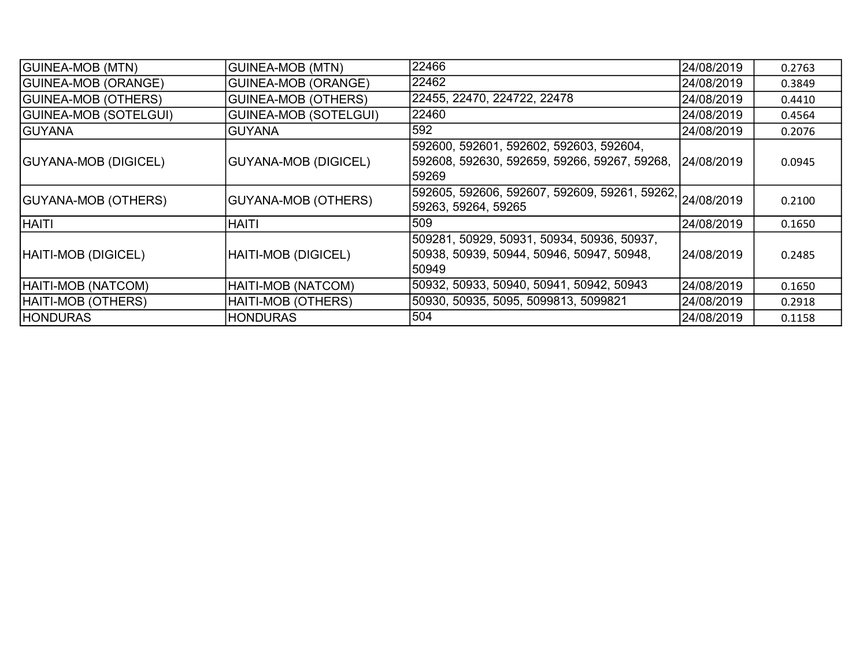| <b>GUINEA-MOB (MTN)</b>      | <b>GUINEA-MOB (MTN)</b>      | 22466                                                                                             | 24/08/2019 | 0.2763 |
|------------------------------|------------------------------|---------------------------------------------------------------------------------------------------|------------|--------|
| <b>GUINEA-MOB (ORANGE)</b>   | <b>GUINEA-MOB (ORANGE)</b>   | 22462                                                                                             | 24/08/2019 | 0.3849 |
| <b>GUINEA-MOB (OTHERS)</b>   | <b>GUINEA-MOB (OTHERS)</b>   | 22455, 22470, 224722, 22478                                                                       | 24/08/2019 | 0.4410 |
| <b>GUINEA-MOB (SOTELGUI)</b> | <b>GUINEA-MOB (SOTELGUI)</b> | 22460                                                                                             | 24/08/2019 | 0.4564 |
| <b>GUYANA</b>                | <b>GUYANA</b>                | 592                                                                                               | 24/08/2019 | 0.2076 |
| <b>GUYANA-MOB (DIGICEL)</b>  | <b>GUYANA-MOB (DIGICEL)</b>  | 592600, 592601, 592602, 592603, 592604,<br> 592608, 592630, 592659, 59266, 59267, 59268,<br>59269 | 24/08/2019 | 0.0945 |
| <b>GUYANA-MOB (OTHERS)</b>   | <b>GUYANA-MOB (OTHERS)</b>   | 592605, 592606, 592607, 592609, 59261, 59262, 24/08/2019<br>59263, 59264, 59265                   |            | 0.2100 |
| <b>HAITI</b>                 | <b>HAITI</b>                 | 509                                                                                               | 24/08/2019 | 0.1650 |
| HAITI-MOB (DIGICEL)          | HAITI-MOB (DIGICEL)          | 509281, 50929, 50931, 50934, 50936, 50937,<br> 50938, 50939, 50944, 50946, 50947, 50948,<br>50949 | 24/08/2019 | 0.2485 |
| HAITI-MOB (NATCOM)           | HAITI-MOB (NATCOM)           | 50932, 50933, 50940, 50941, 50942, 50943                                                          | 24/08/2019 | 0.1650 |
| HAITI-MOB (OTHERS)           | HAITI-MOB (OTHERS)           | 50930, 50935, 5095, 5099813, 5099821                                                              | 24/08/2019 | 0.2918 |
| <b>HONDURAS</b>              | <b>HONDURAS</b>              | 504                                                                                               | 24/08/2019 | 0.1158 |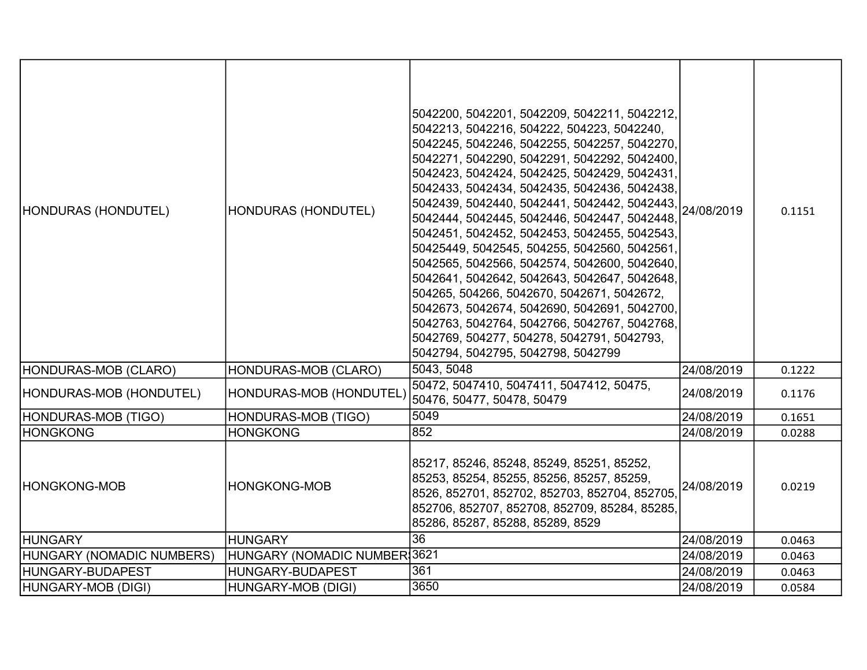| HONDURAS (HONDUTEL)<br>HONDURAS-MOB (CLARO) | HONDURAS (HONDUTEL)<br>HONDURAS-MOB (CLARO) | 5042200, 5042201, 5042209, 5042211, 5042212,<br>5042213, 5042216, 504222, 504223, 5042240,<br>5042245, 5042246, 5042255, 5042257, 5042270,<br>5042271, 5042290, 5042291, 5042292, 5042400,<br>5042423, 5042424, 5042425, 5042429, 5042431,<br>5042433, 5042434, 5042435, 5042436, 5042438,<br>5042439, 5042440, 5042441, 5042442, 5042443,<br>5042444, 5042445, 5042446, 5042447, 5042448,<br>5042451, 5042452, 5042453, 5042455, 5042543,<br>50425449, 5042545, 504255, 5042560, 5042561,<br>5042565, 5042566, 5042574, 5042600, 5042640,<br>5042641, 5042642, 5042643, 5042647, 5042648,<br>504265, 504266, 5042670, 5042671, 5042672,<br>5042673, 5042674, 5042690, 5042691, 5042700,<br>5042763, 5042764, 5042766, 5042767, 5042768,<br>5042769, 504277, 504278, 5042791, 5042793,<br>5042794, 5042795, 5042798, 5042799<br>5043, 5048 | 24/08/2019<br>24/08/2019 | 0.1151<br>0.1222 |
|---------------------------------------------|---------------------------------------------|--------------------------------------------------------------------------------------------------------------------------------------------------------------------------------------------------------------------------------------------------------------------------------------------------------------------------------------------------------------------------------------------------------------------------------------------------------------------------------------------------------------------------------------------------------------------------------------------------------------------------------------------------------------------------------------------------------------------------------------------------------------------------------------------------------------------------------------------|--------------------------|------------------|
| HONDURAS-MOB (HONDUTEL)                     | HONDURAS-MOB (HONDUTEL)                     | 50472, 5047410, 5047411, 5047412, 50475,<br>50476, 50477, 50478, 50479                                                                                                                                                                                                                                                                                                                                                                                                                                                                                                                                                                                                                                                                                                                                                                     | 24/08/2019               | 0.1176           |
| HONDURAS-MOB (TIGO)                         | HONDURAS-MOB (TIGO)                         | 5049                                                                                                                                                                                                                                                                                                                                                                                                                                                                                                                                                                                                                                                                                                                                                                                                                                       | 24/08/2019               | 0.1651           |
| HONGKONG                                    | <b>HONGKONG</b>                             | 852                                                                                                                                                                                                                                                                                                                                                                                                                                                                                                                                                                                                                                                                                                                                                                                                                                        | 24/08/2019               | 0.0288           |
| <b>HONGKONG-MOB</b>                         | <b>HONGKONG-MOB</b>                         | 85217, 85246, 85248, 85249, 85251, 85252,<br>85253, 85254, 85255, 85256, 85257, 85259,<br>8526, 852701, 852702, 852703, 852704, 852705,<br>852706, 852707, 852708, 852709, 85284, 85285,<br>85286, 85287, 85288, 85289, 8529                                                                                                                                                                                                                                                                                                                                                                                                                                                                                                                                                                                                               | 24/08/2019               | 0.0219           |
| <b>HUNGARY</b>                              | <b>HUNGARY</b>                              | $\overline{36}$                                                                                                                                                                                                                                                                                                                                                                                                                                                                                                                                                                                                                                                                                                                                                                                                                            | 24/08/2019               | 0.0463           |
| HUNGARY (NOMADIC NUMBERS)                   | HUNGARY (NOMADIC NUMBER 3621                |                                                                                                                                                                                                                                                                                                                                                                                                                                                                                                                                                                                                                                                                                                                                                                                                                                            | 24/08/2019               | 0.0463           |
| HUNGARY-BUDAPEST                            | HUNGARY-BUDAPEST                            | 361                                                                                                                                                                                                                                                                                                                                                                                                                                                                                                                                                                                                                                                                                                                                                                                                                                        | 24/08/2019               | 0.0463           |
| HUNGARY-MOB (DIGI)                          | HUNGARY-MOB (DIGI)                          | 3650                                                                                                                                                                                                                                                                                                                                                                                                                                                                                                                                                                                                                                                                                                                                                                                                                                       | 24/08/2019               | 0.0584           |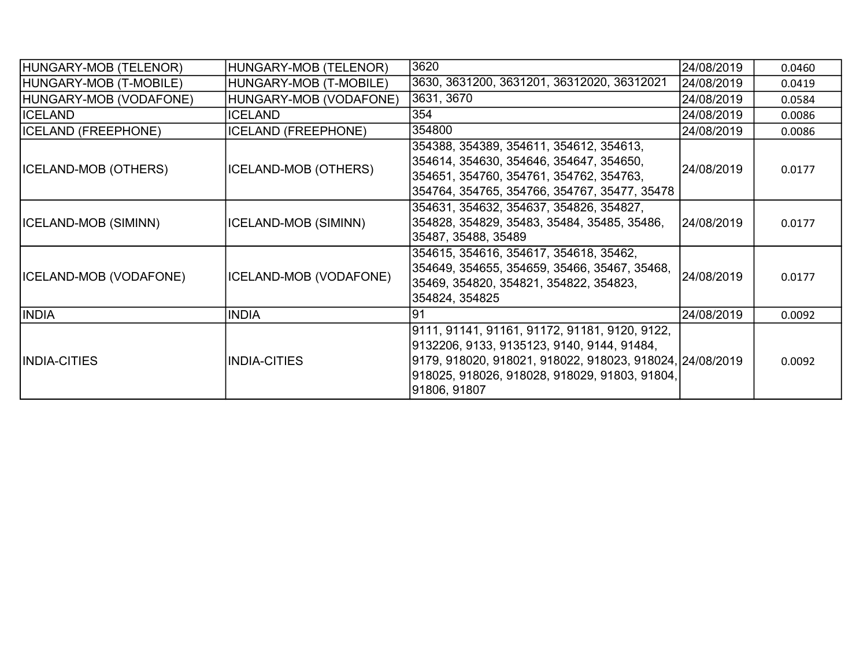| HUNGARY-MOB (TELENOR)         | HUNGARY-MOB (TELENOR)       | 3620                                                                                                                                                                                                                      | 24/08/2019 | 0.0460 |
|-------------------------------|-----------------------------|---------------------------------------------------------------------------------------------------------------------------------------------------------------------------------------------------------------------------|------------|--------|
| HUNGARY-MOB (T-MOBILE)        | HUNGARY-MOB (T-MOBILE)      | 3630, 3631200, 3631201, 36312020, 36312021                                                                                                                                                                                | 24/08/2019 | 0.0419 |
| HUNGARY-MOB (VODAFONE)        | HUNGARY-MOB (VODAFONE)      | 3631, 3670                                                                                                                                                                                                                | 24/08/2019 | 0.0584 |
| <b>ICELAND</b>                | <b>ICELAND</b>              | 354                                                                                                                                                                                                                       | 24/08/2019 | 0.0086 |
| <b>ICELAND (FREEPHONE)</b>    | <b>ICELAND (FREEPHONE)</b>  | 354800                                                                                                                                                                                                                    | 24/08/2019 | 0.0086 |
| <b>ICELAND-MOB (OTHERS)</b>   | <b>ICELAND-MOB (OTHERS)</b> | 354388, 354389, 354611, 354612, 354613,<br>354614, 354630, 354646, 354647, 354650,<br>354651, 354760, 354761, 354762, 354763,<br>354764, 354765, 354766, 354767, 35477, 35478                                             | 24/08/2019 | 0.0177 |
| ICELAND-MOB (SIMINN)          | ICELAND-MOB (SIMINN)        | 354631, 354632, 354637, 354826, 354827,<br>354828, 354829, 35483, 35484, 35485, 35486,<br>35487, 35488, 35489                                                                                                             | 24/08/2019 | 0.0177 |
| <b>ICELAND-MOB (VODAFONE)</b> | ICELAND-MOB (VODAFONE)      | 354615, 354616, 354617, 354618, 35462,<br>354649, 354655, 354659, 35466, 35467, 35468,<br>35469, 354820, 354821, 354822, 354823,<br>354824, 354825                                                                        | 24/08/2019 | 0.0177 |
| <b>INDIA</b>                  | <b>INDIA</b>                | 91                                                                                                                                                                                                                        | 24/08/2019 | 0.0092 |
| <b>INDIA-CITIES</b>           | <b>INDIA-CITIES</b>         | 9111, 91141, 91161, 91172, 91181, 9120, 9122,<br> 9132206, 9133, 9135123, 9140, 9144, 91484,<br>9179, 918020, 918021, 918022, 918023, 918024, 24/08/2019<br>918025, 918026, 918028, 918029, 91803, 91804,<br>91806, 91807 |            | 0.0092 |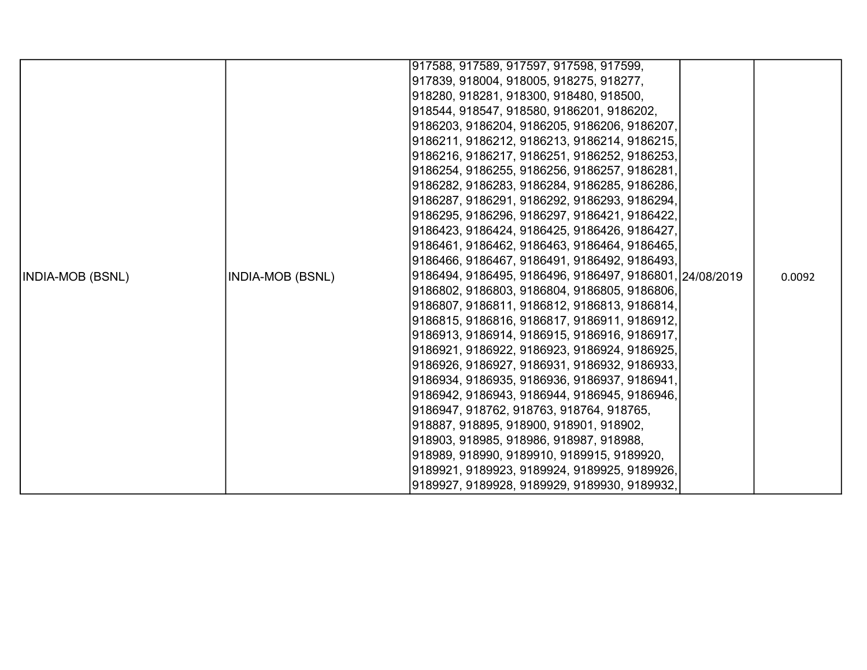|                         |                         | 917588, 917589, 917597, 917598, 917599,                 |        |
|-------------------------|-------------------------|---------------------------------------------------------|--------|
|                         |                         | 917839, 918004, 918005, 918275, 918277,                 |        |
|                         |                         | 918280, 918281, 918300, 918480, 918500,                 |        |
|                         |                         | 918544, 918547, 918580, 9186201, 9186202,               |        |
|                         |                         | 9186203, 9186204, 9186205, 9186206, 9186207,            |        |
|                         |                         | 9186211, 9186212, 9186213, 9186214, 9186215,            |        |
|                         |                         | 9186216, 9186217, 9186251, 9186252, 9186253,            |        |
|                         |                         | 9186254, 9186255, 9186256, 9186257, 9186281,            |        |
|                         |                         | 9186282, 9186283, 9186284, 9186285, 9186286,            |        |
|                         |                         | 9186287, 9186291, 9186292, 9186293, 9186294,            |        |
|                         |                         | 9186295, 9186296, 9186297, 9186421, 9186422,            |        |
|                         |                         | 9186423, 9186424, 9186425, 9186426, 9186427,            |        |
|                         |                         | 9186461, 9186462, 9186463, 9186464, 9186465,            |        |
|                         |                         | 9186466, 9186467, 9186491, 9186492, 9186493,            |        |
| <b>INDIA-MOB (BSNL)</b> | <b>INDIA-MOB (BSNL)</b> | 9186494, 9186495, 9186496, 9186497, 9186801, 24/08/2019 | 0.0092 |
|                         |                         | 9186802, 9186803, 9186804, 9186805, 9186806,            |        |
|                         |                         | 9186807, 9186811, 9186812, 9186813, 9186814,            |        |
|                         |                         | 9186815, 9186816, 9186817, 9186911, 9186912,            |        |
|                         |                         | 9186913, 9186914, 9186915, 9186916, 9186917,            |        |
|                         |                         | 9186921, 9186922, 9186923, 9186924, 9186925,            |        |
|                         |                         | 9186926, 9186927, 9186931, 9186932, 9186933,            |        |
|                         |                         | 9186934, 9186935, 9186936, 9186937, 9186941,            |        |
|                         |                         | 9186942, 9186943, 9186944, 9186945, 9186946,            |        |
|                         |                         | 9186947, 918762, 918763, 918764, 918765,                |        |
|                         |                         | 918887, 918895, 918900, 918901, 918902,                 |        |
|                         |                         | 918903, 918985, 918986, 918987, 918988,                 |        |
|                         |                         | 918989, 918990, 9189910, 9189915, 9189920,              |        |
|                         |                         | 9189921, 9189923, 9189924, 9189925, 9189926,            |        |
|                         |                         | 9189927, 9189928, 9189929, 9189930, 9189932,            |        |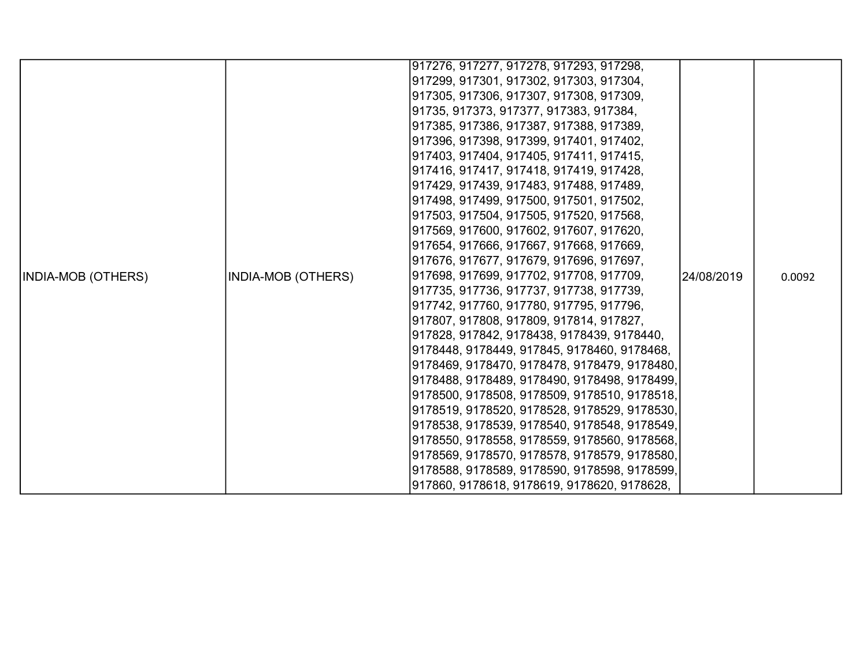|                           |                    | 917276, 917277, 917278, 917293, 917298,      |            |        |
|---------------------------|--------------------|----------------------------------------------|------------|--------|
|                           |                    |                                              |            |        |
|                           |                    | 917299, 917301, 917302, 917303, 917304,      |            |        |
|                           |                    | 917305, 917306, 917307, 917308, 917309,      |            |        |
|                           |                    | 91735, 917373, 917377, 917383, 917384,       |            |        |
|                           |                    | 917385, 917386, 917387, 917388, 917389,      |            |        |
|                           |                    | 917396, 917398, 917399, 917401, 917402,      |            |        |
|                           |                    | 917403, 917404, 917405, 917411, 917415,      |            |        |
|                           |                    | 917416, 917417, 917418, 917419, 917428,      |            |        |
|                           |                    | 917429, 917439, 917483, 917488, 917489,      |            |        |
|                           |                    | 917498, 917499, 917500, 917501, 917502,      |            |        |
|                           |                    | 917503, 917504, 917505, 917520, 917568,      |            |        |
|                           |                    | 917569, 917600, 917602, 917607, 917620,      |            |        |
|                           |                    | 917654, 917666, 917667, 917668, 917669,      |            |        |
|                           |                    | 917676, 917677, 917679, 917696, 917697,      |            |        |
| <b>INDIA-MOB (OTHERS)</b> | INDIA-MOB (OTHERS) | 917698, 917699, 917702, 917708, 917709,      | 24/08/2019 | 0.0092 |
|                           |                    | 917735, 917736, 917737, 917738, 917739,      |            |        |
|                           |                    | 917742, 917760, 917780, 917795, 917796,      |            |        |
|                           |                    | 917807, 917808, 917809, 917814, 917827,      |            |        |
|                           |                    | 917828, 917842, 9178438, 9178439, 9178440,   |            |        |
|                           |                    | 9178448, 9178449, 917845, 9178460, 9178468,  |            |        |
|                           |                    | 9178469, 9178470, 9178478, 9178479, 9178480, |            |        |
|                           |                    | 9178488, 9178489, 9178490, 9178498, 9178499, |            |        |
|                           |                    | 9178500, 9178508, 9178509, 9178510, 9178518, |            |        |
|                           |                    | 9178519, 9178520, 9178528, 9178529, 9178530, |            |        |
|                           |                    | 9178538, 9178539, 9178540, 9178548, 9178549, |            |        |
|                           |                    | 9178550, 9178558, 9178559, 9178560, 9178568, |            |        |
|                           |                    | 9178569, 9178570, 9178578, 9178579, 9178580, |            |        |
|                           |                    | 9178588, 9178589, 9178590, 9178598, 9178599, |            |        |
|                           |                    | 917860, 9178618, 9178619, 9178620, 9178628,  |            |        |
|                           |                    |                                              |            |        |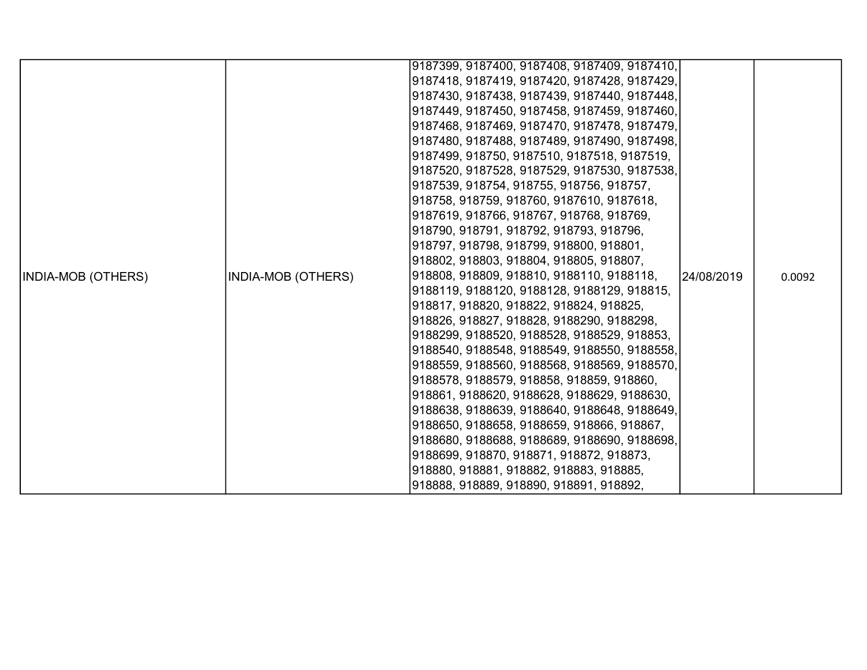|                    |                    | 9187399, 9187400, 9187408, 9187409, 9187410, |            |        |
|--------------------|--------------------|----------------------------------------------|------------|--------|
|                    |                    |                                              |            |        |
|                    |                    | 9187418, 9187419, 9187420, 9187428, 9187429, |            |        |
|                    |                    | 9187430, 9187438, 9187439, 9187440, 9187448, |            |        |
|                    |                    | 9187449, 9187450, 9187458, 9187459, 9187460, |            |        |
|                    |                    | 9187468, 9187469, 9187470, 9187478, 9187479, |            |        |
|                    |                    | 9187480, 9187488, 9187489, 9187490, 9187498, |            |        |
|                    |                    | 9187499, 918750, 9187510, 9187518, 9187519,  |            |        |
|                    |                    | 9187520, 9187528, 9187529, 9187530, 9187538, |            |        |
|                    |                    | 9187539, 918754, 918755, 918756, 918757,     |            |        |
|                    |                    | 918758, 918759, 918760, 9187610, 9187618,    |            |        |
|                    |                    | 9187619, 918766, 918767, 918768, 918769,     |            |        |
|                    |                    | 918790, 918791, 918792, 918793, 918796,      |            |        |
|                    |                    | 918797, 918798, 918799, 918800, 918801,      |            |        |
|                    |                    | 918802, 918803, 918804, 918805, 918807,      |            |        |
| INDIA-MOB (OTHERS) | INDIA-MOB (OTHERS) | 918808, 918809, 918810, 9188110, 9188118,    | 24/08/2019 | 0.0092 |
|                    |                    | 9188119, 9188120, 9188128, 9188129, 918815,  |            |        |
|                    |                    | 918817, 918820, 918822, 918824, 918825,      |            |        |
|                    |                    | 918826, 918827, 918828, 9188290, 9188298,    |            |        |
|                    |                    | 9188299, 9188520, 9188528, 9188529, 918853,  |            |        |
|                    |                    | 9188540, 9188548, 9188549, 9188550, 9188558, |            |        |
|                    |                    | 9188559, 9188560, 9188568, 9188569, 9188570, |            |        |
|                    |                    | 9188578, 9188579, 918858, 918859, 918860,    |            |        |
|                    |                    | 918861, 9188620, 9188628, 9188629, 9188630,  |            |        |
|                    |                    | 9188638, 9188639, 9188640, 9188648, 9188649, |            |        |
|                    |                    | 9188650, 9188658, 9188659, 918866, 918867,   |            |        |
|                    |                    | 9188680, 9188688, 9188689, 9188690, 9188698, |            |        |
|                    |                    | 9188699, 918870, 918871, 918872, 918873,     |            |        |
|                    |                    | 918880, 918881, 918882, 918883, 918885,      |            |        |
|                    |                    | 918888, 918889, 918890, 918891, 918892,      |            |        |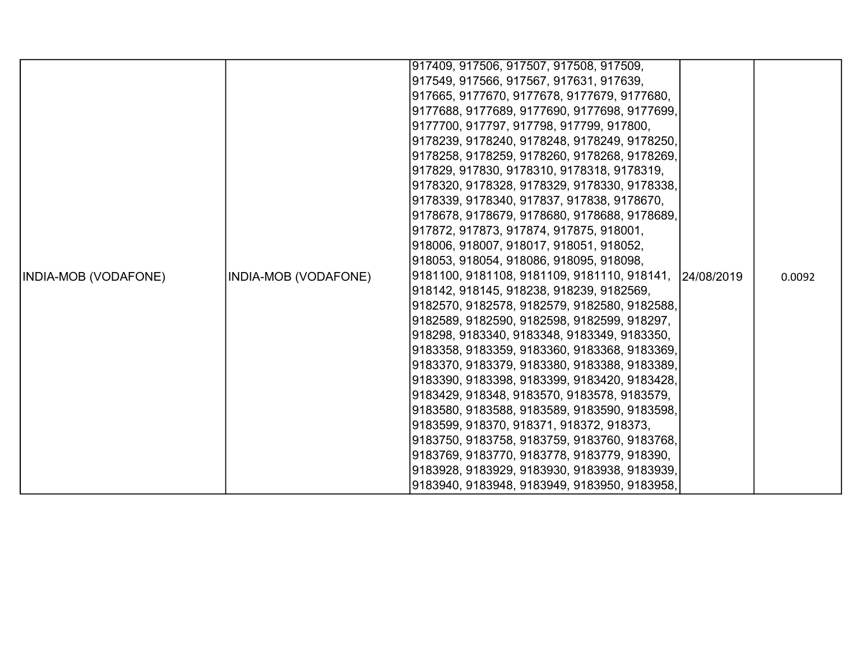|                      |                      | 917409, 917506, 917507, 917508, 917509,                 |        |
|----------------------|----------------------|---------------------------------------------------------|--------|
|                      |                      | 917549, 917566, 917567, 917631, 917639,                 |        |
|                      |                      | 917665, 9177670, 9177678, 9177679, 9177680,             |        |
|                      |                      | 9177688, 9177689, 9177690, 9177698, 9177699,            |        |
|                      |                      | 9177700, 917797, 917798, 917799, 917800,                |        |
|                      |                      | 9178239, 9178240, 9178248, 9178249, 9178250,            |        |
|                      |                      | 9178258, 9178259, 9178260, 9178268, 9178269,            |        |
|                      |                      | 917829, 917830, 9178310, 9178318, 9178319,              |        |
|                      |                      | 9178320, 9178328, 9178329, 9178330, 9178338,            |        |
|                      |                      | 9178339, 9178340, 917837, 917838, 9178670,              |        |
|                      |                      | 9178678, 9178679, 9178680, 9178688, 9178689,            |        |
|                      |                      | 917872, 917873, 917874, 917875, 918001,                 |        |
|                      |                      | 918006, 918007, 918017, 918051, 918052,                 |        |
|                      |                      | 918053, 918054, 918086, 918095, 918098,                 |        |
| INDIA-MOB (VODAFONE) | INDIA-MOB (VODAFONE) | 9181100, 9181108, 9181109, 9181110, 918141,  24/08/2019 | 0.0092 |
|                      |                      | 918142, 918145, 918238, 918239, 9182569,                |        |
|                      |                      | 9182570, 9182578, 9182579, 9182580, 9182588,            |        |
|                      |                      | 9182589, 9182590, 9182598, 9182599, 918297,             |        |
|                      |                      | 918298, 9183340, 9183348, 9183349, 9183350,             |        |
|                      |                      | 9183358, 9183359, 9183360, 9183368, 9183369,            |        |
|                      |                      | 9183370, 9183379, 9183380, 9183388, 9183389,            |        |
|                      |                      | 9183390, 9183398, 9183399, 9183420, 9183428,            |        |
|                      |                      | 9183429, 918348, 9183570, 9183578, 9183579,             |        |
|                      |                      | 9183580, 9183588, 9183589, 9183590, 9183598,            |        |
|                      |                      | 9183599, 918370, 918371, 918372, 918373,                |        |
|                      |                      | 9183750, 9183758, 9183759, 9183760, 9183768,            |        |
|                      |                      | 9183769, 9183770, 9183778, 9183779, 918390,             |        |
|                      |                      | 9183928, 9183929, 9183930, 9183938, 9183939,            |        |
|                      |                      | 9183940, 9183948, 9183949, 9183950, 9183958,            |        |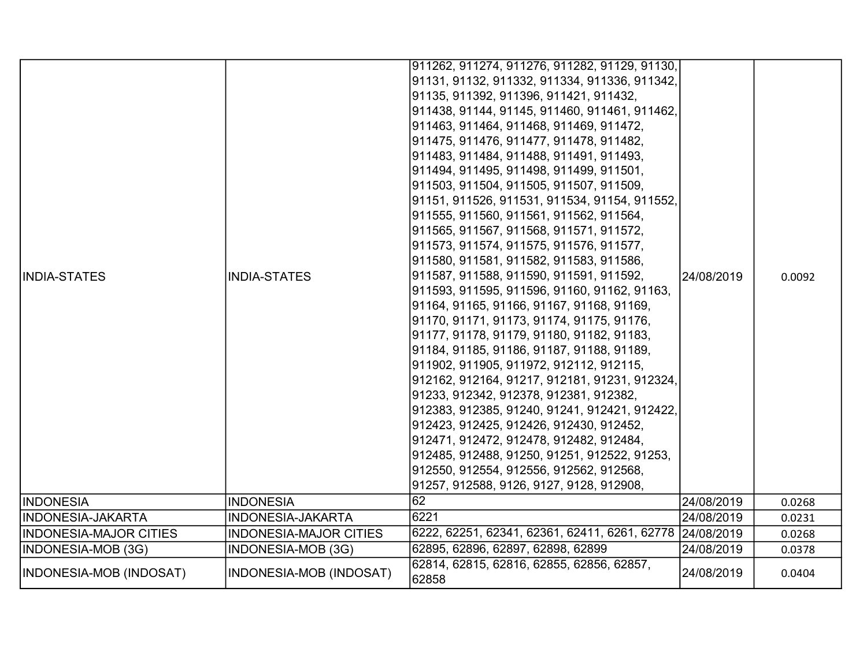| <b>INDIA-STATES</b>           | <b>INDIA-STATES</b>            | 911262, 911274, 911276, 911282, 91129, 91130,<br>91131, 91132, 911332, 911334, 911336, 911342,<br>91135, 911392, 911396, 911421, 911432,<br>911438, 91144, 91145, 911460, 911461, 911462,<br>911463, 911464, 911468, 911469, 911472,<br>911475, 911476, 911477, 911478, 911482,<br>911483, 911484, 911488, 911491, 911493,<br>911494, 911495, 911498, 911499, 911501,<br>911503, 911504, 911505, 911507, 911509,<br>91151, 911526, 911531, 911534, 91154, 911552,<br>911555, 911560, 911561, 911562, 911564,<br>911565, 911567, 911568, 911571, 911572,<br>911573, 911574, 911575, 911576, 911577,<br>911580, 911581, 911582, 911583, 911586,<br>911587, 911588, 911590, 911591, 911592,<br>911593, 911595, 911596, 91160, 91162, 91163,<br>91164, 91165, 91166, 91167, 91168, 91169,<br>91170, 91171, 91173, 91174, 91175, 91176,<br>91177, 91178, 91179, 91180, 91182, 91183,<br>91184, 91185, 91186, 91187, 91188, 91189,<br>911902, 911905, 911972, 912112, 912115, | 24/08/2019 | 0.0092 |
|-------------------------------|--------------------------------|-------------------------------------------------------------------------------------------------------------------------------------------------------------------------------------------------------------------------------------------------------------------------------------------------------------------------------------------------------------------------------------------------------------------------------------------------------------------------------------------------------------------------------------------------------------------------------------------------------------------------------------------------------------------------------------------------------------------------------------------------------------------------------------------------------------------------------------------------------------------------------------------------------------------------------------------------------------------------|------------|--------|
|                               |                                | 912162, 912164, 91217, 912181, 91231, 912324,<br>91233, 912342, 912378, 912381, 912382,<br>912383, 912385, 91240, 91241, 912421, 912422,<br>912423, 912425, 912426, 912430, 912452,<br>912471, 912472, 912478, 912482, 912484,<br>912485, 912488, 91250, 91251, 912522, 91253,<br>912550, 912554, 912556, 912562, 912568,                                                                                                                                                                                                                                                                                                                                                                                                                                                                                                                                                                                                                                               |            |        |
| IINDONESIA                    | <b>INDONESIA</b>               | 91257, 912588, 9126, 9127, 9128, 912908,<br>162                                                                                                                                                                                                                                                                                                                                                                                                                                                                                                                                                                                                                                                                                                                                                                                                                                                                                                                         | 24/08/2019 | 0.0268 |
|                               |                                | 6221                                                                                                                                                                                                                                                                                                                                                                                                                                                                                                                                                                                                                                                                                                                                                                                                                                                                                                                                                                    |            |        |
| INDONESIA-JAKARTA             | <b>INDONESIA-JAKARTA</b>       |                                                                                                                                                                                                                                                                                                                                                                                                                                                                                                                                                                                                                                                                                                                                                                                                                                                                                                                                                                         | 24/08/2019 | 0.0231 |
| <b>INDONESIA-MAJOR CITIES</b> | <b>INDONESIA-MAJOR CITIES</b>  | 6222, 62251, 62341, 62361, 62411, 6261, 62778 24/08/2019                                                                                                                                                                                                                                                                                                                                                                                                                                                                                                                                                                                                                                                                                                                                                                                                                                                                                                                |            | 0.0268 |
| INDONESIA-MOB (3G)            | INDONESIA-MOB (3G)             | 62895, 62896, 62897, 62898, 62899                                                                                                                                                                                                                                                                                                                                                                                                                                                                                                                                                                                                                                                                                                                                                                                                                                                                                                                                       | 24/08/2019 | 0.0378 |
| INDONESIA-MOB (INDOSAT)       | <b>INDONESIA-MOB (INDOSAT)</b> | 62814, 62815, 62816, 62855, 62856, 62857,<br>62858                                                                                                                                                                                                                                                                                                                                                                                                                                                                                                                                                                                                                                                                                                                                                                                                                                                                                                                      | 24/08/2019 | 0.0404 |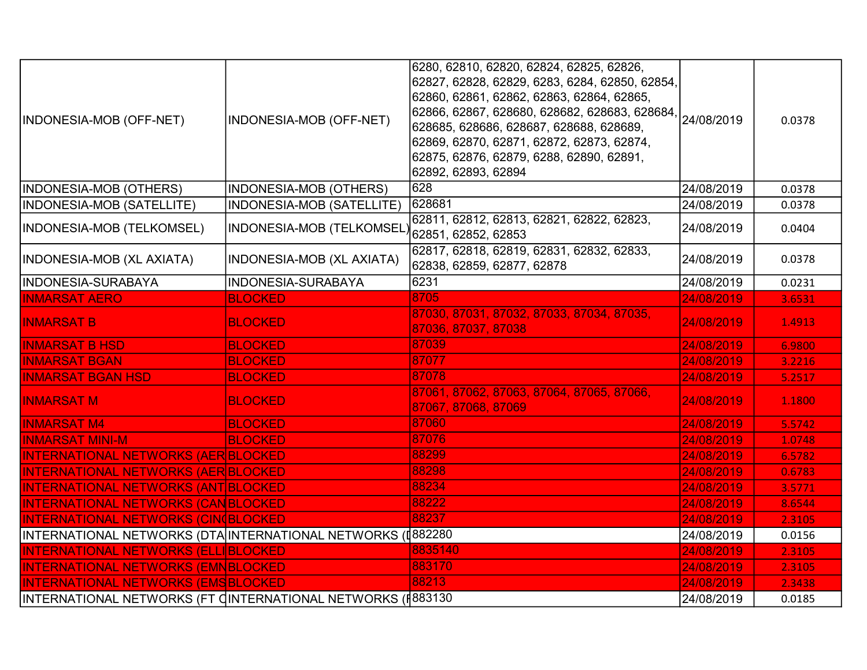|                                                              |                           | 6280, 62810, 62820, 62824, 62825, 62826,<br>62827, 62828, 62829, 6283, 6284, 62850, 62854,                                            |            |        |
|--------------------------------------------------------------|---------------------------|---------------------------------------------------------------------------------------------------------------------------------------|------------|--------|
| INDONESIA-MOB (OFF-NET)                                      | INDONESIA-MOB (OFF-NET)   | 62860, 62861, 62862, 62863, 62864, 62865,<br>62866, 62867, 628680, 628682, 628683, 628684,<br>628685, 628686, 628687, 628688, 628689, | 24/08/2019 | 0.0378 |
|                                                              |                           | 62869, 62870, 62871, 62872, 62873, 62874,<br>62875, 62876, 62879, 6288, 62890, 62891,<br>62892, 62893, 62894                          |            |        |
| <b>INDONESIA-MOB (OTHERS)</b>                                | INDONESIA-MOB (OTHERS)    | 628                                                                                                                                   | 24/08/2019 | 0.0378 |
| <b>INDONESIA-MOB (SATELLITE)</b>                             | INDONESIA-MOB (SATELLITE) | 628681                                                                                                                                | 24/08/2019 | 0.0378 |
| INDONESIA-MOB (TELKOMSEL)                                    | INDONESIA-MOB (TELKOMSEL  | 62811, 62812, 62813, 62821, 62822, 62823,<br>62851, 62852, 62853                                                                      | 24/08/2019 | 0.0404 |
| INDONESIA-MOB (XL AXIATA)                                    | INDONESIA-MOB (XL AXIATA) | 62817, 62818, 62819, 62831, 62832, 62833,<br>62838, 62859, 62877, 62878                                                               | 24/08/2019 | 0.0378 |
| INDONESIA-SURABAYA                                           | INDONESIA-SURABAYA        | 6231                                                                                                                                  | 24/08/2019 | 0.0231 |
| <b>INMARSAT AERO</b>                                         | <b>BLOCKED</b>            | 8705                                                                                                                                  | 24/08/2019 | 3.6531 |
| <b>INMARSAT B</b>                                            | <b>BLOCKED</b>            | 87030, 87031, 87032, 87033, 87034, 87035,<br>87036, 87037, 87038                                                                      | 24/08/2019 | 1.4913 |
| <b>INMARSAT B HSD</b>                                        | <b>BLOCKED</b>            | 87039                                                                                                                                 | 24/08/2019 | 6.9800 |
| <b>INMARSAT BGAN</b>                                         | <b>BLOCKED</b>            | 87077                                                                                                                                 | 24/08/2019 | 3.2216 |
| <b>INMARSAT BGAN HSD</b>                                     | <b>BLOCKED</b>            | 87078                                                                                                                                 | 24/08/2019 | 5.2517 |
| <b>INMARSAT M</b>                                            | <b>BLOCKED</b>            | 87061, 87062, 87063, 87064, 87065, 87066,<br>87067, 87068, 87069                                                                      | 24/08/2019 | 1.1800 |
| <b>INMARSAT M4</b>                                           | <b>BLOCKED</b>            | 87060                                                                                                                                 | 24/08/2019 | 5.5742 |
| <b>INMARSAT MINI-M</b>                                       | <b>BLOCKED</b>            | 87076                                                                                                                                 | 24/08/2019 | 1.0748 |
| <b>INTERNATIONAL NETWORKS (AER BLOCKED</b>                   |                           | 88299                                                                                                                                 | 24/08/2019 | 6.5782 |
| <b>INTERNATIONAL NETWORKS (AER BLOCKED</b>                   |                           | 88298                                                                                                                                 | 24/08/2019 | 0.6783 |
| <b>INTERNATIONAL NETWORKS (ANT BLOCKED</b>                   |                           | 88234                                                                                                                                 | 24/08/2019 | 3.5771 |
| <b>INTERNATIONAL NETWORKS (CANBLOCKED)</b>                   |                           | 88222                                                                                                                                 | 24/08/2019 | 8.6544 |
| <b>INTERNATIONAL NETWORKS (CINOBLOCKED)</b>                  |                           | 88237                                                                                                                                 | 24/08/2019 | 2.3105 |
| INTERNATIONAL NETWORKS (DTA INTERNATIONAL NETWORKS (I॑882280 |                           |                                                                                                                                       | 24/08/2019 | 0.0156 |
| <b>INTERNATIONAL NETWORKS (ELLIBLOCKED)</b>                  |                           | 8835140                                                                                                                               | 24/08/2019 | 2.3105 |
| <b>INTERNATIONAL NETWORKS (EMNBLOCKED)</b>                   |                           | 883170                                                                                                                                | 24/08/2019 | 2.3105 |
| <b>INTERNATIONAL NETWORKS (EMSBLOCKED)</b>                   |                           | 88213                                                                                                                                 | 24/08/2019 | 2.3438 |
| INTERNATIONAL NETWORKS (FT CINTERNATIONAL NETWORKS (#883130  |                           |                                                                                                                                       | 24/08/2019 | 0.0185 |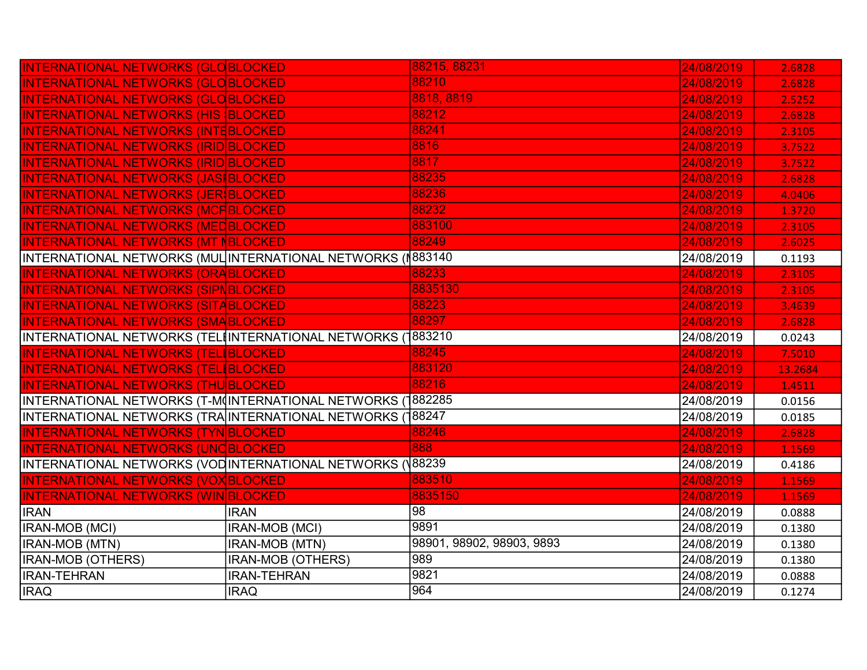| <b>INTERNATIONAL NETWORKS (GLOBLOCKED)</b>                  |                          | 88215, 88231              | 24/08/2019 | 2.6828  |
|-------------------------------------------------------------|--------------------------|---------------------------|------------|---------|
| <b>INTERNATIONAL NETWORKS (GLOBLOCKED)</b>                  |                          | 88210                     | 24/08/2019 | 2.6828  |
| <b>INTERNATIONAL NETWORKS (GLOBLOCKED)</b>                  |                          | 8818, 8819                | 24/08/2019 | 2.5252  |
| <b>INTERNATIONAL NETWORKS (HIS BLOCKED</b>                  |                          | 88212                     | 24/08/2019 | 2.6828  |
| <b>INTERNATIONAL NETWORKS (INTEBLOCKED)</b>                 |                          | 88241                     | 24/08/2019 | 2.3105  |
| <b>INTERNATIONAL NETWORKS (IRID BLOCKED)</b>                |                          | 8816                      | 24/08/2019 | 3.7522  |
| INTERNATIONAL NETWORKS (IRID BLOCKED                        |                          | 8817                      | 24/08/2019 | 3.7522  |
| <b>INTERNATIONAL NETWORKS (JASIBLOCKED)</b>                 |                          | 88235                     | 24/08/2019 | 2.6828  |
| INTERNATIONAL NETWORKS (JER BLOCKED                         |                          | 88236                     | 24/08/2019 | 4.0406  |
| <b>INTERNATIONAL NETWORKS (MCFBLOCKED</b>                   |                          | 88232                     | 24/08/2019 | 1.3720  |
| <b>INTERNATIONAL NETWORKS (MEDBLOCKED)</b>                  |                          | 883100                    | 24/08/2019 | 2.3105  |
| <b>INTERNATIONAL NETWORKS (MT NBLOCKED)</b>                 |                          | 88249                     | 24/08/2019 | 2.6025  |
| INTERNATIONAL NETWORKS (MUL INTERNATIONAL NETWORKS (1883140 |                          |                           | 24/08/2019 | 0.1193  |
| <b>INTERNATIONAL NETWORKS (ORABLOCKED)</b>                  |                          | 88233                     | 24/08/2019 | 2.3105  |
| <b>INTERNATIONAL NETWORKS (SIPNBLOCKED)</b>                 |                          | 8835130                   | 24/08/2019 | 2.3105  |
| <b>INTERNATIONAL NETWORKS (SITABLOCKED)</b>                 |                          | 88223                     | 24/08/2019 | 3.4639  |
| <b>INTERNATIONAL NETWORKS (SMABLOCKED)</b>                  |                          | 88297                     | 24/08/2019 | 2.6828  |
| INTERNATIONAL NETWORKS (TEL‡INTERNATIONAL NETWORKS (1883210 |                          |                           | 24/08/2019 | 0.0243  |
| <b>INTERNATIONAL NETWORKS (TELIBLOCKED</b>                  |                          | 88245                     | 24/08/2019 | 7.5010  |
| <b>INTERNATIONAL NETWORKS (TEL BLOCKED)</b>                 |                          | 883120                    | 24/08/2019 | 13.2684 |
| <b>INTERNATIONAL NETWORKS (THU BLOCKED)</b>                 |                          | 88216                     | 24/08/2019 | 1.4511  |
| INTERNATIONAL NETWORKS (T-M(INTERNATIONAL NETWORKS          |                          | 882285                    | 24/08/2019 | 0.0156  |
| INTERNATIONAL NETWORKS (TRA INTERNATIONAL NETWORKS (188247) |                          |                           | 24/08/2019 | 0.0185  |
| <b>INTERNATIONAL NETWORKS (TYN BLOCKED)</b>                 |                          | 88246                     | 24/08/2019 | 2.6828  |
| INTERNATIONAL NETWORKS (UNCBLOCKED                          |                          | 888                       | 24/08/2019 | 1.1569  |
| INTERNATIONAL NETWORKS (VODINTERNATIONAL NETWORKS (V        |                          | 88239                     | 24/08/2019 | 0.4186  |
| <b>INTERNATIONAL NETWORKS (VOX BLOCKED)</b>                 |                          | 883510                    | 24/08/2019 | 1.1569  |
| INTERNATIONAL NETWORKS (WIN BLOCKED                         |                          | 8835150                   | 24/08/2019 | 1.1569  |
| <b>IRAN</b>                                                 | <b>IRAN</b>              | $\overline{98}$           | 24/08/2019 | 0.0888  |
| IRAN-MOB (MCI)                                              | IRAN-MOB (MCI)           | 9891                      | 24/08/2019 | 0.1380  |
| IRAN-MOB (MTN)                                              | <b>IRAN-MOB (MTN)</b>    | 98901, 98902, 98903, 9893 | 24/08/2019 | 0.1380  |
| IRAN-MOB (OTHERS)                                           | <b>IRAN-MOB (OTHERS)</b> | 989                       | 24/08/2019 | 0.1380  |
| <b>IRAN-TEHRAN</b>                                          |                          |                           |            |         |
|                                                             | <b>IRAN-TEHRAN</b>       | 9821                      | 24/08/2019 | 0.0888  |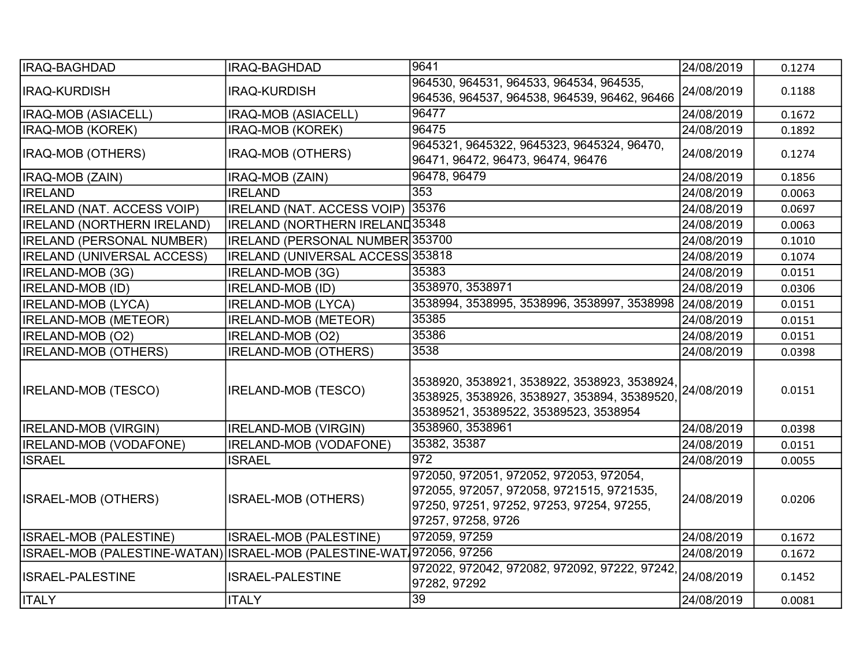| <b>IRAQ-BAGHDAD</b>                                                  | IRAQ-BAGHDAD                          | 9641                                                                                                                                                    | 24/08/2019 | 0.1274 |
|----------------------------------------------------------------------|---------------------------------------|---------------------------------------------------------------------------------------------------------------------------------------------------------|------------|--------|
| <b>IRAQ-KURDISH</b>                                                  | <b>IRAQ-KURDISH</b>                   | 964530, 964531, 964533, 964534, 964535,<br>964536, 964537, 964538, 964539, 96462, 96466                                                                 | 24/08/2019 | 0.1188 |
| <b>IRAQ-MOB (ASIACELL)</b>                                           | IRAQ-MOB (ASIACELL)                   | 96477                                                                                                                                                   | 24/08/2019 | 0.1672 |
| <b>IRAQ-MOB (KOREK)</b>                                              | IRAQ-MOB (KOREK)                      | 96475                                                                                                                                                   | 24/08/2019 | 0.1892 |
| <b>IRAQ-MOB (OTHERS)</b>                                             | IRAQ-MOB (OTHERS)                     | 9645321, 9645322, 9645323, 9645324, 96470,<br>96471, 96472, 96473, 96474, 96476                                                                         | 24/08/2019 | 0.1274 |
| IRAQ-MOB (ZAIN)                                                      | IRAQ-MOB (ZAIN)                       | 96478, 96479                                                                                                                                            | 24/08/2019 | 0.1856 |
| <b>IRELAND</b>                                                       | <b>IRELAND</b>                        | 353                                                                                                                                                     | 24/08/2019 | 0.0063 |
| <b>IRELAND (NAT. ACCESS VOIP)</b>                                    | <b>IRELAND (NAT. ACCESS VOIP)</b>     | 35376                                                                                                                                                   | 24/08/2019 | 0.0697 |
| <b>IRELAND (NORTHERN IRELAND)</b>                                    | <b>IRELAND (NORTHERN IRELAND35348</b> |                                                                                                                                                         | 24/08/2019 | 0.0063 |
| <b>IRELAND (PERSONAL NUMBER)</b>                                     | IRELAND (PERSONAL NUMBER 353700       |                                                                                                                                                         | 24/08/2019 | 0.1010 |
| <b>IRELAND (UNIVERSAL ACCESS)</b>                                    | IRELAND (UNIVERSAL ACCESS 353818      |                                                                                                                                                         | 24/08/2019 | 0.1074 |
| IRELAND-MOB (3G)                                                     | IRELAND-MOB (3G)                      | 35383                                                                                                                                                   | 24/08/2019 | 0.0151 |
| <b>IRELAND-MOB (ID)</b>                                              | <b>IRELAND-MOB (ID)</b>               | 3538970, 3538971                                                                                                                                        | 24/08/2019 | 0.0306 |
| <b>IRELAND-MOB (LYCA)</b>                                            | <b>IRELAND-MOB (LYCA)</b>             | 3538994, 3538995, 3538996, 3538997, 3538998                                                                                                             | 24/08/2019 | 0.0151 |
| <b>IRELAND-MOB (METEOR)</b>                                          | <b>IRELAND-MOB (METEOR)</b>           | 35385                                                                                                                                                   | 24/08/2019 | 0.0151 |
| IRELAND-MOB (O2)                                                     | IRELAND-MOB (O2)                      | 35386                                                                                                                                                   | 24/08/2019 | 0.0151 |
| <b>IRELAND-MOB (OTHERS)</b>                                          | <b>IRELAND-MOB (OTHERS)</b>           | 3538                                                                                                                                                    | 24/08/2019 | 0.0398 |
| <b>IRELAND-MOB (TESCO)</b>                                           | <b>IRELAND-MOB (TESCO)</b>            | 3538920, 3538921, 3538922, 3538923, 3538924, 24/08/2019<br>3538925, 3538926, 3538927, 353894, 35389520,<br>35389521, 35389522, 35389523, 3538954        |            | 0.0151 |
| <b>IRELAND-MOB (VIRGIN)</b>                                          | IRELAND-MOB (VIRGIN)                  | 3538960, 3538961                                                                                                                                        | 24/08/2019 | 0.0398 |
| <b>IRELAND-MOB (VODAFONE)</b>                                        | <b>IRELAND-MOB (VODAFONE)</b>         | 35382, 35387                                                                                                                                            | 24/08/2019 | 0.0151 |
| <b>ISRAEL</b>                                                        | <b>ISRAEL</b>                         | 972                                                                                                                                                     | 24/08/2019 | 0.0055 |
| <b>ISRAEL-MOB (OTHERS)</b>                                           | <b>ISRAEL-MOB (OTHERS)</b>            | 972050, 972051, 972052, 972053, 972054,<br>972055, 972057, 972058, 9721515, 9721535,<br>97250, 97251, 97252, 97253, 97254, 97255,<br>97257, 97258, 9726 | 24/08/2019 | 0.0206 |
| ISRAEL-MOB (PALESTINE)                                               | ISRAEL-MOB (PALESTINE)                | 972059, 97259                                                                                                                                           | 24/08/2019 | 0.1672 |
| ISRAEL-MOB (PALESTINE-WATAN) ISRAEL-MOB (PALESTINE-WAT 972056, 97256 |                                       |                                                                                                                                                         | 24/08/2019 | 0.1672 |
| <b>ISRAEL-PALESTINE</b>                                              | <b>ISRAEL-PALESTINE</b>               | 972022, 972042, 972082, 972092, 97222, 97242,<br>97282, 97292                                                                                           | 24/08/2019 | 0.1452 |
| <b>ITALY</b>                                                         | <b>ITALY</b>                          | 39                                                                                                                                                      | 24/08/2019 | 0.0081 |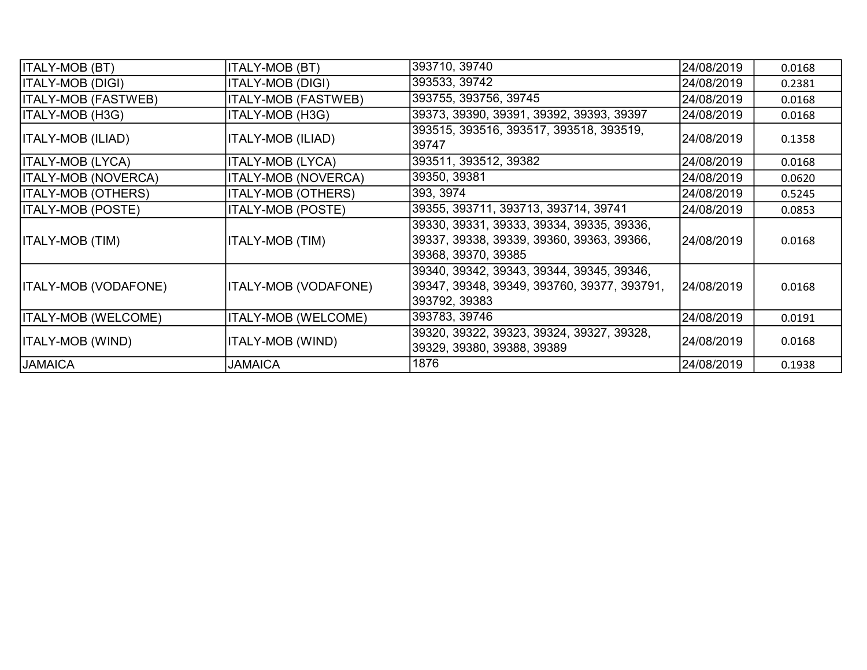| <b>ITALY-MOB (BT)</b>      | <b>ITALY-MOB (BT)</b>       | 393710, 39740                                                                                                 | 24/08/2019 | 0.0168 |
|----------------------------|-----------------------------|---------------------------------------------------------------------------------------------------------------|------------|--------|
| ITALY-MOB (DIGI)           | <b>ITALY-MOB (DIGI)</b>     | 393533, 39742                                                                                                 | 24/08/2019 | 0.2381 |
| ITALY-MOB (FASTWEB)        | <b>ITALY-MOB (FASTWEB)</b>  | 393755, 393756, 39745                                                                                         | 24/08/2019 | 0.0168 |
| ITALY-MOB (H3G)            | <b>ITALY-MOB (H3G)</b>      | 39373, 39390, 39391, 39392, 39393, 39397                                                                      | 24/08/2019 | 0.0168 |
| ITALY-MOB (ILIAD)          | <b>ITALY-MOB (ILIAD)</b>    | 393515, 393516, 393517, 393518, 393519,<br>39747                                                              | 24/08/2019 | 0.1358 |
| ITALY-MOB (LYCA)           | ITALY-MOB (LYCA)            | 393511, 393512, 39382                                                                                         | 24/08/2019 | 0.0168 |
| <b>ITALY-MOB (NOVERCA)</b> | <b>ITALY-MOB (NOVERCA)</b>  | 39350, 39381                                                                                                  | 24/08/2019 | 0.0620 |
| <b>ITALY-MOB (OTHERS)</b>  | <b>ITALY-MOB (OTHERS)</b>   | 393, 3974                                                                                                     | 24/08/2019 | 0.5245 |
| <b>ITALY-MOB (POSTE)</b>   | <b>ITALY-MOB (POSTE)</b>    | 39355, 393711, 393713, 393714, 39741                                                                          | 24/08/2019 | 0.0853 |
| ITALY-MOB (TIM)            | <b>ITALY-MOB (TIM)</b>      | 39330, 39331, 39333, 39334, 39335, 39336,<br>39337, 39338, 39339, 39360, 39363, 39366,<br>39368, 39370, 39385 | 24/08/2019 | 0.0168 |
| ITALY-MOB (VODAFONE)       | <b>ITALY-MOB (VODAFONE)</b> | 39340, 39342, 39343, 39344, 39345, 39346,<br>39347, 39348, 39349, 393760, 39377, 393791,<br>393792, 39383     | 24/08/2019 | 0.0168 |
| ITALY-MOB (WELCOME)        | <b>ITALY-MOB (WELCOME)</b>  | 393783, 39746                                                                                                 | 24/08/2019 | 0.0191 |
| ITALY-MOB (WIND)           | ITALY-MOB (WIND)            | 39320, 39322, 39323, 39324, 39327, 39328,<br>39329, 39380, 39388, 39389                                       | 24/08/2019 | 0.0168 |
| <b>JAMAICA</b>             | <b>JAMAICA</b>              | 1876                                                                                                          | 24/08/2019 | 0.1938 |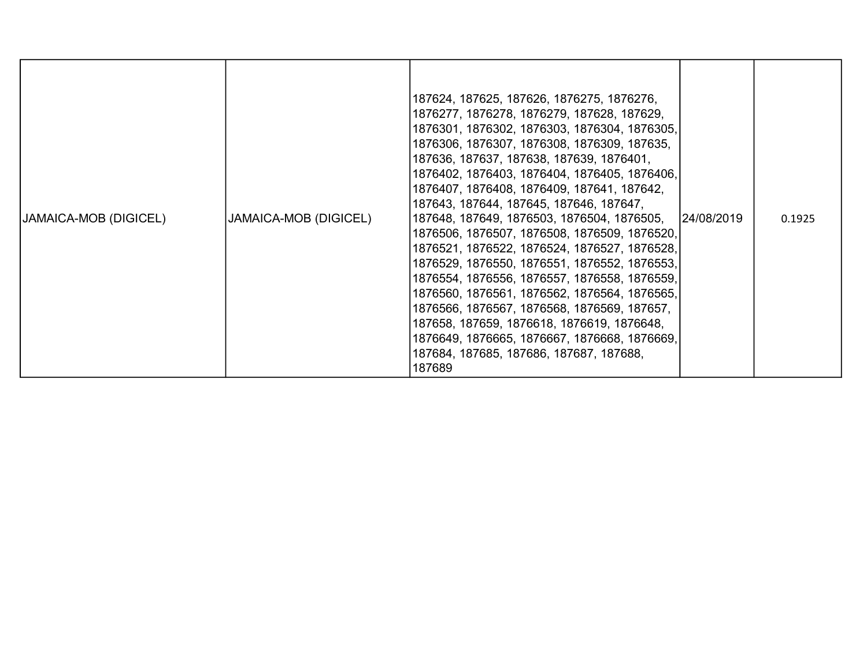| <b>JAMAICA-MOB (DIGICEL)</b> | JAMAICA-MOB (DIGICEL) | 187624, 187625, 187626, 1876275, 1876276,<br>1876277, 1876278, 1876279, 187628, 187629,<br>1876301, 1876302, 1876303, 1876304, 1876305,<br>1876306, 1876307, 1876308, 1876309, 187635,<br>187636, 187637, 187638, 187639, 1876401,<br>1876402, 1876403, 1876404, 1876405, 1876406,<br>1876407, 1876408, 1876409, 187641, 187642,<br>187643, 187644, 187645, 187646, 187647,<br>187648, 187649, 1876503, 1876504, 1876505,<br>1876506, 1876507, 1876508, 1876509, 1876520,<br>1876521, 1876522, 1876524, 1876527, 1876528,<br>1876529, 1876550, 1876551, 1876552, 1876553,<br>1876554, 1876556, 1876557, 1876558, 1876559,<br>1876560, 1876561, 1876562, 1876564, 1876565,<br>1876566, 1876567, 1876568, 1876569, 187657,<br>187658, 187659, 1876618, 1876619, 1876648,<br>1876649, 1876665, 1876667, 1876668, 1876669,<br>187684, 187685, 187686, 187687, 187688,<br>187689 | 24/08/2019 | 0.1925 |
|------------------------------|-----------------------|-----------------------------------------------------------------------------------------------------------------------------------------------------------------------------------------------------------------------------------------------------------------------------------------------------------------------------------------------------------------------------------------------------------------------------------------------------------------------------------------------------------------------------------------------------------------------------------------------------------------------------------------------------------------------------------------------------------------------------------------------------------------------------------------------------------------------------------------------------------------------------|------------|--------|
|------------------------------|-----------------------|-----------------------------------------------------------------------------------------------------------------------------------------------------------------------------------------------------------------------------------------------------------------------------------------------------------------------------------------------------------------------------------------------------------------------------------------------------------------------------------------------------------------------------------------------------------------------------------------------------------------------------------------------------------------------------------------------------------------------------------------------------------------------------------------------------------------------------------------------------------------------------|------------|--------|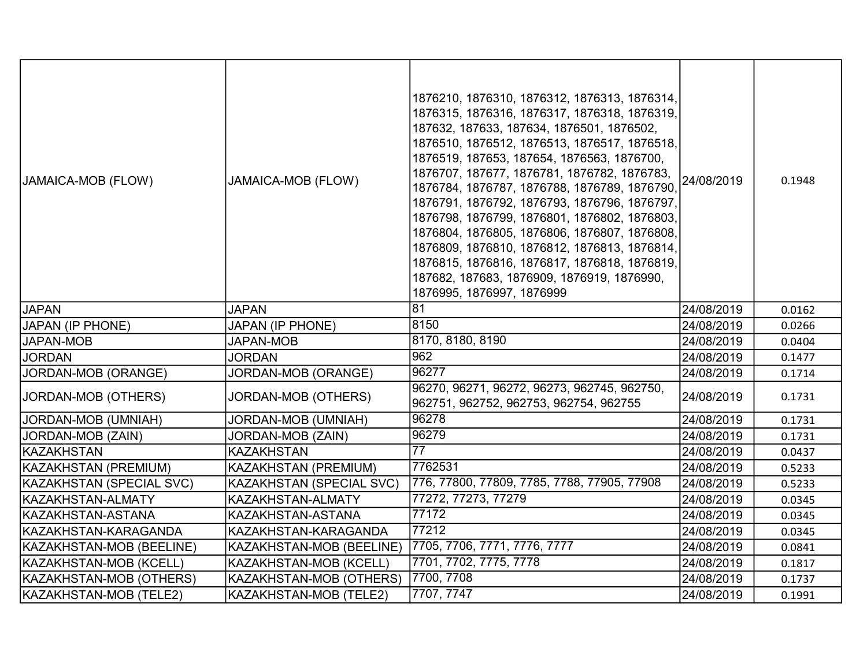| JAMAICA-MOB (FLOW)       | <b>JAMAICA-MOB (FLOW)</b>       | 1876210, 1876310, 1876312, 1876313, 1876314,<br>1876315, 1876316, 1876317, 1876318, 1876319,<br>187632, 187633, 187634, 1876501, 1876502,<br>1876510, 1876512, 1876513, 1876517, 1876518,<br>1876519, 187653, 187654, 1876563, 1876700,<br>1876707, 187677, 1876781, 1876782, 1876783,<br>1876784, 1876787, 1876788, 1876789, 1876790,<br>1876791, 1876792, 1876793, 1876796, 1876797,<br>1876798, 1876799, 1876801, 1876802, 1876803,<br>1876804, 1876805, 1876806, 1876807, 1876808,<br>1876809, 1876810, 1876812, 1876813, 1876814,<br>1876815, 1876816, 1876817, 1876818, 1876819,<br>187682, 187683, 1876909, 1876919, 1876990,<br>1876995, 1876997, 1876999 | 24/08/2019 | 0.1948 |
|--------------------------|---------------------------------|-------------------------------------------------------------------------------------------------------------------------------------------------------------------------------------------------------------------------------------------------------------------------------------------------------------------------------------------------------------------------------------------------------------------------------------------------------------------------------------------------------------------------------------------------------------------------------------------------------------------------------------------------------------------|------------|--------|
| <b>JAPAN</b>             | <b>JAPAN</b>                    | 81                                                                                                                                                                                                                                                                                                                                                                                                                                                                                                                                                                                                                                                                | 24/08/2019 | 0.0162 |
| <b>JAPAN (IP PHONE)</b>  | <b>JAPAN (IP PHONE)</b>         | 8150                                                                                                                                                                                                                                                                                                                                                                                                                                                                                                                                                                                                                                                              | 24/08/2019 | 0.0266 |
| <b>JAPAN-MOB</b>         | <b>JAPAN-MOB</b>                | 8170, 8180, 8190                                                                                                                                                                                                                                                                                                                                                                                                                                                                                                                                                                                                                                                  | 24/08/2019 | 0.0404 |
| <b>JORDAN</b>            | <b>JORDAN</b>                   | 962                                                                                                                                                                                                                                                                                                                                                                                                                                                                                                                                                                                                                                                               | 24/08/2019 | 0.1477 |
| JORDAN-MOB (ORANGE)      | JORDAN-MOB (ORANGE)             | 96277                                                                                                                                                                                                                                                                                                                                                                                                                                                                                                                                                                                                                                                             | 24/08/2019 | 0.1714 |
| JORDAN-MOB (OTHERS)      | JORDAN-MOB (OTHERS)             | 96270, 96271, 96272, 96273, 962745, 962750,<br>962751, 962752, 962753, 962754, 962755                                                                                                                                                                                                                                                                                                                                                                                                                                                                                                                                                                             | 24/08/2019 | 0.1731 |
| JORDAN-MOB (UMNIAH)      | JORDAN-MOB (UMNIAH)             | 96278                                                                                                                                                                                                                                                                                                                                                                                                                                                                                                                                                                                                                                                             | 24/08/2019 | 0.1731 |
| JORDAN-MOB (ZAIN)        | JORDAN-MOB (ZAIN)               | 96279                                                                                                                                                                                                                                                                                                                                                                                                                                                                                                                                                                                                                                                             | 24/08/2019 | 0.1731 |
| <b>KAZAKHSTAN</b>        | <b>KAZAKHSTAN</b>               | $\overline{77}$                                                                                                                                                                                                                                                                                                                                                                                                                                                                                                                                                                                                                                                   | 24/08/2019 | 0.0437 |
| KAZAKHSTAN (PREMIUM)     | KAZAKHSTAN (PREMIUM)            | 7762531                                                                                                                                                                                                                                                                                                                                                                                                                                                                                                                                                                                                                                                           | 24/08/2019 | 0.5233 |
| KAZAKHSTAN (SPECIAL SVC) | <b>KAZAKHSTAN (SPECIAL SVC)</b> | 776, 77800, 77809, 7785, 7788, 77905, 77908                                                                                                                                                                                                                                                                                                                                                                                                                                                                                                                                                                                                                       | 24/08/2019 | 0.5233 |
| KAZAKHSTAN-ALMATY        | KAZAKHSTAN-ALMATY               | 77272, 77273, 77279                                                                                                                                                                                                                                                                                                                                                                                                                                                                                                                                                                                                                                               | 24/08/2019 | 0.0345 |
| KAZAKHSTAN-ASTANA        | KAZAKHSTAN-ASTANA               | 77172                                                                                                                                                                                                                                                                                                                                                                                                                                                                                                                                                                                                                                                             | 24/08/2019 | 0.0345 |
| KAZAKHSTAN-KARAGANDA     | KAZAKHSTAN-KARAGANDA            | 77212                                                                                                                                                                                                                                                                                                                                                                                                                                                                                                                                                                                                                                                             | 24/08/2019 | 0.0345 |
| KAZAKHSTAN-MOB (BEELINE) | KAZAKHSTAN-MOB (BEELINE)        | 7705, 7706, 7771, 7776, 7777                                                                                                                                                                                                                                                                                                                                                                                                                                                                                                                                                                                                                                      | 24/08/2019 | 0.0841 |
| KAZAKHSTAN-MOB (KCELL)   | KAZAKHSTAN-MOB (KCELL)          | 7701, 7702, 7775, 7778                                                                                                                                                                                                                                                                                                                                                                                                                                                                                                                                                                                                                                            | 24/08/2019 | 0.1817 |
| KAZAKHSTAN-MOB (OTHERS)  | KAZAKHSTAN-MOB (OTHERS)         | 7700, 7708                                                                                                                                                                                                                                                                                                                                                                                                                                                                                                                                                                                                                                                        | 24/08/2019 | 0.1737 |
| KAZAKHSTAN-MOB (TELE2)   | <b>KAZAKHSTAN-MOB (TELE2)</b>   | 7707, 7747                                                                                                                                                                                                                                                                                                                                                                                                                                                                                                                                                                                                                                                        | 24/08/2019 | 0.1991 |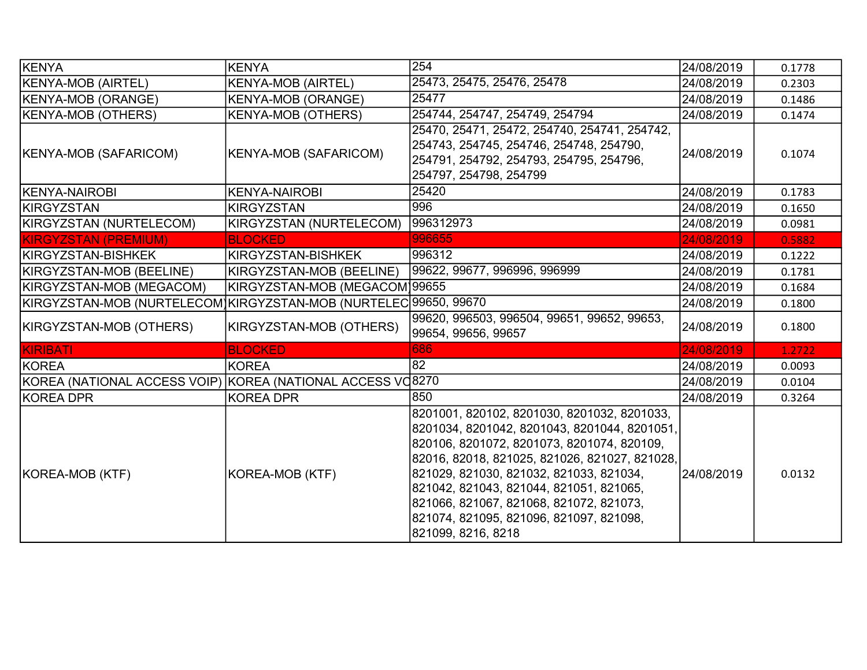| KENYA                                                            | <b>KENYA</b>                  | 254                                                                                                                                                                                                                                                                                                                                                                                          | 24/08/2019 | 0.1778 |
|------------------------------------------------------------------|-------------------------------|----------------------------------------------------------------------------------------------------------------------------------------------------------------------------------------------------------------------------------------------------------------------------------------------------------------------------------------------------------------------------------------------|------------|--------|
| <b>KENYA-MOB (AIRTEL)</b>                                        | <b>KENYA-MOB (AIRTEL)</b>     | 25473, 25475, 25476, 25478                                                                                                                                                                                                                                                                                                                                                                   | 24/08/2019 | 0.2303 |
| <b>KENYA-MOB (ORANGE)</b>                                        | <b>KENYA-MOB (ORANGE)</b>     | 25477                                                                                                                                                                                                                                                                                                                                                                                        | 24/08/2019 | 0.1486 |
| <b>KENYA-MOB (OTHERS)</b>                                        | <b>KENYA-MOB (OTHERS)</b>     | 254744, 254747, 254749, 254794                                                                                                                                                                                                                                                                                                                                                               | 24/08/2019 | 0.1474 |
| KENYA-MOB (SAFARICOM)                                            | <b>KENYA-MOB (SAFARICOM)</b>  | 25470, 25471, 25472, 254740, 254741, 254742,<br>254743, 254745, 254746, 254748, 254790,<br>254791, 254792, 254793, 254795, 254796,<br>254797, 254798, 254799                                                                                                                                                                                                                                 | 24/08/2019 | 0.1074 |
| <b>IKENYA-NAIROBI</b>                                            | <b>KENYA-NAIROBI</b>          | 25420                                                                                                                                                                                                                                                                                                                                                                                        | 24/08/2019 | 0.1783 |
| KIRGYZSTAN                                                       | <b>KIRGYZSTAN</b>             | 996                                                                                                                                                                                                                                                                                                                                                                                          | 24/08/2019 | 0.1650 |
| KIRGYZSTAN (NURTELECOM)                                          | KIRGYZSTAN (NURTELECOM)       | 996312973                                                                                                                                                                                                                                                                                                                                                                                    | 24/08/2019 | 0.0981 |
| <b>KIRGYZSTAN (PREMIUM)</b>                                      | <b>BLOCKED</b>                | 996655                                                                                                                                                                                                                                                                                                                                                                                       | 24/08/2019 | 0.5882 |
| KIRGYZSTAN-BISHKEK                                               | KIRGYZSTAN-BISHKEK            | 996312                                                                                                                                                                                                                                                                                                                                                                                       | 24/08/2019 | 0.1222 |
| KIRGYZSTAN-MOB (BEELINE)                                         | KIRGYZSTAN-MOB (BEELINE)      | 99622, 99677, 996996, 996999                                                                                                                                                                                                                                                                                                                                                                 | 24/08/2019 | 0.1781 |
| KIRGYZSTAN-MOB (MEGACOM)                                         | KIRGYZSTAN-MOB (MEGACOM)99655 |                                                                                                                                                                                                                                                                                                                                                                                              | 24/08/2019 | 0.1684 |
| KIRGYZSTAN-MOB (NURTELECOM)KIRGYZSTAN-MOB (NURTELEC 99650, 99670 |                               |                                                                                                                                                                                                                                                                                                                                                                                              | 24/08/2019 | 0.1800 |
| KIRGYZSTAN-MOB (OTHERS)                                          | KIRGYZSTAN-MOB (OTHERS)       | 99620, 996503, 996504, 99651, 99652, 99653,<br>99654, 99656, 99657                                                                                                                                                                                                                                                                                                                           | 24/08/2019 | 0.1800 |
| KIRIBATI                                                         | <b>BLOCKED</b>                | 686                                                                                                                                                                                                                                                                                                                                                                                          | 24/08/2019 | 1.2722 |
| KOREA                                                            | <b>KOREA</b>                  | 82                                                                                                                                                                                                                                                                                                                                                                                           | 24/08/2019 | 0.0093 |
| KOREA (NATIONAL ACCESS VOIP) KOREA (NATIONAL ACCESS VO8270       |                               |                                                                                                                                                                                                                                                                                                                                                                                              | 24/08/2019 | 0.0104 |
| KOREA DPR                                                        | <b>KOREA DPR</b>              | 850                                                                                                                                                                                                                                                                                                                                                                                          | 24/08/2019 | 0.3264 |
| KOREA-MOB (KTF)                                                  | KOREA-MOB (KTF)               | 8201001, 820102, 8201030, 8201032, 8201033,<br>8201034, 8201042, 8201043, 8201044, 8201051,<br>820106, 8201072, 8201073, 8201074, 820109,<br>82016, 82018, 821025, 821026, 821027, 821028,<br>821029, 821030, 821032, 821033, 821034,<br>821042, 821043, 821044, 821051, 821065,<br>821066, 821067, 821068, 821072, 821073,<br>821074, 821095, 821096, 821097, 821098,<br>821099, 8216, 8218 | 24/08/2019 | 0.0132 |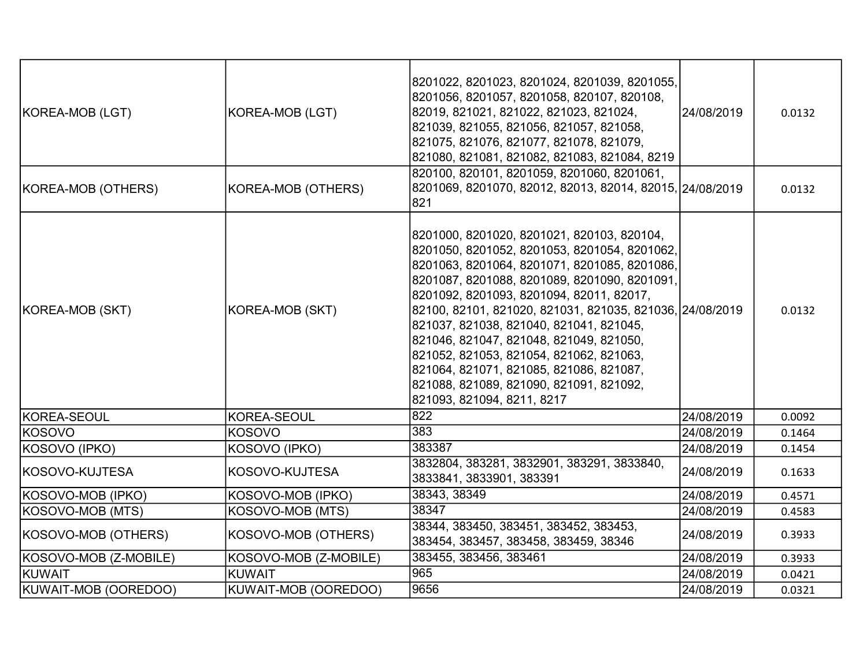| KOREA-MOB (LGT)       | KOREA-MOB (LGT)       | 8201022, 8201023, 8201024, 8201039, 8201055,<br>8201056, 8201057, 8201058, 820107, 820108,<br>82019, 821021, 821022, 821023, 821024,<br>821039, 821055, 821056, 821057, 821058,<br>821075, 821076, 821077, 821078, 821079,<br>821080, 821081, 821082, 821083, 821084, 8219                                                                                                                                                                                                                                                                              | 24/08/2019 | 0.0132 |
|-----------------------|-----------------------|---------------------------------------------------------------------------------------------------------------------------------------------------------------------------------------------------------------------------------------------------------------------------------------------------------------------------------------------------------------------------------------------------------------------------------------------------------------------------------------------------------------------------------------------------------|------------|--------|
| KOREA-MOB (OTHERS)    | KOREA-MOB (OTHERS)    | 820100, 820101, 8201059, 8201060, 8201061,<br>8201069, 8201070, 82012, 82013, 82014, 82015, 24/08/2019<br>821                                                                                                                                                                                                                                                                                                                                                                                                                                           |            | 0.0132 |
| KOREA-MOB (SKT)       | KOREA-MOB (SKT)       | 8201000, 8201020, 8201021, 820103, 820104,<br>8201050, 8201052, 8201053, 8201054, 8201062,<br>8201063, 8201064, 8201071, 8201085, 8201086,<br>8201087, 8201088, 8201089, 8201090, 8201091,<br>8201092, 8201093, 8201094, 82011, 82017,<br>82100, 82101, 821020, 821031, 821035, 821036, 24/08/2019<br>821037, 821038, 821040, 821041, 821045,<br>821046, 821047, 821048, 821049, 821050,<br>821052, 821053, 821054, 821062, 821063,<br>821064, 821071, 821085, 821086, 821087,<br>821088, 821089, 821090, 821091, 821092,<br>821093, 821094, 8211, 8217 |            | 0.0132 |
| KOREA-SEOUL           | KOREA-SEOUL           | 822                                                                                                                                                                                                                                                                                                                                                                                                                                                                                                                                                     | 24/08/2019 | 0.0092 |
| <b>KOSOVO</b>         | <b>KOSOVO</b>         | 383                                                                                                                                                                                                                                                                                                                                                                                                                                                                                                                                                     | 24/08/2019 | 0.1464 |
| KOSOVO (IPKO)         | KOSOVO (IPKO)         | 383387                                                                                                                                                                                                                                                                                                                                                                                                                                                                                                                                                  | 24/08/2019 | 0.1454 |
| KOSOVO-KUJTESA        | KOSOVO-KUJTESA        | 3832804, 383281, 3832901, 383291, 3833840,<br>3833841, 3833901, 383391                                                                                                                                                                                                                                                                                                                                                                                                                                                                                  | 24/08/2019 | 0.1633 |
| KOSOVO-MOB (IPKO)     | KOSOVO-MOB (IPKO)     | 38343, 38349                                                                                                                                                                                                                                                                                                                                                                                                                                                                                                                                            | 24/08/2019 | 0.4571 |
| KOSOVO-MOB (MTS)      | KOSOVO-MOB (MTS)      | 38347                                                                                                                                                                                                                                                                                                                                                                                                                                                                                                                                                   | 24/08/2019 | 0.4583 |
| KOSOVO-MOB (OTHERS)   | KOSOVO-MOB (OTHERS)   | 38344, 383450, 383451, 383452, 383453,<br>383454, 383457, 383458, 383459, 38346                                                                                                                                                                                                                                                                                                                                                                                                                                                                         | 24/08/2019 | 0.3933 |
| KOSOVO-MOB (Z-MOBILE) | KOSOVO-MOB (Z-MOBILE) | 383455, 383456, 383461                                                                                                                                                                                                                                                                                                                                                                                                                                                                                                                                  | 24/08/2019 | 0.3933 |
| KUWAIT                | <b>KUWAIT</b>         | 965                                                                                                                                                                                                                                                                                                                                                                                                                                                                                                                                                     | 24/08/2019 | 0.0421 |
| KUWAIT-MOB (OOREDOO)  | KUWAIT-MOB (OOREDOO)  | 9656                                                                                                                                                                                                                                                                                                                                                                                                                                                                                                                                                    | 24/08/2019 | 0.0321 |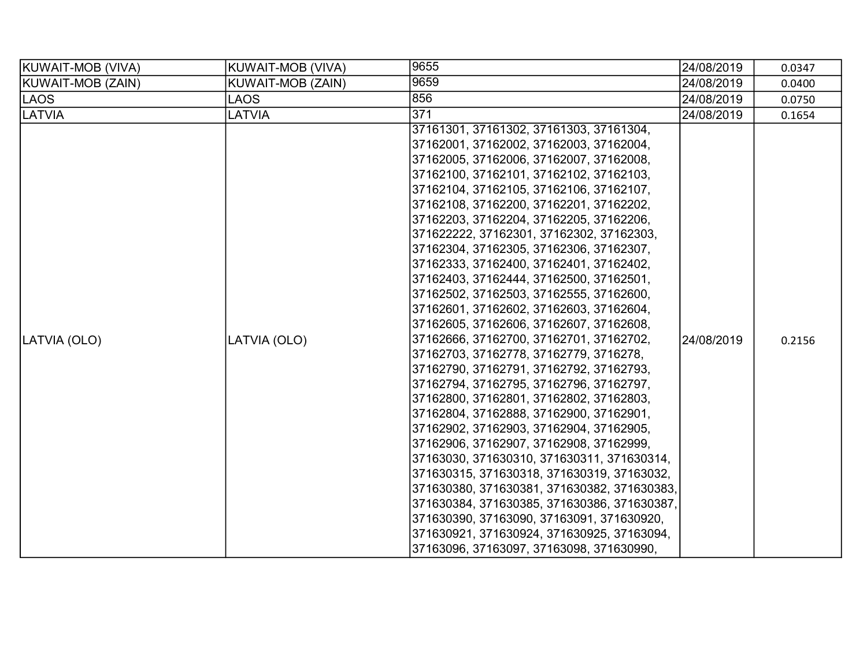| KUWAIT-MOB (VIVA) | KUWAIT-MOB (VIVA) | 9655                                                                                                                                                                                                                                                                                                                                                                                                                                                                                                                                                                                                                                                                                                                                                                                                                                                                                                                                                                                                                                                                                                                                                                                                                                                                                                            | 24/08/2019 | 0.0347 |
|-------------------|-------------------|-----------------------------------------------------------------------------------------------------------------------------------------------------------------------------------------------------------------------------------------------------------------------------------------------------------------------------------------------------------------------------------------------------------------------------------------------------------------------------------------------------------------------------------------------------------------------------------------------------------------------------------------------------------------------------------------------------------------------------------------------------------------------------------------------------------------------------------------------------------------------------------------------------------------------------------------------------------------------------------------------------------------------------------------------------------------------------------------------------------------------------------------------------------------------------------------------------------------------------------------------------------------------------------------------------------------|------------|--------|
| KUWAIT-MOB (ZAIN) | KUWAIT-MOB (ZAIN) | 9659                                                                                                                                                                                                                                                                                                                                                                                                                                                                                                                                                                                                                                                                                                                                                                                                                                                                                                                                                                                                                                                                                                                                                                                                                                                                                                            | 24/08/2019 | 0.0400 |
| LAOS              | LAOS              | 856                                                                                                                                                                                                                                                                                                                                                                                                                                                                                                                                                                                                                                                                                                                                                                                                                                                                                                                                                                                                                                                                                                                                                                                                                                                                                                             | 24/08/2019 | 0.0750 |
| <b>LATVIA</b>     | LATVIA            | 371                                                                                                                                                                                                                                                                                                                                                                                                                                                                                                                                                                                                                                                                                                                                                                                                                                                                                                                                                                                                                                                                                                                                                                                                                                                                                                             | 24/08/2019 | 0.1654 |
| LATVIA (OLO)      | LATVIA (OLO)      | 37161301, 37161302, 37161303, 37161304,<br>37162001, 37162002, 37162003, 37162004,<br>37162005, 37162006, 37162007, 37162008,<br>37162100, 37162101, 37162102, 37162103,<br>37162104, 37162105, 37162106, 37162107,<br>37162108, 37162200, 37162201, 37162202,<br>37162203, 37162204, 37162205, 37162206,<br>371622222, 37162301, 37162302, 37162303,<br>37162304, 37162305, 37162306, 37162307,<br>37162333, 37162400, 37162401, 37162402,<br>37162403, 37162444, 37162500, 37162501,<br>37162502, 37162503, 37162555, 37162600,<br>37162601, 37162602, 37162603, 37162604,<br>37162605, 37162606, 37162607, 37162608,<br>37162666, 37162700, 37162701, 37162702,<br>37162703, 37162778, 37162779, 3716278,<br>37162790, 37162791, 37162792, 37162793,<br>37162794, 37162795, 37162796, 37162797,<br>37162800, 37162801, 37162802, 37162803,<br>37162804, 37162888, 37162900, 37162901,<br>37162902, 37162903, 37162904, 37162905,<br>37162906, 37162907, 37162908, 37162999,<br>37163030, 371630310, 371630311, 371630314,<br>371630315, 371630318, 371630319, 37163032,<br>371630380, 371630381, 371630382, 371630383,<br>371630384, 371630385, 371630386, 371630387,<br>371630390, 37163090, 37163091, 371630920,<br>371630921, 371630924, 371630925, 37163094,<br>37163096, 37163097, 37163098, 371630990, | 24/08/2019 | 0.2156 |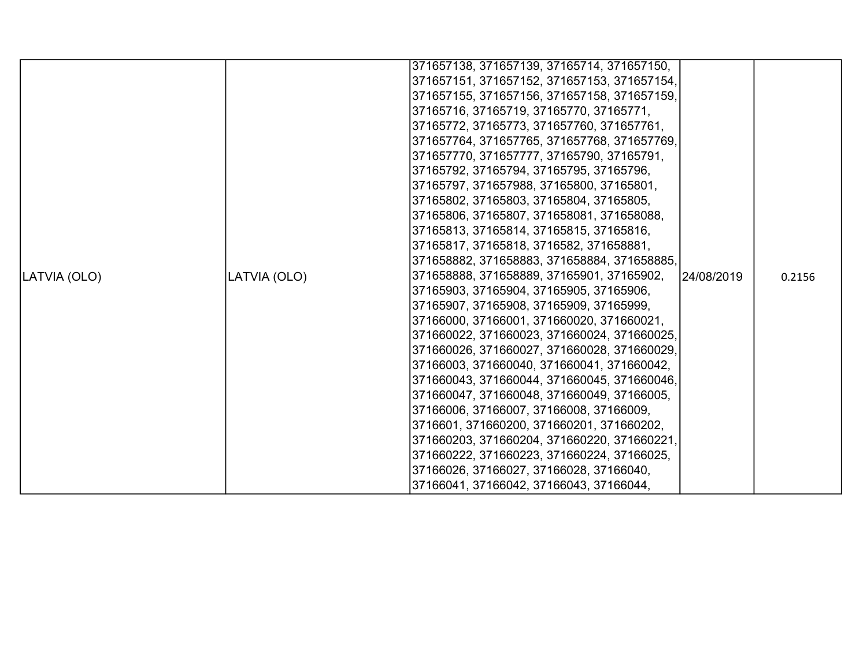|              |              | 371657138, 371657139, 37165714, 371657150,  |            |        |
|--------------|--------------|---------------------------------------------|------------|--------|
|              |              | 371657151, 371657152, 371657153, 371657154, |            |        |
|              |              | 371657155, 371657156, 371657158, 371657159, |            |        |
|              |              | 37165716, 37165719, 37165770, 37165771,     |            |        |
|              |              | 37165772, 37165773, 371657760, 371657761,   |            |        |
|              |              | 371657764, 371657765, 371657768, 371657769, |            |        |
|              |              | 371657770, 371657777, 37165790, 37165791,   |            |        |
|              |              | 37165792, 37165794, 37165795, 37165796,     |            |        |
|              |              | 37165797, 371657988, 37165800, 37165801,    |            |        |
|              |              | 37165802, 37165803, 37165804, 37165805,     |            |        |
|              |              | 37165806, 37165807, 371658081, 371658088,   |            |        |
|              |              | 37165813, 37165814, 37165815, 37165816,     |            |        |
|              |              | 37165817, 37165818, 3716582, 371658881,     |            |        |
|              |              | 371658882, 371658883, 371658884, 371658885, |            |        |
| LATVIA (OLO) | LATVIA (OLO) | 371658888, 371658889, 37165901, 37165902,   | 24/08/2019 | 0.2156 |
|              |              | 37165903, 37165904, 37165905, 37165906,     |            |        |
|              |              | 37165907, 37165908, 37165909, 37165999,     |            |        |
|              |              | 37166000, 37166001, 371660020, 371660021,   |            |        |
|              |              | 371660022, 371660023, 371660024, 371660025, |            |        |
|              |              | 371660026, 371660027, 371660028, 371660029, |            |        |
|              |              | 37166003, 371660040, 371660041, 371660042,  |            |        |
|              |              | 371660043, 371660044, 371660045, 371660046, |            |        |
|              |              | 371660047, 371660048, 371660049, 37166005,  |            |        |
|              |              | 37166006, 37166007, 37166008, 37166009,     |            |        |
|              |              | 3716601, 371660200, 371660201, 371660202,   |            |        |
|              |              | 371660203, 371660204, 371660220, 371660221, |            |        |
|              |              | 371660222, 371660223, 371660224, 37166025,  |            |        |
|              |              | 37166026, 37166027, 37166028, 37166040,     |            |        |
|              |              | 37166041, 37166042, 37166043, 37166044,     |            |        |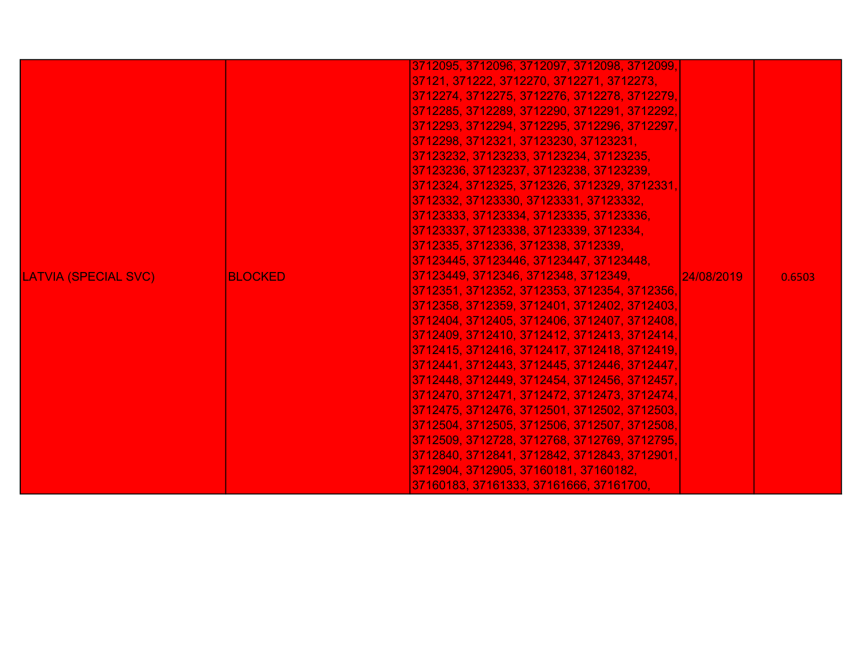| 3712409, 3712410, 3712412, 3712413, 3712414,<br>3712415, 3712416, 3712417, 3712418, 3712419,<br>3712441, 3712443, 3712445, 3712446, 3712447,<br>3712448, 3712449, 3712454, 3712456, 3712457,<br>3712470, 3712471, 3712472, 3712473, 3712474,<br> 3712475, 3712476, 3712501, 3712502, 3712503,<br>3712504, 3712505, 3712506, 3712507, 3712508,<br>3712509, 3712728, 3712768, 3712769, 3712795,<br>3712840, 3712841, 3712842, 3712843, 3712901,<br>3712904, 3712905, 37160181, 37160182,<br>37160183, 37161333, 37161666, 37161700, | <b>LATVIA (SPECIAL SVC)</b><br><b>BLOCKED</b> | 37121, 371222, 3712270, 3712271, 3712273,<br>3712274, 3712275, 3712276, 3712278, 3712279,<br>3712285, 3712289, 3712290, 3712291, 3712292,<br>3712293, 3712294, 3712295, 3712296, 3712297,<br>3712298, 3712321, 37123230, 37123231,<br>37123232, 37123233, 37123234, 37123235,<br>37123236, 37123237, 37123238, 37123239,<br>3712324, 3712325, 3712326, 3712329, 3712331,<br>3712332, 37123330, 37123331, 37123332,<br>37123333, 37123334, 37123335, 37123336,<br>37123337, 37123338, 37123339, 3712334,<br>3712335, 3712336, 3712338, 3712339,<br>37123445, 37123446, 37123447, 37123448,<br>37123449, 3712346, 3712348, 3712349,<br>3712351, 3712352, 3712353, 3712354, 3712356,<br>3712358, 3712359, 3712401, 3712402, 3712403,<br>3712404, 3712405, 3712406, 3712407, 3712408, | 24/08/2019 | 0.6503 |
|-----------------------------------------------------------------------------------------------------------------------------------------------------------------------------------------------------------------------------------------------------------------------------------------------------------------------------------------------------------------------------------------------------------------------------------------------------------------------------------------------------------------------------------|-----------------------------------------------|-----------------------------------------------------------------------------------------------------------------------------------------------------------------------------------------------------------------------------------------------------------------------------------------------------------------------------------------------------------------------------------------------------------------------------------------------------------------------------------------------------------------------------------------------------------------------------------------------------------------------------------------------------------------------------------------------------------------------------------------------------------------------------------|------------|--------|
|-----------------------------------------------------------------------------------------------------------------------------------------------------------------------------------------------------------------------------------------------------------------------------------------------------------------------------------------------------------------------------------------------------------------------------------------------------------------------------------------------------------------------------------|-----------------------------------------------|-----------------------------------------------------------------------------------------------------------------------------------------------------------------------------------------------------------------------------------------------------------------------------------------------------------------------------------------------------------------------------------------------------------------------------------------------------------------------------------------------------------------------------------------------------------------------------------------------------------------------------------------------------------------------------------------------------------------------------------------------------------------------------------|------------|--------|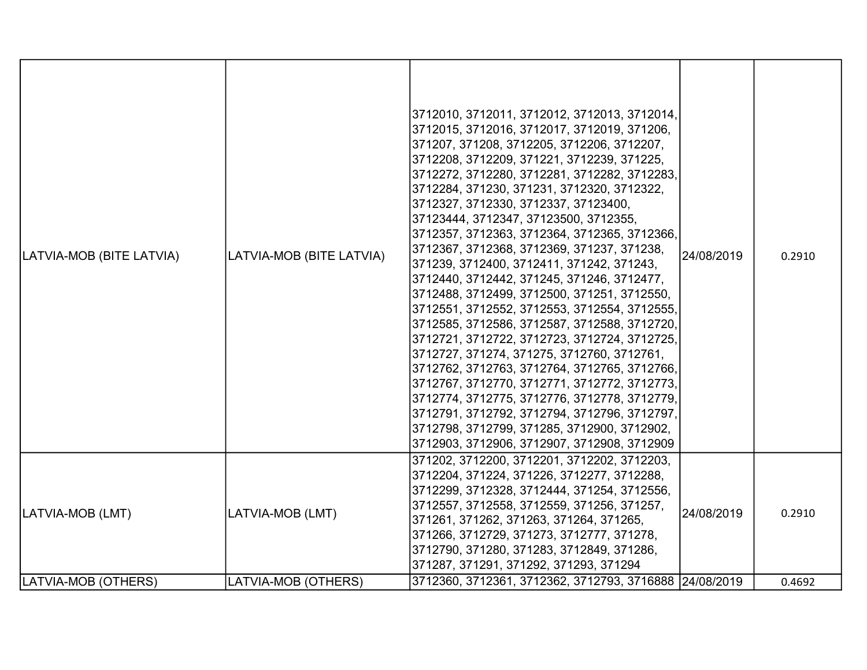| LATVIA-MOB (BITE LATVIA) | LATVIA-MOB (BITE LATVIA) | 3712010, 3712011, 3712012, 3712013, 3712014,<br>3712015, 3712016, 3712017, 3712019, 371206,<br>371207, 371208, 3712205, 3712206, 3712207,<br>3712208, 3712209, 371221, 3712239, 371225,<br>3712272, 3712280, 3712281, 3712282, 3712283,<br>3712284, 371230, 371231, 3712320, 3712322,<br>3712327, 3712330, 3712337, 37123400,<br>37123444, 3712347, 37123500, 3712355,<br>3712357, 3712363, 3712364, 3712365, 3712366,<br>3712367, 3712368, 3712369, 371237, 371238,<br>371239, 3712400, 3712411, 371242, 371243,<br>3712440, 3712442, 371245, 371246, 3712477,<br>3712488, 3712499, 3712500, 371251, 3712550,<br>3712551, 3712552, 3712553, 3712554, 3712555,<br>3712585, 3712586, 3712587, 3712588, 3712720,<br>3712721, 3712722, 3712723, 3712724, 3712725,<br>3712727, 371274, 371275, 3712760, 3712761,<br>3712762, 3712763, 3712764, 3712765, 3712766,<br>3712767, 3712770, 3712771, 3712772, 3712773,<br>3712774, 3712775, 3712776, 3712778, 3712779,<br>3712791, 3712792, 3712794, 3712796, 3712797,<br>3712798, 3712799, 371285, 3712900, 3712902,<br>3712903, 3712906, 3712907, 3712908, 3712909 | 24/08/2019 | 0.2910 |
|--------------------------|--------------------------|------------------------------------------------------------------------------------------------------------------------------------------------------------------------------------------------------------------------------------------------------------------------------------------------------------------------------------------------------------------------------------------------------------------------------------------------------------------------------------------------------------------------------------------------------------------------------------------------------------------------------------------------------------------------------------------------------------------------------------------------------------------------------------------------------------------------------------------------------------------------------------------------------------------------------------------------------------------------------------------------------------------------------------------------------------------------------------------------------------|------------|--------|
| LATVIA-MOB (LMT)         | LATVIA-MOB (LMT)         | 371202, 3712200, 3712201, 3712202, 3712203,<br>3712204, 371224, 371226, 3712277, 3712288,<br>3712299, 3712328, 3712444, 371254, 3712556,<br>3712557, 3712558, 3712559, 371256, 371257,<br>371261, 371262, 371263, 371264, 371265,<br>371266, 3712729, 371273, 3712777, 371278,<br>3712790, 371280, 371283, 3712849, 371286,<br>371287, 371291, 371292, 371293, 371294                                                                                                                                                                                                                                                                                                                                                                                                                                                                                                                                                                                                                                                                                                                                      | 24/08/2019 | 0.2910 |
| LATVIA-MOB (OTHERS)      | LATVIA-MOB (OTHERS)      | 3712360, 3712361, 3712362, 3712793, 3716888 24/08/2019                                                                                                                                                                                                                                                                                                                                                                                                                                                                                                                                                                                                                                                                                                                                                                                                                                                                                                                                                                                                                                                     |            | 0.4692 |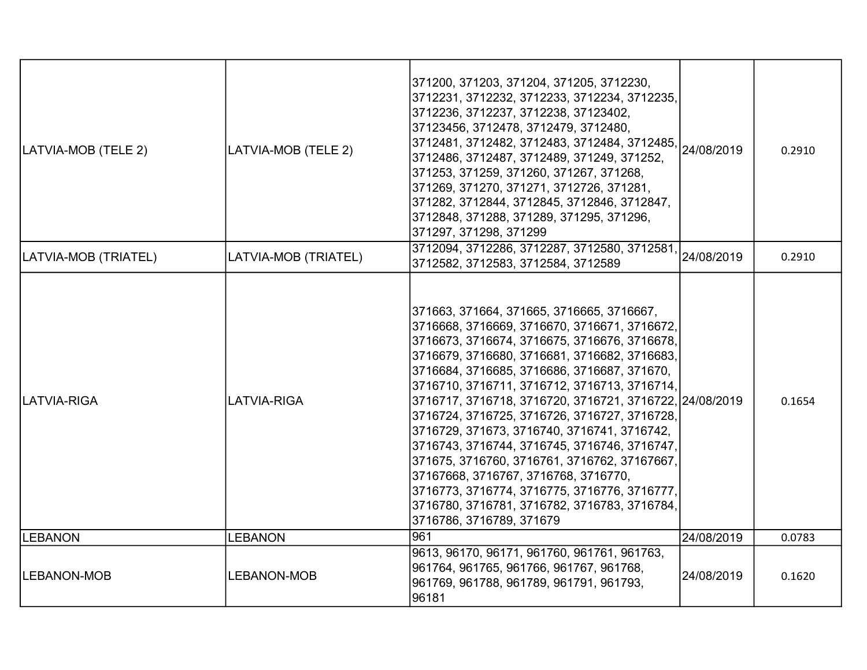| LATVIA-MOB (TELE 2)  | LATVIA-MOB (TELE 2)  | 371200, 371203, 371204, 371205, 3712230,<br> 3712231, 3712232, 3712233, 3712234, 3712235,<br>3712236, 3712237, 3712238, 37123402,<br>37123456, 3712478, 3712479, 3712480,<br>3712481, 3712482, 3712483, 3712484, 3712485,<br>3712486, 3712487, 3712489, 371249, 371252,<br>371253, 371259, 371260, 371267, 371268,<br>371269, 371270, 371271, 3712726, 371281,<br>371282, 3712844, 3712845, 3712846, 3712847,<br>3712848, 371288, 371289, 371295, 371296,<br>371297, 371298, 371299                                                                                                                                                                                                                                        | 24/08/2019 | 0.2910 |
|----------------------|----------------------|----------------------------------------------------------------------------------------------------------------------------------------------------------------------------------------------------------------------------------------------------------------------------------------------------------------------------------------------------------------------------------------------------------------------------------------------------------------------------------------------------------------------------------------------------------------------------------------------------------------------------------------------------------------------------------------------------------------------------|------------|--------|
| LATVIA-MOB (TRIATEL) | LATVIA-MOB (TRIATEL) | 3712094, 3712286, 3712287, 3712580, 3712581,<br>3712582, 3712583, 3712584, 3712589                                                                                                                                                                                                                                                                                                                                                                                                                                                                                                                                                                                                                                         | 24/08/2019 | 0.2910 |
| LATVIA-RIGA          | <b>LATVIA-RIGA</b>   | 371663, 371664, 371665, 3716665, 3716667,<br> 3716668, 3716669, 3716670, 3716671, 3716672,<br>3716673, 3716674, 3716675, 3716676, 3716678,<br>3716679, 3716680, 3716681, 3716682, 3716683,<br>3716684, 3716685, 3716686, 3716687, 371670,<br>3716710, 3716711, 3716712, 3716713, 3716714,<br> 3716717, 3716718, 3716720, 3716721, 3716722, 24/08/2019<br>3716724, 3716725, 3716726, 3716727, 3716728,<br>3716729, 371673, 3716740, 3716741, 3716742,<br>3716743, 3716744, 3716745, 3716746, 3716747,<br> 371675, 3716760, 3716761, 3716762, 37167667,<br>37167668, 3716767, 3716768, 3716770,<br>3716773, 3716774, 3716775, 3716776, 3716777,<br> 3716780, 3716781, 3716782, 3716783, 3716784,<br>3716786, 3716789, 371679 |            | 0.1654 |
| <b>LEBANON</b>       | <b>LEBANON</b>       | 961                                                                                                                                                                                                                                                                                                                                                                                                                                                                                                                                                                                                                                                                                                                        | 24/08/2019 | 0.0783 |
| <b>LEBANON-MOB</b>   | <b>LEBANON-MOB</b>   | 9613, 96170, 96171, 961760, 961761, 961763,<br>961764, 961765, 961766, 961767, 961768,<br>961769, 961788, 961789, 961791, 961793,<br>96181                                                                                                                                                                                                                                                                                                                                                                                                                                                                                                                                                                                 | 24/08/2019 | 0.1620 |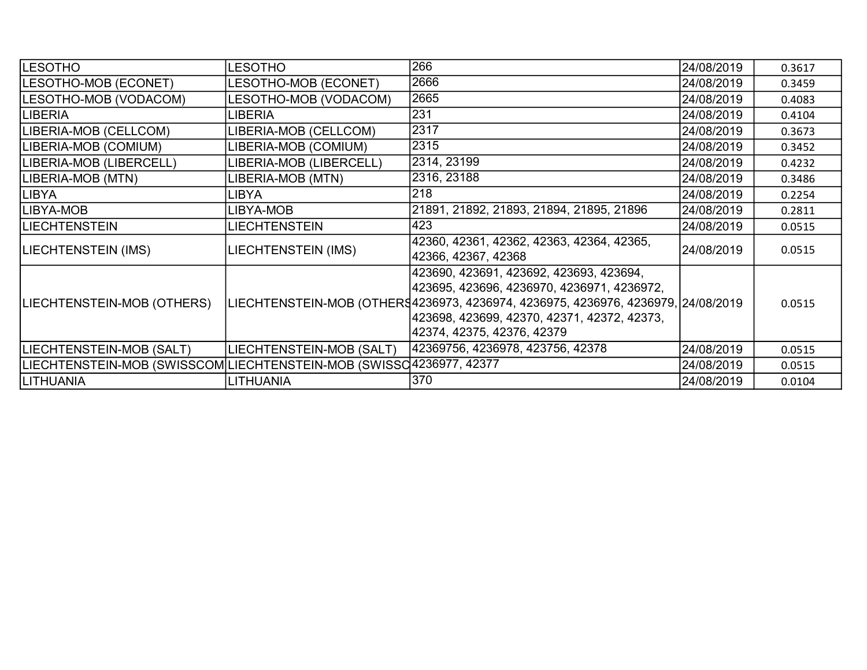| <b>LESOTHO</b>                                                       | LESOTHO                  | 266                                                                                                                                                                                                                                                       | 24/08/2019 | 0.3617 |
|----------------------------------------------------------------------|--------------------------|-----------------------------------------------------------------------------------------------------------------------------------------------------------------------------------------------------------------------------------------------------------|------------|--------|
| LESOTHO-MOB (ECONET)                                                 | LESOTHO-MOB (ECONET)     | 2666                                                                                                                                                                                                                                                      | 24/08/2019 | 0.3459 |
| LESOTHO-MOB (VODACOM)                                                | LESOTHO-MOB (VODACOM)    | 2665                                                                                                                                                                                                                                                      | 24/08/2019 | 0.4083 |
| LIBERIA                                                              | <b>LIBERIA</b>           | 231                                                                                                                                                                                                                                                       | 24/08/2019 | 0.4104 |
| LIBERIA-MOB (CELLCOM)                                                | LIBERIA-MOB (CELLCOM)    | 2317                                                                                                                                                                                                                                                      | 24/08/2019 | 0.3673 |
| LIBERIA-MOB (COMIUM)                                                 | IBERIA-MOB (COMIUM)      | 2315                                                                                                                                                                                                                                                      | 24/08/2019 | 0.3452 |
| LIBERIA-MOB (LIBERCELL)                                              | LIBERIA-MOB (LIBERCELL)  | 2314, 23199                                                                                                                                                                                                                                               | 24/08/2019 | 0.4232 |
| LIBERIA-MOB (MTN)                                                    | LIBERIA-MOB (MTN)        | 2316, 23188                                                                                                                                                                                                                                               | 24/08/2019 | 0.3486 |
| <b>LIBYA</b>                                                         | LIBYA                    | 218                                                                                                                                                                                                                                                       | 24/08/2019 | 0.2254 |
| LIBYA-MOB                                                            | LIBYA-MOB                | 21891, 21892, 21893, 21894, 21895, 21896                                                                                                                                                                                                                  | 24/08/2019 | 0.2811 |
| <b>LIECHTENSTEIN</b>                                                 | LIECHTENSTEIN            | 423                                                                                                                                                                                                                                                       | 24/08/2019 | 0.0515 |
| LIECHTENSTEIN (IMS)                                                  | LIECHTENSTEIN (IMS)      | 42360, 42361, 42362, 42363, 42364, 42365,<br>42366, 42367, 42368                                                                                                                                                                                          | 24/08/2019 | 0.0515 |
| LIECHTENSTEIN-MOB (OTHERS)                                           |                          | 423690, 423691, 423692, 423693, 423694,<br> 423695, 423696, 4236970, 4236971, 4236972,<br>LIECHTENSTEIN-MOB (OTHER§4236973, 4236974, 4236975, 4236976, 4236979, 24/08/2019 <br> 423698, 423699, 42370, 42371, 42372, 42373,<br>42374, 42375, 42376, 42379 |            | 0.0515 |
| LIECHTENSTEIN-MOB (SALT)                                             | LIECHTENSTEIN-MOB (SALT) | 42369756, 4236978, 423756, 42378                                                                                                                                                                                                                          | 24/08/2019 | 0.0515 |
| LIECHTENSTEIN-MOB (SWISSCOM LIECHTENSTEIN-MOB (SWISSC 4236977, 42377 |                          |                                                                                                                                                                                                                                                           | 24/08/2019 | 0.0515 |
| LITHUANIA                                                            | <b>LITHUANIA</b>         | 370                                                                                                                                                                                                                                                       | 24/08/2019 | 0.0104 |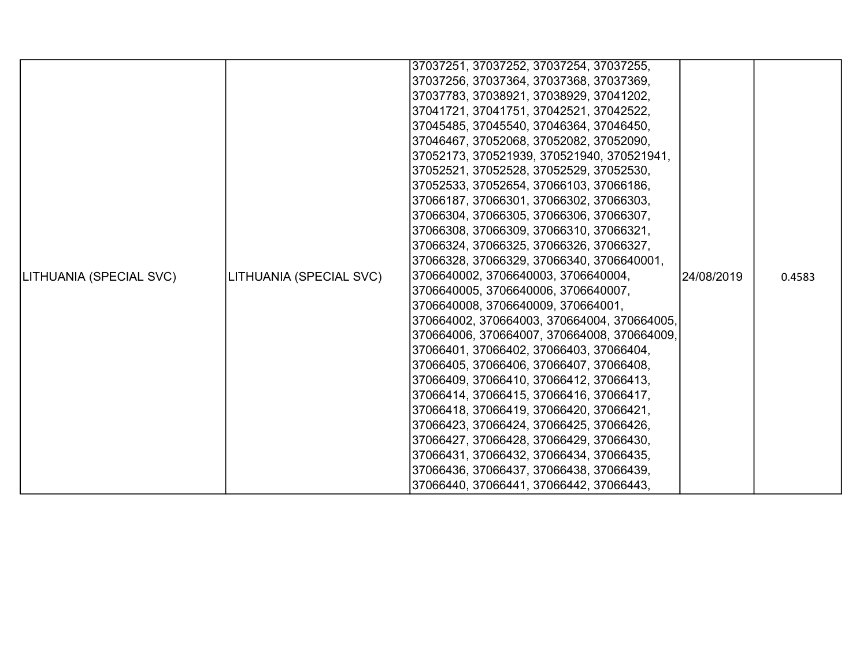|                         |                         | 37037251, 37037252, 37037254, 37037255,     |            |        |
|-------------------------|-------------------------|---------------------------------------------|------------|--------|
|                         |                         | 37037256, 37037364, 37037368, 37037369,     |            |        |
|                         |                         | 37037783, 37038921, 37038929, 37041202,     |            |        |
|                         |                         | 37041721, 37041751, 37042521, 37042522,     |            |        |
|                         |                         | 37045485, 37045540, 37046364, 37046450,     |            |        |
|                         |                         | 37046467, 37052068, 37052082, 37052090,     |            |        |
|                         |                         | 37052173, 370521939, 370521940, 370521941,  |            |        |
|                         |                         | 37052521, 37052528, 37052529, 37052530,     |            |        |
|                         |                         | 37052533, 37052654, 37066103, 37066186,     |            |        |
|                         |                         | 37066187, 37066301, 37066302, 37066303,     |            |        |
|                         |                         | 37066304, 37066305, 37066306, 37066307,     |            |        |
|                         |                         | 37066308, 37066309, 37066310, 37066321,     |            |        |
|                         |                         | 37066324, 37066325, 37066326, 37066327,     |            |        |
|                         |                         | 37066328, 37066329, 37066340, 3706640001,   |            |        |
| LITHUANIA (SPECIAL SVC) | LITHUANIA (SPECIAL SVC) | 3706640002, 3706640003, 3706640004,         | 24/08/2019 | 0.4583 |
|                         |                         | 3706640005, 3706640006, 3706640007,         |            |        |
|                         |                         | 3706640008, 3706640009, 370664001,          |            |        |
|                         |                         | 370664002, 370664003, 370664004, 370664005, |            |        |
|                         |                         | 370664006, 370664007, 370664008, 370664009, |            |        |
|                         |                         | 37066401, 37066402, 37066403, 37066404,     |            |        |
|                         |                         | 37066405, 37066406, 37066407, 37066408,     |            |        |
|                         |                         | 37066409, 37066410, 37066412, 37066413,     |            |        |
|                         |                         | 37066414, 37066415, 37066416, 37066417,     |            |        |
|                         |                         | 37066418, 37066419, 37066420, 37066421,     |            |        |
|                         |                         | 37066423, 37066424, 37066425, 37066426,     |            |        |
|                         |                         | 37066427, 37066428, 37066429, 37066430,     |            |        |
|                         |                         | 37066431, 37066432, 37066434, 37066435,     |            |        |
|                         |                         | 37066436, 37066437, 37066438, 37066439,     |            |        |
|                         |                         | 37066440, 37066441, 37066442, 37066443,     |            |        |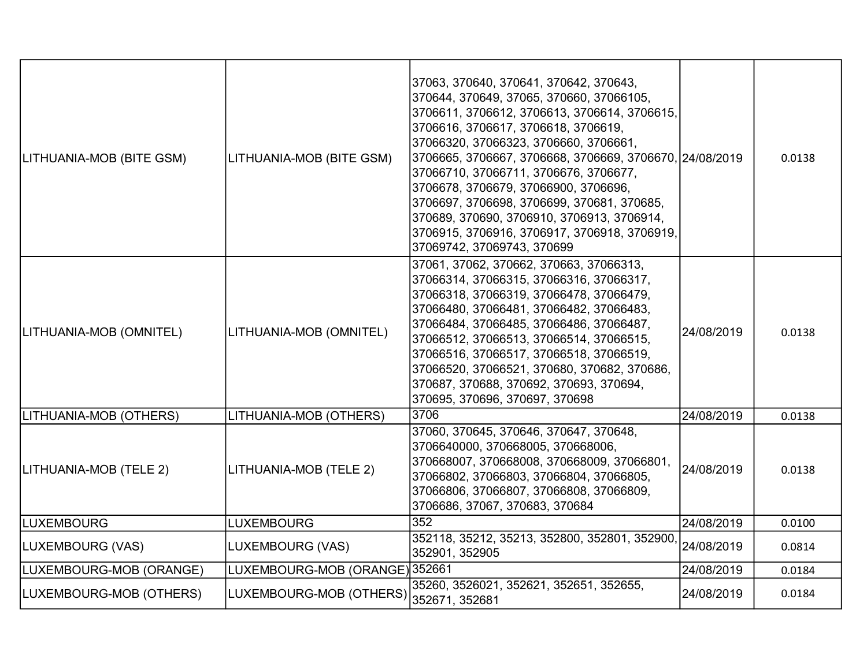| LITHUANIA-MOB (BITE GSM) | LITHUANIA-MOB (BITE GSM)       | 37063, 370640, 370641, 370642, 370643,<br>370644, 370649, 37065, 370660, 37066105,<br>3706611, 3706612, 3706613, 3706614, 3706615,<br>3706616, 3706617, 3706618, 3706619,<br>37066320, 37066323, 3706660, 3706661,<br>3706665, 3706667, 3706668, 3706669, 3706670, 24/08/2019<br>37066710, 37066711, 3706676, 3706677,<br>3706678, 3706679, 37066900, 3706696,<br>3706697, 3706698, 3706699, 370681, 370685,<br>370689, 370690, 3706910, 3706913, 3706914,<br>3706915, 3706916, 3706917, 3706918, 3706919,<br>37069742, 37069743, 370699 |            | 0.0138 |
|--------------------------|--------------------------------|------------------------------------------------------------------------------------------------------------------------------------------------------------------------------------------------------------------------------------------------------------------------------------------------------------------------------------------------------------------------------------------------------------------------------------------------------------------------------------------------------------------------------------------|------------|--------|
| LITHUANIA-MOB (OMNITEL)  | LITHUANIA-MOB (OMNITEL)        | 37061, 37062, 370662, 370663, 37066313,<br>37066314, 37066315, 37066316, 37066317,<br>37066318, 37066319, 37066478, 37066479,<br>37066480, 37066481, 37066482, 37066483,<br>37066484, 37066485, 37066486, 37066487,<br>37066512, 37066513, 37066514, 37066515,<br>37066516, 37066517, 37066518, 37066519,<br>37066520, 37066521, 370680, 370682, 370686,<br>370687, 370688, 370692, 370693, 370694,<br>370695, 370696, 370697, 370698                                                                                                    | 24/08/2019 | 0.0138 |
| LITHUANIA-MOB (OTHERS)   | LITHUANIA-MOB (OTHERS)         | 3706                                                                                                                                                                                                                                                                                                                                                                                                                                                                                                                                     | 24/08/2019 | 0.0138 |
| LITHUANIA-MOB (TELE 2)   | LITHUANIA-MOB (TELE 2)         | 37060, 370645, 370646, 370647, 370648,<br>3706640000, 370668005, 370668006,<br>370668007, 370668008, 370668009, 37066801,<br>37066802, 37066803, 37066804, 37066805,<br>37066806, 37066807, 37066808, 37066809,<br>3706686, 37067, 370683, 370684                                                                                                                                                                                                                                                                                        | 24/08/2019 | 0.0138 |
| <b>LUXEMBOURG</b>        | <b>LUXEMBOURG</b>              | 352                                                                                                                                                                                                                                                                                                                                                                                                                                                                                                                                      | 24/08/2019 | 0.0100 |
| LUXEMBOURG (VAS)         | LUXEMBOURG (VAS)               | 352118, 35212, 35213, 352800, 352801, 352900,<br>352901, 352905                                                                                                                                                                                                                                                                                                                                                                                                                                                                          | 24/08/2019 | 0.0814 |
| LUXEMBOURG-MOB (ORANGE)  | LUXEMBOURG-MOB (ORANGE) 352661 |                                                                                                                                                                                                                                                                                                                                                                                                                                                                                                                                          | 24/08/2019 | 0.0184 |
| LUXEMBOURG-MOB (OTHERS)  | LUXEMBOURG-MOB (OTHERS)        | 35260, 3526021, 352621, 352651, 352655,<br>352671, 352681                                                                                                                                                                                                                                                                                                                                                                                                                                                                                | 24/08/2019 | 0.0184 |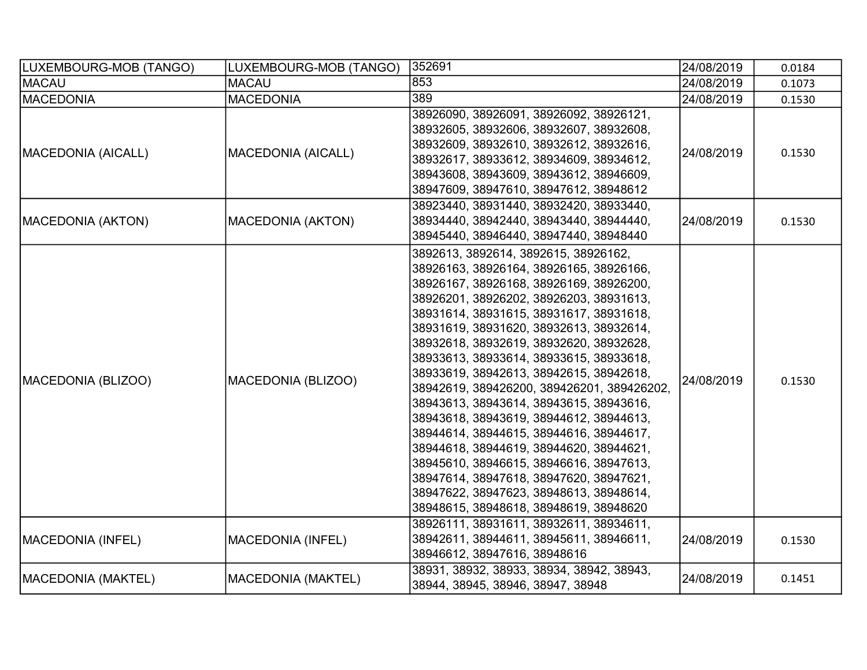| LUXEMBOURG-MOB (TANGO)    | LUXEMBOURG-MOB (TANGO)    | 352691                                                                                                                                                                                                                                                                                                                                                                                                                                                                                                                                                                                                                                                                                                                                                                                            | 24/08/2019 | 0.0184 |
|---------------------------|---------------------------|---------------------------------------------------------------------------------------------------------------------------------------------------------------------------------------------------------------------------------------------------------------------------------------------------------------------------------------------------------------------------------------------------------------------------------------------------------------------------------------------------------------------------------------------------------------------------------------------------------------------------------------------------------------------------------------------------------------------------------------------------------------------------------------------------|------------|--------|
| <b>MACAU</b>              | MACAU                     | 853                                                                                                                                                                                                                                                                                                                                                                                                                                                                                                                                                                                                                                                                                                                                                                                               | 24/08/2019 | 0.1073 |
| <b>MACEDONIA</b>          | <b>MACEDONIA</b>          | 389                                                                                                                                                                                                                                                                                                                                                                                                                                                                                                                                                                                                                                                                                                                                                                                               | 24/08/2019 | 0.1530 |
| <b>MACEDONIA (AICALL)</b> | MACEDONIA (AICALL)        | 38926090, 38926091, 38926092, 38926121,<br>38932605, 38932606, 38932607, 38932608,<br>38932609, 38932610, 38932612, 38932616,<br>38932617, 38933612, 38934609, 38934612,<br>38943608, 38943609, 38943612, 38946609,<br>38947609, 38947610, 38947612, 38948612                                                                                                                                                                                                                                                                                                                                                                                                                                                                                                                                     | 24/08/2019 | 0.1530 |
| MACEDONIA (AKTON)         | <b>MACEDONIA (AKTON)</b>  | 38923440, 38931440, 38932420, 38933440,<br>38934440, 38942440, 38943440, 38944440,<br>38945440, 38946440, 38947440, 38948440                                                                                                                                                                                                                                                                                                                                                                                                                                                                                                                                                                                                                                                                      | 24/08/2019 | 0.1530 |
| MACEDONIA (BLIZOO)        | MACEDONIA (BLIZOO)        | 3892613, 3892614, 3892615, 38926162,<br>38926163, 38926164, 38926165, 38926166,<br>38926167, 38926168, 38926169, 38926200,<br>38926201, 38926202, 38926203, 38931613,<br>38931614, 38931615, 38931617, 38931618,<br>38931619, 38931620, 38932613, 38932614,<br>38932618, 38932619, 38932620, 38932628,<br>38933613, 38933614, 38933615, 38933618,<br>38933619, 38942613, 38942615, 38942618,<br>38942619, 389426200, 389426201, 389426202,<br>38943613, 38943614, 38943615, 38943616,<br>38943618, 38943619, 38944612, 38944613,<br>38944614, 38944615, 38944616, 38944617,<br>38944618, 38944619, 38944620, 38944621,<br>38945610, 38946615, 38946616, 38947613,<br>38947614, 38947618, 38947620, 38947621,<br>38947622, 38947623, 38948613, 38948614,<br>38948615, 38948618, 38948619, 38948620 | 24/08/2019 | 0.1530 |
| MACEDONIA (INFEL)         | <b>MACEDONIA (INFEL)</b>  | 38926111, 38931611, 38932611, 38934611,<br>38942611, 38944611, 38945611, 38946611,<br>38946612, 38947616, 38948616                                                                                                                                                                                                                                                                                                                                                                                                                                                                                                                                                                                                                                                                                | 24/08/2019 | 0.1530 |
| MACEDONIA (MAKTEL)        | <b>MACEDONIA (MAKTEL)</b> | 38931, 38932, 38933, 38934, 38942, 38943,<br>38944, 38945, 38946, 38947, 38948                                                                                                                                                                                                                                                                                                                                                                                                                                                                                                                                                                                                                                                                                                                    | 24/08/2019 | 0.1451 |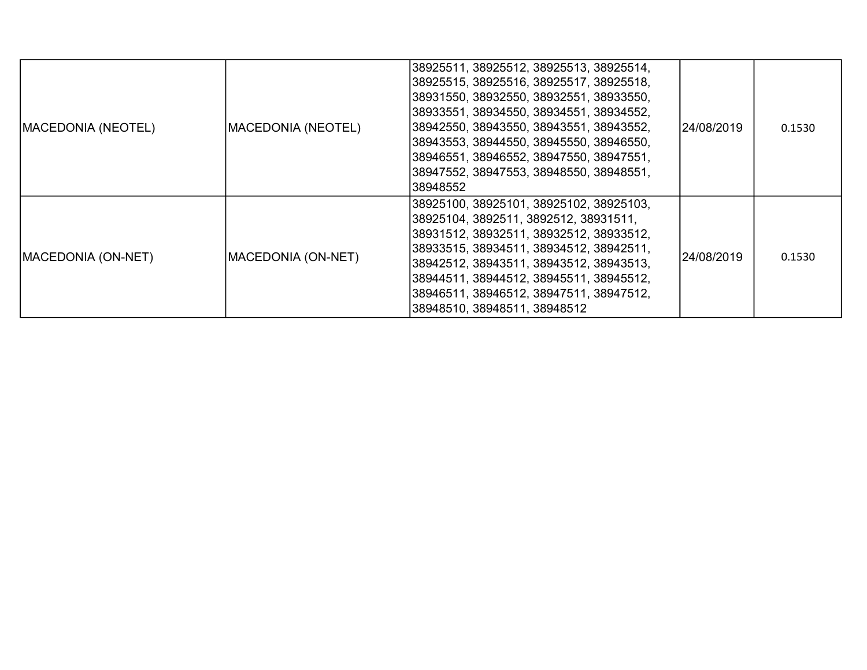| MACEDONIA (NEOTEL) | MACEDONIA (NEOTEL) | 38925511, 38925512, 38925513, 38925514,<br>38925515, 38925516, 38925517, 38925518,<br>38931550, 38932550, 38932551, 38933550,<br>38933551, 38934550, 38934551, 38934552,<br>38942550, 38943550, 38943551, 38943552,<br>38943553, 38944550, 38945550, 38946550,<br>38946551, 38946552, 38947550, 38947551,<br>38947552, 38947553, 38948550, 38948551,<br>38948552 | 24/08/2019 | 0.1530 |
|--------------------|--------------------|------------------------------------------------------------------------------------------------------------------------------------------------------------------------------------------------------------------------------------------------------------------------------------------------------------------------------------------------------------------|------------|--------|
| MACEDONIA (ON-NET) | MACEDONIA (ON-NET) | 38925100, 38925101, 38925102, 38925103,<br> 38925104, 3892511, 3892512, 38931511,<br> 38931512, 38932511, 38932512, 38933512,<br> 38933515, 38934511, 38934512, 38942511,<br>38942512, 38943511, 38943512, 38943513,<br>38944511, 38944512, 38945511, 38945512,<br>38946511, 38946512, 38947511, 38947512,<br>38948510, 38948511, 38948512                       | 24/08/2019 | 0.1530 |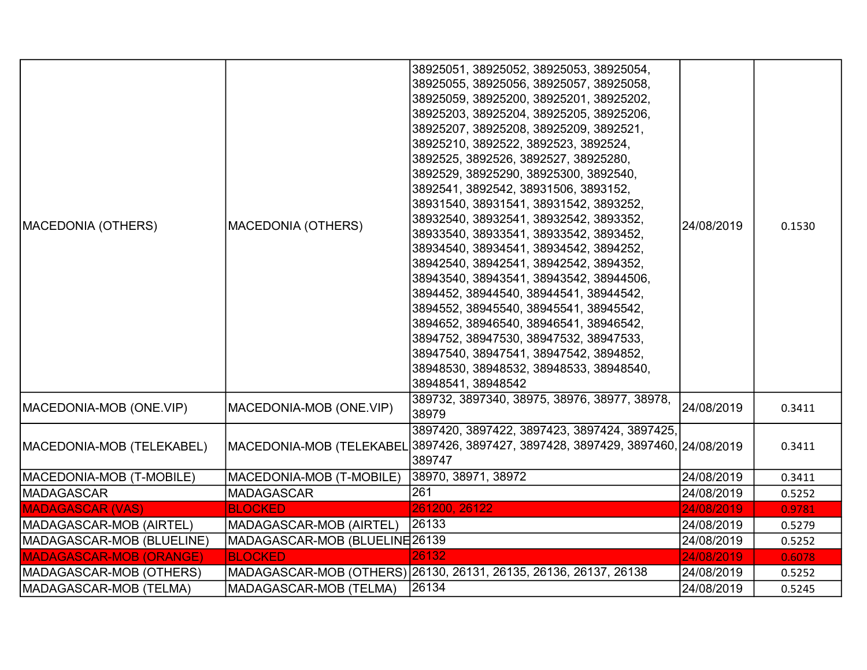| MACEDONIA (OTHERS)             | <b>MACEDONIA (OTHERS)</b>      | 38925051, 38925052, 38925053, 38925054,<br>38925055, 38925056, 38925057, 38925058,<br>38925059, 38925200, 38925201, 38925202,<br>38925203, 38925204, 38925205, 38925206,<br>38925207, 38925208, 38925209, 3892521,<br>38925210, 3892522, 3892523, 3892524,<br>3892525, 3892526, 3892527, 38925280,<br>3892529, 38925290, 38925300, 3892540,<br>3892541, 3892542, 38931506, 3893152,<br>38931540, 38931541, 38931542, 3893252,<br>38932540, 38932541, 38932542, 3893352,<br>38933540, 38933541, 38933542, 3893452,<br>38934540, 38934541, 38934542, 3894252,<br>38942540, 38942541, 38942542, 3894352,<br>38943540, 38943541, 38943542, 38944506,<br>3894452, 38944540, 38944541, 38944542,<br>3894552, 38945540, 38945541, 38945542,<br>3894652, 38946540, 38946541, 38946542,<br>3894752, 38947530, 38947532, 38947533,<br>38947540, 38947541, 38947542, 3894852,<br>38948530, 38948532, 38948533, 38948540,<br>38948541, 38948542 | 24/08/2019 | 0.1530 |
|--------------------------------|--------------------------------|-------------------------------------------------------------------------------------------------------------------------------------------------------------------------------------------------------------------------------------------------------------------------------------------------------------------------------------------------------------------------------------------------------------------------------------------------------------------------------------------------------------------------------------------------------------------------------------------------------------------------------------------------------------------------------------------------------------------------------------------------------------------------------------------------------------------------------------------------------------------------------------------------------------------------------------|------------|--------|
| MACEDONIA-MOB (ONE.VIP)        | MACEDONIA-MOB (ONE.VIP)        | 389732, 3897340, 38975, 38976, 38977, 38978,<br>38979                                                                                                                                                                                                                                                                                                                                                                                                                                                                                                                                                                                                                                                                                                                                                                                                                                                                               | 24/08/2019 | 0.3411 |
| MACEDONIA-MOB (TELEKABEL)      |                                | 3897420, 3897422, 3897423, 3897424, 3897425,<br>MACEDONIA-MOB (TELEKABEL 3897426, 3897427, 3897428, 3897429, 3897460, 24/08/2019<br>389747                                                                                                                                                                                                                                                                                                                                                                                                                                                                                                                                                                                                                                                                                                                                                                                          |            | 0.3411 |
| MACEDONIA-MOB (T-MOBILE)       | MACEDONIA-MOB (T-MOBILE)       | 38970, 38971, 38972                                                                                                                                                                                                                                                                                                                                                                                                                                                                                                                                                                                                                                                                                                                                                                                                                                                                                                                 | 24/08/2019 | 0.3411 |
| MADAGASCAR                     | <b>MADAGASCAR</b>              | 261                                                                                                                                                                                                                                                                                                                                                                                                                                                                                                                                                                                                                                                                                                                                                                                                                                                                                                                                 | 24/08/2019 | 0.5252 |
| <b>MADAGASCAR (VAS)</b>        | <b>BLOCKED</b>                 | 261200, 26122                                                                                                                                                                                                                                                                                                                                                                                                                                                                                                                                                                                                                                                                                                                                                                                                                                                                                                                       | 24/08/2019 | 0.9781 |
| MADAGASCAR-MOB (AIRTEL)        | MADAGASCAR-MOB (AIRTEL)        | 26133                                                                                                                                                                                                                                                                                                                                                                                                                                                                                                                                                                                                                                                                                                                                                                                                                                                                                                                               | 24/08/2019 | 0.5279 |
| MADAGASCAR-MOB (BLUELINE)      | MADAGASCAR-MOB (BLUELINE 26139 |                                                                                                                                                                                                                                                                                                                                                                                                                                                                                                                                                                                                                                                                                                                                                                                                                                                                                                                                     | 24/08/2019 | 0.5252 |
| <b>MADAGASCAR-MOB (ORANGE)</b> | <b>BLOCKED</b>                 | 26132                                                                                                                                                                                                                                                                                                                                                                                                                                                                                                                                                                                                                                                                                                                                                                                                                                                                                                                               | 24/08/2019 | 0.6078 |
| MADAGASCAR-MOB (OTHERS)        |                                | MADAGASCAR-MOB (OTHERS) 26130, 26131, 26135, 26136, 26137, 26138                                                                                                                                                                                                                                                                                                                                                                                                                                                                                                                                                                                                                                                                                                                                                                                                                                                                    | 24/08/2019 | 0.5252 |
| MADAGASCAR-MOB (TELMA)         | MADAGASCAR-MOB (TELMA)         | 26134                                                                                                                                                                                                                                                                                                                                                                                                                                                                                                                                                                                                                                                                                                                                                                                                                                                                                                                               | 24/08/2019 | 0.5245 |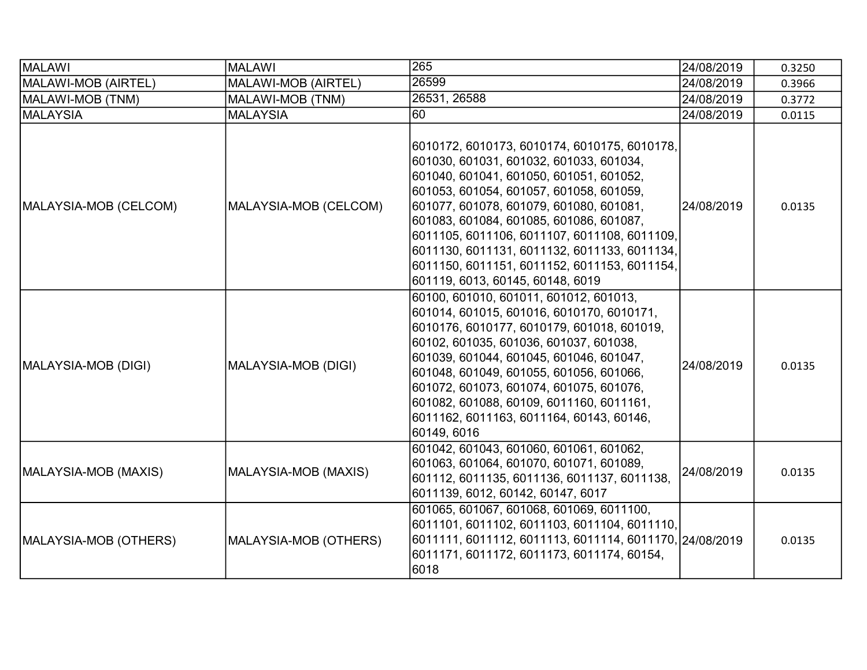| MALAWI                | <b>MALAWI</b>         | 265                                                                                                                                                                                                                                                                                                                                                                                                                                                     | 24/08/2019 | 0.3250 |
|-----------------------|-----------------------|---------------------------------------------------------------------------------------------------------------------------------------------------------------------------------------------------------------------------------------------------------------------------------------------------------------------------------------------------------------------------------------------------------------------------------------------------------|------------|--------|
| MALAWI-MOB (AIRTEL)   | MALAWI-MOB (AIRTEL)   | 26599                                                                                                                                                                                                                                                                                                                                                                                                                                                   | 24/08/2019 | 0.3966 |
| MALAWI-MOB (TNM)      | MALAWI-MOB (TNM)      | 26531, 26588                                                                                                                                                                                                                                                                                                                                                                                                                                            | 24/08/2019 | 0.3772 |
| <b>MALAYSIA</b>       | <b>MALAYSIA</b>       | 60                                                                                                                                                                                                                                                                                                                                                                                                                                                      | 24/08/2019 | 0.0115 |
| MALAYSIA-MOB (CELCOM) | MALAYSIA-MOB (CELCOM) | 6010172, 6010173, 6010174, 6010175, 6010178,<br>601030, 601031, 601032, 601033, 601034,<br>601040, 601041, 601050, 601051, 601052,<br>601053, 601054, 601057, 601058, 601059,<br>601077, 601078, 601079, 601080, 601081,<br>601083, 601084, 601085, 601086, 601087,<br>6011105, 6011106, 6011107, 6011108, 6011109,<br>6011130, 6011131, 6011132, 6011133, 6011134,<br>6011150, 6011151, 6011152, 6011153, 6011154,<br>601119, 6013, 60145, 60148, 6019 | 24/08/2019 | 0.0135 |
| MALAYSIA-MOB (DIGI)   | MALAYSIA-MOB (DIGI)   | 60100, 601010, 601011, 601012, 601013,<br>601014, 601015, 601016, 6010170, 6010171,<br>6010176, 6010177, 6010179, 601018, 601019,<br>60102, 601035, 601036, 601037, 601038,<br>601039, 601044, 601045, 601046, 601047,<br>601048, 601049, 601055, 601056, 601066,<br>601072, 601073, 601074, 601075, 601076,<br>601082, 601088, 60109, 6011160, 6011161,<br>6011162, 6011163, 6011164, 60143, 60146,<br>60149, 6016                                     | 24/08/2019 | 0.0135 |
| MALAYSIA-MOB (MAXIS)  | MALAYSIA-MOB (MAXIS)  | 601042, 601043, 601060, 601061, 601062,<br>601063, 601064, 601070, 601071, 601089,<br>601112, 6011135, 6011136, 6011137, 6011138,<br>6011139, 6012, 60142, 60147, 6017                                                                                                                                                                                                                                                                                  | 24/08/2019 | 0.0135 |
| MALAYSIA-MOB (OTHERS) | MALAYSIA-MOB (OTHERS) | 601065, 601067, 601068, 601069, 6011100,<br>6011101, 6011102, 6011103, 6011104, 6011110,<br>6011111, 6011112, 6011113, 6011114, 6011170, 24/08/2019<br>6011171, 6011172, 6011173, 6011174, 60154,<br>6018                                                                                                                                                                                                                                               |            | 0.0135 |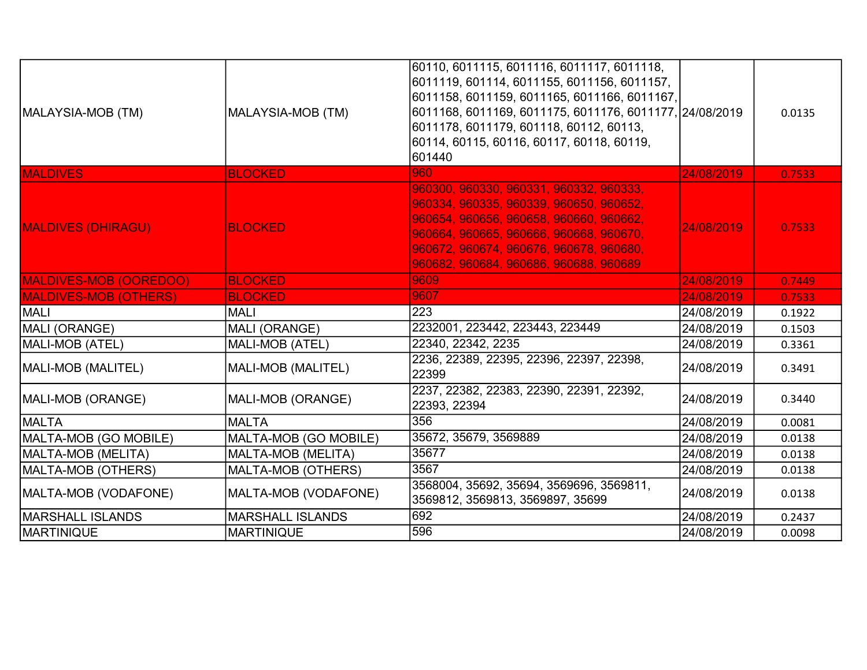| MALAYSIA-MOB (TM)             | MALAYSIA-MOB (TM)         | 60110, 6011115, 6011116, 6011117, 6011118,<br>6011119, 601114, 6011155, 6011156, 6011157,<br>6011158, 6011159, 6011165, 6011166, 6011167,<br>6011168, 6011169, 6011175, 6011176, 6011177, 24/08/2019<br>6011178, 6011179, 601118, 60112, 60113,<br>60114, 60115, 60116, 60117, 60118, 60119,<br>601440 |            | 0.0135 |
|-------------------------------|---------------------------|--------------------------------------------------------------------------------------------------------------------------------------------------------------------------------------------------------------------------------------------------------------------------------------------------------|------------|--------|
| <b>MALDIVES</b>               | <b>BLOCKED</b>            | 960                                                                                                                                                                                                                                                                                                    | 24/08/2019 | 0.7533 |
| <b>MALDIVES (DHIRAGU)</b>     | <b>BLOCKED</b>            | 960300, 960330, 960331, 960332, 960333,<br>960334, 960335, 960339, 960650, 960652,<br>960654, 960656, 960658, 960660, 960662,<br>960664, 960665, 960666, 960668, 960670,<br>960672, 960674, 960676, 960678, 960680,<br>960682, 960684, 960686, 960688, 960689                                          | 24/08/2019 | 0.7533 |
| <b>MALDIVES-MOB (OOREDOO)</b> | <b>BLOCKED</b>            | 9609                                                                                                                                                                                                                                                                                                   | 24/08/2019 | 0.7449 |
| <b>MALDIVES-MOB (OTHERS)</b>  | <b>BLOCKED</b>            | 9607                                                                                                                                                                                                                                                                                                   | 24/08/2019 | 0.7533 |
| MALI                          | <b>MALI</b>               | 223                                                                                                                                                                                                                                                                                                    | 24/08/2019 | 0.1922 |
| MALI (ORANGE)                 | MALI (ORANGE)             | 2232001, 223442, 223443, 223449                                                                                                                                                                                                                                                                        | 24/08/2019 | 0.1503 |
| MALI-MOB (ATEL)               | MALI-MOB (ATEL)           | 22340, 22342, 2235                                                                                                                                                                                                                                                                                     | 24/08/2019 | 0.3361 |
| MALI-MOB (MALITEL)            | <b>MALI-MOB (MALITEL)</b> | 2236, 22389, 22395, 22396, 22397, 22398,<br>22399                                                                                                                                                                                                                                                      | 24/08/2019 | 0.3491 |
| MALI-MOB (ORANGE)             | MALI-MOB (ORANGE)         | 2237, 22382, 22383, 22390, 22391, 22392,<br>22393, 22394                                                                                                                                                                                                                                               | 24/08/2019 | 0.3440 |
| <b>IMALTA</b>                 | <b>MALTA</b>              | 356                                                                                                                                                                                                                                                                                                    | 24/08/2019 | 0.0081 |
| MALTA-MOB (GO MOBILE)         | MALTA-MOB (GO MOBILE)     | 35672, 35679, 3569889                                                                                                                                                                                                                                                                                  | 24/08/2019 | 0.0138 |
| MALTA-MOB (MELITA)            | MALTA-MOB (MELITA)        | 35677                                                                                                                                                                                                                                                                                                  | 24/08/2019 | 0.0138 |
| MALTA-MOB (OTHERS)            | <b>MALTA-MOB (OTHERS)</b> | 3567                                                                                                                                                                                                                                                                                                   | 24/08/2019 | 0.0138 |
| MALTA-MOB (VODAFONE)          | MALTA-MOB (VODAFONE)      | 3568004, 35692, 35694, 3569696, 3569811,<br>3569812, 3569813, 3569897, 35699                                                                                                                                                                                                                           | 24/08/2019 | 0.0138 |
| IMARSHALL ISLANDS             | <b>MARSHALL ISLANDS</b>   | 692                                                                                                                                                                                                                                                                                                    | 24/08/2019 | 0.2437 |
| MARTINIQUE                    | <b>MARTINIQUE</b>         | 596                                                                                                                                                                                                                                                                                                    | 24/08/2019 | 0.0098 |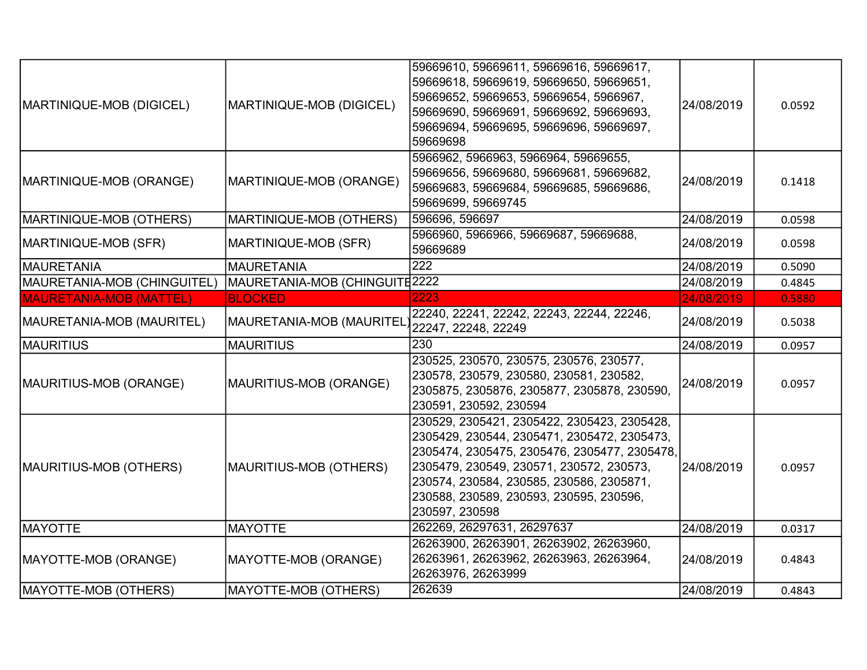| MARTINIQUE-MOB (DIGICEL)       | MARTINIQUE-MOB (DIGICEL)       | 59669610, 59669611, 59669616, 59669617,<br>59669618, 59669619, 59669650, 59669651,<br>59669652, 59669653, 59669654, 5966967,<br>59669690, 59669691, 59669692, 59669693,<br>59669694, 59669695, 59669696, 59669697,<br>59669698                                                                  | 24/08/2019 | 0.0592 |
|--------------------------------|--------------------------------|-------------------------------------------------------------------------------------------------------------------------------------------------------------------------------------------------------------------------------------------------------------------------------------------------|------------|--------|
| MARTINIQUE-MOB (ORANGE)        | MARTINIQUE-MOB (ORANGE)        | 5966962, 5966963, 5966964, 59669655,<br>59669656, 59669680, 59669681, 59669682,<br>59669683, 59669684, 59669685, 59669686,<br>59669699, 59669745                                                                                                                                                | 24/08/2019 | 0.1418 |
| MARTINIQUE-MOB (OTHERS)        | MARTINIQUE-MOB (OTHERS)        | 596696, 596697                                                                                                                                                                                                                                                                                  | 24/08/2019 | 0.0598 |
| MARTINIQUE-MOB (SFR)           | MARTINIQUE-MOB (SFR)           | 5966960, 5966966, 59669687, 59669688,<br>59669689                                                                                                                                                                                                                                               | 24/08/2019 | 0.0598 |
| MAURETANIA                     | <b>MAURETANIA</b>              | 222                                                                                                                                                                                                                                                                                             | 24/08/2019 | 0.5090 |
| MAURETANIA-MOB (CHINGUITEL)    | MAURETANIA-MOB (CHINGUITE 2222 |                                                                                                                                                                                                                                                                                                 | 24/08/2019 | 0.4845 |
| <b>MAURETANIA-MOB (MATTEL)</b> | <b>BLOCKED</b>                 | 2223                                                                                                                                                                                                                                                                                            | 24/08/2019 | 0.5880 |
| MAURETANIA-MOB (MAURITEL)      | MAURETANIA-MOB (MAURITEL       | 22240, 22241, 22242, 22243, 22244, 22246,<br>22247, 22248, 22249                                                                                                                                                                                                                                | 24/08/2019 | 0.5038 |
| <b>MAURITIUS</b>               | <b>MAURITIUS</b>               | 230                                                                                                                                                                                                                                                                                             | 24/08/2019 | 0.0957 |
| MAURITIUS-MOB (ORANGE)         | MAURITIUS-MOB (ORANGE)         | 230525, 230570, 230575, 230576, 230577,<br>230578, 230579, 230580, 230581, 230582,<br>2305875, 2305876, 2305877, 2305878, 230590,<br>230591, 230592, 230594                                                                                                                                     | 24/08/2019 | 0.0957 |
| MAURITIUS-MOB (OTHERS)         | MAURITIUS-MOB (OTHERS)         | 230529, 2305421, 2305422, 2305423, 2305428,<br>2305429, 230544, 2305471, 2305472, 2305473,<br>2305474, 2305475, 2305476, 2305477, 2305478,<br>2305479, 230549, 230571, 230572, 230573,<br>230574, 230584, 230585, 230586, 2305871,<br>230588, 230589, 230593, 230595, 230596,<br>230597, 230598 | 24/08/2019 | 0.0957 |
| <b>MAYOTTE</b>                 | <b>MAYOTTE</b>                 | 262269, 26297631, 26297637                                                                                                                                                                                                                                                                      | 24/08/2019 | 0.0317 |
| MAYOTTE-MOB (ORANGE)           | MAYOTTE-MOB (ORANGE)           | 26263900, 26263901, 26263902, 26263960,<br>26263961, 26263962, 26263963, 26263964,<br>26263976, 26263999                                                                                                                                                                                        | 24/08/2019 | 0.4843 |
| <b>MAYOTTE-MOB (OTHERS)</b>    | MAYOTTE-MOB (OTHERS)           | 262639                                                                                                                                                                                                                                                                                          | 24/08/2019 | 0.4843 |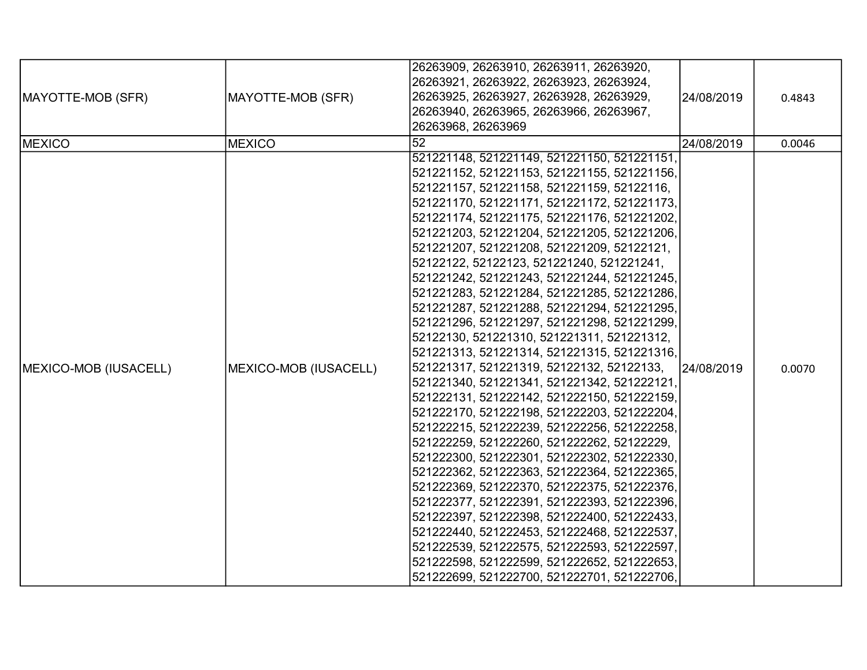|                       |                       | 26263909, 26263910, 26263911, 26263920,     |            |        |
|-----------------------|-----------------------|---------------------------------------------|------------|--------|
|                       |                       | 26263921, 26263922, 26263923, 26263924,     |            |        |
| MAYOTTE-MOB (SFR)     | MAYOTTE-MOB (SFR)     | 26263925, 26263927, 26263928, 26263929,     | 24/08/2019 | 0.4843 |
|                       |                       | 26263940, 26263965, 26263966, 26263967,     |            |        |
|                       |                       | 26263968, 26263969                          |            |        |
| <b>MEXICO</b>         | <b>MEXICO</b>         | $\overline{52}$                             | 24/08/2019 | 0.0046 |
|                       |                       | 521221148, 521221149, 521221150, 521221151, |            |        |
|                       |                       | 521221152, 521221153, 521221155, 521221156, |            |        |
|                       |                       | 521221157, 521221158, 521221159, 52122116,  |            |        |
|                       |                       | 521221170, 521221171, 521221172, 521221173, |            |        |
|                       |                       | 521221174, 521221175, 521221176, 521221202, |            |        |
|                       |                       | 521221203, 521221204, 521221205, 521221206, |            |        |
|                       |                       | 521221207, 521221208, 521221209, 52122121,  |            |        |
|                       |                       | 52122122, 52122123, 521221240, 521221241,   |            |        |
|                       |                       | 521221242, 521221243, 521221244, 521221245, |            |        |
|                       |                       | 521221283, 521221284, 521221285, 521221286, |            |        |
|                       |                       | 521221287, 521221288, 521221294, 521221295, |            |        |
|                       |                       | 521221296, 521221297, 521221298, 521221299, |            |        |
|                       |                       | 52122130, 521221310, 521221311, 521221312,  |            |        |
|                       |                       | 521221313, 521221314, 521221315, 521221316, |            |        |
| MEXICO-MOB (IUSACELL) | MEXICO-MOB (IUSACELL) | 521221317, 521221319, 52122132, 52122133,   | 24/08/2019 | 0.0070 |
|                       |                       | 521221340, 521221341, 521221342, 521222121, |            |        |
|                       |                       | 521222131, 521222142, 521222150, 521222159, |            |        |
|                       |                       | 521222170, 521222198, 521222203, 521222204, |            |        |
|                       |                       | 521222215, 521222239, 521222256, 521222258, |            |        |
|                       |                       | 521222259, 521222260, 521222262, 52122229,  |            |        |
|                       |                       | 521222300, 521222301, 521222302, 521222330, |            |        |
|                       |                       | 521222362, 521222363, 521222364, 521222365, |            |        |
|                       |                       | 521222369, 521222370, 521222375, 521222376, |            |        |
|                       |                       | 521222377, 521222391, 521222393, 521222396, |            |        |
|                       |                       | 521222397, 521222398, 521222400, 521222433, |            |        |
|                       |                       | 521222440, 521222453, 521222468, 521222537, |            |        |
|                       |                       | 521222539, 521222575, 521222593, 521222597, |            |        |
|                       |                       | 521222598, 521222599, 521222652, 521222653, |            |        |
|                       |                       | 521222699, 521222700, 521222701, 521222706, |            |        |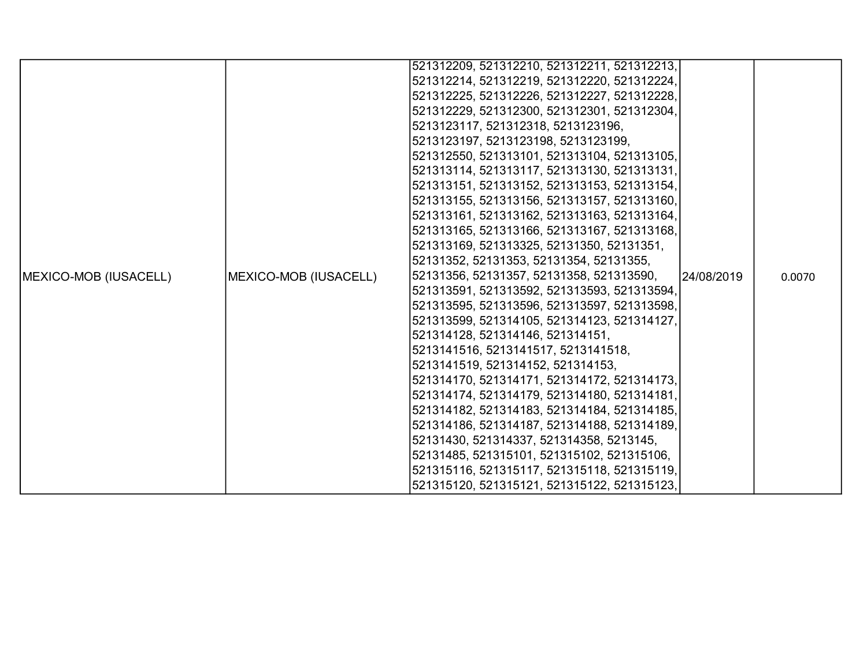|                       |                       | 521312209, 521312210, 521312211, 521312213, |            |        |
|-----------------------|-----------------------|---------------------------------------------|------------|--------|
|                       |                       | 521312214, 521312219, 521312220, 521312224, |            |        |
|                       |                       | 521312225, 521312226, 521312227, 521312228, |            |        |
|                       |                       | 521312229, 521312300, 521312301, 521312304, |            |        |
|                       |                       | 5213123117, 521312318, 5213123196,          |            |        |
|                       |                       | 5213123197, 5213123198, 5213123199,         |            |        |
|                       |                       | 521312550, 521313101, 521313104, 521313105, |            |        |
|                       |                       | 521313114, 521313117, 521313130, 521313131, |            |        |
|                       |                       | 521313151, 521313152, 521313153, 521313154, |            |        |
|                       |                       | 521313155, 521313156, 521313157, 521313160, |            |        |
|                       |                       | 521313161, 521313162, 521313163, 521313164, |            |        |
|                       |                       | 521313165, 521313166, 521313167, 521313168, |            |        |
|                       |                       | 521313169, 521313325, 52131350, 52131351,   |            |        |
|                       |                       | 52131352, 52131353, 52131354, 52131355,     |            |        |
| MEXICO-MOB (IUSACELL) | MEXICO-MOB (IUSACELL) | 52131356, 52131357, 52131358, 521313590,    | 24/08/2019 | 0.0070 |
|                       |                       | 521313591, 521313592, 521313593, 521313594, |            |        |
|                       |                       | 521313595, 521313596, 521313597, 521313598, |            |        |
|                       |                       | 521313599, 521314105, 521314123, 521314127, |            |        |
|                       |                       | 521314128, 521314146, 521314151,            |            |        |
|                       |                       | 5213141516, 5213141517, 5213141518,         |            |        |
|                       |                       | 5213141519, 521314152, 521314153,           |            |        |
|                       |                       | 521314170, 521314171, 521314172, 521314173, |            |        |
|                       |                       | 521314174, 521314179, 521314180, 521314181, |            |        |
|                       |                       | 521314182, 521314183, 521314184, 521314185, |            |        |
|                       |                       | 521314186, 521314187, 521314188, 521314189, |            |        |
|                       |                       | 52131430, 521314337, 521314358, 5213145,    |            |        |
|                       |                       | 52131485, 521315101, 521315102, 521315106,  |            |        |
|                       |                       | 521315116, 521315117, 521315118, 521315119, |            |        |
|                       |                       | 521315120, 521315121, 521315122, 521315123, |            |        |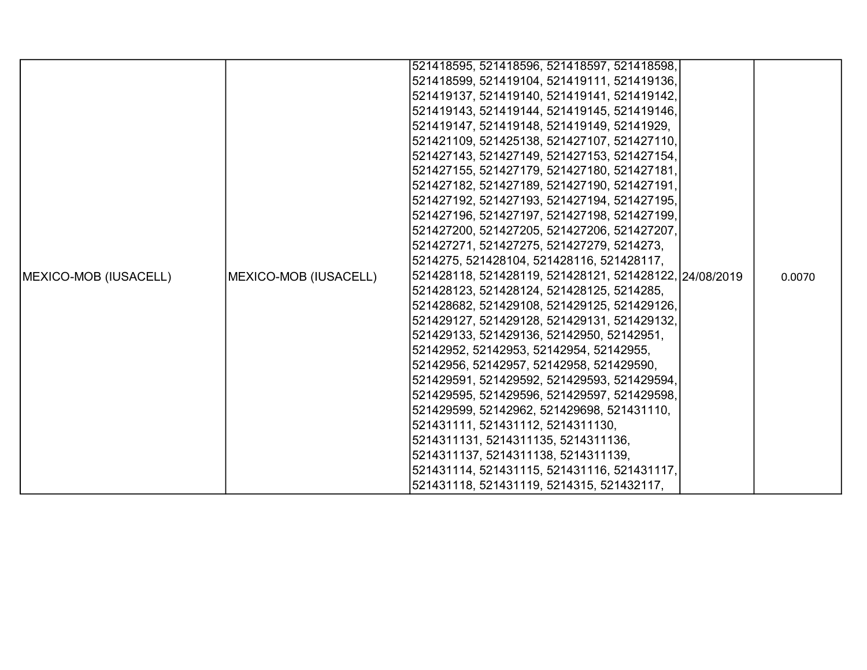|                               |                       | 521418595, 521418596, 521418597, 521418598,            |  |        |
|-------------------------------|-----------------------|--------------------------------------------------------|--|--------|
|                               |                       |                                                        |  |        |
|                               |                       | 521418599, 521419104, 521419111, 521419136,            |  |        |
|                               |                       | 521419137, 521419140, 521419141, 521419142,            |  |        |
|                               |                       | 521419143, 521419144, 521419145, 521419146,            |  |        |
|                               |                       | 521419147, 521419148, 521419149, 52141929,             |  |        |
|                               |                       | 521421109, 521425138, 521427107, 521427110,            |  |        |
|                               |                       | 521427143, 521427149, 521427153, 521427154,            |  |        |
|                               |                       | 521427155, 521427179, 521427180, 521427181,            |  |        |
|                               |                       | 521427182, 521427189, 521427190, 521427191,            |  |        |
|                               |                       | 521427192, 521427193, 521427194, 521427195,            |  |        |
|                               |                       | 521427196, 521427197, 521427198, 521427199,            |  |        |
|                               |                       | 521427200, 521427205, 521427206, 521427207,            |  |        |
|                               |                       | 521427271, 521427275, 521427279, 5214273,              |  |        |
|                               |                       | 5214275, 521428104, 521428116, 521428117,              |  |        |
| <b>IMEXICO-MOB (IUSACELL)</b> | MEXICO-MOB (IUSACELL) | 521428118, 521428119, 521428121, 521428122, 24/08/2019 |  | 0.0070 |
|                               |                       | 521428123, 521428124, 521428125, 5214285,              |  |        |
|                               |                       | 521428682, 521429108, 521429125, 521429126,            |  |        |
|                               |                       | 521429127, 521429128, 521429131, 521429132,            |  |        |
|                               |                       | 521429133, 521429136, 52142950, 52142951,              |  |        |
|                               |                       | 52142952, 52142953, 52142954, 52142955,                |  |        |
|                               |                       | 52142956, 52142957, 52142958, 521429590,               |  |        |
|                               |                       | 521429591, 521429592, 521429593, 521429594,            |  |        |
|                               |                       | 521429595, 521429596, 521429597, 521429598,            |  |        |
|                               |                       | 521429599, 52142962, 521429698, 521431110,             |  |        |
|                               |                       | 521431111, 521431112, 5214311130,                      |  |        |
|                               |                       | 5214311131, 5214311135, 5214311136,                    |  |        |
|                               |                       | 5214311137, 5214311138, 5214311139,                    |  |        |
|                               |                       | 521431114, 521431115, 521431116, 521431117,            |  |        |
|                               |                       | 521431118, 521431119, 5214315, 521432117,              |  |        |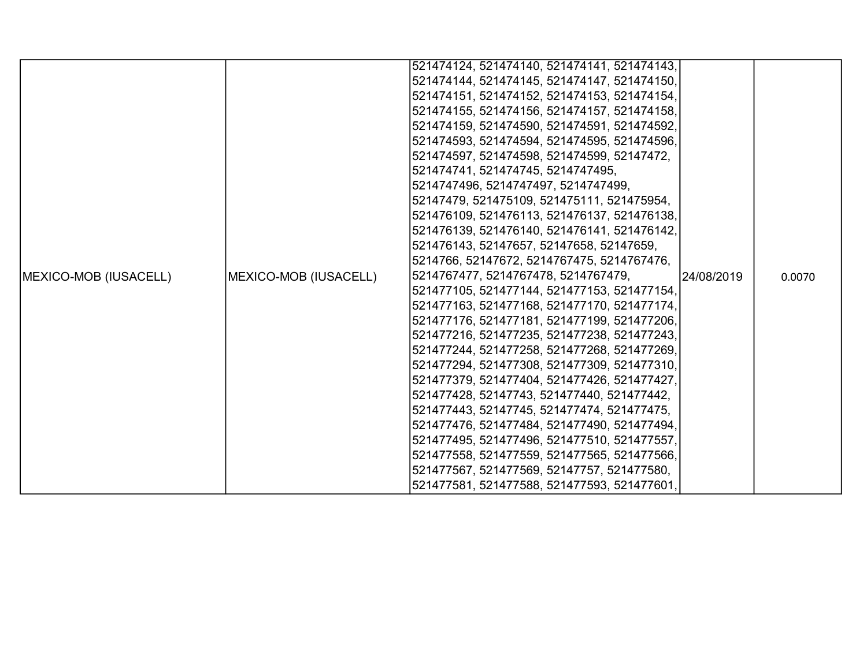| 521474124, 521474140, 521474141, 521474143,<br>521474144, 521474145, 521474147, 521474150,<br>521474151, 521474152, 521474153, 521474154,<br>521474155, 521474156, 521474157, 521474158,<br>521474159, 521474590, 521474591, 521474592,<br>521474593, 521474594, 521474595, 521474596, |
|----------------------------------------------------------------------------------------------------------------------------------------------------------------------------------------------------------------------------------------------------------------------------------------|
|                                                                                                                                                                                                                                                                                        |
|                                                                                                                                                                                                                                                                                        |
|                                                                                                                                                                                                                                                                                        |
|                                                                                                                                                                                                                                                                                        |
|                                                                                                                                                                                                                                                                                        |
|                                                                                                                                                                                                                                                                                        |
| 521474597, 521474598, 521474599, 52147472,                                                                                                                                                                                                                                             |
| 521474741, 521474745, 5214747495,                                                                                                                                                                                                                                                      |
| 5214747496, 5214747497, 5214747499,                                                                                                                                                                                                                                                    |
| 52147479, 521475109, 521475111, 521475954,                                                                                                                                                                                                                                             |
| 521476109, 521476113, 521476137, 521476138,                                                                                                                                                                                                                                            |
| 521476139, 521476140, 521476141, 521476142,                                                                                                                                                                                                                                            |
| 521476143, 52147657, 52147658, 52147659,                                                                                                                                                                                                                                               |
| 5214766, 52147672, 5214767475, 5214767476,                                                                                                                                                                                                                                             |
| 5214767477, 5214767478, 5214767479,<br><b>IMEXICO-MOB (IUSACELL)</b><br>MEXICO-MOB (IUSACELL)<br>124/08/2019<br>0.0070                                                                                                                                                                 |
| 521477105, 521477144, 521477153, 521477154,                                                                                                                                                                                                                                            |
| 521477163, 521477168, 521477170, 521477174,                                                                                                                                                                                                                                            |
| 521477176, 521477181, 521477199, 521477206,                                                                                                                                                                                                                                            |
| 521477216, 521477235, 521477238, 521477243,                                                                                                                                                                                                                                            |
| 521477244, 521477258, 521477268, 521477269,                                                                                                                                                                                                                                            |
| 521477294, 521477308, 521477309, 521477310,                                                                                                                                                                                                                                            |
| 521477379, 521477404, 521477426, 521477427,                                                                                                                                                                                                                                            |
| 521477428, 52147743, 521477440, 521477442,                                                                                                                                                                                                                                             |
| 521477443, 52147745, 521477474, 521477475,                                                                                                                                                                                                                                             |
| 521477476, 521477484, 521477490, 521477494,                                                                                                                                                                                                                                            |
| 521477495, 521477496, 521477510, 521477557,                                                                                                                                                                                                                                            |
| 521477558, 521477559, 521477565, 521477566,                                                                                                                                                                                                                                            |
| 521477567, 521477569, 52147757, 521477580,                                                                                                                                                                                                                                             |
| 521477581, 521477588, 521477593, 521477601,                                                                                                                                                                                                                                            |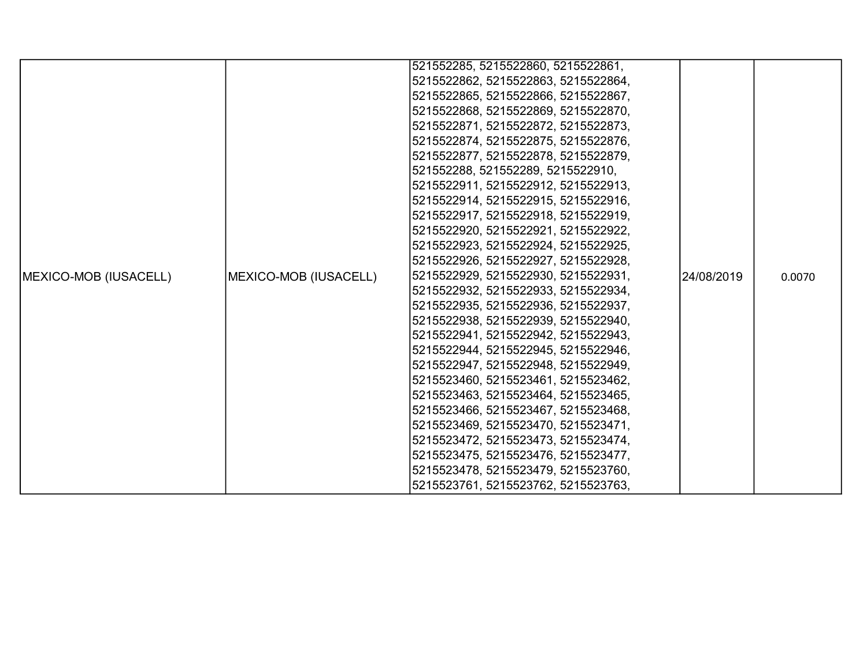|                               |                       | 521552285, 5215522860, 5215522861,  |            |        |
|-------------------------------|-----------------------|-------------------------------------|------------|--------|
|                               |                       | 5215522862, 5215522863, 5215522864, |            |        |
|                               |                       | 5215522865, 5215522866, 5215522867, |            |        |
|                               |                       | 5215522868, 5215522869, 5215522870, |            |        |
|                               |                       | 5215522871, 5215522872, 5215522873, |            |        |
|                               |                       | 5215522874, 5215522875, 5215522876, |            |        |
|                               |                       | 5215522877, 5215522878, 5215522879, |            |        |
|                               |                       | 521552288, 521552289, 5215522910,   |            |        |
|                               |                       | 5215522911, 5215522912, 5215522913, |            |        |
|                               |                       | 5215522914, 5215522915, 5215522916, |            |        |
|                               |                       | 5215522917, 5215522918, 5215522919, |            |        |
|                               |                       | 5215522920, 5215522921, 5215522922, |            |        |
|                               |                       | 5215522923, 5215522924, 5215522925, |            |        |
|                               |                       | 5215522926, 5215522927, 5215522928, |            |        |
| <b>IMEXICO-MOB (IUSACELL)</b> | MEXICO-MOB (IUSACELL) | 5215522929, 5215522930, 5215522931, | 24/08/2019 | 0.0070 |
|                               |                       | 5215522932, 5215522933, 5215522934, |            |        |
|                               |                       | 5215522935, 5215522936, 5215522937, |            |        |
|                               |                       | 5215522938, 5215522939, 5215522940, |            |        |
|                               |                       | 5215522941, 5215522942, 5215522943, |            |        |
|                               |                       | 5215522944, 5215522945, 5215522946, |            |        |
|                               |                       | 5215522947, 5215522948, 5215522949, |            |        |
|                               |                       | 5215523460, 5215523461, 5215523462, |            |        |
|                               |                       | 5215523463, 5215523464, 5215523465, |            |        |
|                               |                       | 5215523466, 5215523467, 5215523468, |            |        |
|                               |                       | 5215523469, 5215523470, 5215523471, |            |        |
|                               |                       | 5215523472, 5215523473, 5215523474, |            |        |
|                               |                       | 5215523475, 5215523476, 5215523477, |            |        |
|                               |                       | 5215523478, 5215523479, 5215523760, |            |        |
|                               |                       | 5215523761, 5215523762, 5215523763, |            |        |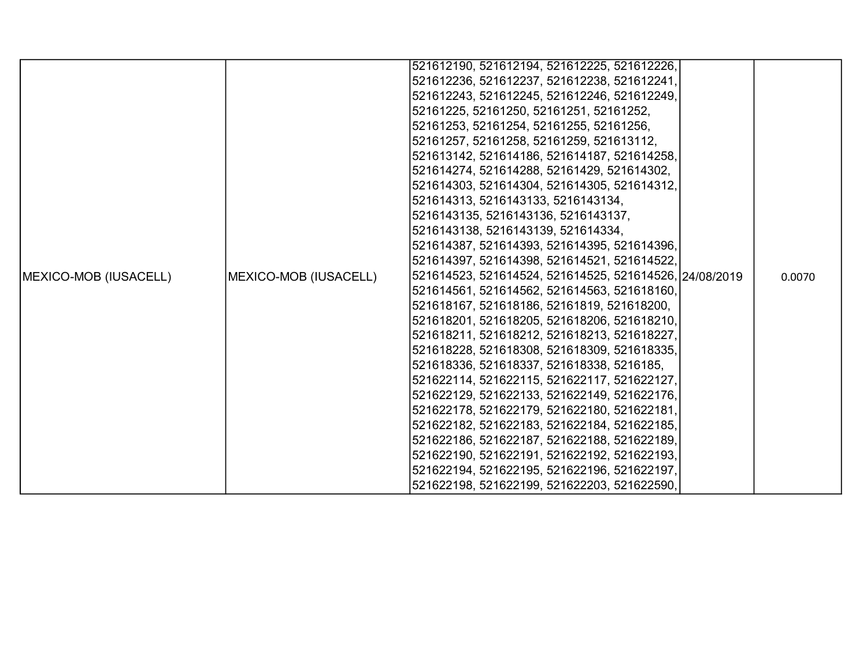|                               |                       | 521612190, 521612194, 521612225, 521612226,            |  |        |
|-------------------------------|-----------------------|--------------------------------------------------------|--|--------|
|                               |                       | 521612236, 521612237, 521612238, 521612241,            |  |        |
|                               |                       | 521612243, 521612245, 521612246, 521612249,            |  |        |
|                               |                       | 52161225, 52161250, 52161251, 52161252,                |  |        |
|                               |                       | 52161253, 52161254, 52161255, 52161256,                |  |        |
|                               |                       | 52161257, 52161258, 52161259, 521613112,               |  |        |
|                               |                       | 521613142, 521614186, 521614187, 521614258,            |  |        |
|                               |                       | 521614274, 521614288, 52161429, 521614302,             |  |        |
|                               |                       | 521614303, 521614304, 521614305, 521614312,            |  |        |
|                               |                       | 521614313, 5216143133, 5216143134,                     |  |        |
|                               |                       | 5216143135, 5216143136, 5216143137,                    |  |        |
|                               |                       | 5216143138, 5216143139, 521614334,                     |  |        |
|                               |                       | 521614387, 521614393, 521614395, 521614396,            |  |        |
|                               |                       | 521614397, 521614398, 521614521, 521614522,            |  |        |
| <b>IMEXICO-MOB (IUSACELL)</b> | MEXICO-MOB (IUSACELL) | 521614523, 521614524, 521614525, 521614526, 24/08/2019 |  | 0.0070 |
|                               |                       | 521614561, 521614562, 521614563, 521618160,            |  |        |
|                               |                       | 521618167, 521618186, 52161819, 521618200,             |  |        |
|                               |                       | 521618201, 521618205, 521618206, 521618210,            |  |        |
|                               |                       | 521618211, 521618212, 521618213, 521618227,            |  |        |
|                               |                       | 521618228, 521618308, 521618309, 521618335,            |  |        |
|                               |                       | 521618336, 521618337, 521618338, 5216185,              |  |        |
|                               |                       | 521622114, 521622115, 521622117, 521622127,            |  |        |
|                               |                       | 521622129, 521622133, 521622149, 521622176,            |  |        |
|                               |                       | 521622178, 521622179, 521622180, 521622181,            |  |        |
|                               |                       | 521622182, 521622183, 521622184, 521622185,            |  |        |
|                               |                       | 521622186, 521622187, 521622188, 521622189,            |  |        |
|                               |                       | 521622190, 521622191, 521622192, 521622193,            |  |        |
|                               |                       | 521622194, 521622195, 521622196, 521622197,            |  |        |
|                               |                       | 521622198, 521622199, 521622203, 521622590,            |  |        |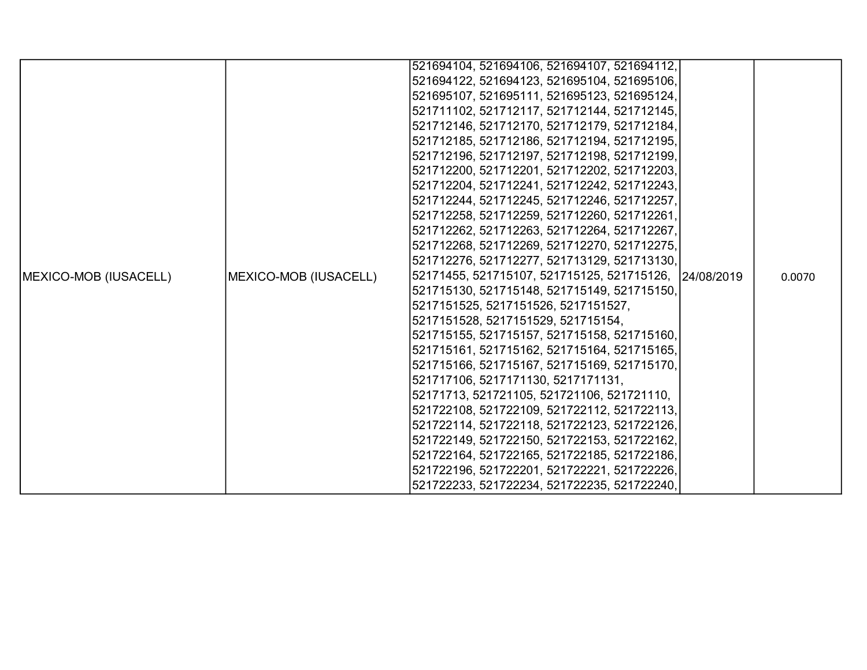|                       |                       | 521694104, 521694106, 521694107, 521694112,           |        |
|-----------------------|-----------------------|-------------------------------------------------------|--------|
|                       |                       | 521694122, 521694123, 521695104, 521695106,           |        |
|                       |                       | 521695107, 521695111, 521695123, 521695124,           |        |
|                       |                       | 521711102, 521712117, 521712144, 521712145,           |        |
|                       |                       | 521712146, 521712170, 521712179, 521712184,           |        |
|                       |                       | 521712185, 521712186, 521712194, 521712195,           |        |
|                       |                       | 521712196, 521712197, 521712198, 521712199,           |        |
|                       |                       | 521712200, 521712201, 521712202, 521712203,           |        |
|                       |                       | 521712204, 521712241, 521712242, 521712243,           |        |
|                       |                       | 521712244, 521712245, 521712246, 521712257,           |        |
|                       |                       | 521712258, 521712259, 521712260, 521712261,           |        |
|                       |                       | 521712262, 521712263, 521712264, 521712267,           |        |
|                       |                       | 521712268, 521712269, 521712270, 521712275,           |        |
|                       |                       | 521712276, 521712277, 521713129, 521713130,           |        |
| MEXICO-MOB (IUSACELL) | MEXICO-MOB (IUSACELL) | 52171455, 521715107, 521715125, 521715126, 24/08/2019 | 0.0070 |
|                       |                       | 521715130, 521715148, 521715149, 521715150,           |        |
|                       |                       | 5217151525, 5217151526, 5217151527,                   |        |
|                       |                       | 5217151528, 5217151529, 521715154,                    |        |
|                       |                       | 521715155, 521715157, 521715158, 521715160,           |        |
|                       |                       | 521715161, 521715162, 521715164, 521715165,           |        |
|                       |                       | 521715166, 521715167, 521715169, 521715170,           |        |
|                       |                       | 521717106, 5217171130, 5217171131,                    |        |
|                       |                       | 52171713, 521721105, 521721106, 521721110,            |        |
|                       |                       | 521722108, 521722109, 521722112, 521722113,           |        |
|                       |                       | 521722114, 521722118, 521722123, 521722126,           |        |
|                       |                       | 521722149, 521722150, 521722153, 521722162,           |        |
|                       |                       | 521722164, 521722165, 521722185, 521722186,           |        |
|                       |                       | 521722196, 521722201, 521722221, 521722226,           |        |
|                       |                       | 521722233, 521722234, 521722235, 521722240,           |        |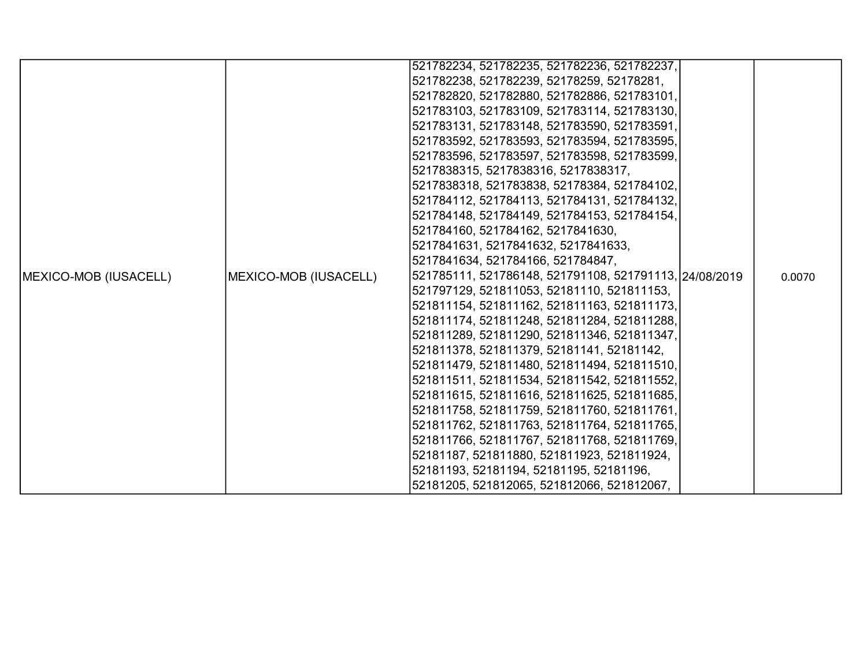|                       |                       | 521782234, 521782235, 521782236, 521782237,            |        |
|-----------------------|-----------------------|--------------------------------------------------------|--------|
|                       |                       | 521782238, 521782239, 52178259, 52178281,              |        |
|                       |                       | 521782820, 521782880, 521782886, 521783101,            |        |
|                       |                       | 521783103, 521783109, 521783114, 521783130,            |        |
|                       |                       | 521783131, 521783148, 521783590, 521783591,            |        |
|                       |                       | 521783592, 521783593, 521783594, 521783595,            |        |
|                       |                       | 521783596, 521783597, 521783598, 521783599,            |        |
|                       |                       | 5217838315, 5217838316, 5217838317,                    |        |
|                       |                       | 5217838318, 521783838, 52178384, 521784102,            |        |
|                       |                       | 521784112, 521784113, 521784131, 521784132,            |        |
|                       |                       | 521784148, 521784149, 521784153, 521784154,            |        |
|                       |                       | 521784160, 521784162, 5217841630,                      |        |
|                       |                       | 5217841631, 5217841632, 5217841633,                    |        |
|                       |                       | 5217841634, 521784166, 521784847,                      |        |
| MEXICO-MOB (IUSACELL) | MEXICO-MOB (IUSACELL) | 521785111, 521786148, 521791108, 521791113, 24/08/2019 | 0.0070 |
|                       |                       | 521797129, 521811053, 52181110, 521811153,             |        |
|                       |                       | 521811154, 521811162, 521811163, 521811173,            |        |
|                       |                       | 521811174, 521811248, 521811284, 521811288,            |        |
|                       |                       | 521811289, 521811290, 521811346, 521811347,            |        |
|                       |                       | 521811378, 521811379, 52181141, 52181142,              |        |
|                       |                       | 521811479, 521811480, 521811494, 521811510,            |        |
|                       |                       | 521811511, 521811534, 521811542, 521811552,            |        |
|                       |                       | 521811615, 521811616, 521811625, 521811685,            |        |
|                       |                       | 521811758, 521811759, 521811760, 521811761,            |        |
|                       |                       | 521811762, 521811763, 521811764, 521811765,            |        |
|                       |                       | 521811766, 521811767, 521811768, 521811769,            |        |
|                       |                       | 52181187, 521811880, 521811923, 521811924,             |        |
|                       |                       | 52181193, 52181194, 52181195, 52181196,                |        |
|                       |                       | 52181205, 521812065, 521812066, 521812067,             |        |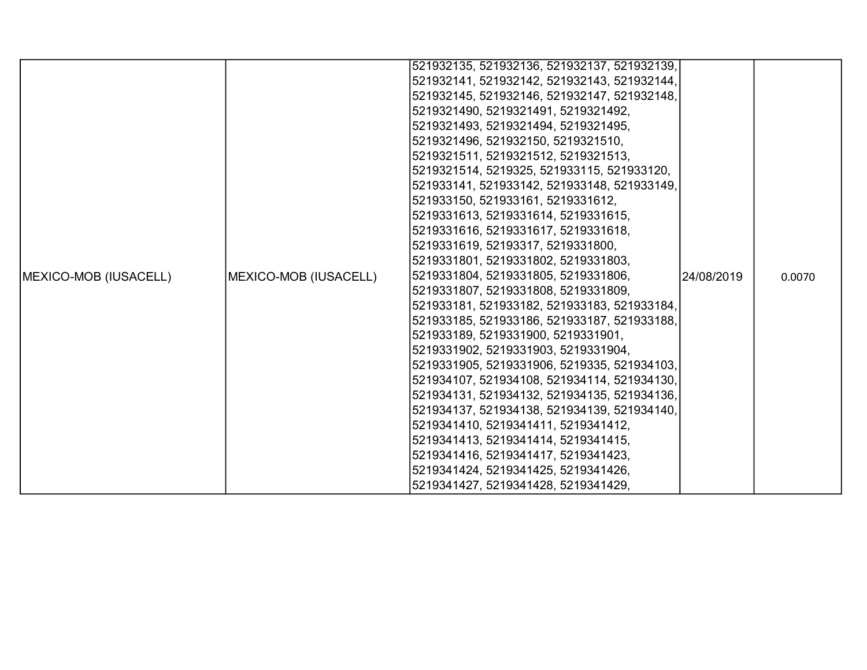|                               |                       | 521932135, 521932136, 521932137, 521932139, |            |        |
|-------------------------------|-----------------------|---------------------------------------------|------------|--------|
|                               |                       | 521932141, 521932142, 521932143, 521932144, |            |        |
|                               |                       | 521932145, 521932146, 521932147, 521932148, |            |        |
|                               |                       | 5219321490, 5219321491, 5219321492,         |            |        |
|                               |                       | 5219321493, 5219321494, 5219321495,         |            |        |
|                               |                       | 5219321496, 521932150, 5219321510,          |            |        |
|                               |                       | 5219321511, 5219321512, 5219321513,         |            |        |
|                               |                       | 5219321514, 5219325, 521933115, 521933120,  |            |        |
|                               |                       | 521933141, 521933142, 521933148, 521933149, |            |        |
|                               |                       | 521933150, 521933161, 5219331612,           |            |        |
|                               |                       | 5219331613, 5219331614, 5219331615,         |            |        |
|                               |                       | 5219331616, 5219331617, 5219331618,         |            |        |
|                               |                       | 5219331619, 52193317, 5219331800,           |            |        |
|                               |                       | 5219331801, 5219331802, 5219331803,         |            |        |
| <b>IMEXICO-MOB (IUSACELL)</b> | MEXICO-MOB (IUSACELL) | 5219331804, 5219331805, 5219331806,         | 24/08/2019 | 0.0070 |
|                               |                       | 5219331807, 5219331808, 5219331809,         |            |        |
|                               |                       | 521933181, 521933182, 521933183, 521933184, |            |        |
|                               |                       | 521933185, 521933186, 521933187, 521933188, |            |        |
|                               |                       | 521933189, 5219331900, 5219331901,          |            |        |
|                               |                       | 5219331902, 5219331903, 5219331904,         |            |        |
|                               |                       | 5219331905, 5219331906, 5219335, 521934103, |            |        |
|                               |                       | 521934107, 521934108, 521934114, 521934130, |            |        |
|                               |                       | 521934131, 521934132, 521934135, 521934136, |            |        |
|                               |                       | 521934137, 521934138, 521934139, 521934140, |            |        |
|                               |                       | 5219341410, 5219341411, 5219341412,         |            |        |
|                               |                       | 5219341413, 5219341414, 5219341415,         |            |        |
|                               |                       | 5219341416, 5219341417, 5219341423,         |            |        |
|                               |                       | 5219341424, 5219341425, 5219341426,         |            |        |
|                               |                       | 5219341427, 5219341428, 5219341429,         |            |        |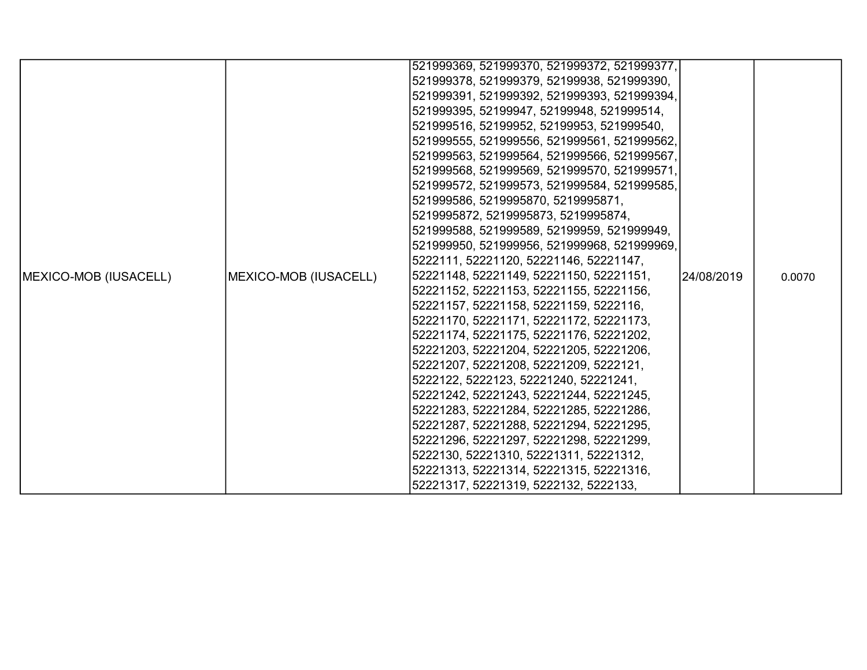|                               |                       | 521999369, 521999370, 521999372, 521999377, |            |        |
|-------------------------------|-----------------------|---------------------------------------------|------------|--------|
|                               |                       | 521999378, 521999379, 52199938, 521999390,  |            |        |
|                               |                       | 521999391, 521999392, 521999393, 521999394, |            |        |
|                               |                       | 521999395, 52199947, 52199948, 521999514,   |            |        |
|                               |                       | 521999516, 52199952, 52199953, 521999540,   |            |        |
|                               |                       | 521999555, 521999556, 521999561, 521999562, |            |        |
|                               |                       | 521999563, 521999564, 521999566, 521999567, |            |        |
|                               |                       | 521999568, 521999569, 521999570, 521999571, |            |        |
|                               |                       | 521999572, 521999573, 521999584, 521999585, |            |        |
|                               |                       | 521999586, 5219995870, 5219995871,          |            |        |
|                               |                       | 5219995872, 5219995873, 5219995874,         |            |        |
|                               |                       | 521999588, 521999589, 52199959, 521999949,  |            |        |
|                               |                       | 521999950, 521999956, 521999968, 521999969, |            |        |
|                               |                       | 5222111, 52221120, 52221146, 52221147,      |            |        |
| <b>IMEXICO-MOB (IUSACELL)</b> | MEXICO-MOB (IUSACELL) | 52221148, 52221149, 52221150, 52221151,     | 24/08/2019 | 0.0070 |
|                               |                       | 52221152, 52221153, 52221155, 52221156,     |            |        |
|                               |                       | 52221157, 52221158, 52221159, 5222116,      |            |        |
|                               |                       | 52221170, 52221171, 52221172, 52221173,     |            |        |
|                               |                       | 52221174, 52221175, 52221176, 52221202,     |            |        |
|                               |                       | 52221203, 52221204, 52221205, 52221206,     |            |        |
|                               |                       | 52221207, 52221208, 52221209, 5222121,      |            |        |
|                               |                       | 5222122, 5222123, 52221240, 52221241,       |            |        |
|                               |                       | 52221242, 52221243, 52221244, 52221245,     |            |        |
|                               |                       | 52221283, 52221284, 52221285, 52221286,     |            |        |
|                               |                       | 52221287, 52221288, 52221294, 52221295,     |            |        |
|                               |                       | 52221296, 52221297, 52221298, 52221299,     |            |        |
|                               |                       | 5222130, 52221310, 52221311, 52221312,      |            |        |
|                               |                       | 52221313, 52221314, 52221315, 52221316,     |            |        |
|                               |                       | 52221317, 52221319, 5222132, 5222133,       |            |        |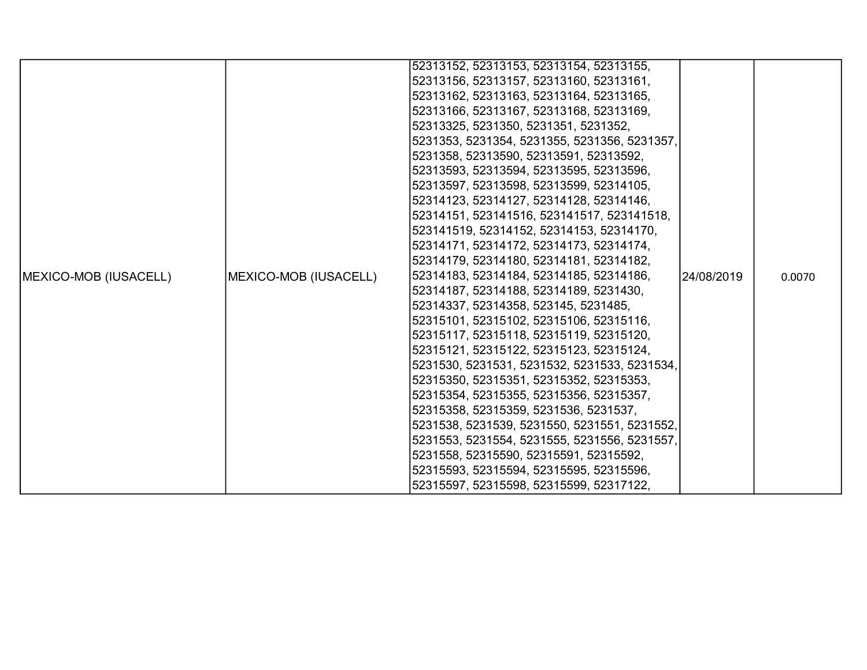|                               |                       | 52313152, 52313153, 52313154, 52313155,      |            |        |
|-------------------------------|-----------------------|----------------------------------------------|------------|--------|
|                               |                       | 52313156, 52313157, 52313160, 52313161,      |            |        |
|                               |                       | 52313162, 52313163, 52313164, 52313165,      |            |        |
|                               |                       | 52313166, 52313167, 52313168, 52313169,      |            |        |
|                               |                       | 52313325, 5231350, 5231351, 5231352,         |            |        |
|                               |                       | 5231353, 5231354, 5231355, 5231356, 5231357, |            |        |
|                               |                       | 5231358, 52313590, 52313591, 52313592,       |            |        |
|                               |                       | 52313593, 52313594, 52313595, 52313596,      |            |        |
|                               |                       | 52313597, 52313598, 52313599, 52314105,      |            |        |
|                               |                       | 52314123, 52314127, 52314128, 52314146,      |            |        |
|                               |                       | 52314151, 523141516, 523141517, 523141518,   |            |        |
|                               |                       | 523141519, 52314152, 52314153, 52314170,     |            |        |
|                               |                       | 52314171, 52314172, 52314173, 52314174,      |            |        |
|                               |                       | 52314179, 52314180, 52314181, 52314182,      |            |        |
| <b>IMEXICO-MOB (IUSACELL)</b> | MEXICO-MOB (IUSACELL) | 52314183, 52314184, 52314185, 52314186,      | 24/08/2019 | 0.0070 |
|                               |                       | 52314187, 52314188, 52314189, 5231430,       |            |        |
|                               |                       | 52314337, 52314358, 523145, 5231485,         |            |        |
|                               |                       | 52315101, 52315102, 52315106, 52315116,      |            |        |
|                               |                       | 52315117, 52315118, 52315119, 52315120,      |            |        |
|                               |                       | 52315121, 52315122, 52315123, 52315124,      |            |        |
|                               |                       | 5231530, 5231531, 5231532, 5231533, 5231534, |            |        |
|                               |                       | 52315350, 52315351, 52315352, 52315353,      |            |        |
|                               |                       | 52315354, 52315355, 52315356, 52315357,      |            |        |
|                               |                       | 52315358, 52315359, 5231536, 5231537,        |            |        |
|                               |                       | 5231538, 5231539, 5231550, 5231551, 5231552, |            |        |
|                               |                       | 5231553, 5231554, 5231555, 5231556, 5231557, |            |        |
|                               |                       | 5231558, 52315590, 52315591, 52315592,       |            |        |
|                               |                       | 52315593, 52315594, 52315595, 52315596,      |            |        |
|                               |                       | 52315597, 52315598, 52315599, 52317122,      |            |        |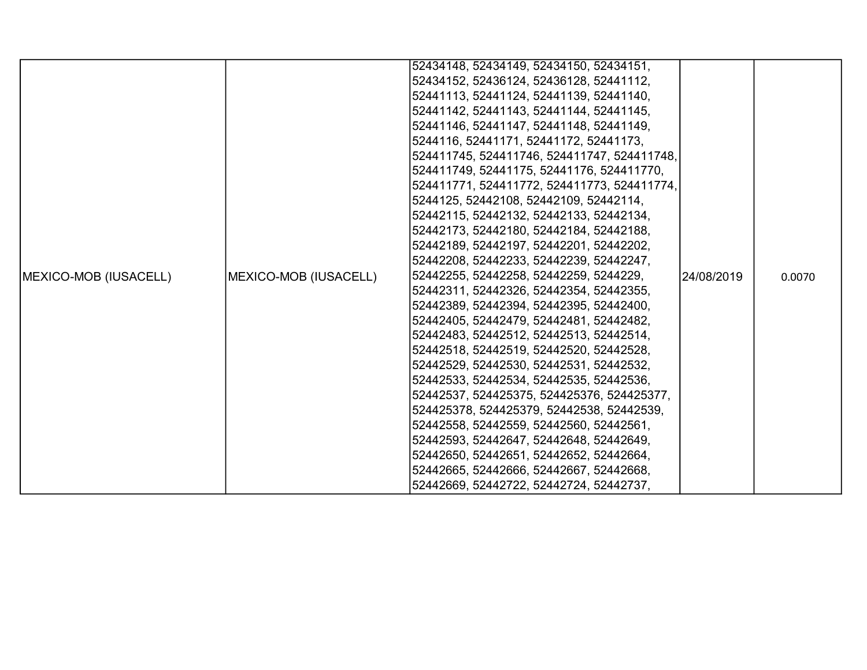|                       |                       | 52434148, 52434149, 52434150, 52434151,     |             |        |
|-----------------------|-----------------------|---------------------------------------------|-------------|--------|
|                       |                       | 52434152, 52436124, 52436128, 52441112,     |             |        |
|                       |                       | 52441113, 52441124, 52441139, 52441140,     |             |        |
|                       |                       | 52441142, 52441143, 52441144, 52441145,     |             |        |
|                       |                       | 52441146, 52441147, 52441148, 52441149,     |             |        |
|                       |                       | 5244116, 52441171, 52441172, 52441173,      |             |        |
|                       |                       | 524411745, 524411746, 524411747, 524411748, |             |        |
|                       |                       | 524411749, 52441175, 52441176, 524411770,   |             |        |
|                       |                       | 524411771, 524411772, 524411773, 524411774, |             |        |
|                       |                       | 5244125, 52442108, 52442109, 52442114,      |             |        |
|                       |                       | 52442115, 52442132, 52442133, 52442134,     |             |        |
|                       |                       | 52442173, 52442180, 52442184, 52442188,     |             |        |
|                       |                       | 52442189, 52442197, 52442201, 52442202,     |             |        |
|                       |                       | 52442208, 52442233, 52442239, 52442247,     |             |        |
| MEXICO-MOB (IUSACELL) | MEXICO-MOB (IUSACELL) | 52442255, 52442258, 52442259, 5244229,      | l24/08/2019 | 0.0070 |
|                       |                       | 52442311, 52442326, 52442354, 52442355,     |             |        |
|                       |                       | 52442389, 52442394, 52442395, 52442400,     |             |        |
|                       |                       | 52442405, 52442479, 52442481, 52442482,     |             |        |
|                       |                       | 52442483, 52442512, 52442513, 52442514,     |             |        |
|                       |                       | 52442518, 52442519, 52442520, 52442528,     |             |        |
|                       |                       | 52442529, 52442530, 52442531, 52442532,     |             |        |
|                       |                       | 52442533, 52442534, 52442535, 52442536,     |             |        |
|                       |                       | 52442537, 524425375, 524425376, 524425377,  |             |        |
|                       |                       | 524425378, 524425379, 52442538, 52442539,   |             |        |
|                       |                       | 52442558, 52442559, 52442560, 52442561,     |             |        |
|                       |                       | 52442593, 52442647, 52442648, 52442649,     |             |        |
|                       |                       | 52442650, 52442651, 52442652, 52442664,     |             |        |
|                       |                       | 52442665, 52442666, 52442667, 52442668,     |             |        |
|                       |                       | 52442669, 52442722, 52442724, 52442737,     |             |        |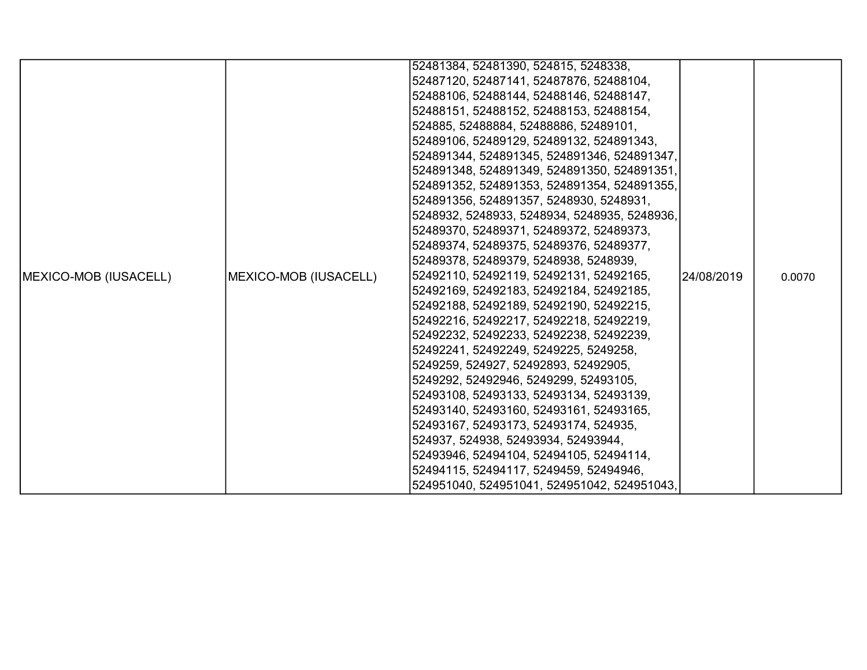|                               |                       | 52481384, 52481390, 524815, 5248338,         |             |        |
|-------------------------------|-----------------------|----------------------------------------------|-------------|--------|
|                               |                       | 52487120, 52487141, 52487876, 52488104,      |             |        |
|                               |                       | 52488106, 52488144, 52488146, 52488147,      |             |        |
|                               |                       | 52488151, 52488152, 52488153, 52488154,      |             |        |
|                               |                       | 524885, 52488884, 52488886, 52489101,        |             |        |
|                               |                       | 52489106, 52489129, 52489132, 524891343,     |             |        |
|                               |                       | 524891344, 524891345, 524891346, 524891347,  |             |        |
|                               |                       | 524891348, 524891349, 524891350, 524891351,  |             |        |
|                               |                       | 524891352, 524891353, 524891354, 524891355,  |             |        |
|                               |                       | 524891356, 524891357, 5248930, 5248931,      |             |        |
|                               |                       | 5248932, 5248933, 5248934, 5248935, 5248936, |             |        |
|                               |                       | 52489370, 52489371, 52489372, 52489373,      |             |        |
|                               |                       | 52489374, 52489375, 52489376, 52489377,      |             |        |
|                               |                       | 52489378, 52489379, 5248938, 5248939,        |             |        |
| <b>IMEXICO-MOB (IUSACELL)</b> | MEXICO-MOB (IUSACELL) | 52492110, 52492119, 52492131, 52492165,      | l24/08/2019 | 0.0070 |
|                               |                       | 52492169, 52492183, 52492184, 52492185,      |             |        |
|                               |                       | 52492188, 52492189, 52492190, 52492215,      |             |        |
|                               |                       | 52492216, 52492217, 52492218, 52492219,      |             |        |
|                               |                       | 52492232, 52492233, 52492238, 52492239,      |             |        |
|                               |                       | 52492241, 52492249, 5249225, 5249258,        |             |        |
|                               |                       | 5249259, 524927, 52492893, 52492905,         |             |        |
|                               |                       | 5249292, 52492946, 5249299, 52493105,        |             |        |
|                               |                       | 52493108, 52493133, 52493134, 52493139,      |             |        |
|                               |                       | 52493140, 52493160, 52493161, 52493165,      |             |        |
|                               |                       | 52493167, 52493173, 52493174, 524935,        |             |        |
|                               |                       | 524937, 524938, 52493934, 52493944,          |             |        |
|                               |                       | 52493946, 52494104, 52494105, 52494114,      |             |        |
|                               |                       | 52494115, 52494117, 5249459, 52494946,       |             |        |
|                               |                       | 524951040, 524951041, 524951042, 524951043,  |             |        |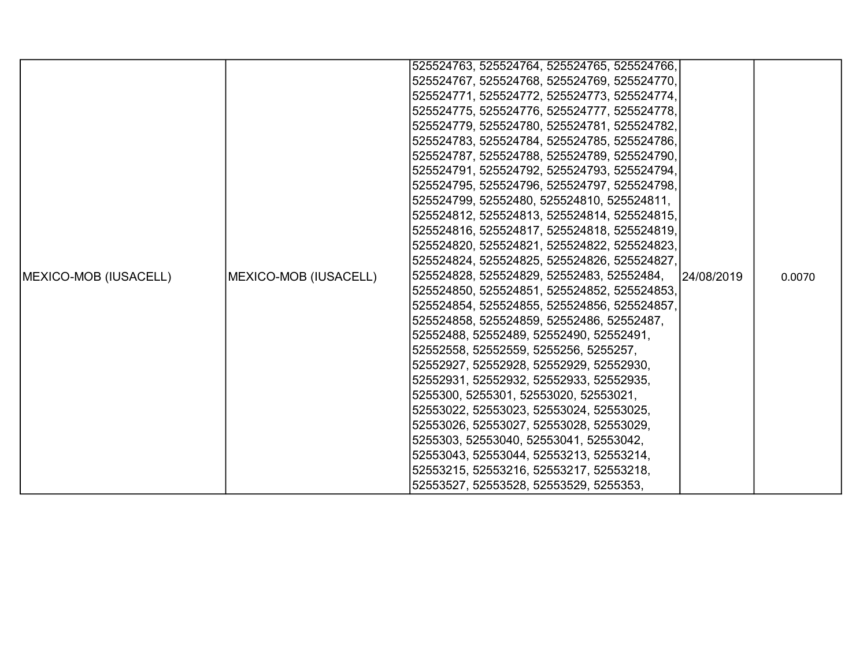|                               |                       | 525524763, 525524764, 525524765, 525524766, |            |        |
|-------------------------------|-----------------------|---------------------------------------------|------------|--------|
|                               |                       | 525524767, 525524768, 525524769, 525524770, |            |        |
|                               |                       | 525524771, 525524772, 525524773, 525524774, |            |        |
|                               |                       | 525524775, 525524776, 525524777, 525524778, |            |        |
|                               |                       | 525524779, 525524780, 525524781, 525524782, |            |        |
|                               |                       | 525524783, 525524784, 525524785, 525524786, |            |        |
|                               |                       | 525524787, 525524788, 525524789, 525524790, |            |        |
|                               |                       | 525524791, 525524792, 525524793, 525524794, |            |        |
|                               |                       | 525524795, 525524796, 525524797, 525524798, |            |        |
|                               |                       | 525524799, 52552480, 525524810, 525524811,  |            |        |
|                               |                       | 525524812, 525524813, 525524814, 525524815, |            |        |
|                               |                       | 525524816, 525524817, 525524818, 525524819, |            |        |
|                               |                       | 525524820, 525524821, 525524822, 525524823, |            |        |
|                               |                       | 525524824, 525524825, 525524826, 525524827, |            |        |
| <b>IMEXICO-MOB (IUSACELL)</b> | MEXICO-MOB (IUSACELL) | 525524828, 525524829, 52552483, 52552484,   | 24/08/2019 | 0.0070 |
|                               |                       | 525524850, 525524851, 525524852, 525524853, |            |        |
|                               |                       | 525524854, 525524855, 525524856, 525524857, |            |        |
|                               |                       | 525524858, 525524859, 52552486, 52552487,   |            |        |
|                               |                       | 52552488, 52552489, 52552490, 52552491,     |            |        |
|                               |                       | 52552558, 52552559, 5255256, 5255257,       |            |        |
|                               |                       | 52552927, 52552928, 52552929, 52552930,     |            |        |
|                               |                       | 52552931, 52552932, 52552933, 52552935,     |            |        |
|                               |                       | 5255300, 5255301, 52553020, 52553021,       |            |        |
|                               |                       | 52553022, 52553023, 52553024, 52553025,     |            |        |
|                               |                       | 52553026, 52553027, 52553028, 52553029,     |            |        |
|                               |                       | 5255303, 52553040, 52553041, 52553042,      |            |        |
|                               |                       | 52553043, 52553044, 52553213, 52553214,     |            |        |
|                               |                       | 52553215, 52553216, 52553217, 52553218,     |            |        |
|                               |                       | 52553527, 52553528, 52553529, 5255353,      |            |        |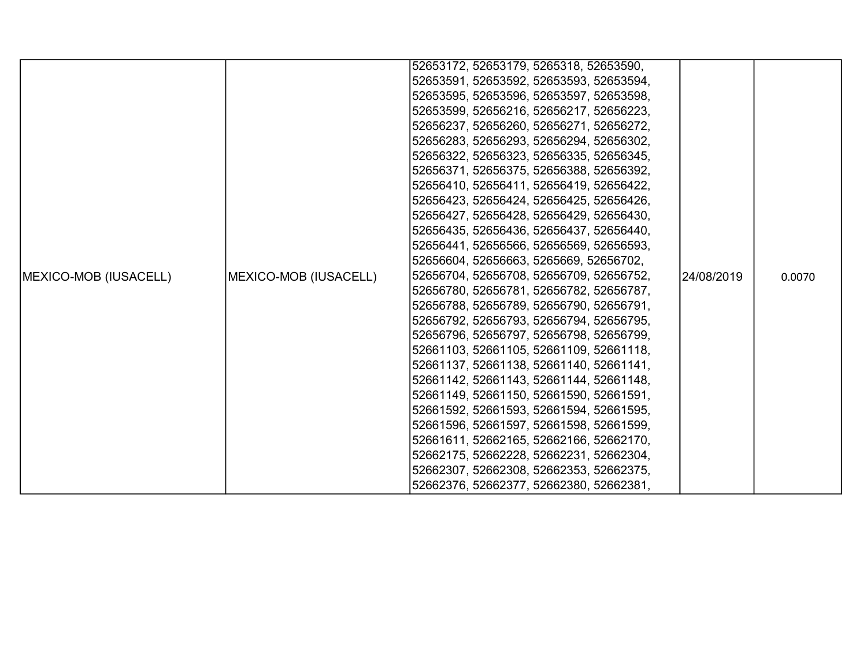|                               |                       | 52653172, 52653179, 5265318, 52653590,  |            |        |
|-------------------------------|-----------------------|-----------------------------------------|------------|--------|
|                               |                       | 52653591, 52653592, 52653593, 52653594, |            |        |
|                               |                       | 52653595, 52653596, 52653597, 52653598, |            |        |
|                               |                       | 52653599, 52656216, 52656217, 52656223, |            |        |
|                               |                       | 52656237, 52656260, 52656271, 52656272, |            |        |
|                               |                       | 52656283, 52656293, 52656294, 52656302, |            |        |
|                               |                       | 52656322, 52656323, 52656335, 52656345, |            |        |
|                               |                       | 52656371, 52656375, 52656388, 52656392, |            |        |
|                               |                       | 52656410, 52656411, 52656419, 52656422, |            |        |
|                               |                       | 52656423, 52656424, 52656425, 52656426, |            |        |
|                               |                       | 52656427, 52656428, 52656429, 52656430, |            |        |
|                               |                       | 52656435, 52656436, 52656437, 52656440, |            |        |
|                               |                       | 52656441, 52656566, 52656569, 52656593, |            |        |
|                               |                       | 52656604, 52656663, 5265669, 52656702,  |            |        |
| <b>IMEXICO-MOB (IUSACELL)</b> | MEXICO-MOB (IUSACELL) | 52656704, 52656708, 52656709, 52656752, | 24/08/2019 | 0.0070 |
|                               |                       | 52656780, 52656781, 52656782, 52656787, |            |        |
|                               |                       | 52656788, 52656789, 52656790, 52656791, |            |        |
|                               |                       | 52656792, 52656793, 52656794, 52656795, |            |        |
|                               |                       | 52656796, 52656797, 52656798, 52656799, |            |        |
|                               |                       | 52661103, 52661105, 52661109, 52661118, |            |        |
|                               |                       | 52661137, 52661138, 52661140, 52661141, |            |        |
|                               |                       | 52661142, 52661143, 52661144, 52661148, |            |        |
|                               |                       | 52661149, 52661150, 52661590, 52661591, |            |        |
|                               |                       | 52661592, 52661593, 52661594, 52661595, |            |        |
|                               |                       | 52661596, 52661597, 52661598, 52661599, |            |        |
|                               |                       | 52661611, 52662165, 52662166, 52662170, |            |        |
|                               |                       | 52662175, 52662228, 52662231, 52662304, |            |        |
|                               |                       | 52662307, 52662308, 52662353, 52662375, |            |        |
|                               |                       | 52662376, 52662377, 52662380, 52662381, |            |        |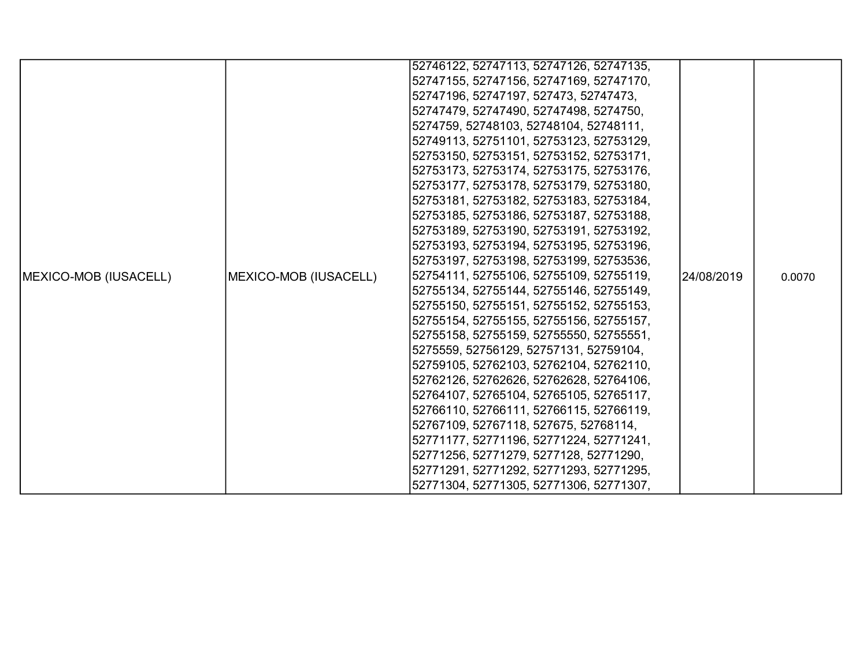|                               |                       | 52746122, 52747113, 52747126, 52747135, |            |        |
|-------------------------------|-----------------------|-----------------------------------------|------------|--------|
|                               |                       | 52747155, 52747156, 52747169, 52747170, |            |        |
|                               |                       | 52747196, 52747197, 527473, 52747473,   |            |        |
|                               |                       | 52747479, 52747490, 52747498, 5274750,  |            |        |
|                               |                       | 5274759, 52748103, 52748104, 52748111,  |            |        |
|                               |                       | 52749113, 52751101, 52753123, 52753129, |            |        |
|                               |                       | 52753150, 52753151, 52753152, 52753171, |            |        |
|                               |                       | 52753173, 52753174, 52753175, 52753176, |            |        |
|                               |                       | 52753177, 52753178, 52753179, 52753180, |            |        |
|                               |                       | 52753181, 52753182, 52753183, 52753184, |            |        |
|                               |                       | 52753185, 52753186, 52753187, 52753188, |            |        |
|                               |                       | 52753189, 52753190, 52753191, 52753192, |            |        |
|                               |                       | 52753193, 52753194, 52753195, 52753196, |            |        |
|                               |                       | 52753197, 52753198, 52753199, 52753536, |            |        |
| <b>IMEXICO-MOB (IUSACELL)</b> | MEXICO-MOB (IUSACELL) | 52754111, 52755106, 52755109, 52755119, | 24/08/2019 | 0.0070 |
|                               |                       | 52755134, 52755144, 52755146, 52755149, |            |        |
|                               |                       | 52755150, 52755151, 52755152, 52755153, |            |        |
|                               |                       | 52755154, 52755155, 52755156, 52755157, |            |        |
|                               |                       | 52755158, 52755159, 52755550, 52755551, |            |        |
|                               |                       | 5275559, 52756129, 52757131, 52759104,  |            |        |
|                               |                       | 52759105, 52762103, 52762104, 52762110, |            |        |
|                               |                       | 52762126, 52762626, 52762628, 52764106, |            |        |
|                               |                       | 52764107, 52765104, 52765105, 52765117, |            |        |
|                               |                       | 52766110, 52766111, 52766115, 52766119, |            |        |
|                               |                       | 52767109, 52767118, 527675, 52768114,   |            |        |
|                               |                       | 52771177, 52771196, 52771224, 52771241, |            |        |
|                               |                       | 52771256, 52771279, 5277128, 52771290,  |            |        |
|                               |                       | 52771291, 52771292, 52771293, 52771295, |            |        |
|                               |                       | 52771304, 52771305, 52771306, 52771307, |            |        |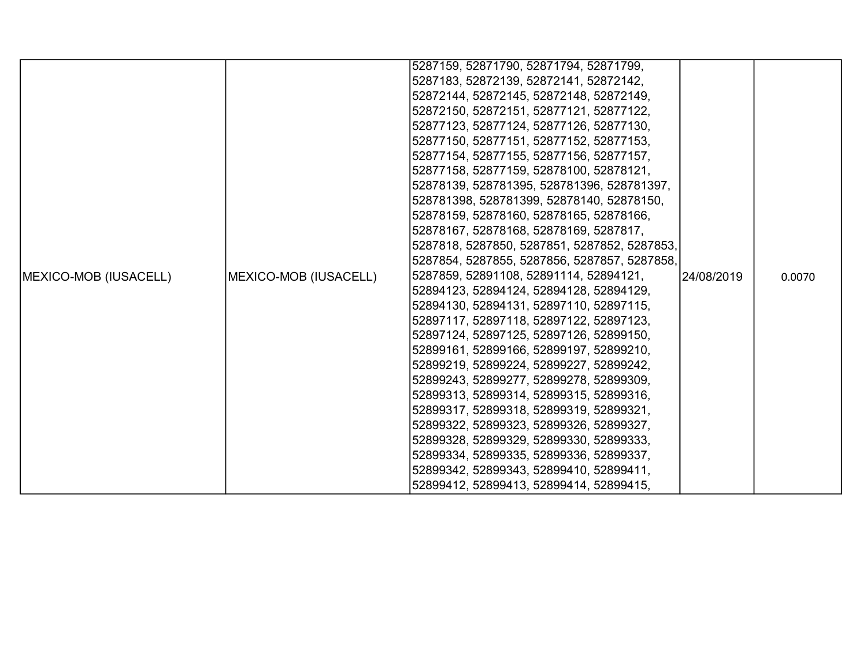|                               |                       | 5287159, 52871790, 52871794, 52871799,       |            |        |
|-------------------------------|-----------------------|----------------------------------------------|------------|--------|
|                               |                       | 5287183, 52872139, 52872141, 52872142,       |            |        |
|                               |                       | 52872144, 52872145, 52872148, 52872149,      |            |        |
|                               |                       | 52872150, 52872151, 52877121, 52877122,      |            |        |
|                               |                       | 52877123, 52877124, 52877126, 52877130,      |            |        |
|                               |                       | 52877150, 52877151, 52877152, 52877153,      |            |        |
|                               |                       | 52877154, 52877155, 52877156, 52877157,      |            |        |
|                               |                       | 52877158, 52877159, 52878100, 52878121,      |            |        |
|                               |                       | 52878139, 528781395, 528781396, 528781397,   |            |        |
|                               |                       | 528781398, 528781399, 52878140, 52878150,    |            |        |
|                               |                       | 52878159, 52878160, 52878165, 52878166,      |            |        |
|                               |                       | 52878167, 52878168, 52878169, 5287817,       |            |        |
|                               |                       | 5287818, 5287850, 5287851, 5287852, 5287853, |            |        |
|                               |                       | 5287854, 5287855, 5287856, 5287857, 5287858, |            |        |
| <b>IMEXICO-MOB (IUSACELL)</b> | MEXICO-MOB (IUSACELL) | 5287859, 52891108, 52891114, 52894121,       | 24/08/2019 | 0.0070 |
|                               |                       | 52894123, 52894124, 52894128, 52894129,      |            |        |
|                               |                       | 52894130, 52894131, 52897110, 52897115,      |            |        |
|                               |                       | 52897117, 52897118, 52897122, 52897123,      |            |        |
|                               |                       | 52897124, 52897125, 52897126, 52899150,      |            |        |
|                               |                       | 52899161, 52899166, 52899197, 52899210,      |            |        |
|                               |                       | 52899219, 52899224, 52899227, 52899242,      |            |        |
|                               |                       | 52899243, 52899277, 52899278, 52899309,      |            |        |
|                               |                       | 52899313, 52899314, 52899315, 52899316,      |            |        |
|                               |                       | 52899317, 52899318, 52899319, 52899321,      |            |        |
|                               |                       | 52899322, 52899323, 52899326, 52899327,      |            |        |
|                               |                       | 52899328, 52899329, 52899330, 52899333,      |            |        |
|                               |                       | 52899334, 52899335, 52899336, 52899337,      |            |        |
|                               |                       | 52899342, 52899343, 52899410, 52899411,      |            |        |
|                               |                       | 52899412, 52899413, 52899414, 52899415,      |            |        |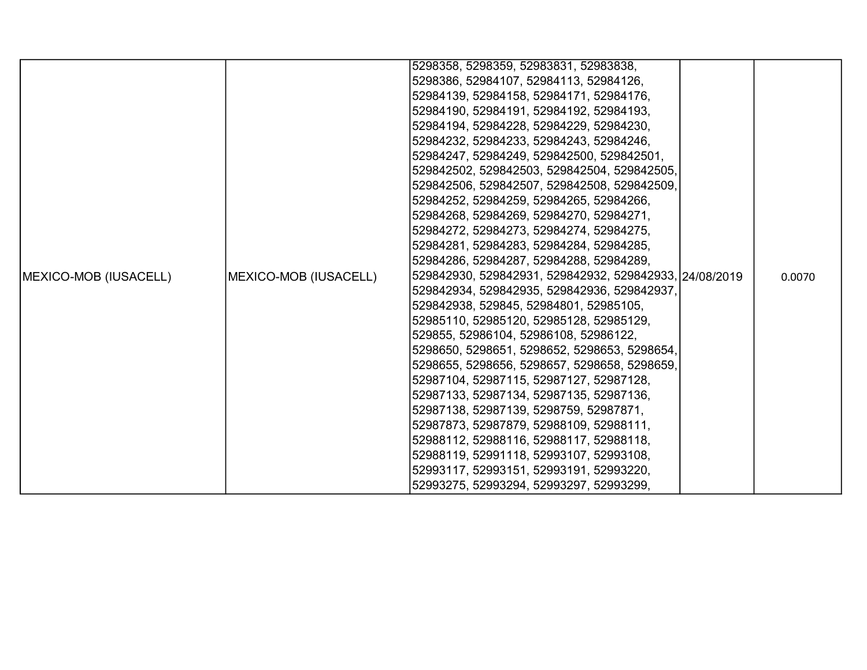|                               |                       | 5298358, 5298359, 52983831, 52983838,                  |  |        |
|-------------------------------|-----------------------|--------------------------------------------------------|--|--------|
|                               |                       | 5298386, 52984107, 52984113, 52984126,                 |  |        |
|                               |                       | 52984139, 52984158, 52984171, 52984176,                |  |        |
|                               |                       | 52984190, 52984191, 52984192, 52984193,                |  |        |
|                               |                       | 52984194, 52984228, 52984229, 52984230,                |  |        |
|                               |                       | 52984232, 52984233, 52984243, 52984246,                |  |        |
|                               |                       | 52984247, 52984249, 529842500, 529842501,              |  |        |
|                               |                       | 529842502, 529842503, 529842504, 529842505,            |  |        |
|                               |                       | 529842506, 529842507, 529842508, 529842509,            |  |        |
|                               |                       | 52984252, 52984259, 52984265, 52984266,                |  |        |
|                               |                       | 52984268, 52984269, 52984270, 52984271,                |  |        |
|                               |                       | 52984272, 52984273, 52984274, 52984275,                |  |        |
|                               |                       | 52984281, 52984283, 52984284, 52984285,                |  |        |
|                               |                       | 52984286, 52984287, 52984288, 52984289,                |  |        |
| <b>IMEXICO-MOB (IUSACELL)</b> | MEXICO-MOB (IUSACELL) | 529842930, 529842931, 529842932, 529842933, 24/08/2019 |  | 0.0070 |
|                               |                       | 529842934, 529842935, 529842936, 529842937,            |  |        |
|                               |                       | 529842938, 529845, 52984801, 52985105,                 |  |        |
|                               |                       | 52985110, 52985120, 52985128, 52985129,                |  |        |
|                               |                       | 529855, 52986104, 52986108, 52986122,                  |  |        |
|                               |                       | 5298650, 5298651, 5298652, 5298653, 5298654,           |  |        |
|                               |                       | 5298655, 5298656, 5298657, 5298658, 5298659,           |  |        |
|                               |                       | 52987104, 52987115, 52987127, 52987128,                |  |        |
|                               |                       | 52987133, 52987134, 52987135, 52987136,                |  |        |
|                               |                       | 52987138, 52987139, 5298759, 52987871,                 |  |        |
|                               |                       | 52987873, 52987879, 52988109, 52988111,                |  |        |
|                               |                       | 52988112, 52988116, 52988117, 52988118,                |  |        |
|                               |                       | 52988119, 52991118, 52993107, 52993108,                |  |        |
|                               |                       | 52993117, 52993151, 52993191, 52993220,                |  |        |
|                               |                       | 52993275, 52993294, 52993297, 52993299,                |  |        |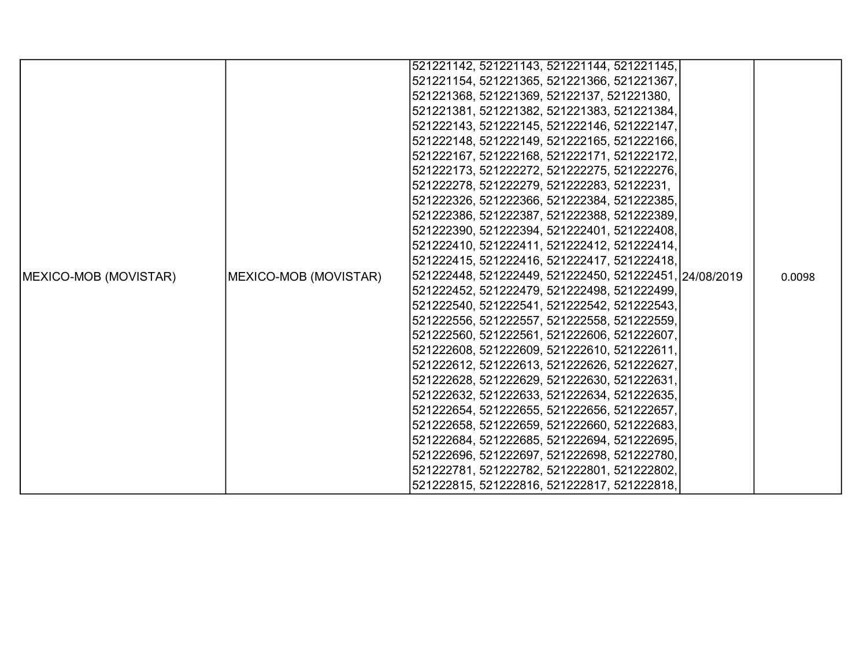|                               |                       | 521221142, 521221143, 521221144, 521221145,            |  |        |
|-------------------------------|-----------------------|--------------------------------------------------------|--|--------|
|                               |                       | 521221154, 521221365, 521221366, 521221367,            |  |        |
|                               |                       | 521221368, 521221369, 52122137, 521221380,             |  |        |
|                               |                       | 521221381, 521221382, 521221383, 521221384,            |  |        |
|                               |                       | 521222143, 521222145, 521222146, 521222147,            |  |        |
|                               |                       | 521222148, 521222149, 521222165, 521222166,            |  |        |
|                               |                       | 521222167, 521222168, 521222171, 521222172,            |  |        |
|                               |                       | 521222173, 521222272, 521222275, 521222276,            |  |        |
|                               |                       | 521222278, 521222279, 521222283, 52122231,             |  |        |
|                               |                       | 521222326, 521222366, 521222384, 521222385,            |  |        |
|                               |                       | 521222386, 521222387, 521222388, 521222389,            |  |        |
|                               |                       | 521222390, 521222394, 521222401, 521222408,            |  |        |
|                               |                       | 521222410, 521222411, 521222412, 521222414,            |  |        |
|                               |                       | 521222415, 521222416, 521222417, 521222418,            |  |        |
| <b>IMEXICO-MOB (MOVISTAR)</b> | MEXICO-MOB (MOVISTAR) | 521222448, 521222449, 521222450, 521222451, 24/08/2019 |  | 0.0098 |
|                               |                       | 521222452, 521222479, 521222498, 521222499,            |  |        |
|                               |                       | 521222540, 521222541, 521222542, 521222543,            |  |        |
|                               |                       | 521222556, 521222557, 521222558, 521222559,            |  |        |
|                               |                       | 521222560, 521222561, 521222606, 521222607,            |  |        |
|                               |                       | 521222608, 521222609, 521222610, 521222611,            |  |        |
|                               |                       | 521222612, 521222613, 521222626, 521222627,            |  |        |
|                               |                       | 521222628, 521222629, 521222630, 521222631,            |  |        |
|                               |                       | 521222632, 521222633, 521222634, 521222635,            |  |        |
|                               |                       | 521222654, 521222655, 521222656, 521222657,            |  |        |
|                               |                       | 521222658, 521222659, 521222660, 521222683,            |  |        |
|                               |                       | 521222684, 521222685, 521222694, 521222695,            |  |        |
|                               |                       | 521222696, 521222697, 521222698, 521222780,            |  |        |
|                               |                       | 521222781, 521222782, 521222801, 521222802,            |  |        |
|                               |                       | 521222815, 521222816, 521222817, 521222818,            |  |        |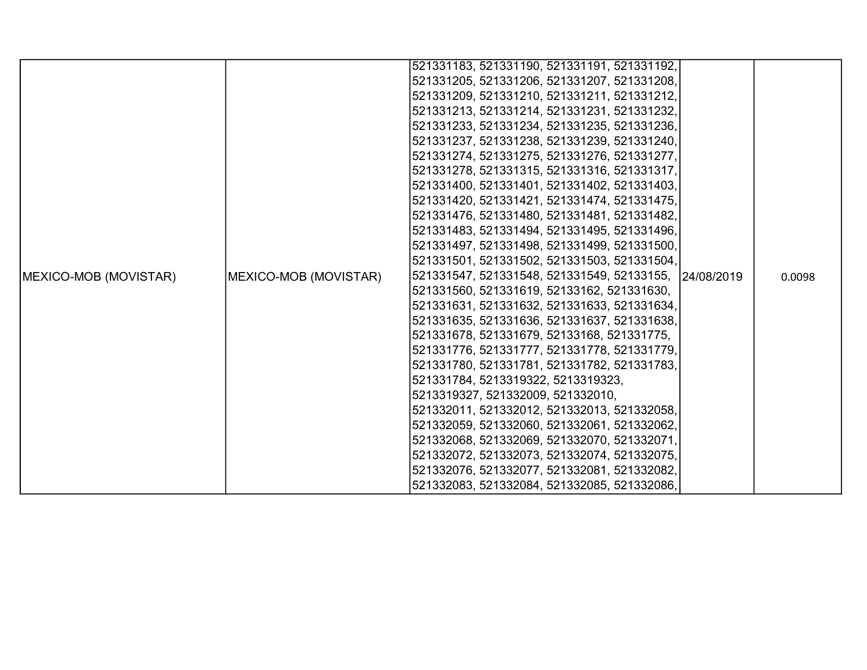|                               |                       | 521331183, 521331190, 521331191, 521331192,           |  |        |
|-------------------------------|-----------------------|-------------------------------------------------------|--|--------|
|                               |                       | 521331205, 521331206, 521331207, 521331208,           |  |        |
|                               |                       | 521331209, 521331210, 521331211, 521331212,           |  |        |
|                               |                       | 521331213, 521331214, 521331231, 521331232,           |  |        |
|                               |                       | 521331233, 521331234, 521331235, 521331236,           |  |        |
|                               |                       | 521331237, 521331238, 521331239, 521331240,           |  |        |
|                               |                       | 521331274, 521331275, 521331276, 521331277,           |  |        |
|                               |                       | 521331278, 521331315, 521331316, 521331317,           |  |        |
|                               |                       | 521331400, 521331401, 521331402, 521331403,           |  |        |
|                               |                       | 521331420, 521331421, 521331474, 521331475,           |  |        |
|                               |                       | 521331476, 521331480, 521331481, 521331482,           |  |        |
|                               |                       | 521331483, 521331494, 521331495, 521331496,           |  |        |
|                               |                       | 521331497, 521331498, 521331499, 521331500,           |  |        |
|                               |                       | 521331501, 521331502, 521331503, 521331504,           |  |        |
| <b>IMEXICO-MOB (MOVISTAR)</b> | MEXICO-MOB (MOVISTAR) | 521331547, 521331548, 521331549, 52133155, 24/08/2019 |  | 0.0098 |
|                               |                       | 521331560, 521331619, 52133162, 521331630,            |  |        |
|                               |                       | 521331631, 521331632, 521331633, 521331634,           |  |        |
|                               |                       | 521331635, 521331636, 521331637, 521331638,           |  |        |
|                               |                       | 521331678, 521331679, 52133168, 521331775,            |  |        |
|                               |                       | 521331776, 521331777, 521331778, 521331779,           |  |        |
|                               |                       | 521331780, 521331781, 521331782, 521331783,           |  |        |
|                               |                       | 521331784, 5213319322, 5213319323,                    |  |        |
|                               |                       | 5213319327, 521332009, 521332010,                     |  |        |
|                               |                       | 521332011, 521332012, 521332013, 521332058,           |  |        |
|                               |                       | 521332059, 521332060, 521332061, 521332062,           |  |        |
|                               |                       | 521332068, 521332069, 521332070, 521332071,           |  |        |
|                               |                       | 521332072, 521332073, 521332074, 521332075,           |  |        |
|                               |                       | 521332076, 521332077, 521332081, 521332082,           |  |        |
|                               |                       | 521332083, 521332084, 521332085, 521332086,           |  |        |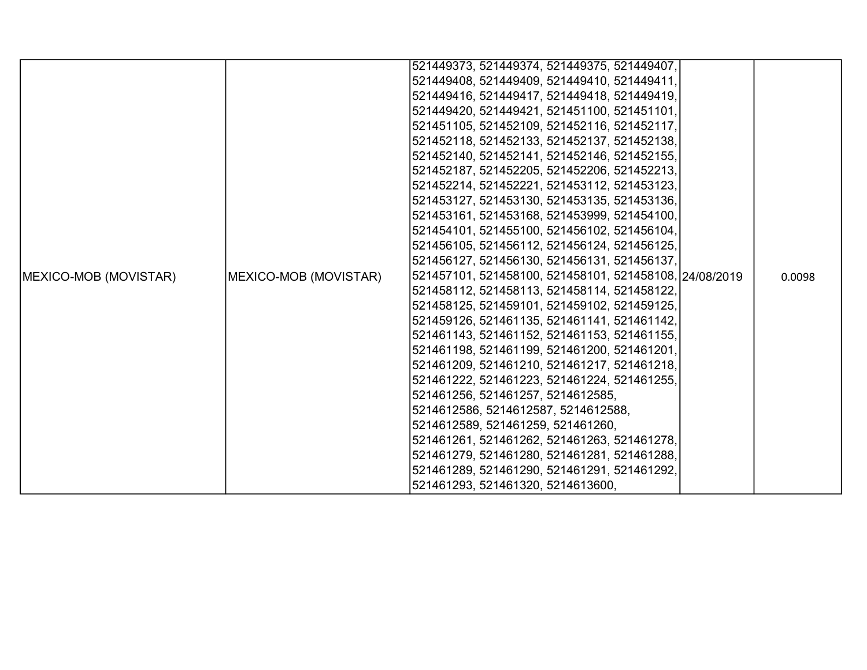|                               |                       | 521449373, 521449374, 521449375, 521449407,            |  |        |
|-------------------------------|-----------------------|--------------------------------------------------------|--|--------|
|                               |                       | 521449408, 521449409, 521449410, 521449411,            |  |        |
|                               |                       | 521449416, 521449417, 521449418, 521449419,            |  |        |
|                               |                       | 521449420, 521449421, 521451100, 521451101,            |  |        |
|                               |                       | 521451105, 521452109, 521452116, 521452117,            |  |        |
|                               |                       | 521452118, 521452133, 521452137, 521452138,            |  |        |
|                               |                       | 521452140, 521452141, 521452146, 521452155,            |  |        |
|                               |                       | 521452187, 521452205, 521452206, 521452213,            |  |        |
|                               |                       | 521452214, 521452221, 521453112, 521453123,            |  |        |
|                               |                       | 521453127, 521453130, 521453135, 521453136,            |  |        |
|                               |                       | 521453161, 521453168, 521453999, 521454100,            |  |        |
|                               |                       | 521454101, 521455100, 521456102, 521456104,            |  |        |
|                               |                       | 521456105, 521456112, 521456124, 521456125,            |  |        |
|                               |                       | 521456127, 521456130, 521456131, 521456137,            |  |        |
| <b>IMEXICO-MOB (MOVISTAR)</b> | MEXICO-MOB (MOVISTAR) | 521457101, 521458100, 521458101, 521458108, 24/08/2019 |  | 0.0098 |
|                               |                       | 521458112, 521458113, 521458114, 521458122,            |  |        |
|                               |                       | 521458125, 521459101, 521459102, 521459125,            |  |        |
|                               |                       | 521459126, 521461135, 521461141, 521461142,            |  |        |
|                               |                       | 521461143, 521461152, 521461153, 521461155,            |  |        |
|                               |                       | 521461198, 521461199, 521461200, 521461201,            |  |        |
|                               |                       | 521461209, 521461210, 521461217, 521461218,            |  |        |
|                               |                       | 521461222, 521461223, 521461224, 521461255,            |  |        |
|                               |                       | 521461256, 521461257, 5214612585,                      |  |        |
|                               |                       | 5214612586, 5214612587, 5214612588,                    |  |        |
|                               |                       | 5214612589, 521461259, 521461260,                      |  |        |
|                               |                       | 521461261, 521461262, 521461263, 521461278,            |  |        |
|                               |                       | 521461279, 521461280, 521461281, 521461288,            |  |        |
|                               |                       | 521461289, 521461290, 521461291, 521461292,            |  |        |
|                               |                       | 521461293, 521461320, 5214613600,                      |  |        |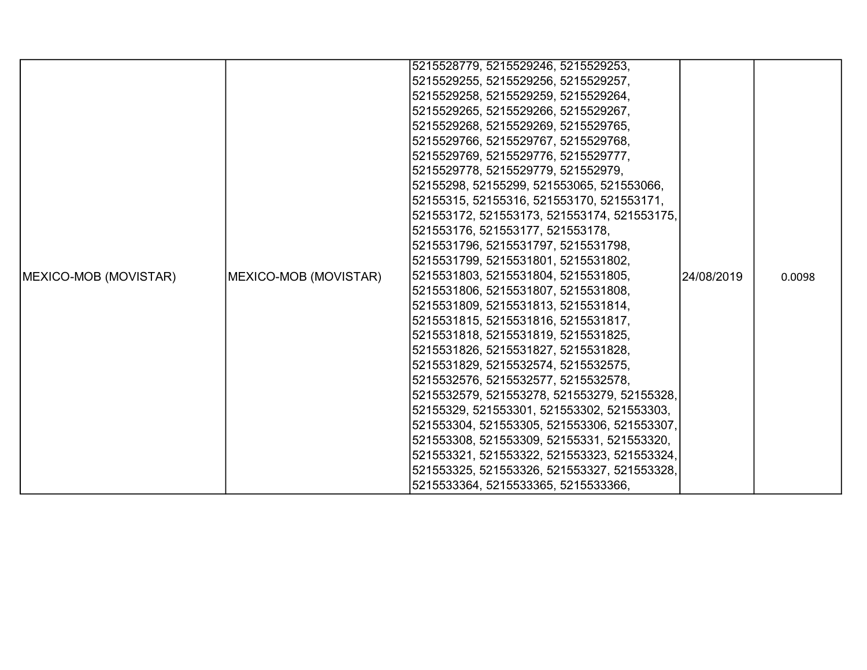|                               |                       | 5215528779, 5215529246, 5215529253,         |            |        |
|-------------------------------|-----------------------|---------------------------------------------|------------|--------|
|                               |                       | 5215529255, 5215529256, 5215529257,         |            |        |
|                               |                       | 5215529258, 5215529259, 5215529264,         |            |        |
|                               |                       | 5215529265, 5215529266, 5215529267,         |            |        |
|                               |                       | 5215529268, 5215529269, 5215529765,         |            |        |
|                               |                       | 5215529766, 5215529767, 5215529768,         |            |        |
|                               |                       | 5215529769, 5215529776, 5215529777,         |            |        |
|                               |                       | 5215529778, 5215529779, 521552979,          |            |        |
|                               |                       | 52155298, 52155299, 521553065, 521553066,   |            |        |
|                               |                       | 52155315, 52155316, 521553170, 521553171,   |            |        |
|                               |                       | 521553172, 521553173, 521553174, 521553175, |            |        |
|                               |                       | 521553176, 521553177, 521553178,            |            |        |
|                               |                       | 5215531796, 5215531797, 5215531798,         |            |        |
|                               |                       | 5215531799, 5215531801, 5215531802,         |            |        |
| <b>IMEXICO-MOB (MOVISTAR)</b> | MEXICO-MOB (MOVISTAR) | 5215531803, 5215531804, 5215531805,         | 24/08/2019 | 0.0098 |
|                               |                       | 5215531806, 5215531807, 5215531808,         |            |        |
|                               |                       | 5215531809, 5215531813, 5215531814,         |            |        |
|                               |                       | 5215531815, 5215531816, 5215531817,         |            |        |
|                               |                       | 5215531818, 5215531819, 5215531825,         |            |        |
|                               |                       | 5215531826, 5215531827, 5215531828,         |            |        |
|                               |                       | 5215531829, 5215532574, 5215532575,         |            |        |
|                               |                       | 5215532576, 5215532577, 5215532578,         |            |        |
|                               |                       | 5215532579, 521553278, 521553279, 52155328, |            |        |
|                               |                       | 52155329, 521553301, 521553302, 521553303,  |            |        |
|                               |                       | 521553304, 521553305, 521553306, 521553307, |            |        |
|                               |                       | 521553308, 521553309, 52155331, 521553320,  |            |        |
|                               |                       | 521553321, 521553322, 521553323, 521553324, |            |        |
|                               |                       | 521553325, 521553326, 521553327, 521553328, |            |        |
|                               |                       | 5215533364, 5215533365, 5215533366,         |            |        |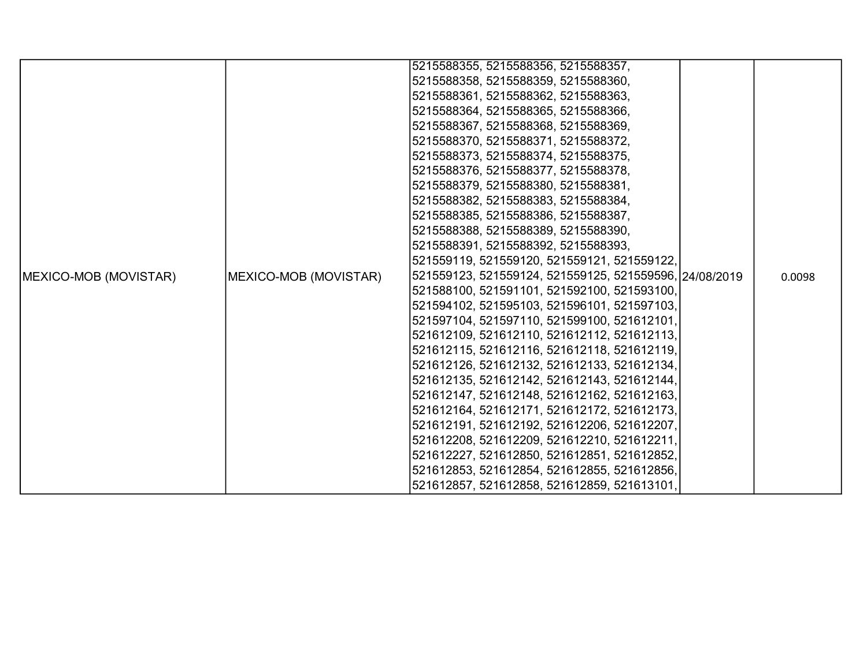|                               |                       | 5215588355, 5215588356, 5215588357,                    |  |        |
|-------------------------------|-----------------------|--------------------------------------------------------|--|--------|
|                               |                       | 5215588358, 5215588359, 5215588360,                    |  |        |
|                               |                       | 5215588361, 5215588362, 5215588363,                    |  |        |
|                               |                       | 5215588364, 5215588365, 5215588366,                    |  |        |
|                               |                       | 5215588367, 5215588368, 5215588369,                    |  |        |
|                               |                       | 5215588370, 5215588371, 5215588372,                    |  |        |
|                               |                       | 5215588373, 5215588374, 5215588375,                    |  |        |
|                               |                       | 5215588376, 5215588377, 5215588378,                    |  |        |
|                               |                       | 5215588379, 5215588380, 5215588381,                    |  |        |
|                               |                       | 5215588382, 5215588383, 5215588384,                    |  |        |
|                               |                       | 5215588385, 5215588386, 5215588387,                    |  |        |
|                               |                       | 5215588388, 5215588389, 5215588390,                    |  |        |
|                               |                       | 5215588391, 5215588392, 5215588393,                    |  |        |
|                               |                       | 521559119, 521559120, 521559121, 521559122,            |  |        |
| <b>IMEXICO-MOB (MOVISTAR)</b> | MEXICO-MOB (MOVISTAR) | 521559123, 521559124, 521559125, 521559596, 24/08/2019 |  | 0.0098 |
|                               |                       | 521588100, 521591101, 521592100, 521593100,            |  |        |
|                               |                       | 521594102, 521595103, 521596101, 521597103,            |  |        |
|                               |                       | 521597104, 521597110, 521599100, 521612101,            |  |        |
|                               |                       | 521612109, 521612110, 521612112, 521612113,            |  |        |
|                               |                       | 521612115, 521612116, 521612118, 521612119,            |  |        |
|                               |                       | 521612126, 521612132, 521612133, 521612134,            |  |        |
|                               |                       | 521612135, 521612142, 521612143, 521612144,            |  |        |
|                               |                       | 521612147, 521612148, 521612162, 521612163,            |  |        |
|                               |                       | 521612164, 521612171, 521612172, 521612173,            |  |        |
|                               |                       | 521612191, 521612192, 521612206, 521612207,            |  |        |
|                               |                       | 521612208, 521612209, 521612210, 521612211,            |  |        |
|                               |                       | 521612227, 521612850, 521612851, 521612852,            |  |        |
|                               |                       | 521612853, 521612854, 521612855, 521612856,            |  |        |
|                               |                       | 521612857, 521612858, 521612859, 521613101,            |  |        |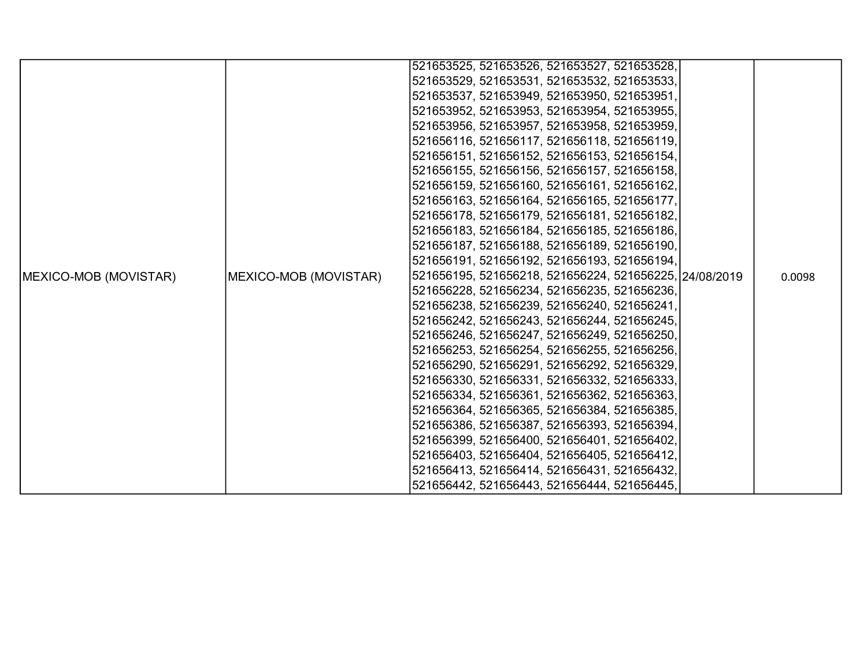|                       |                       | 521653525, 521653526, 521653527, 521653528,            |  |        |
|-----------------------|-----------------------|--------------------------------------------------------|--|--------|
|                       |                       | 521653529, 521653531, 521653532, 521653533,            |  |        |
|                       |                       | 521653537, 521653949, 521653950, 521653951,            |  |        |
|                       |                       | 521653952, 521653953, 521653954, 521653955,            |  |        |
|                       |                       | 521653956, 521653957, 521653958, 521653959,            |  |        |
|                       |                       | 521656116, 521656117, 521656118, 521656119,            |  |        |
|                       |                       | 521656151, 521656152, 521656153, 521656154,            |  |        |
|                       |                       | 521656155, 521656156, 521656157, 521656158,            |  |        |
|                       |                       | 521656159, 521656160, 521656161, 521656162,            |  |        |
|                       |                       | 521656163, 521656164, 521656165, 521656177,            |  |        |
|                       |                       | 521656178, 521656179, 521656181, 521656182,            |  |        |
|                       |                       | 521656183, 521656184, 521656185, 521656186,            |  |        |
|                       |                       | 521656187, 521656188, 521656189, 521656190,            |  |        |
|                       |                       | 521656191, 521656192, 521656193, 521656194,            |  |        |
| MEXICO-MOB (MOVISTAR) | MEXICO-MOB (MOVISTAR) | 521656195, 521656218, 521656224, 521656225, 24/08/2019 |  | 0.0098 |
|                       |                       | 521656228, 521656234, 521656235, 521656236,            |  |        |
|                       |                       | 521656238, 521656239, 521656240, 521656241,            |  |        |
|                       |                       | 521656242, 521656243, 521656244, 521656245,            |  |        |
|                       |                       | 521656246, 521656247, 521656249, 521656250,            |  |        |
|                       |                       | 521656253, 521656254, 521656255, 521656256,            |  |        |
|                       |                       | 521656290, 521656291, 521656292, 521656329,            |  |        |
|                       |                       | 521656330, 521656331, 521656332, 521656333,            |  |        |
|                       |                       | 521656334, 521656361, 521656362, 521656363,            |  |        |
|                       |                       | 521656364, 521656365, 521656384, 521656385,            |  |        |
|                       |                       | 521656386, 521656387, 521656393, 521656394,            |  |        |
|                       |                       | 521656399, 521656400, 521656401, 521656402,            |  |        |
|                       |                       | 521656403, 521656404, 521656405, 521656412,            |  |        |
|                       |                       | 521656413, 521656414, 521656431, 521656432,            |  |        |
|                       |                       | 521656442, 521656443, 521656444, 521656445,            |  |        |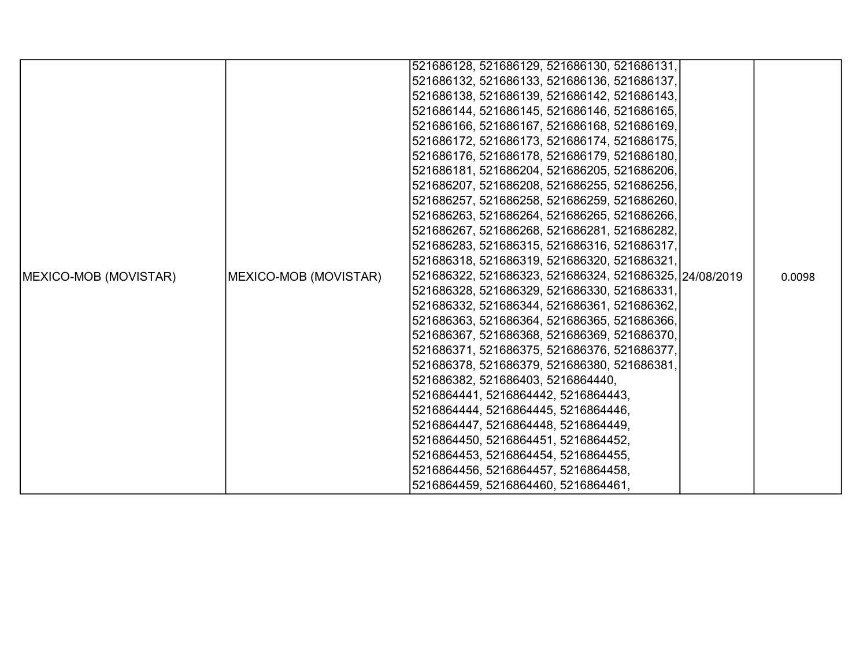|                       |                       | 521686128, 521686129, 521686130, 521686131,            |  |        |
|-----------------------|-----------------------|--------------------------------------------------------|--|--------|
|                       |                       | 521686132, 521686133, 521686136, 521686137,            |  |        |
|                       |                       | 521686138, 521686139, 521686142, 521686143,            |  |        |
|                       |                       | 521686144, 521686145, 521686146, 521686165,            |  |        |
|                       |                       | 521686166, 521686167, 521686168, 521686169,            |  |        |
|                       |                       | 521686172, 521686173, 521686174, 521686175,            |  |        |
|                       |                       | 521686176, 521686178, 521686179, 521686180,            |  |        |
|                       |                       | 521686181, 521686204, 521686205, 521686206,            |  |        |
|                       |                       | 521686207, 521686208, 521686255, 521686256,            |  |        |
|                       |                       | 521686257, 521686258, 521686259, 521686260,            |  |        |
|                       |                       | 521686263, 521686264, 521686265, 521686266,            |  |        |
|                       |                       | 521686267, 521686268, 521686281, 521686282,            |  |        |
|                       |                       | 521686283, 521686315, 521686316, 521686317,            |  |        |
|                       |                       | 521686318, 521686319, 521686320, 521686321,            |  |        |
| MEXICO-MOB (MOVISTAR) | MEXICO-MOB (MOVISTAR) | 521686322, 521686323, 521686324, 521686325, 24/08/2019 |  | 0.0098 |
|                       |                       | 521686328, 521686329, 521686330, 521686331,            |  |        |
|                       |                       | 521686332, 521686344, 521686361, 521686362,            |  |        |
|                       |                       | 521686363, 521686364, 521686365, 521686366,            |  |        |
|                       |                       | 521686367, 521686368, 521686369, 521686370,            |  |        |
|                       |                       | 521686371, 521686375, 521686376, 521686377,            |  |        |
|                       |                       | 521686378, 521686379, 521686380, 521686381,            |  |        |
|                       |                       | 521686382, 521686403, 5216864440,                      |  |        |
|                       |                       | 5216864441, 5216864442, 5216864443,                    |  |        |
|                       |                       | 5216864444, 5216864445, 5216864446,                    |  |        |
|                       |                       | 5216864447, 5216864448, 5216864449,                    |  |        |
|                       |                       | 5216864450, 5216864451, 5216864452,                    |  |        |
|                       |                       | 5216864453, 5216864454, 5216864455,                    |  |        |
|                       |                       | 5216864456, 5216864457, 5216864458,                    |  |        |
|                       |                       | 5216864459, 5216864460, 5216864461,                    |  |        |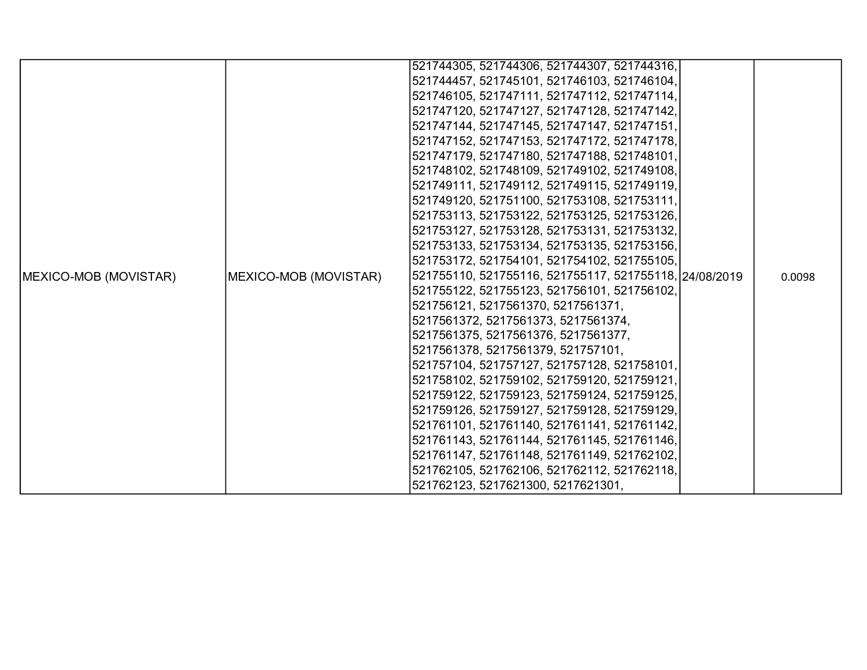|                       |                       | 521744305, 521744306, 521744307, 521744316,            |  |        |
|-----------------------|-----------------------|--------------------------------------------------------|--|--------|
|                       |                       | 521744457, 521745101, 521746103, 521746104,            |  |        |
|                       |                       | 521746105, 521747111, 521747112, 521747114,            |  |        |
|                       |                       | 521747120, 521747127, 521747128, 521747142,            |  |        |
|                       |                       | 521747144, 521747145, 521747147, 521747151,            |  |        |
|                       |                       | 521747152, 521747153, 521747172, 521747178,            |  |        |
|                       |                       | 521747179, 521747180, 521747188, 521748101,            |  |        |
|                       |                       | 521748102, 521748109, 521749102, 521749108,            |  |        |
|                       |                       | 521749111, 521749112, 521749115, 521749119,            |  |        |
|                       |                       | 521749120, 521751100, 521753108, 521753111,            |  |        |
|                       |                       | 521753113, 521753122, 521753125, 521753126,            |  |        |
|                       |                       | 521753127, 521753128, 521753131, 521753132,            |  |        |
|                       |                       | 521753133, 521753134, 521753135, 521753156,            |  |        |
|                       |                       | 521753172, 521754101, 521754102, 521755105,            |  |        |
| MEXICO-MOB (MOVISTAR) | MEXICO-MOB (MOVISTAR) | 521755110, 521755116, 521755117, 521755118, 24/08/2019 |  | 0.0098 |
|                       |                       | 521755122, 521755123, 521756101, 521756102,            |  |        |
|                       |                       | 521756121, 5217561370, 5217561371,                     |  |        |
|                       |                       | 5217561372, 5217561373, 5217561374,                    |  |        |
|                       |                       | 5217561375, 5217561376, 5217561377,                    |  |        |
|                       |                       | 5217561378, 5217561379, 521757101,                     |  |        |
|                       |                       | 521757104, 521757127, 521757128, 521758101,            |  |        |
|                       |                       | 521758102, 521759102, 521759120, 521759121,            |  |        |
|                       |                       | 521759122, 521759123, 521759124, 521759125,            |  |        |
|                       |                       | 521759126, 521759127, 521759128, 521759129,            |  |        |
|                       |                       | 521761101, 521761140, 521761141, 521761142,            |  |        |
|                       |                       | 521761143, 521761144, 521761145, 521761146,            |  |        |
|                       |                       | 521761147, 521761148, 521761149, 521762102,            |  |        |
|                       |                       | 521762105, 521762106, 521762112, 521762118,            |  |        |
|                       |                       | 521762123, 5217621300, 5217621301,                     |  |        |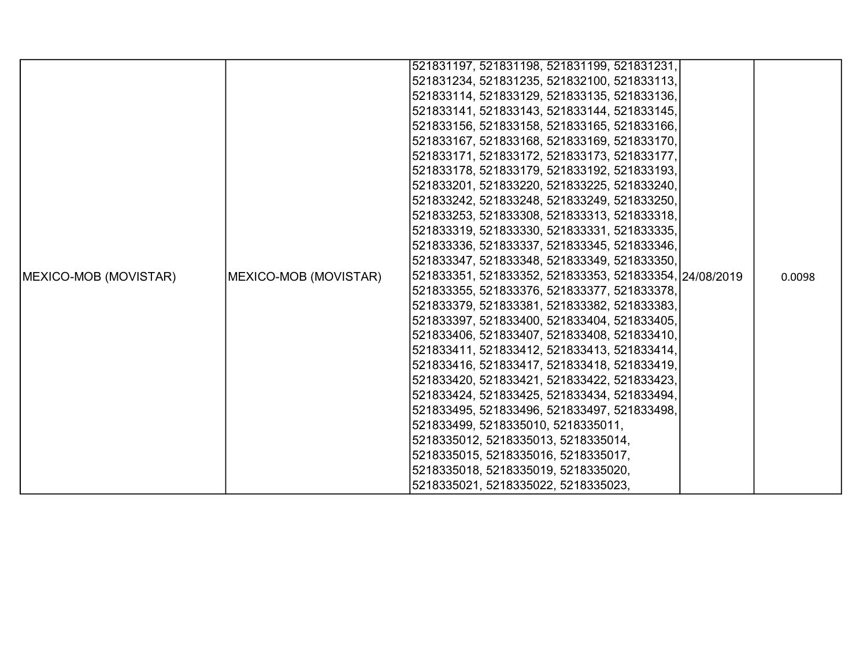|                               |                       | 521831197, 521831198, 521831199, 521831231,            |  |        |
|-------------------------------|-----------------------|--------------------------------------------------------|--|--------|
|                               |                       | 521831234, 521831235, 521832100, 521833113,            |  |        |
|                               |                       | 521833114, 521833129, 521833135, 521833136,            |  |        |
|                               |                       | 521833141, 521833143, 521833144, 521833145,            |  |        |
|                               |                       | 521833156, 521833158, 521833165, 521833166,            |  |        |
|                               |                       | 521833167, 521833168, 521833169, 521833170,            |  |        |
|                               |                       | 521833171, 521833172, 521833173, 521833177,            |  |        |
|                               |                       | 521833178, 521833179, 521833192, 521833193,            |  |        |
|                               |                       | 521833201, 521833220, 521833225, 521833240,            |  |        |
|                               |                       | 521833242, 521833248, 521833249, 521833250,            |  |        |
|                               |                       | 521833253, 521833308, 521833313, 521833318,            |  |        |
|                               |                       | 521833319, 521833330, 521833331, 521833335,            |  |        |
|                               |                       | 521833336, 521833337, 521833345, 521833346,            |  |        |
|                               |                       | 521833347, 521833348, 521833349, 521833350,            |  |        |
| <b>IMEXICO-MOB (MOVISTAR)</b> | MEXICO-MOB (MOVISTAR) | 521833351, 521833352, 521833353, 521833354, 24/08/2019 |  | 0.0098 |
|                               |                       | 521833355, 521833376, 521833377, 521833378,            |  |        |
|                               |                       | 521833379, 521833381, 521833382, 521833383,            |  |        |
|                               |                       | 521833397, 521833400, 521833404, 521833405,            |  |        |
|                               |                       | 521833406, 521833407, 521833408, 521833410,            |  |        |
|                               |                       | 521833411, 521833412, 521833413, 521833414,            |  |        |
|                               |                       | 521833416, 521833417, 521833418, 521833419,            |  |        |
|                               |                       | 521833420, 521833421, 521833422, 521833423,            |  |        |
|                               |                       | 521833424, 521833425, 521833434, 521833494,            |  |        |
|                               |                       | 521833495, 521833496, 521833497, 521833498,            |  |        |
|                               |                       | 521833499, 5218335010, 5218335011,                     |  |        |
|                               |                       | 5218335012, 5218335013, 5218335014,                    |  |        |
|                               |                       | 5218335015, 5218335016, 5218335017,                    |  |        |
|                               |                       | 5218335018, 5218335019, 5218335020,                    |  |        |
|                               |                       | 5218335021, 5218335022, 5218335023,                    |  |        |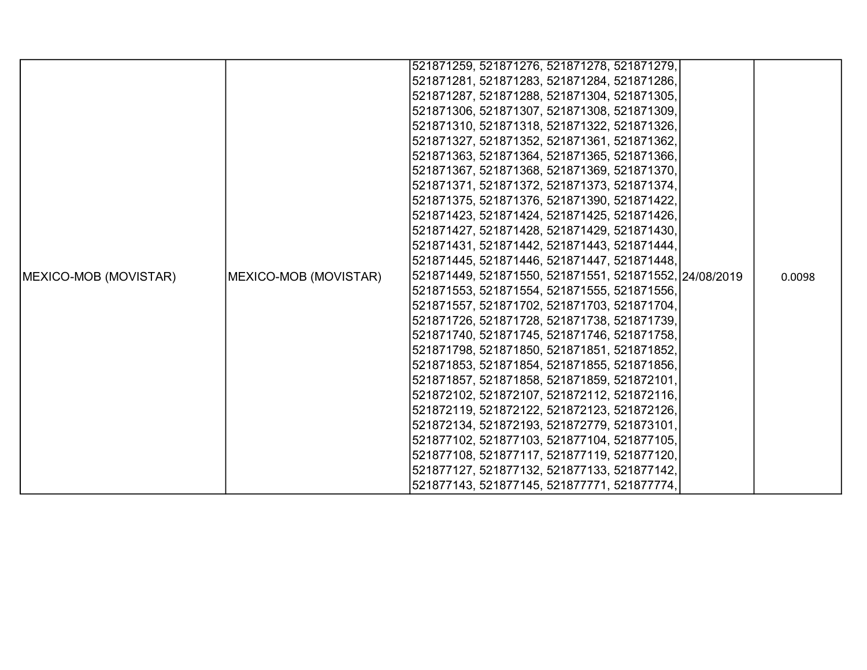|                       |                       | 521871259, 521871276, 521871278, 521871279,            |  |        |
|-----------------------|-----------------------|--------------------------------------------------------|--|--------|
|                       |                       | 521871281, 521871283, 521871284, 521871286,            |  |        |
|                       |                       | 521871287, 521871288, 521871304, 521871305,            |  |        |
|                       |                       | 521871306, 521871307, 521871308, 521871309,            |  |        |
|                       |                       | 521871310, 521871318, 521871322, 521871326,            |  |        |
|                       |                       | 521871327, 521871352, 521871361, 521871362,            |  |        |
|                       |                       | 521871363, 521871364, 521871365, 521871366,            |  |        |
|                       |                       | 521871367, 521871368, 521871369, 521871370,            |  |        |
|                       |                       | 521871371, 521871372, 521871373, 521871374,            |  |        |
|                       |                       | 521871375, 521871376, 521871390, 521871422,            |  |        |
|                       |                       | 521871423, 521871424, 521871425, 521871426,            |  |        |
|                       |                       | 521871427, 521871428, 521871429, 521871430,            |  |        |
|                       |                       | 521871431, 521871442, 521871443, 521871444,            |  |        |
|                       |                       | 521871445, 521871446, 521871447, 521871448,            |  |        |
| MEXICO-MOB (MOVISTAR) | MEXICO-MOB (MOVISTAR) | 521871449, 521871550, 521871551, 521871552, 24/08/2019 |  | 0.0098 |
|                       |                       | 521871553, 521871554, 521871555, 521871556,            |  |        |
|                       |                       | 521871557, 521871702, 521871703, 521871704,            |  |        |
|                       |                       | 521871726, 521871728, 521871738, 521871739,            |  |        |
|                       |                       | 521871740, 521871745, 521871746, 521871758,            |  |        |
|                       |                       | 521871798, 521871850, 521871851, 521871852,            |  |        |
|                       |                       | 521871853, 521871854, 521871855, 521871856,            |  |        |
|                       |                       | 521871857, 521871858, 521871859, 521872101,            |  |        |
|                       |                       | 521872102, 521872107, 521872112, 521872116,            |  |        |
|                       |                       | 521872119, 521872122, 521872123, 521872126,            |  |        |
|                       |                       | 521872134, 521872193, 521872779, 521873101,            |  |        |
|                       |                       | 521877102, 521877103, 521877104, 521877105,            |  |        |
|                       |                       | 521877108, 521877117, 521877119, 521877120,            |  |        |
|                       |                       | 521877127, 521877132, 521877133, 521877142,            |  |        |
|                       |                       | 521877143, 521877145, 521877771, 521877774,            |  |        |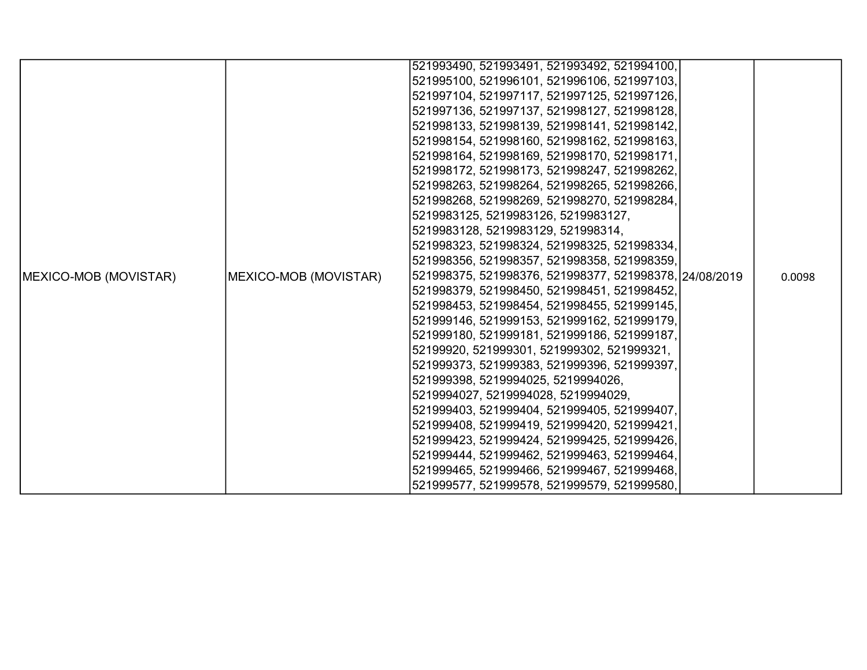|                               |                       | 521993490, 521993491, 521993492, 521994100,            |  |        |
|-------------------------------|-----------------------|--------------------------------------------------------|--|--------|
|                               |                       |                                                        |  |        |
|                               |                       | 521995100, 521996101, 521996106, 521997103,            |  |        |
|                               |                       | 521997104, 521997117, 521997125, 521997126,            |  |        |
|                               |                       | 521997136, 521997137, 521998127, 521998128,            |  |        |
|                               |                       | 521998133, 521998139, 521998141, 521998142,            |  |        |
|                               |                       | 521998154, 521998160, 521998162, 521998163,            |  |        |
|                               |                       | 521998164, 521998169, 521998170, 521998171,            |  |        |
|                               |                       | 521998172, 521998173, 521998247, 521998262,            |  |        |
|                               |                       | 521998263, 521998264, 521998265, 521998266,            |  |        |
|                               |                       | 521998268, 521998269, 521998270, 521998284,            |  |        |
|                               |                       | 5219983125, 5219983126, 5219983127,                    |  |        |
|                               |                       | 5219983128, 5219983129, 521998314,                     |  |        |
|                               |                       | 521998323, 521998324, 521998325, 521998334,            |  |        |
|                               |                       | 521998356, 521998357, 521998358, 521998359,            |  |        |
| <b>IMEXICO-MOB (MOVISTAR)</b> | MEXICO-MOB (MOVISTAR) | 521998375, 521998376, 521998377, 521998378, 24/08/2019 |  | 0.0098 |
|                               |                       | 521998379, 521998450, 521998451, 521998452,            |  |        |
|                               |                       | 521998453, 521998454, 521998455, 521999145,            |  |        |
|                               |                       | 521999146, 521999153, 521999162, 521999179,            |  |        |
|                               |                       | 521999180, 521999181, 521999186, 521999187,            |  |        |
|                               |                       | 52199920, 521999301, 521999302, 521999321,             |  |        |
|                               |                       | 521999373, 521999383, 521999396, 521999397,            |  |        |
|                               |                       | 521999398, 5219994025, 5219994026,                     |  |        |
|                               |                       | 5219994027, 5219994028, 5219994029,                    |  |        |
|                               |                       | 521999403, 521999404, 521999405, 521999407,            |  |        |
|                               |                       | 521999408, 521999419, 521999420, 521999421,            |  |        |
|                               |                       | 521999423, 521999424, 521999425, 521999426,            |  |        |
|                               |                       | 521999444, 521999462, 521999463, 521999464,            |  |        |
|                               |                       | 521999465, 521999466, 521999467, 521999468,            |  |        |
|                               |                       | 521999577, 521999578, 521999579, 521999580,            |  |        |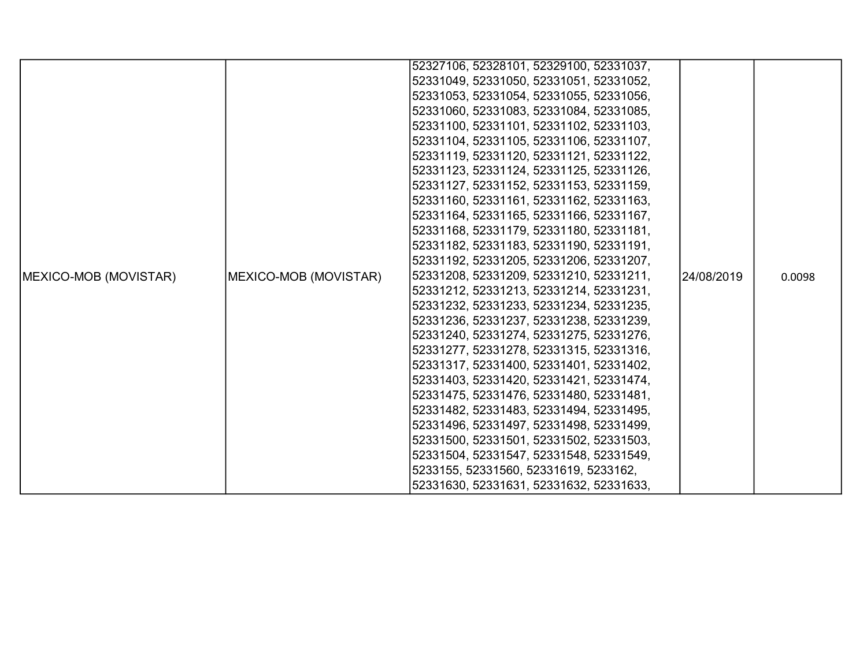|                               |                       | 52327106, 52328101, 52329100, 52331037, |            |        |
|-------------------------------|-----------------------|-----------------------------------------|------------|--------|
|                               |                       | 52331049, 52331050, 52331051, 52331052, |            |        |
|                               |                       | 52331053, 52331054, 52331055, 52331056, |            |        |
|                               |                       | 52331060, 52331083, 52331084, 52331085, |            |        |
|                               |                       | 52331100, 52331101, 52331102, 52331103, |            |        |
|                               |                       | 52331104, 52331105, 52331106, 52331107, |            |        |
|                               |                       | 52331119, 52331120, 52331121, 52331122, |            |        |
|                               |                       | 52331123, 52331124, 52331125, 52331126, |            |        |
|                               |                       | 52331127, 52331152, 52331153, 52331159, |            |        |
|                               |                       | 52331160, 52331161, 52331162, 52331163, |            |        |
|                               |                       | 52331164, 52331165, 52331166, 52331167, |            |        |
|                               |                       | 52331168, 52331179, 52331180, 52331181, |            |        |
|                               |                       | 52331182, 52331183, 52331190, 52331191, |            |        |
|                               |                       | 52331192, 52331205, 52331206, 52331207, |            |        |
| <b>IMEXICO-MOB (MOVISTAR)</b> | MEXICO-MOB (MOVISTAR) | 52331208, 52331209, 52331210, 52331211, | 24/08/2019 | 0.0098 |
|                               |                       | 52331212, 52331213, 52331214, 52331231, |            |        |
|                               |                       | 52331232, 52331233, 52331234, 52331235, |            |        |
|                               |                       | 52331236, 52331237, 52331238, 52331239, |            |        |
|                               |                       | 52331240, 52331274, 52331275, 52331276, |            |        |
|                               |                       | 52331277, 52331278, 52331315, 52331316, |            |        |
|                               |                       | 52331317, 52331400, 52331401, 52331402, |            |        |
|                               |                       | 52331403, 52331420, 52331421, 52331474, |            |        |
|                               |                       | 52331475, 52331476, 52331480, 52331481, |            |        |
|                               |                       | 52331482, 52331483, 52331494, 52331495, |            |        |
|                               |                       | 52331496, 52331497, 52331498, 52331499, |            |        |
|                               |                       | 52331500, 52331501, 52331502, 52331503, |            |        |
|                               |                       | 52331504, 52331547, 52331548, 52331549, |            |        |
|                               |                       | 5233155, 52331560, 52331619, 5233162,   |            |        |
|                               |                       | 52331630, 52331631, 52331632, 52331633, |            |        |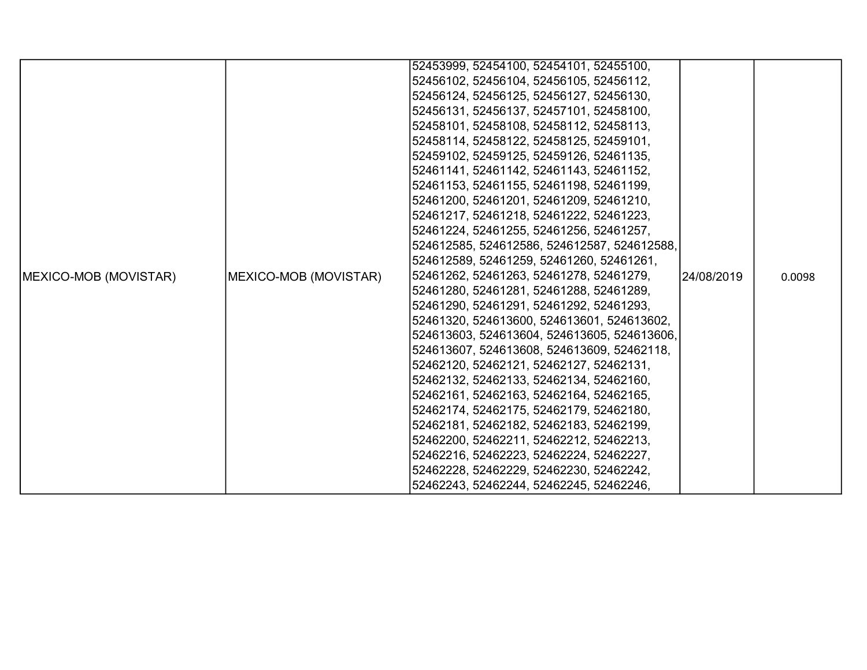|                               |                       | 52453999, 52454100, 52454101, 52455100,     |             |        |
|-------------------------------|-----------------------|---------------------------------------------|-------------|--------|
|                               |                       | 52456102, 52456104, 52456105, 52456112,     |             |        |
|                               |                       | 52456124, 52456125, 52456127, 52456130,     |             |        |
|                               |                       | 52456131, 52456137, 52457101, 52458100,     |             |        |
|                               |                       | 52458101, 52458108, 52458112, 52458113,     |             |        |
|                               |                       | 52458114, 52458122, 52458125, 52459101,     |             |        |
|                               |                       | 52459102, 52459125, 52459126, 52461135,     |             |        |
|                               |                       | 52461141, 52461142, 52461143, 52461152,     |             |        |
|                               |                       | 52461153, 52461155, 52461198, 52461199,     |             |        |
|                               |                       | 52461200, 52461201, 52461209, 52461210,     |             |        |
|                               |                       | 52461217, 52461218, 52461222, 52461223,     |             |        |
|                               |                       | 52461224, 52461255, 52461256, 52461257,     |             |        |
|                               |                       | 524612585, 524612586, 524612587, 524612588, |             |        |
|                               |                       | 524612589, 52461259, 52461260, 52461261,    |             |        |
| <b>IMEXICO-MOB (MOVISTAR)</b> | MEXICO-MOB (MOVISTAR) | 52461262, 52461263, 52461278, 52461279,     | l24/08/2019 | 0.0098 |
|                               |                       | 52461280, 52461281, 52461288, 52461289,     |             |        |
|                               |                       | 52461290, 52461291, 52461292, 52461293,     |             |        |
|                               |                       | 52461320, 524613600, 524613601, 524613602,  |             |        |
|                               |                       | 524613603, 524613604, 524613605, 524613606, |             |        |
|                               |                       | 524613607, 524613608, 524613609, 52462118,  |             |        |
|                               |                       | 52462120, 52462121, 52462127, 52462131,     |             |        |
|                               |                       | 52462132, 52462133, 52462134, 52462160,     |             |        |
|                               |                       | 52462161, 52462163, 52462164, 52462165,     |             |        |
|                               |                       | 52462174, 52462175, 52462179, 52462180,     |             |        |
|                               |                       | 52462181, 52462182, 52462183, 52462199,     |             |        |
|                               |                       | 52462200, 52462211, 52462212, 52462213,     |             |        |
|                               |                       | 52462216, 52462223, 52462224, 52462227,     |             |        |
|                               |                       | 52462228, 52462229, 52462230, 52462242,     |             |        |
|                               |                       | 52462243, 52462244, 52462245, 52462246,     |             |        |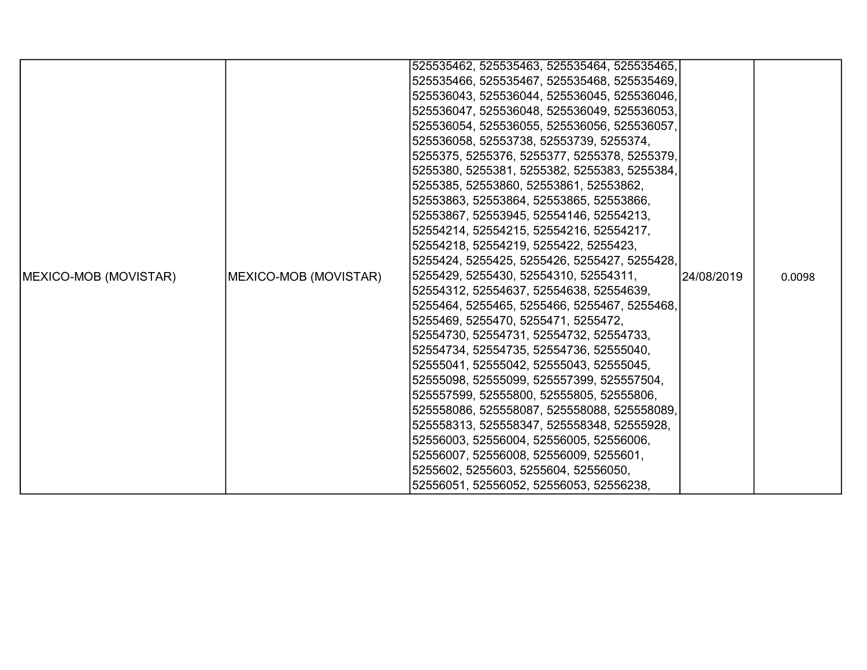|                               |                       | 525535462, 525535463, 525535464, 525535465,  |            |        |
|-------------------------------|-----------------------|----------------------------------------------|------------|--------|
|                               |                       | 525535466, 525535467, 525535468, 525535469,  |            |        |
|                               |                       | 525536043, 525536044, 525536045, 525536046,  |            |        |
|                               |                       | 525536047, 525536048, 525536049, 525536053,  |            |        |
|                               |                       | 525536054, 525536055, 525536056, 525536057,  |            |        |
|                               |                       | 525536058, 52553738, 52553739, 5255374,      |            |        |
|                               |                       | 5255375, 5255376, 5255377, 5255378, 5255379, |            |        |
|                               |                       | 5255380, 5255381, 5255382, 5255383, 5255384, |            |        |
|                               |                       | 5255385, 52553860, 52553861, 52553862,       |            |        |
|                               |                       | 52553863, 52553864, 52553865, 52553866,      |            |        |
|                               |                       | 52553867, 52553945, 52554146, 52554213,      |            |        |
|                               |                       | 52554214, 52554215, 52554216, 52554217,      |            |        |
|                               |                       | 52554218, 52554219, 5255422, 5255423,        |            |        |
|                               |                       | 5255424, 5255425, 5255426, 5255427, 5255428, |            |        |
| <b>IMEXICO-MOB (MOVISTAR)</b> | MEXICO-MOB (MOVISTAR) | 5255429, 5255430, 52554310, 52554311,        | 24/08/2019 | 0.0098 |
|                               |                       | 52554312, 52554637, 52554638, 52554639,      |            |        |
|                               |                       | 5255464, 5255465, 5255466, 5255467, 5255468, |            |        |
|                               |                       | 5255469, 5255470, 5255471, 5255472,          |            |        |
|                               |                       | 52554730, 52554731, 52554732, 52554733,      |            |        |
|                               |                       | 52554734, 52554735, 52554736, 52555040,      |            |        |
|                               |                       | 52555041, 52555042, 52555043, 52555045,      |            |        |
|                               |                       | 52555098, 52555099, 525557399, 525557504,    |            |        |
|                               |                       | 525557599, 52555800, 52555805, 52555806,     |            |        |
|                               |                       | 525558086, 525558087, 525558088, 525558089,  |            |        |
|                               |                       | 525558313, 525558347, 525558348, 52555928,   |            |        |
|                               |                       | 52556003, 52556004, 52556005, 52556006,      |            |        |
|                               |                       | 52556007, 52556008, 52556009, 5255601,       |            |        |
|                               |                       | 5255602, 5255603, 5255604, 52556050,         |            |        |
|                               |                       | 52556051, 52556052, 52556053, 52556238,      |            |        |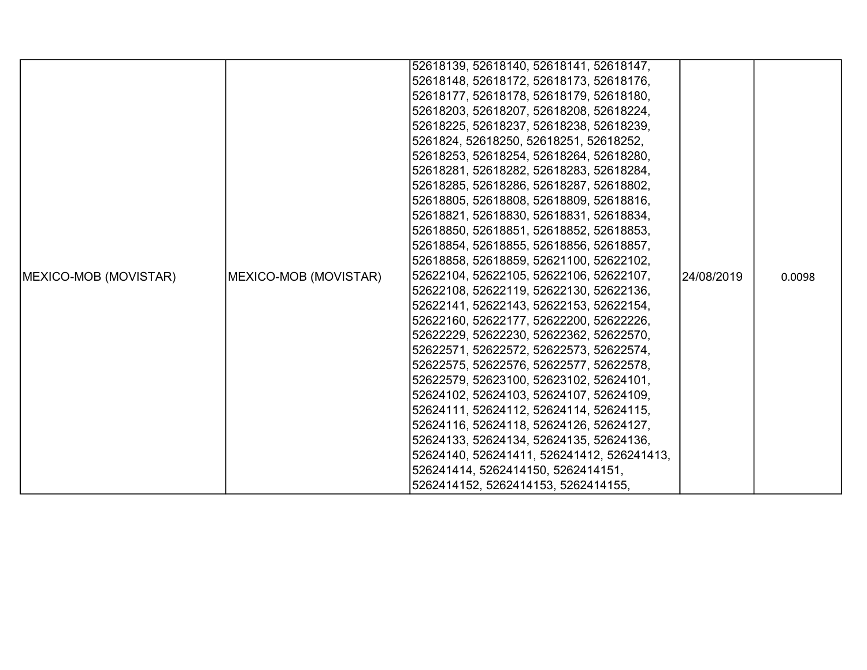|                               |                       | 52618139, 52618140, 52618141, 52618147,    |            |        |
|-------------------------------|-----------------------|--------------------------------------------|------------|--------|
|                               |                       | 52618148, 52618172, 52618173, 52618176,    |            |        |
|                               |                       | 52618177, 52618178, 52618179, 52618180,    |            |        |
|                               |                       | 52618203, 52618207, 52618208, 52618224,    |            |        |
|                               |                       | 52618225, 52618237, 52618238, 52618239,    |            |        |
|                               |                       | 5261824, 52618250, 52618251, 52618252,     |            |        |
|                               |                       | 52618253, 52618254, 52618264, 52618280,    |            |        |
|                               |                       | 52618281, 52618282, 52618283, 52618284,    |            |        |
|                               |                       | 52618285, 52618286, 52618287, 52618802,    |            |        |
|                               |                       | 52618805, 52618808, 52618809, 52618816,    |            |        |
|                               |                       | 52618821, 52618830, 52618831, 52618834,    |            |        |
|                               |                       | 52618850, 52618851, 52618852, 52618853,    |            |        |
|                               |                       | 52618854, 52618855, 52618856, 52618857,    |            |        |
|                               |                       | 52618858, 52618859, 52621100, 52622102,    |            |        |
| <b>IMEXICO-MOB (MOVISTAR)</b> | MEXICO-MOB (MOVISTAR) | 52622104, 52622105, 52622106, 52622107,    | 24/08/2019 | 0.0098 |
|                               |                       | 52622108, 52622119, 52622130, 52622136,    |            |        |
|                               |                       | 52622141, 52622143, 52622153, 52622154,    |            |        |
|                               |                       | 52622160, 52622177, 52622200, 52622226,    |            |        |
|                               |                       | 52622229, 52622230, 52622362, 52622570,    |            |        |
|                               |                       | 52622571, 52622572, 52622573, 52622574,    |            |        |
|                               |                       | 52622575, 52622576, 52622577, 52622578,    |            |        |
|                               |                       | 52622579, 52623100, 52623102, 52624101,    |            |        |
|                               |                       | 52624102, 52624103, 52624107, 52624109,    |            |        |
|                               |                       | 52624111, 52624112, 52624114, 52624115,    |            |        |
|                               |                       | 52624116, 52624118, 52624126, 52624127,    |            |        |
|                               |                       | 52624133, 52624134, 52624135, 52624136,    |            |        |
|                               |                       | 52624140, 526241411, 526241412, 526241413, |            |        |
|                               |                       | 526241414, 5262414150, 5262414151,         |            |        |
|                               |                       | 5262414152, 5262414153, 5262414155,        |            |        |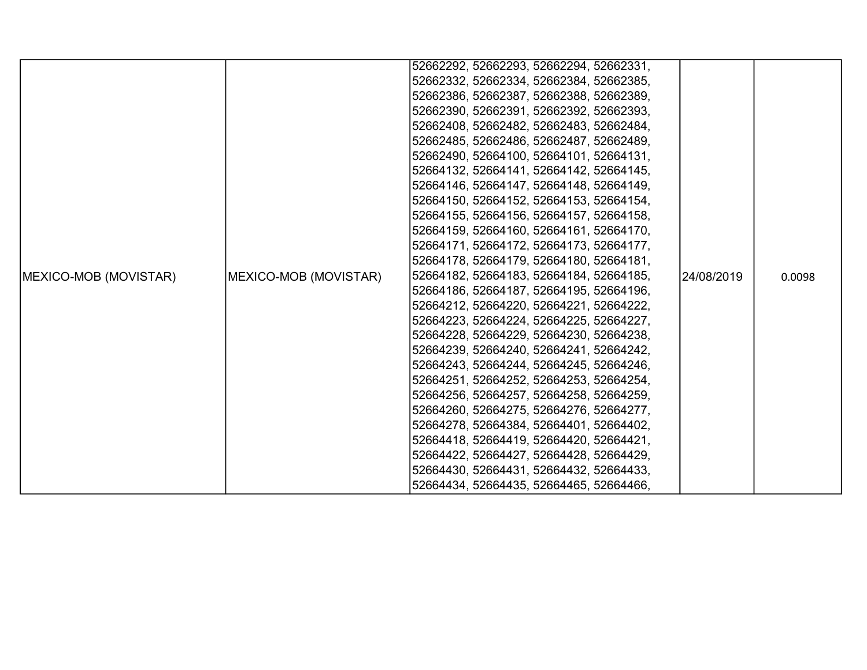|                               |                       | 52662292, 52662293, 52662294, 52662331, |            |        |
|-------------------------------|-----------------------|-----------------------------------------|------------|--------|
|                               |                       | 52662332, 52662334, 52662384, 52662385, |            |        |
|                               |                       | 52662386, 52662387, 52662388, 52662389, |            |        |
|                               |                       | 52662390, 52662391, 52662392, 52662393, |            |        |
|                               |                       | 52662408, 52662482, 52662483, 52662484, |            |        |
|                               |                       | 52662485, 52662486, 52662487, 52662489, |            |        |
|                               |                       | 52662490, 52664100, 52664101, 52664131, |            |        |
|                               |                       | 52664132, 52664141, 52664142, 52664145, |            |        |
|                               |                       | 52664146, 52664147, 52664148, 52664149, |            |        |
|                               |                       | 52664150, 52664152, 52664153, 52664154, |            |        |
|                               |                       | 52664155, 52664156, 52664157, 52664158, |            |        |
|                               |                       | 52664159, 52664160, 52664161, 52664170, |            |        |
|                               |                       | 52664171, 52664172, 52664173, 52664177, |            |        |
|                               |                       | 52664178, 52664179, 52664180, 52664181, |            |        |
| <b>IMEXICO-MOB (MOVISTAR)</b> | MEXICO-MOB (MOVISTAR) | 52664182, 52664183, 52664184, 52664185, | 24/08/2019 | 0.0098 |
|                               |                       | 52664186, 52664187, 52664195, 52664196, |            |        |
|                               |                       | 52664212, 52664220, 52664221, 52664222, |            |        |
|                               |                       | 52664223, 52664224, 52664225, 52664227, |            |        |
|                               |                       | 52664228, 52664229, 52664230, 52664238, |            |        |
|                               |                       | 52664239, 52664240, 52664241, 52664242, |            |        |
|                               |                       | 52664243, 52664244, 52664245, 52664246, |            |        |
|                               |                       | 52664251, 52664252, 52664253, 52664254, |            |        |
|                               |                       | 52664256, 52664257, 52664258, 52664259, |            |        |
|                               |                       | 52664260, 52664275, 52664276, 52664277, |            |        |
|                               |                       | 52664278, 52664384, 52664401, 52664402, |            |        |
|                               |                       | 52664418, 52664419, 52664420, 52664421, |            |        |
|                               |                       | 52664422, 52664427, 52664428, 52664429, |            |        |
|                               |                       | 52664430, 52664431, 52664432, 52664433, |            |        |
|                               |                       | 52664434, 52664435, 52664465, 52664466, |            |        |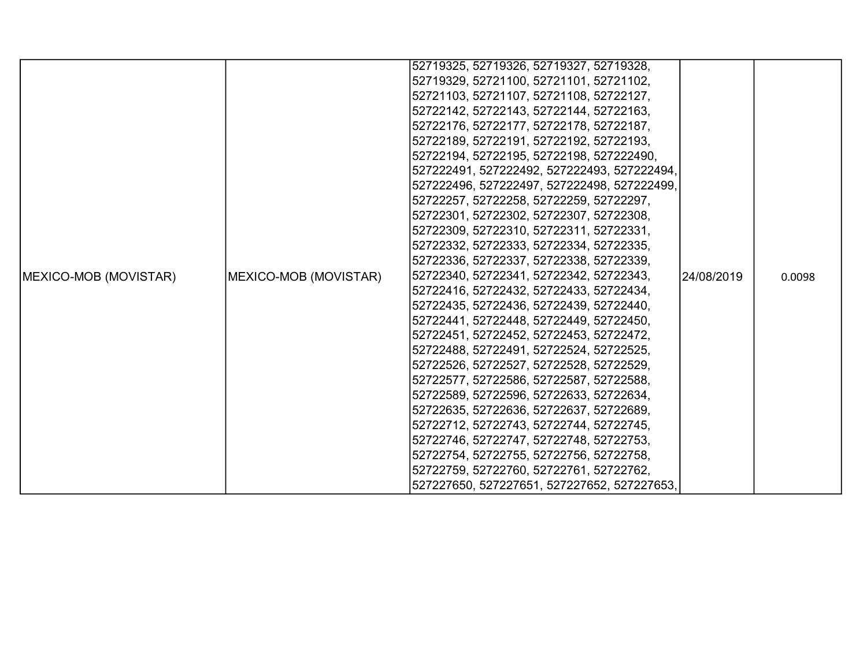|                               |                       | 52719325, 52719326, 52719327, 52719328,     |            |        |
|-------------------------------|-----------------------|---------------------------------------------|------------|--------|
|                               |                       | 52719329, 52721100, 52721101, 52721102,     |            |        |
|                               |                       | 52721103, 52721107, 52721108, 52722127,     |            |        |
|                               |                       | 52722142, 52722143, 52722144, 52722163,     |            |        |
|                               |                       | 52722176, 52722177, 52722178, 52722187,     |            |        |
|                               |                       | 52722189, 52722191, 52722192, 52722193,     |            |        |
|                               |                       | 52722194, 52722195, 52722198, 527222490,    |            |        |
|                               |                       | 527222491, 527222492, 527222493, 527222494, |            |        |
|                               |                       | 527222496, 527222497, 527222498, 527222499, |            |        |
|                               |                       | 52722257, 52722258, 52722259, 52722297,     |            |        |
|                               |                       | 52722301, 52722302, 52722307, 52722308,     |            |        |
|                               |                       | 52722309, 52722310, 52722311, 52722331,     |            |        |
|                               |                       | 52722332, 52722333, 52722334, 52722335,     |            |        |
|                               |                       | 52722336, 52722337, 52722338, 52722339,     |            |        |
| <b>IMEXICO-MOB (MOVISTAR)</b> | MEXICO-MOB (MOVISTAR) | 52722340, 52722341, 52722342, 52722343,     | 24/08/2019 | 0.0098 |
|                               |                       | 52722416, 52722432, 52722433, 52722434,     |            |        |
|                               |                       | 52722435, 52722436, 52722439, 52722440,     |            |        |
|                               |                       | 52722441, 52722448, 52722449, 52722450,     |            |        |
|                               |                       | 52722451, 52722452, 52722453, 52722472,     |            |        |
|                               |                       | 52722488, 52722491, 52722524, 52722525,     |            |        |
|                               |                       | 52722526, 52722527, 52722528, 52722529,     |            |        |
|                               |                       | 52722577, 52722586, 52722587, 52722588,     |            |        |
|                               |                       | 52722589, 52722596, 52722633, 52722634,     |            |        |
|                               |                       | 52722635, 52722636, 52722637, 52722689,     |            |        |
|                               |                       | 52722712, 52722743, 52722744, 52722745,     |            |        |
|                               |                       | 52722746, 52722747, 52722748, 52722753,     |            |        |
|                               |                       | 52722754, 52722755, 52722756, 52722758,     |            |        |
|                               |                       | 52722759, 52722760, 52722761, 52722762,     |            |        |
|                               |                       | 527227650, 527227651, 527227652, 527227653, |            |        |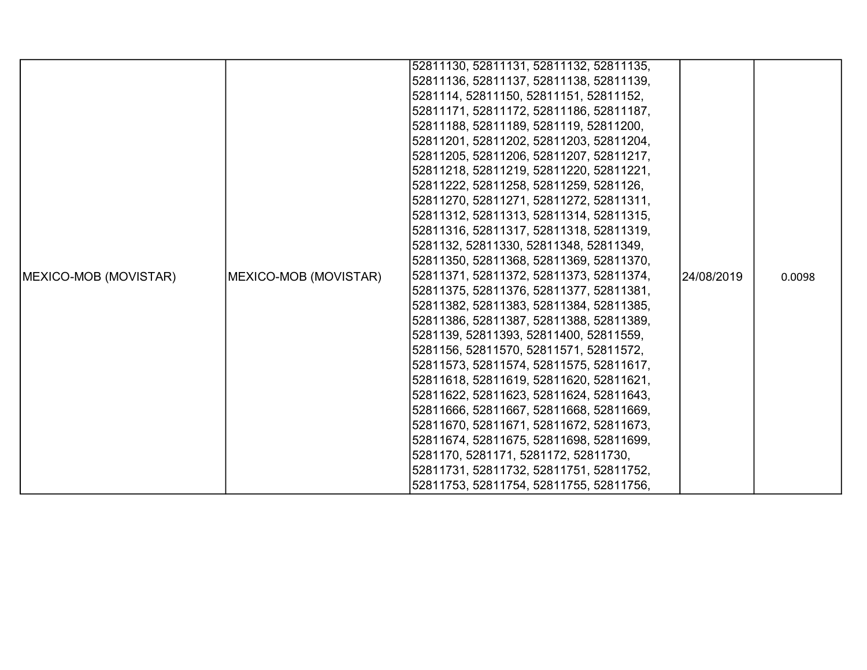|                               |                                         | 52811130, 52811131, 52811132, 52811135, |            |        |
|-------------------------------|-----------------------------------------|-----------------------------------------|------------|--------|
|                               |                                         | 52811136, 52811137, 52811138, 52811139, |            |        |
|                               |                                         |                                         |            |        |
|                               |                                         | 5281114, 52811150, 52811151, 52811152,  |            |        |
|                               |                                         | 52811171, 52811172, 52811186, 52811187, |            |        |
|                               |                                         | 52811188, 52811189, 5281119, 52811200,  |            |        |
|                               |                                         | 52811201, 52811202, 52811203, 52811204, |            |        |
|                               |                                         | 52811205, 52811206, 52811207, 52811217, |            |        |
|                               |                                         | 52811218, 52811219, 52811220, 52811221, |            |        |
|                               |                                         | 52811222, 52811258, 52811259, 5281126,  |            |        |
|                               |                                         | 52811270, 52811271, 52811272, 52811311, |            |        |
|                               |                                         | 52811312, 52811313, 52811314, 52811315, |            |        |
|                               |                                         | 52811316, 52811317, 52811318, 52811319, |            |        |
|                               |                                         | 5281132, 52811330, 52811348, 52811349,  |            |        |
|                               |                                         | 52811350, 52811368, 52811369, 52811370, |            |        |
| <b>IMEXICO-MOB (MOVISTAR)</b> | MEXICO-MOB (MOVISTAR)                   | 52811371, 52811372, 52811373, 52811374, | 24/08/2019 | 0.0098 |
|                               |                                         | 52811375, 52811376, 52811377, 52811381, |            |        |
|                               |                                         | 52811382, 52811383, 52811384, 52811385, |            |        |
|                               |                                         | 52811386, 52811387, 52811388, 52811389, |            |        |
|                               |                                         | 5281139, 52811393, 52811400, 52811559,  |            |        |
|                               |                                         | 5281156, 52811570, 52811571, 52811572,  |            |        |
|                               | 52811573, 52811574, 52811575, 52811617, |                                         |            |        |
|                               |                                         | 52811618, 52811619, 52811620, 52811621, |            |        |
|                               |                                         | 52811622, 52811623, 52811624, 52811643, |            |        |
|                               |                                         | 52811666, 52811667, 52811668, 52811669, |            |        |
|                               |                                         | 52811670, 52811671, 52811672, 52811673, |            |        |
|                               |                                         | 52811674, 52811675, 52811698, 52811699, |            |        |
|                               |                                         | 5281170, 5281171, 5281172, 52811730,    |            |        |
|                               |                                         | 52811731, 52811732, 52811751, 52811752, |            |        |
|                               |                                         | 52811753, 52811754, 52811755, 52811756, |            |        |
|                               |                                         |                                         |            |        |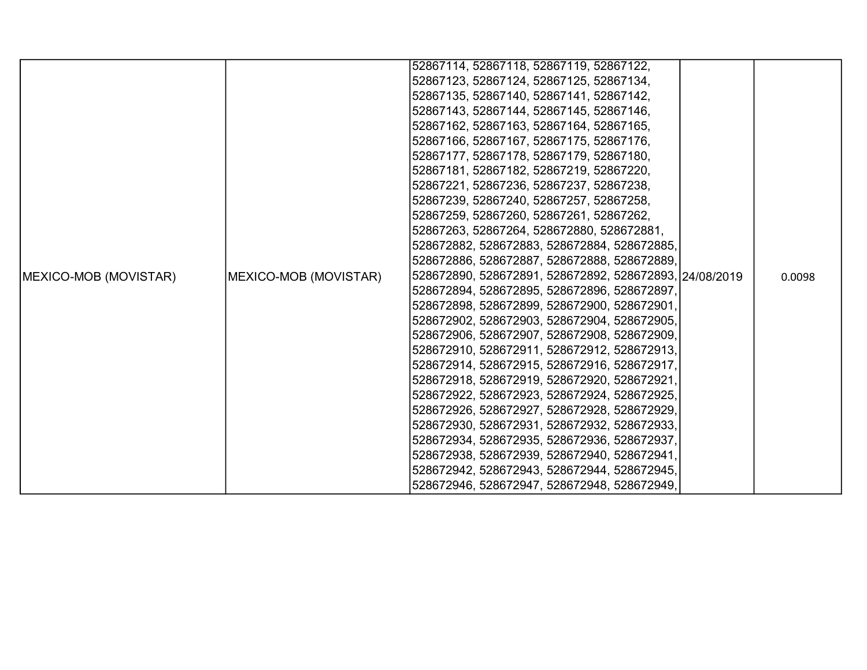|                               |                       | 52867114, 52867118, 52867119, 52867122,                |  |        |
|-------------------------------|-----------------------|--------------------------------------------------------|--|--------|
|                               |                       | 52867123, 52867124, 52867125, 52867134,                |  |        |
|                               |                       | 52867135, 52867140, 52867141, 52867142,                |  |        |
|                               |                       | 52867143, 52867144, 52867145, 52867146,                |  |        |
|                               |                       | 52867162, 52867163, 52867164, 52867165,                |  |        |
|                               |                       | 52867166, 52867167, 52867175, 52867176,                |  |        |
|                               |                       | 52867177, 52867178, 52867179, 52867180,                |  |        |
|                               |                       | 52867181, 52867182, 52867219, 52867220,                |  |        |
|                               |                       | 52867221, 52867236, 52867237, 52867238,                |  |        |
|                               |                       | 52867239, 52867240, 52867257, 52867258,                |  |        |
|                               |                       | 52867259, 52867260, 52867261, 52867262,                |  |        |
|                               |                       | 52867263, 52867264, 528672880, 528672881,              |  |        |
|                               |                       | 528672882, 528672883, 528672884, 528672885,            |  |        |
|                               |                       | 528672886, 528672887, 528672888, 528672889,            |  |        |
| <b>IMEXICO-MOB (MOVISTAR)</b> | MEXICO-MOB (MOVISTAR) | 528672890, 528672891, 528672892, 528672893, 24/08/2019 |  | 0.0098 |
|                               |                       | 528672894, 528672895, 528672896, 528672897,            |  |        |
|                               |                       | 528672898, 528672899, 528672900, 528672901,            |  |        |
|                               |                       | 528672902, 528672903, 528672904, 528672905,            |  |        |
|                               |                       | 528672906, 528672907, 528672908, 528672909,            |  |        |
|                               |                       | 528672910, 528672911, 528672912, 528672913,            |  |        |
|                               |                       | 528672914, 528672915, 528672916, 528672917,            |  |        |
|                               |                       | 528672918, 528672919, 528672920, 528672921,            |  |        |
|                               |                       | 528672922, 528672923, 528672924, 528672925,            |  |        |
|                               |                       | 528672926, 528672927, 528672928, 528672929,            |  |        |
|                               |                       | 528672930, 528672931, 528672932, 528672933,            |  |        |
|                               |                       | 528672934, 528672935, 528672936, 528672937,            |  |        |
|                               |                       | 528672938, 528672939, 528672940, 528672941,            |  |        |
|                               |                       | 528672942, 528672943, 528672944, 528672945,            |  |        |
|                               |                       | 528672946, 528672947, 528672948, 528672949,            |  |        |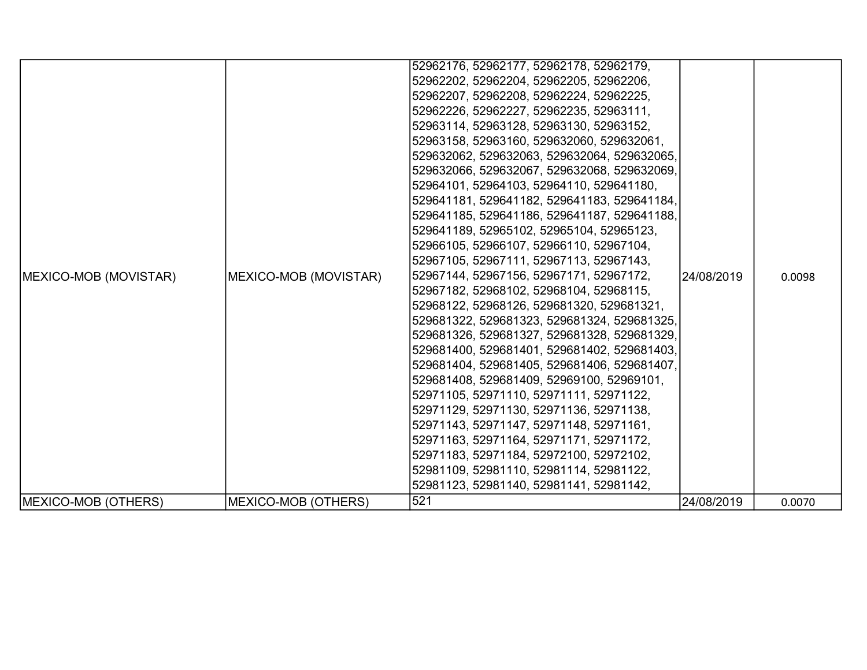|                               |                       | 52962176, 52962177, 52962178, 52962179,     |            |        |
|-------------------------------|-----------------------|---------------------------------------------|------------|--------|
|                               |                       | 52962202, 52962204, 52962205, 52962206,     |            |        |
|                               |                       | 52962207, 52962208, 52962224, 52962225,     |            |        |
|                               |                       | 52962226, 52962227, 52962235, 52963111,     |            |        |
|                               |                       | 52963114, 52963128, 52963130, 52963152,     |            |        |
|                               |                       | 52963158, 52963160, 529632060, 529632061,   |            |        |
|                               |                       | 529632062, 529632063, 529632064, 529632065, |            |        |
|                               |                       | 529632066, 529632067, 529632068, 529632069, |            |        |
|                               |                       | 52964101, 52964103, 52964110, 529641180,    |            |        |
|                               |                       | 529641181, 529641182, 529641183, 529641184, |            |        |
|                               |                       | 529641185, 529641186, 529641187, 529641188, |            |        |
|                               |                       | 529641189, 52965102, 52965104, 52965123,    |            |        |
|                               |                       | 52966105, 52966107, 52966110, 52967104,     |            |        |
|                               |                       | 52967105, 52967111, 52967113, 52967143,     |            |        |
| <b>IMEXICO-MOB (MOVISTAR)</b> | MEXICO-MOB (MOVISTAR) | 52967144, 52967156, 52967171, 52967172,     | 24/08/2019 | 0.0098 |
|                               |                       | 52967182, 52968102, 52968104, 52968115,     |            |        |
|                               |                       | 52968122, 52968126, 529681320, 529681321,   |            |        |
|                               |                       | 529681322, 529681323, 529681324, 529681325, |            |        |
|                               |                       | 529681326, 529681327, 529681328, 529681329, |            |        |
|                               |                       | 529681400, 529681401, 529681402, 529681403, |            |        |
|                               |                       | 529681404, 529681405, 529681406, 529681407, |            |        |
|                               |                       | 529681408, 529681409, 52969100, 52969101,   |            |        |
|                               |                       | 52971105, 52971110, 52971111, 52971122,     |            |        |
|                               |                       | 52971129, 52971130, 52971136, 52971138,     |            |        |
|                               |                       | 52971143, 52971147, 52971148, 52971161,     |            |        |
|                               |                       | 52971163, 52971164, 52971171, 52971172,     |            |        |
|                               |                       | 52971183, 52971184, 52972100, 52972102,     |            |        |
|                               |                       | 52981109, 52981110, 52981114, 52981122,     |            |        |
|                               |                       | 52981123, 52981140, 52981141, 52981142,     |            |        |
| MEXICO-MOB (OTHERS)           | MEXICO-MOB (OTHERS)   | 521                                         | 24/08/2019 | 0.0070 |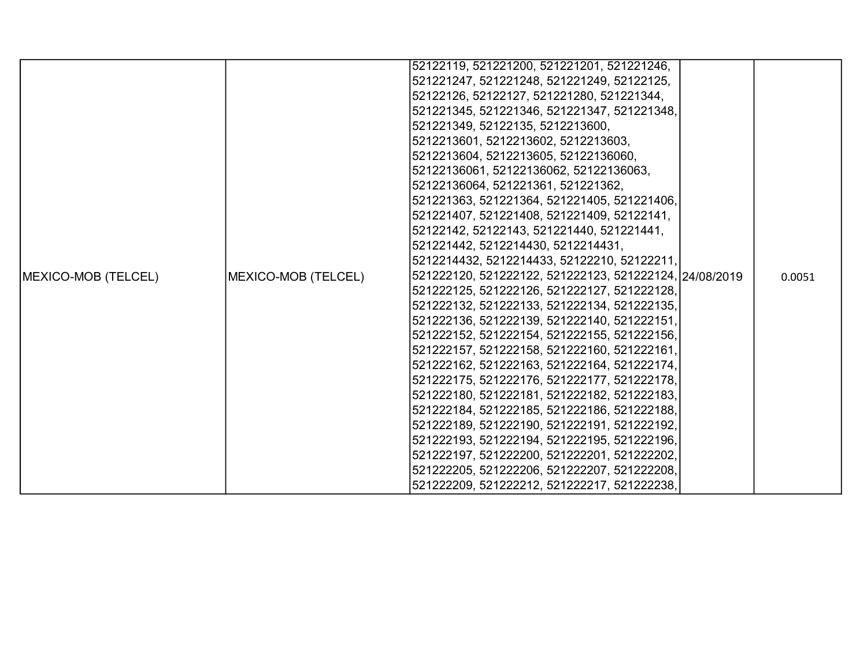|                            |                     | 52122119, 521221200, 521221201, 521221246,             |        |
|----------------------------|---------------------|--------------------------------------------------------|--------|
|                            |                     | 521221247, 521221248, 521221249, 52122125,             |        |
|                            |                     | 52122126, 52122127, 521221280, 521221344,              |        |
|                            |                     | 521221345, 521221346, 521221347, 521221348,            |        |
|                            |                     | 521221349, 52122135, 5212213600,                       |        |
|                            |                     | 5212213601, 5212213602, 5212213603,                    |        |
|                            |                     | 5212213604, 5212213605, 52122136060,                   |        |
|                            |                     | 52122136061, 52122136062, 52122136063,                 |        |
|                            |                     | 52122136064, 521221361, 521221362,                     |        |
|                            |                     | 521221363, 521221364, 521221405, 521221406,            |        |
|                            |                     | 521221407, 521221408, 521221409, 52122141,             |        |
|                            |                     | 52122142, 52122143, 521221440, 521221441,              |        |
|                            |                     | 521221442, 5212214430, 5212214431,                     |        |
|                            |                     | 5212214432, 5212214433, 52122210, 52122211,            |        |
| <b>MEXICO-MOB (TELCEL)</b> | MEXICO-MOB (TELCEL) | 521222120, 521222122, 521222123, 521222124, 24/08/2019 | 0.0051 |
|                            |                     | 521222125, 521222126, 521222127, 521222128,            |        |
|                            |                     | 521222132, 521222133, 521222134, 521222135,            |        |
|                            |                     | 521222136, 521222139, 521222140, 521222151,            |        |
|                            |                     | 521222152, 521222154, 521222155, 521222156,            |        |
|                            |                     | 521222157, 521222158, 521222160, 521222161,            |        |
|                            |                     | 521222162, 521222163, 521222164, 521222174,            |        |
|                            |                     | 521222175, 521222176, 521222177, 521222178,            |        |
|                            |                     | 521222180, 521222181, 521222182, 521222183,            |        |
|                            |                     | 521222184, 521222185, 521222186, 521222188,            |        |
|                            |                     | 521222189, 521222190, 521222191, 521222192,            |        |
|                            |                     | 521222193, 521222194, 521222195, 521222196,            |        |
|                            |                     | 521222197, 521222200, 521222201, 521222202,            |        |
|                            |                     | 521222205, 521222206, 521222207, 521222208,            |        |
|                            |                     | 521222209, 521222212, 521222217, 521222238,            |        |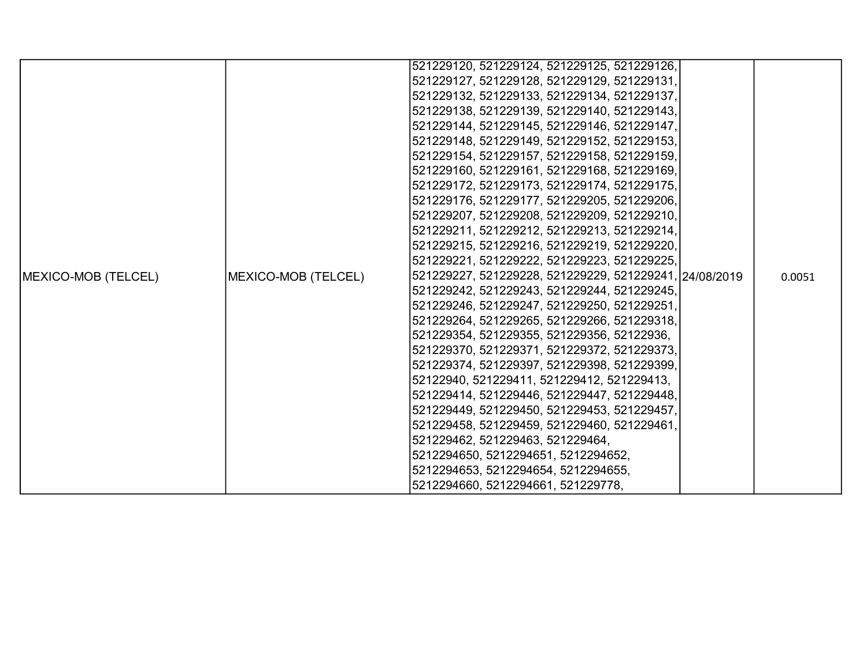|                            |                     | 521229120, 521229124, 521229125, 521229126,            |  |        |
|----------------------------|---------------------|--------------------------------------------------------|--|--------|
|                            |                     | 521229127, 521229128, 521229129, 521229131,            |  |        |
|                            |                     | 521229132, 521229133, 521229134, 521229137,            |  |        |
|                            |                     | 521229138, 521229139, 521229140, 521229143,            |  |        |
|                            |                     | 521229144, 521229145, 521229146, 521229147,            |  |        |
|                            |                     | 521229148, 521229149, 521229152, 521229153,            |  |        |
|                            |                     | 521229154, 521229157, 521229158, 521229159,            |  |        |
|                            |                     | 521229160, 521229161, 521229168, 521229169,            |  |        |
|                            |                     | 521229172, 521229173, 521229174, 521229175,            |  |        |
|                            |                     | 521229176, 521229177, 521229205, 521229206,            |  |        |
|                            |                     | 521229207, 521229208, 521229209, 521229210,            |  |        |
|                            |                     | 521229211, 521229212, 521229213, 521229214,            |  |        |
|                            |                     | 521229215, 521229216, 521229219, 521229220,            |  |        |
|                            |                     | 521229221, 521229222, 521229223, 521229225,            |  |        |
| <b>MEXICO-MOB (TELCEL)</b> | MEXICO-MOB (TELCEL) | 521229227, 521229228, 521229229, 521229241, 24/08/2019 |  | 0.0051 |
|                            |                     | 521229242, 521229243, 521229244, 521229245,            |  |        |
|                            |                     | 521229246, 521229247, 521229250, 521229251,            |  |        |
|                            |                     | 521229264, 521229265, 521229266, 521229318,            |  |        |
|                            |                     | 521229354, 521229355, 521229356, 52122936,             |  |        |
|                            |                     | 521229370, 521229371, 521229372, 521229373,            |  |        |
|                            |                     | 521229374, 521229397, 521229398, 521229399,            |  |        |
|                            |                     | 52122940, 521229411, 521229412, 521229413,             |  |        |
|                            |                     | 521229414, 521229446, 521229447, 521229448,            |  |        |
|                            |                     | 521229449, 521229450, 521229453, 521229457,            |  |        |
|                            |                     | 521229458, 521229459, 521229460, 521229461,            |  |        |
|                            |                     | 521229462, 521229463, 521229464,                       |  |        |
|                            |                     | 5212294650, 5212294651, 5212294652,                    |  |        |
|                            |                     | 5212294653, 5212294654, 5212294655,                    |  |        |
|                            |                     | 5212294660, 5212294661, 521229778,                     |  |        |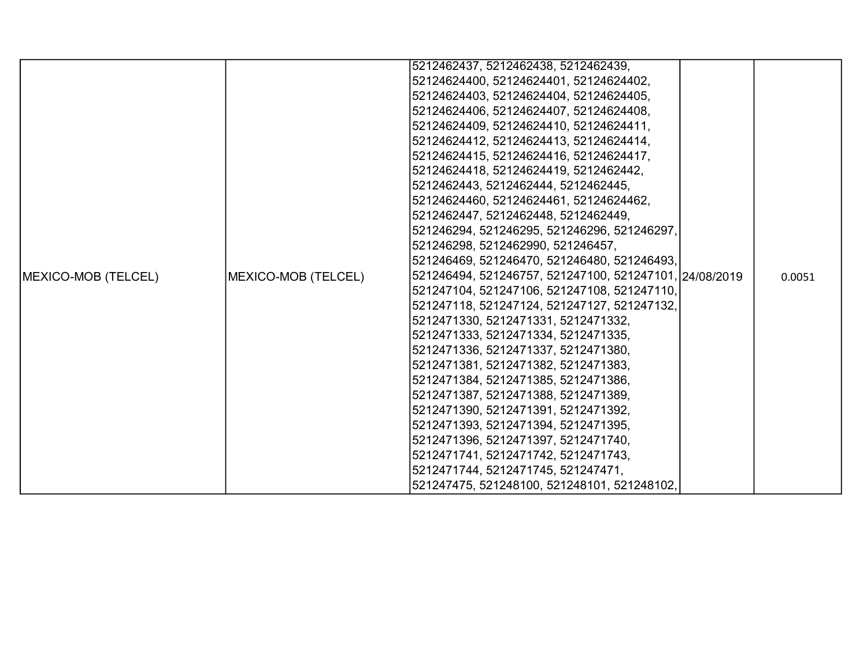|                            |                     | 5212462437, 5212462438, 5212462439,                    |        |
|----------------------------|---------------------|--------------------------------------------------------|--------|
|                            |                     | 52124624400, 52124624401, 52124624402,                 |        |
|                            |                     | 52124624403, 52124624404, 52124624405,                 |        |
|                            |                     | 52124624406, 52124624407, 52124624408,                 |        |
|                            |                     | 52124624409, 52124624410, 52124624411,                 |        |
|                            |                     | 52124624412, 52124624413, 52124624414,                 |        |
|                            |                     | 52124624415, 52124624416, 52124624417,                 |        |
|                            |                     | 52124624418, 52124624419, 5212462442,                  |        |
|                            |                     | 5212462443, 5212462444, 5212462445,                    |        |
|                            |                     | 52124624460, 52124624461, 52124624462,                 |        |
|                            |                     | 5212462447, 5212462448, 5212462449,                    |        |
|                            |                     | 521246294, 521246295, 521246296, 521246297,            |        |
|                            |                     | 521246298, 5212462990, 521246457,                      |        |
|                            |                     | 521246469, 521246470, 521246480, 521246493,            |        |
| <b>MEXICO-MOB (TELCEL)</b> | MEXICO-MOB (TELCEL) | 521246494, 521246757, 521247100, 521247101, 24/08/2019 | 0.0051 |
|                            |                     | 521247104, 521247106, 521247108, 521247110,            |        |
|                            |                     | 521247118, 521247124, 521247127, 521247132,            |        |
|                            |                     | 5212471330, 5212471331, 5212471332,                    |        |
|                            |                     | 5212471333, 5212471334, 5212471335,                    |        |
|                            |                     | 5212471336, 5212471337, 5212471380,                    |        |
|                            |                     | 5212471381, 5212471382, 5212471383,                    |        |
|                            |                     | 5212471384, 5212471385, 5212471386,                    |        |
|                            |                     | 5212471387, 5212471388, 5212471389,                    |        |
|                            |                     | 5212471390, 5212471391, 5212471392,                    |        |
|                            |                     | 5212471393, 5212471394, 5212471395,                    |        |
|                            |                     | 5212471396, 5212471397, 5212471740,                    |        |
|                            |                     | 5212471741, 5212471742, 5212471743,                    |        |
|                            |                     | 5212471744, 5212471745, 521247471,                     |        |
|                            |                     | 521247475, 521248100, 521248101, 521248102,            |        |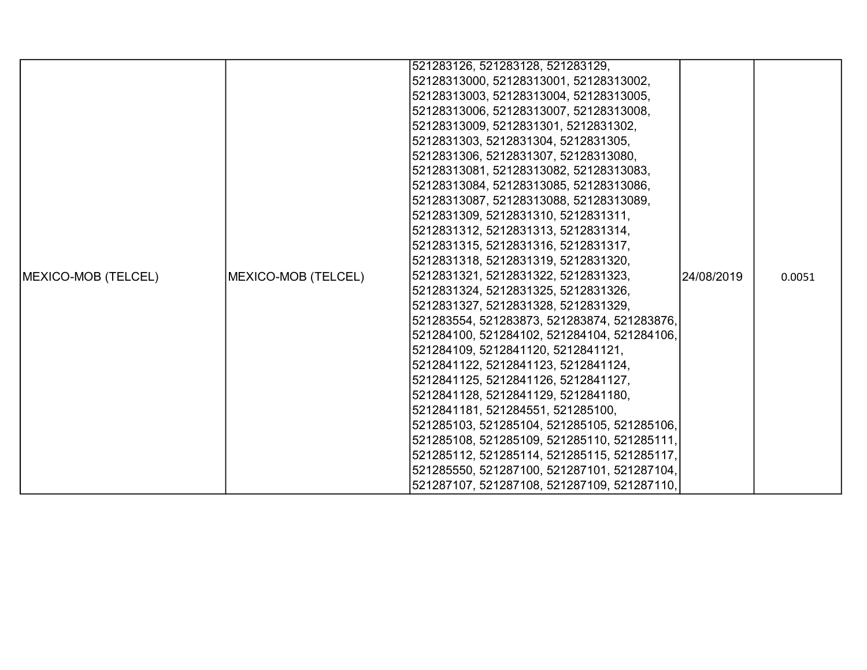|                            |                     | 521283126, 521283128, 521283129,            |            |        |
|----------------------------|---------------------|---------------------------------------------|------------|--------|
|                            |                     | 52128313000, 52128313001, 52128313002,      |            |        |
|                            |                     | 52128313003, 52128313004, 52128313005,      |            |        |
|                            |                     | 52128313006, 52128313007, 52128313008,      |            |        |
|                            |                     | 52128313009, 5212831301, 5212831302,        |            |        |
|                            |                     | 5212831303, 5212831304, 5212831305,         |            |        |
|                            |                     | 5212831306, 5212831307, 52128313080,        |            |        |
|                            |                     | 52128313081, 52128313082, 52128313083,      |            |        |
|                            |                     | 52128313084, 52128313085, 52128313086,      |            |        |
|                            |                     | 52128313087, 52128313088, 52128313089,      |            |        |
|                            |                     | 5212831309, 5212831310, 5212831311,         |            |        |
|                            |                     | 5212831312, 5212831313, 5212831314,         |            |        |
|                            |                     | 5212831315, 5212831316, 5212831317,         |            |        |
|                            |                     | 5212831318, 5212831319, 5212831320,         |            |        |
| <b>MEXICO-MOB (TELCEL)</b> | MEXICO-MOB (TELCEL) | 5212831321, 5212831322, 5212831323,         | 24/08/2019 | 0.0051 |
|                            |                     | 5212831324, 5212831325, 5212831326,         |            |        |
|                            |                     | 5212831327, 5212831328, 5212831329,         |            |        |
|                            |                     | 521283554, 521283873, 521283874, 521283876, |            |        |
|                            |                     | 521284100, 521284102, 521284104, 521284106, |            |        |
|                            |                     | 521284109, 5212841120, 5212841121,          |            |        |
|                            |                     | 5212841122, 5212841123, 5212841124,         |            |        |
|                            |                     | 5212841125, 5212841126, 5212841127,         |            |        |
|                            |                     | 5212841128, 5212841129, 5212841180,         |            |        |
|                            |                     | 5212841181, 521284551, 521285100,           |            |        |
|                            |                     | 521285103, 521285104, 521285105, 521285106, |            |        |
|                            |                     | 521285108, 521285109, 521285110, 521285111, |            |        |
|                            |                     | 521285112, 521285114, 521285115, 521285117, |            |        |
|                            |                     | 521285550, 521287100, 521287101, 521287104, |            |        |
|                            |                     | 521287107, 521287108, 521287109, 521287110, |            |        |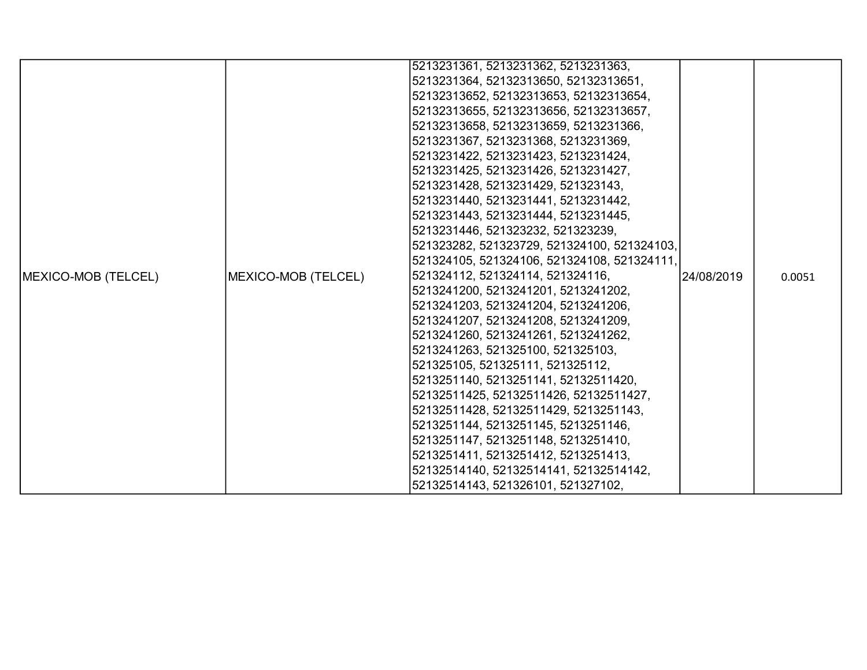|                            |                     | 5213231361, 5213231362, 5213231363,         |             |        |
|----------------------------|---------------------|---------------------------------------------|-------------|--------|
|                            |                     | 5213231364, 52132313650, 52132313651,       |             |        |
|                            |                     | 52132313652, 52132313653, 52132313654,      |             |        |
|                            |                     | 52132313655, 52132313656, 52132313657,      |             |        |
|                            |                     | 52132313658, 52132313659, 5213231366,       |             |        |
|                            |                     | 5213231367, 5213231368, 5213231369,         |             |        |
|                            |                     | 5213231422, 5213231423, 5213231424,         |             |        |
|                            |                     | 5213231425, 5213231426, 5213231427,         |             |        |
|                            |                     | 5213231428, 5213231429, 521323143,          |             |        |
|                            |                     | 5213231440, 5213231441, 5213231442,         |             |        |
|                            |                     | 5213231443, 5213231444, 5213231445,         |             |        |
|                            |                     | 5213231446, 521323232, 521323239,           |             |        |
|                            |                     | 521323282, 521323729, 521324100, 521324103, |             |        |
|                            |                     | 521324105, 521324106, 521324108, 521324111, |             |        |
| <b>MEXICO-MOB (TELCEL)</b> | MEXICO-MOB (TELCEL) | 521324112, 521324114, 521324116,            | l24/08/2019 | 0.0051 |
|                            |                     | 5213241200, 5213241201, 5213241202,         |             |        |
|                            |                     | 5213241203, 5213241204, 5213241206,         |             |        |
|                            |                     | 5213241207, 5213241208, 5213241209,         |             |        |
|                            |                     | 5213241260, 5213241261, 5213241262,         |             |        |
|                            |                     | 5213241263, 521325100, 521325103,           |             |        |
|                            |                     | 521325105, 521325111, 521325112,            |             |        |
|                            |                     | 5213251140, 5213251141, 52132511420,        |             |        |
|                            |                     | 52132511425, 52132511426, 52132511427,      |             |        |
|                            |                     | 52132511428, 52132511429, 5213251143,       |             |        |
|                            |                     | 5213251144, 5213251145, 5213251146,         |             |        |
|                            |                     | 5213251147, 5213251148, 5213251410,         |             |        |
|                            |                     | 5213251411, 5213251412, 5213251413,         |             |        |
|                            |                     | 52132514140, 52132514141, 52132514142,      |             |        |
|                            |                     | 52132514143, 521326101, 521327102,          |             |        |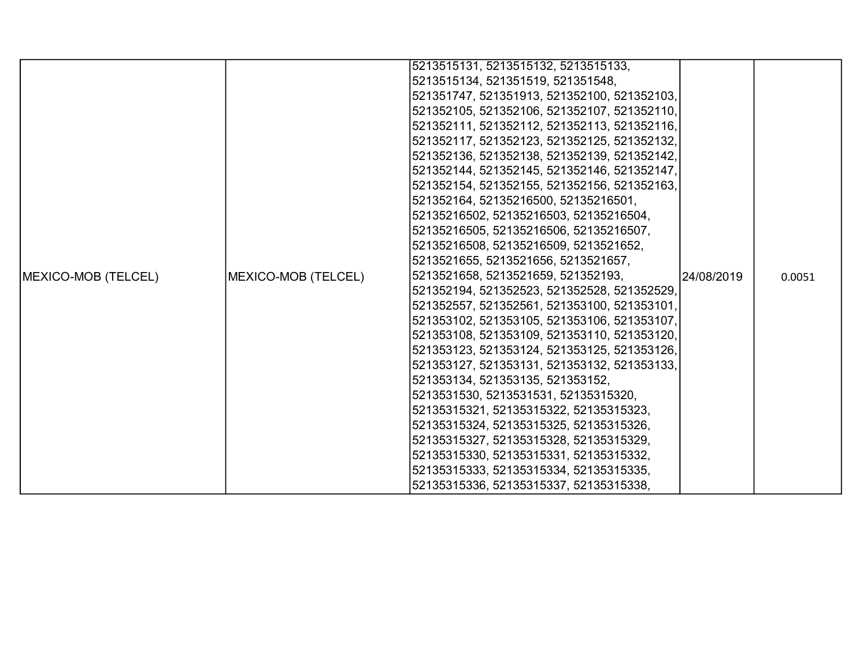|                             |                     | 5213515131, 5213515132, 5213515133,         |            |        |
|-----------------------------|---------------------|---------------------------------------------|------------|--------|
|                             |                     | 5213515134, 521351519, 521351548,           |            |        |
|                             |                     | 521351747, 521351913, 521352100, 521352103, |            |        |
|                             |                     | 521352105, 521352106, 521352107, 521352110, |            |        |
|                             |                     | 521352111, 521352112, 521352113, 521352116, |            |        |
|                             |                     | 521352117, 521352123, 521352125, 521352132, |            |        |
|                             |                     | 521352136, 521352138, 521352139, 521352142, |            |        |
|                             |                     | 521352144, 521352145, 521352146, 521352147, |            |        |
|                             |                     | 521352154, 521352155, 521352156, 521352163, |            |        |
|                             |                     | 521352164, 52135216500, 52135216501,        |            |        |
|                             |                     | 52135216502, 52135216503, 52135216504,      |            |        |
|                             |                     | 52135216505, 52135216506, 52135216507,      |            |        |
|                             |                     | 52135216508, 52135216509, 5213521652,       |            |        |
|                             |                     | 5213521655, 5213521656, 5213521657,         |            |        |
| <b>IMEXICO-MOB (TELCEL)</b> | MEXICO-MOB (TELCEL) | 5213521658, 5213521659, 521352193,          | 24/08/2019 | 0.0051 |
|                             |                     | 521352194, 521352523, 521352528, 521352529, |            |        |
|                             |                     | 521352557, 521352561, 521353100, 521353101, |            |        |
|                             |                     | 521353102, 521353105, 521353106, 521353107, |            |        |
|                             |                     | 521353108, 521353109, 521353110, 521353120, |            |        |
|                             |                     | 521353123, 521353124, 521353125, 521353126, |            |        |
|                             |                     | 521353127, 521353131, 521353132, 521353133, |            |        |
|                             |                     | 521353134, 521353135, 521353152,            |            |        |
|                             |                     | 5213531530, 5213531531, 52135315320,        |            |        |
|                             |                     | 52135315321, 52135315322, 52135315323,      |            |        |
|                             |                     | 52135315324, 52135315325, 52135315326,      |            |        |
|                             |                     | 52135315327, 52135315328, 52135315329,      |            |        |
|                             |                     | 52135315330, 52135315331, 52135315332,      |            |        |
|                             |                     | 52135315333, 52135315334, 52135315335,      |            |        |
|                             |                     | 52135315336, 52135315337, 52135315338,      |            |        |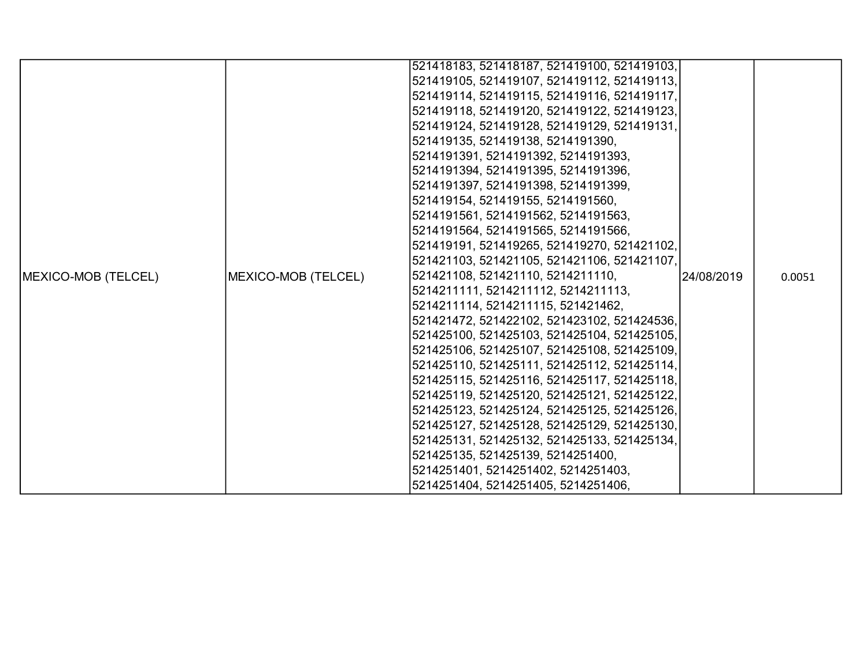|                            |                     | 521418183, 521418187, 521419100, 521419103,                                                                                                                                                                                                                                                                                                                             |  |        |
|----------------------------|---------------------|-------------------------------------------------------------------------------------------------------------------------------------------------------------------------------------------------------------------------------------------------------------------------------------------------------------------------------------------------------------------------|--|--------|
|                            |                     | 521419105, 521419107, 521419112, 521419113,                                                                                                                                                                                                                                                                                                                             |  |        |
|                            |                     | 521419114, 521419115, 521419116, 521419117,                                                                                                                                                                                                                                                                                                                             |  |        |
|                            |                     | 521419118, 521419120, 521419122, 521419123,                                                                                                                                                                                                                                                                                                                             |  |        |
|                            |                     | 521419124, 521419128, 521419129, 521419131,                                                                                                                                                                                                                                                                                                                             |  |        |
|                            |                     | 521419135, 521419138, 5214191390,                                                                                                                                                                                                                                                                                                                                       |  |        |
|                            |                     |                                                                                                                                                                                                                                                                                                                                                                         |  |        |
|                            |                     | 5214191391, 5214191392, 5214191393,                                                                                                                                                                                                                                                                                                                                     |  |        |
|                            |                     | 5214191394, 5214191395, 5214191396,                                                                                                                                                                                                                                                                                                                                     |  |        |
|                            |                     | 5214191397, 5214191398, 5214191399,                                                                                                                                                                                                                                                                                                                                     |  |        |
|                            |                     | 521419154, 521419155, 5214191560,                                                                                                                                                                                                                                                                                                                                       |  |        |
|                            |                     | 5214191561, 5214191562, 5214191563,                                                                                                                                                                                                                                                                                                                                     |  |        |
|                            |                     | 5214191564, 5214191565, 5214191566,                                                                                                                                                                                                                                                                                                                                     |  |        |
|                            |                     | 521419191, 521419265, 521419270, 521421102,                                                                                                                                                                                                                                                                                                                             |  |        |
|                            |                     |                                                                                                                                                                                                                                                                                                                                                                         |  |        |
| <b>MEXICO-MOB (TELCEL)</b> | MEXICO-MOB (TELCEL) |                                                                                                                                                                                                                                                                                                                                                                         |  | 0.0051 |
|                            |                     |                                                                                                                                                                                                                                                                                                                                                                         |  |        |
|                            |                     |                                                                                                                                                                                                                                                                                                                                                                         |  |        |
|                            |                     | 521421472, 521422102, 521423102, 521424536,                                                                                                                                                                                                                                                                                                                             |  |        |
|                            |                     |                                                                                                                                                                                                                                                                                                                                                                         |  |        |
|                            |                     | 521425106, 521425107, 521425108, 521425109,                                                                                                                                                                                                                                                                                                                             |  |        |
|                            |                     | 521421103, 521421105, 521421106, 521421107,<br>521421108, 521421110, 5214211110,<br>24/08/2019<br>5214211111, 5214211112, 5214211113,<br>5214211114, 5214211115, 521421462,<br>521425100, 521425103, 521425104, 521425105,<br>521425110, 521425111, 521425112, 521425114,<br>521425115, 521425116, 521425117, 521425118,<br>521425119, 521425120, 521425121, 521425122, |  |        |
|                            |                     |                                                                                                                                                                                                                                                                                                                                                                         |  |        |
|                            |                     |                                                                                                                                                                                                                                                                                                                                                                         |  |        |
|                            |                     | 521425123, 521425124, 521425125, 521425126,                                                                                                                                                                                                                                                                                                                             |  |        |
|                            |                     | 521425127, 521425128, 521425129, 521425130,                                                                                                                                                                                                                                                                                                                             |  |        |
|                            |                     | 521425131, 521425132, 521425133, 521425134,                                                                                                                                                                                                                                                                                                                             |  |        |
|                            |                     | 521425135, 521425139, 5214251400,                                                                                                                                                                                                                                                                                                                                       |  |        |
|                            |                     | 5214251401, 5214251402, 5214251403,                                                                                                                                                                                                                                                                                                                                     |  |        |
|                            |                     | 5214251404, 5214251405, 5214251406,                                                                                                                                                                                                                                                                                                                                     |  |        |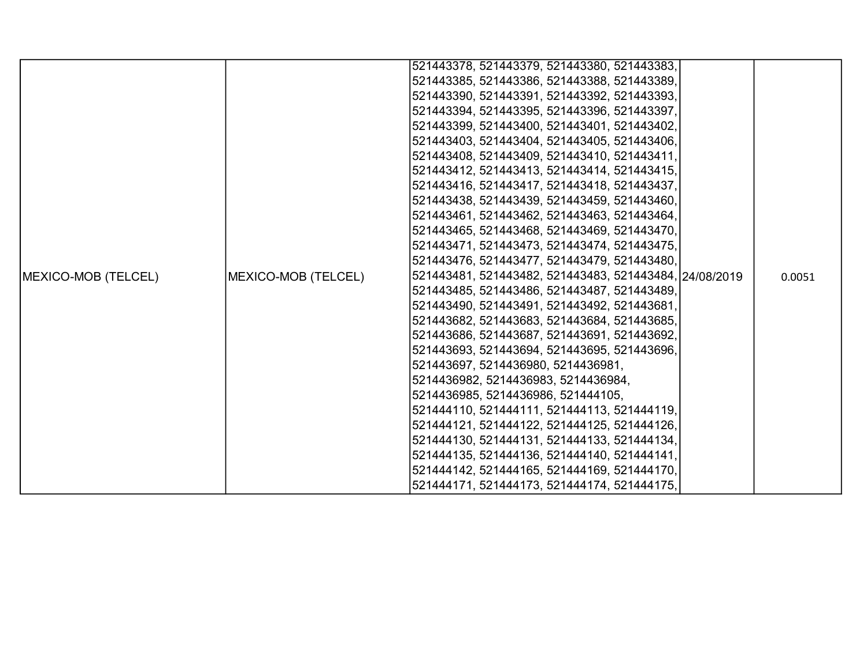|                            |                     | 521443378, 521443379, 521443380, 521443383,            |  |        |
|----------------------------|---------------------|--------------------------------------------------------|--|--------|
|                            |                     | 521443385, 521443386, 521443388, 521443389,            |  |        |
|                            |                     | 521443390, 521443391, 521443392, 521443393,            |  |        |
|                            |                     | 521443394, 521443395, 521443396, 521443397,            |  |        |
|                            |                     | 521443399, 521443400, 521443401, 521443402,            |  |        |
|                            |                     | 521443403, 521443404, 521443405, 521443406,            |  |        |
|                            |                     | 521443408, 521443409, 521443410, 521443411,            |  |        |
|                            |                     | 521443412, 521443413, 521443414, 521443415,            |  |        |
|                            |                     | 521443416, 521443417, 521443418, 521443437,            |  |        |
|                            |                     | 521443438, 521443439, 521443459, 521443460,            |  |        |
|                            |                     | 521443461, 521443462, 521443463, 521443464,            |  |        |
|                            |                     | 521443465, 521443468, 521443469, 521443470,            |  |        |
|                            |                     | 521443471, 521443473, 521443474, 521443475,            |  |        |
|                            |                     | 521443476, 521443477, 521443479, 521443480,            |  |        |
| <b>MEXICO-MOB (TELCEL)</b> | MEXICO-MOB (TELCEL) | 521443481, 521443482, 521443483, 521443484, 24/08/2019 |  | 0.0051 |
|                            |                     | 521443485, 521443486, 521443487, 521443489,            |  |        |
|                            |                     | 521443490, 521443491, 521443492, 521443681,            |  |        |
|                            |                     | 521443682, 521443683, 521443684, 521443685,            |  |        |
|                            |                     | 521443686, 521443687, 521443691, 521443692,            |  |        |
|                            |                     | 521443693, 521443694, 521443695, 521443696,            |  |        |
|                            |                     | 521443697, 5214436980, 5214436981,                     |  |        |
|                            |                     | 5214436982, 5214436983, 5214436984,                    |  |        |
|                            |                     | 5214436985, 5214436986, 521444105,                     |  |        |
|                            |                     | 521444110, 521444111, 521444113, 521444119,            |  |        |
|                            |                     | 521444121, 521444122, 521444125, 521444126,            |  |        |
|                            |                     | 521444130, 521444131, 521444133, 521444134,            |  |        |
|                            |                     | 521444135, 521444136, 521444140, 521444141,            |  |        |
|                            |                     | 521444142, 521444165, 521444169, 521444170,            |  |        |
|                            |                     | 521444171, 521444173, 521444174, 521444175,            |  |        |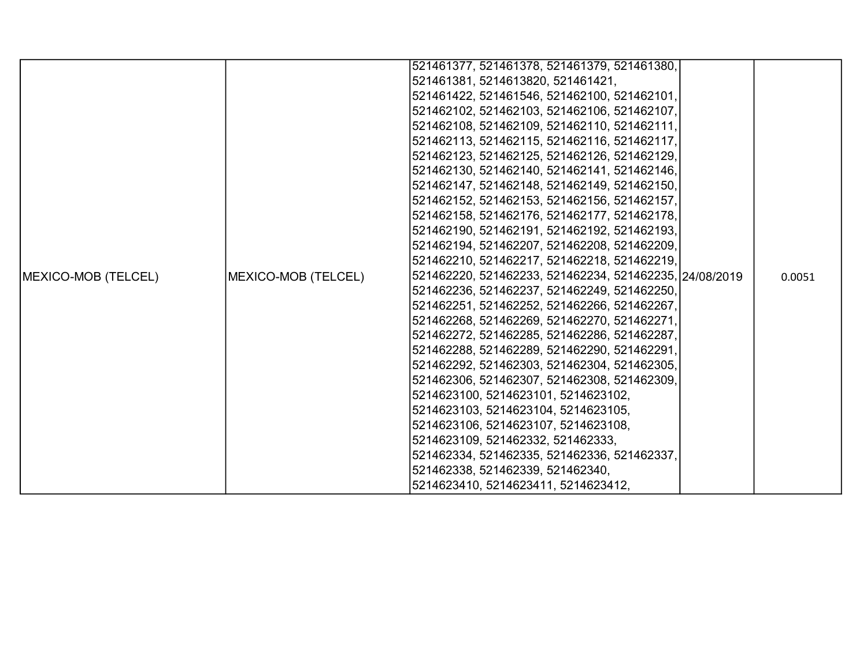|                            |                     | 521461377, 521461378, 521461379, 521461380,            |        |
|----------------------------|---------------------|--------------------------------------------------------|--------|
|                            |                     | 521461381, 5214613820, 521461421,                      |        |
|                            |                     | 521461422, 521461546, 521462100, 521462101,            |        |
|                            |                     | 521462102, 521462103, 521462106, 521462107,            |        |
|                            |                     | 521462108, 521462109, 521462110, 521462111,            |        |
|                            |                     | 521462113, 521462115, 521462116, 521462117,            |        |
|                            |                     | 521462123, 521462125, 521462126, 521462129,            |        |
|                            |                     | 521462130, 521462140, 521462141, 521462146,            |        |
|                            |                     | 521462147, 521462148, 521462149, 521462150,            |        |
|                            |                     | 521462152, 521462153, 521462156, 521462157,            |        |
|                            |                     | 521462158, 521462176, 521462177, 521462178,            |        |
|                            |                     | 521462190, 521462191, 521462192, 521462193,            |        |
|                            |                     | 521462194, 521462207, 521462208, 521462209,            |        |
|                            |                     | 521462210, 521462217, 521462218, 521462219,            |        |
| <b>MEXICO-MOB (TELCEL)</b> | MEXICO-MOB (TELCEL) | 521462220, 521462233, 521462234, 521462235, 24/08/2019 | 0.0051 |
|                            |                     | 521462236, 521462237, 521462249, 521462250,            |        |
|                            |                     | 521462251, 521462252, 521462266, 521462267,            |        |
|                            |                     | 521462268, 521462269, 521462270, 521462271,            |        |
|                            |                     | 521462272, 521462285, 521462286, 521462287,            |        |
|                            |                     | 521462288, 521462289, 521462290, 521462291,            |        |
|                            |                     | 521462292, 521462303, 521462304, 521462305,            |        |
|                            |                     | 521462306, 521462307, 521462308, 521462309,            |        |
|                            |                     | 5214623100, 5214623101, 5214623102,                    |        |
|                            |                     | 5214623103, 5214623104, 5214623105,                    |        |
|                            |                     | 5214623106, 5214623107, 5214623108,                    |        |
|                            |                     | 5214623109, 521462332, 521462333,                      |        |
|                            |                     | 521462334, 521462335, 521462336, 521462337,            |        |
|                            |                     | 521462338, 521462339, 521462340,                       |        |
|                            |                     | 5214623410, 5214623411, 5214623412,                    |        |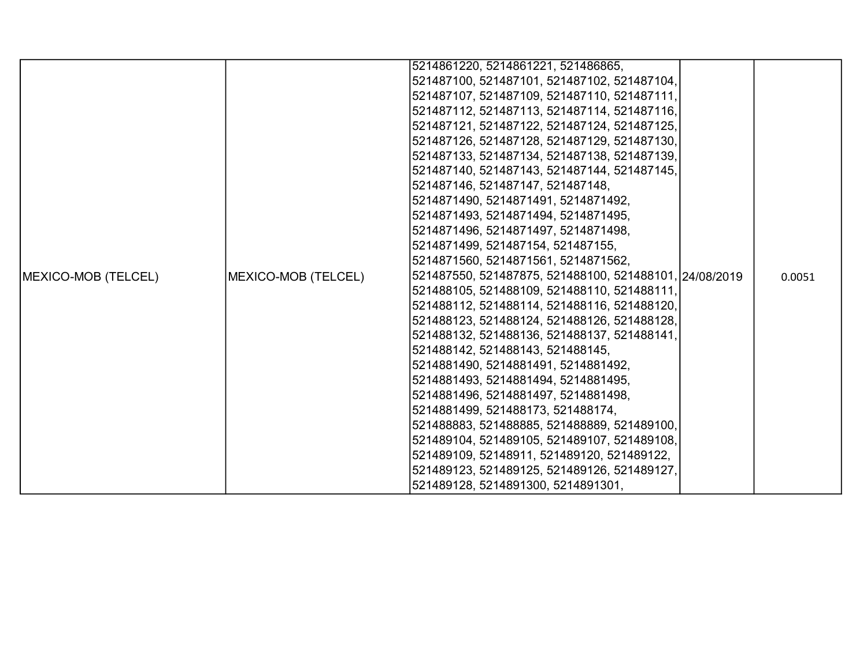|                     |                     | 5214861220, 5214861221, 521486865,                     |        |
|---------------------|---------------------|--------------------------------------------------------|--------|
|                     |                     | 521487100, 521487101, 521487102, 521487104,            |        |
|                     |                     | 521487107, 521487109, 521487110, 521487111,            |        |
|                     |                     | 521487112, 521487113, 521487114, 521487116,            |        |
|                     |                     | 521487121, 521487122, 521487124, 521487125,            |        |
|                     |                     | 521487126, 521487128, 521487129, 521487130,            |        |
|                     |                     | 521487133, 521487134, 521487138, 521487139,            |        |
|                     |                     | 521487140, 521487143, 521487144, 521487145,            |        |
|                     |                     | 521487146, 521487147, 521487148,                       |        |
|                     |                     | 5214871490, 5214871491, 5214871492,                    |        |
|                     |                     | 5214871493, 5214871494, 5214871495,                    |        |
|                     |                     | 5214871496, 5214871497, 5214871498,                    |        |
|                     |                     | 5214871499, 521487154, 521487155,                      |        |
|                     |                     | 5214871560, 5214871561, 5214871562,                    |        |
| MEXICO-MOB (TELCEL) | MEXICO-MOB (TELCEL) | 521487550, 521487875, 521488100, 521488101, 24/08/2019 | 0.0051 |
|                     |                     | 521488105, 521488109, 521488110, 521488111,            |        |
|                     |                     | 521488112, 521488114, 521488116, 521488120,            |        |
|                     |                     | 521488123, 521488124, 521488126, 521488128,            |        |
|                     |                     | 521488132, 521488136, 521488137, 521488141,            |        |
|                     |                     | 521488142, 521488143, 521488145,                       |        |
|                     |                     | 5214881490, 5214881491, 5214881492,                    |        |
|                     |                     | 5214881493, 5214881494, 5214881495,                    |        |
|                     |                     | 5214881496, 5214881497, 5214881498,                    |        |
|                     |                     | 5214881499, 521488173, 521488174,                      |        |
|                     |                     | 521488883, 521488885, 521488889, 521489100,            |        |
|                     |                     | 521489104, 521489105, 521489107, 521489108,            |        |
|                     |                     | 521489109, 52148911, 521489120, 521489122,             |        |
|                     |                     | 521489123, 521489125, 521489126, 521489127,            |        |
|                     |                     | 521489128, 5214891300, 5214891301,                     |        |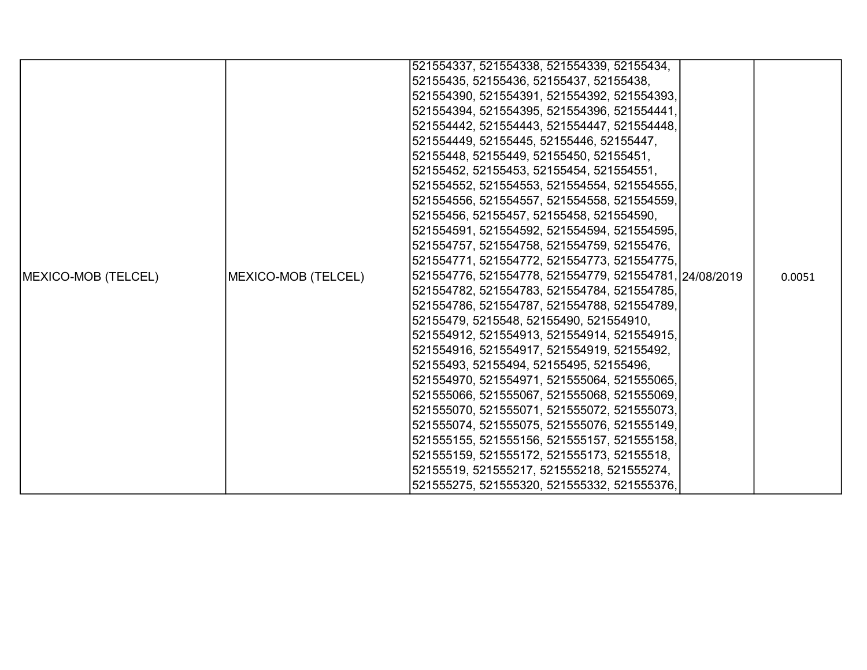|                     |                     | 521554337, 521554338, 521554339, 52155434,             |  |        |
|---------------------|---------------------|--------------------------------------------------------|--|--------|
|                     |                     | 52155435, 52155436, 52155437, 52155438,                |  |        |
|                     |                     | 521554390, 521554391, 521554392, 521554393,            |  |        |
|                     |                     | 521554394, 521554395, 521554396, 521554441,            |  |        |
|                     |                     | 521554442, 521554443, 521554447, 521554448,            |  |        |
|                     |                     | 521554449, 52155445, 52155446, 52155447,               |  |        |
|                     |                     | 52155448, 52155449, 52155450, 52155451,                |  |        |
|                     |                     | 52155452, 52155453, 52155454, 521554551,               |  |        |
|                     |                     | 521554552, 521554553, 521554554, 521554555,            |  |        |
|                     |                     | 521554556, 521554557, 521554558, 521554559,            |  |        |
|                     |                     | 52155456, 52155457, 52155458, 521554590,               |  |        |
|                     |                     | 521554591, 521554592, 521554594, 521554595,            |  |        |
|                     |                     | 521554757, 521554758, 521554759, 52155476,             |  |        |
|                     |                     | 521554771, 521554772, 521554773, 521554775,            |  |        |
| MEXICO-MOB (TELCEL) | MEXICO-MOB (TELCEL) | 521554776, 521554778, 521554779, 521554781, 24/08/2019 |  | 0.0051 |
|                     |                     | 521554782, 521554783, 521554784, 521554785,            |  |        |
|                     |                     | 521554786, 521554787, 521554788, 521554789,            |  |        |
|                     |                     | 52155479, 5215548, 52155490, 521554910,                |  |        |
|                     |                     | 521554912, 521554913, 521554914, 521554915,            |  |        |
|                     |                     | 521554916, 521554917, 521554919, 52155492,             |  |        |
|                     |                     | 52155493, 52155494, 52155495, 52155496,                |  |        |
|                     |                     | 521554970, 521554971, 521555064, 521555065,            |  |        |
|                     |                     | 521555066, 521555067, 521555068, 521555069,            |  |        |
|                     |                     | 521555070, 521555071, 521555072, 521555073,            |  |        |
|                     |                     | 521555074, 521555075, 521555076, 521555149,            |  |        |
|                     |                     | 521555155, 521555156, 521555157, 521555158,            |  |        |
|                     |                     | 521555159, 521555172, 521555173, 52155518,             |  |        |
|                     |                     | 52155519, 521555217, 521555218, 521555274,             |  |        |
|                     |                     | 521555275, 521555320, 521555332, 521555376,            |  |        |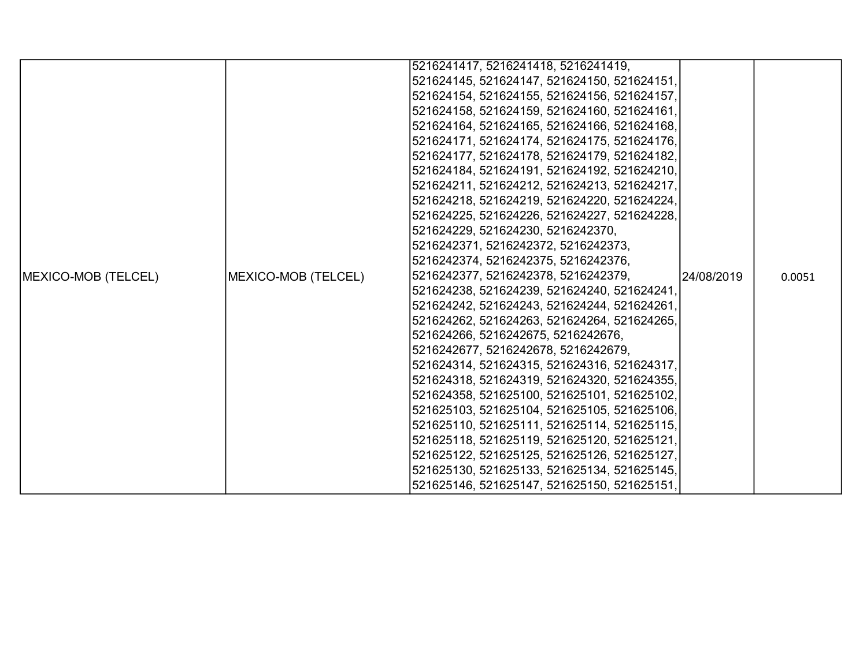|                            |                     | 5216241417, 5216241418, 5216241419,         |            |        |
|----------------------------|---------------------|---------------------------------------------|------------|--------|
|                            |                     | 521624145, 521624147, 521624150, 521624151, |            |        |
|                            |                     | 521624154, 521624155, 521624156, 521624157, |            |        |
|                            |                     | 521624158, 521624159, 521624160, 521624161, |            |        |
|                            |                     | 521624164, 521624165, 521624166, 521624168, |            |        |
|                            |                     | 521624171, 521624174, 521624175, 521624176, |            |        |
|                            |                     | 521624177, 521624178, 521624179, 521624182, |            |        |
|                            |                     | 521624184, 521624191, 521624192, 521624210, |            | 0.0051 |
|                            |                     | 521624211, 521624212, 521624213, 521624217, |            |        |
|                            |                     | 521624218, 521624219, 521624220, 521624224, |            |        |
|                            |                     | 521624225, 521624226, 521624227, 521624228, |            |        |
|                            |                     | 521624229, 521624230, 5216242370,           |            |        |
|                            |                     | 5216242371, 5216242372, 5216242373,         |            |        |
|                            |                     | 5216242374, 5216242375, 5216242376,         |            |        |
| <b>MEXICO-MOB (TELCEL)</b> | MEXICO-MOB (TELCEL) | 5216242377, 5216242378, 5216242379,         | 24/08/2019 |        |
|                            |                     | 521624238, 521624239, 521624240, 521624241, |            |        |
|                            |                     | 521624242, 521624243, 521624244, 521624261, |            |        |
|                            |                     | 521624262, 521624263, 521624264, 521624265, |            |        |
|                            |                     | 521624266, 5216242675, 5216242676,          |            |        |
|                            |                     | 5216242677, 5216242678, 5216242679,         |            |        |
|                            |                     | 521624314, 521624315, 521624316, 521624317, |            |        |
|                            |                     | 521624318, 521624319, 521624320, 521624355, |            |        |
|                            |                     | 521624358, 521625100, 521625101, 521625102, |            |        |
|                            |                     | 521625103, 521625104, 521625105, 521625106, |            |        |
|                            |                     | 521625110, 521625111, 521625114, 521625115, |            |        |
|                            |                     | 521625118, 521625119, 521625120, 521625121, |            |        |
|                            |                     | 521625122, 521625125, 521625126, 521625127, |            |        |
|                            |                     | 521625130, 521625133, 521625134, 521625145, |            |        |
|                            |                     | 521625146, 521625147, 521625150, 521625151, |            |        |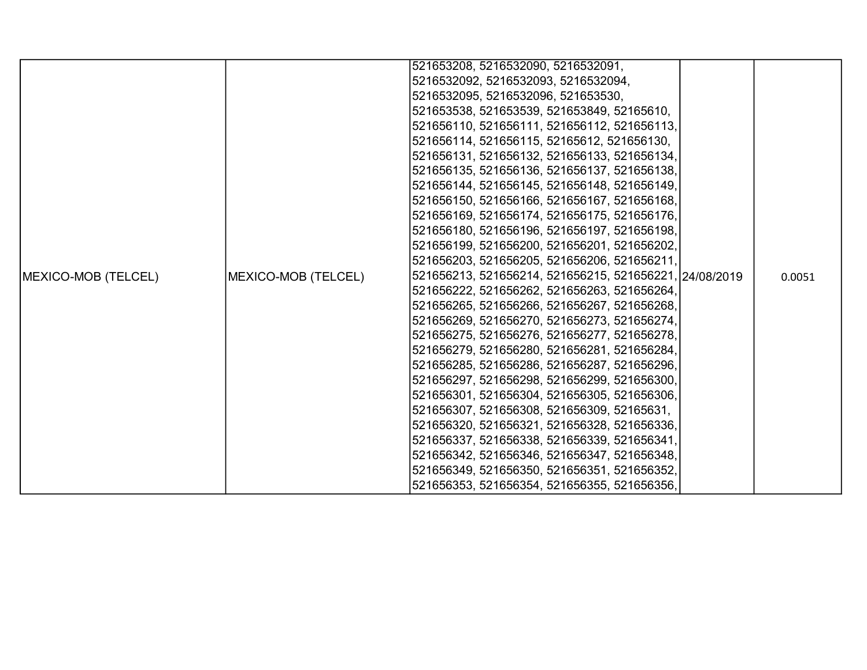|                            |                     | 521653208, 5216532090, 5216532091,                     |        |
|----------------------------|---------------------|--------------------------------------------------------|--------|
|                            |                     | 5216532092, 5216532093, 5216532094,                    |        |
|                            |                     | 5216532095, 5216532096, 521653530,                     |        |
|                            |                     | 521653538, 521653539, 521653849, 52165610,             |        |
|                            |                     | 521656110, 521656111, 521656112, 521656113,            |        |
|                            |                     | 521656114, 521656115, 52165612, 521656130,             |        |
|                            |                     | 521656131, 521656132, 521656133, 521656134,            |        |
|                            |                     | 521656135, 521656136, 521656137, 521656138,            |        |
|                            |                     | 521656144, 521656145, 521656148, 521656149,            |        |
|                            |                     | 521656150, 521656166, 521656167, 521656168,            |        |
|                            |                     | 521656169, 521656174, 521656175, 521656176,            |        |
|                            |                     | 521656180, 521656196, 521656197, 521656198,            |        |
|                            |                     | 521656199, 521656200, 521656201, 521656202,            |        |
|                            |                     | 521656203, 521656205, 521656206, 521656211,            |        |
| <b>MEXICO-MOB (TELCEL)</b> | MEXICO-MOB (TELCEL) | 521656213, 521656214, 521656215, 521656221, 24/08/2019 | 0.0051 |
|                            |                     | 521656222, 521656262, 521656263, 521656264,            |        |
|                            |                     | 521656265, 521656266, 521656267, 521656268,            |        |
|                            |                     | 521656269, 521656270, 521656273, 521656274,            |        |
|                            |                     | 521656275, 521656276, 521656277, 521656278,            |        |
|                            |                     | 521656279, 521656280, 521656281, 521656284,            |        |
|                            |                     | 521656285, 521656286, 521656287, 521656296,            |        |
|                            |                     | 521656297, 521656298, 521656299, 521656300,            |        |
|                            |                     | 521656301, 521656304, 521656305, 521656306,            |        |
|                            |                     | 521656307, 521656308, 521656309, 52165631,             |        |
|                            |                     | 521656320, 521656321, 521656328, 521656336,            |        |
|                            |                     | 521656337, 521656338, 521656339, 521656341,            |        |
|                            |                     | 521656342, 521656346, 521656347, 521656348,            |        |
|                            |                     | 521656349, 521656350, 521656351, 521656352,            |        |
|                            |                     | 521656353, 521656354, 521656355, 521656356,            |        |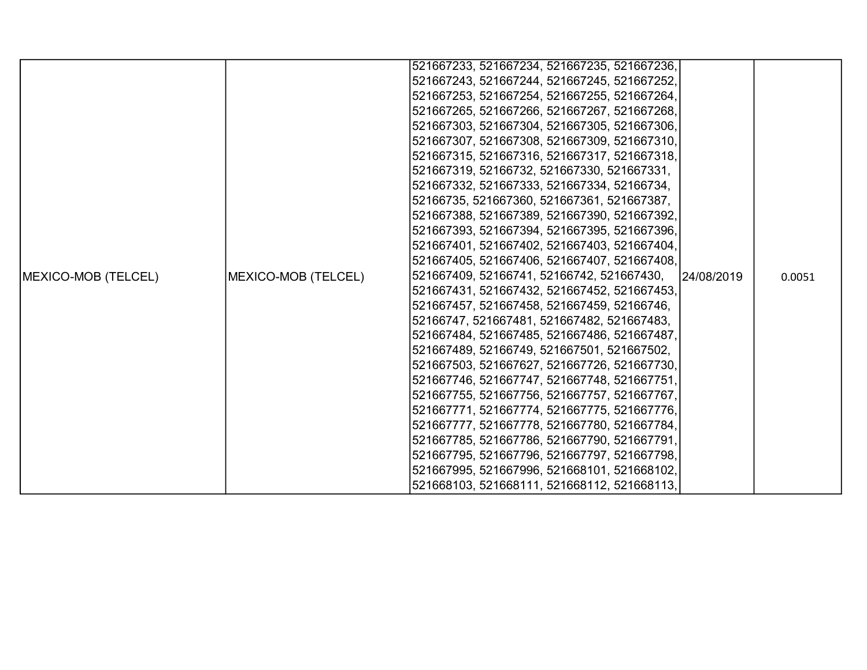|                     |                     | 521667233, 521667234, 521667235, 521667236, |            |        |
|---------------------|---------------------|---------------------------------------------|------------|--------|
|                     |                     | 521667243, 521667244, 521667245, 521667252, |            |        |
|                     |                     | 521667253, 521667254, 521667255, 521667264, |            |        |
|                     |                     | 521667265, 521667266, 521667267, 521667268, |            |        |
|                     |                     | 521667303, 521667304, 521667305, 521667306, |            |        |
|                     |                     | 521667307, 521667308, 521667309, 521667310, |            |        |
|                     |                     | 521667315, 521667316, 521667317, 521667318, |            |        |
|                     |                     | 521667319, 52166732, 521667330, 521667331,  |            |        |
|                     |                     | 521667332, 521667333, 521667334, 52166734,  |            |        |
|                     |                     | 52166735, 521667360, 521667361, 521667387,  |            |        |
|                     |                     | 521667388, 521667389, 521667390, 521667392, |            |        |
|                     |                     | 521667393, 521667394, 521667395, 521667396, |            |        |
|                     |                     | 521667401, 521667402, 521667403, 521667404, |            |        |
|                     |                     | 521667405, 521667406, 521667407, 521667408, |            |        |
| MEXICO-MOB (TELCEL) | MEXICO-MOB (TELCEL) | 521667409, 52166741, 52166742, 521667430,   | 24/08/2019 | 0.0051 |
|                     |                     | 521667431, 521667432, 521667452, 521667453, |            |        |
|                     |                     | 521667457, 521667458, 521667459, 52166746,  |            |        |
|                     |                     | 52166747, 521667481, 521667482, 521667483,  |            |        |
|                     |                     | 521667484, 521667485, 521667486, 521667487, |            |        |
|                     |                     | 521667489, 52166749, 521667501, 521667502,  |            |        |
|                     |                     | 521667503, 521667627, 521667726, 521667730, |            |        |
|                     |                     | 521667746, 521667747, 521667748, 521667751, |            |        |
|                     |                     | 521667755, 521667756, 521667757, 521667767, |            |        |
|                     |                     | 521667771, 521667774, 521667775, 521667776, |            |        |
|                     |                     | 521667777, 521667778, 521667780, 521667784, |            |        |
|                     |                     | 521667785, 521667786, 521667790, 521667791, |            |        |
|                     |                     | 521667795, 521667796, 521667797, 521667798, |            |        |
|                     |                     | 521667995, 521667996, 521668101, 521668102, |            |        |
|                     |                     | 521668103, 521668111, 521668112, 521668113, |            |        |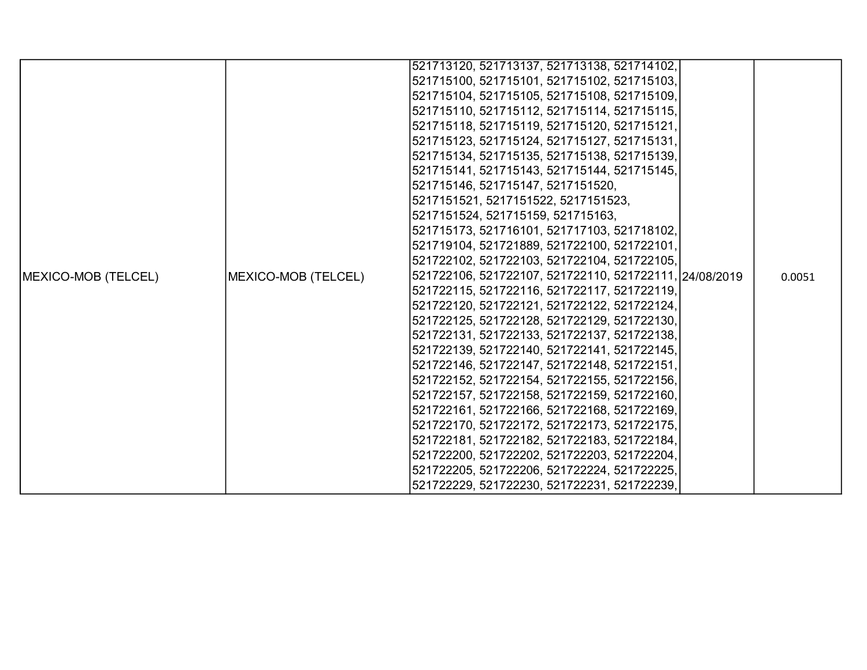|                     |                     | 521713120, 521713137, 521713138, 521714102,            |        |
|---------------------|---------------------|--------------------------------------------------------|--------|
|                     |                     | 521715100, 521715101, 521715102, 521715103,            |        |
|                     |                     | 521715104, 521715105, 521715108, 521715109,            |        |
|                     |                     | 521715110, 521715112, 521715114, 521715115,            |        |
|                     |                     | 521715118, 521715119, 521715120, 521715121,            |        |
|                     |                     | 521715123, 521715124, 521715127, 521715131,            |        |
|                     |                     | 521715134, 521715135, 521715138, 521715139,            |        |
|                     |                     | 521715141, 521715143, 521715144, 521715145,            |        |
|                     |                     | 521715146, 521715147, 5217151520,                      |        |
|                     |                     | 5217151521, 5217151522, 5217151523,                    |        |
|                     |                     | 5217151524, 521715159, 521715163,                      |        |
|                     |                     | 521715173, 521716101, 521717103, 521718102,            |        |
|                     |                     | 521719104, 521721889, 521722100, 521722101,            |        |
|                     |                     | 521722102, 521722103, 521722104, 521722105,            |        |
| MEXICO-MOB (TELCEL) | MEXICO-MOB (TELCEL) | 521722106, 521722107, 521722110, 521722111, 24/08/2019 | 0.0051 |
|                     |                     | 521722115, 521722116, 521722117, 521722119,            |        |
|                     |                     | 521722120, 521722121, 521722122, 521722124,            |        |
|                     |                     | 521722125, 521722128, 521722129, 521722130,            |        |
|                     |                     | 521722131, 521722133, 521722137, 521722138,            |        |
|                     |                     | 521722139, 521722140, 521722141, 521722145,            |        |
|                     |                     | 521722146, 521722147, 521722148, 521722151,            |        |
|                     |                     | 521722152, 521722154, 521722155, 521722156,            |        |
|                     |                     | 521722157, 521722158, 521722159, 521722160,            |        |
|                     |                     | 521722161, 521722166, 521722168, 521722169,            |        |
|                     |                     | 521722170, 521722172, 521722173, 521722175,            |        |
|                     |                     | 521722181, 521722182, 521722183, 521722184,            |        |
|                     |                     | 521722200, 521722202, 521722203, 521722204,            |        |
|                     |                     | 521722205, 521722206, 521722224, 521722225,            |        |
|                     |                     | 521722229, 521722230, 521722231, 521722239,            |        |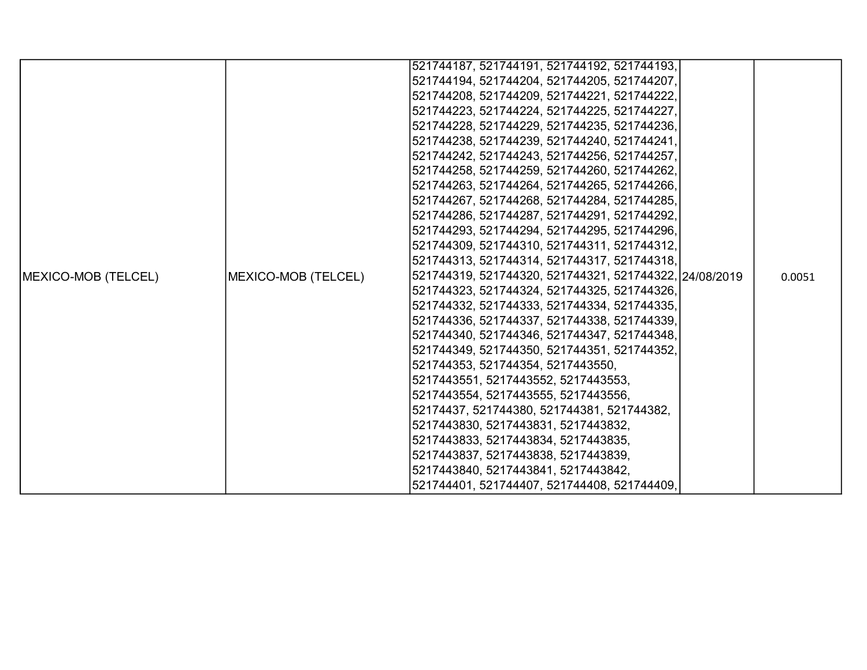|                            |                     | 521744187, 521744191, 521744192, 521744193,            |        |
|----------------------------|---------------------|--------------------------------------------------------|--------|
|                            |                     | 521744194, 521744204, 521744205, 521744207,            |        |
|                            |                     | 521744208, 521744209, 521744221, 521744222,            |        |
|                            |                     | 521744223, 521744224, 521744225, 521744227,            |        |
|                            |                     | 521744228, 521744229, 521744235, 521744236,            |        |
|                            |                     | 521744238, 521744239, 521744240, 521744241,            |        |
|                            |                     | 521744242, 521744243, 521744256, 521744257,            |        |
|                            |                     | 521744258, 521744259, 521744260, 521744262,            |        |
|                            |                     | 521744263, 521744264, 521744265, 521744266,            |        |
|                            |                     | 521744267, 521744268, 521744284, 521744285,            |        |
|                            |                     | 521744286, 521744287, 521744291, 521744292,            |        |
|                            |                     | 521744293, 521744294, 521744295, 521744296,            |        |
|                            |                     | 521744309, 521744310, 521744311, 521744312,            |        |
|                            |                     | 521744313, 521744314, 521744317, 521744318,            |        |
| <b>MEXICO-MOB (TELCEL)</b> | MEXICO-MOB (TELCEL) | 521744319, 521744320, 521744321, 521744322, 24/08/2019 | 0.0051 |
|                            |                     | 521744323, 521744324, 521744325, 521744326,            |        |
|                            |                     | 521744332, 521744333, 521744334, 521744335,            |        |
|                            |                     | 521744336, 521744337, 521744338, 521744339,            |        |
|                            |                     | 521744340, 521744346, 521744347, 521744348,            |        |
|                            |                     | 521744349, 521744350, 521744351, 521744352,            |        |
|                            |                     | 521744353, 521744354, 5217443550,                      |        |
|                            |                     | 5217443551, 5217443552, 5217443553,                    |        |
|                            |                     | 5217443554, 5217443555, 5217443556,                    |        |
|                            |                     | 52174437, 521744380, 521744381, 521744382,             |        |
|                            |                     | 5217443830, 5217443831, 5217443832,                    |        |
|                            |                     | 5217443833, 5217443834, 5217443835,                    |        |
|                            |                     | 5217443837, 5217443838, 5217443839,                    |        |
|                            |                     | 5217443840, 5217443841, 5217443842,                    |        |
|                            |                     | 521744401, 521744407, 521744408, 521744409,            |        |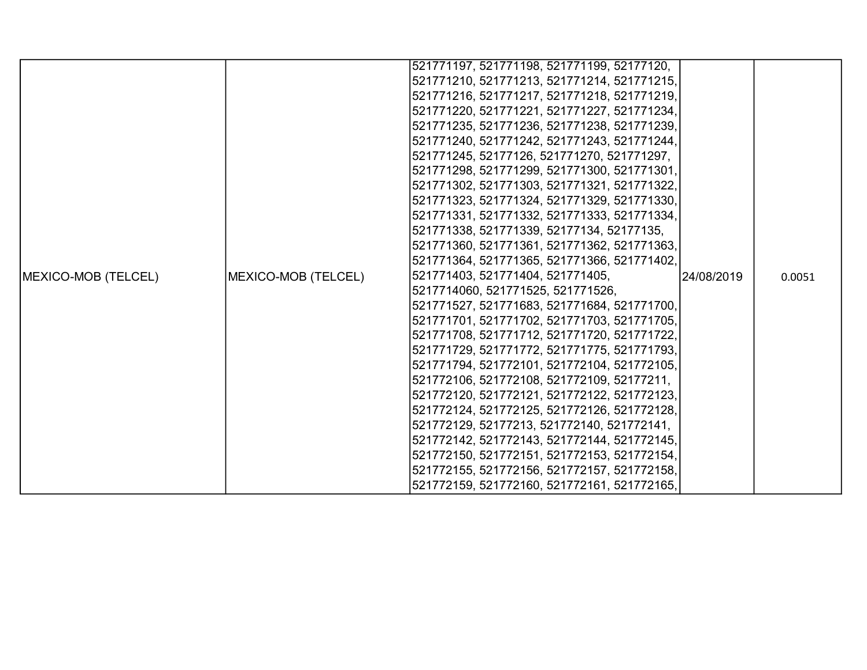|                     |                     | 521771197, 521771198, 521771199, 52177120,  |            |        |
|---------------------|---------------------|---------------------------------------------|------------|--------|
|                     |                     | 521771210, 521771213, 521771214, 521771215, |            |        |
|                     |                     | 521771216, 521771217, 521771218, 521771219, |            |        |
|                     |                     | 521771220, 521771221, 521771227, 521771234, |            |        |
|                     |                     | 521771235, 521771236, 521771238, 521771239, |            |        |
|                     |                     | 521771240, 521771242, 521771243, 521771244, |            |        |
|                     |                     | 521771245, 52177126, 521771270, 521771297,  |            |        |
|                     |                     | 521771298, 521771299, 521771300, 521771301, |            |        |
|                     |                     | 521771302, 521771303, 521771321, 521771322, |            |        |
|                     |                     | 521771323, 521771324, 521771329, 521771330, |            |        |
|                     |                     | 521771331, 521771332, 521771333, 521771334, |            |        |
|                     |                     | 521771338, 521771339, 52177134, 52177135,   |            |        |
|                     |                     | 521771360, 521771361, 521771362, 521771363, |            |        |
|                     |                     | 521771364, 521771365, 521771366, 521771402, |            |        |
| MEXICO-MOB (TELCEL) | MEXICO-MOB (TELCEL) | 521771403, 521771404, 521771405,            | 24/08/2019 | 0.0051 |
|                     |                     | 5217714060, 521771525, 521771526,           |            |        |
|                     |                     | 521771527, 521771683, 521771684, 521771700, |            |        |
|                     |                     | 521771701, 521771702, 521771703, 521771705, |            |        |
|                     |                     | 521771708, 521771712, 521771720, 521771722, |            |        |
|                     |                     | 521771729, 521771772, 521771775, 521771793, |            |        |
|                     |                     | 521771794, 521772101, 521772104, 521772105, |            |        |
|                     |                     | 521772106, 521772108, 521772109, 52177211,  |            |        |
|                     |                     | 521772120, 521772121, 521772122, 521772123, |            |        |
|                     |                     | 521772124, 521772125, 521772126, 521772128, |            |        |
|                     |                     | 521772129, 52177213, 521772140, 521772141,  |            |        |
|                     |                     | 521772142, 521772143, 521772144, 521772145, |            |        |
|                     |                     | 521772150, 521772151, 521772153, 521772154, |            |        |
|                     |                     | 521772155, 521772156, 521772157, 521772158, |            |        |
|                     |                     | 521772159, 521772160, 521772161, 521772165, |            |        |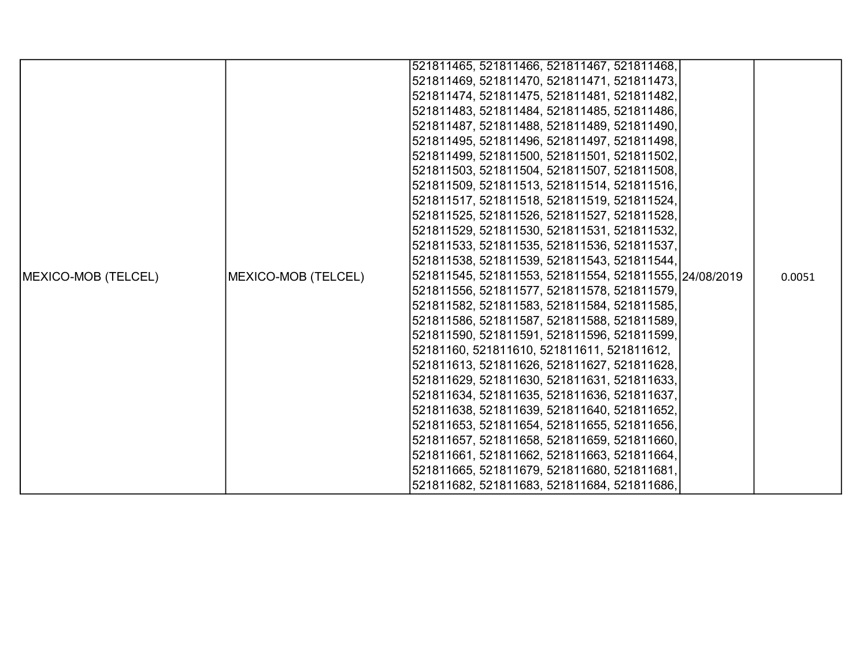|                     |                     | 521811465, 521811466, 521811467, 521811468,            |        |
|---------------------|---------------------|--------------------------------------------------------|--------|
|                     |                     | 521811469, 521811470, 521811471, 521811473,            |        |
|                     |                     | 521811474, 521811475, 521811481, 521811482,            |        |
|                     |                     | 521811483, 521811484, 521811485, 521811486,            |        |
|                     |                     | 521811487, 521811488, 521811489, 521811490,            |        |
|                     |                     | 521811495, 521811496, 521811497, 521811498,            |        |
|                     |                     | 521811499, 521811500, 521811501, 521811502,            |        |
|                     |                     | 521811503, 521811504, 521811507, 521811508,            |        |
|                     |                     | 521811509, 521811513, 521811514, 521811516,            |        |
|                     |                     | 521811517, 521811518, 521811519, 521811524,            |        |
|                     |                     | 521811525, 521811526, 521811527, 521811528,            |        |
|                     |                     | 521811529, 521811530, 521811531, 521811532,            |        |
|                     |                     | 521811533, 521811535, 521811536, 521811537,            |        |
|                     |                     | 521811538, 521811539, 521811543, 521811544,            |        |
| MEXICO-MOB (TELCEL) | MEXICO-MOB (TELCEL) | 521811545, 521811553, 521811554, 521811555, 24/08/2019 | 0.0051 |
|                     |                     | 521811556, 521811577, 521811578, 521811579,            |        |
|                     |                     | 521811582, 521811583, 521811584, 521811585,            |        |
|                     |                     | 521811586, 521811587, 521811588, 521811589,            |        |
|                     |                     | 521811590, 521811591, 521811596, 521811599,            |        |
|                     |                     | 52181160, 521811610, 521811611, 521811612,             |        |
|                     |                     | 521811613, 521811626, 521811627, 521811628,            |        |
|                     |                     | 521811629, 521811630, 521811631, 521811633,            |        |
|                     |                     | 521811634, 521811635, 521811636, 521811637,            |        |
|                     |                     | 521811638, 521811639, 521811640, 521811652,            |        |
|                     |                     | 521811653, 521811654, 521811655, 521811656,            |        |
|                     |                     | 521811657, 521811658, 521811659, 521811660,            |        |
|                     |                     | 521811661, 521811662, 521811663, 521811664,            |        |
|                     |                     | 521811665, 521811679, 521811680, 521811681,            |        |
|                     |                     | 521811682, 521811683, 521811684, 521811686,            |        |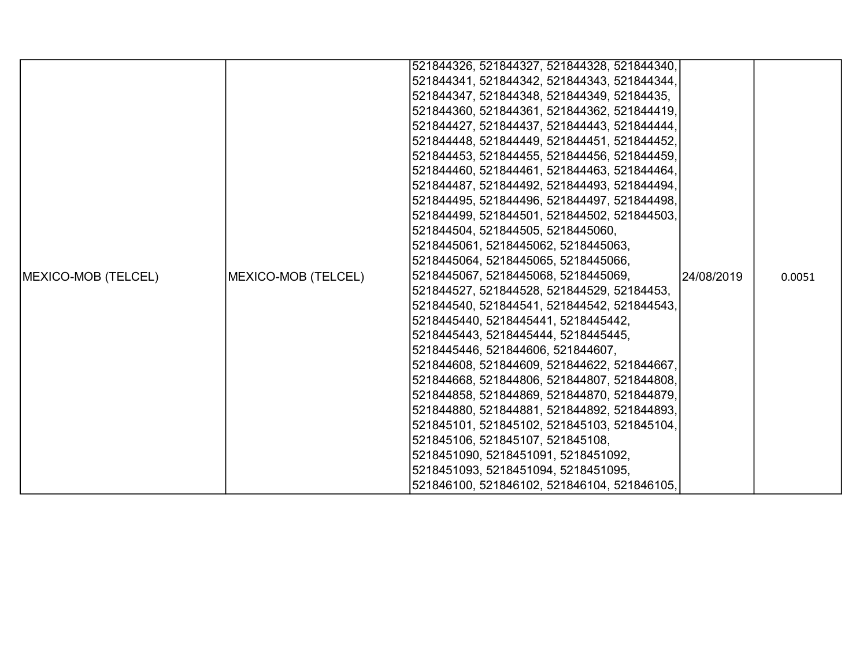|                     |                     | 521844326, 521844327, 521844328, 521844340, |            |        |
|---------------------|---------------------|---------------------------------------------|------------|--------|
|                     |                     | 521844341, 521844342, 521844343, 521844344, |            |        |
|                     |                     | 521844347, 521844348, 521844349, 52184435,  |            |        |
|                     |                     | 521844360, 521844361, 521844362, 521844419, |            |        |
|                     |                     | 521844427, 521844437, 521844443, 521844444, |            |        |
|                     |                     | 521844448, 521844449, 521844451, 521844452, |            |        |
|                     |                     | 521844453, 521844455, 521844456, 521844459, |            |        |
|                     |                     | 521844460, 521844461, 521844463, 521844464, |            |        |
|                     |                     | 521844487, 521844492, 521844493, 521844494, |            |        |
|                     |                     | 521844495, 521844496, 521844497, 521844498, |            |        |
|                     |                     | 521844499, 521844501, 521844502, 521844503, |            |        |
|                     |                     | 521844504, 521844505, 5218445060,           |            |        |
|                     |                     | 5218445061, 5218445062, 5218445063,         |            |        |
|                     |                     | 5218445064, 5218445065, 5218445066,         |            |        |
| MEXICO-MOB (TELCEL) | MEXICO-MOB (TELCEL) | 5218445067, 5218445068, 5218445069,         | 24/08/2019 | 0.0051 |
|                     |                     | 521844527, 521844528, 521844529, 52184453,  |            |        |
|                     |                     | 521844540, 521844541, 521844542, 521844543, |            |        |
|                     |                     | 5218445440, 5218445441, 5218445442,         |            |        |
|                     |                     | 5218445443, 5218445444, 5218445445,         |            |        |
|                     |                     | 5218445446, 521844606, 521844607,           |            |        |
|                     |                     | 521844608, 521844609, 521844622, 521844667, |            |        |
|                     |                     | 521844668, 521844806, 521844807, 521844808, |            |        |
|                     |                     | 521844858, 521844869, 521844870, 521844879, |            |        |
|                     |                     | 521844880, 521844881, 521844892, 521844893, |            |        |
|                     |                     | 521845101, 521845102, 521845103, 521845104, |            |        |
|                     |                     | 521845106, 521845107, 521845108,            |            |        |
|                     |                     | 5218451090, 5218451091, 5218451092,         |            |        |
|                     |                     | 5218451093, 5218451094, 5218451095,         |            |        |
|                     |                     | 521846100, 521846102, 521846104, 521846105, |            |        |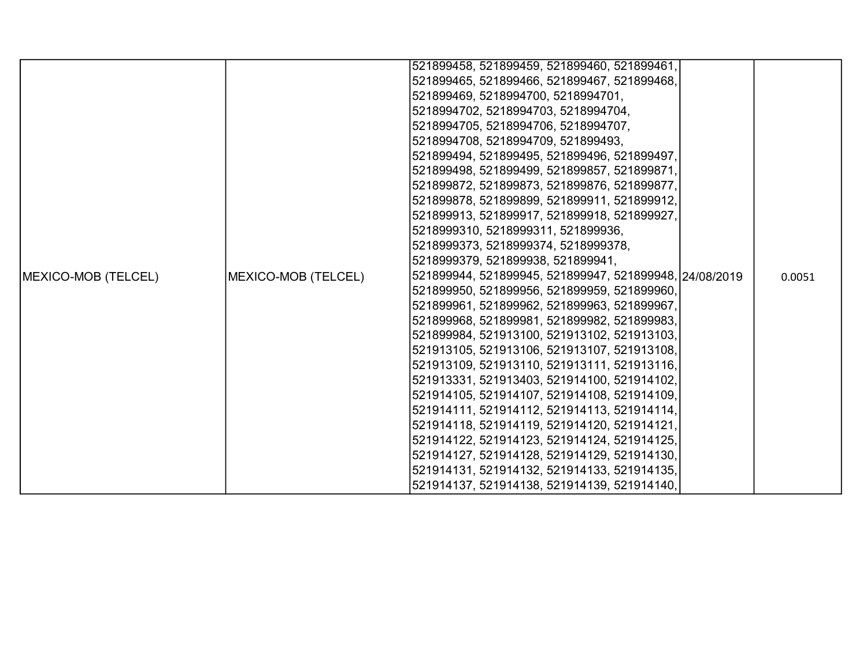|                             |                     | 521899458, 521899459, 521899460, 521899461,            |        |
|-----------------------------|---------------------|--------------------------------------------------------|--------|
|                             |                     | 521899465, 521899466, 521899467, 521899468,            |        |
|                             |                     | 521899469, 5218994700, 5218994701,                     |        |
|                             |                     | 5218994702, 5218994703, 5218994704,                    |        |
|                             |                     | 5218994705, 5218994706, 5218994707,                    |        |
|                             |                     | 5218994708, 5218994709, 521899493,                     |        |
|                             |                     | 521899494, 521899495, 521899496, 521899497,            |        |
|                             |                     | 521899498, 521899499, 521899857, 521899871,            |        |
|                             |                     | 521899872, 521899873, 521899876, 521899877,            |        |
|                             |                     | 521899878, 521899899, 521899911, 521899912,            |        |
|                             |                     | 521899913, 521899917, 521899918, 521899927,            |        |
|                             |                     | 5218999310, 5218999311, 521899936,                     |        |
|                             |                     | 5218999373, 5218999374, 5218999378,                    |        |
|                             |                     | 5218999379, 521899938, 521899941,                      |        |
| <b>IMEXICO-MOB (TELCEL)</b> | MEXICO-MOB (TELCEL) | 521899944, 521899945, 521899947, 521899948, 24/08/2019 | 0.0051 |
|                             |                     | 521899950, 521899956, 521899959, 521899960,            |        |
|                             |                     | 521899961, 521899962, 521899963, 521899967,            |        |
|                             |                     | 521899968, 521899981, 521899982, 521899983,            |        |
|                             |                     | 521899984, 521913100, 521913102, 521913103,            |        |
|                             |                     | 521913105, 521913106, 521913107, 521913108,            |        |
|                             |                     | 521913109, 521913110, 521913111, 521913116,            |        |
|                             |                     | 521913331, 521913403, 521914100, 521914102,            |        |
|                             |                     | 521914105, 521914107, 521914108, 521914109,            |        |
|                             |                     | 521914111, 521914112, 521914113, 521914114,            |        |
|                             |                     | 521914118, 521914119, 521914120, 521914121,            |        |
|                             |                     | 521914122, 521914123, 521914124, 521914125,            |        |
|                             |                     | 521914127, 521914128, 521914129, 521914130,            |        |
|                             |                     | 521914131, 521914132, 521914133, 521914135,            |        |
|                             |                     | 521914137, 521914138, 521914139, 521914140,            |        |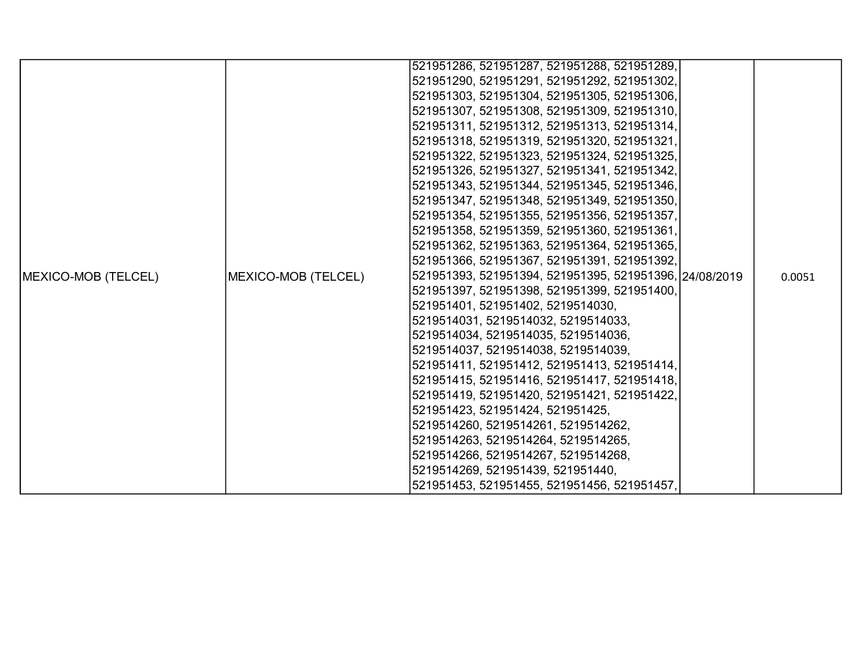|                     |                     | 521951286, 521951287, 521951288, 521951289,            |        |
|---------------------|---------------------|--------------------------------------------------------|--------|
|                     |                     | 521951290, 521951291, 521951292, 521951302,            |        |
|                     |                     | 521951303, 521951304, 521951305, 521951306,            |        |
|                     |                     | 521951307, 521951308, 521951309, 521951310,            |        |
|                     |                     | 521951311, 521951312, 521951313, 521951314,            |        |
|                     |                     | 521951318, 521951319, 521951320, 521951321,            |        |
|                     |                     | 521951322, 521951323, 521951324, 521951325,            |        |
|                     |                     | 521951326, 521951327, 521951341, 521951342,            |        |
|                     |                     | 521951343, 521951344, 521951345, 521951346,            |        |
|                     |                     | 521951347, 521951348, 521951349, 521951350,            |        |
|                     |                     | 521951354, 521951355, 521951356, 521951357,            |        |
|                     |                     | 521951358, 521951359, 521951360, 521951361,            |        |
|                     |                     | 521951362, 521951363, 521951364, 521951365,            |        |
|                     |                     | 521951366, 521951367, 521951391, 521951392,            |        |
| MEXICO-MOB (TELCEL) | MEXICO-MOB (TELCEL) | 521951393, 521951394, 521951395, 521951396, 24/08/2019 | 0.0051 |
|                     |                     | 521951397, 521951398, 521951399, 521951400,            |        |
|                     |                     | 521951401, 521951402, 5219514030,                      |        |
|                     |                     | 5219514031, 5219514032, 5219514033,                    |        |
|                     |                     | 5219514034, 5219514035, 5219514036,                    |        |
|                     |                     | 5219514037, 5219514038, 5219514039,                    |        |
|                     |                     | 521951411, 521951412, 521951413, 521951414,            |        |
|                     |                     | 521951415, 521951416, 521951417, 521951418,            |        |
|                     |                     | 521951419, 521951420, 521951421, 521951422,            |        |
|                     |                     | 521951423, 521951424, 521951425,                       |        |
|                     |                     | 5219514260, 5219514261, 5219514262,                    |        |
|                     |                     | 5219514263, 5219514264, 5219514265,                    |        |
|                     |                     | 5219514266, 5219514267, 5219514268,                    |        |
|                     |                     | 5219514269, 521951439, 521951440,                      |        |
|                     |                     | 521951453, 521951455, 521951456, 521951457,            |        |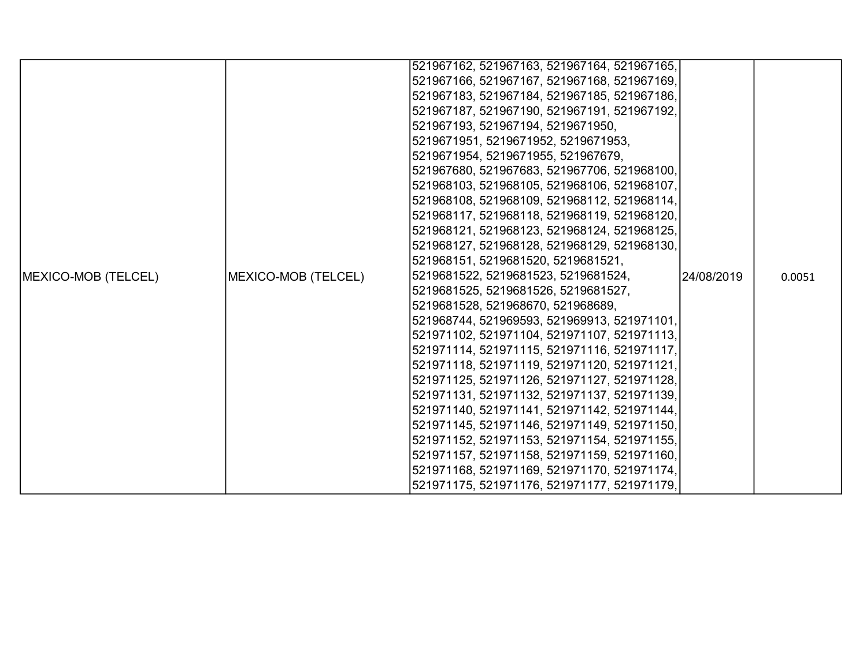|                            |                     | 521967162, 521967163, 521967164, 521967165, |             |        |
|----------------------------|---------------------|---------------------------------------------|-------------|--------|
|                            |                     | 521967166, 521967167, 521967168, 521967169, |             |        |
|                            |                     | 521967183, 521967184, 521967185, 521967186, |             |        |
|                            |                     | 521967187, 521967190, 521967191, 521967192, |             |        |
|                            |                     | 521967193, 521967194, 5219671950,           |             |        |
|                            |                     | 5219671951, 5219671952, 5219671953,         |             |        |
|                            |                     | 5219671954, 5219671955, 521967679,          |             |        |
|                            |                     | 521967680, 521967683, 521967706, 521968100, |             |        |
|                            |                     | 521968103, 521968105, 521968106, 521968107, |             |        |
|                            |                     | 521968108, 521968109, 521968112, 521968114, |             |        |
|                            |                     | 521968117, 521968118, 521968119, 521968120, |             |        |
|                            |                     | 521968121, 521968123, 521968124, 521968125, |             |        |
|                            |                     | 521968127, 521968128, 521968129, 521968130, |             |        |
|                            |                     | 521968151, 5219681520, 5219681521,          |             |        |
| <b>MEXICO-MOB (TELCEL)</b> | MEXICO-MOB (TELCEL) | 5219681522, 5219681523, 5219681524,         | 124/08/2019 | 0.0051 |
|                            |                     | 5219681525, 5219681526, 5219681527,         |             |        |
|                            |                     | 5219681528, 521968670, 521968689,           |             |        |
|                            |                     | 521968744, 521969593, 521969913, 521971101, |             |        |
|                            |                     | 521971102, 521971104, 521971107, 521971113, |             |        |
|                            |                     | 521971114, 521971115, 521971116, 521971117, |             |        |
|                            |                     | 521971118, 521971119, 521971120, 521971121, |             |        |
|                            |                     | 521971125, 521971126, 521971127, 521971128, |             |        |
|                            |                     | 521971131, 521971132, 521971137, 521971139, |             |        |
|                            |                     | 521971140, 521971141, 521971142, 521971144, |             |        |
|                            |                     | 521971145, 521971146, 521971149, 521971150, |             |        |
|                            |                     | 521971152, 521971153, 521971154, 521971155, |             |        |
|                            |                     | 521971157, 521971158, 521971159, 521971160, |             |        |
|                            |                     | 521971168, 521971169, 521971170, 521971174, |             |        |
|                            |                     | 521971175, 521971176, 521971177, 521971179, |             |        |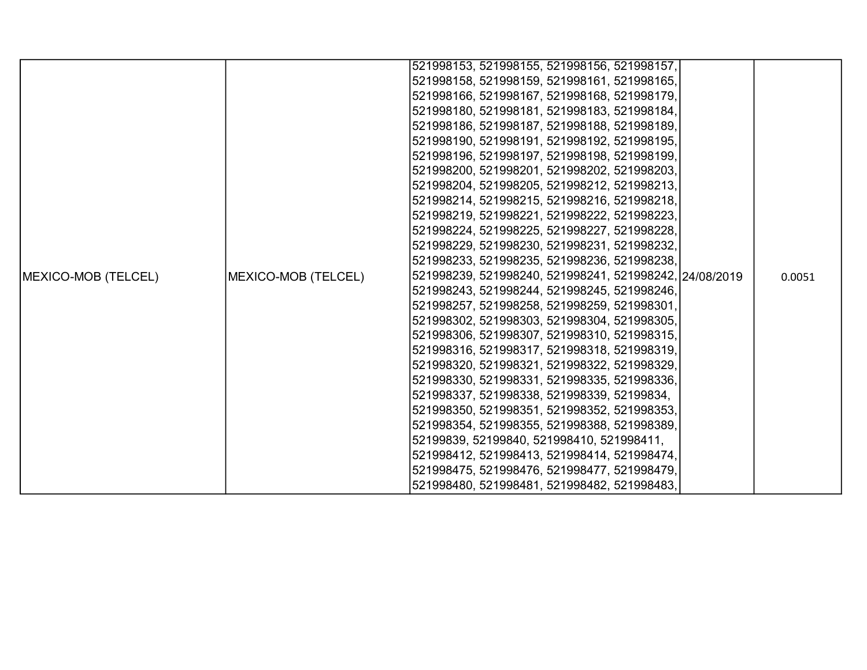|                     |                     | 521998153, 521998155, 521998156, 521998157,            |  |        |
|---------------------|---------------------|--------------------------------------------------------|--|--------|
|                     |                     | 521998158, 521998159, 521998161, 521998165,            |  |        |
|                     |                     | 521998166, 521998167, 521998168, 521998179,            |  |        |
|                     |                     | 521998180, 521998181, 521998183, 521998184,            |  |        |
|                     |                     | 521998186, 521998187, 521998188, 521998189,            |  |        |
|                     |                     | 521998190, 521998191, 521998192, 521998195,            |  |        |
|                     |                     | 521998196, 521998197, 521998198, 521998199,            |  |        |
|                     |                     | 521998200, 521998201, 521998202, 521998203,            |  |        |
|                     |                     | 521998204, 521998205, 521998212, 521998213,            |  |        |
|                     |                     | 521998214, 521998215, 521998216, 521998218,            |  |        |
|                     |                     | 521998219, 521998221, 521998222, 521998223,            |  |        |
|                     |                     | 521998224, 521998225, 521998227, 521998228,            |  |        |
|                     |                     | 521998229, 521998230, 521998231, 521998232,            |  |        |
|                     |                     | 521998233, 521998235, 521998236, 521998238,            |  |        |
| MEXICO-MOB (TELCEL) | MEXICO-MOB (TELCEL) | 521998239, 521998240, 521998241, 521998242, 24/08/2019 |  | 0.0051 |
|                     |                     | 521998243, 521998244, 521998245, 521998246,            |  |        |
|                     |                     | 521998257, 521998258, 521998259, 521998301,            |  |        |
|                     |                     | 521998302, 521998303, 521998304, 521998305,            |  |        |
|                     |                     | 521998306, 521998307, 521998310, 521998315,            |  |        |
|                     |                     | 521998316, 521998317, 521998318, 521998319,            |  |        |
|                     |                     | 521998320, 521998321, 521998322, 521998329,            |  |        |
|                     |                     | 521998330, 521998331, 521998335, 521998336,            |  |        |
|                     |                     | 521998337, 521998338, 521998339, 52199834,             |  |        |
|                     |                     | 521998350, 521998351, 521998352, 521998353,            |  |        |
|                     |                     | 521998354, 521998355, 521998388, 521998389,            |  |        |
|                     |                     | 52199839, 52199840, 521998410, 521998411,              |  |        |
|                     |                     | 521998412, 521998413, 521998414, 521998474,            |  |        |
|                     |                     | 521998475, 521998476, 521998477, 521998479,            |  |        |
|                     |                     | 521998480, 521998481, 521998482, 521998483,            |  |        |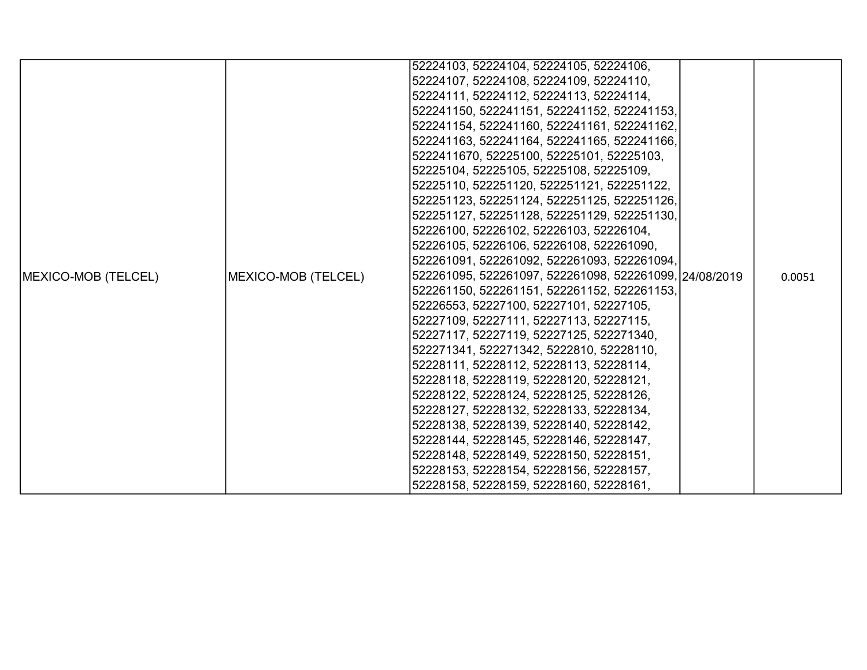|                            |                     | 52224103, 52224104, 52224105, 52224106,                |        |
|----------------------------|---------------------|--------------------------------------------------------|--------|
|                            |                     | 52224107, 52224108, 52224109, 52224110,                |        |
|                            |                     | 52224111, 52224112, 52224113, 52224114,                |        |
|                            |                     | 522241150, 522241151, 522241152, 522241153,            |        |
|                            |                     | 522241154, 522241160, 522241161, 522241162,            |        |
|                            |                     | 522241163, 522241164, 522241165, 522241166,            |        |
|                            |                     | 5222411670, 52225100, 52225101, 52225103,              |        |
|                            |                     | 52225104, 52225105, 52225108, 52225109,                |        |
|                            |                     | 52225110, 522251120, 522251121, 522251122,             |        |
|                            |                     | 522251123, 522251124, 522251125, 522251126,            |        |
|                            |                     | 522251127, 522251128, 522251129, 522251130,            |        |
|                            |                     | 52226100, 52226102, 52226103, 52226104,                |        |
|                            |                     | 52226105, 52226106, 52226108, 522261090,               |        |
|                            |                     | 522261091, 522261092, 522261093, 522261094,            |        |
| <b>MEXICO-MOB (TELCEL)</b> | MEXICO-MOB (TELCEL) | 522261095, 522261097, 522261098, 522261099, 24/08/2019 | 0.0051 |
|                            |                     | 522261150, 522261151, 522261152, 522261153,            |        |
|                            |                     | 52226553, 52227100, 52227101, 52227105,                |        |
|                            |                     | 52227109, 52227111, 52227113, 52227115,                |        |
|                            |                     | 52227117, 52227119, 52227125, 522271340,               |        |
|                            |                     | 522271341, 522271342, 5222810, 52228110,               |        |
|                            |                     | 52228111, 52228112, 52228113, 52228114,                |        |
|                            |                     | 52228118, 52228119, 52228120, 52228121,                |        |
|                            |                     | 52228122, 52228124, 52228125, 52228126,                |        |
|                            |                     | 52228127, 52228132, 52228133, 52228134,                |        |
|                            |                     | 52228138, 52228139, 52228140, 52228142,                |        |
|                            |                     | 52228144, 52228145, 52228146, 52228147,                |        |
|                            |                     | 52228148, 52228149, 52228150, 52228151,                |        |
|                            |                     | 52228153, 52228154, 52228156, 52228157,                |        |
|                            |                     | 52228158, 52228159, 52228160, 52228161,                |        |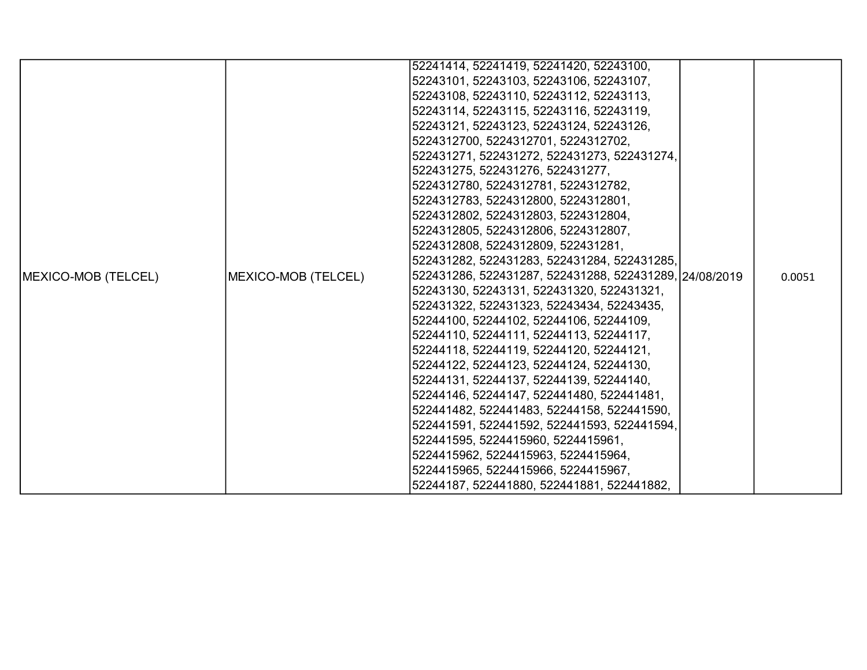|                     |                     | 52241414, 52241419, 52241420, 52243100,                |        |
|---------------------|---------------------|--------------------------------------------------------|--------|
|                     |                     | 52243101, 52243103, 52243106, 52243107,                |        |
|                     |                     | 52243108, 52243110, 52243112, 52243113,                |        |
|                     |                     | 52243114, 52243115, 52243116, 52243119,                |        |
|                     |                     | 52243121, 52243123, 52243124, 52243126,                |        |
|                     |                     | 5224312700, 5224312701, 5224312702,                    |        |
|                     |                     | 522431271, 522431272, 522431273, 522431274,            |        |
|                     |                     | 522431275, 522431276, 522431277,                       |        |
|                     |                     | 5224312780, 5224312781, 5224312782,                    |        |
|                     |                     | 5224312783, 5224312800, 5224312801,                    |        |
|                     |                     | 5224312802, 5224312803, 5224312804,                    |        |
|                     |                     | 5224312805, 5224312806, 5224312807,                    |        |
|                     |                     | 5224312808, 5224312809, 522431281,                     |        |
|                     |                     | 522431282, 522431283, 522431284, 522431285,            |        |
| MEXICO-MOB (TELCEL) | MEXICO-MOB (TELCEL) | 522431286, 522431287, 522431288, 522431289, 24/08/2019 | 0.0051 |
|                     |                     | 52243130, 52243131, 522431320, 522431321,              |        |
|                     |                     | 522431322, 522431323, 52243434, 52243435,              |        |
|                     |                     | 52244100, 52244102, 52244106, 52244109,                |        |
|                     |                     | 52244110, 52244111, 52244113, 52244117,                |        |
|                     |                     | 52244118, 52244119, 52244120, 52244121,                |        |
|                     |                     | 52244122, 52244123, 52244124, 52244130,                |        |
|                     |                     | 52244131, 52244137, 52244139, 52244140,                |        |
|                     |                     | 52244146, 52244147, 522441480, 522441481,              |        |
|                     |                     | 522441482, 522441483, 52244158, 522441590,             |        |
|                     |                     | 522441591, 522441592, 522441593, 522441594,            |        |
|                     |                     | 522441595, 5224415960, 5224415961,                     |        |
|                     |                     | 5224415962, 5224415963, 5224415964,                    |        |
|                     |                     | 5224415965, 5224415966, 5224415967,                    |        |
|                     |                     | 52244187, 522441880, 522441881, 522441882,             |        |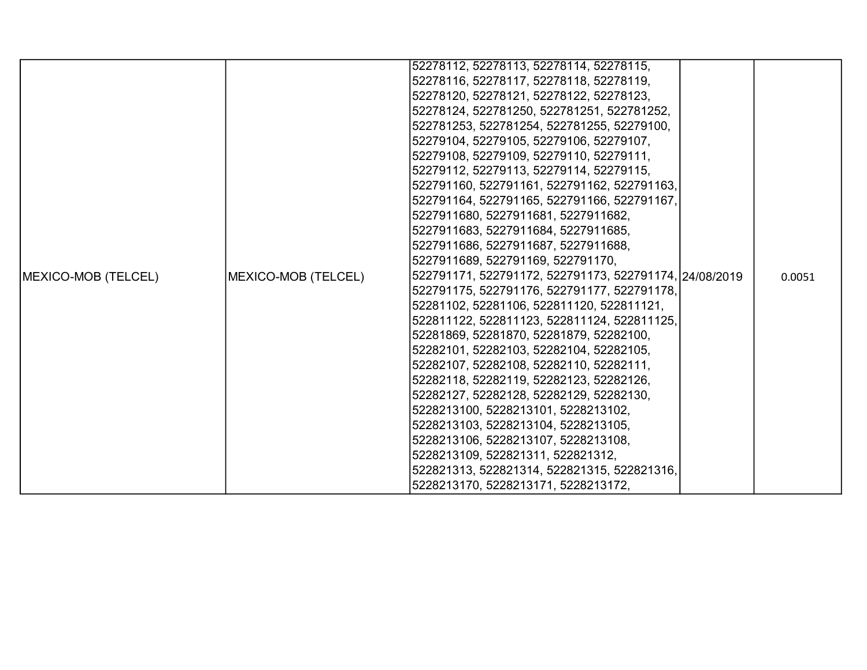|                     |                     | 52278112, 52278113, 52278114, 52278115,                |        |
|---------------------|---------------------|--------------------------------------------------------|--------|
|                     |                     | 52278116, 52278117, 52278118, 52278119,                |        |
|                     |                     | 52278120, 52278121, 52278122, 52278123,                |        |
|                     |                     | 52278124, 522781250, 522781251, 522781252,             |        |
|                     |                     | 522781253, 522781254, 522781255, 52279100,             |        |
|                     |                     | 52279104, 52279105, 52279106, 52279107,                |        |
|                     |                     | 52279108, 52279109, 52279110, 52279111,                |        |
|                     |                     | 52279112, 52279113, 52279114, 52279115,                |        |
|                     |                     | 522791160, 522791161, 522791162, 522791163,            |        |
|                     |                     | 522791164, 522791165, 522791166, 522791167,            |        |
|                     |                     | 5227911680, 5227911681, 5227911682,                    |        |
|                     |                     | 5227911683, 5227911684, 5227911685,                    |        |
|                     |                     | 5227911686, 5227911687, 5227911688,                    |        |
|                     |                     | 5227911689, 522791169, 522791170,                      |        |
| MEXICO-MOB (TELCEL) | MEXICO-MOB (TELCEL) | 522791171, 522791172, 522791173, 522791174, 24/08/2019 | 0.0051 |
|                     |                     | 522791175, 522791176, 522791177, 522791178,            |        |
|                     |                     | 52281102, 52281106, 522811120, 522811121,              |        |
|                     |                     | 522811122, 522811123, 522811124, 522811125,            |        |
|                     |                     | 52281869, 52281870, 52281879, 52282100,                |        |
|                     |                     | 52282101, 52282103, 52282104, 52282105,                |        |
|                     |                     | 52282107, 52282108, 52282110, 52282111,                |        |
|                     |                     | 52282118, 52282119, 52282123, 52282126,                |        |
|                     |                     | 52282127, 52282128, 52282129, 52282130,                |        |
|                     |                     | 5228213100, 5228213101, 5228213102,                    |        |
|                     |                     | 5228213103, 5228213104, 5228213105,                    |        |
|                     |                     | 5228213106, 5228213107, 5228213108,                    |        |
|                     |                     | 5228213109, 522821311, 522821312,                      |        |
|                     |                     | 522821313, 522821314, 522821315, 522821316,            |        |
|                     |                     | 5228213170, 5228213171, 5228213172,                    |        |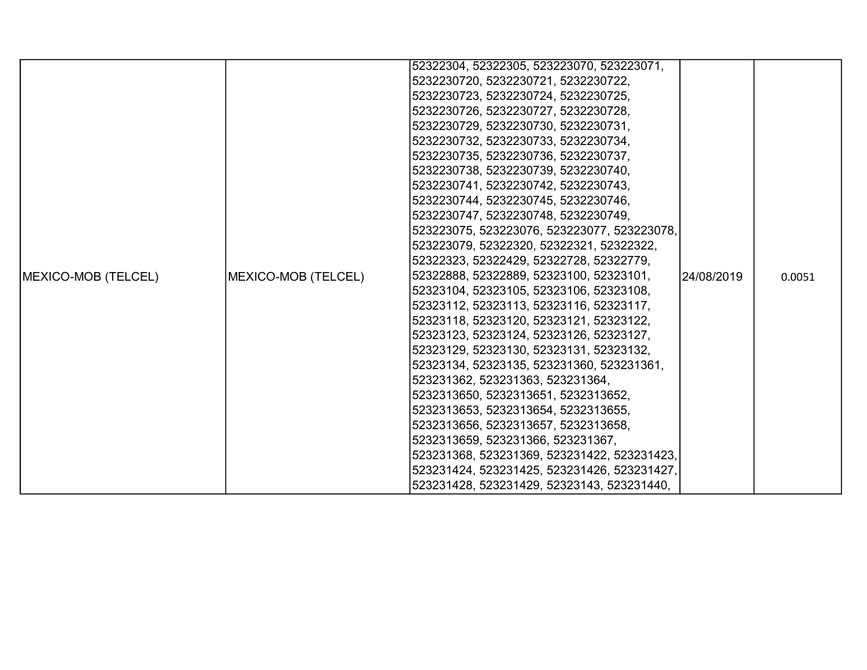|                     |                     | 52322304, 52322305, 523223070, 523223071,   |             |        |
|---------------------|---------------------|---------------------------------------------|-------------|--------|
|                     |                     | 5232230720, 5232230721, 5232230722,         |             |        |
|                     |                     | 5232230723, 5232230724, 5232230725,         |             |        |
|                     |                     | 5232230726, 5232230727, 5232230728,         |             |        |
|                     |                     | 5232230729, 5232230730, 5232230731,         |             |        |
|                     |                     | 5232230732, 5232230733, 5232230734,         |             |        |
|                     |                     | 5232230735, 5232230736, 5232230737,         |             |        |
|                     |                     | 5232230738, 5232230739, 5232230740,         |             |        |
|                     |                     | 5232230741, 5232230742, 5232230743,         |             |        |
|                     |                     | 5232230744, 5232230745, 5232230746,         |             |        |
|                     |                     | 5232230747, 5232230748, 5232230749,         |             |        |
|                     |                     | 523223075, 523223076, 523223077, 523223078, |             |        |
|                     |                     | 523223079, 52322320, 52322321, 52322322,    |             |        |
|                     |                     | 52322323, 52322429, 52322728, 52322779,     |             |        |
| MEXICO-MOB (TELCEL) | MEXICO-MOB (TELCEL) | 52322888, 52322889, 52323100, 52323101,     | l24/08/2019 | 0.0051 |
|                     |                     | 52323104, 52323105, 52323106, 52323108,     |             |        |
|                     |                     | 52323112, 52323113, 52323116, 52323117,     |             |        |
|                     |                     | 52323118, 52323120, 52323121, 52323122,     |             |        |
|                     |                     | 52323123, 52323124, 52323126, 52323127,     |             |        |
|                     |                     | 52323129, 52323130, 52323131, 52323132,     |             |        |
|                     |                     | 52323134, 52323135, 523231360, 523231361,   |             |        |
|                     |                     | 523231362, 523231363, 523231364,            |             |        |
|                     |                     | 5232313650, 5232313651, 5232313652,         |             |        |
|                     |                     | 5232313653, 5232313654, 5232313655,         |             |        |
|                     |                     | 5232313656, 5232313657, 5232313658,         |             |        |
|                     |                     | 5232313659, 523231366, 523231367,           |             |        |
|                     |                     | 523231368, 523231369, 523231422, 523231423, |             |        |
|                     |                     | 523231424, 523231425, 523231426, 523231427, |             |        |
|                     |                     | 523231428, 523231429, 52323143, 523231440,  |             |        |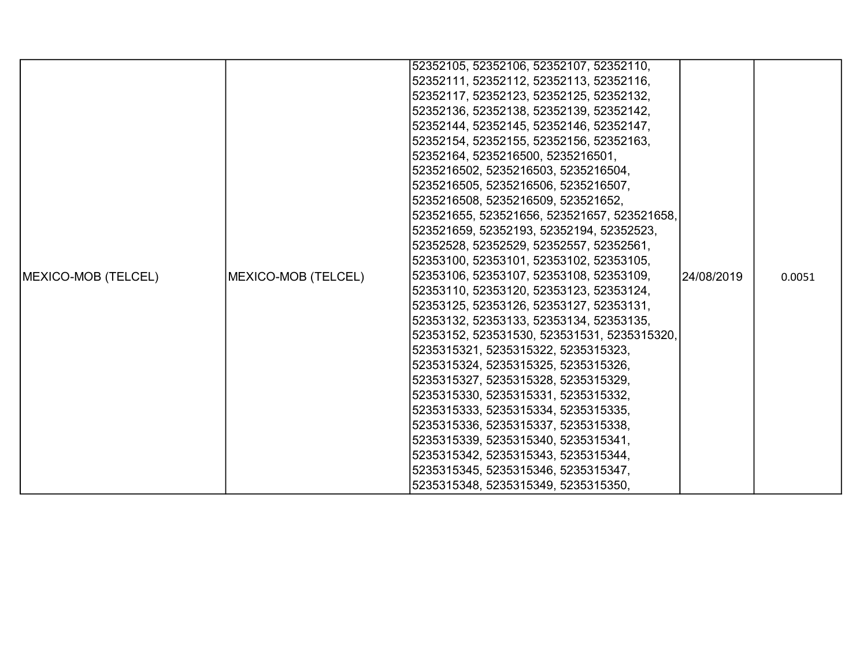|                             |                     | 52352105, 52352106, 52352107, 52352110,     |             |        |
|-----------------------------|---------------------|---------------------------------------------|-------------|--------|
|                             |                     | 52352111, 52352112, 52352113, 52352116,     |             |        |
|                             |                     | 52352117, 52352123, 52352125, 52352132,     |             |        |
|                             |                     | 52352136, 52352138, 52352139, 52352142,     |             |        |
|                             |                     | 52352144, 52352145, 52352146, 52352147,     |             |        |
|                             |                     | 52352154, 52352155, 52352156, 52352163,     |             |        |
|                             |                     | 52352164, 5235216500, 5235216501,           |             |        |
|                             |                     | 5235216502, 5235216503, 5235216504,         |             |        |
|                             |                     | 5235216505, 5235216506, 5235216507,         |             |        |
|                             |                     | 5235216508, 5235216509, 523521652,          |             |        |
|                             |                     | 523521655, 523521656, 523521657, 523521658, |             |        |
|                             |                     | 523521659, 52352193, 52352194, 52352523,    |             |        |
|                             |                     | 52352528, 52352529, 52352557, 52352561,     |             |        |
|                             |                     | 52353100, 52353101, 52353102, 52353105,     |             |        |
| <b>IMEXICO-MOB (TELCEL)</b> | MEXICO-MOB (TELCEL) | 52353106, 52353107, 52353108, 52353109,     | 124/08/2019 | 0.0051 |
|                             |                     | 52353110, 52353120, 52353123, 52353124,     |             |        |
|                             |                     | 52353125, 52353126, 52353127, 52353131,     |             |        |
|                             |                     | 52353132, 52353133, 52353134, 52353135,     |             |        |
|                             |                     | 52353152, 523531530, 523531531, 5235315320, |             |        |
|                             |                     | 5235315321, 5235315322, 5235315323,         |             |        |
|                             |                     | 5235315324, 5235315325, 5235315326,         |             |        |
|                             |                     | 5235315327, 5235315328, 5235315329,         |             |        |
|                             |                     | 5235315330, 5235315331, 5235315332,         |             |        |
|                             |                     | 5235315333, 5235315334, 5235315335,         |             |        |
|                             |                     | 5235315336, 5235315337, 5235315338,         |             |        |
|                             |                     | 5235315339, 5235315340, 5235315341,         |             |        |
|                             |                     | 5235315342, 5235315343, 5235315344,         |             |        |
|                             |                     | 5235315345, 5235315346, 5235315347,         |             |        |
|                             |                     | 5235315348, 5235315349, 5235315350,         |             |        |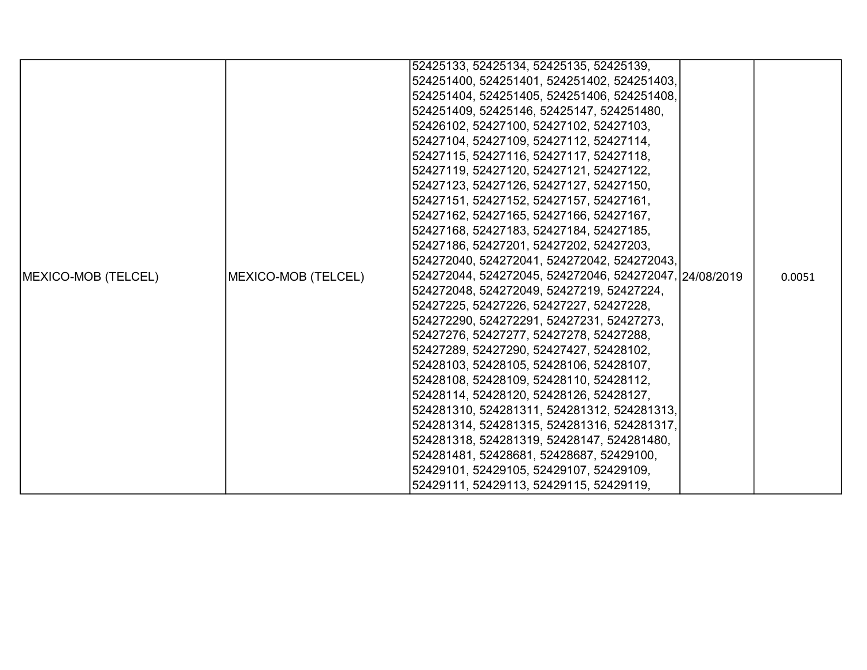|                     |                     | 52425133, 52425134, 52425135, 52425139,                |  |        |
|---------------------|---------------------|--------------------------------------------------------|--|--------|
|                     |                     | 524251400, 524251401, 524251402, 524251403,            |  |        |
|                     |                     | 524251404, 524251405, 524251406, 524251408,            |  |        |
|                     |                     | 524251409, 52425146, 52425147, 524251480,              |  |        |
|                     |                     | 52426102, 52427100, 52427102, 52427103,                |  |        |
|                     |                     | 52427104, 52427109, 52427112, 52427114,                |  |        |
|                     |                     | 52427115, 52427116, 52427117, 52427118,                |  |        |
|                     |                     | 52427119, 52427120, 52427121, 52427122,                |  |        |
|                     |                     | 52427123, 52427126, 52427127, 52427150,                |  |        |
|                     |                     | 52427151, 52427152, 52427157, 52427161,                |  |        |
|                     |                     | 52427162, 52427165, 52427166, 52427167,                |  |        |
|                     |                     | 52427168, 52427183, 52427184, 52427185,                |  |        |
|                     |                     | 52427186, 52427201, 52427202, 52427203,                |  |        |
|                     |                     | 524272040, 524272041, 524272042, 524272043,            |  |        |
| MEXICO-MOB (TELCEL) | MEXICO-MOB (TELCEL) | 524272044, 524272045, 524272046, 524272047, 24/08/2019 |  | 0.0051 |
|                     |                     | 524272048, 524272049, 52427219, 52427224,              |  |        |
|                     |                     | 52427225, 52427226, 52427227, 52427228,                |  |        |
|                     |                     | 524272290, 524272291, 52427231, 52427273,              |  |        |
|                     |                     | 52427276, 52427277, 52427278, 52427288,                |  |        |
|                     |                     | 52427289, 52427290, 52427427, 52428102,                |  |        |
|                     |                     | 52428103, 52428105, 52428106, 52428107,                |  |        |
|                     |                     | 52428108, 52428109, 52428110, 52428112,                |  |        |
|                     |                     | 52428114, 52428120, 52428126, 52428127,                |  |        |
|                     |                     | 524281310, 524281311, 524281312, 524281313,            |  |        |
|                     |                     | 524281314, 524281315, 524281316, 524281317,            |  |        |
|                     |                     | 524281318, 524281319, 52428147, 524281480,             |  |        |
|                     |                     | 524281481, 52428681, 52428687, 52429100,               |  |        |
|                     |                     | 52429101, 52429105, 52429107, 52429109,                |  |        |
|                     |                     | 52429111, 52429113, 52429115, 52429119,                |  |        |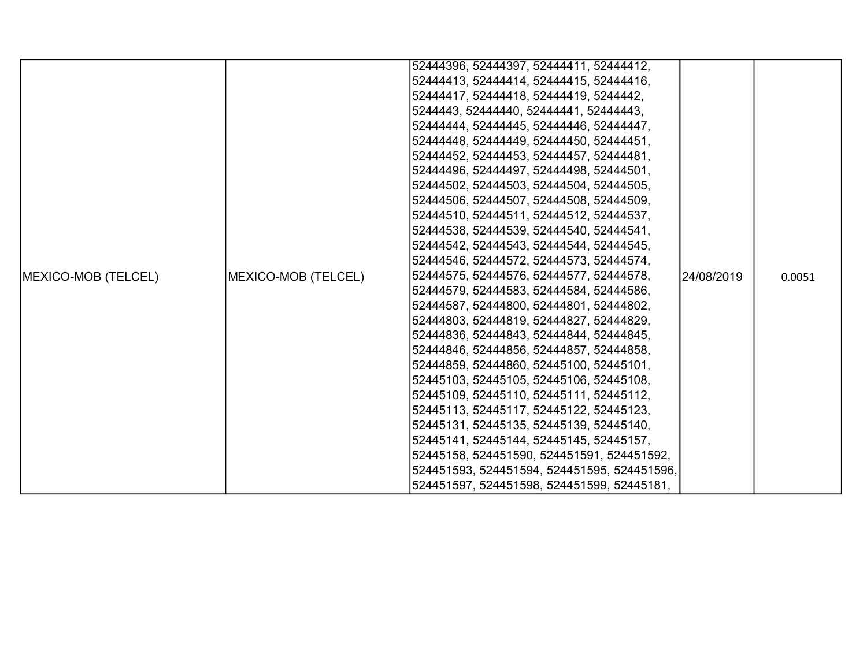|                     |                     | 52444396, 52444397, 52444411, 52444412,     |            |        |
|---------------------|---------------------|---------------------------------------------|------------|--------|
|                     |                     | 52444413, 52444414, 52444415, 52444416,     |            |        |
|                     |                     | 52444417, 52444418, 52444419, 5244442,      |            |        |
|                     |                     | 5244443, 52444440, 52444441, 52444443,      |            |        |
|                     |                     | 52444444, 52444445, 52444446, 52444447,     |            |        |
|                     |                     | 52444448, 52444449, 52444450, 52444451,     |            |        |
|                     |                     | 52444452, 52444453, 52444457, 52444481,     |            |        |
|                     |                     | 52444496, 52444497, 52444498, 52444501,     |            |        |
|                     |                     | 52444502, 52444503, 52444504, 52444505,     |            |        |
|                     |                     | 52444506, 52444507, 52444508, 52444509,     |            |        |
|                     |                     | 52444510, 52444511, 52444512, 52444537,     |            |        |
|                     |                     | 52444538, 52444539, 52444540, 52444541,     |            |        |
|                     |                     | 52444542, 52444543, 52444544, 52444545,     |            |        |
|                     |                     | 52444546, 52444572, 52444573, 52444574,     |            |        |
| MEXICO-MOB (TELCEL) | MEXICO-MOB (TELCEL) | 52444575, 52444576, 52444577, 52444578,     | 24/08/2019 | 0.0051 |
|                     |                     | 52444579, 52444583, 52444584, 52444586,     |            |        |
|                     |                     | 52444587, 52444800, 52444801, 52444802,     |            |        |
|                     |                     | 52444803, 52444819, 52444827, 52444829,     |            |        |
|                     |                     | 52444836, 52444843, 52444844, 52444845,     |            |        |
|                     |                     | 52444846, 52444856, 52444857, 52444858,     |            |        |
|                     |                     | 52444859, 52444860, 52445100, 52445101,     |            |        |
|                     |                     | 52445103, 52445105, 52445106, 52445108,     |            |        |
|                     |                     | 52445109, 52445110, 52445111, 52445112,     |            |        |
|                     |                     | 52445113, 52445117, 52445122, 52445123,     |            |        |
|                     |                     | 52445131, 52445135, 52445139, 52445140,     |            |        |
|                     |                     | 52445141, 52445144, 52445145, 52445157,     |            |        |
|                     |                     | 52445158, 524451590, 524451591, 524451592,  |            |        |
|                     |                     | 524451593, 524451594, 524451595, 524451596, |            |        |
|                     |                     | 524451597, 524451598, 524451599, 52445181,  |            |        |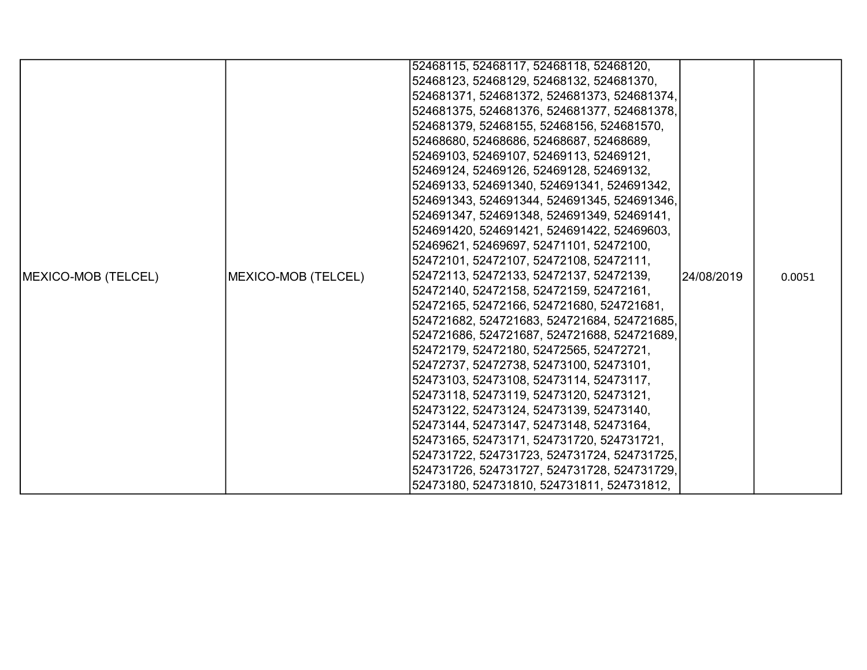|                     |                     | 52468115, 52468117, 52468118, 52468120,     |            |        |
|---------------------|---------------------|---------------------------------------------|------------|--------|
|                     |                     | 52468123, 52468129, 52468132, 524681370,    |            |        |
|                     |                     | 524681371, 524681372, 524681373, 524681374, |            |        |
|                     |                     | 524681375, 524681376, 524681377, 524681378, |            |        |
|                     |                     | 524681379, 52468155, 52468156, 524681570,   |            |        |
|                     |                     | 52468680, 52468686, 52468687, 52468689,     |            |        |
|                     |                     | 52469103, 52469107, 52469113, 52469121,     |            |        |
|                     |                     | 52469124, 52469126, 52469128, 52469132,     |            |        |
|                     |                     | 52469133, 524691340, 524691341, 524691342,  |            |        |
|                     |                     | 524691343, 524691344, 524691345, 524691346, |            |        |
|                     |                     | 524691347, 524691348, 524691349, 52469141,  |            |        |
|                     |                     | 524691420, 524691421, 524691422, 52469603,  |            |        |
|                     |                     | 52469621, 52469697, 52471101, 52472100,     |            |        |
|                     |                     | 52472101, 52472107, 52472108, 52472111,     |            |        |
| MEXICO-MOB (TELCEL) | MEXICO-MOB (TELCEL) | 52472113, 52472133, 52472137, 52472139,     | 24/08/2019 | 0.0051 |
|                     |                     | 52472140, 52472158, 52472159, 52472161,     |            |        |
|                     |                     | 52472165, 52472166, 524721680, 524721681,   |            |        |
|                     |                     | 524721682, 524721683, 524721684, 524721685, |            |        |
|                     |                     | 524721686, 524721687, 524721688, 524721689, |            |        |
|                     |                     | 52472179, 52472180, 52472565, 52472721,     |            |        |
|                     |                     | 52472737, 52472738, 52473100, 52473101,     |            |        |
|                     |                     | 52473103, 52473108, 52473114, 52473117,     |            |        |
|                     |                     | 52473118, 52473119, 52473120, 52473121,     |            |        |
|                     |                     | 52473122, 52473124, 52473139, 52473140,     |            |        |
|                     |                     | 52473144, 52473147, 52473148, 52473164,     |            |        |
|                     |                     | 52473165, 52473171, 524731720, 524731721,   |            |        |
|                     |                     | 524731722, 524731723, 524731724, 524731725, |            |        |
|                     |                     | 524731726, 524731727, 524731728, 524731729, |            |        |
|                     |                     | 52473180, 524731810, 524731811, 524731812,  |            |        |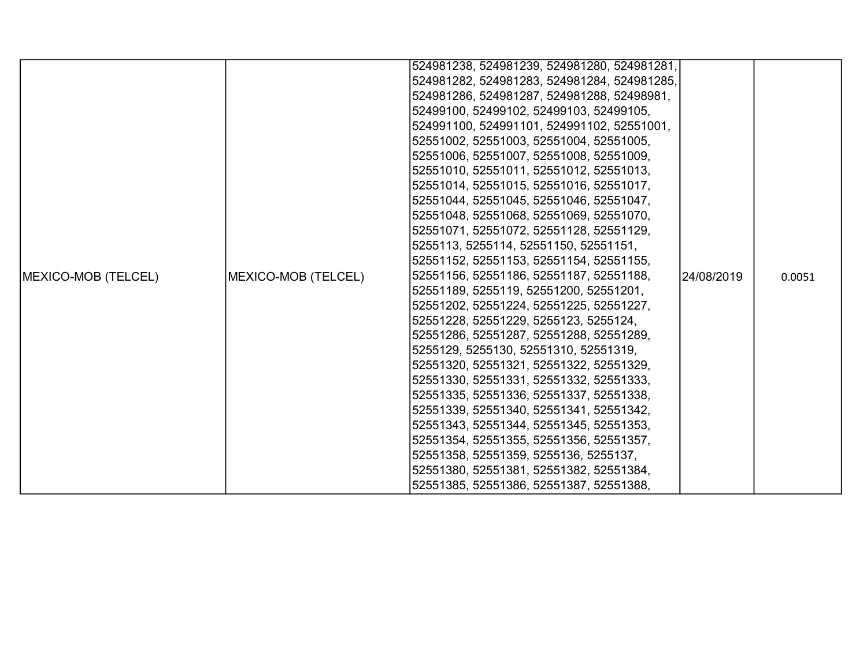|                             |                                                                                    | 524981238, 524981239, 524981280, 524981281, |             |        |
|-----------------------------|------------------------------------------------------------------------------------|---------------------------------------------|-------------|--------|
|                             |                                                                                    |                                             |             |        |
|                             |                                                                                    | 524981282, 524981283, 524981284, 524981285, |             |        |
|                             |                                                                                    | 524981286, 524981287, 524981288, 52498981,  |             |        |
|                             |                                                                                    | 52499100, 52499102, 52499103, 52499105,     |             |        |
|                             |                                                                                    | 524991100, 524991101, 524991102, 52551001,  |             |        |
|                             |                                                                                    | 52551002, 52551003, 52551004, 52551005,     |             |        |
|                             |                                                                                    | 52551006, 52551007, 52551008, 52551009,     |             |        |
|                             |                                                                                    | 52551010, 52551011, 52551012, 52551013,     |             |        |
|                             |                                                                                    | 52551014, 52551015, 52551016, 52551017,     |             |        |
|                             |                                                                                    | 52551044, 52551045, 52551046, 52551047,     |             |        |
|                             |                                                                                    | 52551048, 52551068, 52551069, 52551070,     |             |        |
|                             |                                                                                    | 52551071, 52551072, 52551128, 52551129,     |             |        |
|                             |                                                                                    | 5255113, 5255114, 52551150, 52551151,       |             |        |
|                             |                                                                                    | 52551152, 52551153, 52551154, 52551155,     |             |        |
| <b>IMEXICO-MOB (TELCEL)</b> | MEXICO-MOB (TELCEL)                                                                | 52551156, 52551186, 52551187, 52551188,     | l24/08/2019 | 0.0051 |
|                             |                                                                                    | 52551189, 5255119, 52551200, 52551201,      |             |        |
|                             |                                                                                    | 52551202, 52551224, 52551225, 52551227,     |             |        |
|                             |                                                                                    | 52551228, 52551229, 5255123, 5255124,       |             |        |
|                             |                                                                                    | 52551286, 52551287, 52551288, 52551289,     |             |        |
|                             |                                                                                    | 5255129, 5255130, 52551310, 52551319,       |             |        |
|                             | 52551320, 52551321, 52551322, 52551329,<br>52551330, 52551331, 52551332, 52551333, |                                             |             |        |
|                             |                                                                                    |                                             |             |        |
|                             |                                                                                    | 52551335, 52551336, 52551337, 52551338,     |             |        |
|                             |                                                                                    | 52551339, 52551340, 52551341, 52551342,     |             |        |
|                             |                                                                                    | 52551343, 52551344, 52551345, 52551353,     |             |        |
|                             |                                                                                    | 52551354, 52551355, 52551356, 52551357,     |             |        |
|                             |                                                                                    | 52551358, 52551359, 5255136, 5255137,       |             |        |
|                             |                                                                                    | 52551380, 52551381, 52551382, 52551384,     |             |        |
|                             |                                                                                    | 52551385, 52551386, 52551387, 52551388,     |             |        |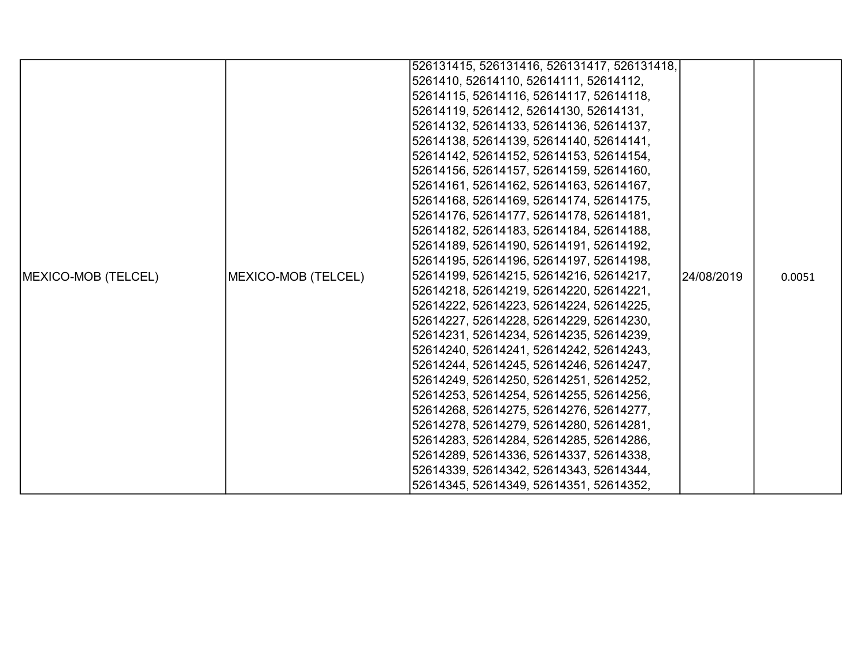|                            |                                         | 526131415, 526131416, 526131417, 526131418, |            |        |
|----------------------------|-----------------------------------------|---------------------------------------------|------------|--------|
|                            |                                         | 5261410, 52614110, 52614111, 52614112,      |            |        |
|                            |                                         | 52614115, 52614116, 52614117, 52614118,     |            |        |
|                            |                                         | 52614119, 5261412, 52614130, 52614131,      |            |        |
|                            |                                         | 52614132, 52614133, 52614136, 52614137,     |            |        |
|                            |                                         | 52614138, 52614139, 52614140, 52614141,     |            |        |
|                            |                                         | 52614142, 52614152, 52614153, 52614154,     |            |        |
|                            |                                         | 52614156, 52614157, 52614159, 52614160,     |            |        |
|                            |                                         | 52614161, 52614162, 52614163, 52614167,     |            |        |
|                            |                                         | 52614168, 52614169, 52614174, 52614175,     |            |        |
|                            |                                         | 52614176, 52614177, 52614178, 52614181,     |            |        |
|                            |                                         | 52614182, 52614183, 52614184, 52614188,     |            |        |
|                            |                                         | 52614189, 52614190, 52614191, 52614192,     |            |        |
|                            |                                         | 52614195, 52614196, 52614197, 52614198,     |            |        |
| <b>MEXICO-MOB (TELCEL)</b> | MEXICO-MOB (TELCEL)                     | 52614199, 52614215, 52614216, 52614217,     | 24/08/2019 | 0.0051 |
|                            |                                         | 52614218, 52614219, 52614220, 52614221,     |            |        |
|                            |                                         | 52614222, 52614223, 52614224, 52614225,     |            |        |
|                            |                                         | 52614227, 52614228, 52614229, 52614230,     |            |        |
|                            |                                         | 52614231, 52614234, 52614235, 52614239,     |            |        |
|                            | 52614240, 52614241, 52614242, 52614243, |                                             |            |        |
|                            |                                         | 52614244, 52614245, 52614246, 52614247,     |            |        |
|                            |                                         | 52614249, 52614250, 52614251, 52614252,     |            |        |
|                            |                                         | 52614253, 52614254, 52614255, 52614256,     |            |        |
|                            |                                         | 52614268, 52614275, 52614276, 52614277,     |            |        |
|                            |                                         | 52614278, 52614279, 52614280, 52614281,     |            |        |
|                            |                                         | 52614283, 52614284, 52614285, 52614286,     |            |        |
|                            |                                         | 52614289, 52614336, 52614337, 52614338,     |            |        |
|                            |                                         | 52614339, 52614342, 52614343, 52614344,     |            |        |
|                            |                                         | 52614345, 52614349, 52614351, 52614352,     |            |        |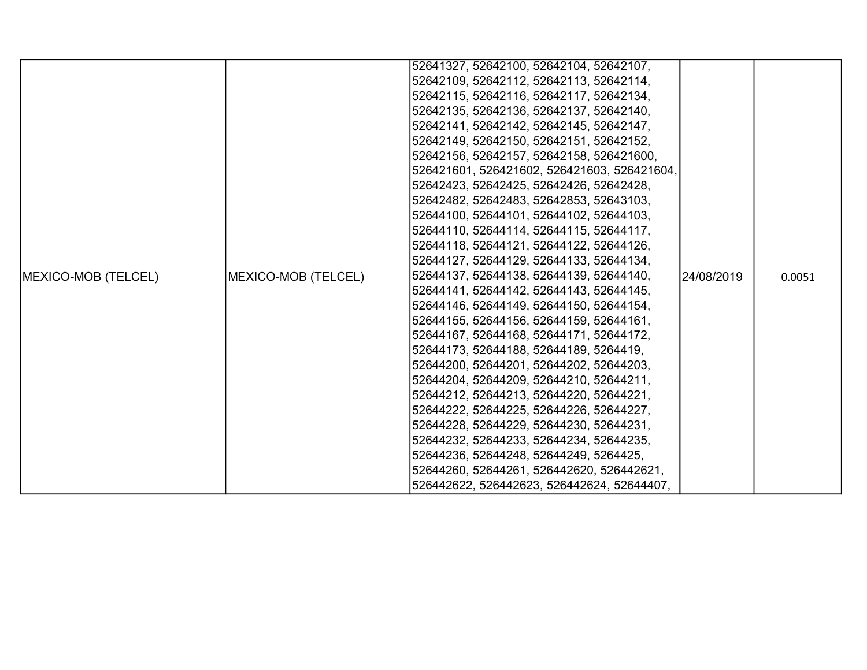|                            |                     | 52641327, 52642100, 52642104, 52642107,     |            |        |
|----------------------------|---------------------|---------------------------------------------|------------|--------|
|                            |                     | 52642109, 52642112, 52642113, 52642114,     |            |        |
|                            |                     | 52642115, 52642116, 52642117, 52642134,     |            |        |
|                            |                     | 52642135, 52642136, 52642137, 52642140,     |            |        |
|                            |                     | 52642141, 52642142, 52642145, 52642147,     |            |        |
|                            |                     | 52642149, 52642150, 52642151, 52642152,     |            |        |
|                            |                     | 52642156, 52642157, 52642158, 526421600,    |            |        |
|                            |                     | 526421601, 526421602, 526421603, 526421604, |            |        |
|                            |                     | 52642423, 52642425, 52642426, 52642428,     |            |        |
|                            |                     | 52642482, 52642483, 52642853, 52643103,     |            |        |
|                            |                     | 52644100, 52644101, 52644102, 52644103,     |            |        |
|                            |                     | 52644110, 52644114, 52644115, 52644117,     |            |        |
|                            |                     | 52644118, 52644121, 52644122, 52644126,     |            |        |
|                            |                     | 52644127, 52644129, 52644133, 52644134,     |            |        |
| <b>MEXICO-MOB (TELCEL)</b> | MEXICO-MOB (TELCEL) | 52644137, 52644138, 52644139, 52644140,     | 24/08/2019 | 0.0051 |
|                            |                     | 52644141, 52644142, 52644143, 52644145,     |            |        |
|                            |                     | 52644146, 52644149, 52644150, 52644154,     |            |        |
|                            |                     | 52644155, 52644156, 52644159, 52644161,     |            |        |
|                            |                     | 52644167, 52644168, 52644171, 52644172,     |            |        |
|                            |                     | 52644173, 52644188, 52644189, 5264419,      |            |        |
|                            |                     | 52644200, 52644201, 52644202, 52644203,     |            |        |
|                            |                     | 52644204, 52644209, 52644210, 52644211,     |            |        |
|                            |                     | 52644212, 52644213, 52644220, 52644221,     |            |        |
|                            |                     | 52644222, 52644225, 52644226, 52644227,     |            |        |
|                            |                     | 52644228, 52644229, 52644230, 52644231,     |            |        |
|                            |                     | 52644232, 52644233, 52644234, 52644235,     |            |        |
|                            |                     | 52644236, 52644248, 52644249, 5264425,      |            |        |
|                            |                     | 52644260, 52644261, 526442620, 526442621,   |            |        |
|                            |                     | 526442622, 526442623, 526442624, 52644407,  |            |        |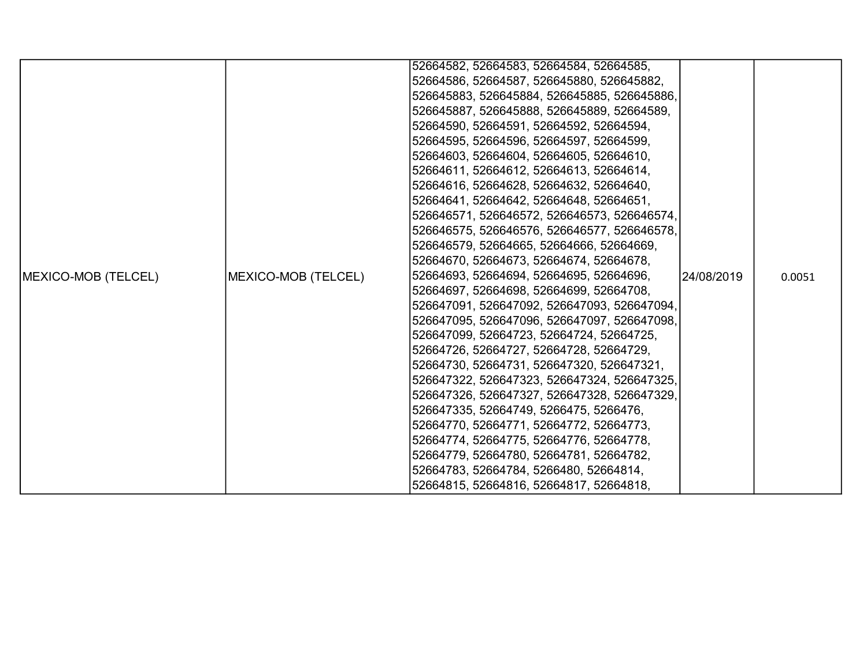|                            |                     | 52664582, 52664583, 52664584, 52664585,     |            |        |
|----------------------------|---------------------|---------------------------------------------|------------|--------|
|                            |                     | 52664586, 52664587, 526645880, 526645882,   |            |        |
|                            |                     | 526645883, 526645884, 526645885, 526645886, |            |        |
|                            |                     | 526645887, 526645888, 526645889, 52664589,  |            |        |
|                            |                     | 52664590, 52664591, 52664592, 52664594,     |            |        |
|                            |                     | 52664595, 52664596, 52664597, 52664599,     |            |        |
|                            |                     | 52664603, 52664604, 52664605, 52664610,     |            |        |
|                            |                     | 52664611, 52664612, 52664613, 52664614,     |            |        |
|                            |                     | 52664616, 52664628, 52664632, 52664640,     |            |        |
|                            |                     | 52664641, 52664642, 52664648, 52664651,     |            |        |
|                            |                     | 526646571, 526646572, 526646573, 526646574, |            |        |
|                            |                     | 526646575, 526646576, 526646577, 526646578, |            |        |
|                            |                     | 526646579, 52664665, 52664666, 52664669,    |            |        |
|                            |                     | 52664670, 52664673, 52664674, 52664678,     |            |        |
| <b>MEXICO-MOB (TELCEL)</b> | MEXICO-MOB (TELCEL) | 52664693, 52664694, 52664695, 52664696,     | 24/08/2019 | 0.0051 |
|                            |                     | 52664697, 52664698, 52664699, 52664708,     |            |        |
|                            |                     | 526647091, 526647092, 526647093, 526647094, |            |        |
|                            |                     | 526647095, 526647096, 526647097, 526647098, |            |        |
|                            |                     | 526647099, 52664723, 52664724, 52664725,    |            |        |
|                            |                     | 52664726, 52664727, 52664728, 52664729,     |            |        |
|                            |                     | 52664730, 52664731, 526647320, 526647321,   |            |        |
|                            |                     | 526647322, 526647323, 526647324, 526647325, |            |        |
|                            |                     | 526647326, 526647327, 526647328, 526647329, |            |        |
|                            |                     | 526647335, 52664749, 5266475, 5266476,      |            |        |
|                            |                     | 52664770, 52664771, 52664772, 52664773,     |            |        |
|                            |                     | 52664774, 52664775, 52664776, 52664778,     |            |        |
|                            |                     | 52664779, 52664780, 52664781, 52664782,     |            |        |
|                            |                     | 52664783, 52664784, 5266480, 52664814,      |            |        |
|                            |                     | 52664815, 52664816, 52664817, 52664818,     |            |        |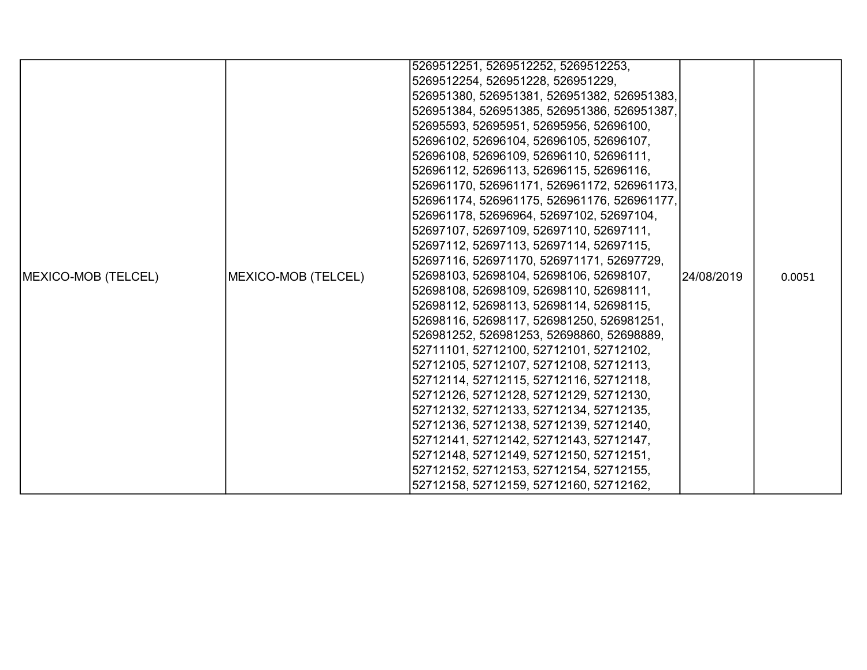|                     |                                                                                                                                                                                                                                                                                                                                                                                                                                                           | 5269512251, 5269512252, 5269512253,         |  |        |
|---------------------|-----------------------------------------------------------------------------------------------------------------------------------------------------------------------------------------------------------------------------------------------------------------------------------------------------------------------------------------------------------------------------------------------------------------------------------------------------------|---------------------------------------------|--|--------|
|                     |                                                                                                                                                                                                                                                                                                                                                                                                                                                           | 5269512254, 526951228, 526951229,           |  |        |
|                     |                                                                                                                                                                                                                                                                                                                                                                                                                                                           | 526951380, 526951381, 526951382, 526951383, |  |        |
|                     |                                                                                                                                                                                                                                                                                                                                                                                                                                                           | 526951384, 526951385, 526951386, 526951387, |  |        |
|                     |                                                                                                                                                                                                                                                                                                                                                                                                                                                           | 52695593, 52695951, 52695956, 52696100,     |  |        |
|                     |                                                                                                                                                                                                                                                                                                                                                                                                                                                           | 52696102, 52696104, 52696105, 52696107,     |  |        |
|                     |                                                                                                                                                                                                                                                                                                                                                                                                                                                           | 52696108, 52696109, 52696110, 52696111,     |  |        |
|                     |                                                                                                                                                                                                                                                                                                                                                                                                                                                           | 52696112, 52696113, 52696115, 52696116,     |  |        |
|                     |                                                                                                                                                                                                                                                                                                                                                                                                                                                           | 526961170, 526961171, 526961172, 526961173, |  |        |
|                     |                                                                                                                                                                                                                                                                                                                                                                                                                                                           | 526961174, 526961175, 526961176, 526961177, |  |        |
|                     |                                                                                                                                                                                                                                                                                                                                                                                                                                                           | 526961178, 52696964, 52697102, 52697104,    |  |        |
|                     |                                                                                                                                                                                                                                                                                                                                                                                                                                                           | 52697107, 52697109, 52697110, 52697111,     |  |        |
|                     |                                                                                                                                                                                                                                                                                                                                                                                                                                                           | 52697112, 52697113, 52697114, 52697115,     |  |        |
|                     |                                                                                                                                                                                                                                                                                                                                                                                                                                                           | 52697116, 526971170, 526971171, 52697729,   |  |        |
| MEXICO-MOB (TELCEL) | MEXICO-MOB (TELCEL)                                                                                                                                                                                                                                                                                                                                                                                                                                       |                                             |  | 0.0051 |
|                     |                                                                                                                                                                                                                                                                                                                                                                                                                                                           | 52698108, 52698109, 52698110, 52698111,     |  |        |
|                     |                                                                                                                                                                                                                                                                                                                                                                                                                                                           |                                             |  |        |
|                     |                                                                                                                                                                                                                                                                                                                                                                                                                                                           | 52698116, 52698117, 526981250, 526981251,   |  |        |
|                     |                                                                                                                                                                                                                                                                                                                                                                                                                                                           | 526981252, 526981253, 52698860, 52698889,   |  |        |
|                     |                                                                                                                                                                                                                                                                                                                                                                                                                                                           |                                             |  |        |
|                     | 52698103, 52698104, 52698106, 52698107,<br>l24/08/2019<br>52698112, 52698113, 52698114, 52698115,<br>52711101, 52712100, 52712101, 52712102,<br>52712105, 52712107, 52712108, 52712113,<br>52712114, 52712115, 52712116, 52712118,<br>52712126, 52712128, 52712129, 52712130,<br>52712132, 52712133, 52712134, 52712135,<br>52712136, 52712138, 52712139, 52712140,<br>52712141, 52712142, 52712143, 52712147,<br>52712148, 52712149, 52712150, 52712151, |                                             |  |        |
|                     |                                                                                                                                                                                                                                                                                                                                                                                                                                                           |                                             |  |        |
|                     |                                                                                                                                                                                                                                                                                                                                                                                                                                                           |                                             |  |        |
|                     |                                                                                                                                                                                                                                                                                                                                                                                                                                                           |                                             |  |        |
|                     |                                                                                                                                                                                                                                                                                                                                                                                                                                                           |                                             |  |        |
|                     |                                                                                                                                                                                                                                                                                                                                                                                                                                                           |                                             |  |        |
|                     |                                                                                                                                                                                                                                                                                                                                                                                                                                                           |                                             |  |        |
|                     |                                                                                                                                                                                                                                                                                                                                                                                                                                                           | 52712152, 52712153, 52712154, 52712155,     |  |        |
|                     |                                                                                                                                                                                                                                                                                                                                                                                                                                                           | 52712158, 52712159, 52712160, 52712162,     |  |        |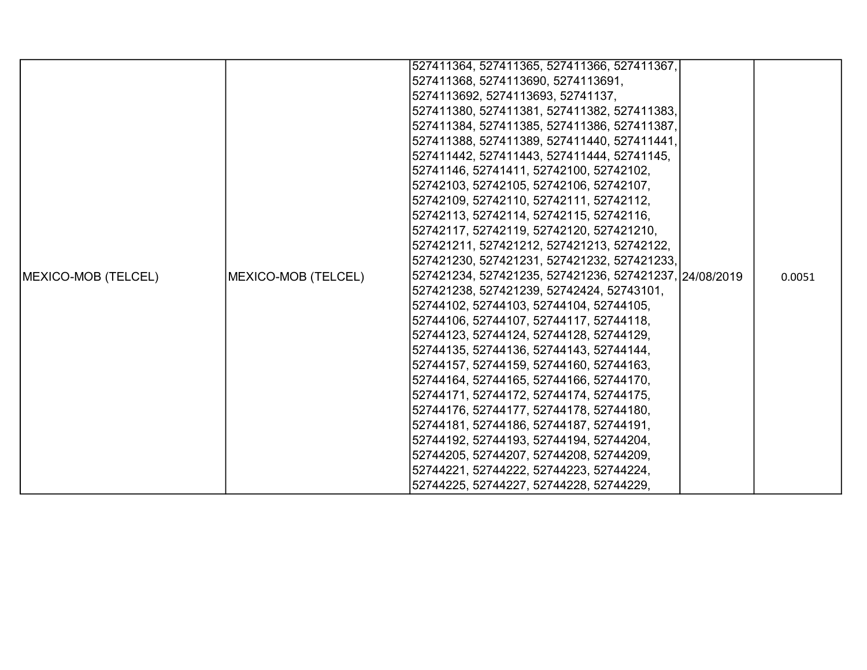|                             |                     | 527411364, 527411365, 527411366, 527411367,            |  |        |
|-----------------------------|---------------------|--------------------------------------------------------|--|--------|
|                             |                     | 527411368, 5274113690, 5274113691,                     |  |        |
|                             |                     | 5274113692, 5274113693, 52741137,                      |  |        |
|                             |                     | 527411380, 527411381, 527411382, 527411383,            |  |        |
|                             |                     | 527411384, 527411385, 527411386, 527411387,            |  |        |
|                             |                     | 527411388, 527411389, 527411440, 527411441,            |  |        |
|                             |                     | 527411442, 527411443, 527411444, 52741145,             |  |        |
|                             |                     | 52741146, 52741411, 52742100, 52742102,                |  |        |
|                             |                     | 52742103, 52742105, 52742106, 52742107,                |  |        |
|                             |                     | 52742109, 52742110, 52742111, 52742112,                |  |        |
|                             |                     | 52742113, 52742114, 52742115, 52742116,                |  |        |
|                             |                     | 52742117, 52742119, 52742120, 527421210,               |  |        |
|                             |                     | 527421211, 527421212, 527421213, 52742122,             |  |        |
|                             |                     | 527421230, 527421231, 527421232, 527421233,            |  |        |
| <b>IMEXICO-MOB (TELCEL)</b> | MEXICO-MOB (TELCEL) | 527421234, 527421235, 527421236, 527421237, 24/08/2019 |  | 0.0051 |
|                             |                     | 527421238, 527421239, 52742424, 52743101,              |  |        |
|                             |                     | 52744102, 52744103, 52744104, 52744105,                |  |        |
|                             |                     | 52744106, 52744107, 52744117, 52744118,                |  |        |
|                             |                     | 52744123, 52744124, 52744128, 52744129,                |  |        |
|                             |                     | 52744135, 52744136, 52744143, 52744144,                |  |        |
|                             |                     | 52744157, 52744159, 52744160, 52744163,                |  |        |
|                             |                     | 52744164, 52744165, 52744166, 52744170,                |  |        |
|                             |                     | 52744171, 52744172, 52744174, 52744175,                |  |        |
|                             |                     | 52744176, 52744177, 52744178, 52744180,                |  |        |
|                             |                     | 52744181, 52744186, 52744187, 52744191,                |  |        |
|                             |                     | 52744192, 52744193, 52744194, 52744204,                |  |        |
|                             |                     | 52744205, 52744207, 52744208, 52744209,                |  |        |
|                             |                     | 52744221, 52744222, 52744223, 52744224,                |  |        |
|                             |                     | 52744225, 52744227, 52744228, 52744229,                |  |        |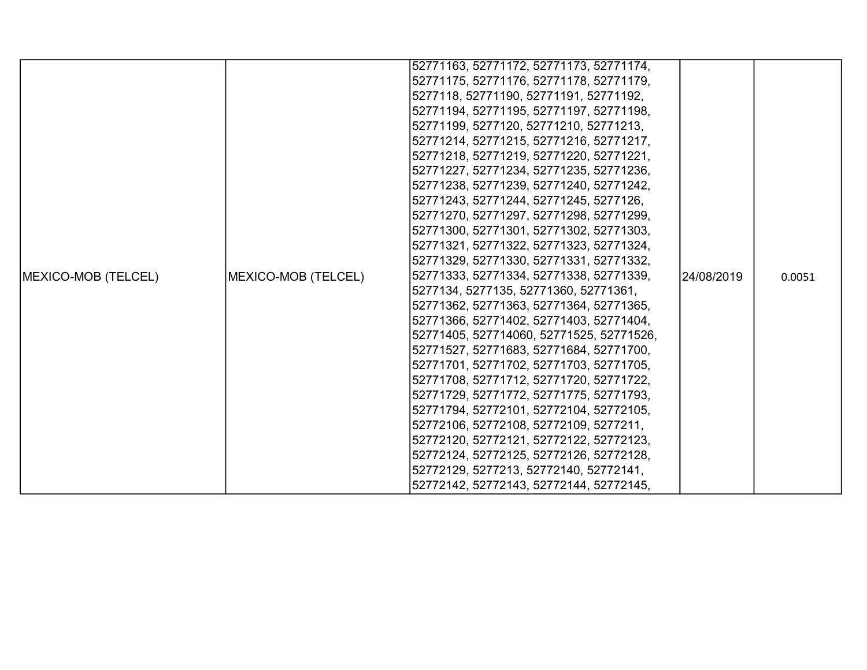|                             |                     | 52771163, 52771172, 52771173, 52771174,  |             |        |
|-----------------------------|---------------------|------------------------------------------|-------------|--------|
|                             |                     | 52771175, 52771176, 52771178, 52771179,  |             |        |
|                             |                     | 5277118, 52771190, 52771191, 52771192,   |             |        |
|                             |                     | 52771194, 52771195, 52771197, 52771198,  |             |        |
|                             |                     | 52771199, 5277120, 52771210, 52771213,   |             |        |
|                             |                     | 52771214, 52771215, 52771216, 52771217,  |             |        |
|                             |                     | 52771218, 52771219, 52771220, 52771221,  |             |        |
|                             |                     | 52771227, 52771234, 52771235, 52771236,  |             |        |
|                             |                     | 52771238, 52771239, 52771240, 52771242,  |             |        |
|                             |                     | 52771243, 52771244, 52771245, 5277126,   |             |        |
|                             |                     | 52771270, 52771297, 52771298, 52771299,  |             |        |
|                             |                     | 52771300, 52771301, 52771302, 52771303,  |             |        |
|                             |                     | 52771321, 52771322, 52771323, 52771324,  |             |        |
|                             |                     | 52771329, 52771330, 52771331, 52771332,  |             |        |
| <b>IMEXICO-MOB (TELCEL)</b> | MEXICO-MOB (TELCEL) | 52771333, 52771334, 52771338, 52771339,  | l24/08/2019 | 0.0051 |
|                             |                     | 5277134, 5277135, 52771360, 52771361,    |             |        |
|                             |                     | 52771362, 52771363, 52771364, 52771365,  |             |        |
|                             |                     | 52771366, 52771402, 52771403, 52771404,  |             |        |
|                             |                     | 52771405, 527714060, 52771525, 52771526, |             |        |
|                             |                     | 52771527, 52771683, 52771684, 52771700,  |             |        |
|                             |                     | 52771701, 52771702, 52771703, 52771705,  |             |        |
|                             |                     | 52771708, 52771712, 52771720, 52771722,  |             |        |
|                             |                     | 52771729, 52771772, 52771775, 52771793,  |             |        |
|                             |                     | 52771794, 52772101, 52772104, 52772105,  |             |        |
|                             |                     | 52772106, 52772108, 52772109, 5277211,   |             |        |
|                             |                     | 52772120, 52772121, 52772122, 52772123,  |             |        |
|                             |                     | 52772124, 52772125, 52772126, 52772128,  |             |        |
|                             |                     | 52772129, 5277213, 52772140, 52772141,   |             |        |
|                             |                     | 52772142, 52772143, 52772144, 52772145,  |             |        |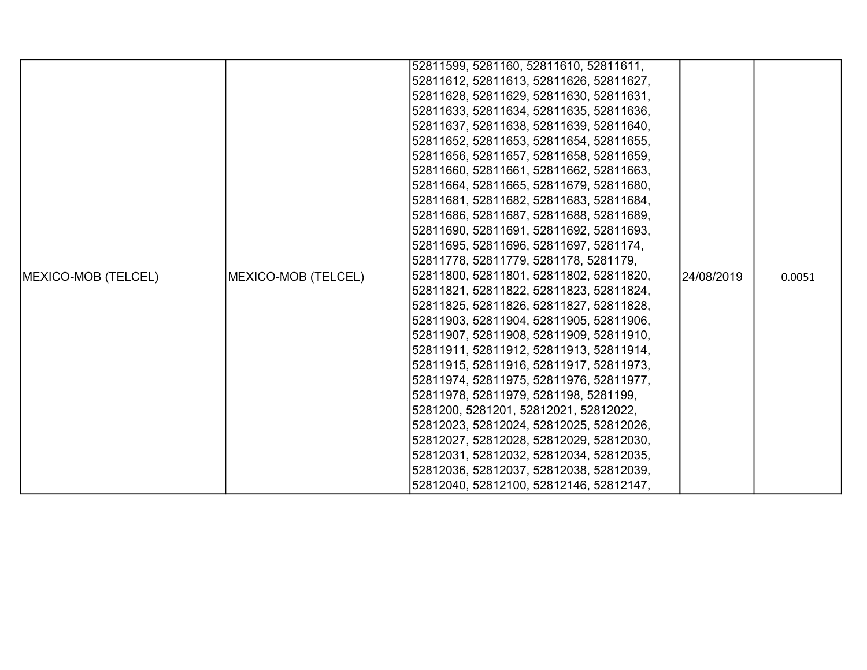|                             |                     | 52811599, 5281160, 52811610, 52811611,  |            |        |
|-----------------------------|---------------------|-----------------------------------------|------------|--------|
|                             |                     | 52811612, 52811613, 52811626, 52811627, |            |        |
|                             |                     | 52811628, 52811629, 52811630, 52811631, |            |        |
|                             |                     | 52811633, 52811634, 52811635, 52811636, |            |        |
|                             |                     | 52811637, 52811638, 52811639, 52811640, |            |        |
|                             |                     | 52811652, 52811653, 52811654, 52811655, |            |        |
|                             |                     | 52811656, 52811657, 52811658, 52811659, |            |        |
|                             |                     | 52811660, 52811661, 52811662, 52811663, |            |        |
|                             |                     | 52811664, 52811665, 52811679, 52811680, |            |        |
|                             |                     | 52811681, 52811682, 52811683, 52811684, |            |        |
|                             |                     | 52811686, 52811687, 52811688, 52811689, |            |        |
|                             |                     | 52811690, 52811691, 52811692, 52811693, |            |        |
|                             |                     | 52811695, 52811696, 52811697, 5281174,  |            |        |
|                             |                     | 52811778, 52811779, 5281178, 5281179,   |            |        |
| <b>IMEXICO-MOB (TELCEL)</b> | MEXICO-MOB (TELCEL) | 52811800, 52811801, 52811802, 52811820, | 24/08/2019 | 0.0051 |
|                             |                     | 52811821, 52811822, 52811823, 52811824, |            |        |
|                             |                     | 52811825, 52811826, 52811827, 52811828, |            |        |
|                             |                     | 52811903, 52811904, 52811905, 52811906, |            |        |
|                             |                     | 52811907, 52811908, 52811909, 52811910, |            |        |
|                             |                     | 52811911, 52811912, 52811913, 52811914, |            |        |
|                             |                     | 52811915, 52811916, 52811917, 52811973, |            |        |
|                             |                     | 52811974, 52811975, 52811976, 52811977, |            |        |
|                             |                     | 52811978, 52811979, 5281198, 5281199,   |            |        |
|                             |                     | 5281200, 5281201, 52812021, 52812022,   |            |        |
|                             |                     | 52812023, 52812024, 52812025, 52812026, |            |        |
|                             |                     | 52812027, 52812028, 52812029, 52812030, |            |        |
|                             |                     | 52812031, 52812032, 52812034, 52812035, |            |        |
|                             |                     | 52812036, 52812037, 52812038, 52812039, |            |        |
|                             |                     | 52812040, 52812100, 52812146, 52812147, |            |        |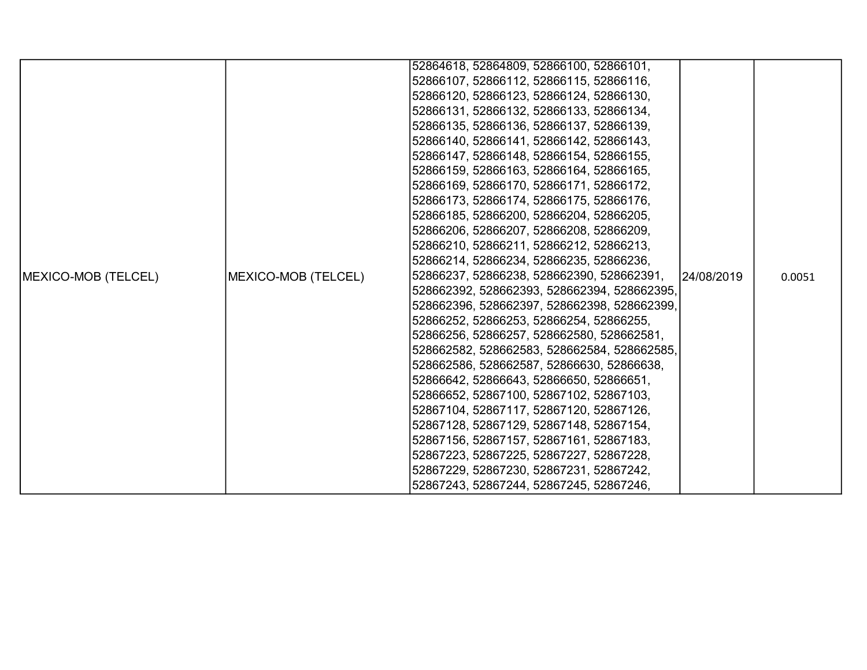|                            |                     | 52864618, 52864809, 52866100, 52866101,     |            |        |
|----------------------------|---------------------|---------------------------------------------|------------|--------|
|                            |                     | 52866107, 52866112, 52866115, 52866116,     |            |        |
|                            |                     | 52866120, 52866123, 52866124, 52866130,     |            |        |
|                            |                     | 52866131, 52866132, 52866133, 52866134,     |            |        |
|                            |                     |                                             |            |        |
|                            |                     | 52866135, 52866136, 52866137, 52866139,     |            |        |
|                            |                     | 52866140, 52866141, 52866142, 52866143,     |            |        |
|                            |                     | 52866147, 52866148, 52866154, 52866155,     |            |        |
|                            |                     | 52866159, 52866163, 52866164, 52866165,     |            |        |
|                            |                     | 52866169, 52866170, 52866171, 52866172,     |            |        |
|                            |                     | 52866173, 52866174, 52866175, 52866176,     |            |        |
|                            |                     | 52866185, 52866200, 52866204, 52866205,     |            |        |
|                            |                     | 52866206, 52866207, 52866208, 52866209,     |            |        |
|                            |                     | 52866210, 52866211, 52866212, 52866213,     |            |        |
|                            |                     | 52866214, 52866234, 52866235, 52866236,     |            |        |
| <b>MEXICO-MOB (TELCEL)</b> | MEXICO-MOB (TELCEL) | 52866237, 52866238, 528662390, 528662391,   | 24/08/2019 | 0.0051 |
|                            |                     | 528662392, 528662393, 528662394, 528662395, |            |        |
|                            |                     | 528662396, 528662397, 528662398, 528662399, |            |        |
|                            |                     | 52866252, 52866253, 52866254, 52866255,     |            |        |
|                            |                     | 52866256, 52866257, 528662580, 528662581,   |            |        |
|                            |                     | 528662582, 528662583, 528662584, 528662585, |            |        |
|                            |                     | 528662586, 528662587, 52866630, 52866638,   |            |        |
|                            |                     | 52866642, 52866643, 52866650, 52866651,     |            |        |
|                            |                     | 52866652, 52867100, 52867102, 52867103,     |            |        |
|                            |                     | 52867104, 52867117, 52867120, 52867126,     |            |        |
|                            |                     | 52867128, 52867129, 52867148, 52867154,     |            |        |
|                            |                     | 52867156, 52867157, 52867161, 52867183,     |            |        |
|                            |                     | 52867223, 52867225, 52867227, 52867228,     |            |        |
|                            |                     | 52867229, 52867230, 52867231, 52867242,     |            |        |
|                            |                     | 52867243, 52867244, 52867245, 52867246,     |            |        |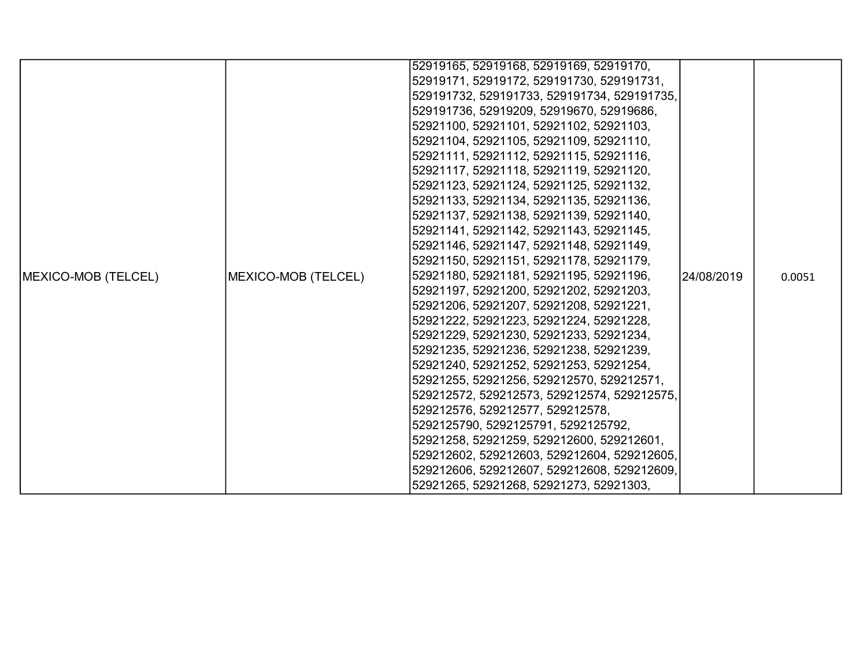|                            |                     | 52919165, 52919168, 52919169, 52919170,     |            |        |
|----------------------------|---------------------|---------------------------------------------|------------|--------|
|                            |                     | 52919171, 52919172, 529191730, 529191731,   |            |        |
|                            |                     | 529191732, 529191733, 529191734, 529191735, |            |        |
|                            |                     | 529191736, 52919209, 52919670, 52919686,    |            |        |
|                            |                     | 52921100, 52921101, 52921102, 52921103,     |            |        |
|                            |                     | 52921104, 52921105, 52921109, 52921110,     |            |        |
|                            |                     | 52921111, 52921112, 52921115, 52921116,     |            |        |
|                            |                     | 52921117, 52921118, 52921119, 52921120,     |            |        |
|                            |                     | 52921123, 52921124, 52921125, 52921132,     |            |        |
|                            |                     | 52921133, 52921134, 52921135, 52921136,     |            |        |
|                            |                     | 52921137, 52921138, 52921139, 52921140,     |            |        |
|                            |                     | 52921141, 52921142, 52921143, 52921145,     |            |        |
|                            |                     | 52921146, 52921147, 52921148, 52921149,     |            |        |
|                            |                     | 52921150, 52921151, 52921178, 52921179,     |            |        |
| <b>MEXICO-MOB (TELCEL)</b> | MEXICO-MOB (TELCEL) | 52921180, 52921181, 52921195, 52921196,     | 24/08/2019 | 0.0051 |
|                            |                     | 52921197, 52921200, 52921202, 52921203,     |            |        |
|                            |                     | 52921206, 52921207, 52921208, 52921221,     |            |        |
|                            |                     | 52921222, 52921223, 52921224, 52921228,     |            |        |
|                            |                     | 52921229, 52921230, 52921233, 52921234,     |            |        |
|                            |                     | 52921235, 52921236, 52921238, 52921239,     |            |        |
|                            |                     | 52921240, 52921252, 52921253, 52921254,     |            |        |
|                            |                     | 52921255, 52921256, 529212570, 529212571,   |            |        |
|                            |                     | 529212572, 529212573, 529212574, 529212575, |            |        |
|                            |                     | 529212576, 529212577, 529212578,            |            |        |
|                            |                     | 5292125790, 5292125791, 5292125792,         |            |        |
|                            |                     | 52921258, 52921259, 529212600, 529212601,   |            |        |
|                            |                     | 529212602, 529212603, 529212604, 529212605, |            |        |
|                            |                     | 529212606, 529212607, 529212608, 529212609, |            |        |
|                            |                     | 52921265, 52921268, 52921273, 52921303,     |            |        |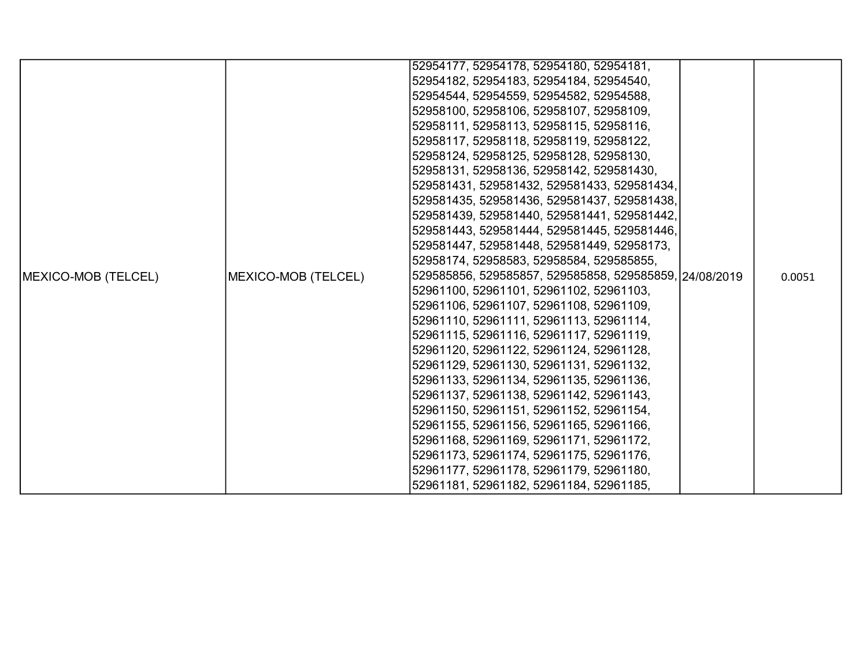|                            |                     | 52954177, 52954178, 52954180, 52954181,                |        |
|----------------------------|---------------------|--------------------------------------------------------|--------|
|                            |                     | 52954182, 52954183, 52954184, 52954540,                |        |
|                            |                     | 52954544, 52954559, 52954582, 52954588,                |        |
|                            |                     | 52958100, 52958106, 52958107, 52958109,                |        |
|                            |                     | 52958111, 52958113, 52958115, 52958116,                |        |
|                            |                     | 52958117, 52958118, 52958119, 52958122,                |        |
|                            |                     | 52958124, 52958125, 52958128, 52958130,                |        |
|                            |                     | 52958131, 52958136, 52958142, 529581430,               |        |
|                            |                     | 529581431, 529581432, 529581433, 529581434,            |        |
|                            |                     | 529581435, 529581436, 529581437, 529581438,            |        |
|                            |                     | 529581439, 529581440, 529581441, 529581442,            |        |
|                            |                     | 529581443, 529581444, 529581445, 529581446,            |        |
|                            |                     | 529581447, 529581448, 529581449, 52958173,             |        |
|                            |                     | 52958174, 52958583, 52958584, 529585855,               |        |
| <b>MEXICO-MOB (TELCEL)</b> | MEXICO-MOB (TELCEL) | 529585856, 529585857, 529585858, 529585859, 24/08/2019 | 0.0051 |
|                            |                     | 52961100, 52961101, 52961102, 52961103,                |        |
|                            |                     | 52961106, 52961107, 52961108, 52961109,                |        |
|                            |                     | 52961110, 52961111, 52961113, 52961114,                |        |
|                            |                     | 52961115, 52961116, 52961117, 52961119,                |        |
|                            |                     | 52961120, 52961122, 52961124, 52961128,                |        |
|                            |                     | 52961129, 52961130, 52961131, 52961132,                |        |
|                            |                     | 52961133, 52961134, 52961135, 52961136,                |        |
|                            |                     | 52961137, 52961138, 52961142, 52961143,                |        |
|                            |                     | 52961150, 52961151, 52961152, 52961154,                |        |
|                            |                     | 52961155, 52961156, 52961165, 52961166,                |        |
|                            |                     | 52961168, 52961169, 52961171, 52961172,                |        |
|                            |                     | 52961173, 52961174, 52961175, 52961176,                |        |
|                            |                     | 52961177, 52961178, 52961179, 52961180,                |        |
|                            |                     | 52961181, 52961182, 52961184, 52961185,                |        |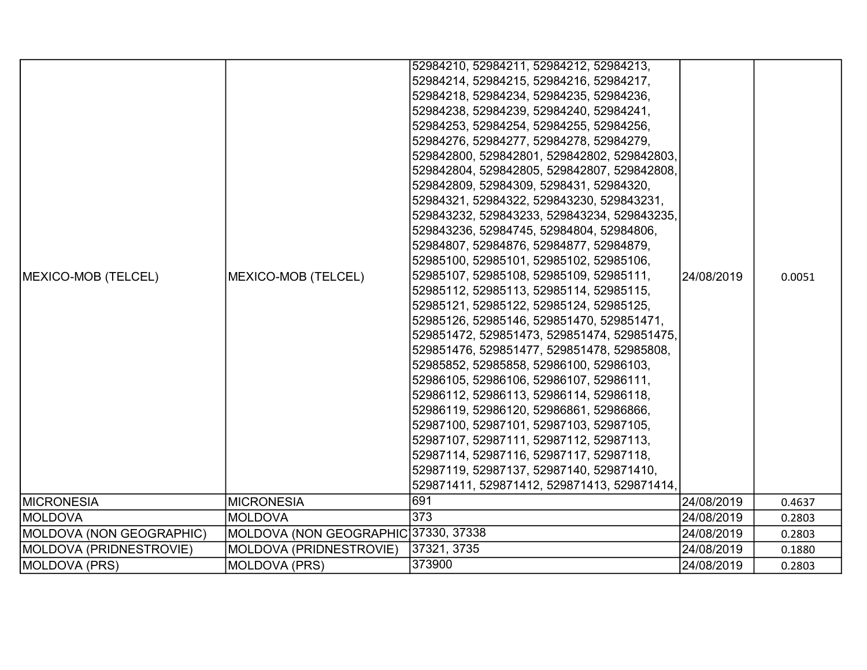|                          |                                      | 52984210, 52984211, 52984212, 52984213,     |            |        |
|--------------------------|--------------------------------------|---------------------------------------------|------------|--------|
|                          |                                      | 52984214, 52984215, 52984216, 52984217,     |            |        |
|                          |                                      | 52984218, 52984234, 52984235, 52984236,     |            |        |
|                          |                                      | 52984238, 52984239, 52984240, 52984241,     |            |        |
|                          |                                      | 52984253, 52984254, 52984255, 52984256,     |            |        |
|                          |                                      | 52984276, 52984277, 52984278, 52984279,     |            |        |
|                          |                                      | 529842800, 529842801, 529842802, 529842803, |            |        |
|                          |                                      | 529842804, 529842805, 529842807, 529842808, |            |        |
|                          |                                      | 529842809, 52984309, 5298431, 52984320,     |            |        |
|                          |                                      | 52984321, 52984322, 529843230, 529843231,   |            |        |
|                          |                                      | 529843232, 529843233, 529843234, 529843235, |            |        |
|                          |                                      | 529843236, 52984745, 52984804, 52984806,    |            |        |
|                          |                                      | 52984807, 52984876, 52984877, 52984879,     |            |        |
|                          | MEXICO-MOB (TELCEL)                  | 52985100, 52985101, 52985102, 52985106,     |            |        |
| MEXICO-MOB (TELCEL)      |                                      | 52985107, 52985108, 52985109, 52985111,     | 24/08/2019 | 0.0051 |
|                          |                                      | 52985112, 52985113, 52985114, 52985115,     |            |        |
|                          |                                      | 52985121, 52985122, 52985124, 52985125,     |            |        |
|                          |                                      | 52985126, 52985146, 529851470, 529851471,   |            |        |
|                          |                                      | 529851472, 529851473, 529851474, 529851475, |            |        |
|                          |                                      | 529851476, 529851477, 529851478, 52985808,  |            |        |
|                          |                                      | 52985852, 52985858, 52986100, 52986103,     |            |        |
|                          |                                      | 52986105, 52986106, 52986107, 52986111,     |            |        |
|                          |                                      | 52986112, 52986113, 52986114, 52986118,     |            |        |
|                          |                                      | 52986119, 52986120, 52986861, 52986866,     |            |        |
|                          |                                      | 52987100, 52987101, 52987103, 52987105,     |            |        |
|                          |                                      | 52987107, 52987111, 52987112, 52987113,     |            |        |
|                          |                                      | 52987114, 52987116, 52987117, 52987118,     |            |        |
|                          |                                      | 52987119, 52987137, 52987140, 529871410,    |            |        |
|                          |                                      | 529871411, 529871412, 529871413, 529871414, |            |        |
| <b>MICRONESIA</b>        | <b>MICRONESIA</b>                    | 691                                         | 24/08/2019 | 0.4637 |
| <b>IMOLDOVA</b>          | <b>MOLDOVA</b>                       | 373                                         | 24/08/2019 | 0.2803 |
| MOLDOVA (NON GEOGRAPHIC) | MOLDOVA (NON GEOGRAPHIC 37330, 37338 |                                             | 24/08/2019 | 0.2803 |
| MOLDOVA (PRIDNESTROVIE)  | MOLDOVA (PRIDNESTROVIE)              | 37321, 3735                                 | 24/08/2019 | 0.1880 |
| MOLDOVA (PRS)            | <b>MOLDOVA (PRS)</b>                 | 373900                                      | 24/08/2019 | 0.2803 |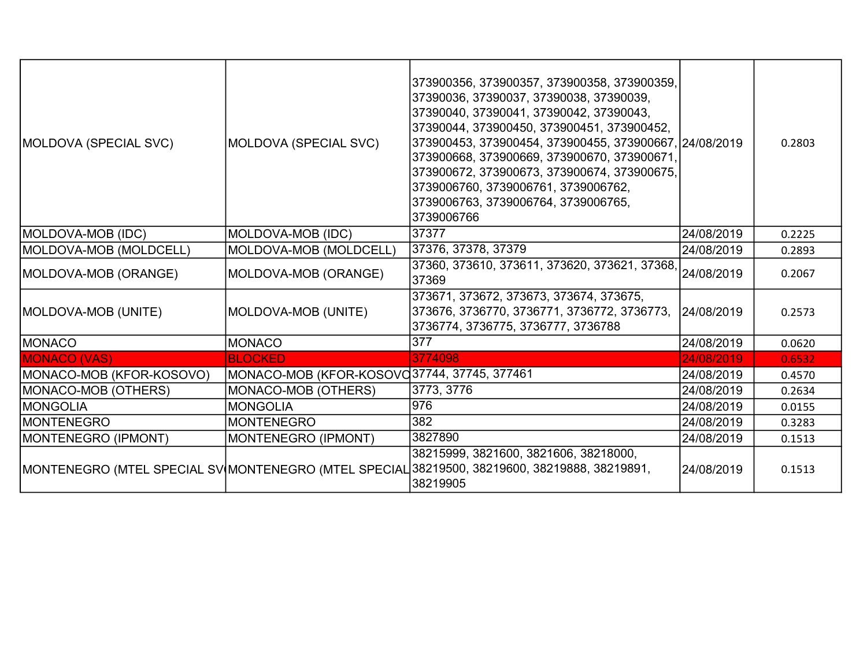| MOLDOVA (SPECIAL SVC)      | MOLDOVA (SPECIAL SVC)                       | 373900356, 373900357, 373900358, 373900359,<br>37390036, 37390037, 37390038, 37390039,<br>37390040, 37390041, 37390042, 37390043,<br>37390044, 373900450, 373900451, 373900452,<br>373900453, 373900454, 373900455, 373900667, 24/08/2019<br>373900668, 373900669, 373900670, 373900671,<br>373900672, 373900673, 373900674, 373900675,<br>3739006760, 3739006761, 3739006762,<br>3739006763, 3739006764, 3739006765,<br>3739006766 |            | 0.2803 |
|----------------------------|---------------------------------------------|-------------------------------------------------------------------------------------------------------------------------------------------------------------------------------------------------------------------------------------------------------------------------------------------------------------------------------------------------------------------------------------------------------------------------------------|------------|--------|
| <b>MOLDOVA-MOB (IDC)</b>   | MOLDOVA-MOB (IDC)                           | 37377                                                                                                                                                                                                                                                                                                                                                                                                                               | 24/08/2019 | 0.2225 |
| MOLDOVA-MOB (MOLDCELL)     | MOLDOVA-MOB (MOLDCELL)                      | 37376, 37378, 37379                                                                                                                                                                                                                                                                                                                                                                                                                 | 24/08/2019 | 0.2893 |
| MOLDOVA-MOB (ORANGE)       | MOLDOVA-MOB (ORANGE)                        | <u>37360, 373610, 373611, 373620, 373621, 37</u> 368, 24/08/2019<br>37369                                                                                                                                                                                                                                                                                                                                                           |            | 0.2067 |
| <b>MOLDOVA-MOB (UNITE)</b> | MOLDOVA-MOB (UNITE)                         | 373671, 373672, 373673, 373674, 373675,<br>373676, 3736770, 3736771, 3736772, 3736773,<br>3736774, 3736775, 3736777, 3736788                                                                                                                                                                                                                                                                                                        | 24/08/2019 | 0.2573 |
| MONACO                     | <b>MONACO</b>                               | 377                                                                                                                                                                                                                                                                                                                                                                                                                                 | 24/08/2019 | 0.0620 |
| <b>MONACO (VAS)</b>        | <b>BLOCKED</b>                              | 3774098                                                                                                                                                                                                                                                                                                                                                                                                                             | 24/08/2019 | 0.6532 |
| MONACO-MOB (KFOR-KOSOVO)   | MONACO-MOB (KFOR-KOSOVC37744, 37745, 377461 |                                                                                                                                                                                                                                                                                                                                                                                                                                     | 24/08/2019 | 0.4570 |
| MONACO-MOB (OTHERS)        | MONACO-MOB (OTHERS)                         | 3773, 3776                                                                                                                                                                                                                                                                                                                                                                                                                          | 24/08/2019 | 0.2634 |
| MONGOLIA                   | <b>MONGOLIA</b>                             | 976                                                                                                                                                                                                                                                                                                                                                                                                                                 | 24/08/2019 | 0.0155 |
| IMONTENEGRO                | <b>MONTENEGRO</b>                           | 382                                                                                                                                                                                                                                                                                                                                                                                                                                 | 24/08/2019 | 0.3283 |
| MONTENEGRO (IPMONT)        | MONTENEGRO (IPMONT)                         | 3827890                                                                                                                                                                                                                                                                                                                                                                                                                             | 24/08/2019 | 0.1513 |
|                            |                                             | 38215999, 3821600, 3821606, 38218000,<br>MONTENEGRO (MTEL SPECIAL SV MONTENEGRO (MTEL SPECIAL 38219500, 38219600, 38219888, 38219891,<br>38219905                                                                                                                                                                                                                                                                                   | 24/08/2019 | 0.1513 |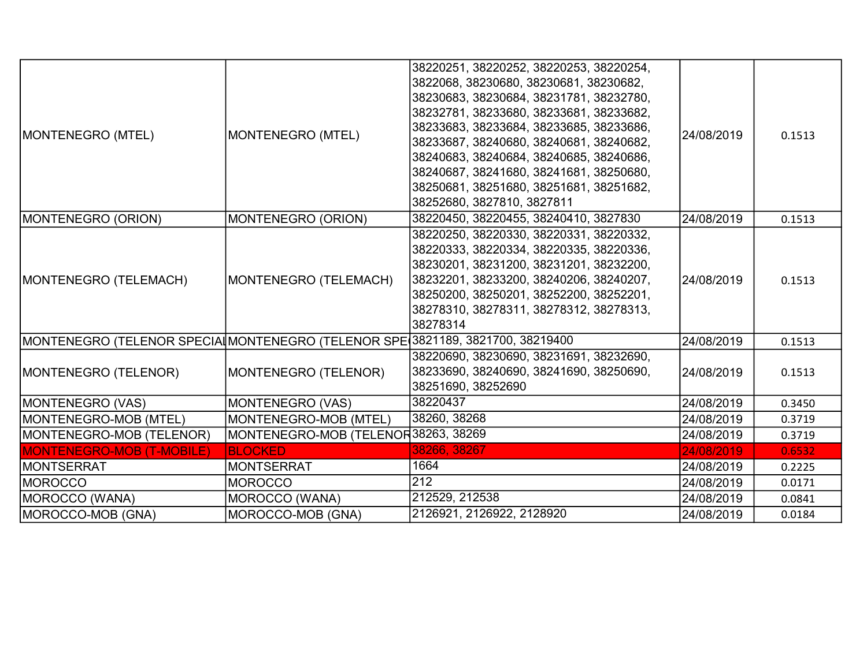|                                                                               |                                     | 38220251, 38220252, 38220253, 38220254, |            |        |
|-------------------------------------------------------------------------------|-------------------------------------|-----------------------------------------|------------|--------|
|                                                                               |                                     | 3822068, 38230680, 38230681, 38230682,  |            |        |
|                                                                               |                                     | 38230683, 38230684, 38231781, 38232780, |            |        |
|                                                                               | MONTENEGRO (MTEL)                   | 38232781, 38233680, 38233681, 38233682, |            |        |
| MONTENEGRO (MTEL)                                                             |                                     | 38233683, 38233684, 38233685, 38233686, | 24/08/2019 | 0.1513 |
|                                                                               |                                     | 38233687, 38240680, 38240681, 38240682, |            |        |
|                                                                               |                                     | 38240683, 38240684, 38240685, 38240686, |            |        |
|                                                                               |                                     | 38240687, 38241680, 38241681, 38250680, |            |        |
|                                                                               |                                     | 38250681, 38251680, 38251681, 38251682, |            |        |
|                                                                               |                                     | 38252680, 3827810, 3827811              |            |        |
| MONTENEGRO (ORION)                                                            | MONTENEGRO (ORION)                  | 38220450, 38220455, 38240410, 3827830   | 24/08/2019 | 0.1513 |
|                                                                               |                                     | 38220250, 38220330, 38220331, 38220332, |            |        |
|                                                                               | MONTENEGRO (TELEMACH)               | 38220333, 38220334, 38220335, 38220336, | 24/08/2019 | 0.1513 |
|                                                                               |                                     | 38230201, 38231200, 38231201, 38232200, |            |        |
| MONTENEGRO (TELEMACH)                                                         |                                     | 38232201, 38233200, 38240206, 38240207, |            |        |
|                                                                               |                                     | 38250200, 38250201, 38252200, 38252201, |            |        |
|                                                                               |                                     | 38278310, 38278311, 38278312, 38278313, |            |        |
|                                                                               |                                     | 38278314                                |            |        |
| MONTENEGRO (TELENOR SPECIA MONTENEGRO (TELENOR SPE 3821189, 3821700, 38219400 |                                     |                                         | 24/08/2019 | 0.1513 |
|                                                                               |                                     | 38220690, 38230690, 38231691, 38232690, |            |        |
| MONTENEGRO (TELENOR)                                                          | MONTENEGRO (TELENOR)                | 38233690, 38240690, 38241690, 38250690, | 24/08/2019 | 0.1513 |
|                                                                               |                                     | 38251690, 38252690                      |            |        |
| MONTENEGRO (VAS)                                                              | <b>MONTENEGRO (VAS)</b>             | 38220437                                | 24/08/2019 | 0.3450 |
| MONTENEGRO-MOB (MTEL)                                                         | MONTENEGRO-MOB (MTEL)               | 38260, 38268                            | 24/08/2019 | 0.3719 |
| MONTENEGRO-MOB (TELENOR)                                                      | MONTENEGRO-MOB (TELENOR38263, 38269 |                                         | 24/08/2019 | 0.3719 |
| <b>MONTENEGRO-MOB (T-MOBILE)</b>                                              | <b>BLOCKED</b>                      | 38266, 38267                            | 24/08/2019 | 0.6532 |
| <b>MONTSERRAT</b>                                                             | <b>MONTSERRAT</b>                   | 1664                                    | 24/08/2019 | 0.2225 |
| IMOROCCO                                                                      | <b>MOROCCO</b>                      | 212                                     | 24/08/2019 | 0.0171 |
| MOROCCO (WANA)                                                                | MOROCCO (WANA)                      | 212529, 212538                          | 24/08/2019 | 0.0841 |
| MOROCCO-MOB (GNA)                                                             | MOROCCO-MOB (GNA)                   | 2126921, 2126922, 2128920               | 24/08/2019 | 0.0184 |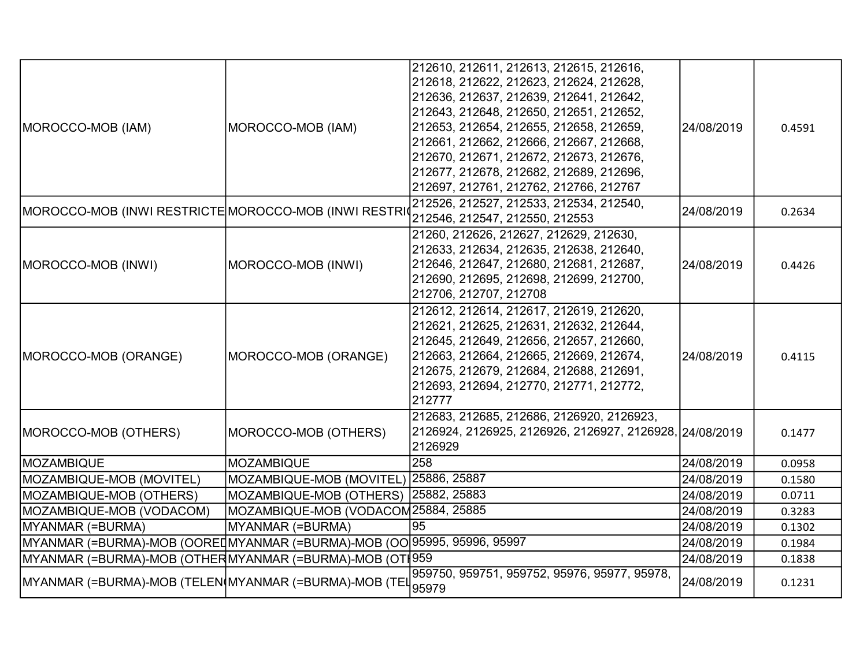| MOROCCO-MOB (IAM)                                                        | MOROCCO-MOB (IAM)                     | 212610, 212611, 212613, 212615, 212616,<br>212618, 212622, 212623, 212624, 212628,<br>212636, 212637, 212639, 212641, 212642,<br>212643, 212648, 212650, 212651, 212652,<br>212653, 212654, 212655, 212658, 212659,<br>212661, 212662, 212666, 212667, 212668,<br>212670, 212671, 212672, 212673, 212676,<br>212677, 212678, 212682, 212689, 212696,<br>212697, 212761, 212762, 212766, 212767 | 24/08/2019 | 0.4591 |
|--------------------------------------------------------------------------|---------------------------------------|------------------------------------------------------------------------------------------------------------------------------------------------------------------------------------------------------------------------------------------------------------------------------------------------------------------------------------------------------------------------------------------------|------------|--------|
| MOROCCO-MOB (INWI RESTRICTE MOROCCO-MOB (INWI RESTRI                     |                                       | 212526, 212527, 212533, 212534, 212540,<br>212546, 212547, 212550, 212553                                                                                                                                                                                                                                                                                                                      | 24/08/2019 | 0.2634 |
| MOROCCO-MOB (INWI)                                                       | MOROCCO-MOB (INWI)                    | 21260, 212626, 212627, 212629, 212630,<br>212633, 212634, 212635, 212638, 212640,<br>212646, 212647, 212680, 212681, 212687,<br>212690, 212695, 212698, 212699, 212700,<br>212706, 212707, 212708                                                                                                                                                                                              | 24/08/2019 | 0.4426 |
| MOROCCO-MOB (ORANGE)                                                     | MOROCCO-MOB (ORANGE)                  | 212612, 212614, 212617, 212619, 212620,<br>212621, 212625, 212631, 212632, 212644,<br>212645, 212649, 212656, 212657, 212660,<br>212663, 212664, 212665, 212669, 212674,<br>212675, 212679, 212684, 212688, 212691,<br>212693, 212694, 212770, 212771, 212772,<br>212777                                                                                                                       | 24/08/2019 | 0.4115 |
| MOROCCO-MOB (OTHERS)                                                     | MOROCCO-MOB (OTHERS)                  | 212683, 212685, 212686, 2126920, 2126923,<br>2126924, 2126925, 2126926, 2126927, 2126928, 24/08/2019<br>2126929                                                                                                                                                                                                                                                                                |            | 0.1477 |
| <b>MOZAMBIQUE</b>                                                        | <b>MOZAMBIQUE</b>                     | 258                                                                                                                                                                                                                                                                                                                                                                                            | 24/08/2019 | 0.0958 |
| MOZAMBIQUE-MOB (MOVITEL)                                                 | MOZAMBIQUE-MOB (MOVITEL) 25886, 25887 |                                                                                                                                                                                                                                                                                                                                                                                                | 24/08/2019 | 0.1580 |
| MOZAMBIQUE-MOB (OTHERS)                                                  | MOZAMBIQUE-MOB (OTHERS)               | 25882, 25883                                                                                                                                                                                                                                                                                                                                                                                   | 24/08/2019 | 0.0711 |
| MOZAMBIQUE-MOB (VODACOM)                                                 | MOZAMBIQUE-MOB (VODACOM25884, 25885   |                                                                                                                                                                                                                                                                                                                                                                                                | 24/08/2019 | 0.3283 |
| MYANMAR (=BURMA)                                                         | MYANMAR (=BURMA)                      | 95                                                                                                                                                                                                                                                                                                                                                                                             | 24/08/2019 | 0.1302 |
| MYANMAR (=BURMA)-MOB (OOREI MYANMAR (=BURMA)-MOB (OO 95995, 95996, 95997 |                                       |                                                                                                                                                                                                                                                                                                                                                                                                | 24/08/2019 | 0.1984 |
| MYANMAR (=BURMA)-MOB (OTHERMYANMAR (=BURMA)-MOB (OTI959                  |                                       |                                                                                                                                                                                                                                                                                                                                                                                                | 24/08/2019 | 0.1838 |
| MYANMAR (=BURMA)-MOB (TELEN(MYANMAR (=BURMA)-MOB (TEL                    |                                       | 959750, 959751, 959752, 95976, 95977, 95978,<br>95979                                                                                                                                                                                                                                                                                                                                          | 24/08/2019 | 0.1231 |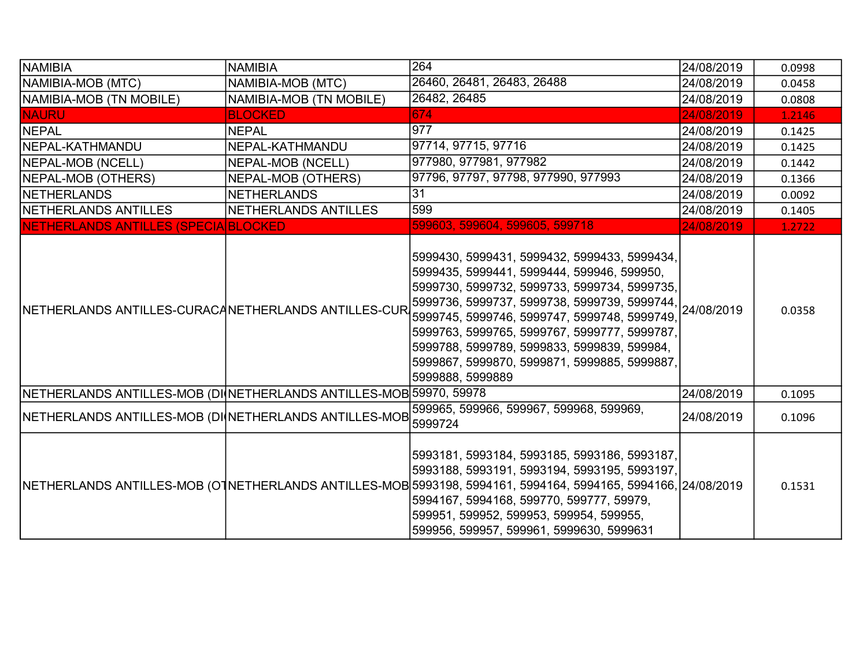| NAMIBIA                                                            | <b>NAMIBIA</b>          | 264                                                                                                                                                                                                                                                                                                                                                                                                                      | 24/08/2019 | 0.0998 |
|--------------------------------------------------------------------|-------------------------|--------------------------------------------------------------------------------------------------------------------------------------------------------------------------------------------------------------------------------------------------------------------------------------------------------------------------------------------------------------------------------------------------------------------------|------------|--------|
| NAMIBIA-MOB (MTC)                                                  | NAMIBIA-MOB (MTC)       | 26460, 26481, 26483, 26488                                                                                                                                                                                                                                                                                                                                                                                               | 24/08/2019 | 0.0458 |
| NAMIBIA-MOB (TN MOBILE)                                            | NAMIBIA-MOB (TN MOBILE) | 26482, 26485                                                                                                                                                                                                                                                                                                                                                                                                             | 24/08/2019 | 0.0808 |
| <b>NAURU</b>                                                       | <b>BLOCKED</b>          | 674                                                                                                                                                                                                                                                                                                                                                                                                                      | 24/08/2019 | 1.2146 |
| <b>NEPAL</b>                                                       | <b>NEPAL</b>            | 977                                                                                                                                                                                                                                                                                                                                                                                                                      | 24/08/2019 | 0.1425 |
| INEPAL-KATHMANDU                                                   | NEPAL-KATHMANDU         | 97714, 97715, 97716                                                                                                                                                                                                                                                                                                                                                                                                      | 24/08/2019 | 0.1425 |
| NEPAL-MOB (NCELL)                                                  | NEPAL-MOB (NCELL)       | 977980, 977981, 977982                                                                                                                                                                                                                                                                                                                                                                                                   | 24/08/2019 | 0.1442 |
| NEPAL-MOB (OTHERS)                                                 | NEPAL-MOB (OTHERS)      | 97796, 97797, 97798, 977990, 977993                                                                                                                                                                                                                                                                                                                                                                                      | 24/08/2019 | 0.1366 |
| NETHERLANDS                                                        | <b>NETHERLANDS</b>      | 31                                                                                                                                                                                                                                                                                                                                                                                                                       | 24/08/2019 | 0.0092 |
| NETHERLANDS ANTILLES                                               | NETHERLANDS ANTILLES    | 599                                                                                                                                                                                                                                                                                                                                                                                                                      | 24/08/2019 | 0.1405 |
| NETHERLANDS ANTILLES (SPECIA BLOCKED                               |                         | 599603, 599604, 599605, 599718                                                                                                                                                                                                                                                                                                                                                                                           | 24/08/2019 | 1.2722 |
| NETHERLANDS ANTILLES-CURACANETHERLANDS ANTILLES-CUR                |                         | 5999430, 5999431, 5999432, 5999433, 5999434,<br>5999435, 5999441, 5999444, 599946, 599950,<br>5999730, 5999732, 5999733, 5999734, 5999735,<br>5999736, 5999737, 5999738, 5999739, 5999744, 24/08/2019<br>5999745, 5999746, 5999747, 5999748, 5999749,<br>5999763, 5999765, 5999767, 5999777, 5999787,<br>5999788, 5999789, 5999833, 5999839, 599984,<br>5999867, 5999870, 5999871, 5999885, 5999887,<br>5999888, 5999889 |            | 0.0358 |
| NETHERLANDS ANTILLES-MOB (DI NETHERLANDS ANTILLES-MOB 59970, 59978 |                         |                                                                                                                                                                                                                                                                                                                                                                                                                          | 24/08/2019 | 0.1095 |
| NETHERLANDS ANTILLES-MOB (DI NETHERLANDS ANTILLES-MOB 5999724      |                         | 599965, 599966, 599967, 599968, 599969,                                                                                                                                                                                                                                                                                                                                                                                  | 24/08/2019 | 0.1096 |
|                                                                    |                         | 5993181, 5993184, 5993185, 5993186, 5993187,<br>5993188, 5993191, 5993194, 5993195, 5993197,<br>NETHERLANDS ANTILLES-MOB (OTNETHERLANDS ANTILLES-MOB 5993198, 5994161, 5994164, 5994165, 5994166, 24/08/2019<br>5994167, 5994168, 599770, 599777, 59979,<br>599951, 599952, 599953, 599954, 599955,<br>599956, 599957, 599961, 5999630, 5999631                                                                          |            | 0.1531 |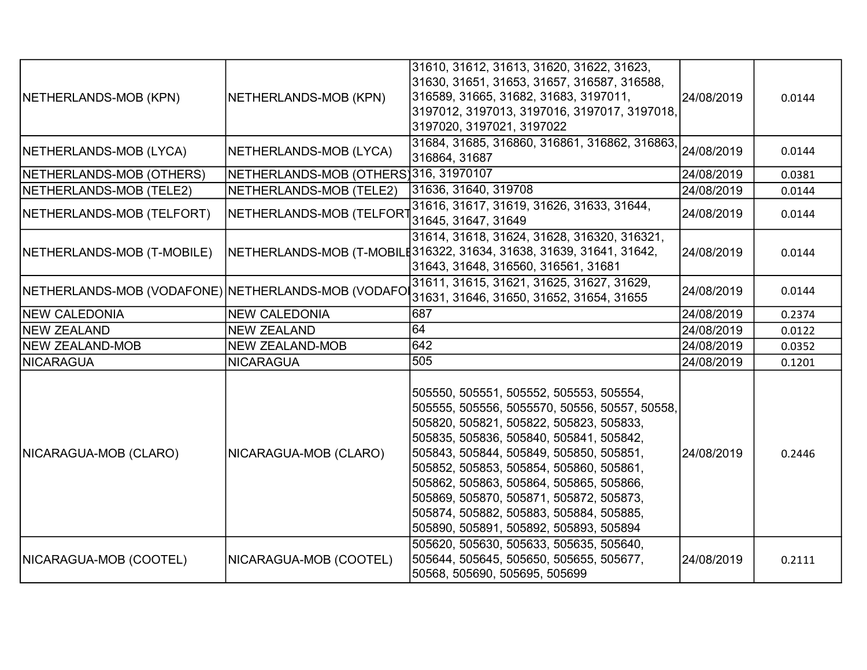| NETHERLANDS-MOB (KPN)                              | NETHERLANDS-MOB (KPN)                 | 31610, 31612, 31613, 31620, 31622, 31623,<br>31630, 31651, 31653, 31657, 316587, 316588,<br>316589, 31665, 31682, 31683, 3197011,<br>3197012, 3197013, 3197016, 3197017, 3197018,<br>3197020, 3197021, 3197022                                                                                                                                                                                                                                  | 24/08/2019 | 0.0144 |
|----------------------------------------------------|---------------------------------------|-------------------------------------------------------------------------------------------------------------------------------------------------------------------------------------------------------------------------------------------------------------------------------------------------------------------------------------------------------------------------------------------------------------------------------------------------|------------|--------|
| NETHERLANDS-MOB (LYCA)                             | NETHERLANDS-MOB (LYCA)                | 31684, 31685, 316860, 316861, 316862, 316863,<br>316864, 31687                                                                                                                                                                                                                                                                                                                                                                                  | 24/08/2019 | 0.0144 |
| NETHERLANDS-MOB (OTHERS)                           | NETHERLANDS-MOB (OTHERS)316, 31970107 |                                                                                                                                                                                                                                                                                                                                                                                                                                                 | 24/08/2019 | 0.0381 |
| NETHERLANDS-MOB (TELE2)                            | NETHERLANDS-MOB (TELE2)               | 31636, 31640, 319708                                                                                                                                                                                                                                                                                                                                                                                                                            | 24/08/2019 | 0.0144 |
| NETHERLANDS-MOB (TELFORT)                          | NETHERLANDS-MOB (TELFORT              | 31616, 31617, 31619, 31626, 31633, 31644,<br>31645, 31647, 31649                                                                                                                                                                                                                                                                                                                                                                                | 24/08/2019 | 0.0144 |
| NETHERLANDS-MOB (T-MOBILE)                         |                                       | 31614, 31618, 31624, 31628, 316320, 316321,<br>NETHERLANDS-MOB (T-MOBILE316322, 31634, 31638, 31639, 31641, 31642,<br>31643, 31648, 316560, 316561, 31681                                                                                                                                                                                                                                                                                       | 24/08/2019 | 0.0144 |
| NETHERLANDS-MOB (VODAFONE) NETHERLANDS-MOB (VODAFO |                                       | 31611, 31615, 31621, 31625, 31627, 31629,<br>31631, 31646, 31650, 31652, 31654, 31655                                                                                                                                                                                                                                                                                                                                                           | 24/08/2019 | 0.0144 |
| <b>NEW CALEDONIA</b>                               | <b>NEW CALEDONIA</b>                  | 687                                                                                                                                                                                                                                                                                                                                                                                                                                             | 24/08/2019 | 0.2374 |
| NEW ZEALAND                                        | <b>NEW ZEALAND</b>                    | 64                                                                                                                                                                                                                                                                                                                                                                                                                                              | 24/08/2019 | 0.0122 |
| NEW ZEALAND-MOB                                    | <b>NEW ZEALAND-MOB</b>                | 642                                                                                                                                                                                                                                                                                                                                                                                                                                             | 24/08/2019 | 0.0352 |
| <b>NICARAGUA</b>                                   | <b>NICARAGUA</b>                      | 505                                                                                                                                                                                                                                                                                                                                                                                                                                             | 24/08/2019 | 0.1201 |
| NICARAGUA-MOB (CLARO)                              | NICARAGUA-MOB (CLARO)                 | 505550, 505551, 505552, 505553, 505554,<br>505555, 505556, 5055570, 50556, 50557, 50558,<br>505820, 505821, 505822, 505823, 505833,<br>505835, 505836, 505840, 505841, 505842,<br>505843, 505844, 505849, 505850, 505851,<br>505852, 505853, 505854, 505860, 505861,<br>505862, 505863, 505864, 505865, 505866,<br>505869, 505870, 505871, 505872, 505873,<br>505874, 505882, 505883, 505884, 505885,<br>505890, 505891, 505892, 505893, 505894 | 24/08/2019 | 0.2446 |
| NICARAGUA-MOB (COOTEL)                             | NICARAGUA-MOB (COOTEL)                | 505620, 505630, 505633, 505635, 505640,<br>505644, 505645, 505650, 505655, 505677,<br>50568, 505690, 505695, 505699                                                                                                                                                                                                                                                                                                                             | 24/08/2019 | 0.2111 |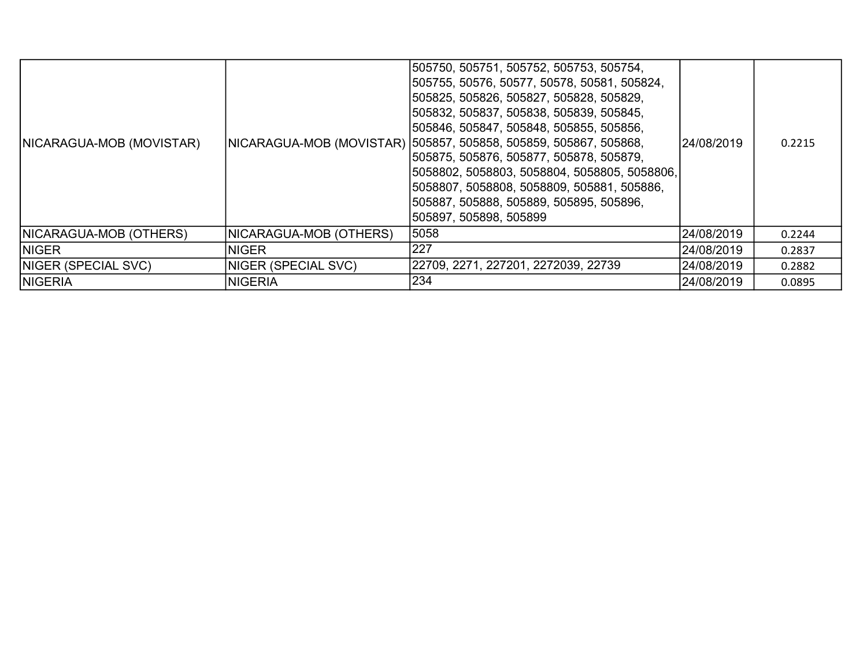| NICARAGUA-MOB (MOVISTAR)   |                        | 505750, 505751, 505752, 505753, 505754,<br> 505755, 50576, 50577, 50578, 50581, 505824,<br>1505825, 505826, 505827, 505828, 505829,<br> 505832, 505837, 505838, 505839, 505845,<br> 505846, 505847, 505848, 505855, 505856,<br> NICARAGUA-MOB (MOVISTAR)  505857, 505858, 505859, 505867, 505868,<br>1505875, 505876, 505877, 505878, 505879,<br> 5058802, 5058803, 5058804, 5058805, 5058806, <br> 5058807, 5058808, 5058809, 505881, 505886,<br> 505887, 505888, 505889, 505895, 505896,<br>505897, 505898, 505899 | 24/08/2019 | 0.2215 |
|----------------------------|------------------------|----------------------------------------------------------------------------------------------------------------------------------------------------------------------------------------------------------------------------------------------------------------------------------------------------------------------------------------------------------------------------------------------------------------------------------------------------------------------------------------------------------------------|------------|--------|
| NICARAGUA-MOB (OTHERS)     | NICARAGUA-MOB (OTHERS) | 5058                                                                                                                                                                                                                                                                                                                                                                                                                                                                                                                 | 24/08/2019 | 0.2244 |
| <b>INIGER</b>              | <b>NIGER</b>           | 227                                                                                                                                                                                                                                                                                                                                                                                                                                                                                                                  | 24/08/2019 | 0.2837 |
| <b>NIGER (SPECIAL SVC)</b> | NIGER (SPECIAL SVC)    | 22709, 2271, 227201, 2272039, 22739                                                                                                                                                                                                                                                                                                                                                                                                                                                                                  | 24/08/2019 | 0.2882 |
| <b>NIGERIA</b>             | <b>NIGERIA</b>         | 234                                                                                                                                                                                                                                                                                                                                                                                                                                                                                                                  | 24/08/2019 | 0.0895 |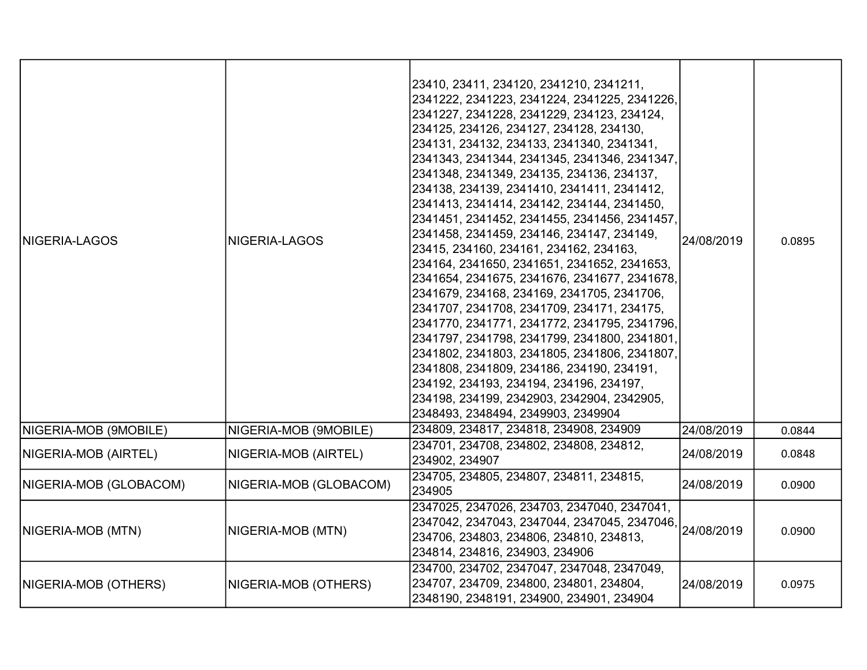| <b>INIGERIA-LAGOS</b>    | NIGERIA-LAGOS          | 23410, 23411, 234120, 2341210, 2341211,<br>2341222, 2341223, 2341224, 2341225, 2341226,<br>2341227, 2341228, 2341229, 234123, 234124,<br>234125, 234126, 234127, 234128, 234130,<br>234131, 234132, 234133, 2341340, 2341341,<br>2341343, 2341344, 2341345, 2341346, 2341347,<br>2341348, 2341349, 234135, 234136, 234137,<br>234138, 234139, 2341410, 2341411, 2341412,<br>2341413, 2341414, 234142, 234144, 2341450,<br>2341451, 2341452, 2341455, 2341456, 2341457,<br>2341458, 2341459, 234146, 234147, 234149,<br>23415, 234160, 234161, 234162, 234163,<br>234164, 2341650, 2341651, 2341652, 2341653,<br>2341654, 2341675, 2341676, 2341677, 2341678,<br>2341679, 234168, 234169, 2341705, 2341706,<br>2341707, 2341708, 2341709, 234171, 234175,<br>2341770, 2341771, 2341772, 2341795, 2341796,<br>2341797, 2341798, 2341799, 2341800, 2341801,<br>2341802, 2341803, 2341805, 2341806, 2341807,<br>2341808, 2341809, 234186, 234190, 234191,<br>234192, 234193, 234194, 234196, 234197,<br>234198, 234199, 2342903, 2342904, 2342905,<br>2348493, 2348494, 2349903, 2349904 | 24/08/2019 | 0.0895 |
|--------------------------|------------------------|--------------------------------------------------------------------------------------------------------------------------------------------------------------------------------------------------------------------------------------------------------------------------------------------------------------------------------------------------------------------------------------------------------------------------------------------------------------------------------------------------------------------------------------------------------------------------------------------------------------------------------------------------------------------------------------------------------------------------------------------------------------------------------------------------------------------------------------------------------------------------------------------------------------------------------------------------------------------------------------------------------------------------------------------------------------------------------------|------------|--------|
| NIGERIA-MOB (9MOBILE)    | NIGERIA-MOB (9MOBILE)  | 234809, 234817, 234818, 234908, 234909                                                                                                                                                                                                                                                                                                                                                                                                                                                                                                                                                                                                                                                                                                                                                                                                                                                                                                                                                                                                                                               | 24/08/2019 | 0.0844 |
| NIGERIA-MOB (AIRTEL)     | NIGERIA-MOB (AIRTEL)   | 234701, 234708, 234802, 234808, 234812,<br>234902, 234907                                                                                                                                                                                                                                                                                                                                                                                                                                                                                                                                                                                                                                                                                                                                                                                                                                                                                                                                                                                                                            | 24/08/2019 | 0.0848 |
| NIGERIA-MOB (GLOBACOM)   | NIGERIA-MOB (GLOBACOM) | 234705, 234805, 234807, 234811, 234815,<br>234905                                                                                                                                                                                                                                                                                                                                                                                                                                                                                                                                                                                                                                                                                                                                                                                                                                                                                                                                                                                                                                    | 24/08/2019 | 0.0900 |
| <b>NIGERIA-MOB (MTN)</b> | NIGERIA-MOB (MTN)      | 2347025, 2347026, 234703, 2347040, 2347041,<br>2347042, 2347043, 2347044, 2347045, 2347046, 24/08/2019<br>234706, 234803, 234806, 234810, 234813,<br>234814, 234816, 234903, 234906                                                                                                                                                                                                                                                                                                                                                                                                                                                                                                                                                                                                                                                                                                                                                                                                                                                                                                  |            | 0.0900 |
| NIGERIA-MOB (OTHERS)     | NIGERIA-MOB (OTHERS)   | 234700, 234702, 2347047, 2347048, 2347049,<br>234707, 234709, 234800, 234801, 234804,<br>2348190, 2348191, 234900, 234901, 234904                                                                                                                                                                                                                                                                                                                                                                                                                                                                                                                                                                                                                                                                                                                                                                                                                                                                                                                                                    | 24/08/2019 | 0.0975 |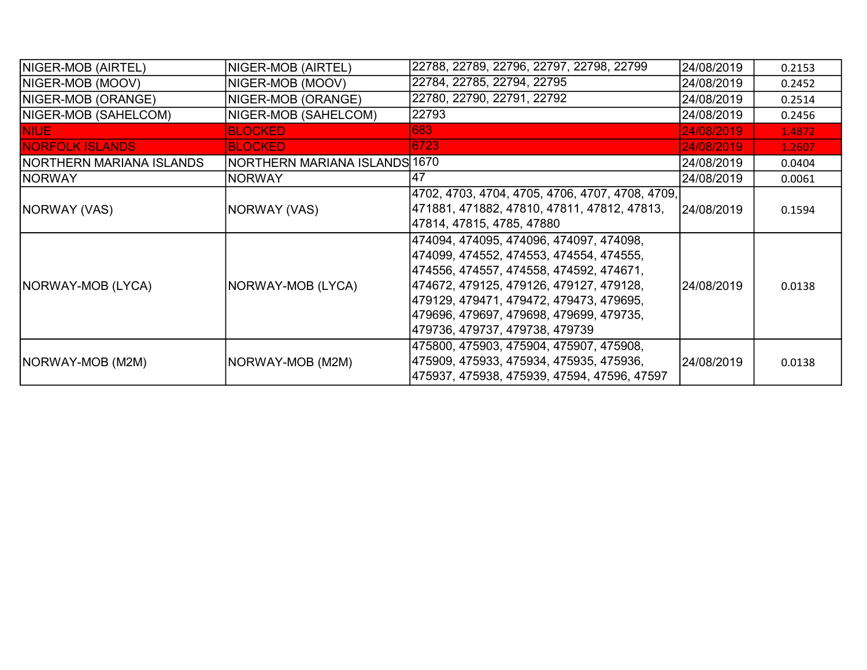| NIGER-MOB (AIRTEL)               | NIGER-MOB (AIRTEL)            | 22788, 22789, 22796, 22797, 22798, 22799                                                                                                                                                                                                                                                         | 24/08/2019 | 0.2153 |
|----------------------------------|-------------------------------|--------------------------------------------------------------------------------------------------------------------------------------------------------------------------------------------------------------------------------------------------------------------------------------------------|------------|--------|
| NIGER-MOB (MOOV)                 | NIGER-MOB (MOOV)              | 22784, 22785, 22794, 22795                                                                                                                                                                                                                                                                       | 24/08/2019 | 0.2452 |
| NIGER-MOB (ORANGE)               | NIGER-MOB (ORANGE)            | 22780, 22790, 22791, 22792                                                                                                                                                                                                                                                                       | 24/08/2019 | 0.2514 |
| NIGER-MOB (SAHELCOM)             | NIGER-MOB (SAHELCOM)          | 22793                                                                                                                                                                                                                                                                                            | 24/08/2019 | 0.2456 |
| <b>NIUE</b>                      | <b>BLOCKED</b>                | 683                                                                                                                                                                                                                                                                                              | 24/08/2019 | 1.4872 |
| <b>NORFOLK ISLANDS</b>           | <b>BLOCKED</b>                | 6723                                                                                                                                                                                                                                                                                             | 24/08/2019 | 1.2607 |
| <b>INORTHERN MARIANA ISLANDS</b> | NORTHERN MARIANA ISLANDS 1670 |                                                                                                                                                                                                                                                                                                  | 24/08/2019 | 0.0404 |
| <b>NORWAY</b>                    | <b>INORWAY</b>                | 47                                                                                                                                                                                                                                                                                               | 24/08/2019 | 0.0061 |
| NORWAY (VAS)                     | NORWAY (VAS)                  | 4702, 4703, 4704, 4705, 4706, 4707, 4708, 4709,<br> 471881, 471882, 47810, 47811, 47812, 47813,<br>47814, 47815, 4785, 47880                                                                                                                                                                     | 24/08/2019 | 0.1594 |
| NORWAY-MOB (LYCA)                | NORWAY-MOB (LYCA)             | 474094, 474095, 474096, 474097, 474098,<br>474099, 474552, 474553, 474554, 474555,<br>474556, 474557, 474558, 474592, 474671,<br>474672, 479125, 479126, 479127, 479128,<br>479129, 479471, 479472, 479473, 479695,<br>479696, 479697, 479698, 479699, 479735,<br>479736, 479737, 479738, 479739 | 24/08/2019 | 0.0138 |
| NORWAY-MOB (M2M)                 | NORWAY-MOB (M2M)              | 475800, 475903, 475904, 475907, 475908,<br>475909, 475933, 475934, 475935, 475936,<br>475937, 475938, 475939, 47594, 47596, 47597                                                                                                                                                                | 24/08/2019 | 0.0138 |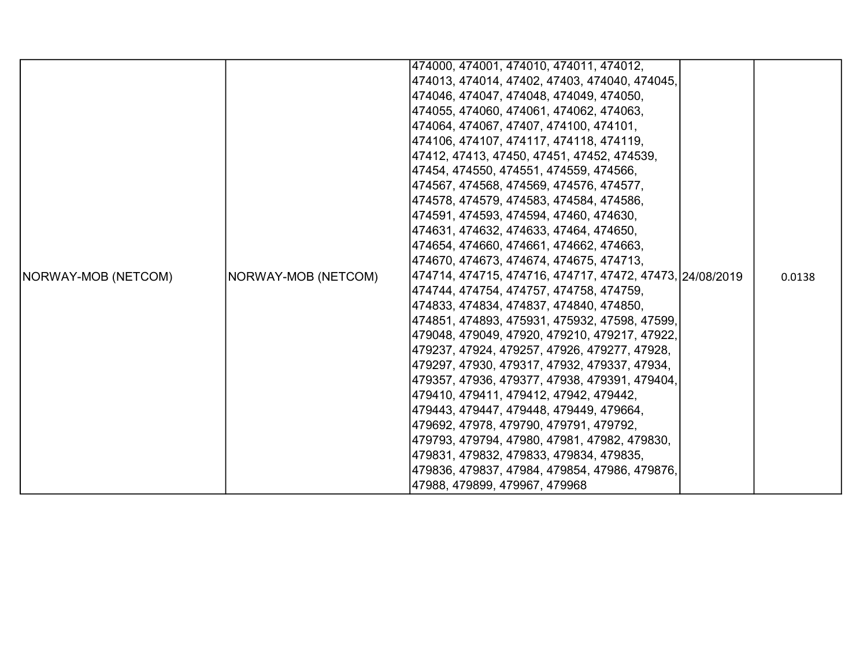|                            |                     | 474000, 474001, 474010, 474011, 474012,                  |        |
|----------------------------|---------------------|----------------------------------------------------------|--------|
|                            |                     | 474013, 474014, 47402, 47403, 474040, 474045,            |        |
|                            |                     | 474046, 474047, 474048, 474049, 474050,                  |        |
|                            |                     | 474055, 474060, 474061, 474062, 474063,                  |        |
|                            |                     | 474064, 474067, 47407, 474100, 474101,                   |        |
|                            |                     | 474106, 474107, 474117, 474118, 474119,                  |        |
|                            |                     | 47412, 47413, 47450, 47451, 47452, 474539,               |        |
|                            |                     | 47454, 474550, 474551, 474559, 474566,                   |        |
|                            |                     | 474567, 474568, 474569, 474576, 474577,                  |        |
|                            |                     | 474578, 474579, 474583, 474584, 474586,                  |        |
|                            |                     | 474591, 474593, 474594, 47460, 474630,                   |        |
|                            |                     | 474631, 474632, 474633, 47464, 474650,                   |        |
|                            |                     | 474654, 474660, 474661, 474662, 474663,                  |        |
|                            |                     | 474670, 474673, 474674, 474675, 474713,                  |        |
| <b>NORWAY-MOB (NETCOM)</b> | NORWAY-MOB (NETCOM) | 474714, 474715, 474716, 474717, 47472, 47473, 24/08/2019 | 0.0138 |
|                            |                     | 474744, 474754, 474757, 474758, 474759,                  |        |
|                            |                     | 474833, 474834, 474837, 474840, 474850,                  |        |
|                            |                     | 474851, 474893, 475931, 475932, 47598, 47599,            |        |
|                            |                     | 479048, 479049, 47920, 479210, 479217, 47922,            |        |
|                            |                     | 479237, 47924, 479257, 47926, 479277, 47928,             |        |
|                            |                     | 479297, 47930, 479317, 47932, 479337, 47934,             |        |
|                            |                     | 479357, 47936, 479377, 47938, 479391, 479404,            |        |
|                            |                     | 479410, 479411, 479412, 47942, 479442,                   |        |
|                            |                     | 479443, 479447, 479448, 479449, 479664,                  |        |
|                            |                     | 479692, 47978, 479790, 479791, 479792,                   |        |
|                            |                     | 479793, 479794, 47980, 47981, 47982, 479830,             |        |
|                            |                     | 479831, 479832, 479833, 479834, 479835,                  |        |
|                            |                     | 479836, 479837, 47984, 479854, 47986, 479876,            |        |
|                            |                     | 47988, 479899, 479967, 479968                            |        |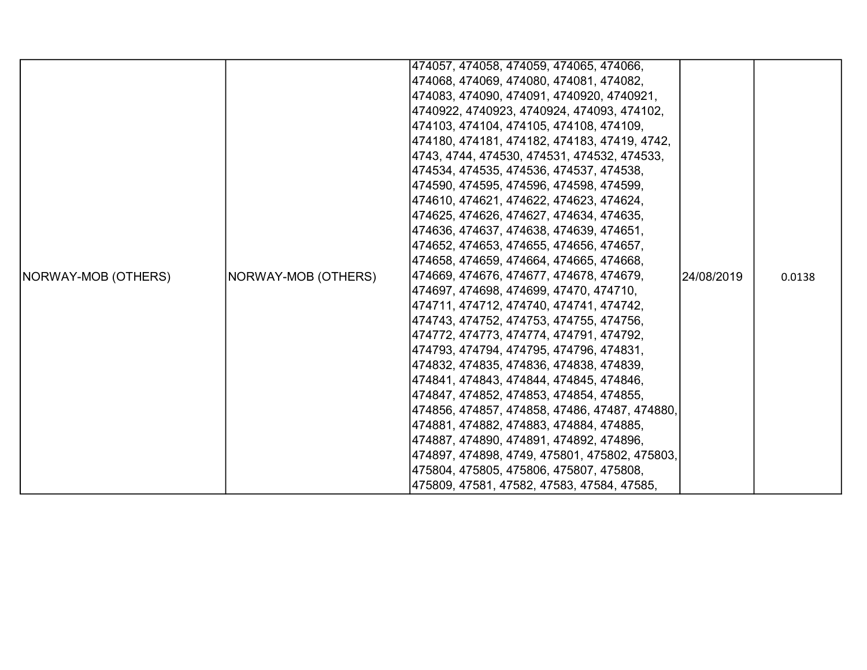|                            |                     | 474057, 474058, 474059, 474065, 474066,       |            |        |
|----------------------------|---------------------|-----------------------------------------------|------------|--------|
|                            |                     | 474068, 474069, 474080, 474081, 474082,       |            |        |
|                            |                     | 474083, 474090, 474091, 4740920, 4740921,     |            |        |
|                            |                     | 4740922, 4740923, 4740924, 474093, 474102,    |            |        |
|                            |                     | 474103, 474104, 474105, 474108, 474109,       |            |        |
|                            |                     | 474180, 474181, 474182, 474183, 47419, 4742,  |            |        |
|                            |                     | 4743, 4744, 474530, 474531, 474532, 474533,   |            |        |
|                            |                     | 474534, 474535, 474536, 474537, 474538,       |            |        |
|                            |                     | 474590, 474595, 474596, 474598, 474599,       |            |        |
|                            |                     | 474610, 474621, 474622, 474623, 474624,       |            |        |
|                            |                     | 474625, 474626, 474627, 474634, 474635,       |            |        |
|                            |                     | 474636, 474637, 474638, 474639, 474651,       |            |        |
|                            |                     | 474652, 474653, 474655, 474656, 474657,       |            |        |
|                            |                     | 474658, 474659, 474664, 474665, 474668,       |            |        |
| <b>NORWAY-MOB (OTHERS)</b> | NORWAY-MOB (OTHERS) | 474669, 474676, 474677, 474678, 474679,       | 24/08/2019 | 0.0138 |
|                            |                     | 474697, 474698, 474699, 47470, 474710,        |            |        |
|                            |                     | 474711, 474712, 474740, 474741, 474742,       |            |        |
|                            |                     | 474743, 474752, 474753, 474755, 474756,       |            |        |
|                            |                     | 474772, 474773, 474774, 474791, 474792,       |            |        |
|                            |                     | 474793, 474794, 474795, 474796, 474831,       |            |        |
|                            |                     | 474832, 474835, 474836, 474838, 474839,       |            |        |
|                            |                     | 474841, 474843, 474844, 474845, 474846,       |            |        |
|                            |                     | 474847, 474852, 474853, 474854, 474855,       |            |        |
|                            |                     | 474856, 474857, 474858, 47486, 47487, 474880, |            |        |
|                            |                     | 474881, 474882, 474883, 474884, 474885,       |            |        |
|                            |                     | 474887, 474890, 474891, 474892, 474896,       |            |        |
|                            |                     | 474897, 474898, 4749, 475801, 475802, 475803, |            |        |
|                            |                     | 475804, 475805, 475806, 475807, 475808,       |            |        |
|                            |                     | 475809, 47581, 47582, 47583, 47584, 47585,    |            |        |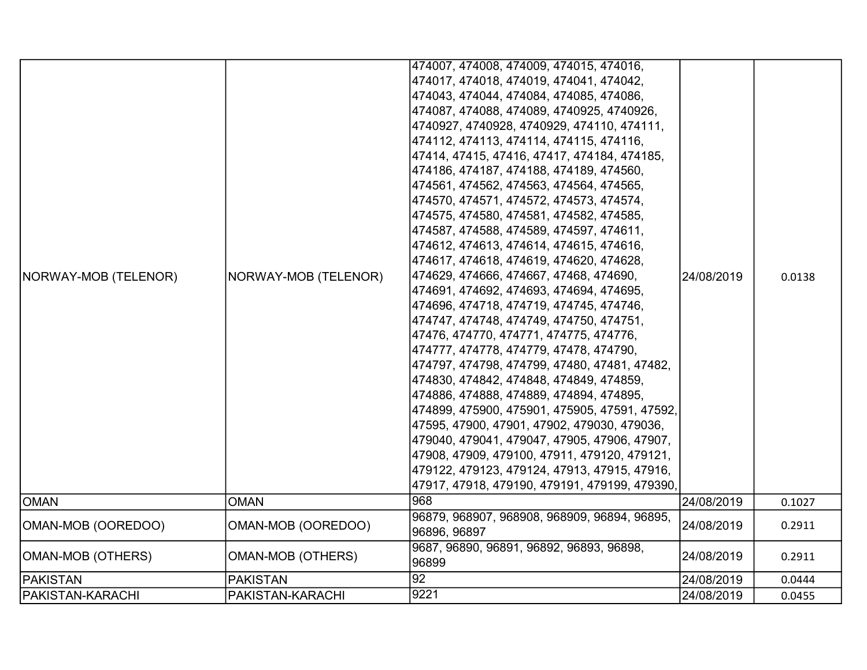| NORWAY-MOB (TELENOR) | NORWAY-MOB (TELENOR)     | 474007, 474008, 474009, 474015, 474016,<br> 474017, 474018, 474019, 474041, 474042,<br> 474043, 474044, 474084, 474085, 474086,<br> 474087, 474088, 474089, 4740925, 4740926,<br> 4740927, 4740928, 4740929, 474110, 474111,<br>474112, 474113, 474114, 474115, 474116,<br> 47414, 47415, 47416, 47417, 474184, 474185,<br> 474186, 474187, 474188, 474189, 474560,<br> 474561, 474562, 474563, 474564, 474565,<br> 474570, 474571, 474572, 474573, 474574,<br> 474575, 474580, 474581, 474582, 474585,<br> 474587, 474588, 474589, 474597, 474611,<br>474612, 474613, 474614, 474615, 474616,<br> 474617, 474618, 474619, 474620, 474628,<br> 474629, 474666, 474667, 47468, 474690,<br> 474691, 474692, 474693, 474694, 474695,<br> 474696, 474718, 474719, 474745, 474746,<br> 474747, 474748, 474749, 474750, 474751,<br> 47476, 474770, 474771, 474775, 474776,<br> 474777, 474778, 474779, 47478, 474790,<br> 474797, 474798, 474799, 47480, 47481, 47482,<br> 474830, 474842, 474848, 474849, 474859,<br> 474886, 474888, 474889, 474894, 474895,<br> 474899, 475900, 475901, 475905, 47591, 47592,<br> 47595, 47900, 47901, 47902, 479030, 479036,<br> 479040, 479041, 479047, 47905, 47906, 47907,<br> 47908, 47909, 479100, 47911, 479120, 479121,<br> 479122, 479123, 479124, 47913, 47915, 47916, | 24/08/2019 | 0.0138 |
|----------------------|--------------------------|---------------------------------------------------------------------------------------------------------------------------------------------------------------------------------------------------------------------------------------------------------------------------------------------------------------------------------------------------------------------------------------------------------------------------------------------------------------------------------------------------------------------------------------------------------------------------------------------------------------------------------------------------------------------------------------------------------------------------------------------------------------------------------------------------------------------------------------------------------------------------------------------------------------------------------------------------------------------------------------------------------------------------------------------------------------------------------------------------------------------------------------------------------------------------------------------------------------------------------------------------------------------------------------------------------------|------------|--------|
|                      |                          | 47917, 47918, 479190, 479191, 479199, 479390,                                                                                                                                                                                                                                                                                                                                                                                                                                                                                                                                                                                                                                                                                                                                                                                                                                                                                                                                                                                                                                                                                                                                                                                                                                                                 |            |        |
| <b>OMAN</b>          | <b>OMAN</b>              | $\overline{968}$                                                                                                                                                                                                                                                                                                                                                                                                                                                                                                                                                                                                                                                                                                                                                                                                                                                                                                                                                                                                                                                                                                                                                                                                                                                                                              | 24/08/2019 | 0.1027 |
| OMAN-MOB (OOREDOO)   | OMAN-MOB (OOREDOO)       | 96879, 968907, 968908, 968909, 96894, 96895,<br>96896, 96897                                                                                                                                                                                                                                                                                                                                                                                                                                                                                                                                                                                                                                                                                                                                                                                                                                                                                                                                                                                                                                                                                                                                                                                                                                                  | 24/08/2019 | 0.2911 |
| OMAN-MOB (OTHERS)    | <b>OMAN-MOB (OTHERS)</b> | 9687, 96890, 96891, 96892, 96893, 96898,<br>96899                                                                                                                                                                                                                                                                                                                                                                                                                                                                                                                                                                                                                                                                                                                                                                                                                                                                                                                                                                                                                                                                                                                                                                                                                                                             | 24/08/2019 | 0.2911 |
| <b>PAKISTAN</b>      | <b>PAKISTAN</b>          | 92                                                                                                                                                                                                                                                                                                                                                                                                                                                                                                                                                                                                                                                                                                                                                                                                                                                                                                                                                                                                                                                                                                                                                                                                                                                                                                            | 24/08/2019 | 0.0444 |
| PAKISTAN-KARACHI     | PAKISTAN-KARACHI         | 9221                                                                                                                                                                                                                                                                                                                                                                                                                                                                                                                                                                                                                                                                                                                                                                                                                                                                                                                                                                                                                                                                                                                                                                                                                                                                                                          | 24/08/2019 | 0.0455 |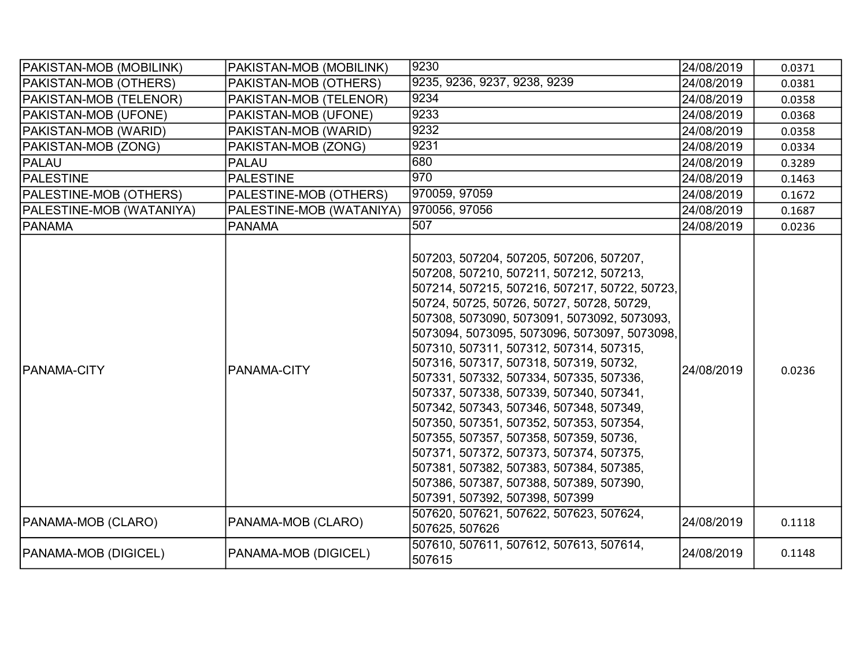| PAKISTAN-MOB (MOBILINK)     | PAKISTAN-MOB (MOBILINK)  | 9230                                                                                                                                                                                                                                                                                                                                                                                                                                                                                                                                                                                                                                                                                                                                                          | 24/08/2019 | 0.0371 |
|-----------------------------|--------------------------|---------------------------------------------------------------------------------------------------------------------------------------------------------------------------------------------------------------------------------------------------------------------------------------------------------------------------------------------------------------------------------------------------------------------------------------------------------------------------------------------------------------------------------------------------------------------------------------------------------------------------------------------------------------------------------------------------------------------------------------------------------------|------------|--------|
| PAKISTAN-MOB (OTHERS)       | PAKISTAN-MOB (OTHERS)    | 9235, 9236, 9237, 9238, 9239                                                                                                                                                                                                                                                                                                                                                                                                                                                                                                                                                                                                                                                                                                                                  | 24/08/2019 | 0.0381 |
| PAKISTAN-MOB (TELENOR)      | PAKISTAN-MOB (TELENOR)   | 9234                                                                                                                                                                                                                                                                                                                                                                                                                                                                                                                                                                                                                                                                                                                                                          | 24/08/2019 | 0.0358 |
| PAKISTAN-MOB (UFONE)        | PAKISTAN-MOB (UFONE)     | 9233                                                                                                                                                                                                                                                                                                                                                                                                                                                                                                                                                                                                                                                                                                                                                          | 24/08/2019 | 0.0368 |
| PAKISTAN-MOB (WARID)        | PAKISTAN-MOB (WARID)     | 9232                                                                                                                                                                                                                                                                                                                                                                                                                                                                                                                                                                                                                                                                                                                                                          | 24/08/2019 | 0.0358 |
| PAKISTAN-MOB (ZONG)         | PAKISTAN-MOB (ZONG)      | 9231                                                                                                                                                                                                                                                                                                                                                                                                                                                                                                                                                                                                                                                                                                                                                          | 24/08/2019 | 0.0334 |
| PALAU                       | <b>PALAU</b>             | 680                                                                                                                                                                                                                                                                                                                                                                                                                                                                                                                                                                                                                                                                                                                                                           | 24/08/2019 | 0.3289 |
| <b>PALESTINE</b>            | <b>PALESTINE</b>         | 970                                                                                                                                                                                                                                                                                                                                                                                                                                                                                                                                                                                                                                                                                                                                                           | 24/08/2019 | 0.1463 |
| PALESTINE-MOB (OTHERS)      | PALESTINE-MOB (OTHERS)   | 970059, 97059                                                                                                                                                                                                                                                                                                                                                                                                                                                                                                                                                                                                                                                                                                                                                 | 24/08/2019 | 0.1672 |
| PALESTINE-MOB (WATANIYA)    | PALESTINE-MOB (WATANIYA) | 970056, 97056                                                                                                                                                                                                                                                                                                                                                                                                                                                                                                                                                                                                                                                                                                                                                 | 24/08/2019 | 0.1687 |
| PANAMA                      | <b>PANAMA</b>            | 507                                                                                                                                                                                                                                                                                                                                                                                                                                                                                                                                                                                                                                                                                                                                                           | 24/08/2019 | 0.0236 |
| <b>PANAMA-CITY</b>          | PANAMA-CITY              | 507203, 507204, 507205, 507206, 507207,<br>507208, 507210, 507211, 507212, 507213,<br>507214, 507215, 507216, 507217, 50722, 50723,<br>50724, 50725, 50726, 50727, 50728, 50729,<br>507308, 5073090, 5073091, 5073092, 5073093,<br>5073094, 5073095, 5073096, 5073097, 5073098,<br>507310, 507311, 507312, 507314, 507315,<br>507316, 507317, 507318, 507319, 50732,<br>507331, 507332, 507334, 507335, 507336,<br>507337, 507338, 507339, 507340, 507341,<br>507342, 507343, 507346, 507348, 507349,<br>507350, 507351, 507352, 507353, 507354,<br>507355, 507357, 507358, 507359, 50736,<br>507371, 507372, 507373, 507374, 507375,<br>507381, 507382, 507383, 507384, 507385,<br>507386, 507387, 507388, 507389, 507390,<br>507391, 507392, 507398, 507399 | 24/08/2019 | 0.0236 |
| PANAMA-MOB (CLARO)          | PANAMA-MOB (CLARO)       | 507620, 507621, 507622, 507623, 507624,<br>507625, 507626                                                                                                                                                                                                                                                                                                                                                                                                                                                                                                                                                                                                                                                                                                     | 24/08/2019 | 0.1118 |
| <b>PANAMA-MOB (DIGICEL)</b> | PANAMA-MOB (DIGICEL)     | 507610, 507611, 507612, 507613, 507614,<br>507615                                                                                                                                                                                                                                                                                                                                                                                                                                                                                                                                                                                                                                                                                                             | 24/08/2019 | 0.1148 |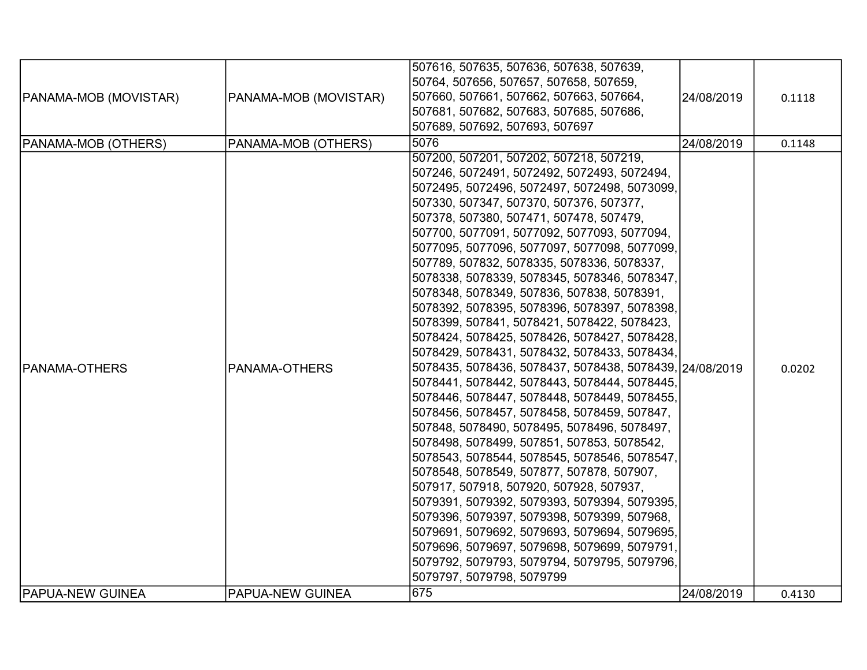|                              |                       | 507616, 507635, 507636, 507638, 507639,                                                      |            |        |
|------------------------------|-----------------------|----------------------------------------------------------------------------------------------|------------|--------|
|                              |                       | 50764, 507656, 507657, 507658, 507659,                                                       |            |        |
| <b>PANAMA-MOB (MOVISTAR)</b> | PANAMA-MOB (MOVISTAR) | 507660, 507661, 507662, 507663, 507664,                                                      | 24/08/2019 | 0.1118 |
|                              |                       | 507681, 507682, 507683, 507685, 507686,                                                      |            |        |
|                              |                       | 507689, 507692, 507693, 507697                                                               |            |        |
|                              |                       | 5076                                                                                         | 24/08/2019 |        |
| PANAMA-MOB (OTHERS)          | PANAMA-MOB (OTHERS)   | 507200, 507201, 507202, 507218, 507219,                                                      |            | 0.1148 |
|                              |                       | 507246, 5072491, 5072492, 5072493, 5072494,                                                  |            |        |
|                              |                       |                                                                                              |            |        |
|                              |                       | 5072495, 5072496, 5072497, 5072498, 5073099,                                                 |            |        |
|                              |                       | 507330, 507347, 507370, 507376, 507377,                                                      |            |        |
|                              |                       | 507378, 507380, 507471, 507478, 507479,                                                      |            |        |
|                              |                       | 507700, 5077091, 5077092, 5077093, 5077094,                                                  |            |        |
|                              |                       | 5077095, 5077096, 5077097, 5077098, 5077099,                                                 |            |        |
|                              |                       | 507789, 507832, 5078335, 5078336, 5078337,                                                   |            |        |
|                              |                       | 5078338, 5078339, 5078345, 5078346, 5078347,                                                 |            |        |
|                              |                       | 5078348, 5078349, 507836, 507838, 5078391,                                                   |            |        |
|                              |                       | 5078392, 5078395, 5078396, 5078397, 5078398,                                                 |            |        |
|                              |                       | 5078399, 507841, 5078421, 5078422, 5078423,                                                  |            |        |
|                              |                       | 5078424, 5078425, 5078426, 5078427, 5078428,                                                 |            |        |
|                              |                       | 5078429, 5078431, 5078432, 5078433, 5078434,                                                 |            |        |
| <b>PANAMA-OTHERS</b>         | PANAMA-OTHERS         | 5078435, 5078436, 5078437, 5078438, 5078439, 24/08/2019                                      |            | 0.0202 |
|                              |                       | 5078441, 5078442, 5078443, 5078444, 5078445,                                                 |            |        |
|                              |                       | 5078446, 5078447, 5078448, 5078449, 5078455,                                                 |            |        |
|                              |                       | 5078456, 5078457, 5078458, 5078459, 507847,                                                  |            |        |
|                              |                       | 507848, 5078490, 5078495, 5078496, 5078497,                                                  |            |        |
|                              |                       | 5078498, 5078499, 507851, 507853, 5078542,                                                   |            |        |
|                              |                       | 5078543, 5078544, 5078545, 5078546, 5078547,                                                 |            |        |
|                              |                       | 5078548, 5078549, 507877, 507878, 507907,                                                    |            |        |
|                              |                       | 507917, 507918, 507920, 507928, 507937,                                                      |            |        |
|                              |                       | 5079391, 5079392, 5079393, 5079394, 5079395,                                                 |            |        |
|                              |                       | 5079396, 5079397, 5079398, 5079399, 507968,                                                  |            |        |
|                              |                       | 5079691, 5079692, 5079693, 5079694, 5079695,                                                 |            |        |
|                              |                       | 5079696, 5079697, 5079698, 5079699, 5079791,<br>5079792, 5079793, 5079794, 5079795, 5079796, |            |        |
|                              |                       | 5079797, 5079798, 5079799                                                                    |            |        |
| <b>PAPUA-NEW GUINEA</b>      |                       | 675                                                                                          |            |        |
|                              | PAPUA-NEW GUINEA      |                                                                                              | 24/08/2019 | 0.4130 |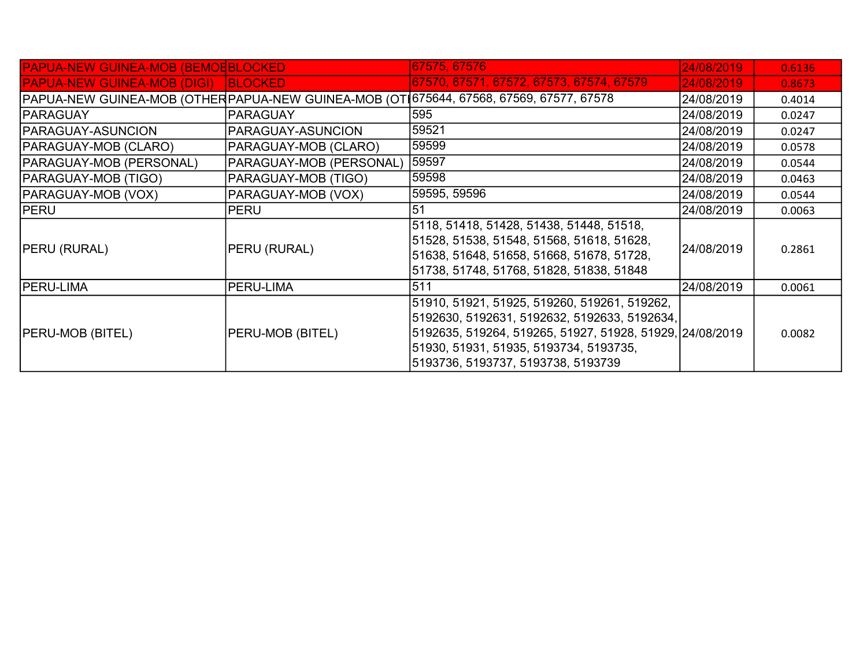| <b>PAPUA-NEW GUINEA-MOB (BEMOEBLOCKED)</b> |                         | 67575, 67576                                                                                                                                                                                                                             | 24/08/2019 | 0.6136 |
|--------------------------------------------|-------------------------|------------------------------------------------------------------------------------------------------------------------------------------------------------------------------------------------------------------------------------------|------------|--------|
| <b>PAPUA-NEW GUINEA-MOB (DIGI)</b>         | <b>BLOCKED</b>          | 67570, 67571, 67572, 67573, 67574, 67579                                                                                                                                                                                                 | 24/08/2019 | 0.8673 |
|                                            |                         | PAPUA-NEW GUINEA-MOB (OTHERPAPUA-NEW GUINEA-MOB (OT 675644, 67568, 67569, 67577, 67578                                                                                                                                                   | 24/08/2019 | 0.4014 |
| <b>PARAGUAY</b>                            | <b>PARAGUAY</b>         | 595                                                                                                                                                                                                                                      | 24/08/2019 | 0.0247 |
| <b>PARAGUAY-ASUNCION</b>                   | PARAGUAY-ASUNCION       | 59521                                                                                                                                                                                                                                    | 24/08/2019 | 0.0247 |
| <b>PARAGUAY-MOB (CLARO)</b>                | PARAGUAY-MOB (CLARO)    | 59599                                                                                                                                                                                                                                    | 24/08/2019 | 0.0578 |
| PARAGUAY-MOB (PERSONAL)                    | PARAGUAY-MOB (PERSONAL) | 59597                                                                                                                                                                                                                                    | 24/08/2019 | 0.0544 |
| <b>PARAGUAY-MOB (TIGO)</b>                 | PARAGUAY-MOB (TIGO)     | 59598                                                                                                                                                                                                                                    | 24/08/2019 | 0.0463 |
| PARAGUAY-MOB (VOX)                         | PARAGUAY-MOB (VOX)      | 59595, 59596                                                                                                                                                                                                                             | 24/08/2019 | 0.0544 |
| <b>PERU</b>                                | <b>PERU</b>             | 51                                                                                                                                                                                                                                       | 24/08/2019 | 0.0063 |
| <b>PERU (RURAL)</b>                        | PERU (RURAL)            | 5118, 51418, 51428, 51438, 51448, 51518,<br>51528, 51538, 51548, 51568, 51618, 51628,<br>51638, 51648, 51658, 51668, 51678, 51728,<br>51738, 51748, 51768, 51828, 51838, 51848                                                           | 24/08/2019 | 0.2861 |
| <b>PERU-LIMA</b>                           | PERU-LIMA               | 511                                                                                                                                                                                                                                      | 24/08/2019 | 0.0061 |
| <b>PERU-MOB (BITEL)</b>                    | PERU-MOB (BITEL)        | 51910, 51921, 51925, 519260, 519261, 519262,<br>5192630, 5192631, 5192632, 5192633, 5192634,<br>5192635, 519264, 519265, 51927, 51928, 51929, 24/08/2019<br>51930, 51931, 51935, 5193734, 5193735,<br>5193736, 5193737, 5193738, 5193739 |            | 0.0082 |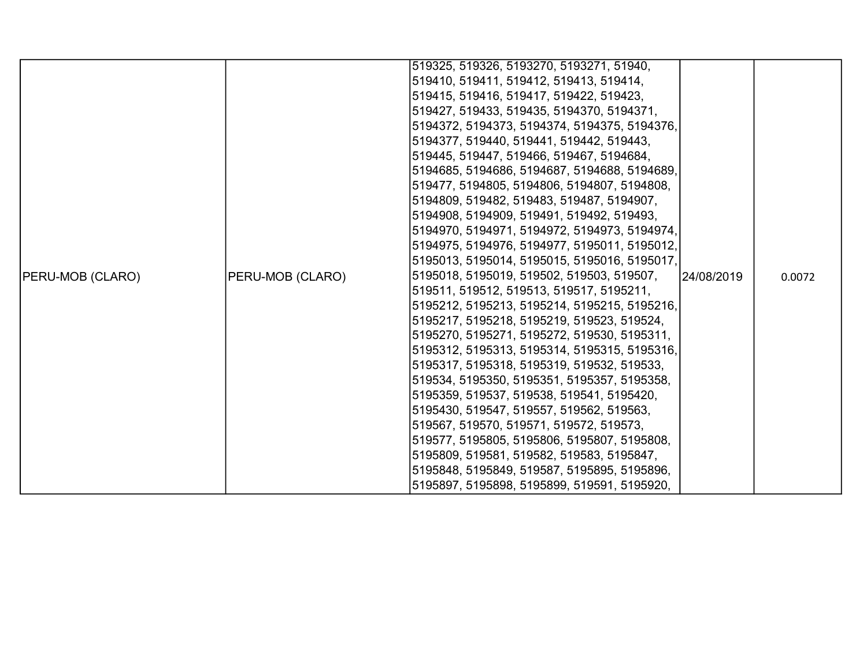|                         |                  | 519325, 519326, 5193270, 5193271, 51940,     |            |        |
|-------------------------|------------------|----------------------------------------------|------------|--------|
|                         |                  | 519410, 519411, 519412, 519413, 519414,      |            |        |
|                         |                  | 519415, 519416, 519417, 519422, 519423,      |            |        |
|                         |                  | 519427, 519433, 519435, 5194370, 5194371,    |            |        |
|                         |                  | 5194372, 5194373, 5194374, 5194375, 5194376, |            |        |
|                         |                  | 5194377, 519440, 519441, 519442, 519443,     |            |        |
|                         |                  | 519445, 519447, 519466, 519467, 5194684,     |            |        |
|                         |                  | 5194685, 5194686, 5194687, 5194688, 5194689, |            |        |
|                         |                  | 519477, 5194805, 5194806, 5194807, 5194808,  |            |        |
|                         |                  | 5194809, 519482, 519483, 519487, 5194907,    |            |        |
|                         |                  | 5194908, 5194909, 519491, 519492, 519493,    |            |        |
|                         |                  | 5194970, 5194971, 5194972, 5194973, 5194974, |            |        |
|                         |                  | 5194975, 5194976, 5194977, 5195011, 5195012, |            |        |
|                         |                  | 5195013, 5195014, 5195015, 5195016, 5195017, |            |        |
| <b>PERU-MOB (CLARO)</b> | PERU-MOB (CLARO) | 5195018, 5195019, 519502, 519503, 519507,    | 24/08/2019 | 0.0072 |
|                         |                  | 519511, 519512, 519513, 519517, 5195211,     |            |        |
|                         |                  | 5195212, 5195213, 5195214, 5195215, 5195216, |            |        |
|                         |                  | 5195217, 5195218, 5195219, 519523, 519524,   |            |        |
|                         |                  | 5195270, 5195271, 5195272, 519530, 5195311,  |            |        |
|                         |                  | 5195312, 5195313, 5195314, 5195315, 5195316, |            |        |
|                         |                  | 5195317, 5195318, 5195319, 519532, 519533,   |            |        |
|                         |                  | 519534, 5195350, 5195351, 5195357, 5195358,  |            |        |
|                         |                  | 5195359, 519537, 519538, 519541, 5195420,    |            |        |
|                         |                  | 5195430, 519547, 519557, 519562, 519563,     |            |        |
|                         |                  | 519567, 519570, 519571, 519572, 519573,      |            |        |
|                         |                  | 519577, 5195805, 5195806, 5195807, 5195808,  |            |        |
|                         |                  | 5195809, 519581, 519582, 519583, 5195847,    |            |        |
|                         |                  | 5195848, 5195849, 519587, 5195895, 5195896,  |            |        |
|                         |                  | 5195897, 5195898, 5195899, 519591, 5195920,  |            |        |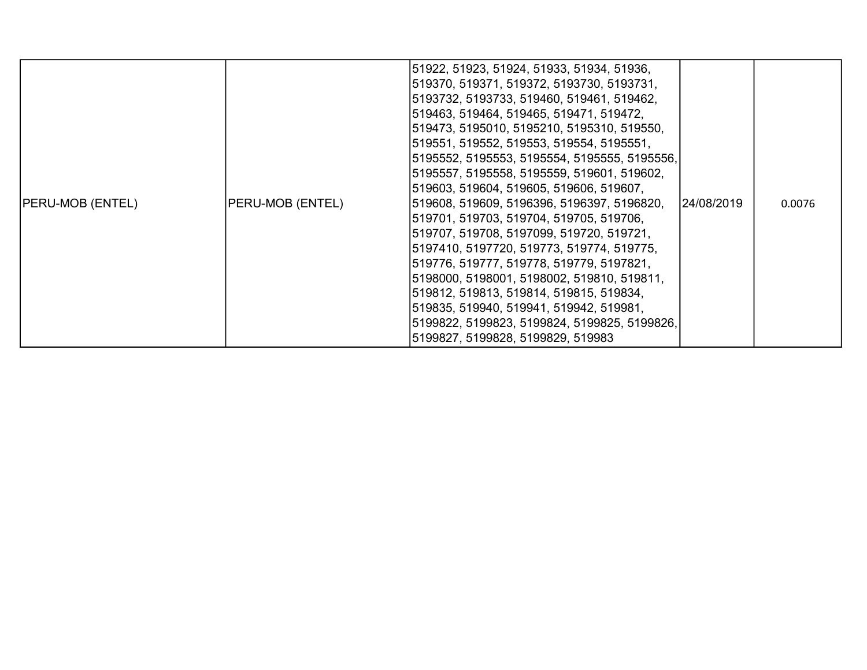| <b>PERU-MOB (ENTEL)</b> | <b>PERU-MOB (ENTEL)</b> | 51922, 51923, 51924, 51933, 51934, 51936,<br> 519370, 519371, 519372, 5193730, 5193731,<br> 5193732, 5193733, 519460, 519461, 519462,<br> 519463, 519464, 519465, 519471, 519472,<br> 519473, 5195010, 5195210, 5195310, 519550,<br> 519551, 519552, 519553, 519554, 5195551,<br> 5195552, 5195553, 5195554, 5195555, 5195556, <br> 5195557, 5195558, 5195559, 519601, 519602,<br> 519603, 519604, 519605, 519606, 519607,<br> 519608, 519609, 5196396, 5196397, 5196820,<br> 519701, 519703, 519704, 519705, 519706,<br> 519707, 519708, 5197099, 519720, 519721,<br> 5197410, 5197720, 519773, 519774, 519775,<br> 519776, 519777, 519778, 519779, 5197821,<br> 5198000, 5198001, 5198002, 519810, 519811,<br>519812, 519813, 519814, 519815, 519834,<br> 519835, 519940, 519941, 519942, 519981,<br> 5199822, 5199823, 5199824, 5199825, 5199826,<br> 5199827, 5199828, 5199829, 519983 | 24/08/2019 | 0.0076 |
|-------------------------|-------------------------|--------------------------------------------------------------------------------------------------------------------------------------------------------------------------------------------------------------------------------------------------------------------------------------------------------------------------------------------------------------------------------------------------------------------------------------------------------------------------------------------------------------------------------------------------------------------------------------------------------------------------------------------------------------------------------------------------------------------------------------------------------------------------------------------------------------------------------------------------------------------------------------------|------------|--------|
|-------------------------|-------------------------|--------------------------------------------------------------------------------------------------------------------------------------------------------------------------------------------------------------------------------------------------------------------------------------------------------------------------------------------------------------------------------------------------------------------------------------------------------------------------------------------------------------------------------------------------------------------------------------------------------------------------------------------------------------------------------------------------------------------------------------------------------------------------------------------------------------------------------------------------------------------------------------------|------------|--------|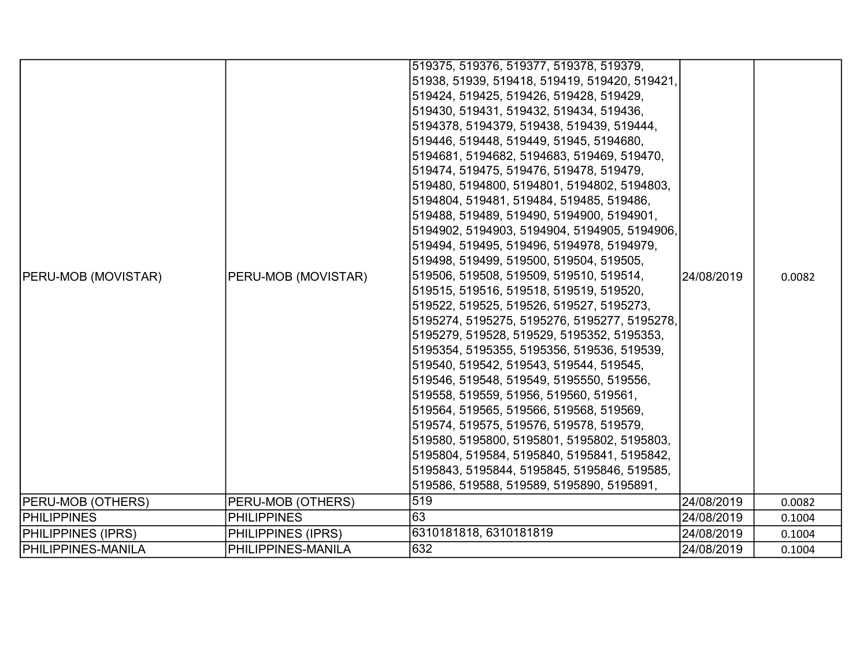| <b>PERU-MOB (MOVISTAR)</b> | PERU-MOB (MOVISTAR) | 519375, 519376, 519377, 519378, 519379,<br>51938, 51939, 519418, 519419, 519420, 519421,<br>519424, 519425, 519426, 519428, 519429,<br>519430, 519431, 519432, 519434, 519436,<br>5194378, 5194379, 519438, 519439, 519444,<br>519446, 519448, 519449, 51945, 5194680,<br>5194681, 5194682, 5194683, 519469, 519470,<br>519474, 519475, 519476, 519478, 519479,<br>519480, 5194800, 5194801, 5194802, 5194803,<br>5194804, 519481, 519484, 519485, 519486,<br>519488, 519489, 519490, 5194900, 5194901,<br>5194902, 5194903, 5194904, 5194905, 5194906,<br>519494, 519495, 519496, 5194978, 5194979,<br>519498, 519499, 519500, 519504, 519505,<br>519506, 519508, 519509, 519510, 519514,<br>519515, 519516, 519518, 519519, 519520,<br>519522, 519525, 519526, 519527, 5195273,<br>5195274, 5195275, 5195276, 5195277, 5195278,<br>5195279, 519528, 519529, 5195352, 5195353,<br>5195354, 5195355, 5195356, 519536, 519539,<br>519540, 519542, 519543, 519544, 519545,<br>519546, 519548, 519549, 5195550, 519556,<br>519558, 519559, 51956, 519560, 519561,<br>519564, 519565, 519566, 519568, 519569,<br>519574, 519575, 519576, 519578, 519579,<br>519580, 5195800, 5195801, 5195802, 5195803,<br>5195804, 519584, 5195840, 5195841, 5195842,<br>5195843, 5195844, 5195845, 5195846, 519585, | 24/08/2019 | 0.0082 |
|----------------------------|---------------------|---------------------------------------------------------------------------------------------------------------------------------------------------------------------------------------------------------------------------------------------------------------------------------------------------------------------------------------------------------------------------------------------------------------------------------------------------------------------------------------------------------------------------------------------------------------------------------------------------------------------------------------------------------------------------------------------------------------------------------------------------------------------------------------------------------------------------------------------------------------------------------------------------------------------------------------------------------------------------------------------------------------------------------------------------------------------------------------------------------------------------------------------------------------------------------------------------------------------------------------------------------------------------------------------------|------------|--------|
|                            |                     | 519586, 519588, 519589, 5195890, 5195891,                                                                                                                                                                                                                                                                                                                                                                                                                                                                                                                                                                                                                                                                                                                                                                                                                                                                                                                                                                                                                                                                                                                                                                                                                                                         |            |        |
| <b>PERU-MOB (OTHERS)</b>   | PERU-MOB (OTHERS)   | 519                                                                                                                                                                                                                                                                                                                                                                                                                                                                                                                                                                                                                                                                                                                                                                                                                                                                                                                                                                                                                                                                                                                                                                                                                                                                                               | 24/08/2019 | 0.0082 |
| <b>PHILIPPINES</b>         | <b>PHILIPPINES</b>  | 63                                                                                                                                                                                                                                                                                                                                                                                                                                                                                                                                                                                                                                                                                                                                                                                                                                                                                                                                                                                                                                                                                                                                                                                                                                                                                                | 24/08/2019 | 0.1004 |
| <b>PHILIPPINES (IPRS)</b>  | PHILIPPINES (IPRS)  | 6310181818, 6310181819                                                                                                                                                                                                                                                                                                                                                                                                                                                                                                                                                                                                                                                                                                                                                                                                                                                                                                                                                                                                                                                                                                                                                                                                                                                                            | 24/08/2019 | 0.1004 |
| <b>PHILIPPINES-MANILA</b>  | PHILIPPINES-MANILA  | 632                                                                                                                                                                                                                                                                                                                                                                                                                                                                                                                                                                                                                                                                                                                                                                                                                                                                                                                                                                                                                                                                                                                                                                                                                                                                                               | 24/08/2019 | 0.1004 |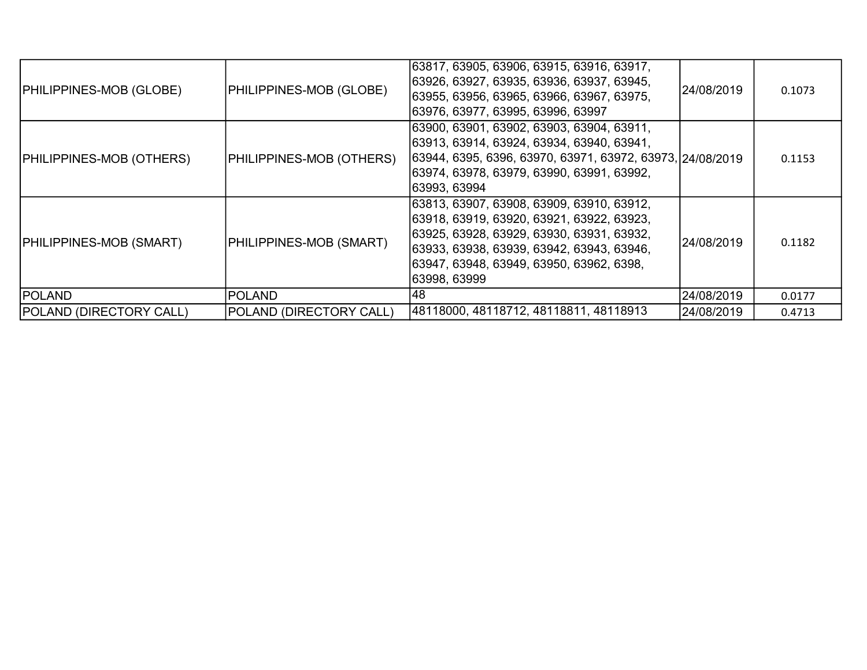| <b>PHILIPPINES-MOB (GLOBE)</b>  | <b>PHILIPPINES-MOB (GLOBE)</b>  | 63817, 63905, 63906, 63915, 63916, 63917,<br>63926, 63927, 63935, 63936, 63937, 63945,<br>63955, 63956, 63965, 63966, 63967, 63975,<br>63976, 63977, 63995, 63996, 63997                                                                        | 24/08/2019 | 0.1073 |
|---------------------------------|---------------------------------|-------------------------------------------------------------------------------------------------------------------------------------------------------------------------------------------------------------------------------------------------|------------|--------|
| <b>PHILIPPINES-MOB (OTHERS)</b> | <b>PHILIPPINES-MOB (OTHERS)</b> | 63900, 63901, 63902, 63903, 63904, 63911,<br>63913, 63914, 63924, 63934, 63940, 63941,<br>63944, 6395, 6396, 63970, 63971, 63972, 63973, 24/08/2019<br>63974, 63978, 63979, 63990, 63991, 63992,<br> 63993, 63994                               |            | 0.1153 |
| <b>PHILIPPINES-MOB (SMART)</b>  | PHILIPPINES-MOB (SMART)         | 63813, 63907, 63908, 63909, 63910, 63912,<br>63918, 63919, 63920, 63921, 63922, 63923,<br>63925, 63928, 63929, 63930, 63931, 63932,<br> 63933, 63938, 63939, 63942, 63943, 63946,<br> 63947, 63948, 63949, 63950, 63962, 6398,<br> 63998, 63999 | 24/08/2019 | 0.1182 |
| <b>POLAND</b>                   | <b>POLAND</b>                   | 48                                                                                                                                                                                                                                              | 24/08/2019 | 0.0177 |
| <b>POLAND (DIRECTORY CALL)</b>  | POLAND (DIRECTORY CALL)         | 48118000, 48118712, 48118811, 48118913                                                                                                                                                                                                          | 24/08/2019 | 0.4713 |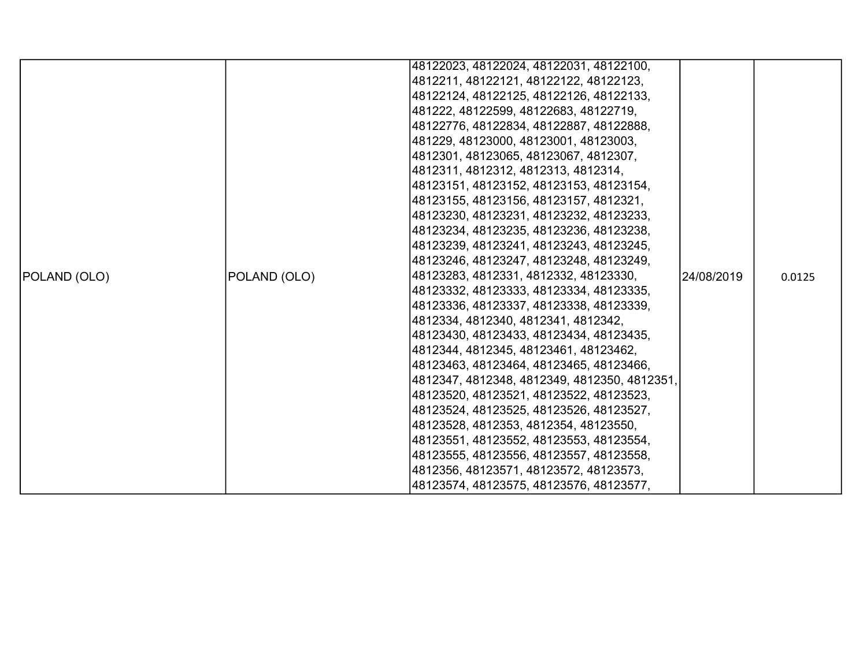|              |              | 48122023, 48122024, 48122031, 48122100,      |            |        |
|--------------|--------------|----------------------------------------------|------------|--------|
|              |              | 4812211, 48122121, 48122122, 48122123,       |            |        |
|              |              | 48122124, 48122125, 48122126, 48122133,      |            |        |
|              |              | 481222, 48122599, 48122683, 48122719,        |            |        |
|              |              | 48122776, 48122834, 48122887, 48122888,      |            |        |
|              |              | 481229, 48123000, 48123001, 48123003,        |            |        |
|              |              | 4812301, 48123065, 48123067, 4812307,        |            |        |
|              |              | 4812311, 4812312, 4812313, 4812314,          |            |        |
|              |              | 48123151, 48123152, 48123153, 48123154,      |            | 0.0125 |
|              |              | 48123155, 48123156, 48123157, 4812321,       |            |        |
|              |              | 48123230, 48123231, 48123232, 48123233,      |            |        |
|              |              | 48123234, 48123235, 48123236, 48123238,      |            |        |
|              |              | 48123239, 48123241, 48123243, 48123245,      |            |        |
|              |              | 48123246, 48123247, 48123248, 48123249,      |            |        |
| POLAND (OLO) | POLAND (OLO) | 48123283, 4812331, 4812332, 48123330,        | 24/08/2019 |        |
|              |              | 48123332, 48123333, 48123334, 48123335,      |            |        |
|              |              | 48123336, 48123337, 48123338, 48123339,      |            |        |
|              |              | 4812334, 4812340, 4812341, 4812342,          |            |        |
|              |              | 48123430, 48123433, 48123434, 48123435,      |            |        |
|              |              | 4812344, 4812345, 48123461, 48123462,        |            |        |
|              |              | 48123463, 48123464, 48123465, 48123466,      |            |        |
|              |              | 4812347, 4812348, 4812349, 4812350, 4812351, |            |        |
|              |              | 48123520, 48123521, 48123522, 48123523,      |            |        |
|              |              | 48123524, 48123525, 48123526, 48123527,      |            |        |
|              |              | 48123528, 4812353, 4812354, 48123550,        |            |        |
|              |              | 48123551, 48123552, 48123553, 48123554,      |            |        |
|              |              | 48123555, 48123556, 48123557, 48123558,      |            |        |
|              |              | 4812356, 48123571, 48123572, 48123573,       |            |        |
|              |              | 48123574, 48123575, 48123576, 48123577,      |            |        |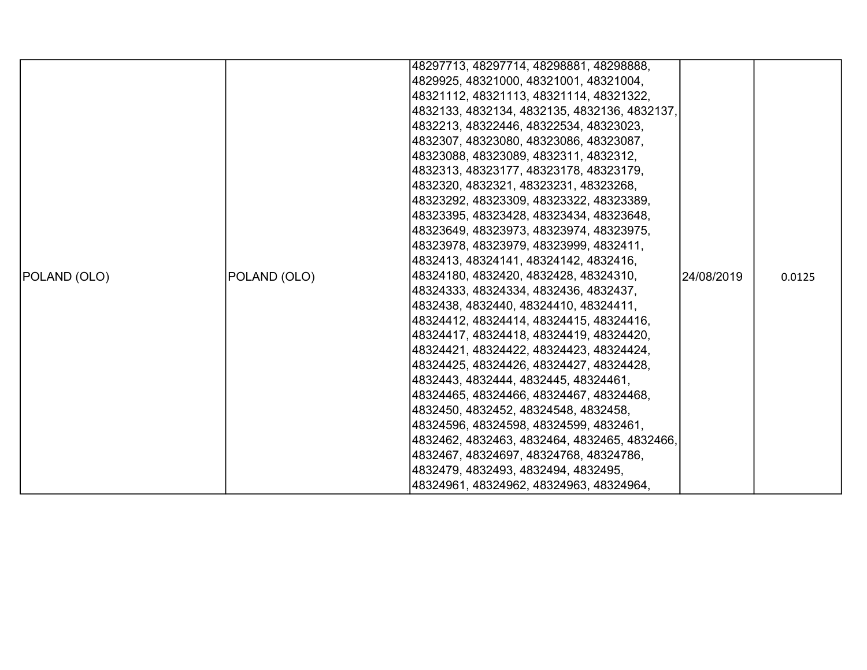|              |              | 48297713, 48297714, 48298881, 48298888,      |            |        |
|--------------|--------------|----------------------------------------------|------------|--------|
|              |              | 4829925, 48321000, 48321001, 48321004,       |            |        |
|              |              | 48321112, 48321113, 48321114, 48321322,      |            |        |
|              |              | 4832133, 4832134, 4832135, 4832136, 4832137, |            |        |
|              |              | 4832213, 48322446, 48322534, 48323023,       |            |        |
|              |              | 4832307, 48323080, 48323086, 48323087,       |            |        |
|              |              | 48323088, 48323089, 4832311, 4832312,        |            |        |
|              |              | 4832313, 48323177, 48323178, 48323179,       |            |        |
|              |              | 4832320, 4832321, 48323231, 48323268,        |            |        |
|              |              | 48323292, 48323309, 48323322, 48323389,      |            |        |
|              |              | 48323395, 48323428, 48323434, 48323648,      |            |        |
|              |              | 48323649, 48323973, 48323974, 48323975,      |            |        |
|              |              | 48323978, 48323979, 48323999, 4832411,       |            |        |
|              |              | 4832413, 48324141, 48324142, 4832416,        |            |        |
| POLAND (OLO) | POLAND (OLO) | 48324180, 4832420, 4832428, 48324310,        | 24/08/2019 | 0.0125 |
|              |              | 48324333, 48324334, 4832436, 4832437,        |            |        |
|              |              | 4832438, 4832440, 48324410, 48324411,        |            |        |
|              |              | 48324412, 48324414, 48324415, 48324416,      |            |        |
|              |              | 48324417, 48324418, 48324419, 48324420,      |            |        |
|              |              | 48324421, 48324422, 48324423, 48324424,      |            |        |
|              |              | 48324425, 48324426, 48324427, 48324428,      |            |        |
|              |              | 4832443, 4832444, 4832445, 48324461,         |            |        |
|              |              | 48324465, 48324466, 48324467, 48324468,      |            |        |
|              |              | 4832450, 4832452, 48324548, 4832458,         |            |        |
|              |              | 48324596, 48324598, 48324599, 4832461,       |            |        |
|              |              | 4832462, 4832463, 4832464, 4832465, 4832466, |            |        |
|              |              | 4832467, 48324697, 48324768, 48324786,       |            |        |
|              |              | 4832479, 4832493, 4832494, 4832495,          |            |        |
|              |              | 48324961, 48324962, 48324963, 48324964,      |            |        |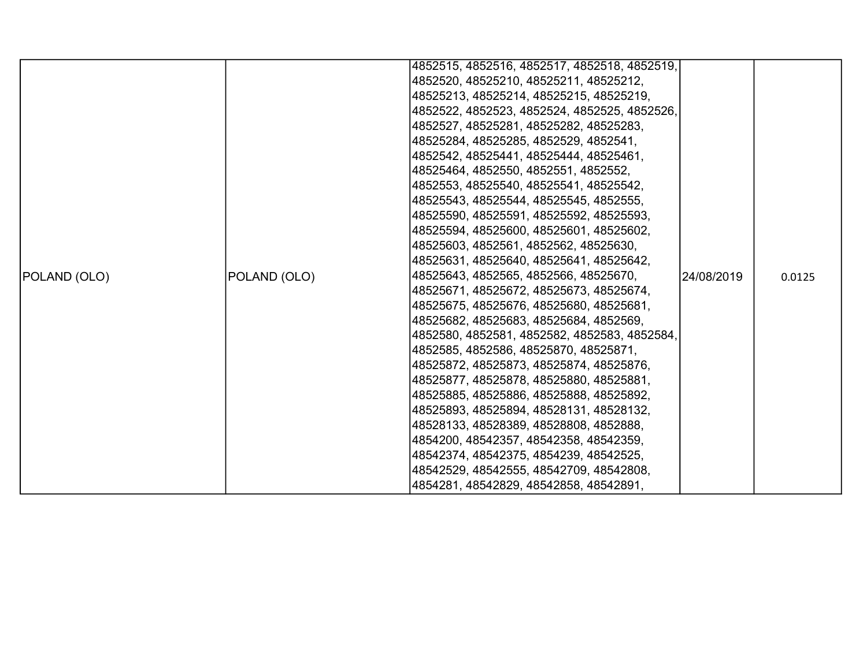|              |              | 4852515, 4852516, 4852517, 4852518, 4852519, |             |        |
|--------------|--------------|----------------------------------------------|-------------|--------|
|              |              | 4852520, 48525210, 48525211, 48525212,       |             |        |
|              |              | 48525213, 48525214, 48525215, 48525219,      |             |        |
|              |              |                                              |             |        |
|              |              | 4852522, 4852523, 4852524, 4852525, 4852526, |             |        |
|              |              | 4852527, 48525281, 48525282, 48525283,       |             |        |
|              |              | 48525284, 48525285, 4852529, 4852541,        |             |        |
|              |              | 4852542, 48525441, 48525444, 48525461,       |             |        |
|              |              | 48525464, 4852550, 4852551, 4852552,         |             |        |
|              |              | 4852553, 48525540, 48525541, 48525542,       |             |        |
|              |              | 48525543, 48525544, 48525545, 4852555,       |             |        |
|              |              | 48525590, 48525591, 48525592, 48525593,      |             |        |
|              |              | 48525594, 48525600, 48525601, 48525602,      |             |        |
|              |              | 48525603, 4852561, 4852562, 48525630,        |             |        |
|              |              | 48525631, 48525640, 48525641, 48525642,      |             |        |
| POLAND (OLO) | POLAND (OLO) | 48525643, 4852565, 4852566, 48525670,        | 124/08/2019 | 0.0125 |
|              |              | 48525671, 48525672, 48525673, 48525674,      |             |        |
|              |              | 48525675, 48525676, 48525680, 48525681,      |             |        |
|              |              | 48525682, 48525683, 48525684, 4852569,       |             |        |
|              |              | 4852580, 4852581, 4852582, 4852583, 4852584, |             |        |
|              |              | 4852585, 4852586, 48525870, 48525871,        |             |        |
|              |              | 48525872, 48525873, 48525874, 48525876,      |             |        |
|              |              | 48525877, 48525878, 48525880, 48525881,      |             |        |
|              |              | 48525885, 48525886, 48525888, 48525892,      |             |        |
|              |              | 48525893, 48525894, 48528131, 48528132,      |             |        |
|              |              | 48528133, 48528389, 48528808, 4852888,       |             |        |
|              |              | 4854200, 48542357, 48542358, 48542359,       |             |        |
|              |              | 48542374, 48542375, 4854239, 48542525,       |             |        |
|              |              | 48542529, 48542555, 48542709, 48542808,      |             |        |
|              |              | 4854281, 48542829, 48542858, 48542891,       |             |        |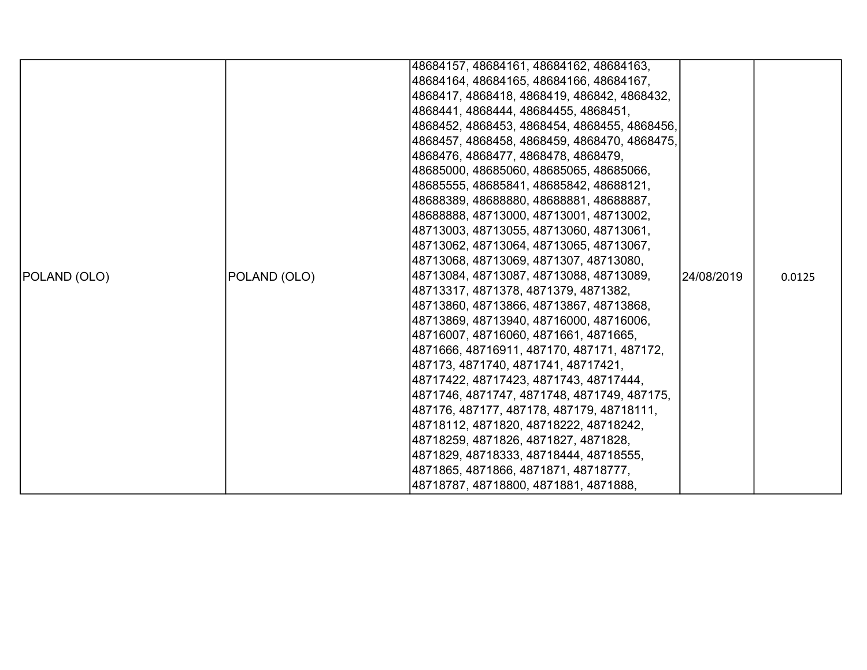|              |              | 48684157, 48684161, 48684162, 48684163,      |             |        |
|--------------|--------------|----------------------------------------------|-------------|--------|
|              |              | 48684164, 48684165, 48684166, 48684167,      |             |        |
|              |              | 4868417, 4868418, 4868419, 486842, 4868432,  |             |        |
|              |              | 4868441, 4868444, 48684455, 4868451,         |             |        |
|              |              | 4868452, 4868453, 4868454, 4868455, 4868456, |             |        |
|              |              | 4868457, 4868458, 4868459, 4868470, 4868475, |             |        |
|              |              | 4868476, 4868477, 4868478, 4868479,          |             |        |
|              |              | 48685000, 48685060, 48685065, 48685066,      |             |        |
|              |              | 48685555, 48685841, 48685842, 48688121,      |             |        |
|              |              | 48688389, 48688880, 48688881, 48688887,      |             |        |
|              |              | 48688888, 48713000, 48713001, 48713002,      |             |        |
|              |              | 48713003, 48713055, 48713060, 48713061,      |             |        |
|              |              | 48713062, 48713064, 48713065, 48713067,      |             |        |
|              |              | 48713068, 48713069, 4871307, 48713080,       |             |        |
| POLAND (OLO) | POLAND (OLO) | 48713084, 48713087, 48713088, 48713089,      | 124/08/2019 | 0.0125 |
|              |              | 48713317, 4871378, 4871379, 4871382,         |             |        |
|              |              | 48713860, 48713866, 48713867, 48713868,      |             |        |
|              |              | 48713869, 48713940, 48716000, 48716006,      |             |        |
|              |              | 48716007, 48716060, 4871661, 4871665,        |             |        |
|              |              | 4871666, 48716911, 487170, 487171, 487172,   |             |        |
|              |              | 487173, 4871740, 4871741, 48717421,          |             |        |
|              |              | 48717422, 48717423, 4871743, 48717444,       |             |        |
|              |              | 4871746, 4871747, 4871748, 4871749, 487175,  |             |        |
|              |              | 487176, 487177, 487178, 487179, 48718111,    |             |        |
|              |              | 48718112, 4871820, 48718222, 48718242,       |             |        |
|              |              | 48718259, 4871826, 4871827, 4871828,         |             |        |
|              |              | 4871829, 48718333, 48718444, 48718555,       |             |        |
|              |              | 4871865, 4871866, 4871871, 48718777,         |             |        |
|              |              | 48718787, 48718800, 4871881, 4871888,        |             |        |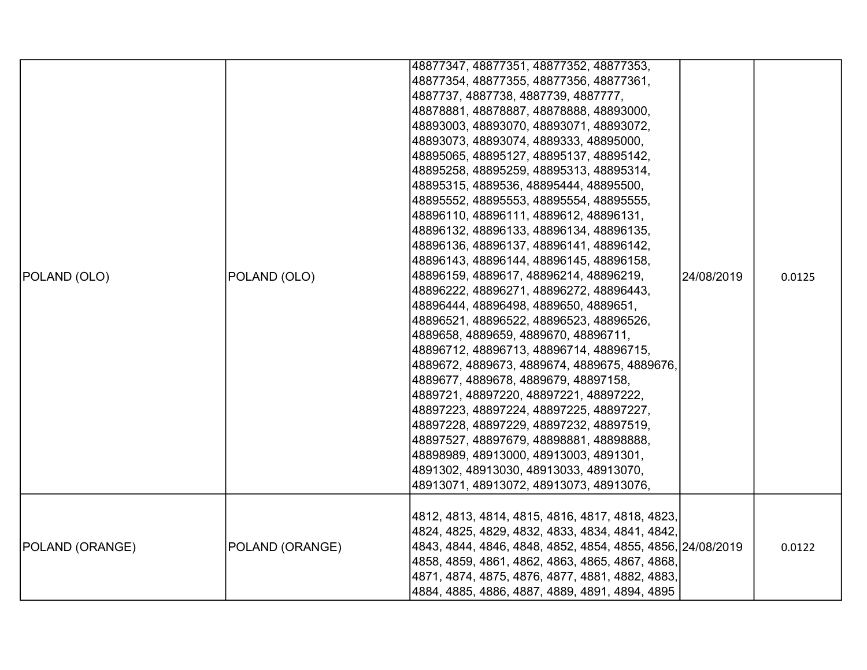|                        |                 | 48877347, 48877351, 48877352, 48877353,<br> 48877354, 48877355, 48877356, 48877361,<br> 4887737, 4887738, 4887739, 4887777,<br> 48878881, 48878887, 48878888, 48893000,                                                                                                                                                                                                                                                                                                                                                                                                                                                                                                                                                                                                                                                                                                                                                                                                                     |            |        |
|------------------------|-----------------|---------------------------------------------------------------------------------------------------------------------------------------------------------------------------------------------------------------------------------------------------------------------------------------------------------------------------------------------------------------------------------------------------------------------------------------------------------------------------------------------------------------------------------------------------------------------------------------------------------------------------------------------------------------------------------------------------------------------------------------------------------------------------------------------------------------------------------------------------------------------------------------------------------------------------------------------------------------------------------------------|------------|--------|
| POLAND (OLO)           | POLAND (OLO)    | 48893003, 48893070, 48893071, 48893072,<br> 48893073, 48893074, 4889333, 48895000,<br> 48895065, 48895127, 48895137, 48895142,<br> 48895258, 48895259, 48895313, 48895314,<br> 48895315, 4889536, 48895444, 48895500,<br> 48895552, 48895553, 48895554, 48895555,<br> 48896110, 48896111, 4889612, 48896131,<br> 48896132, 48896133, 48896134, 48896135,<br> 48896136, 48896137, 48896141, 48896142,<br> 48896143, 48896144, 48896145, 48896158,<br> 48896159, 4889617, 48896214, 48896219,<br> 48896222, 48896271, 48896272, 48896443,<br> 48896444, 48896498, 4889650, 4889651,<br> 48896521, 48896522, 48896523, 48896526,<br> 4889658, 4889659, 4889670, 48896711,<br> 48896712, 48896713, 48896714, 48896715,<br> 4889672, 4889673, 4889674, 4889675, 4889676,<br> 4889677, 4889678, 4889679, 48897158,<br> 4889721, 48897220, 48897221, 48897222,<br> 48897223, 48897224, 48897225, 48897227,<br> 48897228, 48897229, 48897232, 48897519,<br> 48897527, 48897679, 48898881, 48898888, | 24/08/2019 | 0.0125 |
|                        |                 | 48898989, 48913000, 48913003, 4891301,<br> 4891302, 48913030, 48913033, 48913070,<br> 48913071, 48913072, 48913073, 48913076,                                                                                                                                                                                                                                                                                                                                                                                                                                                                                                                                                                                                                                                                                                                                                                                                                                                               |            |        |
| <b>POLAND (ORANGE)</b> | POLAND (ORANGE) | 4812, 4813, 4814, 4815, 4816, 4817, 4818, 4823,<br> 4824, 4825, 4829, 4832, 4833, 4834, 4841, 4842,<br> 4843, 4844, 4846, 4848, 4852, 4854, 4855, 4856, 24/08/2019<br> 4858, 4859, 4861, 4862, 4863, 4865, 4867, 4868,<br> 4871, 4874, 4875, 4876, 4877, 4881, 4882, 4883,<br> 4884, 4885, 4886, 4887, 4889, 4891, 4894, 4895                                                                                                                                                                                                                                                                                                                                                                                                                                                                                                                                                                                                                                                               |            | 0.0122 |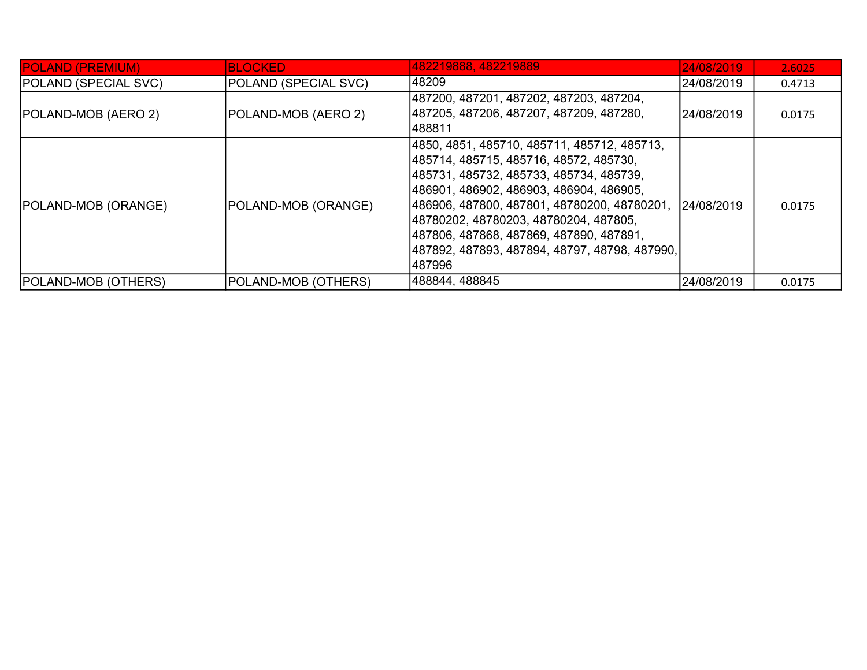| <b>POLAND (PREMIUM)</b>     | <b>BLOCKED</b>              | 482219888, 482219889                                                                                                                                                                                                                                                                                                                                                               | 24/08/2019 | 2.6025 |
|-----------------------------|-----------------------------|------------------------------------------------------------------------------------------------------------------------------------------------------------------------------------------------------------------------------------------------------------------------------------------------------------------------------------------------------------------------------------|------------|--------|
| <b>POLAND (SPECIAL SVC)</b> | <b>POLAND (SPECIAL SVC)</b> | 148209                                                                                                                                                                                                                                                                                                                                                                             | 24/08/2019 | 0.4713 |
| <b>POLAND-MOB (AERO 2)</b>  | POLAND-MOB (AERO 2)         | 487200, 487201, 487202, 487203, 487204,<br> 487205, 487206, 487207, 487209, 487280,<br>1488811                                                                                                                                                                                                                                                                                     | 24/08/2019 | 0.0175 |
| POLAND-MOB (ORANGE)         | POLAND-MOB (ORANGE)         | 4850, 4851, 485710, 485711, 485712, 485713,<br> 485714, 485715, 485716, 48572, 485730,<br> 485731, 485732, 485733, 485734, 485739,<br> 486901, 486902, 486903, 486904, 486905,<br> 486906, 487800, 487801, 48780200, 48780201,<br> 48780202, 48780203, 48780204, 487805,<br> 487806, 487868, 487869, 487890, 487891,<br> 487892, 487893, 487894, 48797, 48798, 487990, <br>1487996 | 24/08/2019 | 0.0175 |
| <b>POLAND-MOB (OTHERS)</b>  | POLAND-MOB (OTHERS)         | 488844, 488845                                                                                                                                                                                                                                                                                                                                                                     | 24/08/2019 | 0.0175 |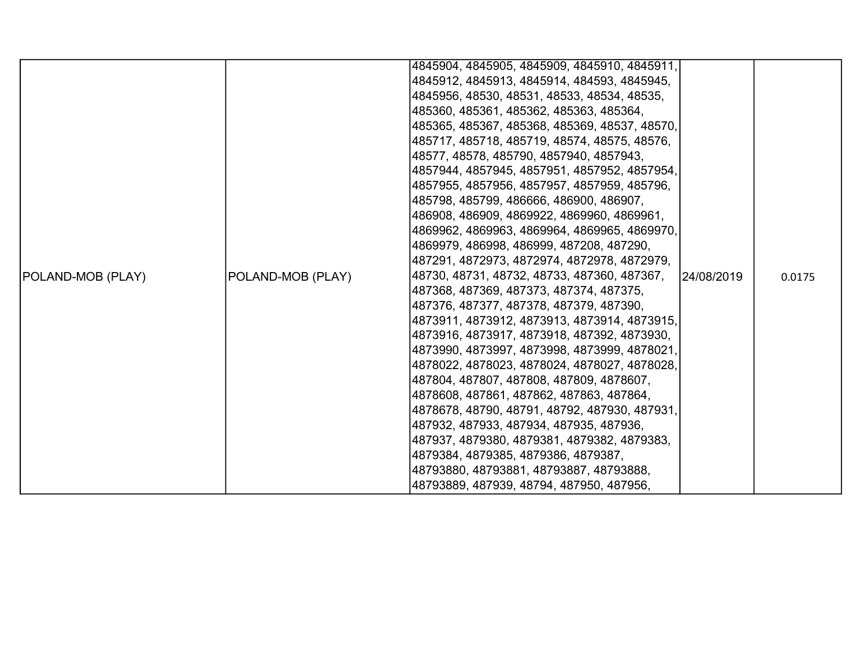|                          |                   | 4845904, 4845905, 4845909, 4845910, 4845911,  |            |        |
|--------------------------|-------------------|-----------------------------------------------|------------|--------|
|                          |                   | 4845912, 4845913, 4845914, 484593, 4845945,   |            |        |
|                          |                   | 4845956, 48530, 48531, 48533, 48534, 48535,   |            |        |
|                          |                   | 485360, 485361, 485362, 485363, 485364,       |            |        |
|                          |                   | 485365, 485367, 485368, 485369, 48537, 48570, |            |        |
|                          |                   | 485717, 485718, 485719, 48574, 48575, 48576,  |            |        |
|                          |                   | 48577, 48578, 485790, 4857940, 4857943,       |            |        |
|                          |                   | 4857944, 4857945, 4857951, 4857952, 4857954,  |            |        |
|                          |                   | 4857955, 4857956, 4857957, 4857959, 485796,   |            |        |
|                          |                   | 485798, 485799, 486666, 486900, 486907,       |            |        |
|                          |                   | 486908, 486909, 4869922, 4869960, 4869961,    |            |        |
|                          |                   | 4869962, 4869963, 4869964, 4869965, 4869970,  |            |        |
|                          |                   | 4869979, 486998, 486999, 487208, 487290,      |            |        |
|                          |                   | 487291, 4872973, 4872974, 4872978, 4872979,   |            |        |
| <b>POLAND-MOB (PLAY)</b> | POLAND-MOB (PLAY) | 48730, 48731, 48732, 48733, 487360, 487367,   | 24/08/2019 | 0.0175 |
|                          |                   | 487368, 487369, 487373, 487374, 487375,       |            |        |
|                          |                   | 487376, 487377, 487378, 487379, 487390,       |            |        |
|                          |                   | 4873911, 4873912, 4873913, 4873914, 4873915,  |            |        |
|                          |                   | 4873916, 4873917, 4873918, 487392, 4873930,   |            |        |
|                          |                   | 4873990, 4873997, 4873998, 4873999, 4878021,  |            |        |
|                          |                   | 4878022, 4878023, 4878024, 4878027, 4878028,  |            |        |
|                          |                   | 487804, 487807, 487808, 487809, 4878607,      |            |        |
|                          |                   | 4878608, 487861, 487862, 487863, 487864,      |            |        |
|                          |                   | 4878678, 48790, 48791, 48792, 487930, 487931, |            |        |
|                          |                   | 487932, 487933, 487934, 487935, 487936,       |            |        |
|                          |                   | 487937, 4879380, 4879381, 4879382, 4879383,   |            |        |
|                          |                   | 4879384, 4879385, 4879386, 4879387,           |            |        |
|                          |                   | 48793880, 48793881, 48793887, 48793888,       |            |        |
|                          |                   | 48793889, 487939, 48794, 487950, 487956,      |            |        |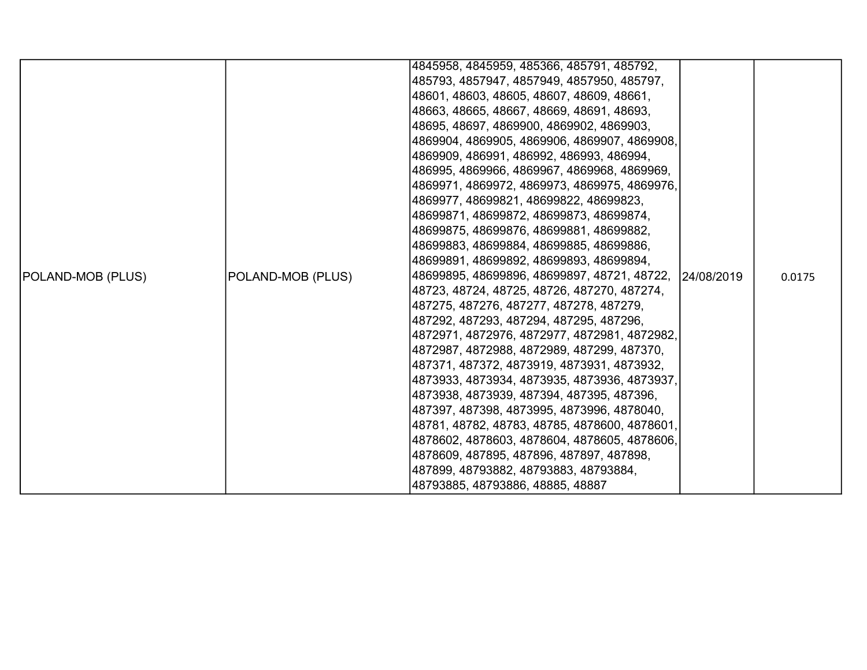|                   |                   | 4845958, 4845959, 485366, 485791, 485792,                                                    |        |
|-------------------|-------------------|----------------------------------------------------------------------------------------------|--------|
|                   |                   | 485793, 4857947, 4857949, 4857950, 485797,                                                   |        |
|                   |                   | 48601, 48603, 48605, 48607, 48609, 48661,                                                    |        |
|                   |                   | 48663, 48665, 48667, 48669, 48691, 48693,                                                    |        |
|                   |                   | 48695, 48697, 4869900, 4869902, 4869903,                                                     |        |
|                   |                   | 4869904, 4869905, 4869906, 4869907, 4869908,                                                 |        |
|                   |                   | 4869909, 486991, 486992, 486993, 486994,                                                     |        |
|                   |                   | 486995, 4869966, 4869967, 4869968, 4869969,                                                  |        |
|                   |                   | 4869971, 4869972, 4869973, 4869975, 4869976,                                                 |        |
|                   |                   | 4869977, 48699821, 48699822, 48699823,                                                       |        |
|                   |                   | 48699871, 48699872, 48699873, 48699874,                                                      |        |
|                   |                   | 48699875, 48699876, 48699881, 48699882,                                                      |        |
|                   |                   | 48699883, 48699884, 48699885, 48699886,                                                      |        |
|                   |                   | 48699891, 48699892, 48699893, 48699894,                                                      |        |
| POLAND-MOB (PLUS) | POLAND-MOB (PLUS) | 48699895, 48699896, 48699897, 48721, 48722, 124/08/2019                                      | 0.0175 |
|                   |                   | 48723, 48724, 48725, 48726, 487270, 487274,                                                  |        |
|                   |                   | 487275, 487276, 487277, 487278, 487279,                                                      |        |
|                   |                   | 487292, 487293, 487294, 487295, 487296,                                                      |        |
|                   |                   | 4872971, 4872976, 4872977, 4872981, 4872982,                                                 |        |
|                   |                   | 4872987, 4872988, 4872989, 487299, 487370,                                                   |        |
|                   |                   | 487371, 487372, 4873919, 4873931, 4873932,                                                   |        |
|                   |                   | 4873933, 4873934, 4873935, 4873936, 4873937,                                                 |        |
|                   |                   | 4873938, 4873939, 487394, 487395, 487396,                                                    |        |
|                   |                   | 487397, 487398, 4873995, 4873996, 4878040,<br> 48781, 48782, 48783, 48785, 4878600, 4878601, |        |
|                   |                   | 4878602, 4878603, 4878604, 4878605, 4878606,                                                 |        |
|                   |                   | 4878609, 487895, 487896, 487897, 487898,                                                     |        |
|                   |                   | 487899, 48793882, 48793883, 48793884,                                                        |        |
|                   |                   | 48793885, 48793886, 48885, 48887                                                             |        |
|                   |                   |                                                                                              |        |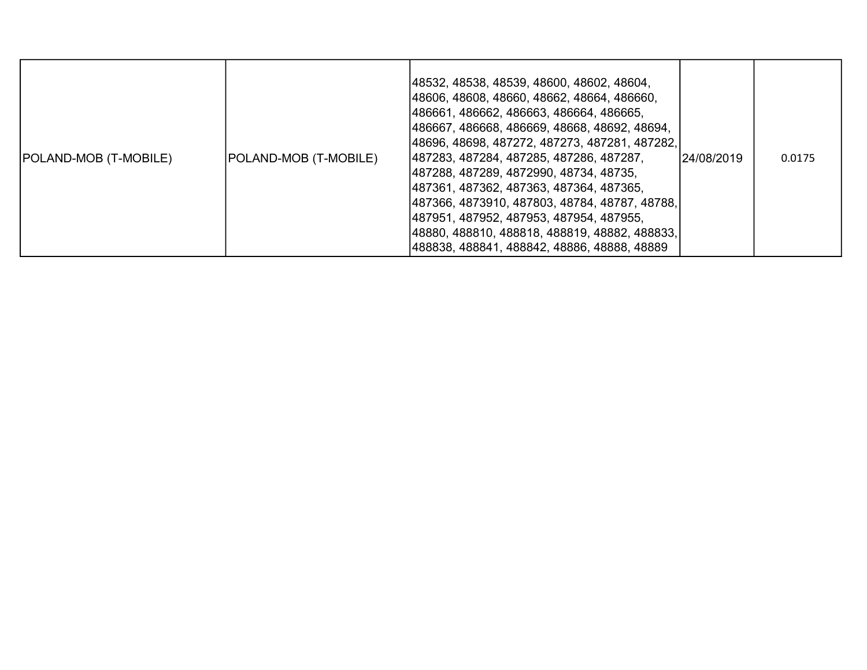| POLAND-MOB (T-MOBILE) | POLAND-MOB (T-MOBILE) | 48532, 48538, 48539, 48600, 48602, 48604,<br> 48606, 48608, 48660, 48662, 48664, 486660,<br> 486661, 486662, 486663, 486664, 486665,<br> 486667, 486668, 486669, 48668, 48692, 48694,<br> 48696, 48698, 487272, 487273, 487281, 487282, <br> 487283, 487284, 487285, 487286, 487287,<br> 487288, 487289, 4872990, 48734, 48735,<br> 487361, 487362, 487363, 487364, 487365,<br> 487366, 4873910, 487803, 48784, 48787, 48788, <br> 487951, 487952, 487953, 487954, 487955,<br> 48880, 488810, 488818, 488819, 48882, 488833, <br> 488838, 488841, 488842, 48886, 48888, 48889 | 124/08/2019 | 0.0175 |
|-----------------------|-----------------------|-------------------------------------------------------------------------------------------------------------------------------------------------------------------------------------------------------------------------------------------------------------------------------------------------------------------------------------------------------------------------------------------------------------------------------------------------------------------------------------------------------------------------------------------------------------------------------|-------------|--------|
|-----------------------|-----------------------|-------------------------------------------------------------------------------------------------------------------------------------------------------------------------------------------------------------------------------------------------------------------------------------------------------------------------------------------------------------------------------------------------------------------------------------------------------------------------------------------------------------------------------------------------------------------------------|-------------|--------|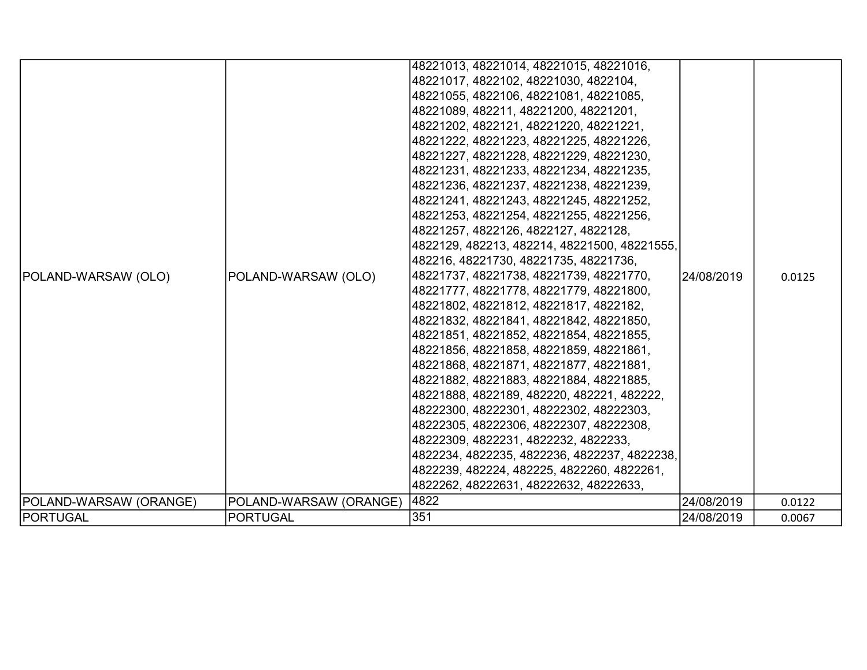|                        |                        | 48221013, 48221014, 48221015, 48221016,      |            |        |
|------------------------|------------------------|----------------------------------------------|------------|--------|
|                        |                        | 48221017, 4822102, 48221030, 4822104,        |            |        |
|                        |                        | 48221055, 4822106, 48221081, 48221085,       |            |        |
|                        |                        | 48221089, 482211, 48221200, 48221201,        |            |        |
|                        |                        | 48221202, 4822121, 48221220, 48221221,       |            |        |
|                        |                        | 48221222, 48221223, 48221225, 48221226,      |            |        |
|                        |                        | 48221227, 48221228, 48221229, 48221230,      |            |        |
|                        |                        | 48221231, 48221233, 48221234, 48221235,      |            |        |
|                        |                        | 48221236, 48221237, 48221238, 48221239,      |            |        |
|                        |                        | 48221241, 48221243, 48221245, 48221252,      |            |        |
|                        |                        | 48221253, 48221254, 48221255, 48221256,      |            |        |
|                        |                        | 48221257, 4822126, 4822127, 4822128,         |            |        |
|                        |                        | 4822129, 482213, 482214, 48221500, 48221555, |            |        |
|                        |                        | 482216, 48221730, 48221735, 48221736,        |            |        |
| POLAND-WARSAW (OLO)    | POLAND-WARSAW (OLO)    | 48221737, 48221738, 48221739, 48221770,      | 24/08/2019 | 0.0125 |
|                        |                        | 48221777, 48221778, 48221779, 48221800,      |            |        |
|                        |                        | 48221802, 48221812, 48221817, 4822182,       |            |        |
|                        |                        | 48221832, 48221841, 48221842, 48221850,      |            |        |
|                        |                        | 48221851, 48221852, 48221854, 48221855,      |            |        |
|                        |                        | 48221856, 48221858, 48221859, 48221861,      |            |        |
|                        |                        | 48221868, 48221871, 48221877, 48221881,      |            |        |
|                        |                        | 48221882, 48221883, 48221884, 48221885,      |            |        |
|                        |                        | 48221888, 4822189, 482220, 482221, 482222,   |            |        |
|                        |                        | 48222300, 48222301, 48222302, 48222303,      |            |        |
|                        |                        | 48222305, 48222306, 48222307, 48222308,      |            |        |
|                        |                        | 48222309, 4822231, 4822232, 4822233,         |            |        |
|                        |                        | 4822234, 4822235, 4822236, 4822237, 4822238, |            |        |
|                        |                        | 4822239, 482224, 482225, 4822260, 4822261,   |            |        |
|                        |                        | 4822262, 48222631, 48222632, 48222633,       |            |        |
| POLAND-WARSAW (ORANGE) | POLAND-WARSAW (ORANGE) | 4822                                         | 24/08/2019 | 0.0122 |
| <b>PORTUGAL</b>        | <b>PORTUGAL</b>        | 351                                          | 24/08/2019 | 0.0067 |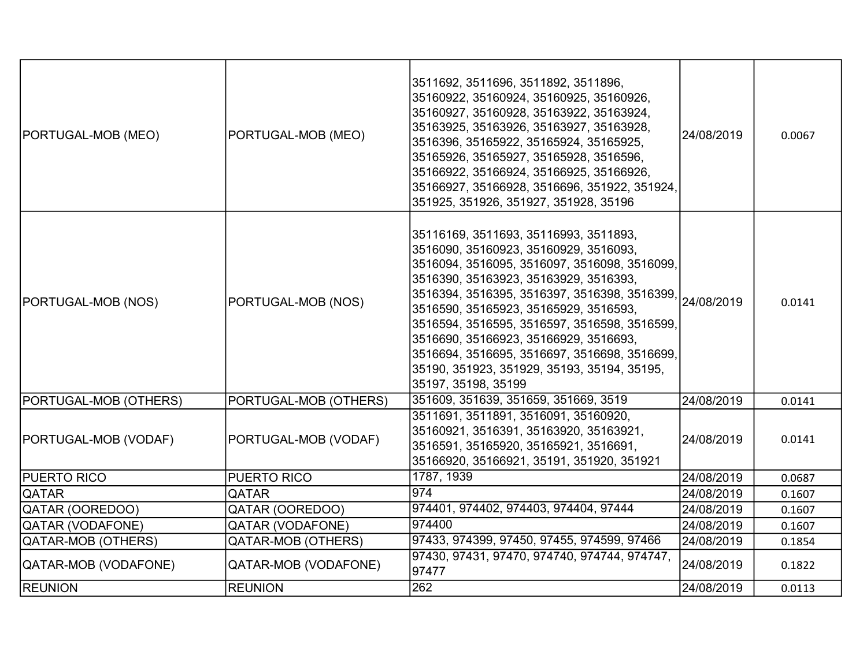| PORTUGAL-MOB (MEO)    | PORTUGAL-MOB (MEO)        | 3511692, 3511696, 3511892, 3511896,<br>35160922, 35160924, 35160925, 35160926,<br>35160927, 35160928, 35163922, 35163924,<br>35163925, 35163926, 35163927, 35163928,<br>3516396, 35165922, 35165924, 35165925,<br>35165926, 35165927, 35165928, 3516596,<br>35166922, 35166924, 35166925, 35166926,<br>35166927, 35166928, 3516696, 351922, 351924,<br>351925, 351926, 351927, 351928, 35196                                                                                                                                         | 24/08/2019 | 0.0067 |
|-----------------------|---------------------------|--------------------------------------------------------------------------------------------------------------------------------------------------------------------------------------------------------------------------------------------------------------------------------------------------------------------------------------------------------------------------------------------------------------------------------------------------------------------------------------------------------------------------------------|------------|--------|
| PORTUGAL-MOB (NOS)    | PORTUGAL-MOB (NOS)        | 35116169, 3511693, 35116993, 3511893,<br>3516090, 35160923, 35160929, 3516093,<br>3516094, 3516095, 3516097, 3516098, 3516099,<br>3516390, 35163923, 35163929, 3516393,<br>  3516394, 3516395, 3516397, 3516398, 3516399, <br> 3516394, 3516395, 3516397, 3516398, 3516399, <br>3516590, 35165923, 35165929, 3516593,<br>3516594, 3516595, 3516597, 3516598, 3516599,<br>3516690, 35166923, 35166929, 3516693,<br>3516694, 3516695, 3516697, 3516698, 3516699,<br>35190, 351923, 351929, 35193, 35194, 35195,<br>35197, 35198, 35199 |            | 0.0141 |
| PORTUGAL-MOB (OTHERS) | PORTUGAL-MOB (OTHERS)     | 351609, 351639, 351659, 351669, 3519                                                                                                                                                                                                                                                                                                                                                                                                                                                                                                 | 24/08/2019 | 0.0141 |
| PORTUGAL-MOB (VODAF)  | PORTUGAL-MOB (VODAF)      | 3511691, 3511891, 3516091, 35160920,<br>35160921, 3516391, 35163920, 35163921,<br>3516591, 35165920, 35165921, 3516691,<br>35166920, 35166921, 35191, 351920, 351921                                                                                                                                                                                                                                                                                                                                                                 | 24/08/2019 | 0.0141 |
| <b>PUERTO RICO</b>    | PUERTO RICO               | 1787, 1939                                                                                                                                                                                                                                                                                                                                                                                                                                                                                                                           | 24/08/2019 | 0.0687 |
| <b>QATAR</b>          | <b>QATAR</b>              | 974                                                                                                                                                                                                                                                                                                                                                                                                                                                                                                                                  | 24/08/2019 | 0.1607 |
| QATAR (OOREDOO)       | QATAR (OOREDOO)           | 974401, 974402, 974403, 974404, 97444                                                                                                                                                                                                                                                                                                                                                                                                                                                                                                | 24/08/2019 | 0.1607 |
| QATAR (VODAFONE)      | <b>QATAR (VODAFONE)</b>   | 974400                                                                                                                                                                                                                                                                                                                                                                                                                                                                                                                               | 24/08/2019 | 0.1607 |
| QATAR-MOB (OTHERS)    | <b>QATAR-MOB (OTHERS)</b> | 97433, 974399, 97450, 97455, 974599, 97466                                                                                                                                                                                                                                                                                                                                                                                                                                                                                           | 24/08/2019 | 0.1854 |
| QATAR-MOB (VODAFONE)  | QATAR-MOB (VODAFONE)      | 97430, 97431, 97470, 974740, 974744, 974747,<br>97477                                                                                                                                                                                                                                                                                                                                                                                                                                                                                | 24/08/2019 | 0.1822 |
| <b>REUNION</b>        | <b>REUNION</b>            | 262                                                                                                                                                                                                                                                                                                                                                                                                                                                                                                                                  | 24/08/2019 | 0.0113 |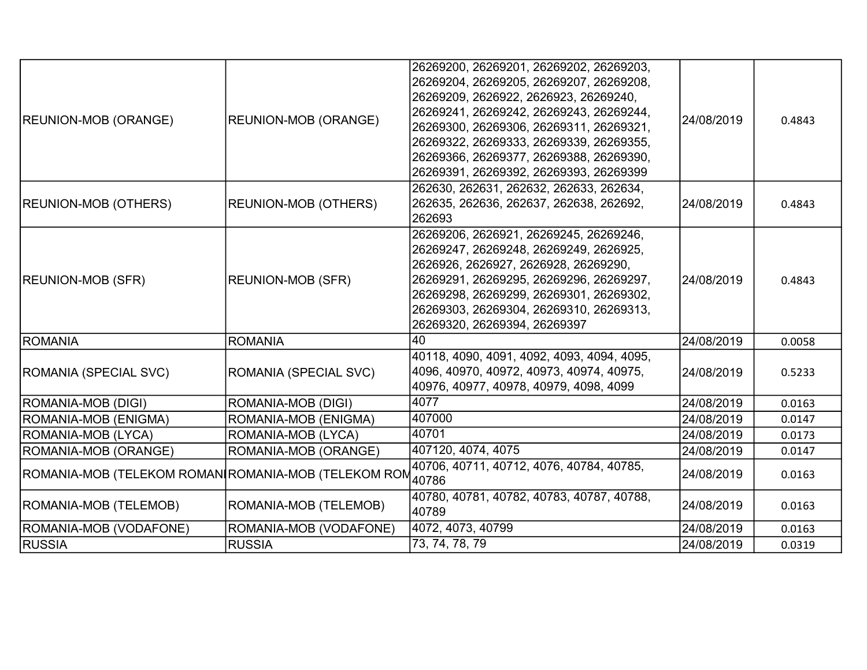|                                                     |                             | 26269200, 26269201, 26269202, 26269203,    |             |        |
|-----------------------------------------------------|-----------------------------|--------------------------------------------|-------------|--------|
|                                                     |                             | 26269204, 26269205, 26269207, 26269208,    |             |        |
|                                                     |                             | 26269209, 2626922, 2626923, 26269240,      |             |        |
| <b>REUNION-MOB (ORANGE)</b>                         | <b>REUNION-MOB (ORANGE)</b> | 26269241, 26269242, 26269243, 26269244,    | 24/08/2019  | 0.4843 |
|                                                     |                             | 26269300, 26269306, 26269311, 26269321,    |             |        |
|                                                     |                             | 26269322, 26269333, 26269339, 26269355,    |             |        |
|                                                     |                             | 26269366, 26269377, 26269388, 26269390,    |             |        |
|                                                     |                             | 26269391, 26269392, 26269393, 26269399     |             |        |
|                                                     |                             | 262630, 262631, 262632, 262633, 262634,    |             |        |
| <b>REUNION-MOB (OTHERS)</b>                         | <b>REUNION-MOB (OTHERS)</b> | 262635, 262636, 262637, 262638, 262692,    | 24/08/2019  | 0.4843 |
|                                                     |                             | 262693                                     |             |        |
|                                                     |                             | 26269206, 2626921, 26269245, 26269246,     |             |        |
|                                                     |                             | 26269247, 26269248, 26269249, 2626925,     |             |        |
|                                                     | <b>REUNION-MOB (SFR)</b>    | 2626926, 2626927, 2626928, 26269290,       |             |        |
| <b>REUNION-MOB (SFR)</b>                            |                             | 26269291, 26269295, 26269296, 26269297,    | 24/08/2019  | 0.4843 |
|                                                     |                             | 26269298, 26269299, 26269301, 26269302,    |             |        |
|                                                     |                             | 26269303, 26269304, 26269310, 26269313,    |             |        |
|                                                     |                             | 26269320, 26269394, 26269397               |             |        |
| ROMANIA                                             | <b>ROMANIA</b>              | 40                                         | 24/08/2019  | 0.0058 |
|                                                     |                             | 40118, 4090, 4091, 4092, 4093, 4094, 4095, |             |        |
| ROMANIA (SPECIAL SVC)                               | ROMANIA (SPECIAL SVC)       | 4096, 40970, 40972, 40973, 40974, 40975,   | 124/08/2019 | 0.5233 |
|                                                     |                             | 40976, 40977, 40978, 40979, 4098, 4099     |             |        |
| ROMANIA-MOB (DIGI)                                  | ROMANIA-MOB (DIGI)          | 4077                                       | 24/08/2019  | 0.0163 |
| ROMANIA-MOB (ENIGMA)                                | ROMANIA-MOB (ENIGMA)        | 407000                                     | 24/08/2019  | 0.0147 |
| ROMANIA-MOB (LYCA)                                  | ROMANIA-MOB (LYCA)          | 40701                                      | 24/08/2019  | 0.0173 |
| ROMANIA-MOB (ORANGE)                                | ROMANIA-MOB (ORANGE)        | 407120, 4074, 4075                         | 24/08/2019  | 0.0147 |
|                                                     |                             | 40706, 40711, 40712, 4076, 40784, 40785,   | 24/08/2019  | 0.0163 |
| ROMANIA-MOB (TELEKOM ROMANIROMANIA-MOB (TELEKOM ROM |                             | 40786                                      |             |        |
| ROMANIA-MOB (TELEMOB)                               | ROMANIA-MOB (TELEMOB)       | 40780, 40781, 40782, 40783, 40787, 40788,  | 24/08/2019  | 0.0163 |
|                                                     |                             | 40789                                      |             |        |
| ROMANIA-MOB (VODAFONE)                              | ROMANIA-MOB (VODAFONE)      | 4072, 4073, 40799                          | 24/08/2019  | 0.0163 |
| <b>RUSSIA</b>                                       | <b>RUSSIA</b>               | 73, 74, 78, 79                             | 24/08/2019  | 0.0319 |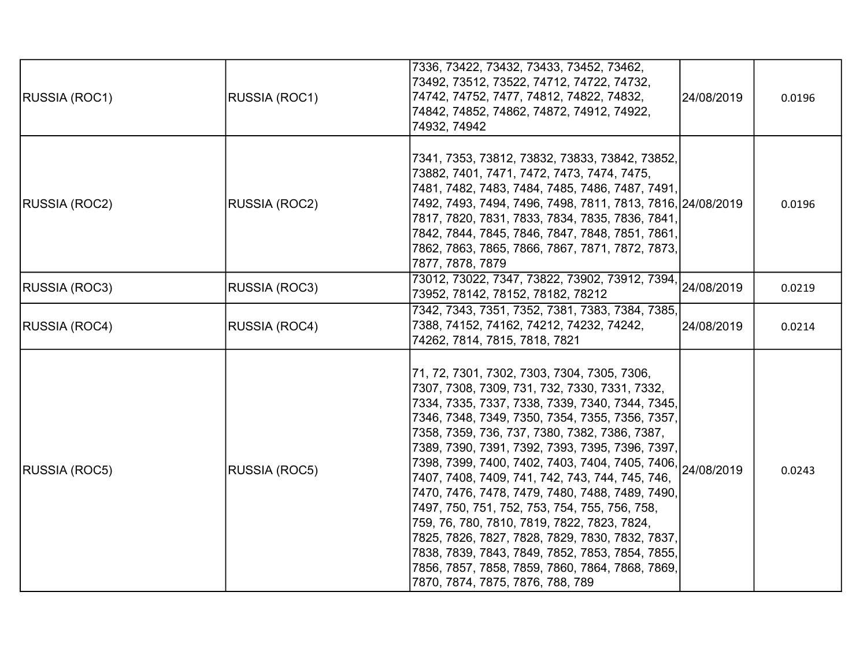| <b>RUSSIA (ROC1)</b> | RUSSIA (ROC1)        | 7336, 73422, 73432, 73433, 73452, 73462,<br>73492, 73512, 73522, 74712, 74722, 74732,<br>74742, 74752, 7477, 74812, 74822, 74832,<br>74842, 74852, 74862, 74872, 74912, 74922,<br>74932, 74942                                                                                                                                                                                                                                                                                                                                                                                                                                                                                                                                                                          | 24/08/2019 | 0.0196 |
|----------------------|----------------------|-------------------------------------------------------------------------------------------------------------------------------------------------------------------------------------------------------------------------------------------------------------------------------------------------------------------------------------------------------------------------------------------------------------------------------------------------------------------------------------------------------------------------------------------------------------------------------------------------------------------------------------------------------------------------------------------------------------------------------------------------------------------------|------------|--------|
| <b>RUSSIA (ROC2)</b> | RUSSIA (ROC2)        | 7341, 7353, 73812, 73832, 73833, 73842, 73852,<br>73882, 7401, 7471, 7472, 7473, 7474, 7475,<br>7481, 7482, 7483, 7484, 7485, 7486, 7487, 7491,<br>7492, 7493, 7494, 7496, 7498, 7811, 7813, 7816, 24/08/2019<br>7817, 7820, 7831, 7833, 7834, 7835, 7836, 7841,<br>7842, 7844, 7845, 7846, 7847, 7848, 7851, 7861,<br>7862, 7863, 7865, 7866, 7867, 7871, 7872, 7873,<br>7877, 7878, 7879                                                                                                                                                                                                                                                                                                                                                                              |            | 0.0196 |
| RUSSIA (ROC3)        | RUSSIA (ROC3)        | 73952, 78142, 78152, 78182, 78212                                                                                                                                                                                                                                                                                                                                                                                                                                                                                                                                                                                                                                                                                                                                       |            | 0.0219 |
| <b>RUSSIA (ROC4)</b> | RUSSIA (ROC4)        | 7342, 7343, 7351, 7352, 7381, 7383, 7384, 7385,<br>7388, 74152, 74162, 74212, 74232, 74242,<br>74262, 7814, 7815, 7818, 7821                                                                                                                                                                                                                                                                                                                                                                                                                                                                                                                                                                                                                                            | 24/08/2019 | 0.0214 |
| RUSSIA (ROC5)        | <b>RUSSIA (ROC5)</b> | 71, 72, 7301, 7302, 7303, 7304, 7305, 7306,<br>7307, 7308, 7309, 731, 732, 7330, 7331, 7332,<br>7334, 7335, 7337, 7338, 7339, 7340, 7344, 7345,<br>7346, 7348, 7349, 7350, 7354, 7355, 7356, 7357,<br>7358, 7359, 736, 737, 7380, 7382, 7386, 7387,<br>7389, 7390, 7391, 7392, 7393, 7395, 7396, 7397,<br>7398, 7399, 7400, 7402, 7403, 7404, 7405, 7406, 24/08/2019<br>7407, 7408, 7409, 741, 742, 743, 744, 745, 746,<br>7470, 7476, 7478, 7479, 7480, 7488, 7489, 7490,<br>7497, 750, 751, 752, 753, 754, 755, 756, 758,<br>759, 76, 780, 7810, 7819, 7822, 7823, 7824,<br>7825, 7826, 7827, 7828, 7829, 7830, 7832, 7837,<br>7838, 7839, 7843, 7849, 7852, 7853, 7854, 7855,<br>7856, 7857, 7858, 7859, 7860, 7864, 7868, 7869,<br>7870, 7874, 7875, 7876, 788, 789 |            | 0.0243 |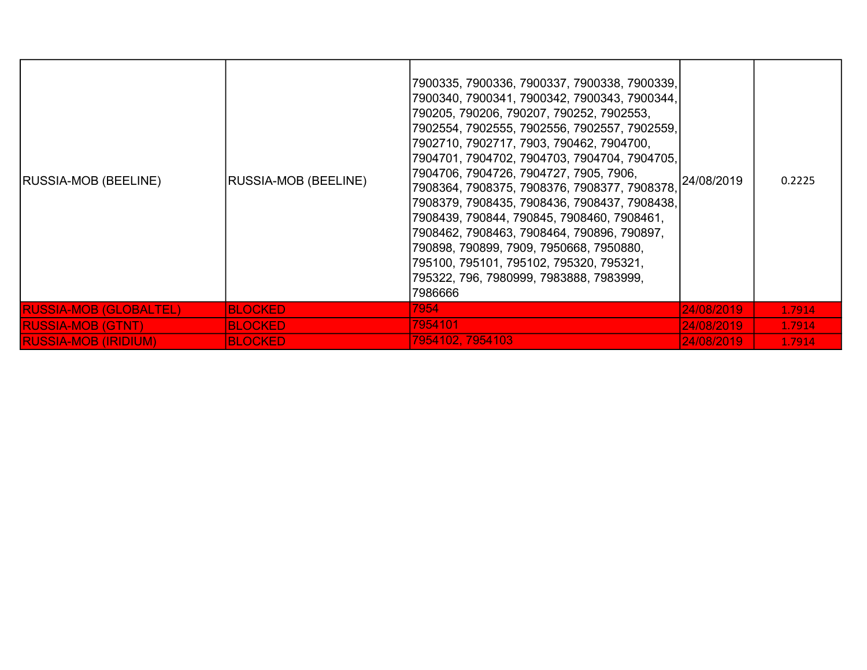| RUSSIA-MOB (BEELINE)          | <b>RUSSIA-MOB (BEELINE)</b> | 7900335, 7900336, 7900337, 7900338, 7900339,<br>7900340, 7900341, 7900342, 7900343, 7900344,<br>790205, 790206, 790207, 790252, 7902553,<br>7902554, 7902555, 7902556, 7902557, 7902559,<br>7902710, 7902717, 7903, 790462, 7904700,<br>7904701, 7904702, 7904703, 7904704, 7904705,<br>7904706, 7904726, 7904727, 7905, 7906,<br>7908364, 7908375, 7908376, 7908377, 7908378,<br>7908379, 7908435, 7908436, 7908437, 7908438,<br>7908439, 790844, 790845, 7908460, 7908461,<br>7908462, 7908463, 7908464, 790896, 790897,<br>790898, 790899, 7909, 7950668, 7950880,<br>795100, 795101, 795102, 795320, 795321,<br>795322, 796, 7980999, 7983888, 7983999,<br>7986666 | 24/08/2019 | 0.2225 |
|-------------------------------|-----------------------------|------------------------------------------------------------------------------------------------------------------------------------------------------------------------------------------------------------------------------------------------------------------------------------------------------------------------------------------------------------------------------------------------------------------------------------------------------------------------------------------------------------------------------------------------------------------------------------------------------------------------------------------------------------------------|------------|--------|
| <b>RUSSIA-MOB (GLOBALTEL)</b> | <b>BLOCKED</b>              | 7954                                                                                                                                                                                                                                                                                                                                                                                                                                                                                                                                                                                                                                                                   | 24/08/2019 | 1.7914 |
| <b>RUSSIA-MOB (GTNT)</b>      | <b>BLOCKED</b>              | 7954101                                                                                                                                                                                                                                                                                                                                                                                                                                                                                                                                                                                                                                                                | 24/08/2019 | 1.7914 |
| <b>RUSSIA-MOB (IRIDIUM)</b>   | <b>BLOCKED</b>              | 7954102, 7954103                                                                                                                                                                                                                                                                                                                                                                                                                                                                                                                                                                                                                                                       | 24/08/2019 | 1.7914 |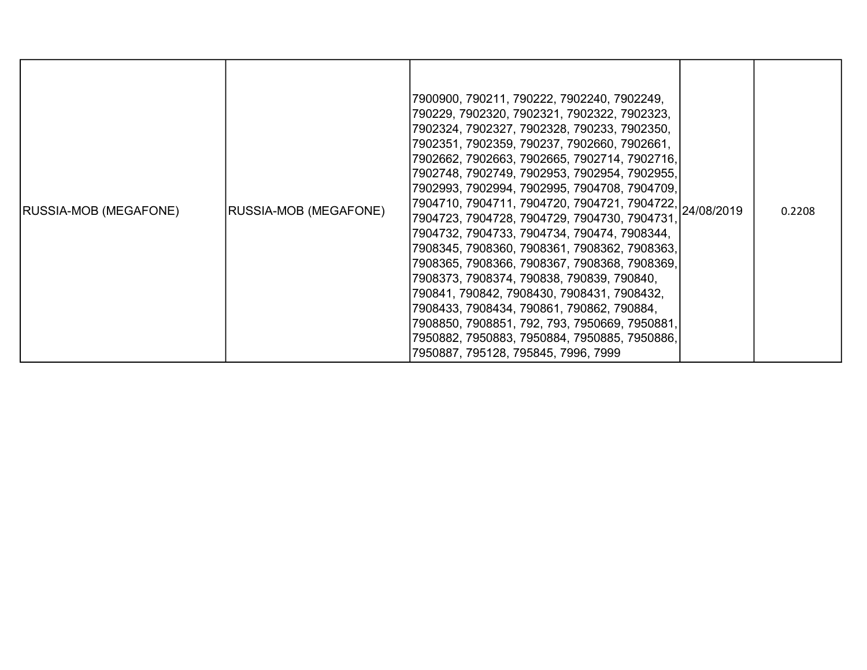| <b>RUSSIA-MOB (MEGAFONE)</b> | <b>RUSSIA-MOB (MEGAFONE)</b> | 7900900, 790211, 790222, 7902240, 7902249,<br>790229, 7902320, 7902321, 7902322, 7902323,<br>7902324, 7902327, 7902328, 790233, 7902350,<br>7902351, 7902359, 790237, 7902660, 7902661,<br>7902662, 7902663, 7902665, 7902714, 7902716,<br>7902748, 7902749, 7902953, 7902954, 7902955,<br>7902993, 7902994, 7902995, 7904708, 7904709,<br>7904710, 7904711, 7904720, 7904721, 7904722, 24/08/2019<br>7904723, 7904728, 7904729, 7904730, 7904731.<br>7904732, 7904733, 7904734, 790474, 7908344,<br>7908345, 7908360, 7908361, 7908362, 7908363,<br>7908365, 7908366, 7908367, 7908368, 7908369,<br>7908373, 7908374, 790838, 790839, 790840,<br>790841, 790842, 7908430, 7908431, 7908432,<br>7908433, 7908434, 790861, 790862, 790884,<br>7908850, 7908851, 792, 793, 7950669, 7950881,<br>7950882, 7950883, 7950884, 7950885, 7950886,<br>7950887, 795128, 795845, 7996, 7999 |  | 0.2208 |
|------------------------------|------------------------------|-----------------------------------------------------------------------------------------------------------------------------------------------------------------------------------------------------------------------------------------------------------------------------------------------------------------------------------------------------------------------------------------------------------------------------------------------------------------------------------------------------------------------------------------------------------------------------------------------------------------------------------------------------------------------------------------------------------------------------------------------------------------------------------------------------------------------------------------------------------------------------------|--|--------|
|------------------------------|------------------------------|-----------------------------------------------------------------------------------------------------------------------------------------------------------------------------------------------------------------------------------------------------------------------------------------------------------------------------------------------------------------------------------------------------------------------------------------------------------------------------------------------------------------------------------------------------------------------------------------------------------------------------------------------------------------------------------------------------------------------------------------------------------------------------------------------------------------------------------------------------------------------------------|--|--------|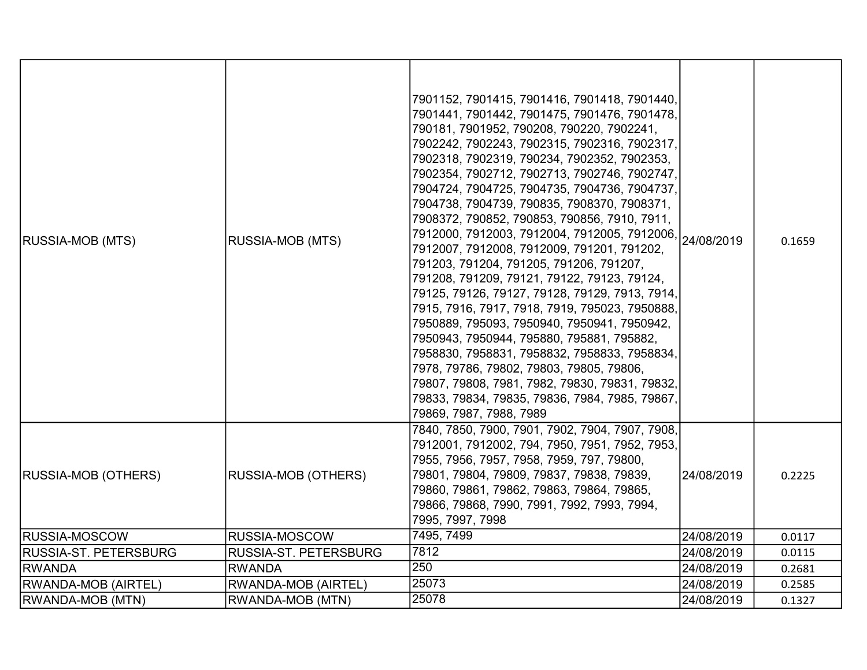| <b>RUSSIA-MOB (MTS)</b>      | <b>RUSSIA-MOB (MTS)</b>    | 7901152, 7901415, 7901416, 7901418, 7901440,<br>7901441, 7901442, 7901475, 7901476, 7901478,<br>790181, 7901952, 790208, 790220, 7902241,<br>7902242, 7902243, 7902315, 7902316, 7902317,<br>7902318, 7902319, 790234, 7902352, 7902353,<br>7902354, 7902712, 7902713, 7902746, 7902747,<br>7904724, 7904725, 7904735, 7904736, 7904737,<br>7904738, 7904739, 790835, 7908370, 7908371,<br>7908372, 790852, 790853, 790856, 7910, 7911,<br>7912000, 7912003, 7912004, 7912005, 7912006, 24/08/2019<br>7912007, 7912008, 7912009, 791201, 791202,<br>791203, 791204, 791205, 791206, 791207,<br>791208, 791209, 79121, 79122, 79123, 79124,<br>79125, 79126, 79127, 79128, 79129, 7913, 7914,<br>7915, 7916, 7917, 7918, 7919, 795023, 7950888,<br>7950889, 795093, 7950940, 7950941, 7950942,<br>7950943, 7950944, 795880, 795881, 795882,<br>7958830, 7958831, 7958832, 7958833, 7958834,<br>7978, 79786, 79802, 79803, 79805, 79806,<br>79807, 79808, 7981, 7982, 79830, 79831, 79832,<br>79833, 79834, 79835, 79836, 7984, 7985, 79867,<br>79869, 7987, 7988, 7989 |            | 0.1659 |
|------------------------------|----------------------------|-----------------------------------------------------------------------------------------------------------------------------------------------------------------------------------------------------------------------------------------------------------------------------------------------------------------------------------------------------------------------------------------------------------------------------------------------------------------------------------------------------------------------------------------------------------------------------------------------------------------------------------------------------------------------------------------------------------------------------------------------------------------------------------------------------------------------------------------------------------------------------------------------------------------------------------------------------------------------------------------------------------------------------------------------------------------------|------------|--------|
| <b>RUSSIA-MOB (OTHERS)</b>   | <b>RUSSIA-MOB (OTHERS)</b> | 7840, 7850, 7900, 7901, 7902, 7904, 7907, 7908,<br>7912001, 7912002, 794, 7950, 7951, 7952, 7953,<br>7955, 7956, 7957, 7958, 7959, 797, 79800,<br>79801, 79804, 79809, 79837, 79838, 79839,<br>79860, 79861, 79862, 79863, 79864, 79865,<br>79866, 79868, 7990, 7991, 7992, 7993, 7994,<br>7995, 7997, 7998                                                                                                                                                                                                                                                                                                                                                                                                                                                                                                                                                                                                                                                                                                                                                           | 24/08/2019 | 0.2225 |
| <b>RUSSIA-MOSCOW</b>         | RUSSIA-MOSCOW              | 7495, 7499                                                                                                                                                                                                                                                                                                                                                                                                                                                                                                                                                                                                                                                                                                                                                                                                                                                                                                                                                                                                                                                            | 24/08/2019 | 0.0117 |
| <b>RUSSIA-ST. PETERSBURG</b> | RUSSIA-ST. PETERSBURG      | 7812                                                                                                                                                                                                                                                                                                                                                                                                                                                                                                                                                                                                                                                                                                                                                                                                                                                                                                                                                                                                                                                                  | 24/08/2019 | 0.0115 |
| <b>RWANDA</b>                | <b>RWANDA</b>              | 250                                                                                                                                                                                                                                                                                                                                                                                                                                                                                                                                                                                                                                                                                                                                                                                                                                                                                                                                                                                                                                                                   | 24/08/2019 | 0.2681 |
| <b>RWANDA-MOB (AIRTEL)</b>   | RWANDA-MOB (AIRTEL)        | 25073                                                                                                                                                                                                                                                                                                                                                                                                                                                                                                                                                                                                                                                                                                                                                                                                                                                                                                                                                                                                                                                                 | 24/08/2019 | 0.2585 |
| <b>RWANDA-MOB (MTN)</b>      | RWANDA-MOB (MTN)           | 25078                                                                                                                                                                                                                                                                                                                                                                                                                                                                                                                                                                                                                                                                                                                                                                                                                                                                                                                                                                                                                                                                 | 24/08/2019 | 0.1327 |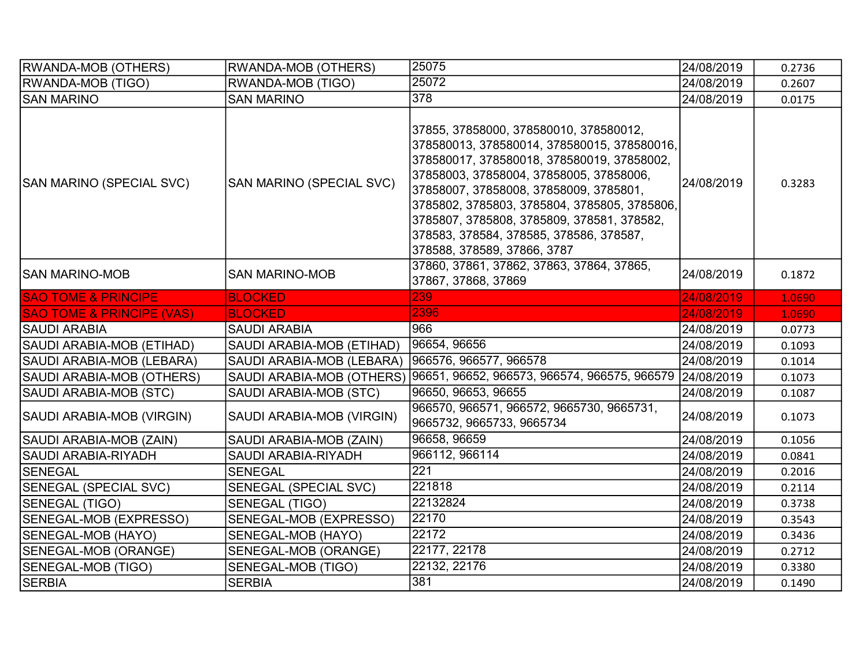| <b>RWANDA-MOB (OTHERS)</b>           | <b>RWANDA-MOB (OTHERS)</b>   | 25075                                                                                                                                                                                                                                                                                                                                                                                            | 24/08/2019 | 0.2736 |
|--------------------------------------|------------------------------|--------------------------------------------------------------------------------------------------------------------------------------------------------------------------------------------------------------------------------------------------------------------------------------------------------------------------------------------------------------------------------------------------|------------|--------|
| <b>RWANDA-MOB (TIGO)</b>             | <b>RWANDA-MOB (TIGO)</b>     | 25072                                                                                                                                                                                                                                                                                                                                                                                            | 24/08/2019 | 0.2607 |
| <b>SAN MARINO</b>                    | <b>SAN MARINO</b>            | 378                                                                                                                                                                                                                                                                                                                                                                                              | 24/08/2019 | 0.0175 |
| SAN MARINO (SPECIAL SVC)             | SAN MARINO (SPECIAL SVC)     | 37855, 37858000, 378580010, 378580012,<br>378580013, 378580014, 378580015, 378580016,<br>378580017, 378580018, 378580019, 37858002,<br>37858003, 37858004, 37858005, 37858006,<br>37858007, 37858008, 37858009, 3785801,<br>3785802, 3785803, 3785804, 3785805, 3785806,<br>3785807, 3785808, 3785809, 378581, 378582,<br>378583, 378584, 378585, 378586, 378587,<br>378588, 378589, 37866, 3787 | 24/08/2019 | 0.3283 |
| ISAN MARINO-MOB                      | <b>SAN MARINO-MOB</b>        | 37860, 37861, 37862, 37863, 37864, 37865,<br>37867, 37868, 37869                                                                                                                                                                                                                                                                                                                                 | 24/08/2019 | 0.1872 |
| <b>SAO TOME &amp; PRINCIPE</b>       | <b>BLOCKED</b>               | 239                                                                                                                                                                                                                                                                                                                                                                                              | 24/08/2019 | 1.0690 |
| <b>SAO TOME &amp; PRINCIPE (VAS)</b> | <b>BLOCKED</b>               | 2396                                                                                                                                                                                                                                                                                                                                                                                             | 24/08/2019 | 1.0690 |
| SAUDI ARABIA                         | <b>SAUDI ARABIA</b>          | 966                                                                                                                                                                                                                                                                                                                                                                                              | 24/08/2019 | 0.0773 |
| SAUDI ARABIA-MOB (ETIHAD)            | SAUDI ARABIA-MOB (ETIHAD)    | 96654, 96656                                                                                                                                                                                                                                                                                                                                                                                     | 24/08/2019 | 0.1093 |
| SAUDI ARABIA-MOB (LEBARA)            | SAUDI ARABIA-MOB (LEBARA)    | 966576, 966577, 966578                                                                                                                                                                                                                                                                                                                                                                           | 24/08/2019 | 0.1014 |
| SAUDI ARABIA-MOB (OTHERS)            |                              | SAUDI ARABIA-MOB (OTHERS) 96651, 96652, 966573, 966574, 966575, 966579 24/08/2019                                                                                                                                                                                                                                                                                                                |            | 0.1073 |
| SAUDI ARABIA-MOB (STC)               | SAUDI ARABIA-MOB (STC)       | 96650, 96653, 96655                                                                                                                                                                                                                                                                                                                                                                              | 24/08/2019 | 0.1087 |
| SAUDI ARABIA-MOB (VIRGIN)            | SAUDI ARABIA-MOB (VIRGIN)    | 966570, 966571, 966572, 9665730, 9665731,<br>9665732, 9665733, 9665734                                                                                                                                                                                                                                                                                                                           | 24/08/2019 | 0.1073 |
| SAUDI ARABIA-MOB (ZAIN)              | SAUDI ARABIA-MOB (ZAIN)      | 96658, 96659                                                                                                                                                                                                                                                                                                                                                                                     | 24/08/2019 | 0.1056 |
| SAUDI ARABIA-RIYADH                  | SAUDI ARABIA-RIYADH          | 966112, 966114                                                                                                                                                                                                                                                                                                                                                                                   | 24/08/2019 | 0.0841 |
| <b>SENEGAL</b>                       | <b>SENEGAL</b>               | 221                                                                                                                                                                                                                                                                                                                                                                                              | 24/08/2019 | 0.2016 |
| <b>SENEGAL (SPECIAL SVC)</b>         | <b>SENEGAL (SPECIAL SVC)</b> | 221818                                                                                                                                                                                                                                                                                                                                                                                           | 24/08/2019 | 0.2114 |
| SENEGAL (TIGO)                       | SENEGAL (TIGO)               | 22132824                                                                                                                                                                                                                                                                                                                                                                                         | 24/08/2019 | 0.3738 |
| SENEGAL-MOB (EXPRESSO)               | SENEGAL-MOB (EXPRESSO)       | 22170                                                                                                                                                                                                                                                                                                                                                                                            | 24/08/2019 | 0.3543 |
| SENEGAL-MOB (HAYO)                   | SENEGAL-MOB (HAYO)           | 22172                                                                                                                                                                                                                                                                                                                                                                                            | 24/08/2019 | 0.3436 |
| SENEGAL-MOB (ORANGE)                 | SENEGAL-MOB (ORANGE)         | 22177, 22178                                                                                                                                                                                                                                                                                                                                                                                     | 24/08/2019 | 0.2712 |
| SENEGAL-MOB (TIGO)                   | SENEGAL-MOB (TIGO)           | 22132, 22176                                                                                                                                                                                                                                                                                                                                                                                     | 24/08/2019 | 0.3380 |
| <b>SERBIA</b>                        | <b>SERBIA</b>                | 381                                                                                                                                                                                                                                                                                                                                                                                              | 24/08/2019 | 0.1490 |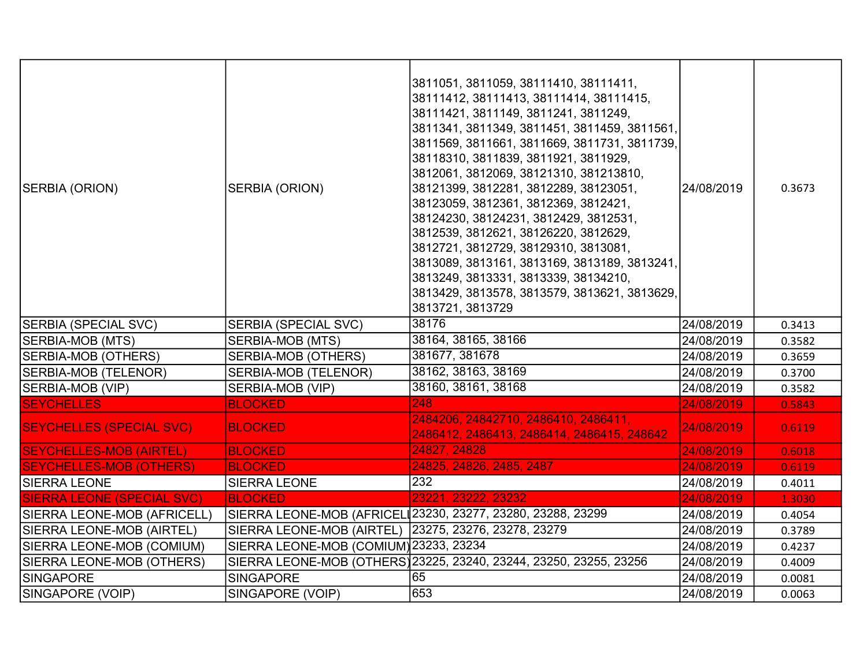| SERBIA (ORION)                    | SERBIA (ORION)                         | 3811051, 3811059, 38111410, 38111411,<br>38111412, 38111413, 38111414, 38111415,<br>38111421, 3811149, 3811241, 3811249,<br>3811341, 3811349, 3811451, 3811459, 3811561,<br>3811569, 3811661, 3811669, 3811731, 3811739,<br>38118310, 3811839, 3811921, 3811929,<br>3812061, 3812069, 38121310, 381213810,<br>38121399, 3812281, 3812289, 38123051,<br>38123059, 3812361, 3812369, 3812421,<br>38124230, 38124231, 3812429, 3812531,<br>3812539, 3812621, 38126220, 3812629,<br>3812721, 3812729, 38129310, 3813081,<br>3813089, 3813161, 3813169, 3813189, 3813241,<br>3813249, 3813331, 3813339, 38134210,<br>3813429, 3813578, 3813579, 3813621, 3813629,<br>3813721, 3813729 | 24/08/2019 | 0.3673 |
|-----------------------------------|----------------------------------------|----------------------------------------------------------------------------------------------------------------------------------------------------------------------------------------------------------------------------------------------------------------------------------------------------------------------------------------------------------------------------------------------------------------------------------------------------------------------------------------------------------------------------------------------------------------------------------------------------------------------------------------------------------------------------------|------------|--------|
| <b>SERBIA (SPECIAL SVC)</b>       | <b>SERBIA (SPECIAL SVC)</b>            | 38176                                                                                                                                                                                                                                                                                                                                                                                                                                                                                                                                                                                                                                                                            | 24/08/2019 | 0.3413 |
| <b>SERBIA-MOB (MTS)</b>           | SERBIA-MOB (MTS)                       | 38164, 38165, 38166                                                                                                                                                                                                                                                                                                                                                                                                                                                                                                                                                                                                                                                              | 24/08/2019 | 0.3582 |
| <b>SERBIA-MOB (OTHERS)</b>        | <b>SERBIA-MOB (OTHERS)</b>             | 381677, 381678                                                                                                                                                                                                                                                                                                                                                                                                                                                                                                                                                                                                                                                                   | 24/08/2019 | 0.3659 |
| <b>SERBIA-MOB (TELENOR)</b>       | SERBIA-MOB (TELENOR)                   | 38162, 38163, 38169                                                                                                                                                                                                                                                                                                                                                                                                                                                                                                                                                                                                                                                              | 24/08/2019 | 0.3700 |
| SERBIA-MOB (VIP)                  | SERBIA-MOB (VIP)                       | 38160, 38161, 38168                                                                                                                                                                                                                                                                                                                                                                                                                                                                                                                                                                                                                                                              | 24/08/2019 | 0.3582 |
| <b>SEYCHELLES</b>                 | <b>BLOCKED</b>                         | 248                                                                                                                                                                                                                                                                                                                                                                                                                                                                                                                                                                                                                                                                              | 24/08/2019 | 0.5843 |
| <b>SEYCHELLES (SPECIAL SVC)</b>   | <b>BLOCKED</b>                         | 2484206, 24842710, 2486410, 2486411,<br>2486412, 2486413, 2486414, 2486415, 248642                                                                                                                                                                                                                                                                                                                                                                                                                                                                                                                                                                                               | 24/08/2019 | 0.6119 |
| <b>SEYCHELLES-MOB (AIRTEL)</b>    | <b>BLOCKED</b>                         | 24827, 24828                                                                                                                                                                                                                                                                                                                                                                                                                                                                                                                                                                                                                                                                     | 24/08/2019 | 0.6018 |
| <b>SEYCHELLES-MOB (OTHERS)</b>    | <b>BLOCKED</b>                         | 24825, 24826, 2485, 2487                                                                                                                                                                                                                                                                                                                                                                                                                                                                                                                                                                                                                                                         | 24/08/2019 | 0.6119 |
| <b>SIERRA LEONE</b>               | <b>SIERRA LEONE</b>                    | 232                                                                                                                                                                                                                                                                                                                                                                                                                                                                                                                                                                                                                                                                              | 24/08/2019 | 0.4011 |
| <b>SIERRA LEONE (SPECIAL SVC)</b> | <b>BLOCKED</b>                         | 23221, 23222, 23232                                                                                                                                                                                                                                                                                                                                                                                                                                                                                                                                                                                                                                                              | 24/08/2019 | 1.3030 |
| SIERRA LEONE-MOB (AFRICELL)       |                                        | SIERRA LEONE-MOB (AFRICEL 23230, 23277, 23280, 23288, 23299                                                                                                                                                                                                                                                                                                                                                                                                                                                                                                                                                                                                                      | 24/08/2019 | 0.4054 |
| SIERRA LEONE-MOB (AIRTEL)         | SIERRA LEONE-MOB (AIRTEL)              | 23275, 23276, 23278, 23279                                                                                                                                                                                                                                                                                                                                                                                                                                                                                                                                                                                                                                                       | 24/08/2019 | 0.3789 |
| SIERRA LEONE-MOB (COMIUM)         | SIERRA LEONE-MOB (COMIUM) 23233, 23234 |                                                                                                                                                                                                                                                                                                                                                                                                                                                                                                                                                                                                                                                                                  | 24/08/2019 | 0.4237 |
| SIERRA LEONE-MOB (OTHERS)         |                                        | SIERRA LEONE-MOB (OTHERS) 23225, 23240, 23244, 23250, 23255, 23256                                                                                                                                                                                                                                                                                                                                                                                                                                                                                                                                                                                                               | 24/08/2019 | 0.4009 |
| SINGAPORE                         | <b>SINGAPORE</b>                       | 65                                                                                                                                                                                                                                                                                                                                                                                                                                                                                                                                                                                                                                                                               | 24/08/2019 | 0.0081 |
| SINGAPORE (VOIP)                  | SINGAPORE (VOIP)                       | 653                                                                                                                                                                                                                                                                                                                                                                                                                                                                                                                                                                                                                                                                              | 24/08/2019 | 0.0063 |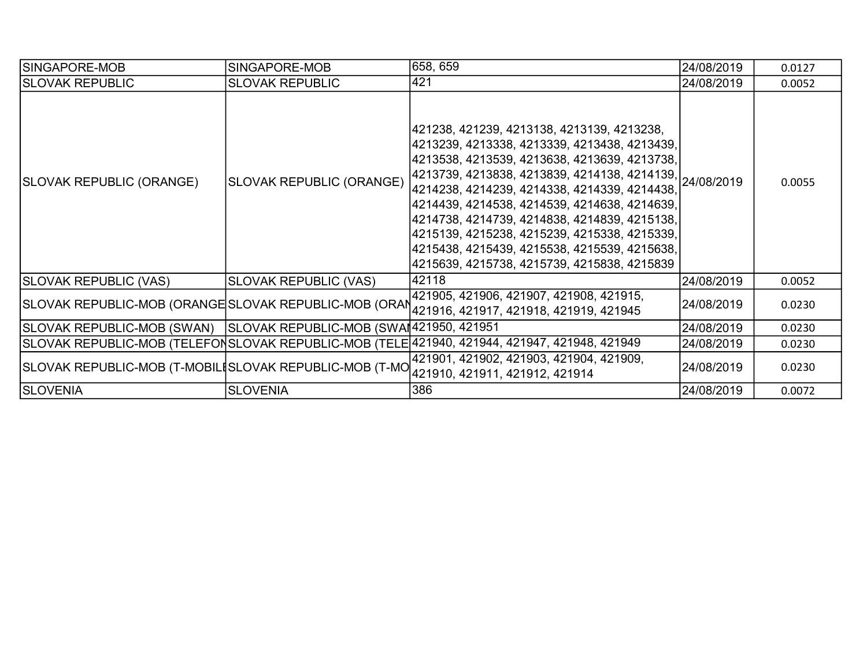| ISINGAPORE-MOB                                                       | SINGAPORE-MOB                | 658, 659                                                                                                                                                                                                                                                                                                                                                                                                                                                                                              | 24/08/2019 | 0.0127 |
|----------------------------------------------------------------------|------------------------------|-------------------------------------------------------------------------------------------------------------------------------------------------------------------------------------------------------------------------------------------------------------------------------------------------------------------------------------------------------------------------------------------------------------------------------------------------------------------------------------------------------|------------|--------|
| <b>SLOVAK REPUBLIC</b>                                               | <b>SLOVAK REPUBLIC</b>       | 421                                                                                                                                                                                                                                                                                                                                                                                                                                                                                                   | 24/08/2019 | 0.0052 |
| SLOVAK REPUBLIC (ORANGE)                                             | SLOVAK REPUBLIC (ORANGE)     | 421238, 421239, 4213138, 4213139, 4213238,<br>4213239, 4213338, 4213339, 4213438, 4213439,<br>4213538, 4213539, 4213638, 4213639, 4213738,<br>4213739, 4213838, 4213839, 4214138, 4214139, 24/08/2019<br> 4214238, 4214239, 4214338, 4214339, 4214438,<br>4214439, 4214538, 4214539, 4214638, 4214639,<br>4214738, 4214739, 4214838, 4214839, 4215138,<br>4215139, 4215238, 4215239, 4215338, 4215339,<br>4215438, 4215439, 4215538, 4215539, 4215638,<br>4215639, 4215738, 4215739, 4215838, 4215839 |            | 0.0055 |
| <b>SLOVAK REPUBLIC (VAS)</b>                                         | <b>SLOVAK REPUBLIC (VAS)</b> | 42118                                                                                                                                                                                                                                                                                                                                                                                                                                                                                                 | 24/08/2019 | 0.0052 |
| SLOVAK REPUBLIC-MOB (ORANGE SLOVAK REPUBLIC-MOB (ORAN                |                              | 421905, 421906, 421907, 421908, 421915,<br>421916, 421917, 421918, 421919, 421945                                                                                                                                                                                                                                                                                                                                                                                                                     | 24/08/2019 | 0.0230 |
| SLOVAK REPUBLIC-MOB (SWAN)   SLOVAK REPUBLIC-MOB (SWAI421950, 421951 |                              |                                                                                                                                                                                                                                                                                                                                                                                                                                                                                                       | 24/08/2019 | 0.0230 |
|                                                                      |                              | SLOVAK REPUBLIC-MOB (TELEFONSLOVAK REPUBLIC-MOB (TELE 421940, 421944, 421947, 421948, 421949                                                                                                                                                                                                                                                                                                                                                                                                          | 24/08/2019 | 0.0230 |
| SLOVAK REPUBLIC-MOB (T-MOBILISLOVAK REPUBLIC-MOB (T-MO               |                              | 421901, 421902, 421903, 421904, 421909,<br> 421910, 421911, 421912, 421914                                                                                                                                                                                                                                                                                                                                                                                                                            | 24/08/2019 | 0.0230 |
| <b>SLOVENIA</b>                                                      | <b>SLOVENIA</b>              | 386                                                                                                                                                                                                                                                                                                                                                                                                                                                                                                   | 24/08/2019 | 0.0072 |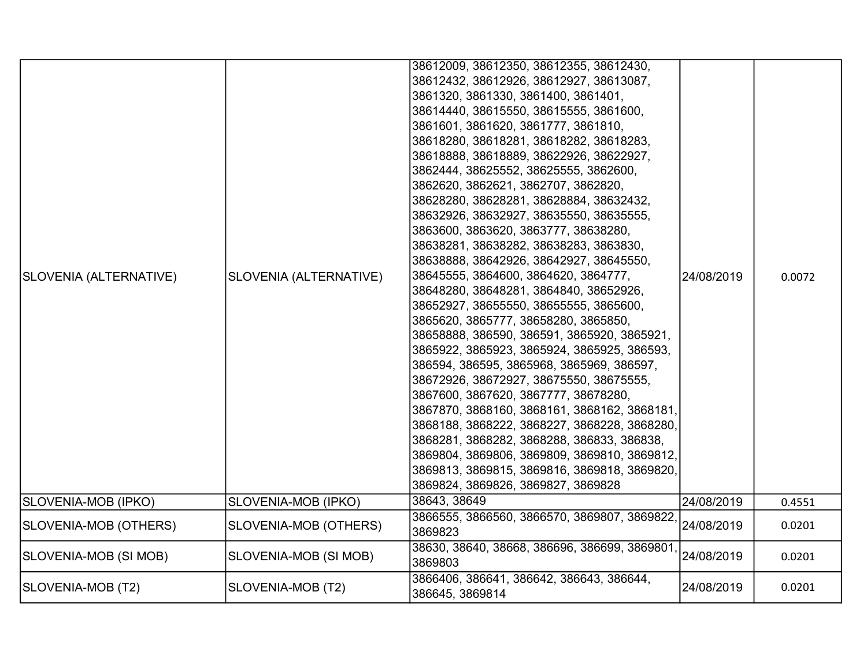| SLOVENIA (ALTERNATIVE) | SLOVENIA (ALTERNATIVE) | 38612009, 38612350, 38612355, 38612430,<br>38612432, 38612926, 38612927, 38613087,<br>3861320, 3861330, 3861400, 3861401,<br>38614440, 38615550, 38615555, 3861600,<br>3861601, 3861620, 3861777, 3861810,<br>38618280, 38618281, 38618282, 38618283,<br>38618888, 38618889, 38622926, 38622927,<br>3862444, 38625552, 38625555, 3862600,<br>3862620, 3862621, 3862707, 3862820,<br>38628280, 38628281, 38628884, 38632432,<br>38632926, 38632927, 38635550, 38635555,<br>3863600, 3863620, 3863777, 38638280,<br>38638281, 38638282, 38638283, 3863830,<br>38638888, 38642926, 38642927, 38645550,<br>38645555, 3864600, 3864620, 3864777,<br>38648280, 38648281, 3864840, 38652926,<br>38652927, 38655550, 38655555, 3865600,<br>3865620, 3865777, 38658280, 3865850,<br>38658888, 386590, 386591, 3865920, 3865921,<br>3865922, 3865923, 3865924, 3865925, 386593,<br>386594, 386595, 3865968, 3865969, 386597,<br>38672926, 38672927, 38675550, 38675555,<br>3867600, 3867620, 3867777, 38678280,<br>3867870, 3868160, 3868161, 3868162, 3868181,<br>3868188, 3868222, 3868227, 3868228, 3868280,<br>3868281, 3868282, 3868288, 386833, 386838,<br>3869804, 3869806, 3869809, 3869810, 3869812,<br>3869813, 3869815, 3869816, 3869818, 3869820,<br>3869824, 3869826, 3869827, 3869828 | 24/08/2019 | 0.0072 |
|------------------------|------------------------|-------------------------------------------------------------------------------------------------------------------------------------------------------------------------------------------------------------------------------------------------------------------------------------------------------------------------------------------------------------------------------------------------------------------------------------------------------------------------------------------------------------------------------------------------------------------------------------------------------------------------------------------------------------------------------------------------------------------------------------------------------------------------------------------------------------------------------------------------------------------------------------------------------------------------------------------------------------------------------------------------------------------------------------------------------------------------------------------------------------------------------------------------------------------------------------------------------------------------------------------------------------------------------------------|------------|--------|
| SLOVENIA-MOB (IPKO)    | SLOVENIA-MOB (IPKO)    | 38643, 38649                                                                                                                                                                                                                                                                                                                                                                                                                                                                                                                                                                                                                                                                                                                                                                                                                                                                                                                                                                                                                                                                                                                                                                                                                                                                              | 24/08/2019 | 0.4551 |
| SLOVENIA-MOB (OTHERS)  | SLOVENIA-MOB (OTHERS)  | 3866555, 3866560, 3866570, 3869807, 3869822,<br>3869823                                                                                                                                                                                                                                                                                                                                                                                                                                                                                                                                                                                                                                                                                                                                                                                                                                                                                                                                                                                                                                                                                                                                                                                                                                   | 24/08/2019 | 0.0201 |
| SLOVENIA-MOB (SI MOB)  | SLOVENIA-MOB (SI MOB)  | 38630, 38640, 38668, 386696, 386699, 3869801,<br>3869803                                                                                                                                                                                                                                                                                                                                                                                                                                                                                                                                                                                                                                                                                                                                                                                                                                                                                                                                                                                                                                                                                                                                                                                                                                  | 24/08/2019 | 0.0201 |
| SLOVENIA-MOB (T2)      | SLOVENIA-MOB (T2)      | 3866406, 386641, 386642, 386643, 386644,<br>386645, 3869814                                                                                                                                                                                                                                                                                                                                                                                                                                                                                                                                                                                                                                                                                                                                                                                                                                                                                                                                                                                                                                                                                                                                                                                                                               | 24/08/2019 | 0.0201 |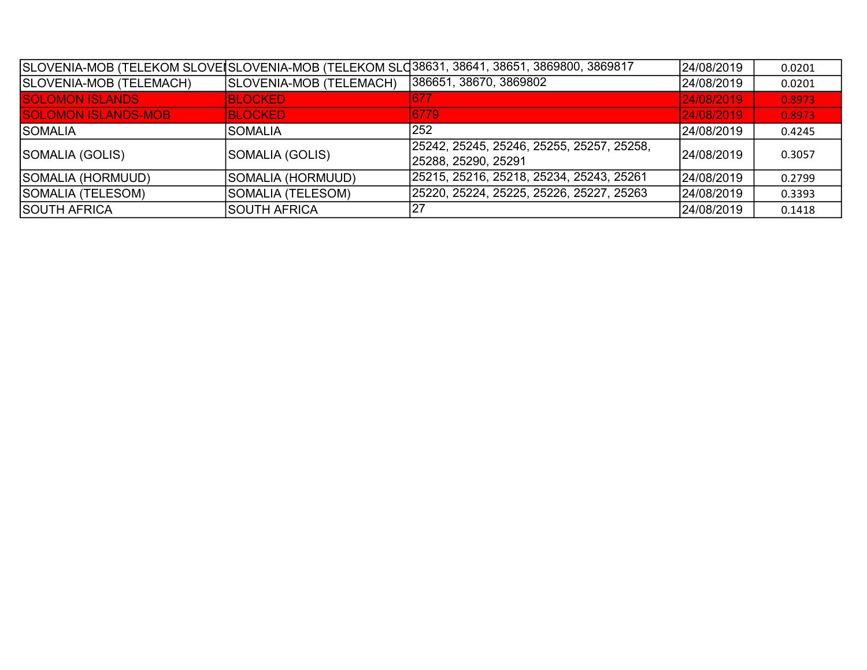|                            |                         | SLOVENIA-MOB (TELEKOM SLOVE SLOVENIA-MOB (TELEKOM SLO38631, 38641, 38651, 3869800, 3869817 | 24/08/2019 | 0.0201 |
|----------------------------|-------------------------|--------------------------------------------------------------------------------------------|------------|--------|
| SLOVENIA-MOB (TELEMACH)    | SLOVENIA-MOB (TELEMACH) | 386651, 38670, 3869802                                                                     | 24/08/2019 | 0.0201 |
| <b>SOLOMON ISLANDS</b>     | <b>BLOCKED</b>          | 677                                                                                        | 24/08/2019 | 0.8973 |
| <b>SOLOMON ISLANDS-MOB</b> | <b>BLOCKED</b>          | 6779                                                                                       | 24/08/2019 | 0.8973 |
| <b>SOMALIA</b>             | <b>SOMALIA</b>          | 252                                                                                        | 24/08/2019 | 0.4245 |
| SOMALIA (GOLIS)            | SOMALIA (GOLIS)         | 25242, 25245, 25246, 25255, 25257, 25258,<br>25288, 25290, 25291                           | 24/08/2019 | 0.3057 |
| SOMALIA (HORMUUD)          | SOMALIA (HORMUUD)       | 25215, 25216, 25218, 25234, 25243, 25261                                                   | 24/08/2019 | 0.2799 |
| SOMALIA (TELESOM)          | SOMALIA (TELESOM)       | 25220, 25224, 25225, 25226, 25227, 25263                                                   | 24/08/2019 | 0.3393 |
| <b>SOUTH AFRICA</b>        | <b>SOUTH AFRICA</b>     | 27                                                                                         | 24/08/2019 | 0.1418 |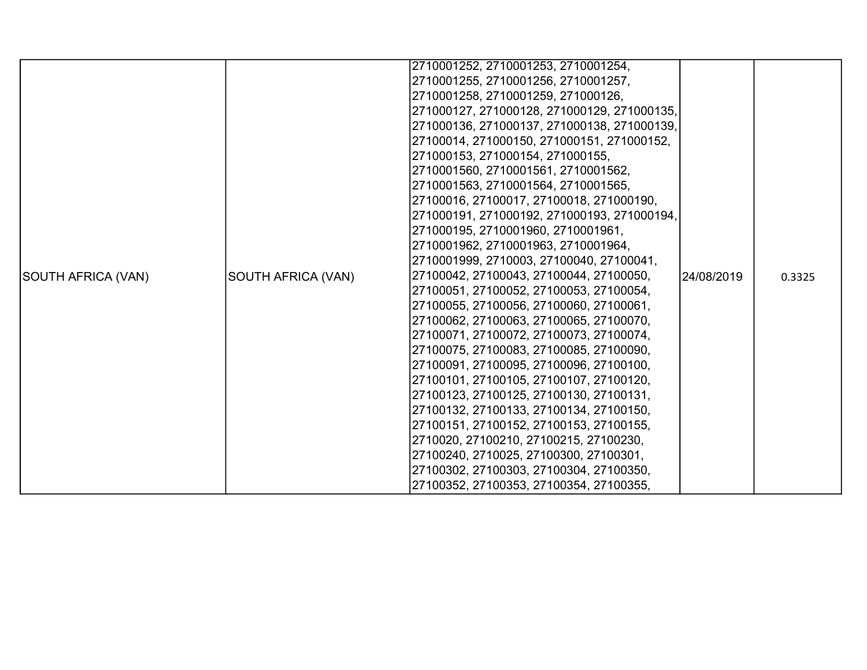|                    |                    | 2710001252, 2710001253, 2710001254,         |             |        |
|--------------------|--------------------|---------------------------------------------|-------------|--------|
|                    |                    | 2710001255, 2710001256, 2710001257,         |             |        |
|                    |                    | 2710001258, 2710001259, 271000126,          |             |        |
|                    |                    | 271000127, 271000128, 271000129, 271000135, |             |        |
|                    |                    | 271000136, 271000137, 271000138, 271000139, |             |        |
|                    |                    | 27100014, 271000150, 271000151, 271000152,  |             |        |
|                    |                    | 271000153, 271000154, 271000155,            |             |        |
|                    |                    | 2710001560, 2710001561, 2710001562,         |             |        |
|                    |                    | 2710001563, 2710001564, 2710001565,         |             |        |
|                    |                    | 27100016, 27100017, 27100018, 271000190,    |             |        |
|                    |                    | 271000191, 271000192, 271000193, 271000194, |             |        |
|                    |                    | 271000195, 2710001960, 2710001961,          |             |        |
|                    |                    | 2710001962, 2710001963, 2710001964,         |             |        |
|                    |                    | 2710001999, 2710003, 27100040, 27100041,    |             |        |
| SOUTH AFRICA (VAN) | SOUTH AFRICA (VAN) | 27100042, 27100043, 27100044, 27100050,     | 124/08/2019 | 0.3325 |
|                    |                    | 27100051, 27100052, 27100053, 27100054,     |             |        |
|                    |                    | 27100055, 27100056, 27100060, 27100061,     |             |        |
|                    |                    | 27100062, 27100063, 27100065, 27100070,     |             |        |
|                    |                    | 27100071, 27100072, 27100073, 27100074,     |             |        |
|                    |                    | 27100075, 27100083, 27100085, 27100090,     |             |        |
|                    |                    | 27100091, 27100095, 27100096, 27100100,     |             |        |
|                    |                    | 27100101, 27100105, 27100107, 27100120,     |             |        |
|                    |                    | 27100123, 27100125, 27100130, 27100131,     |             |        |
|                    |                    | 27100132, 27100133, 27100134, 27100150,     |             |        |
|                    |                    | 27100151, 27100152, 27100153, 27100155,     |             |        |
|                    |                    | 2710020, 27100210, 27100215, 27100230,      |             |        |
|                    |                    | 27100240, 2710025, 27100300, 27100301,      |             |        |
|                    |                    | 27100302, 27100303, 27100304, 27100350,     |             |        |
|                    |                    | 27100352, 27100353, 27100354, 27100355,     |             |        |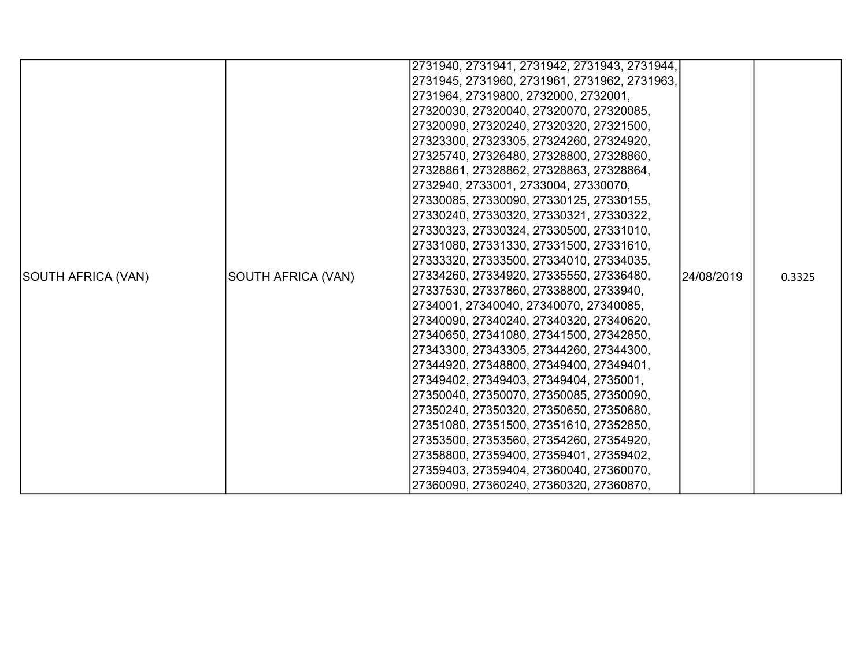|                    |                    | 2731940, 2731941, 2731942, 2731943, 2731944, |             |        |
|--------------------|--------------------|----------------------------------------------|-------------|--------|
|                    |                    | 2731945, 2731960, 2731961, 2731962, 2731963, |             |        |
|                    |                    | 2731964, 27319800, 2732000, 2732001,         |             |        |
|                    |                    | 27320030, 27320040, 27320070, 27320085,      |             |        |
|                    |                    | 27320090, 27320240, 27320320, 27321500,      |             |        |
|                    |                    | 27323300, 27323305, 27324260, 27324920,      |             |        |
|                    |                    | 27325740, 27326480, 27328800, 27328860,      |             |        |
|                    |                    | 27328861, 27328862, 27328863, 27328864,      |             |        |
|                    |                    | 2732940, 2733001, 2733004, 27330070,         |             |        |
|                    |                    | 27330085, 27330090, 27330125, 27330155,      |             |        |
|                    |                    | 27330240, 27330320, 27330321, 27330322,      |             |        |
|                    |                    | 27330323, 27330324, 27330500, 27331010,      |             |        |
|                    |                    | 27331080, 27331330, 27331500, 27331610,      |             |        |
|                    |                    | 27333320, 27333500, 27334010, 27334035,      |             |        |
| SOUTH AFRICA (VAN) | SOUTH AFRICA (VAN) | 27334260, 27334920, 27335550, 27336480,      | 124/08/2019 | 0.3325 |
|                    |                    | 27337530, 27337860, 27338800, 2733940,       |             |        |
|                    |                    | 2734001, 27340040, 27340070, 27340085,       |             |        |
|                    |                    | 27340090, 27340240, 27340320, 27340620,      |             |        |
|                    |                    | 27340650, 27341080, 27341500, 27342850,      |             |        |
|                    |                    | 27343300, 27343305, 27344260, 27344300,      |             |        |
|                    |                    | 27344920, 27348800, 27349400, 27349401,      |             |        |
|                    |                    | 27349402, 27349403, 27349404, 2735001,       |             |        |
|                    |                    | 27350040, 27350070, 27350085, 27350090,      |             |        |
|                    |                    | 27350240, 27350320, 27350650, 27350680,      |             |        |
|                    |                    | 27351080, 27351500, 27351610, 27352850,      |             |        |
|                    |                    | 27353500, 27353560, 27354260, 27354920,      |             |        |
|                    |                    | 27358800, 27359400, 27359401, 27359402,      |             |        |
|                    |                    | 27359403, 27359404, 27360040, 27360070,      |             |        |
|                    |                    | 27360090, 27360240, 27360320, 27360870,      |             |        |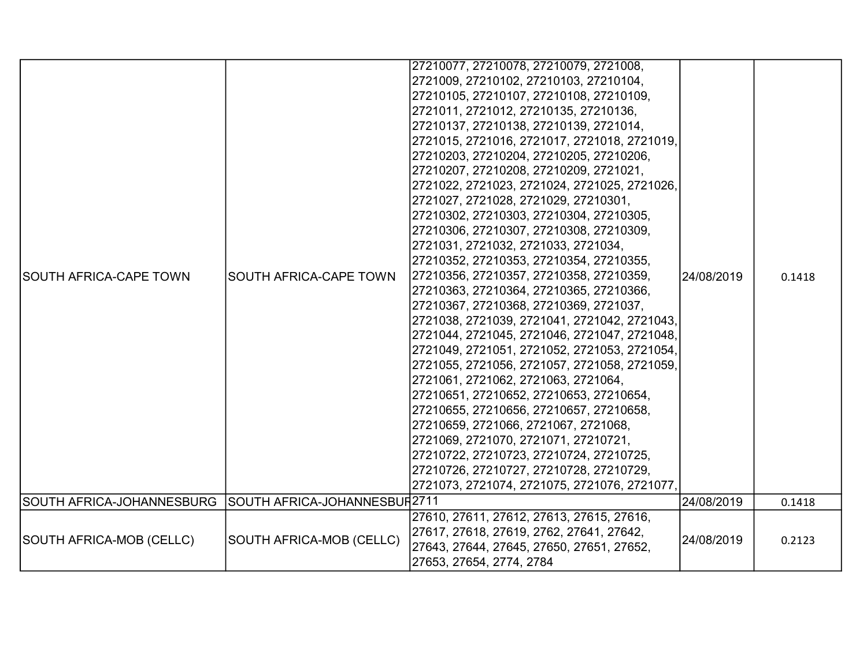|                               |                                          | 27210077, 27210078, 27210079, 2721008,       |            |        |
|-------------------------------|------------------------------------------|----------------------------------------------|------------|--------|
|                               |                                          | 2721009, 27210102, 27210103, 27210104,       |            |        |
|                               |                                          | 27210105, 27210107, 27210108, 27210109,      |            |        |
|                               |                                          | 2721011, 2721012, 27210135, 27210136,        |            |        |
|                               |                                          | 27210137, 27210138, 27210139, 2721014,       |            |        |
|                               |                                          | 2721015, 2721016, 2721017, 2721018, 2721019, |            |        |
|                               |                                          | 27210203, 27210204, 27210205, 27210206,      |            |        |
|                               |                                          | 27210207, 27210208, 27210209, 2721021,       |            |        |
|                               |                                          | 2721022, 2721023, 2721024, 2721025, 2721026, |            |        |
|                               | 2721027, 2721028, 2721029, 27210301,     |                                              |            |        |
|                               |                                          | 27210302, 27210303, 27210304, 27210305,      | 24/08/2019 |        |
|                               |                                          | 27210306, 27210307, 27210308, 27210309,      |            | 0.1418 |
|                               |                                          | 2721031, 2721032, 2721033, 2721034,          |            |        |
|                               |                                          | 27210352, 27210353, 27210354, 27210355,      |            |        |
| <b>SOUTH AFRICA-CAPE TOWN</b> | <b>SOUTH AFRICA-CAPE TOWN</b>            | 27210356, 27210357, 27210358, 27210359,      |            |        |
|                               |                                          | 27210363, 27210364, 27210365, 27210366,      |            |        |
|                               |                                          | 27210367, 27210368, 27210369, 2721037,       |            |        |
|                               |                                          | 2721038, 2721039, 2721041, 2721042, 2721043, |            |        |
|                               |                                          | 2721044, 2721045, 2721046, 2721047, 2721048, |            |        |
|                               |                                          | 2721049, 2721051, 2721052, 2721053, 2721054, |            |        |
|                               |                                          | 2721055, 2721056, 2721057, 2721058, 2721059, |            |        |
|                               |                                          | 2721061, 2721062, 2721063, 2721064,          |            |        |
|                               |                                          | 27210651, 27210652, 27210653, 27210654,      |            |        |
|                               |                                          | 27210655, 27210656, 27210657, 27210658,      |            |        |
|                               |                                          | 27210659, 2721066, 2721067, 2721068,         |            |        |
|                               |                                          | 2721069, 2721070, 2721071, 27210721,         |            |        |
|                               |                                          | 27210722, 27210723, 27210724, 27210725,      |            |        |
|                               |                                          | 27210726, 27210727, 27210728, 27210729,      |            |        |
|                               |                                          | 2721073, 2721074, 2721075, 2721076, 2721077, |            |        |
| SOUTH AFRICA-JOHANNESBURG     | SOUTH AFRICA-JOHANNESBUR <sup>2711</sup> |                                              | 24/08/2019 | 0.1418 |
|                               |                                          | 27610, 27611, 27612, 27613, 27615, 27616,    |            |        |
|                               |                                          | 27617, 27618, 27619, 2762, 27641, 27642,     |            |        |
| SOUTH AFRICA-MOB (CELLC)      | <b>SOUTH AFRICA-MOB (CELLC)</b>          | 27643, 27644, 27645, 27650, 27651, 27652,    | 24/08/2019 | 0.2123 |
|                               |                                          | 27653, 27654, 2774, 2784                     |            |        |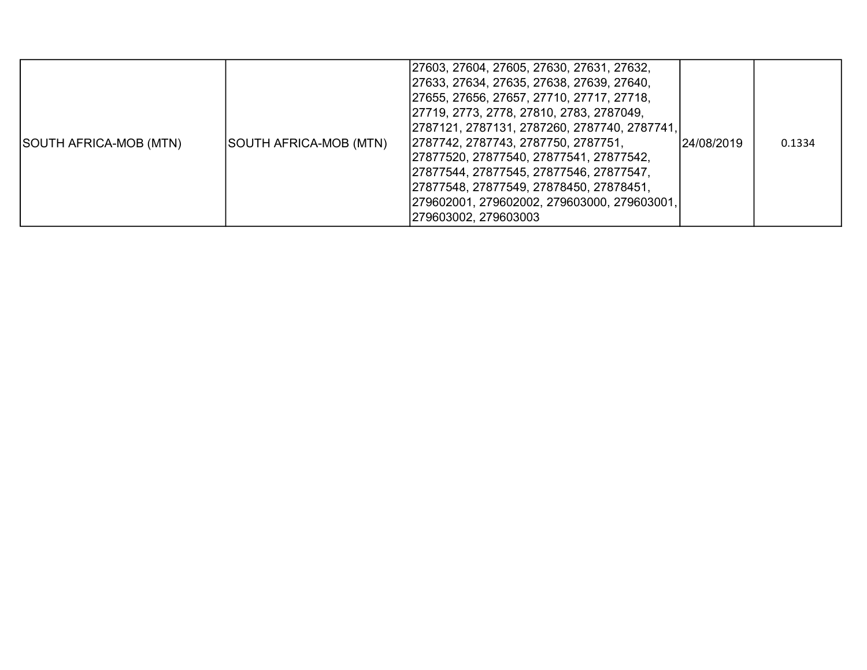| SOUTH AFRICA-MOB (MTN) | SOUTH AFRICA-MOB (MTN) | 27603, 27604, 27605, 27630, 27631, 27632,<br>27633, 27634, 27635, 27638, 27639, 27640,<br>27655, 27656, 27657, 27710, 27717, 27718,<br> 27719, 2773, 2778, 27810, 2783, 2787049,<br> 2787121, 2787131, 2787260, 2787740, 2787741,<br>2787742, 2787743, 2787750, 2787751,<br>27877520, 27877540, 27877541, 27877542,<br> 27877544, 27877545, 27877546, 27877547,<br>27877548, 27877549, 27878450, 27878451,<br> 279602001, 279602002, 279603000, 279603001,<br>279603002, 279603003 | 24/08/2019 | 0.1334 |
|------------------------|------------------------|------------------------------------------------------------------------------------------------------------------------------------------------------------------------------------------------------------------------------------------------------------------------------------------------------------------------------------------------------------------------------------------------------------------------------------------------------------------------------------|------------|--------|
|------------------------|------------------------|------------------------------------------------------------------------------------------------------------------------------------------------------------------------------------------------------------------------------------------------------------------------------------------------------------------------------------------------------------------------------------------------------------------------------------------------------------------------------------|------------|--------|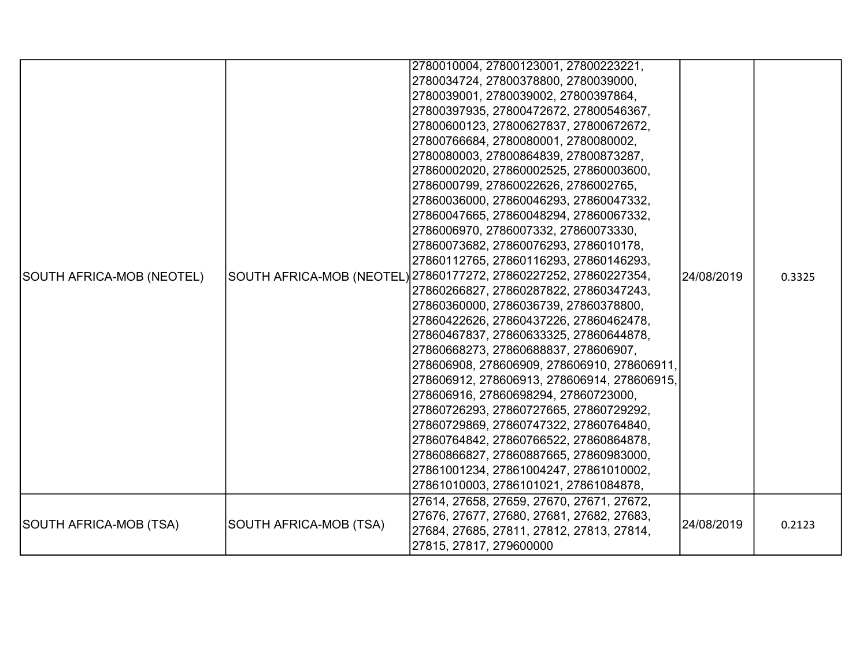|                           |                        | 2780010004, 27800123001, 27800223221,                            |            |        |
|---------------------------|------------------------|------------------------------------------------------------------|------------|--------|
|                           |                        | 2780034724, 27800378800, 2780039000,                             |            |        |
|                           |                        | 2780039001, 2780039002, 27800397864,                             |            |        |
|                           |                        | 27800397935, 27800472672, 27800546367,                           |            |        |
|                           |                        | 27800600123, 27800627837, 27800672672,                           |            |        |
|                           |                        | 27800766684, 2780080001, 2780080002,                             |            |        |
|                           |                        | 2780080003, 27800864839, 27800873287,                            |            |        |
|                           |                        | 27860002020, 27860002525, 27860003600,                           |            |        |
|                           |                        | 2786000799, 27860022626, 2786002765,                             |            |        |
|                           |                        | 27860036000, 27860046293, 27860047332,                           |            |        |
|                           |                        | 27860047665, 27860048294, 27860067332,                           |            | 0.3325 |
|                           |                        | 2786006970, 2786007332, 27860073330,                             |            |        |
|                           |                        | 27860073682, 27860076293, 2786010178,                            |            |        |
|                           |                        | 27860112765, 27860116293, 27860146293,                           |            |        |
| SOUTH AFRICA-MOB (NEOTEL) |                        | SOUTH AFRICA-MOB (NEOTEL) 27860177272, 27860227252, 27860227354, | 24/08/2019 |        |
|                           |                        | 27860266827, 27860287822, 27860347243,                           |            |        |
|                           |                        | 27860360000, 2786036739, 27860378800,                            |            |        |
|                           |                        | 27860422626, 27860437226, 27860462478,                           |            |        |
|                           |                        | 27860467837, 27860633325, 27860644878,                           |            |        |
|                           |                        | 27860668273, 27860688837, 278606907,                             |            |        |
|                           |                        | 278606908, 278606909, 278606910, 278606911,                      |            |        |
|                           |                        | 278606912, 278606913, 278606914, 278606915,                      |            |        |
|                           |                        | 278606916, 27860698294, 27860723000,                             |            |        |
|                           |                        | 27860726293, 27860727665, 27860729292,                           |            |        |
|                           |                        | 27860729869, 27860747322, 27860764840,                           |            |        |
|                           |                        | 27860764842, 27860766522, 27860864878,                           |            |        |
|                           |                        | 27860866827, 27860887665, 27860983000,                           |            |        |
|                           |                        | 27861001234, 27861004247, 27861010002,                           |            |        |
|                           |                        | 27861010003, 2786101021, 27861084878,                            |            |        |
|                           |                        | 27614, 27658, 27659, 27670, 27671, 27672,                        |            |        |
| SOUTH AFRICA-MOB (TSA)    | SOUTH AFRICA-MOB (TSA) | 27676, 27677, 27680, 27681, 27682, 27683,                        | 24/08/2019 | 0.2123 |
|                           |                        | 27684, 27685, 27811, 27812, 27813, 27814,                        |            |        |
|                           |                        | 27815, 27817, 279600000                                          |            |        |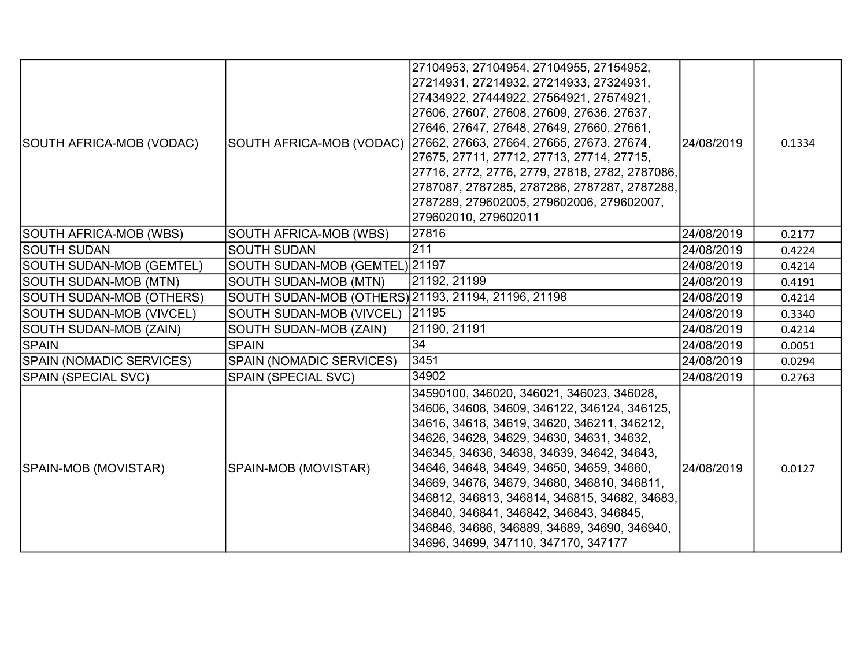| SOUTH AFRICA-MOB (VODAC)        | SOUTH AFRICA-MOB (VODAC)                            | 27104953, 27104954, 27104955, 27154952,<br>27214931, 27214932, 27214933, 27324931,<br>27434922, 27444922, 27564921, 27574921,<br>27606, 27607, 27608, 27609, 27636, 27637,<br>27646, 27647, 27648, 27649, 27660, 27661,<br>27662, 27663, 27664, 27665, 27673, 27674,<br>27675, 27711, 27712, 27713, 27714, 27715,<br>27716, 2772, 2776, 2779, 27818, 2782, 2787086,<br>2787087, 2787285, 2787286, 2787287, 2787288,<br>2787289, 279602005, 279602006, 279602007,<br>279602010, 279602011                            | 24/08/2019 | 0.1334 |
|---------------------------------|-----------------------------------------------------|---------------------------------------------------------------------------------------------------------------------------------------------------------------------------------------------------------------------------------------------------------------------------------------------------------------------------------------------------------------------------------------------------------------------------------------------------------------------------------------------------------------------|------------|--------|
| SOUTH AFRICA-MOB (WBS)          | SOUTH AFRICA-MOB (WBS)                              | 27816                                                                                                                                                                                                                                                                                                                                                                                                                                                                                                               | 24/08/2019 | 0.2177 |
| <b>SOUTH SUDAN</b>              | <b>SOUTH SUDAN</b>                                  | 211                                                                                                                                                                                                                                                                                                                                                                                                                                                                                                                 | 24/08/2019 | 0.4224 |
| <b>SOUTH SUDAN-MOB (GEMTEL)</b> | SOUTH SUDAN-MOB (GEMTEL) 21197                      |                                                                                                                                                                                                                                                                                                                                                                                                                                                                                                                     | 24/08/2019 | 0.4214 |
| <b>SOUTH SUDAN-MOB (MTN)</b>    | SOUTH SUDAN-MOB (MTN)                               | 21192, 21199                                                                                                                                                                                                                                                                                                                                                                                                                                                                                                        | 24/08/2019 | 0.4191 |
| SOUTH SUDAN-MOB (OTHERS)        | SOUTH SUDAN-MOB (OTHERS) 21193, 21194, 21196, 21198 |                                                                                                                                                                                                                                                                                                                                                                                                                                                                                                                     | 24/08/2019 | 0.4214 |
| <b>SOUTH SUDAN-MOB (VIVCEL)</b> | SOUTH SUDAN-MOB (VIVCEL)                            | 21195                                                                                                                                                                                                                                                                                                                                                                                                                                                                                                               | 24/08/2019 | 0.3340 |
| SOUTH SUDAN-MOB (ZAIN)          | SOUTH SUDAN-MOB (ZAIN)                              | 21190, 21191                                                                                                                                                                                                                                                                                                                                                                                                                                                                                                        | 24/08/2019 | 0.4214 |
| <b>SPAIN</b>                    | <b>SPAIN</b>                                        | 34                                                                                                                                                                                                                                                                                                                                                                                                                                                                                                                  | 24/08/2019 | 0.0051 |
| <b>SPAIN (NOMADIC SERVICES)</b> | <b>SPAIN (NOMADIC SERVICES)</b>                     | 3451                                                                                                                                                                                                                                                                                                                                                                                                                                                                                                                | 24/08/2019 | 0.0294 |
| SPAIN (SPECIAL SVC)             | <b>SPAIN (SPECIAL SVC)</b>                          | 34902                                                                                                                                                                                                                                                                                                                                                                                                                                                                                                               | 24/08/2019 | 0.2763 |
| SPAIN-MOB (MOVISTAR)            | SPAIN-MOB (MOVISTAR)                                | 34590100, 346020, 346021, 346023, 346028,<br>34606, 34608, 34609, 346122, 346124, 346125,<br>34616, 34618, 34619, 34620, 346211, 346212,<br>34626, 34628, 34629, 34630, 34631, 34632,<br>346345, 34636, 34638, 34639, 34642, 34643,<br>34646, 34648, 34649, 34650, 34659, 34660,<br>34669, 34676, 34679, 34680, 346810, 346811,<br>346812, 346813, 346814, 346815, 34682, 34683,<br>346840, 346841, 346842, 346843, 346845,<br>346846, 34686, 346889, 34689, 34690, 346940,<br>34696, 34699, 347110, 347170, 347177 | 24/08/2019 | 0.0127 |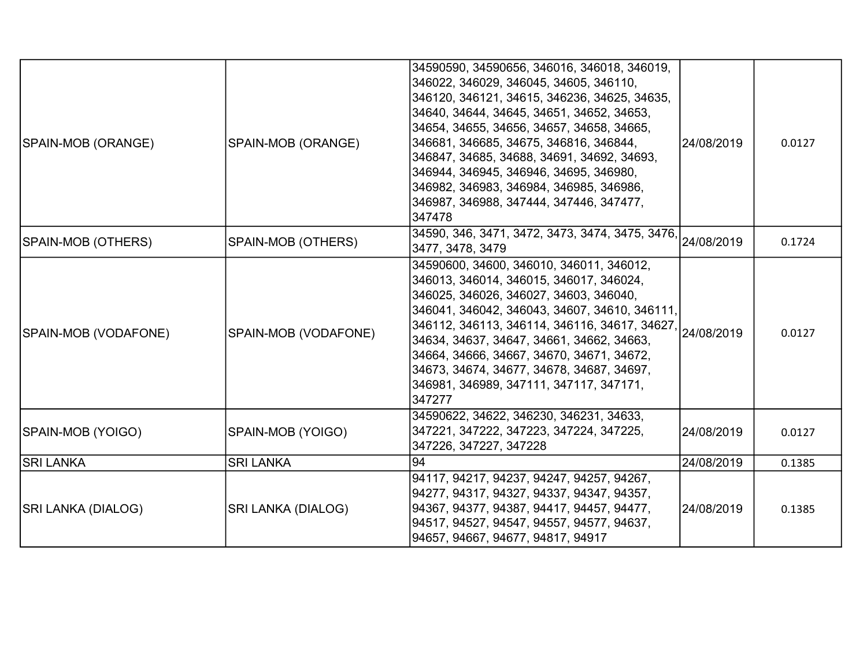| SPAIN-MOB (ORANGE)        | SPAIN-MOB (ORANGE)   | 34590590, 34590656, 346016, 346018, 346019,<br>346022, 346029, 346045, 34605, 346110,<br>346120, 346121, 34615, 346236, 34625, 34635,<br>34640, 34644, 34645, 34651, 34652, 34653,<br>34654, 34655, 34656, 34657, 34658, 34665,<br>346681, 346685, 34675, 346816, 346844,<br>346847, 34685, 34688, 34691, 34692, 34693,<br>346944, 346945, 346946, 34695, 346980,<br>346982, 346983, 346984, 346985, 346986,<br>346987, 346988, 347444, 347446, 347477,<br>347478 | 24/08/2019 | 0.0127 |
|---------------------------|----------------------|-------------------------------------------------------------------------------------------------------------------------------------------------------------------------------------------------------------------------------------------------------------------------------------------------------------------------------------------------------------------------------------------------------------------------------------------------------------------|------------|--------|
| SPAIN-MOB (OTHERS)        | SPAIN-MOB (OTHERS)   | 34590, 346, 3471, 3472, 3473, 3474, 3475, 3476, 24/08/2019<br>3477, 3478, 3479                                                                                                                                                                                                                                                                                                                                                                                    |            | 0.1724 |
| SPAIN-MOB (VODAFONE)      | SPAIN-MOB (VODAFONE) | 34590600, 34600, 346010, 346011, 346012,<br>346013, 346014, 346015, 346017, 346024,<br>346025, 346026, 346027, 34603, 346040,<br>346041, 346042, 346043, 34607, 34610, 346111,<br>346112, 346113, 346114, 346116, 34617, 34627, 24/08/2019<br>34634, 34637, 34647, 34661, 34662, 34663,<br>34664, 34666, 34667, 34670, 34671, 34672,<br>34673, 34674, 34677, 34678, 34687, 34697,<br>346981, 346989, 347111, 347117, 347171,<br>347277                            |            | 0.0127 |
| SPAIN-MOB (YOIGO)         | SPAIN-MOB (YOIGO)    | 34590622, 34622, 346230, 346231, 34633,<br>347221, 347222, 347223, 347224, 347225,<br>347226, 347227, 347228                                                                                                                                                                                                                                                                                                                                                      | 24/08/2019 | 0.0127 |
| <b>SRI LANKA</b>          | <b>SRI LANKA</b>     | 94                                                                                                                                                                                                                                                                                                                                                                                                                                                                | 24/08/2019 | 0.1385 |
| <b>SRI LANKA (DIALOG)</b> | SRI LANKA (DIALOG)   | 94117, 94217, 94237, 94247, 94257, 94267,<br> 94277, 94317, 94327, 94337, 94347, 94357,<br> 94367, 94377, 94387, 94417, 94457, 94477,<br>94517, 94527, 94547, 94557, 94577, 94637,<br>94657, 94667, 94677, 94817, 94917                                                                                                                                                                                                                                           | 24/08/2019 | 0.1385 |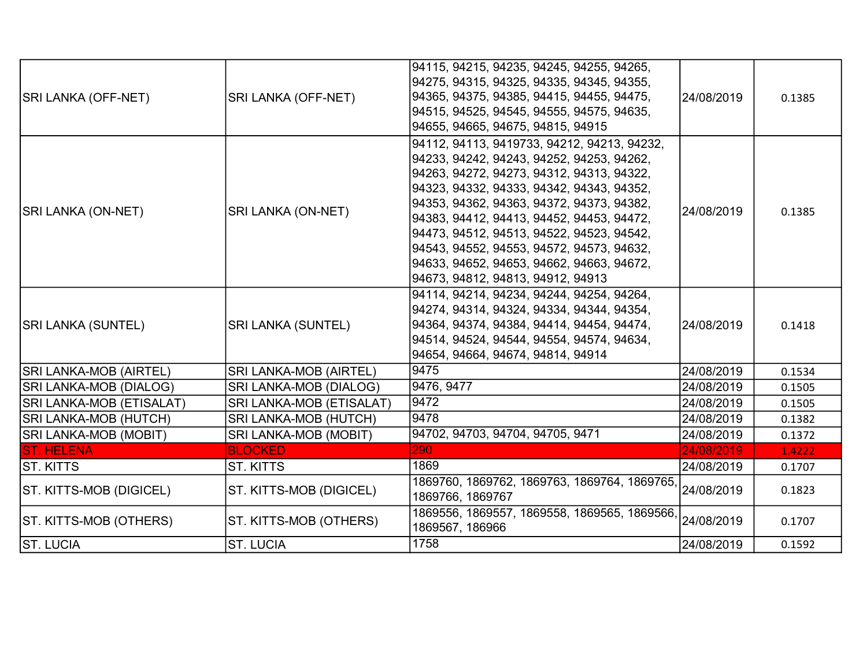| SRI LANKA (OFF-NET)          | <b>SRI LANKA (OFF-NET)</b>    | 94115, 94215, 94235, 94245, 94255, 94265,<br>94275, 94315, 94325, 94335, 94345, 94355,<br>94365, 94375, 94385, 94415, 94455, 94475,<br>94515, 94525, 94545, 94555, 94575, 94635,<br>94655, 94665, 94675, 94815, 94915                                                                                                                                                                                                                                    | 24/08/2019 | 0.1385 |
|------------------------------|-------------------------------|----------------------------------------------------------------------------------------------------------------------------------------------------------------------------------------------------------------------------------------------------------------------------------------------------------------------------------------------------------------------------------------------------------------------------------------------------------|------------|--------|
| <b>SRI LANKA (ON-NET)</b>    | <b>SRI LANKA (ON-NET)</b>     | 94112, 94113, 9419733, 94212, 94213, 94232,<br>94233, 94242, 94243, 94252, 94253, 94262,<br>94263, 94272, 94273, 94312, 94313, 94322,<br>94323, 94332, 94333, 94342, 94343, 94352,<br>94353, 94362, 94363, 94372, 94373, 94382,<br>94383, 94412, 94413, 94452, 94453, 94472,<br>94473, 94512, 94513, 94522, 94523, 94542,<br>94543, 94552, 94553, 94572, 94573, 94632,<br>94633, 94652, 94653, 94662, 94663, 94672,<br>94673, 94812, 94813, 94912, 94913 | 24/08/2019 | 0.1385 |
| <b>SRI LANKA (SUNTEL)</b>    | <b>SRI LANKA (SUNTEL)</b>     | 94114, 94214, 94234, 94244, 94254, 94264,<br>94274, 94314, 94324, 94334, 94344, 94354,<br>94364, 94374, 94384, 94414, 94454, 94474,<br>94514, 94524, 94544, 94554, 94574, 94634,<br>94654, 94664, 94674, 94814, 94914                                                                                                                                                                                                                                    | 24/08/2019 | 0.1418 |
| SRI LANKA-MOB (AIRTEL)       | <b>SRI LANKA-MOB (AIRTEL)</b> | 9475                                                                                                                                                                                                                                                                                                                                                                                                                                                     | 24/08/2019 | 0.1534 |
| SRI LANKA-MOB (DIALOG)       | <b>SRI LANKA-MOB (DIALOG)</b> | 9476, 9477                                                                                                                                                                                                                                                                                                                                                                                                                                               | 24/08/2019 | 0.1505 |
| SRI LANKA-MOB (ETISALAT)     | SRI LANKA-MOB (ETISALAT)      | 9472                                                                                                                                                                                                                                                                                                                                                                                                                                                     | 24/08/2019 | 0.1505 |
| SRI LANKA-MOB (HUTCH)        | <b>SRI LANKA-MOB (HUTCH)</b>  | 9478                                                                                                                                                                                                                                                                                                                                                                                                                                                     | 24/08/2019 | 0.1382 |
| <b>SRI LANKA-MOB (MOBIT)</b> | <b>SRI LANKA-MOB (MOBIT)</b>  | 94702, 94703, 94704, 94705, 9471                                                                                                                                                                                                                                                                                                                                                                                                                         | 24/08/2019 | 0.1372 |
| <b>ST. HELENA</b>            | <b>BLOCKED</b>                | 290                                                                                                                                                                                                                                                                                                                                                                                                                                                      | 24/08/2019 | 1.4222 |
| ST. KITTS                    | <b>ST. KITTS</b>              | 1869                                                                                                                                                                                                                                                                                                                                                                                                                                                     | 24/08/2019 | 0.1707 |
| ST. KITTS-MOB (DIGICEL)      | ST. KITTS-MOB (DIGICEL)       | 1869760, 1869762, 1869763, 1869764, 1869765,<br>1869766, 1869767                                                                                                                                                                                                                                                                                                                                                                                         | 24/08/2019 | 0.1823 |
| ST. KITTS-MOB (OTHERS)       | ST. KITTS-MOB (OTHERS)        | 1869556, 1869557, 1869558, 1869565, 1869566,<br>1869567, 186966                                                                                                                                                                                                                                                                                                                                                                                          | 24/08/2019 | 0.1707 |
| <b>ST. LUCIA</b>             | <b>ST. LUCIA</b>              | 1758                                                                                                                                                                                                                                                                                                                                                                                                                                                     | 24/08/2019 | 0.1592 |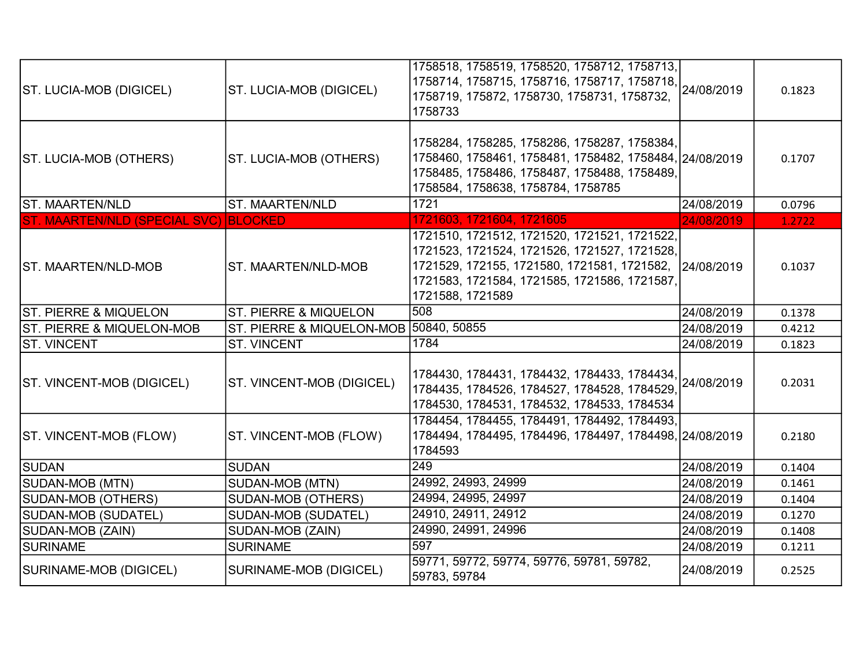| <b>ST. LUCIA-MOB (DIGICEL)</b>        | ST. LUCIA-MOB (DIGICEL)                | 1758518, 1758519, 1758520, 1758712, 1758713,<br>1758714, 1758715, 1758716, 1758717, 1758718, 24/08/2019<br>1758719, 175872, 1758730, 1758731, 1758732,<br>1758733                                                          |            | 0.1823 |
|---------------------------------------|----------------------------------------|----------------------------------------------------------------------------------------------------------------------------------------------------------------------------------------------------------------------------|------------|--------|
| ST. LUCIA-MOB (OTHERS)                | ST. LUCIA-MOB (OTHERS)                 | 1758284, 1758285, 1758286, 1758287, 1758384,<br>1758460, 1758461, 1758481, 1758482, 1758484, 24/08/2019<br>1758485, 1758486, 1758487, 1758488, 1758489,<br>1758584, 1758638, 1758784, 1758785                              |            | 0.1707 |
| ST. MAARTEN/NLD                       | ST. MAARTEN/NLD                        | 1721                                                                                                                                                                                                                       | 24/08/2019 | 0.0796 |
| ST. MAARTEN/NLD (SPECIAL SVC) BLOCKED |                                        | 1721603, 1721604, 1721605                                                                                                                                                                                                  | 24/08/2019 | 1.2722 |
| <b>ST. MAARTEN/NLD-MOB</b>            | ST. MAARTEN/NLD-MOB                    | 1721510, 1721512, 1721520, 1721521, 1721522,<br>1721523, 1721524, 1721526, 1721527, 1721528,<br>1721529, 172155, 1721580, 1721581, 1721582, 24/08/2019<br>1721583, 1721584, 1721585, 1721586, 1721587,<br>1721588, 1721589 |            | 0.1037 |
| ST. PIERRE & MIQUELON                 | ST. PIERRE & MIQUELON                  | 508                                                                                                                                                                                                                        | 24/08/2019 | 0.1378 |
| <b>ST. PIERRE &amp; MIQUELON-MOB</b>  | ST. PIERRE & MIQUELON-MOB 50840, 50855 |                                                                                                                                                                                                                            | 24/08/2019 | 0.4212 |
| <b>ST. VINCENT</b>                    | <b>ST. VINCENT</b>                     | 1784                                                                                                                                                                                                                       | 24/08/2019 | 0.1823 |
| ST. VINCENT-MOB (DIGICEL)             | ST. VINCENT-MOB (DIGICEL)              | 1784430, 1784431, 1784432, 1784433, 1784434,<br>1784435, 1784526, 1784527, 1784528, 1784529,<br>1784530, 1784531, 1784532, 1784533, 1784534                                                                                | 24/08/2019 | 0.2031 |
| <b>ST. VINCENT-MOB (FLOW)</b>         | ST. VINCENT-MOB (FLOW)                 | 1784454, 1784455, 1784491, 1784492, 1784493,<br>1784494, 1784495, 1784496, 1784497, 1784498, 24/08/2019<br>1784593                                                                                                         |            | 0.2180 |
| SUDAN                                 | <b>SUDAN</b>                           | 249                                                                                                                                                                                                                        | 24/08/2019 | 0.1404 |
| SUDAN-MOB (MTN)                       | SUDAN-MOB (MTN)                        | 24992, 24993, 24999                                                                                                                                                                                                        | 24/08/2019 | 0.1461 |
| SUDAN-MOB (OTHERS)                    | <b>SUDAN-MOB (OTHERS)</b>              | 24994, 24995, 24997                                                                                                                                                                                                        | 24/08/2019 | 0.1404 |
| SUDAN-MOB (SUDATEL)                   | SUDAN-MOB (SUDATEL)                    | 24910, 24911, 24912                                                                                                                                                                                                        | 24/08/2019 | 0.1270 |
| SUDAN-MOB (ZAIN)                      | SUDAN-MOB (ZAIN)                       | 24990, 24991, 24996                                                                                                                                                                                                        | 24/08/2019 | 0.1408 |
| <b>SURINAME</b>                       | <b>SURINAME</b>                        | 597                                                                                                                                                                                                                        | 24/08/2019 | 0.1211 |
| SURINAME-MOB (DIGICEL)                | SURINAME-MOB (DIGICEL)                 | 59771, 59772, 59774, 59776, 59781, 59782,<br>59783, 59784                                                                                                                                                                  | 24/08/2019 | 0.2525 |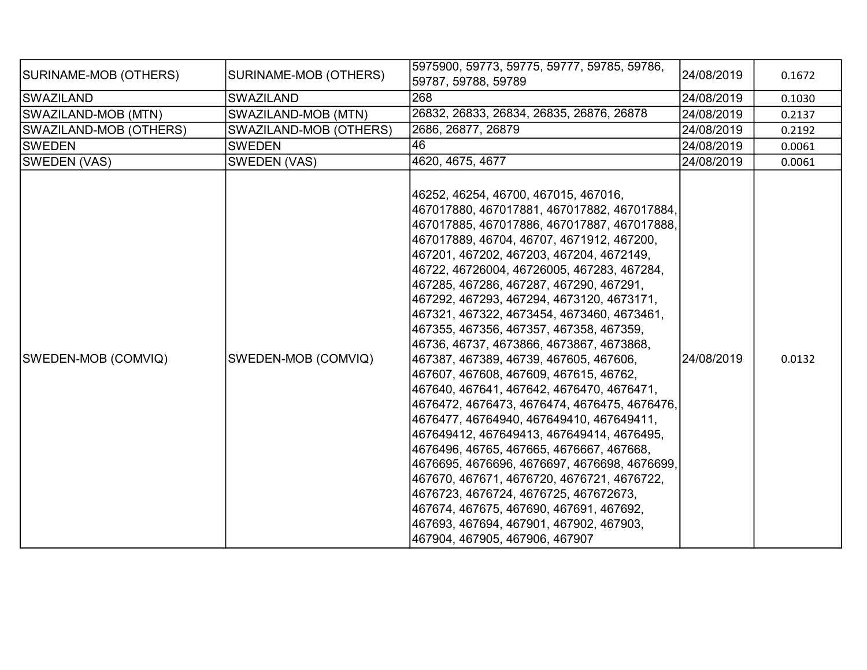| SURINAME-MOB (OTHERS)  | SURINAME-MOB (OTHERS)  | 5975900, 59773, 59775, 59777, 59785, 59786,<br>59787, 59788, 59789                                                                                                                                                                                                                                                                                                                                                                                                                                                                                                                                                                                                                                                                                                                                                                                                                                                                                                                                                                                                                          | 24/08/2019 | 0.1672 |
|------------------------|------------------------|---------------------------------------------------------------------------------------------------------------------------------------------------------------------------------------------------------------------------------------------------------------------------------------------------------------------------------------------------------------------------------------------------------------------------------------------------------------------------------------------------------------------------------------------------------------------------------------------------------------------------------------------------------------------------------------------------------------------------------------------------------------------------------------------------------------------------------------------------------------------------------------------------------------------------------------------------------------------------------------------------------------------------------------------------------------------------------------------|------------|--------|
| SWAZILAND              | <b>SWAZILAND</b>       | 268                                                                                                                                                                                                                                                                                                                                                                                                                                                                                                                                                                                                                                                                                                                                                                                                                                                                                                                                                                                                                                                                                         | 24/08/2019 | 0.1030 |
| SWAZILAND-MOB (MTN)    | SWAZILAND-MOB (MTN)    | 26832, 26833, 26834, 26835, 26876, 26878                                                                                                                                                                                                                                                                                                                                                                                                                                                                                                                                                                                                                                                                                                                                                                                                                                                                                                                                                                                                                                                    | 24/08/2019 | 0.2137 |
| SWAZILAND-MOB (OTHERS) | SWAZILAND-MOB (OTHERS) | 2686, 26877, 26879                                                                                                                                                                                                                                                                                                                                                                                                                                                                                                                                                                                                                                                                                                                                                                                                                                                                                                                                                                                                                                                                          | 24/08/2019 | 0.2192 |
| <b>SWEDEN</b>          | <b>SWEDEN</b>          | 46                                                                                                                                                                                                                                                                                                                                                                                                                                                                                                                                                                                                                                                                                                                                                                                                                                                                                                                                                                                                                                                                                          | 24/08/2019 | 0.0061 |
| SWEDEN (VAS)           | <b>SWEDEN (VAS)</b>    | 4620, 4675, 4677                                                                                                                                                                                                                                                                                                                                                                                                                                                                                                                                                                                                                                                                                                                                                                                                                                                                                                                                                                                                                                                                            | 24/08/2019 | 0.0061 |
| SWEDEN-MOB (COMVIQ)    | SWEDEN-MOB (COMVIQ)    | 46252, 46254, 46700, 467015, 467016,<br>467017880, 467017881, 467017882, 467017884,<br>467017885, 467017886, 467017887, 467017888,<br>467017889, 46704, 46707, 4671912, 467200,<br>467201, 467202, 467203, 467204, 4672149,<br>46722, 46726004, 46726005, 467283, 467284,<br>467285, 467286, 467287, 467290, 467291,<br>467292, 467293, 467294, 4673120, 4673171,<br>467321, 467322, 4673454, 4673460, 4673461,<br>467355, 467356, 467357, 467358, 467359,<br>46736, 46737, 4673866, 4673867, 4673868,<br>467387, 467389, 46739, 467605, 467606,<br>467607, 467608, 467609, 467615, 46762,<br>467640, 467641, 467642, 4676470, 4676471,<br>4676472, 4676473, 4676474, 4676475, 4676476,<br>4676477, 46764940, 467649410, 467649411,<br>467649412, 467649413, 467649414, 4676495,<br>4676496, 46765, 467665, 4676667, 467668,<br>4676695, 4676696, 4676697, 4676698, 4676699,<br>467670, 467671, 4676720, 4676721, 4676722,<br>4676723, 4676724, 4676725, 467672673,<br>467674, 467675, 467690, 467691, 467692,<br>467693, 467694, 467901, 467902, 467903,<br>467904, 467905, 467906, 467907 | 24/08/2019 | 0.0132 |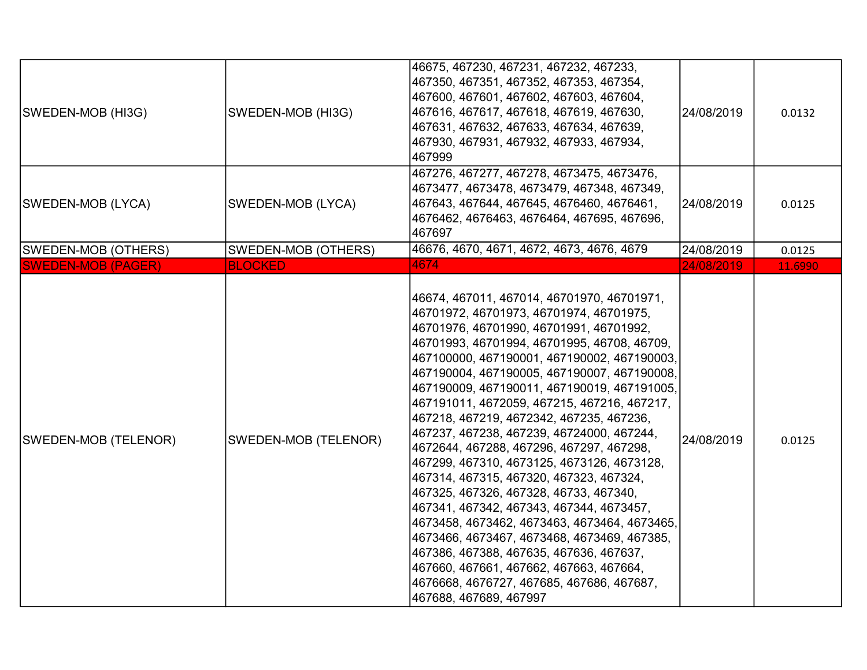| SWEDEN-MOB (HI3G)         | SWEDEN-MOB (HI3G)    | 46675, 467230, 467231, 467232, 467233,<br>467350, 467351, 467352, 467353, 467354,<br>467600, 467601, 467602, 467603, 467604,<br>467616, 467617, 467618, 467619, 467630,<br>467631, 467632, 467633, 467634, 467639,<br>467930, 467931, 467932, 467933, 467934,<br>467999                                                                                                                                                                                                                                                                                                                                                                                                                                                                                                                                                                                                                                                                                     | 24/08/2019 | 0.0132  |
|---------------------------|----------------------|-------------------------------------------------------------------------------------------------------------------------------------------------------------------------------------------------------------------------------------------------------------------------------------------------------------------------------------------------------------------------------------------------------------------------------------------------------------------------------------------------------------------------------------------------------------------------------------------------------------------------------------------------------------------------------------------------------------------------------------------------------------------------------------------------------------------------------------------------------------------------------------------------------------------------------------------------------------|------------|---------|
| SWEDEN-MOB (LYCA)         | SWEDEN-MOB (LYCA)    | 467276, 467277, 467278, 4673475, 4673476,<br>4673477, 4673478, 4673479, 467348, 467349,<br>467643, 467644, 467645, 4676460, 4676461,<br>4676462, 4676463, 4676464, 467695, 467696,<br>467697                                                                                                                                                                                                                                                                                                                                                                                                                                                                                                                                                                                                                                                                                                                                                                | 24/08/2019 | 0.0125  |
| SWEDEN-MOB (OTHERS)       | SWEDEN-MOB (OTHERS)  | 46676, 4670, 4671, 4672, 4673, 4676, 4679                                                                                                                                                                                                                                                                                                                                                                                                                                                                                                                                                                                                                                                                                                                                                                                                                                                                                                                   | 24/08/2019 | 0.0125  |
| <b>SWEDEN-MOB (PAGER)</b> | <b>BLOCKED</b>       | 4674                                                                                                                                                                                                                                                                                                                                                                                                                                                                                                                                                                                                                                                                                                                                                                                                                                                                                                                                                        | 24/08/2019 | 11.6990 |
| SWEDEN-MOB (TELENOR)      | SWEDEN-MOB (TELENOR) | 46674, 467011, 467014, 46701970, 46701971,<br>46701972, 46701973, 46701974, 46701975,<br>46701976, 46701990, 46701991, 46701992,<br>46701993, 46701994, 46701995, 46708, 46709,<br>467100000, 467190001, 467190002, 467190003,<br>467190004, 467190005, 467190007, 467190008,<br>467190009, 467190011, 467190019, 467191005,<br>467191011, 4672059, 467215, 467216, 467217,<br>467218, 467219, 4672342, 467235, 467236,<br>467237, 467238, 467239, 46724000, 467244,<br>4672644, 467288, 467296, 467297, 467298,<br>467299, 467310, 4673125, 4673126, 4673128,<br>467314, 467315, 467320, 467323, 467324,<br>467325, 467326, 467328, 46733, 467340,<br>467341, 467342, 467343, 467344, 4673457,<br>4673458, 4673462, 4673463, 4673464, 4673465,<br>4673466, 4673467, 4673468, 4673469, 467385,<br>467386, 467388, 467635, 467636, 467637,<br>467660, 467661, 467662, 467663, 467664,<br>4676668, 4676727, 467685, 467686, 467687,<br>467688, 467689, 467997 | 24/08/2019 | 0.0125  |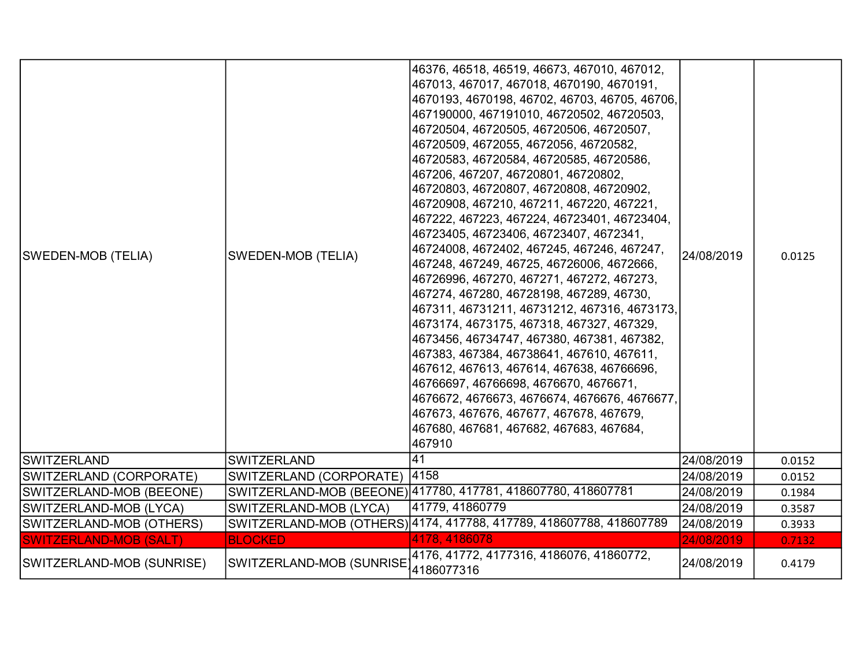| SWEDEN-MOB (TELIA)            | <b>SWEDEN-MOB (TELIA)</b> | 46376, 46518, 46519, 46673, 467010, 467012,<br>467013, 467017, 467018, 4670190, 4670191,<br>4670193, 4670198, 46702, 46703, 46705, 46706,<br>467190000, 467191010, 46720502, 46720503,<br>46720504, 46720505, 46720506, 46720507,<br>46720509, 4672055, 4672056, 46720582,<br>46720583, 46720584, 46720585, 46720586,<br>467206, 467207, 46720801, 46720802,<br>46720803, 46720807, 46720808, 46720902,<br>46720908, 467210, 467211, 467220, 467221,<br>467222, 467223, 467224, 46723401, 46723404,<br>46723405, 46723406, 46723407, 4672341,<br>46724008, 4672402, 467245, 467246, 467247,<br>467248, 467249, 46725, 46726006, 4672666,<br>46726996, 467270, 467271, 467272, 467273,<br>467274, 467280, 46728198, 467289, 46730,<br>467311, 46731211, 46731212, 467316, 4673173,<br>4673174, 4673175, 467318, 467327, 467329,<br>4673456, 46734747, 467380, 467381, 467382,<br>467383, 467384, 46738641, 467610, 467611,<br>467612, 467613, 467614, 467638, 46766696,<br>46766697, 46766698, 4676670, 4676671,<br>4676672, 4676673, 4676674, 4676676, 4676677,<br>467673, 467676, 467677, 467678, 467679,<br>467680, 467681, 467682, 467683, 467684,<br>467910 | 24/08/2019 | 0.0125 |
|-------------------------------|---------------------------|-----------------------------------------------------------------------------------------------------------------------------------------------------------------------------------------------------------------------------------------------------------------------------------------------------------------------------------------------------------------------------------------------------------------------------------------------------------------------------------------------------------------------------------------------------------------------------------------------------------------------------------------------------------------------------------------------------------------------------------------------------------------------------------------------------------------------------------------------------------------------------------------------------------------------------------------------------------------------------------------------------------------------------------------------------------------------------------------------------------------------------------------------------------------|------------|--------|
| <b>SWITZERLAND</b>            | <b>SWITZERLAND</b>        | 41                                                                                                                                                                                                                                                                                                                                                                                                                                                                                                                                                                                                                                                                                                                                                                                                                                                                                                                                                                                                                                                                                                                                                              | 24/08/2019 | 0.0152 |
| SWITZERLAND (CORPORATE)       | SWITZERLAND (CORPORATE)   | 4158                                                                                                                                                                                                                                                                                                                                                                                                                                                                                                                                                                                                                                                                                                                                                                                                                                                                                                                                                                                                                                                                                                                                                            | 24/08/2019 | 0.0152 |
| SWITZERLAND-MOB (BEEONE)      |                           | SWITZERLAND-MOB (BEEONE) 417780, 417781, 418607780, 418607781                                                                                                                                                                                                                                                                                                                                                                                                                                                                                                                                                                                                                                                                                                                                                                                                                                                                                                                                                                                                                                                                                                   | 24/08/2019 | 0.1984 |
| SWITZERLAND-MOB (LYCA)        | SWITZERLAND-MOB (LYCA)    | 41779, 41860779                                                                                                                                                                                                                                                                                                                                                                                                                                                                                                                                                                                                                                                                                                                                                                                                                                                                                                                                                                                                                                                                                                                                                 | 24/08/2019 | 0.3587 |
| SWITZERLAND-MOB (OTHERS)      |                           | SWITZERLAND-MOB (OTHERS) 4174, 417788, 417789, 418607788, 418607789                                                                                                                                                                                                                                                                                                                                                                                                                                                                                                                                                                                                                                                                                                                                                                                                                                                                                                                                                                                                                                                                                             | 24/08/2019 | 0.3933 |
| <b>SWITZERLAND-MOB (SALT)</b> | <b>BLOCKED</b>            | 4178, 4186078                                                                                                                                                                                                                                                                                                                                                                                                                                                                                                                                                                                                                                                                                                                                                                                                                                                                                                                                                                                                                                                                                                                                                   | 24/08/2019 | 0.7132 |
| SWITZERLAND-MOB (SUNRISE)     | SWITZERLAND-MOB (SUNRISE  | 4176, 41772, 4177316, 4186076, 41860772,<br>4186077316                                                                                                                                                                                                                                                                                                                                                                                                                                                                                                                                                                                                                                                                                                                                                                                                                                                                                                                                                                                                                                                                                                          | 24/08/2019 | 0.4179 |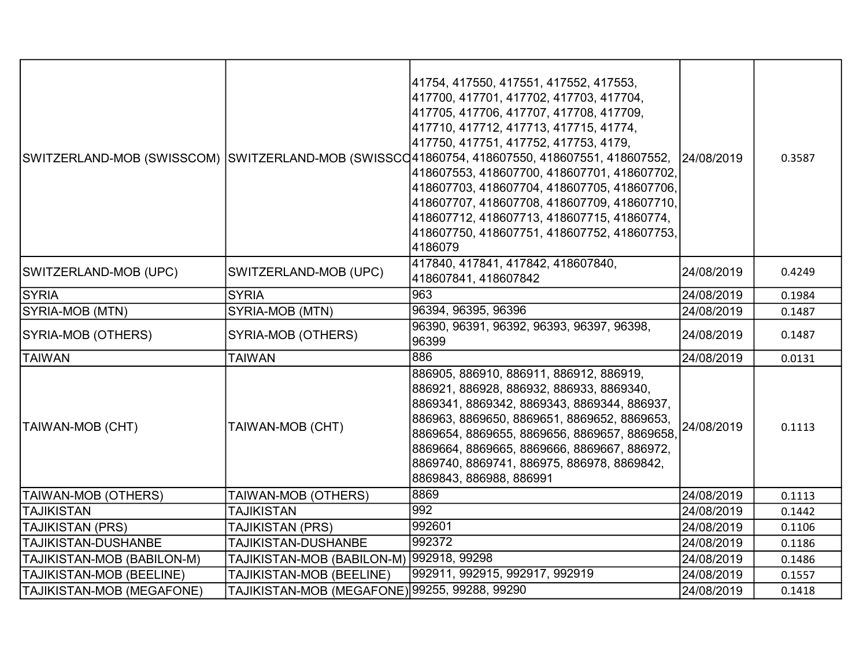|                            |                                               | 41754, 417550, 417551, 417552, 417553,<br>417700, 417701, 417702, 417703, 417704,<br> 417705, 417706, 417707, 417708, 417709,<br>417710, 417712, 417713, 417715, 41774,<br>417750, 417751, 417752, 417753, 4179,<br>SWITZERLAND-MOB (SWISSCOM) SWITZERLAND-MOB (SWISSCO41860754, 418607550, 418607551, 418607552,<br>418607553, 418607700, 418607701, 418607702,<br>418607703, 418607704, 418607705, 418607706,<br>418607707, 418607708, 418607709, 418607710,<br>418607712, 418607713, 418607715, 41860774,<br>418607750, 418607751, 418607752, 418607753,<br>4186079 | 24/08/2019 | 0.3587 |
|----------------------------|-----------------------------------------------|------------------------------------------------------------------------------------------------------------------------------------------------------------------------------------------------------------------------------------------------------------------------------------------------------------------------------------------------------------------------------------------------------------------------------------------------------------------------------------------------------------------------------------------------------------------------|------------|--------|
| SWITZERLAND-MOB (UPC)      | SWITZERLAND-MOB (UPC)                         | 417840, 417841, 417842, 418607840,<br>418607841, 418607842                                                                                                                                                                                                                                                                                                                                                                                                                                                                                                             | 24/08/2019 | 0.4249 |
| <b>SYRIA</b>               | <b>SYRIA</b>                                  | 963                                                                                                                                                                                                                                                                                                                                                                                                                                                                                                                                                                    | 24/08/2019 | 0.1984 |
| SYRIA-MOB (MTN)            | SYRIA-MOB (MTN)                               | 96394, 96395, 96396                                                                                                                                                                                                                                                                                                                                                                                                                                                                                                                                                    | 24/08/2019 | 0.1487 |
| SYRIA-MOB (OTHERS)         | SYRIA-MOB (OTHERS)                            | 96390, 96391, 96392, 96393, 96397, 96398,<br>96399                                                                                                                                                                                                                                                                                                                                                                                                                                                                                                                     | 24/08/2019 | 0.1487 |
| <b>TAIWAN</b>              | <b>TAIWAN</b>                                 | 886                                                                                                                                                                                                                                                                                                                                                                                                                                                                                                                                                                    | 24/08/2019 | 0.0131 |
| <b>TAIWAN-MOB (CHT)</b>    | TAIWAN-MOB (CHT)                              | 886905, 886910, 886911, 886912, 886919,<br>886921, 886928, 886932, 886933, 8869340,<br>8869341, 8869342, 8869343, 8869344, 886937,<br>886963, 8869650, 8869651, 8869652, 8869653,<br>8869654, 8869655, 8869656, 8869657, 8869658,<br>8869664, 8869665, 8869666, 8869667, 886972,<br>8869740, 8869741, 886975, 886978, 8869842,<br>8869843, 886988, 886991                                                                                                                                                                                                              | 24/08/2019 | 0.1113 |
| TAIWAN-MOB (OTHERS)        | TAIWAN-MOB (OTHERS)                           | 8869                                                                                                                                                                                                                                                                                                                                                                                                                                                                                                                                                                   | 24/08/2019 | 0.1113 |
| <b>TAJIKISTAN</b>          | <b>TAJIKISTAN</b>                             | 992                                                                                                                                                                                                                                                                                                                                                                                                                                                                                                                                                                    | 24/08/2019 | 0.1442 |
| TAJIKISTAN (PRS)           | TAJIKISTAN (PRS)                              | 992601                                                                                                                                                                                                                                                                                                                                                                                                                                                                                                                                                                 | 24/08/2019 | 0.1106 |
| <b>TAJIKISTAN-DUSHANBE</b> | TAJIKISTAN-DUSHANBE                           | 992372                                                                                                                                                                                                                                                                                                                                                                                                                                                                                                                                                                 | 24/08/2019 | 0.1186 |
| TAJIKISTAN-MOB (BABILON-M) | TAJIKISTAN-MOB (BABILON-M)  992918, 99298     |                                                                                                                                                                                                                                                                                                                                                                                                                                                                                                                                                                        | 24/08/2019 | 0.1486 |
| TAJIKISTAN-MOB (BEELINE)   | <b>TAJIKISTAN-MOB (BEELINE)</b>               | 992911, 992915, 992917, 992919                                                                                                                                                                                                                                                                                                                                                                                                                                                                                                                                         | 24/08/2019 | 0.1557 |
| TAJIKISTAN-MOB (MEGAFONE)  | TAJIKISTAN-MOB (MEGAFONE) 99255, 99288, 99290 |                                                                                                                                                                                                                                                                                                                                                                                                                                                                                                                                                                        | 24/08/2019 | 0.1418 |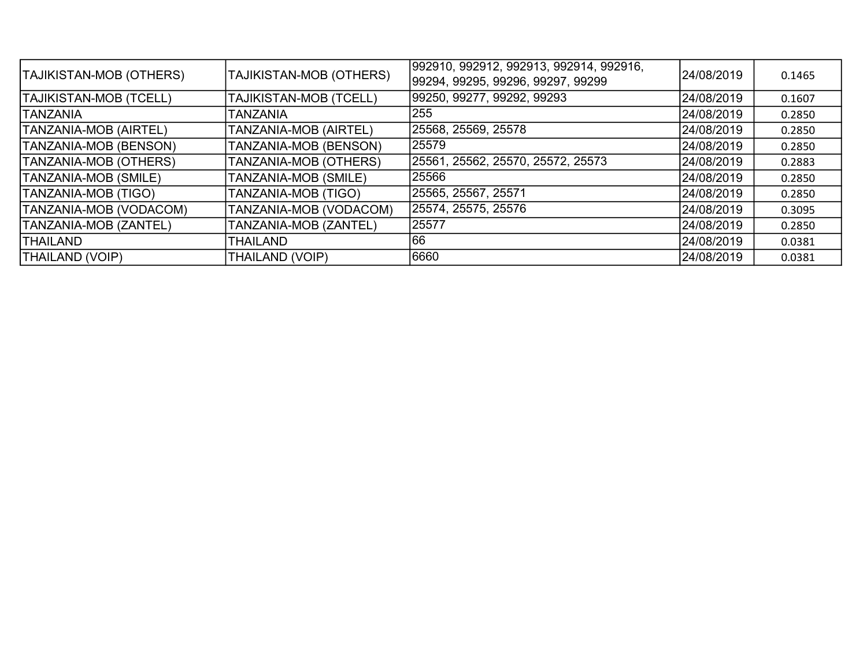| <b>TAJIKISTAN-MOB (OTHERS)</b> | TAJIKISTAN-MOB (OTHERS) | 992910, 992912, 992913, 992914, 992916,<br>99294, 99295, 99296, 99297, 99299 | 24/08/2019 | 0.1465 |
|--------------------------------|-------------------------|------------------------------------------------------------------------------|------------|--------|
| <b>TAJIKISTAN-MOB (TCELL)</b>  | TAJIKISTAN-MOB (TCELL)  | 99250, 99277, 99292, 99293                                                   | 24/08/2019 | 0.1607 |
| <b>TANZANIA</b>                | TANZANIA                | 255                                                                          | 24/08/2019 | 0.2850 |
| <b>TANZANIA-MOB (AIRTEL)</b>   | TANZANIA-MOB (AIRTEL)   | 25568, 25569, 25578                                                          | 24/08/2019 | 0.2850 |
| TANZANIA-MOB (BENSON)          | TANZANIA-MOB (BENSON)   | 25579                                                                        | 24/08/2019 | 0.2850 |
| TANZANIA-MOB (OTHERS)          | TANZANIA-MOB (OTHERS)   | 25561, 25562, 25570, 25572, 25573                                            | 24/08/2019 | 0.2883 |
| TANZANIA-MOB (SMILE)           | TANZANIA-MOB (SMILE)    | 25566                                                                        | 24/08/2019 | 0.2850 |
| <b>TANZANIA-MOB (TIGO)</b>     | TANZANIA-MOB (TIGO)     | 25565, 25567, 25571                                                          | 24/08/2019 | 0.2850 |
| TANZANIA-MOB (VODACOM)         | TANZANIA-MOB (VODACOM)  | 25574, 25575, 25576                                                          | 24/08/2019 | 0.3095 |
| TANZANIA-MOB (ZANTEL)          | TANZANIA-MOB (ZANTEL)   | 25577                                                                        | 24/08/2019 | 0.2850 |
| <b>THAILAND</b>                | <b>THAILAND</b>         | 166                                                                          | 24/08/2019 | 0.0381 |
| <b>THAILAND (VOIP)</b>         | THAILAND (VOIP)         | 6660                                                                         | 24/08/2019 | 0.0381 |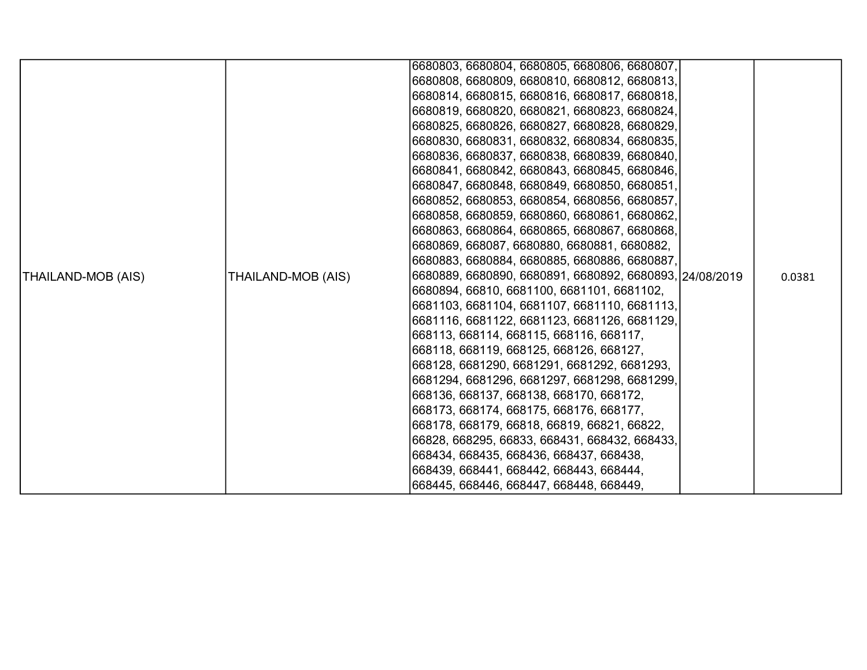|                    |                    | 6680803, 6680804, 6680805, 6680806, 6680807,<br>6680808, 6680809, 6680810, 6680812, 6680813, |        |
|--------------------|--------------------|----------------------------------------------------------------------------------------------|--------|
|                    |                    | 6680814, 6680815, 6680816, 6680817, 6680818,                                                 |        |
|                    |                    | 6680819, 6680820, 6680821, 6680823, 6680824,                                                 |        |
|                    |                    | 6680825, 6680826, 6680827, 6680828, 6680829,                                                 |        |
|                    |                    | 6680830, 6680831, 6680832, 6680834, 6680835,                                                 |        |
|                    |                    | 6680836, 6680837, 6680838, 6680839, 6680840,                                                 |        |
|                    |                    | 6680841, 6680842, 6680843, 6680845, 6680846,                                                 |        |
|                    |                    | 6680847, 6680848, 6680849, 6680850, 6680851,                                                 |        |
|                    |                    | 6680852, 6680853, 6680854, 6680856, 6680857,                                                 |        |
|                    |                    | 6680858, 6680859, 6680860, 6680861, 6680862,                                                 |        |
|                    |                    | 6680863, 6680864, 6680865, 6680867, 6680868,                                                 |        |
|                    |                    | 6680869, 668087, 6680880, 6680881, 6680882,                                                  |        |
|                    |                    | 6680883, 6680884, 6680885, 6680886, 6680887,                                                 |        |
| THAILAND-MOB (AIS) | THAILAND-MOB (AIS) | 6680889, 6680890, 6680891, 6680892, 6680893, 24/08/2019                                      | 0.0381 |
|                    |                    | 6680894, 66810, 6681100, 6681101, 6681102,                                                   |        |
|                    |                    | 6681103, 6681104, 6681107, 6681110, 6681113,                                                 |        |
|                    |                    | 6681116, 6681122, 6681123, 6681126, 6681129,                                                 |        |
|                    |                    | 668113, 668114, 668115, 668116, 668117,                                                      |        |
|                    |                    | 668118, 668119, 668125, 668126, 668127,                                                      |        |
|                    |                    | 668128, 6681290, 6681291, 6681292, 6681293,                                                  |        |
|                    |                    | 6681294, 6681296, 6681297, 6681298, 6681299,                                                 |        |
|                    |                    | 668136, 668137, 668138, 668170, 668172,                                                      |        |
|                    |                    | 668173, 668174, 668175, 668176, 668177,                                                      |        |
|                    |                    | 668178, 668179, 66818, 66819, 66821, 66822,                                                  |        |
|                    |                    | 66828, 668295, 66833, 668431, 668432, 668433,                                                |        |
|                    |                    | 668434, 668435, 668436, 668437, 668438,                                                      |        |
|                    |                    | 668439, 668441, 668442, 668443, 668444,                                                      |        |
|                    |                    | 668445, 668446, 668447, 668448, 668449,                                                      |        |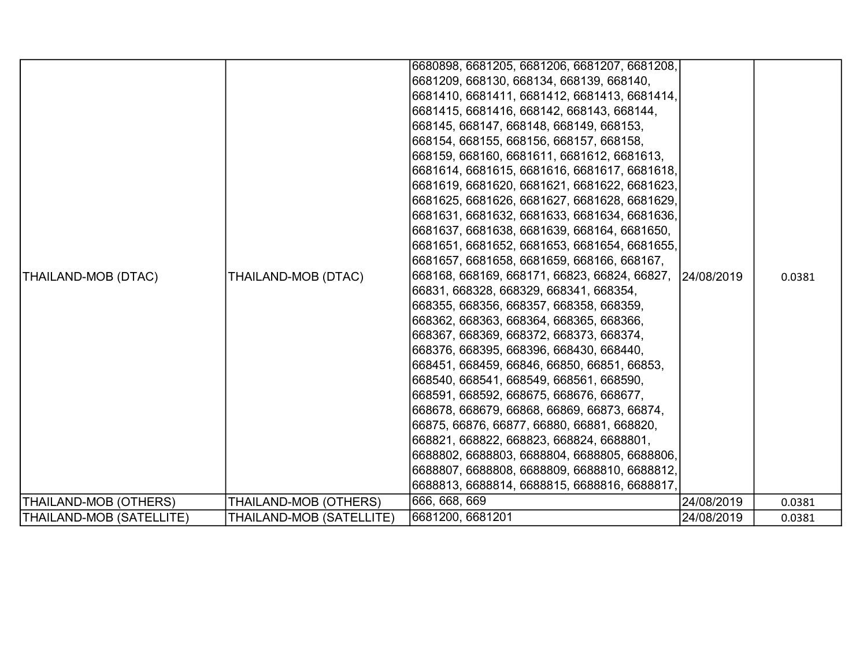| THAILAND-MOB (DTAC)<br><b>THAILAND-MOB (OTHERS)</b> | THAILAND-MOB (DTAC)<br>THAILAND-MOB (OTHERS) | 6680898, 6681205, 6681206, 6681207, 6681208,<br>6681209, 668130, 668134, 668139, 668140,<br>6681410, 6681411, 6681412, 6681413, 6681414,<br>6681415, 6681416, 668142, 668143, 668144,<br>668145, 668147, 668148, 668149, 668153,<br>668154, 668155, 668156, 668157, 668158,<br>668159, 668160, 6681611, 6681612, 6681613,<br>6681614, 6681615, 6681616, 6681617, 6681618,<br>6681619, 6681620, 6681621, 6681622, 6681623,<br>6681625, 6681626, 6681627, 6681628, 6681629,<br>6681631, 6681632, 6681633, 6681634, 6681636,<br>6681637, 6681638, 6681639, 668164, 6681650,<br>6681651, 6681652, 6681653, 6681654, 6681655,<br>6681657, 6681658, 6681659, 668166, 668167,<br>668168, 668169, 668171, 66823, 66824, 66827, 24/08/2019<br>66831, 668328, 668329, 668341, 668354,<br>668355, 668356, 668357, 668358, 668359,<br>668362, 668363, 668364, 668365, 668366,<br>668367, 668369, 668372, 668373, 668374,<br>668376, 668395, 668396, 668430, 668440,<br>668451, 668459, 66846, 66850, 66851, 66853,<br>668540, 668541, 668549, 668561, 668590,<br>668591, 668592, 668675, 668676, 668677,<br>668678, 668679, 66868, 66869, 66873, 66874,<br>66875, 66876, 66877, 66880, 66881, 668820,<br>668821, 668822, 668823, 668824, 6688801,<br>6688802, 6688803, 6688804, 6688805, 6688806,<br>6688807, 6688808, 6688809, 6688810, 6688812,<br>6688813, 6688814, 6688815, 6688816, 6688817,<br>666, 668, 669 | 24/08/2019 | 0.0381<br>0.0381 |
|-----------------------------------------------------|----------------------------------------------|--------------------------------------------------------------------------------------------------------------------------------------------------------------------------------------------------------------------------------------------------------------------------------------------------------------------------------------------------------------------------------------------------------------------------------------------------------------------------------------------------------------------------------------------------------------------------------------------------------------------------------------------------------------------------------------------------------------------------------------------------------------------------------------------------------------------------------------------------------------------------------------------------------------------------------------------------------------------------------------------------------------------------------------------------------------------------------------------------------------------------------------------------------------------------------------------------------------------------------------------------------------------------------------------------------------------------------------------------------------------------------------------------------|------------|------------------|
| THAILAND-MOB (SATELLITE)                            | THAILAND-MOB (SATELLITE)                     | 6681200, 6681201                                                                                                                                                                                                                                                                                                                                                                                                                                                                                                                                                                                                                                                                                                                                                                                                                                                                                                                                                                                                                                                                                                                                                                                                                                                                                                                                                                                       | 24/08/2019 | 0.0381           |
|                                                     |                                              |                                                                                                                                                                                                                                                                                                                                                                                                                                                                                                                                                                                                                                                                                                                                                                                                                                                                                                                                                                                                                                                                                                                                                                                                                                                                                                                                                                                                        |            |                  |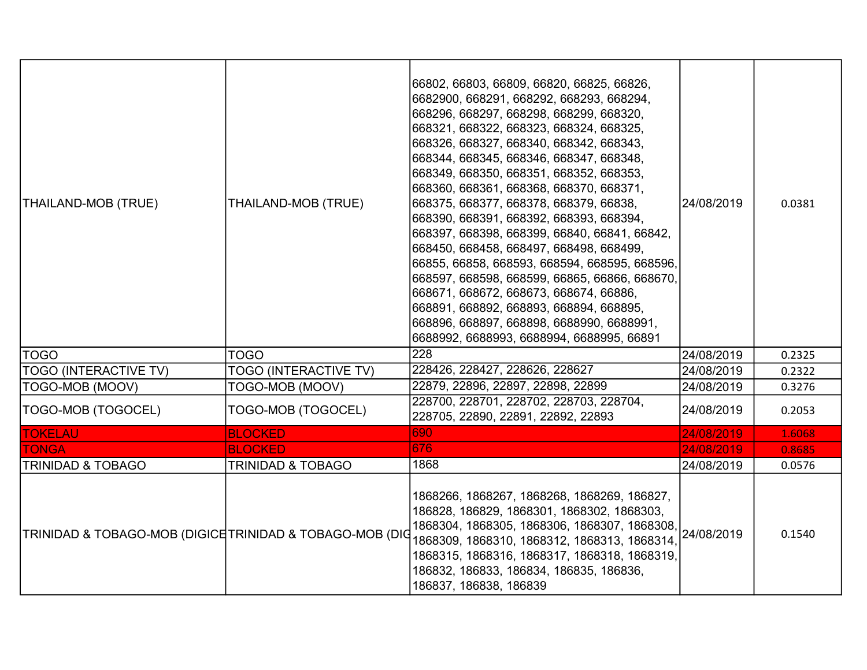| THAILAND-MOB (TRUE)                                      | THAILAND-MOB (TRUE)          | 66802, 66803, 66809, 66820, 66825, 66826,<br>6682900, 668291, 668292, 668293, 668294,<br>668296, 668297, 668298, 668299, 668320,<br>668321, 668322, 668323, 668324, 668325,<br>668326, 668327, 668340, 668342, 668343,<br>668344, 668345, 668346, 668347, 668348,<br>668349, 668350, 668351, 668352, 668353,<br>668360, 668361, 668368, 668370, 668371,<br>668375, 668377, 668378, 668379, 66838,<br>668390, 668391, 668392, 668393, 668394,<br>668397, 668398, 668399, 66840, 66841, 66842,<br>668450, 668458, 668497, 668498, 668499,<br>66855, 66858, 668593, 668594, 668595, 668596,<br>668597, 668598, 668599, 66865, 66866, 668670,<br>668671, 668672, 668673, 668674, 66886,<br>668891, 668892, 668893, 668894, 668895,<br>668896, 668897, 668898, 6688990, 6688991,<br>6688992, 6688993, 6688994, 6688995, 66891 | 24/08/2019 | 0.0381 |
|----------------------------------------------------------|------------------------------|--------------------------------------------------------------------------------------------------------------------------------------------------------------------------------------------------------------------------------------------------------------------------------------------------------------------------------------------------------------------------------------------------------------------------------------------------------------------------------------------------------------------------------------------------------------------------------------------------------------------------------------------------------------------------------------------------------------------------------------------------------------------------------------------------------------------------|------------|--------|
| <b>TOGO</b>                                              | <b>TOGO</b>                  | 228                                                                                                                                                                                                                                                                                                                                                                                                                                                                                                                                                                                                                                                                                                                                                                                                                      | 24/08/2019 | 0.2325 |
| <b>TOGO (INTERACTIVE TV)</b>                             | TOGO (INTERACTIVE TV)        | 228426, 228427, 228626, 228627                                                                                                                                                                                                                                                                                                                                                                                                                                                                                                                                                                                                                                                                                                                                                                                           | 24/08/2019 | 0.2322 |
| TOGO-MOB (MOOV)                                          | TOGO-MOB (MOOV)              | 22879, 22896, 22897, 22898, 22899                                                                                                                                                                                                                                                                                                                                                                                                                                                                                                                                                                                                                                                                                                                                                                                        | 24/08/2019 | 0.3276 |
| TOGO-MOB (TOGOCEL)                                       | TOGO-MOB (TOGOCEL)           | 228700, 228701, 228702, 228703, 228704,<br>228705, 22890, 22891, 22892, 22893                                                                                                                                                                                                                                                                                                                                                                                                                                                                                                                                                                                                                                                                                                                                            | 24/08/2019 | 0.2053 |
| <b>TOKELAU</b>                                           | <b>BLOCKED</b>               | 690                                                                                                                                                                                                                                                                                                                                                                                                                                                                                                                                                                                                                                                                                                                                                                                                                      | 24/08/2019 | 1.6068 |
| <b>TONGA</b>                                             | <b>BLOCKED</b>               | 676                                                                                                                                                                                                                                                                                                                                                                                                                                                                                                                                                                                                                                                                                                                                                                                                                      | 24/08/2019 | 0.8685 |
| <b>TRINIDAD &amp; TOBAGO</b>                             | <b>TRINIDAD &amp; TOBAGO</b> | 1868                                                                                                                                                                                                                                                                                                                                                                                                                                                                                                                                                                                                                                                                                                                                                                                                                     | 24/08/2019 | 0.0576 |
| TRINIDAD & TOBAGO-MOB (DIGICE TRINIDAD & TOBAGO-MOB (DIO |                              | 1868266, 1868267, 1868268, 1868269, 186827,<br>186828, 186829, 1868301, 1868302, 1868303,<br>1868304, 1868305, 1868306, 1868307, 1868308,<br>1868309, 1868310, 1868312, 1868313, 1868314,<br>1868315, 1868316, 1868317, 1868318, 1868319,<br>186832, 186833, 186834, 186835, 186836,<br>186837, 186838, 186839                                                                                                                                                                                                                                                                                                                                                                                                                                                                                                           | 24/08/2019 | 0.1540 |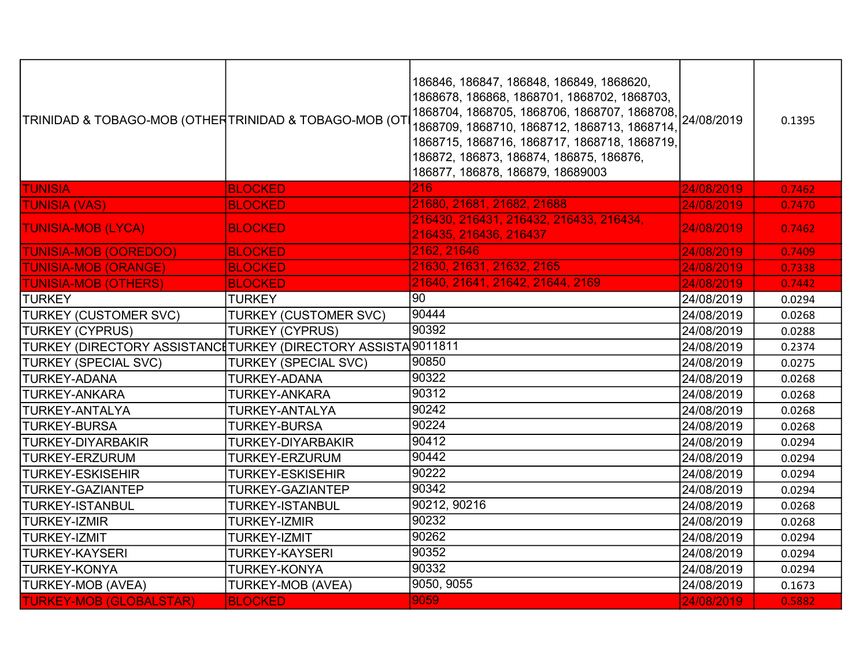| TRINIDAD & TOBAGO-MOB (OTHERTRINIDAD & TOBAGO-MOB (OT                       |                              | 186846, 186847, 186848, 186849, 1868620,<br>1868678, 186868, 1868701, 1868702, 1868703,<br>1868704, 1868705, 1868706, 1868707, 1868708, 24/08/2019<br>1868709, 1868710, 1868712, 1868713, 1868714,<br>1868715, 1868716, 1868717, 1868718, 1868719,<br>186872, 186873, 186874, 186875, 186876,<br>186877, 186878, 186879, 18689003 |            | 0.1395 |
|-----------------------------------------------------------------------------|------------------------------|-----------------------------------------------------------------------------------------------------------------------------------------------------------------------------------------------------------------------------------------------------------------------------------------------------------------------------------|------------|--------|
| <b>TUNISIA</b>                                                              | <b>BLOCKED</b>               | 216                                                                                                                                                                                                                                                                                                                               | 24/08/2019 | 0.7462 |
| <b>TUNISIA (VAS)</b>                                                        | <b>BLOCKED</b>               | 21680, 21681, 21682, 21688                                                                                                                                                                                                                                                                                                        | 24/08/2019 | 0.7470 |
| <b>TUNISIA-MOB (LYCA)</b>                                                   | <b>BLOCKED</b>               | 216430, 216431, 216432, 216433, 216434,<br>216435, 216436, 216437                                                                                                                                                                                                                                                                 | 24/08/2019 | 0.7462 |
| <b>TUNISIA-MOB (OOREDOO)</b>                                                | <b>BLOCKED</b>               | 2162, 21646                                                                                                                                                                                                                                                                                                                       | 24/08/2019 | 0.7409 |
| <b>TUNISIA-MOB (ORANGE)</b>                                                 | <b>BLOCKED</b>               | 21630, 21631, 21632, 2165                                                                                                                                                                                                                                                                                                         | 24/08/2019 | 0.7338 |
| <b>TUNISIA-MOB (OTHERS)</b>                                                 | <b>BLOCKED</b>               | 21640, 21641, 21642, 21644, 2169                                                                                                                                                                                                                                                                                                  | 24/08/2019 | 0.7442 |
| <b>TURKEY</b>                                                               | <b>TURKEY</b>                | 90                                                                                                                                                                                                                                                                                                                                | 24/08/2019 | 0.0294 |
| <b>TURKEY (CUSTOMER SVC)</b>                                                | <b>TURKEY (CUSTOMER SVC)</b> | 90444                                                                                                                                                                                                                                                                                                                             | 24/08/2019 | 0.0268 |
| <b>TURKEY (CYPRUS)</b>                                                      | <b>TURKEY (CYPRUS)</b>       | 90392                                                                                                                                                                                                                                                                                                                             | 24/08/2019 | 0.0288 |
| TURKEY (DIRECTORY ASSISTANC‡TURKEY (DIRECTORY ASSISTA <sup>[</sup> 9011811] |                              |                                                                                                                                                                                                                                                                                                                                   | 24/08/2019 | 0.2374 |
| <b>TURKEY (SPECIAL SVC)</b>                                                 | <b>TURKEY (SPECIAL SVC)</b>  | 90850                                                                                                                                                                                                                                                                                                                             | 24/08/2019 | 0.0275 |
| <b>TURKEY-ADANA</b>                                                         | <b>TURKEY-ADANA</b>          | 90322                                                                                                                                                                                                                                                                                                                             | 24/08/2019 | 0.0268 |
| <b>TURKEY-ANKARA</b>                                                        | <b>TURKEY-ANKARA</b>         | 90312                                                                                                                                                                                                                                                                                                                             | 24/08/2019 | 0.0268 |
| <b>TURKEY-ANTALYA</b>                                                       | TURKEY-ANTALYA               | 90242                                                                                                                                                                                                                                                                                                                             | 24/08/2019 | 0.0268 |
| <b>TURKEY-BURSA</b>                                                         | <b>TURKEY-BURSA</b>          | 90224                                                                                                                                                                                                                                                                                                                             | 24/08/2019 | 0.0268 |
| <b>TURKEY-DIYARBAKIR</b>                                                    | <b>TURKEY-DIYARBAKIR</b>     | 90412                                                                                                                                                                                                                                                                                                                             | 24/08/2019 | 0.0294 |
| <b>TURKEY-ERZURUM</b>                                                       | <b>TURKEY-ERZURUM</b>        | 90442                                                                                                                                                                                                                                                                                                                             | 24/08/2019 | 0.0294 |
| <b>TURKEY-ESKISEHIR</b>                                                     | <b>TURKEY-ESKISEHIR</b>      | 90222                                                                                                                                                                                                                                                                                                                             | 24/08/2019 | 0.0294 |
| <b>TURKEY-GAZIANTEP</b>                                                     | <b>TURKEY-GAZIANTEP</b>      | 90342                                                                                                                                                                                                                                                                                                                             | 24/08/2019 | 0.0294 |
| <b>TURKEY-ISTANBUL</b>                                                      | <b>TURKEY-ISTANBUL</b>       | 90212, 90216                                                                                                                                                                                                                                                                                                                      | 24/08/2019 | 0.0268 |
| <b>TURKEY-IZMIR</b>                                                         | <b>TURKEY-IZMIR</b>          | 90232                                                                                                                                                                                                                                                                                                                             | 24/08/2019 | 0.0268 |
| <b>TURKEY-IZMIT</b>                                                         | <b>TURKEY-IZMIT</b>          | 90262                                                                                                                                                                                                                                                                                                                             | 24/08/2019 | 0.0294 |
| <b>TURKEY-KAYSERI</b>                                                       | <b>TURKEY-KAYSERI</b>        | 90352                                                                                                                                                                                                                                                                                                                             | 24/08/2019 | 0.0294 |
| <b>TURKEY-KONYA</b>                                                         | <b>TURKEY-KONYA</b>          | 90332                                                                                                                                                                                                                                                                                                                             | 24/08/2019 | 0.0294 |
| TURKEY-MOB (AVEA)                                                           | <b>TURKEY-MOB (AVEA)</b>     | 9050, 9055                                                                                                                                                                                                                                                                                                                        | 24/08/2019 | 0.1673 |
| <b>TURKEY-MOB (GLOBALSTAR)</b>                                              | <b>BLOCKED</b>               | 9059                                                                                                                                                                                                                                                                                                                              | 24/08/2019 | 0.5882 |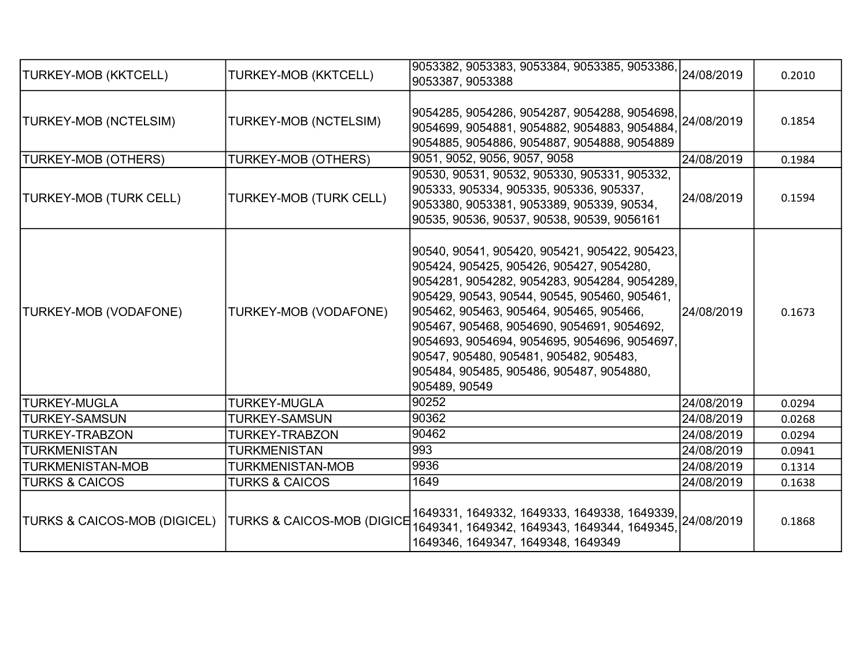| TURKEY-MOB (KKTCELL)         | <b>TURKEY-MOB (KKTCELL)</b>           | 9053382, 9053383, 9053384, 9053385, 9053386,<br>9053387, 9053388                                                                                                                                                                                                                                                                                                                                                                          | 24/08/2019 | 0.2010 |
|------------------------------|---------------------------------------|-------------------------------------------------------------------------------------------------------------------------------------------------------------------------------------------------------------------------------------------------------------------------------------------------------------------------------------------------------------------------------------------------------------------------------------------|------------|--------|
| TURKEY-MOB (NCTELSIM)        | TURKEY-MOB (NCTELSIM)                 | 9054285, 9054286, 9054287, 9054288, 9054698,<br>9054699, 9054881, 9054882, 9054883, 9054884,<br>9054885, 9054886, 9054887, 9054888, 9054889                                                                                                                                                                                                                                                                                               | 24/08/2019 | 0.1854 |
| <b>TURKEY-MOB (OTHERS)</b>   | <b>TURKEY-MOB (OTHERS)</b>            | 9051, 9052, 9056, 9057, 9058                                                                                                                                                                                                                                                                                                                                                                                                              | 24/08/2019 | 0.1984 |
| TURKEY-MOB (TURK CELL)       | TURKEY-MOB (TURK CELL)                | 90530, 90531, 90532, 905330, 905331, 905332,<br>905333, 905334, 905335, 905336, 905337,<br>9053380, 9053381, 9053389, 905339, 90534,<br>90535, 90536, 90537, 90538, 90539, 9056161                                                                                                                                                                                                                                                        | 24/08/2019 | 0.1594 |
| <b>TURKEY-MOB (VODAFONE)</b> | TURKEY-MOB (VODAFONE)                 | 90540, 90541, 905420, 905421, 905422, 905423,<br>905424, 905425, 905426, 905427, 9054280,<br>9054281, 9054282, 9054283, 9054284, 9054289,<br>905429, 90543, 90544, 90545, 905460, 905461,<br>905462, 905463, 905464, 905465, 905466,<br>905467, 905468, 9054690, 9054691, 9054692,<br>9054693, 9054694, 9054695, 9054696, 9054697,<br>90547, 905480, 905481, 905482, 905483,<br>905484, 905485, 905486, 905487, 9054880,<br>905489, 90549 | 24/08/2019 | 0.1673 |
| <b>TURKEY-MUGLA</b>          | <b>TURKEY-MUGLA</b>                   | 90252                                                                                                                                                                                                                                                                                                                                                                                                                                     | 24/08/2019 | 0.0294 |
| <b>TURKEY-SAMSUN</b>         | <b>TURKEY-SAMSUN</b>                  | 90362                                                                                                                                                                                                                                                                                                                                                                                                                                     | 24/08/2019 | 0.0268 |
| <b>TURKEY-TRABZON</b>        | <b>TURKEY-TRABZON</b>                 | 90462                                                                                                                                                                                                                                                                                                                                                                                                                                     | 24/08/2019 | 0.0294 |
| ITURKMENISTAN                | <b>TURKMENISTAN</b>                   | 993                                                                                                                                                                                                                                                                                                                                                                                                                                       | 24/08/2019 | 0.0941 |
| <b>TURKMENISTAN-MOB</b>      | <b>TURKMENISTAN-MOB</b>               | 9936                                                                                                                                                                                                                                                                                                                                                                                                                                      | 24/08/2019 | 0.1314 |
| <b>TURKS &amp; CAICOS</b>    | <b>TURKS &amp; CAICOS</b>             | 1649                                                                                                                                                                                                                                                                                                                                                                                                                                      | 24/08/2019 | 0.1638 |
| TURKS & CAICOS-MOB (DIGICEL) | <b>TURKS &amp; CAICOS-MOB (DIGICE</b> | $\vert$ 1649331, 1649332, 1649333, 1649338, 1649339, $\vert$ 24/08/2019<br>1649341, 1649342, 1649343, 1649344, 1649345,<br>1649346, 1649347, 1649348, 1649349                                                                                                                                                                                                                                                                             |            | 0.1868 |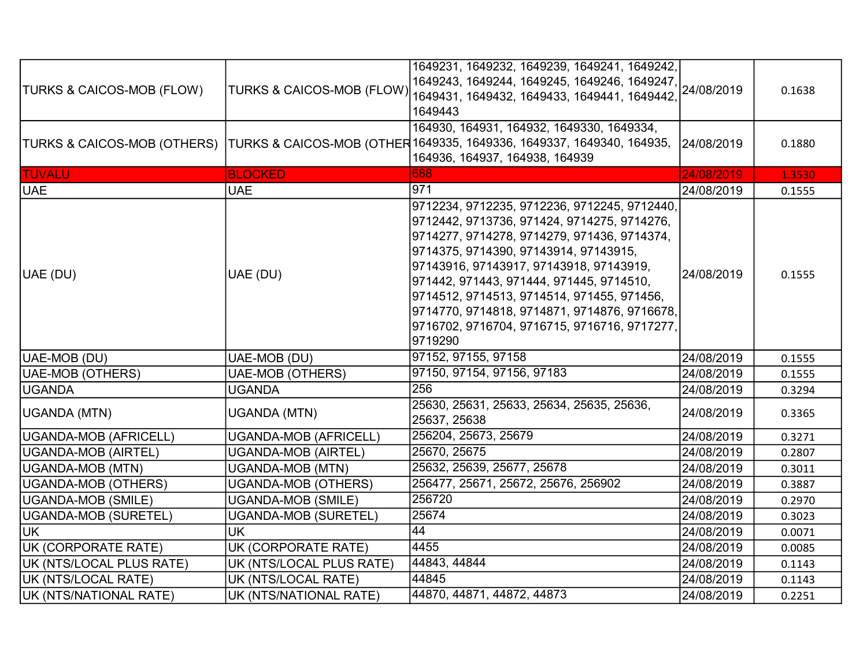| <b>TURKS &amp; CAICOS-MOB (FLOW)</b> | <b>TURKS &amp; CAICOS-MOB (FLOW)</b> | 1649231, 1649232, 1649239, 1649241, 1649242,<br>1649243, 1649244, 1649245, 1649246, 1649247,<br>1649431, 1649432, 1649433, 1649441, 1649442,<br>1649443                                                                                                                                                                                                                                                                             | 24/08/2019 | 0.1638 |
|--------------------------------------|--------------------------------------|-------------------------------------------------------------------------------------------------------------------------------------------------------------------------------------------------------------------------------------------------------------------------------------------------------------------------------------------------------------------------------------------------------------------------------------|------------|--------|
|                                      |                                      | 164930, 164931, 164932, 1649330, 1649334,<br>TURKS & CAICOS-MOB (OTHERS)  TURKS & CAICOS-MOB (OTHER 1649335, 1649336, 1649337, 1649340, 164935,<br>164936, 164937, 164938, 164939                                                                                                                                                                                                                                                   | 24/08/2019 | 0.1880 |
| <b>TUVALU</b>                        | <b>BLOCKED</b>                       | 688                                                                                                                                                                                                                                                                                                                                                                                                                                 | 24/08/2019 | 1.3530 |
| <b>UAE</b>                           | <b>UAE</b>                           | 971                                                                                                                                                                                                                                                                                                                                                                                                                                 | 24/08/2019 | 0.1555 |
| UAE (DU)                             | UAE (DU)                             | 9712234, 9712235, 9712236, 9712245, 9712440,<br>9712442, 9713736, 971424, 9714275, 9714276,<br>9714277, 9714278, 9714279, 971436, 9714374,<br>9714375, 9714390, 97143914, 97143915,<br>97143916, 97143917, 97143918, 97143919,<br>971442, 971443, 971444, 971445, 9714510,<br>9714512, 9714513, 9714514, 971455, 971456,<br>9714770, 9714818, 9714871, 9714876, 9716678,<br>9716702, 9716704, 9716715, 9716716, 9717277,<br>9719290 | 24/08/2019 | 0.1555 |
| UAE-MOB (DU)                         | UAE-MOB (DU)                         | 97152, 97155, 97158                                                                                                                                                                                                                                                                                                                                                                                                                 | 24/08/2019 | 0.1555 |
| UAE-MOB (OTHERS)                     | <b>UAE-MOB (OTHERS)</b>              | 97150, 97154, 97156, 97183                                                                                                                                                                                                                                                                                                                                                                                                          | 24/08/2019 | 0.1555 |
| <b>UGANDA</b>                        | <b>UGANDA</b>                        | 256                                                                                                                                                                                                                                                                                                                                                                                                                                 | 24/08/2019 | 0.3294 |
| UGANDA (MTN)                         | <b>UGANDA (MTN)</b>                  | 25630, 25631, 25633, 25634, 25635, 25636,<br>25637, 25638                                                                                                                                                                                                                                                                                                                                                                           | 24/08/2019 | 0.3365 |
| UGANDA-MOB (AFRICELL)                | <b>UGANDA-MOB (AFRICELL)</b>         | 256204, 25673, 25679                                                                                                                                                                                                                                                                                                                                                                                                                | 24/08/2019 | 0.3271 |
| UGANDA-MOB (AIRTEL)                  | <b>UGANDA-MOB (AIRTEL)</b>           | 25670, 25675                                                                                                                                                                                                                                                                                                                                                                                                                        | 24/08/2019 | 0.2807 |
| UGANDA-MOB (MTN)                     | <b>UGANDA-MOB (MTN)</b>              | 25632, 25639, 25677, 25678                                                                                                                                                                                                                                                                                                                                                                                                          | 24/08/2019 | 0.3011 |
| UGANDA-MOB (OTHERS)                  | <b>UGANDA-MOB (OTHERS)</b>           | 256477, 25671, 25672, 25676, 256902                                                                                                                                                                                                                                                                                                                                                                                                 | 24/08/2019 | 0.3887 |
| UGANDA-MOB (SMILE)                   | <b>UGANDA-MOB (SMILE)</b>            | 256720                                                                                                                                                                                                                                                                                                                                                                                                                              | 24/08/2019 | 0.2970 |
| UGANDA-MOB (SURETEL)                 | <b>UGANDA-MOB (SURETEL)</b>          | 25674                                                                                                                                                                                                                                                                                                                                                                                                                               | 24/08/2019 | 0.3023 |
| UK                                   | <b>UK</b>                            | 44                                                                                                                                                                                                                                                                                                                                                                                                                                  | 24/08/2019 | 0.0071 |
| UK (CORPORATE RATE)                  | UK (CORPORATE RATE)                  | 4455                                                                                                                                                                                                                                                                                                                                                                                                                                | 24/08/2019 | 0.0085 |
| UK (NTS/LOCAL PLUS RATE)             | UK (NTS/LOCAL PLUS RATE)             | 44843, 44844                                                                                                                                                                                                                                                                                                                                                                                                                        | 24/08/2019 | 0.1143 |
| UK (NTS/LOCAL RATE)                  | UK (NTS/LOCAL RATE)                  | 44845                                                                                                                                                                                                                                                                                                                                                                                                                               | 24/08/2019 | 0.1143 |
| UK (NTS/NATIONAL RATE)               | UK (NTS/NATIONAL RATE)               | 44870, 44871, 44872, 44873                                                                                                                                                                                                                                                                                                                                                                                                          | 24/08/2019 | 0.2251 |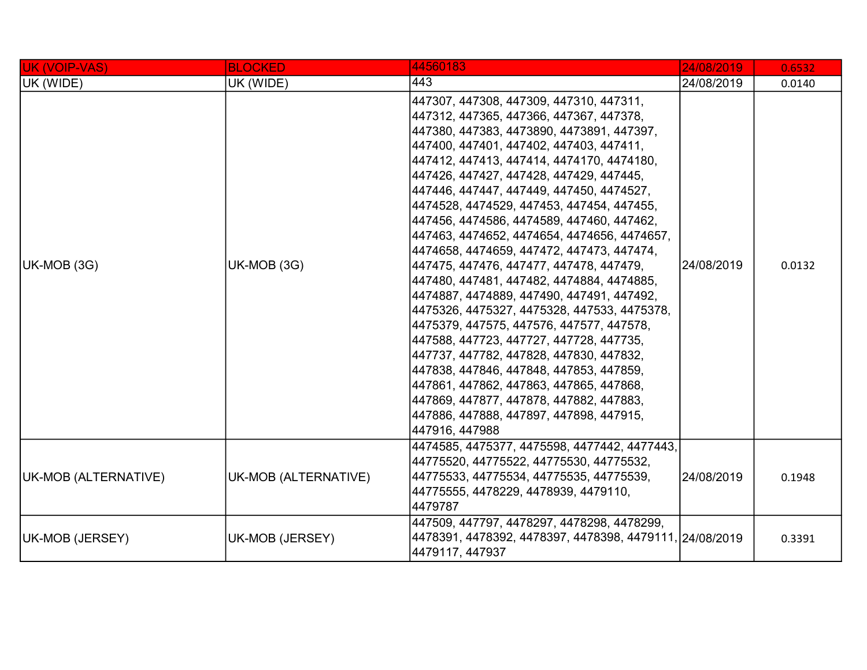| <b>UK (VOIP-VAS)</b> | <b>BLOCKED</b>       | 44560183                                                                                                                                                                                                                                                                                                                                                                                                                                                                                                                                                                                                                                                                                                                                                                                                                                                                                                                                                                                                                  | 24/08/2019 | 0.6532 |
|----------------------|----------------------|---------------------------------------------------------------------------------------------------------------------------------------------------------------------------------------------------------------------------------------------------------------------------------------------------------------------------------------------------------------------------------------------------------------------------------------------------------------------------------------------------------------------------------------------------------------------------------------------------------------------------------------------------------------------------------------------------------------------------------------------------------------------------------------------------------------------------------------------------------------------------------------------------------------------------------------------------------------------------------------------------------------------------|------------|--------|
| UK (WIDE)            | UK (WIDE)            | 443                                                                                                                                                                                                                                                                                                                                                                                                                                                                                                                                                                                                                                                                                                                                                                                                                                                                                                                                                                                                                       | 24/08/2019 | 0.0140 |
| UK-MOB (3G)          | UK-MOB (3G)          | 447307, 447308, 447309, 447310, 447311,<br>447312, 447365, 447366, 447367, 447378,<br>447380, 447383, 4473890, 4473891, 447397,<br>447400, 447401, 447402, 447403, 447411,<br>447412, 447413, 447414, 4474170, 4474180,<br>447426, 447427, 447428, 447429, 447445,<br>447446, 447447, 447449, 447450, 4474527,<br>4474528, 4474529, 447453, 447454, 447455,<br>447456, 4474586, 4474589, 447460, 447462,<br>447463, 4474652, 4474654, 4474656, 4474657,<br>4474658, 4474659, 447472, 447473, 447474,<br>447475, 447476, 447477, 447478, 447479,<br>447480, 447481, 447482, 4474884, 4474885,<br> 4474887, 4474889, 447490, 447491, 447492,<br>4475326, 4475327, 4475328, 447533, 4475378,<br>4475379, 447575, 447576, 447577, 447578,<br>447588, 447723, 447727, 447728, 447735,<br>447737, 447782, 447828, 447830, 447832,<br>447838, 447846, 447848, 447853, 447859,<br>447861, 447862, 447863, 447865, 447868,<br>447869, 447877, 447878, 447882, 447883,<br>447886, 447888, 447897, 447898, 447915,<br>447916, 447988 | 24/08/2019 | 0.0132 |
| UK-MOB (ALTERNATIVE) | UK-MOB (ALTERNATIVE) | 4474585, 4475377, 4475598, 4477442, 4477443,<br>44775520, 44775522, 44775530, 44775532,<br>44775533, 44775534, 44775535, 44775539,<br>44775555, 4478229, 4478939, 4479110,<br>4479787                                                                                                                                                                                                                                                                                                                                                                                                                                                                                                                                                                                                                                                                                                                                                                                                                                     | 24/08/2019 | 0.1948 |
| UK-MOB (JERSEY)      | UK-MOB (JERSEY)      | 447509, 447797, 4478297, 4478298, 4478299,<br>4478391, 4478392, 4478397, 4478398, 4479111, 24/08/2019<br>4479117, 447937                                                                                                                                                                                                                                                                                                                                                                                                                                                                                                                                                                                                                                                                                                                                                                                                                                                                                                  |            | 0.3391 |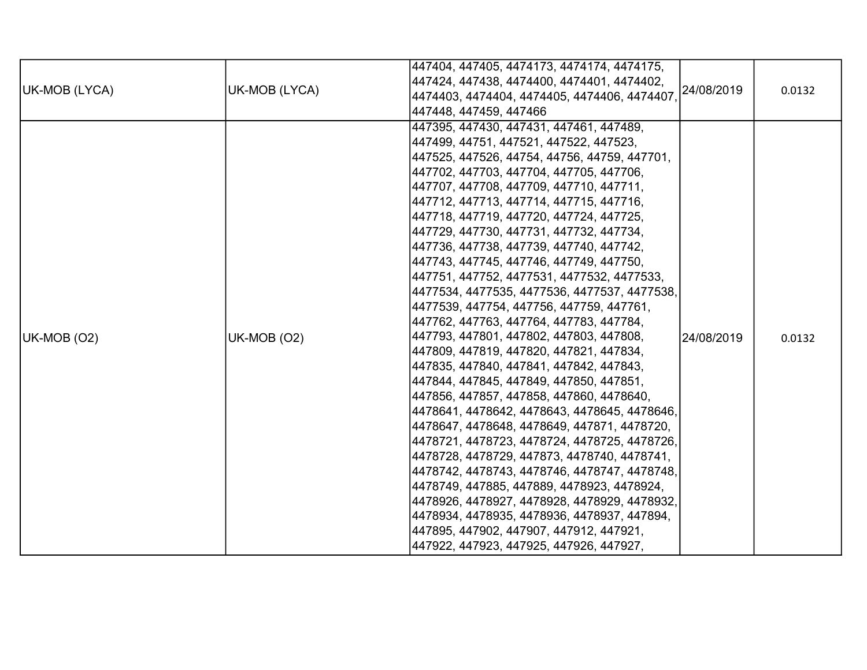| UK-MOB (LYCA) | UK-MOB (LYCA) | 447404, 447405, 4474173, 4474174, 4474175,<br>447424, 447438, 4474400, 4474401, 4474402,<br>24/08/2019<br>4474403, 4474404, 4474405, 4474406, 4474407,<br>447448, 447459, 447466                                                                                                                                                                                                                                                                                                                                                                                                                                                                                                                                                                                                                                                                                                                                                                                                                                                                                                                                                                                                                                                                                                                                                                            | 0.0132 |
|---------------|---------------|-------------------------------------------------------------------------------------------------------------------------------------------------------------------------------------------------------------------------------------------------------------------------------------------------------------------------------------------------------------------------------------------------------------------------------------------------------------------------------------------------------------------------------------------------------------------------------------------------------------------------------------------------------------------------------------------------------------------------------------------------------------------------------------------------------------------------------------------------------------------------------------------------------------------------------------------------------------------------------------------------------------------------------------------------------------------------------------------------------------------------------------------------------------------------------------------------------------------------------------------------------------------------------------------------------------------------------------------------------------|--------|
| UK-MOB (O2)   | UK-MOB (O2)   | 447395, 447430, 447431, 447461, 447489,<br>447499, 44751, 447521, 447522, 447523,<br>447525, 447526, 44754, 44756, 44759, 447701,<br>447702, 447703, 447704, 447705, 447706,<br>447707, 447708, 447709, 447710, 447711,<br>447712, 447713, 447714, 447715, 447716,<br>447718, 447719, 447720, 447724, 447725,<br>447729, 447730, 447731, 447732, 447734,<br>447736, 447738, 447739, 447740, 447742,<br>447743, 447745, 447746, 447749, 447750,<br>447751, 447752, 4477531, 4477532, 4477533,<br>4477534, 4477535, 4477536, 4477537, 4477538,<br>4477539, 447754, 447756, 447759, 447761,<br>447762, 447763, 447764, 447783, 447784,<br>447793, 447801, 447802, 447803, 447808,<br>24/08/2019<br>447809, 447819, 447820, 447821, 447834,<br>447835, 447840, 447841, 447842, 447843,<br>447844, 447845, 447849, 447850, 447851,<br>447856, 447857, 447858, 447860, 4478640,<br>4478641, 4478642, 4478643, 4478645, 4478646,<br>4478647, 4478648, 4478649, 447871, 4478720,<br>4478721, 4478723, 4478724, 4478725, 4478726,<br>4478728, 4478729, 447873, 4478740, 4478741,<br> 4478742, 4478743, 4478746, 4478747, 4478748,<br>4478749, 447885, 447889, 4478923, 4478924,<br>4478926, 4478927, 4478928, 4478929, 4478932,<br>4478934, 4478935, 4478936, 4478937, 447894,<br>447895, 447902, 447907, 447912, 447921,<br>447922, 447923, 447925, 447926, 447927, | 0.0132 |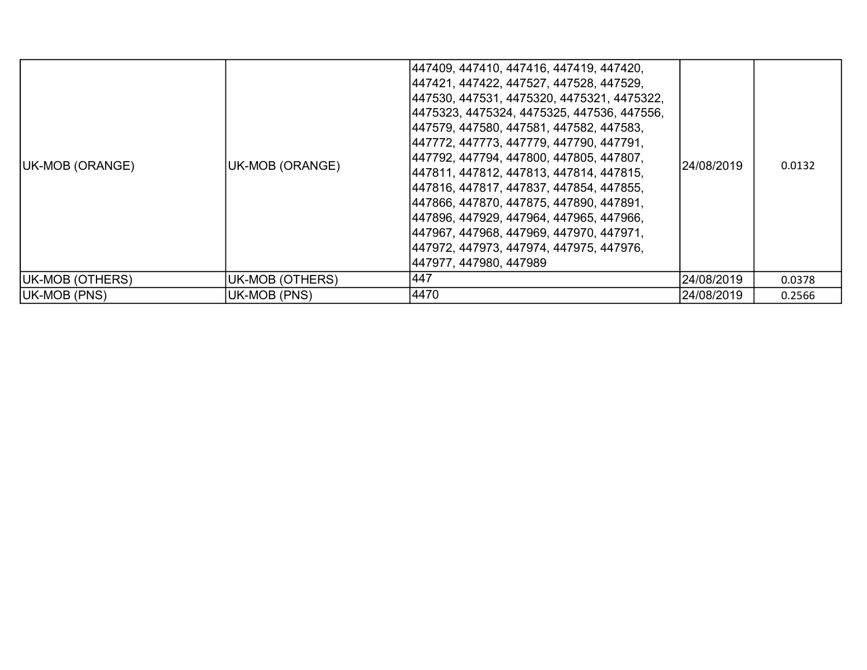| UK-MOB (ORANGE)     | UK-MOB (ORANGE) | 447409, 447410, 447416, 447419, 447420,<br> 447421, 447422, 447527, 447528, 447529,<br> 447530, 447531, 4475320, 4475321, 4475322,<br> 4475323, 4475324, 4475325, 447536, 447556,<br> 447579, 447580, 447581, 447582, 447583,<br> 447772, 447773, 447779, 447790, 447791,<br> 447792, 447794, 447800, 447805, 447807,<br> 447811, 447812, 447813, 447814, 447815,<br> 447816, 447817, 447837, 447854, 447855,<br> 447866, 447870, 447875, 447890, 447891,<br> 447896, 447929, 447964, 447965, 447966,<br> 447967, 447968, 447969, 447970, 447971,<br> 447972, 447973, 447974, 447975, 447976,<br> 447977, 447980, 447989 | l24/08/2019 | 0.0132 |
|---------------------|-----------------|--------------------------------------------------------------------------------------------------------------------------------------------------------------------------------------------------------------------------------------------------------------------------------------------------------------------------------------------------------------------------------------------------------------------------------------------------------------------------------------------------------------------------------------------------------------------------------------------------------------------------|-------------|--------|
| UK-MOB (OTHERS)     | UK-MOB (OTHERS) | 447                                                                                                                                                                                                                                                                                                                                                                                                                                                                                                                                                                                                                      | 24/08/2019  | 0.0378 |
| <b>UK-MOB (PNS)</b> | UK-MOB (PNS)    | 4470                                                                                                                                                                                                                                                                                                                                                                                                                                                                                                                                                                                                                     | 24/08/2019  | 0.2566 |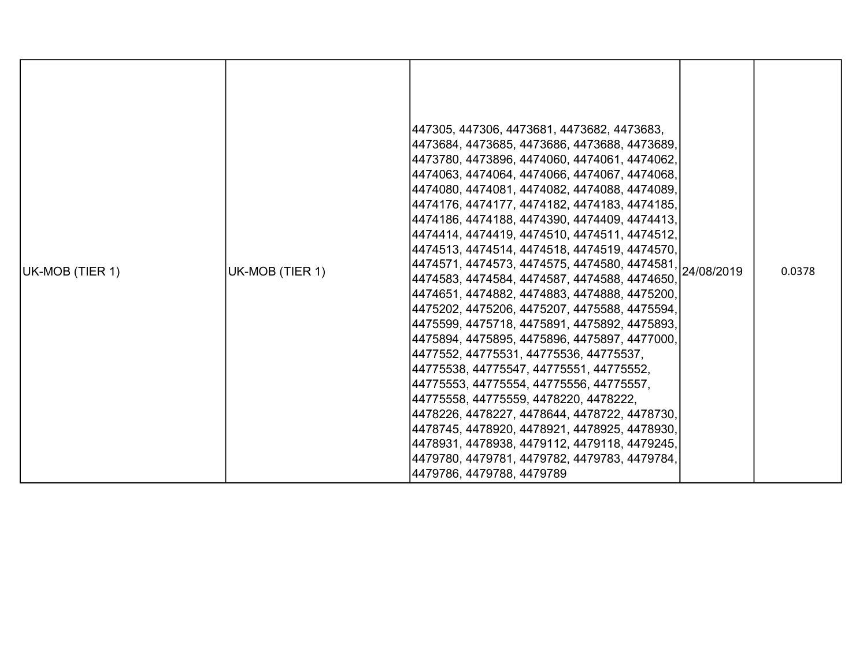| UK-MOB (TIER 1) | UK-MOB (TIER 1) | 447305, 447306, 4473681, 4473682, 4473683,<br> 4473684, 4473685, 4473686, 4473688, 4473689,<br> 4473780, 4473896, 4474060, 4474061, 4474062,<br> 4474063, 4474064, 4474066, 4474067, 4474068,<br> 4474080, 4474081, 4474082, 4474088, 4474089,<br> 4474176, 4474177, 4474182, 4474183, 4474185,<br> 4474186, 4474188, 4474390, 4474409, 4474413,<br> 4474414, 4474419, 4474510, 4474511, 4474512,<br> 4474513, 4474514, 4474518, 4474519, 4474570,<br>4474571, 4474573, 4474575, 4474580, 4474581, 24/08/2019<br> 4474583, 4474584, 4474587, 4474588, 4474650,<br> 4474651, 4474882, 4474883, 4474888, 4475200,<br> 4475202, 4475206, 4475207, 4475588, 4475594,<br> 4475599, 4475718, 4475891, 4475892, 4475893,<br> 4475894, 4475895, 4475896, 4475897, 4477000,<br> 4477552, 44775531, 44775536, 44775537,<br> 44775538, 44775547, 44775551, 44775552,<br> 44775553, 44775554, 44775556, 44775557,<br> 44775558, 44775559, 4478220, 4478222,<br> 4478226, 4478227, 4478644, 4478722, 4478730,<br> 4478745, 4478920, 4478921, 4478925, 4478930,<br> 4478931, 4478938, 4479112, 4479118, 4479245,<br>4479780, 4479781, 4479782, 4479783, 4479784,<br>4479786, 4479788, 4479789 |  | 0.0378 |
|-----------------|-----------------|---------------------------------------------------------------------------------------------------------------------------------------------------------------------------------------------------------------------------------------------------------------------------------------------------------------------------------------------------------------------------------------------------------------------------------------------------------------------------------------------------------------------------------------------------------------------------------------------------------------------------------------------------------------------------------------------------------------------------------------------------------------------------------------------------------------------------------------------------------------------------------------------------------------------------------------------------------------------------------------------------------------------------------------------------------------------------------------------------------------------------------------------------------------------------------|--|--------|
|-----------------|-----------------|---------------------------------------------------------------------------------------------------------------------------------------------------------------------------------------------------------------------------------------------------------------------------------------------------------------------------------------------------------------------------------------------------------------------------------------------------------------------------------------------------------------------------------------------------------------------------------------------------------------------------------------------------------------------------------------------------------------------------------------------------------------------------------------------------------------------------------------------------------------------------------------------------------------------------------------------------------------------------------------------------------------------------------------------------------------------------------------------------------------------------------------------------------------------------------|--|--------|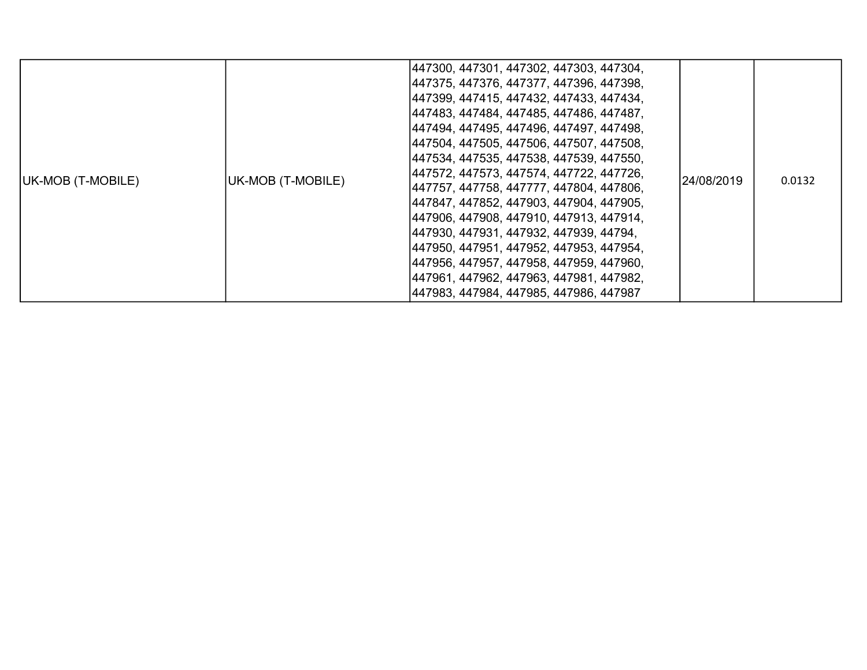| UK-MOB (T-MOBILE) | UK-MOB (T-MOBILE) | 447300, 447301, 447302, 447303, 447304,<br> 447375, 447376, 447377, 447396, 447398,<br> 447399, 447415, 447432, 447433, 447434,<br> 447483, 447484, 447485, 447486, 447487,<br> 447494, 447495, 447496, 447497, 447498,<br> 447504, 447505, 447506, 447507, 447508,<br> 447534, 447535, 447538, 447539, 447550,<br> 447572, 447573, 447574, 447722, 447726,<br> 447757, 447758, 447777, 447804, 447806,<br> 447847, 447852, 447903, 447904, 447905,<br> 447906, 447908, 447910, 447913, 447914,<br> 447930, 447931, 447932, 447939, 44794,<br> 447950, 447951, 447952, 447953, 447954,<br> 447956, 447957, 447958, 447959, 447960,<br> 447961, 447962, 447963, 447981, 447982,<br> 447983, 447984, 447985, 447986, 447987 | 24/08/2019 | 0.0132 |
|-------------------|-------------------|---------------------------------------------------------------------------------------------------------------------------------------------------------------------------------------------------------------------------------------------------------------------------------------------------------------------------------------------------------------------------------------------------------------------------------------------------------------------------------------------------------------------------------------------------------------------------------------------------------------------------------------------------------------------------------------------------------------------------|------------|--------|
|-------------------|-------------------|---------------------------------------------------------------------------------------------------------------------------------------------------------------------------------------------------------------------------------------------------------------------------------------------------------------------------------------------------------------------------------------------------------------------------------------------------------------------------------------------------------------------------------------------------------------------------------------------------------------------------------------------------------------------------------------------------------------------------|------------|--------|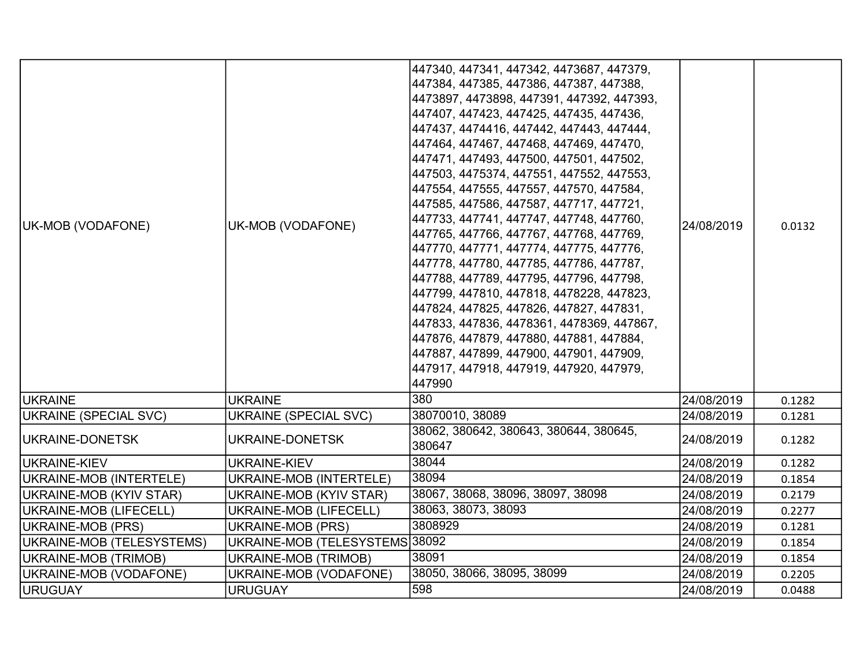| UK-MOB (VODAFONE)         | UK-MOB (VODAFONE)              | 447340, 447341, 447342, 4473687, 447379,<br> 447384, 447385, 447386, 447387, 447388,<br> 4473897, 4473898, 447391, 447392, 447393,<br> 447407, 447423, 447425, 447435, 447436,<br> 447437, 4474416, 447442, 447443, 447444,<br> 447464, 447467, 447468, 447469, 447470,<br>447471, 447493, 447500, 447501, 447502,<br>447503, 4475374, 447551, 447552, 447553,<br>447554, 447555, 447557, 447570, 447584,<br>447585, 447586, 447587, 447717, 447721,<br>447733, 447741, 447747, 447748, 447760,<br>447765, 447766, 447767, 447768, 447769,<br>447770, 447771, 447774, 447775, 447776,<br>447778, 447780, 447785, 447786, 447787,<br> 447788, 447789, 447795, 447796, 447798,<br> 447799, 447810, 447818, 4478228, 447823,<br> 447824, 447825, 447826, 447827, 447831,<br> 447833, 447836, 4478361, 4478369, 447867,<br>447876, 447879, 447880, 447881, 447884,<br>447887, 447899, 447900, 447901, 447909,<br>447917, 447918, 447919, 447920, 447979,<br>447990 | 24/08/2019 | 0.0132 |
|---------------------------|--------------------------------|----------------------------------------------------------------------------------------------------------------------------------------------------------------------------------------------------------------------------------------------------------------------------------------------------------------------------------------------------------------------------------------------------------------------------------------------------------------------------------------------------------------------------------------------------------------------------------------------------------------------------------------------------------------------------------------------------------------------------------------------------------------------------------------------------------------------------------------------------------------------------------------------------------------------------------------------------------------|------------|--------|
| <b>IUKRAINE</b>           | <b>UKRAINE</b>                 | 380                                                                                                                                                                                                                                                                                                                                                                                                                                                                                                                                                                                                                                                                                                                                                                                                                                                                                                                                                            | 24/08/2019 | 0.1282 |
| UKRAINE (SPECIAL SVC)     | <b>UKRAINE (SPECIAL SVC)</b>   | 38070010, 38089                                                                                                                                                                                                                                                                                                                                                                                                                                                                                                                                                                                                                                                                                                                                                                                                                                                                                                                                                | 24/08/2019 | 0.1281 |
| UKRAINE-DONETSK           | UKRAINE-DONETSK                | 38062, 380642, 380643, 380644, 380645,<br>380647                                                                                                                                                                                                                                                                                                                                                                                                                                                                                                                                                                                                                                                                                                                                                                                                                                                                                                               | 24/08/2019 | 0.1282 |
| UKRAINE-KIEV              | <b>UKRAINE-KIEV</b>            | 38044                                                                                                                                                                                                                                                                                                                                                                                                                                                                                                                                                                                                                                                                                                                                                                                                                                                                                                                                                          | 24/08/2019 | 0.1282 |
| UKRAINE-MOB (INTERTELE)   | UKRAINE-MOB (INTERTELE)        | 38094                                                                                                                                                                                                                                                                                                                                                                                                                                                                                                                                                                                                                                                                                                                                                                                                                                                                                                                                                          | 24/08/2019 | 0.1854 |
| UKRAINE-MOB (KYIV STAR)   | UKRAINE-MOB (KYIV STAR)        | 38067, 38068, 38096, 38097, 38098                                                                                                                                                                                                                                                                                                                                                                                                                                                                                                                                                                                                                                                                                                                                                                                                                                                                                                                              | 24/08/2019 | 0.2179 |
| UKRAINE-MOB (LIFECELL)    | <b>UKRAINE-MOB (LIFECELL)</b>  | 38063, 38073, 38093                                                                                                                                                                                                                                                                                                                                                                                                                                                                                                                                                                                                                                                                                                                                                                                                                                                                                                                                            | 24/08/2019 | 0.2277 |
| UKRAINE-MOB (PRS)         | UKRAINE-MOB (PRS)              | 3808929                                                                                                                                                                                                                                                                                                                                                                                                                                                                                                                                                                                                                                                                                                                                                                                                                                                                                                                                                        | 24/08/2019 | 0.1281 |
| UKRAINE-MOB (TELESYSTEMS) | UKRAINE-MOB (TELESYSTEMS 38092 |                                                                                                                                                                                                                                                                                                                                                                                                                                                                                                                                                                                                                                                                                                                                                                                                                                                                                                                                                                | 24/08/2019 | 0.1854 |
| UKRAINE-MOB (TRIMOB)      | UKRAINE-MOB (TRIMOB)           | 38091                                                                                                                                                                                                                                                                                                                                                                                                                                                                                                                                                                                                                                                                                                                                                                                                                                                                                                                                                          | 24/08/2019 | 0.1854 |
| UKRAINE-MOB (VODAFONE)    | UKRAINE-MOB (VODAFONE)         | 38050, 38066, 38095, 38099                                                                                                                                                                                                                                                                                                                                                                                                                                                                                                                                                                                                                                                                                                                                                                                                                                                                                                                                     | 24/08/2019 | 0.2205 |
| URUGUAY                   | <b>URUGUAY</b>                 | 598                                                                                                                                                                                                                                                                                                                                                                                                                                                                                                                                                                                                                                                                                                                                                                                                                                                                                                                                                            | 24/08/2019 | 0.0488 |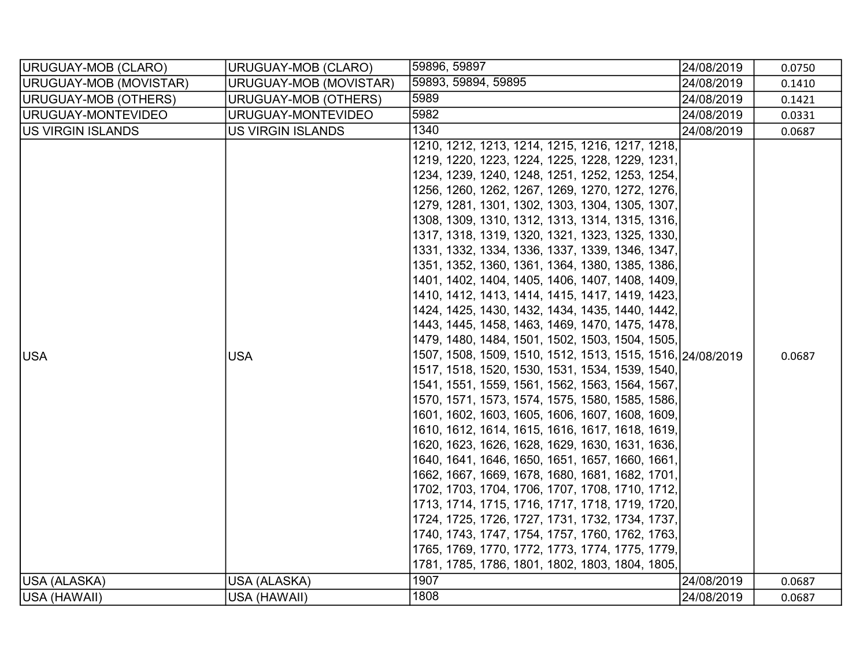| URUGUAY-MOB (CLARO)      | URUGUAY-MOB (CLARO)         | 59896, 59897                                                                                                                                                                                                                                                                                                                                                                                                                                                                                                                                                                                                                                                                                                                                                                                                                                                                                                                                                                                                                                                                                                                                                                                                                                                                                                                                                                                                                                                                                                                                   | 24/08/2019 | 0.0750 |
|--------------------------|-----------------------------|------------------------------------------------------------------------------------------------------------------------------------------------------------------------------------------------------------------------------------------------------------------------------------------------------------------------------------------------------------------------------------------------------------------------------------------------------------------------------------------------------------------------------------------------------------------------------------------------------------------------------------------------------------------------------------------------------------------------------------------------------------------------------------------------------------------------------------------------------------------------------------------------------------------------------------------------------------------------------------------------------------------------------------------------------------------------------------------------------------------------------------------------------------------------------------------------------------------------------------------------------------------------------------------------------------------------------------------------------------------------------------------------------------------------------------------------------------------------------------------------------------------------------------------------|------------|--------|
| URUGUAY-MOB (MOVISTAR)   | URUGUAY-MOB (MOVISTAR)      | 59893, 59894, 59895                                                                                                                                                                                                                                                                                                                                                                                                                                                                                                                                                                                                                                                                                                                                                                                                                                                                                                                                                                                                                                                                                                                                                                                                                                                                                                                                                                                                                                                                                                                            | 24/08/2019 | 0.1410 |
| URUGUAY-MOB (OTHERS)     | <b>URUGUAY-MOB (OTHERS)</b> | 5989                                                                                                                                                                                                                                                                                                                                                                                                                                                                                                                                                                                                                                                                                                                                                                                                                                                                                                                                                                                                                                                                                                                                                                                                                                                                                                                                                                                                                                                                                                                                           | 24/08/2019 | 0.1421 |
| URUGUAY-MONTEVIDEO       | URUGUAY-MONTEVIDEO          | 5982                                                                                                                                                                                                                                                                                                                                                                                                                                                                                                                                                                                                                                                                                                                                                                                                                                                                                                                                                                                                                                                                                                                                                                                                                                                                                                                                                                                                                                                                                                                                           | 24/08/2019 | 0.0331 |
| <b>US VIRGIN ISLANDS</b> | <b>US VIRGIN ISLANDS</b>    | 1340                                                                                                                                                                                                                                                                                                                                                                                                                                                                                                                                                                                                                                                                                                                                                                                                                                                                                                                                                                                                                                                                                                                                                                                                                                                                                                                                                                                                                                                                                                                                           | 24/08/2019 | 0.0687 |
| <b>USA</b>               | <b>USA</b>                  | 1210, 1212, 1213, 1214, 1215, 1216, 1217, 1218,<br>1219, 1220, 1223, 1224, 1225, 1228, 1229, 1231,<br>1234, 1239, 1240, 1248, 1251, 1252, 1253, 1254,<br>1256, 1260, 1262, 1267, 1269, 1270, 1272, 1276,<br>1279, 1281, 1301, 1302, 1303, 1304, 1305, 1307,<br>1308, 1309, 1310, 1312, 1313, 1314, 1315, 1316,<br>1317, 1318, 1319, 1320, 1321, 1323, 1325, 1330,<br>1331, 1332, 1334, 1336, 1337, 1339, 1346, 1347,<br>1351, 1352, 1360, 1361, 1364, 1380, 1385, 1386,<br>1401, 1402, 1404, 1405, 1406, 1407, 1408, 1409,<br>1410, 1412, 1413, 1414, 1415, 1417, 1419, 1423,<br>1424, 1425, 1430, 1432, 1434, 1435, 1440, 1442,<br>1443, 1445, 1458, 1463, 1469, 1470, 1475, 1478,<br>1479, 1480, 1484, 1501, 1502, 1503, 1504, 1505,<br>1507, 1508, 1509, 1510, 1512, 1513, 1515, 1516, 24/08/2019<br>1517, 1518, 1520, 1530, 1531, 1534, 1539, 1540,<br>1541, 1551, 1559, 1561, 1562, 1563, 1564, 1567,<br>1570, 1571, 1573, 1574, 1575, 1580, 1585, 1586,<br>1601, 1602, 1603, 1605, 1606, 1607, 1608, 1609,<br>1610, 1612, 1614, 1615, 1616, 1617, 1618, 1619,<br>1620, 1623, 1626, 1628, 1629, 1630, 1631, 1636,<br>1640, 1641, 1646, 1650, 1651, 1657, 1660, 1661,<br>1662, 1667, 1669, 1678, 1680, 1681, 1682, 1701,<br>1702, 1703, 1704, 1706, 1707, 1708, 1710, 1712,<br>1713, 1714, 1715, 1716, 1717, 1718, 1719, 1720,<br>1724, 1725, 1726, 1727, 1731, 1732, 1734, 1737,<br>1740, 1743, 1747, 1754, 1757, 1760, 1762, 1763,<br>1765, 1769, 1770, 1772, 1773, 1774, 1775, 1779,<br>1781, 1785, 1786, 1801, 1802, 1803, 1804, 1805, |            | 0.0687 |
| USA (ALASKA)             | USA (ALASKA)                | 1907                                                                                                                                                                                                                                                                                                                                                                                                                                                                                                                                                                                                                                                                                                                                                                                                                                                                                                                                                                                                                                                                                                                                                                                                                                                                                                                                                                                                                                                                                                                                           | 24/08/2019 | 0.0687 |
| USA (HAWAII)             | USA (HAWAII)                | 1808                                                                                                                                                                                                                                                                                                                                                                                                                                                                                                                                                                                                                                                                                                                                                                                                                                                                                                                                                                                                                                                                                                                                                                                                                                                                                                                                                                                                                                                                                                                                           | 24/08/2019 | 0.0687 |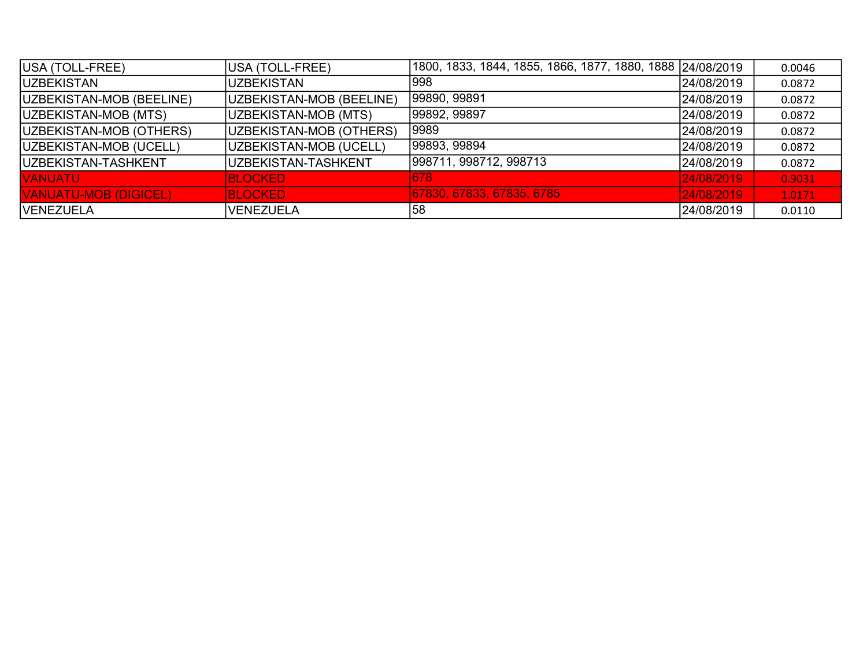| USA (TOLL-FREE)              | USA (TOLL-FREE)          | 1800, 1833, 1844, 1855, 1866, 1877, 1880, 1888  24/08/2019 |            | 0.0046 |
|------------------------------|--------------------------|------------------------------------------------------------|------------|--------|
| <b>IUZBEKISTAN</b>           | <b>UZBEKISTAN</b>        | 1998                                                       | 24/08/2019 | 0.0872 |
| UZBEKISTAN-MOB (BEELINE)     | UZBEKISTAN-MOB (BEELINE) | 99890, 99891                                               | 24/08/2019 | 0.0872 |
| UZBEKISTAN-MOB (MTS)         | UZBEKISTAN-MOB (MTS)     | 99892, 99897                                               | 24/08/2019 | 0.0872 |
| UZBEKISTAN-MOB (OTHERS)      | UZBEKISTAN-MOB (OTHERS)  | 9989                                                       | 24/08/2019 | 0.0872 |
| UZBEKISTAN-MOB (UCELL)       | UZBEKISTAN-MOB (UCELL)   | 99893, 99894                                               | 24/08/2019 | 0.0872 |
| <b>IUZBEKISTAN-TASHKENT</b>  | UZBEKISTAN-TASHKENT      | 998711, 998712, 998713                                     | 24/08/2019 | 0.0872 |
| <b>VANUATU</b>               | <b>BLOCKED</b>           | 678                                                        | 24/08/2019 | 0.9031 |
| <b>VANUATU-MOB (DIGICEL)</b> | <b>BLOCKED</b>           | 67830, 67833, 67835, 6785                                  | 24/08/2019 | 1.0171 |
| <b>VENEZUELA</b>             | <b>VENEZUELA</b>         | 58                                                         | 24/08/2019 | 0.0110 |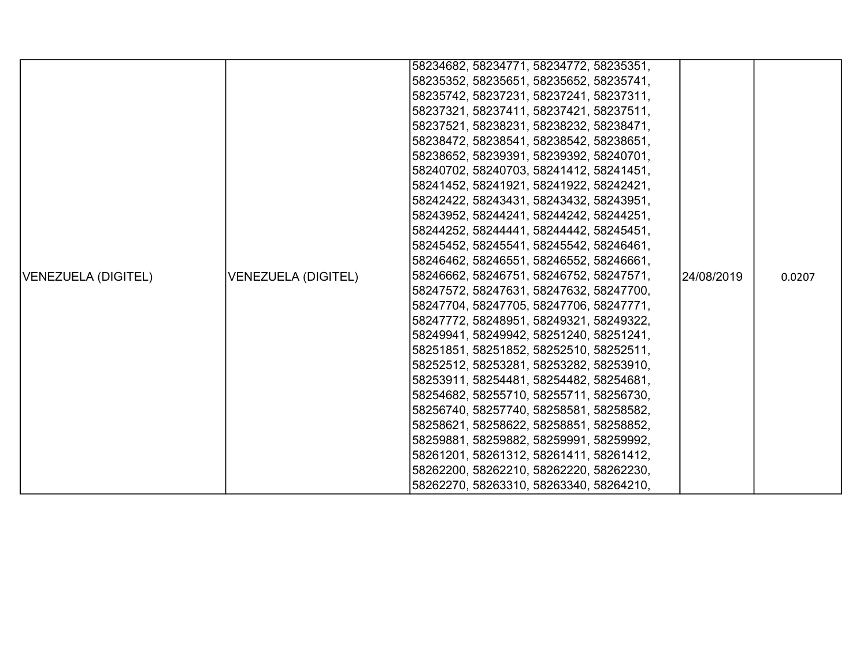|                     |                            | 58234682, 58234771, 58234772, 58235351, |            |        |
|---------------------|----------------------------|-----------------------------------------|------------|--------|
|                     |                            |                                         |            |        |
|                     |                            | 58235352, 58235651, 58235652, 58235741, |            |        |
|                     |                            | 58235742, 58237231, 58237241, 58237311, |            |        |
|                     |                            | 58237321, 58237411, 58237421, 58237511, |            |        |
|                     |                            | 58237521, 58238231, 58238232, 58238471, |            |        |
|                     |                            | 58238472, 58238541, 58238542, 58238651, |            |        |
|                     |                            | 58238652, 58239391, 58239392, 58240701, |            |        |
|                     |                            | 58240702, 58240703, 58241412, 58241451, |            |        |
|                     |                            | 58241452, 58241921, 58241922, 58242421, |            |        |
|                     |                            | 58242422, 58243431, 58243432, 58243951, |            |        |
|                     |                            | 58243952, 58244241, 58244242, 58244251, |            |        |
|                     |                            | 58244252, 58244441, 58244442, 58245451, |            |        |
|                     |                            | 58245452, 58245541, 58245542, 58246461, |            |        |
|                     |                            | 58246462, 58246551, 58246552, 58246661, |            |        |
| VENEZUELA (DIGITEL) | <b>VENEZUELA (DIGITEL)</b> | 58246662, 58246751, 58246752, 58247571, | 24/08/2019 | 0.0207 |
|                     |                            | 58247572, 58247631, 58247632, 58247700, |            |        |
|                     |                            | 58247704, 58247705, 58247706, 58247771, |            |        |
|                     |                            | 58247772, 58248951, 58249321, 58249322, |            |        |
|                     |                            | 58249941, 58249942, 58251240, 58251241, |            |        |
|                     |                            | 58251851, 58251852, 58252510, 58252511, |            |        |
|                     |                            | 58252512, 58253281, 58253282, 58253910, |            |        |
|                     |                            | 58253911, 58254481, 58254482, 58254681, |            |        |
|                     |                            | 58254682, 58255710, 58255711, 58256730, |            |        |
|                     |                            | 58256740, 58257740, 58258581, 58258582, |            |        |
|                     |                            | 58258621, 58258622, 58258851, 58258852, |            |        |
|                     |                            | 58259881, 58259882, 58259991, 58259992, |            |        |
|                     |                            | 58261201, 58261312, 58261411, 58261412, |            |        |
|                     |                            | 58262200, 58262210, 58262220, 58262230, |            |        |
|                     |                            | 58262270, 58263310, 58263340, 58264210, |            |        |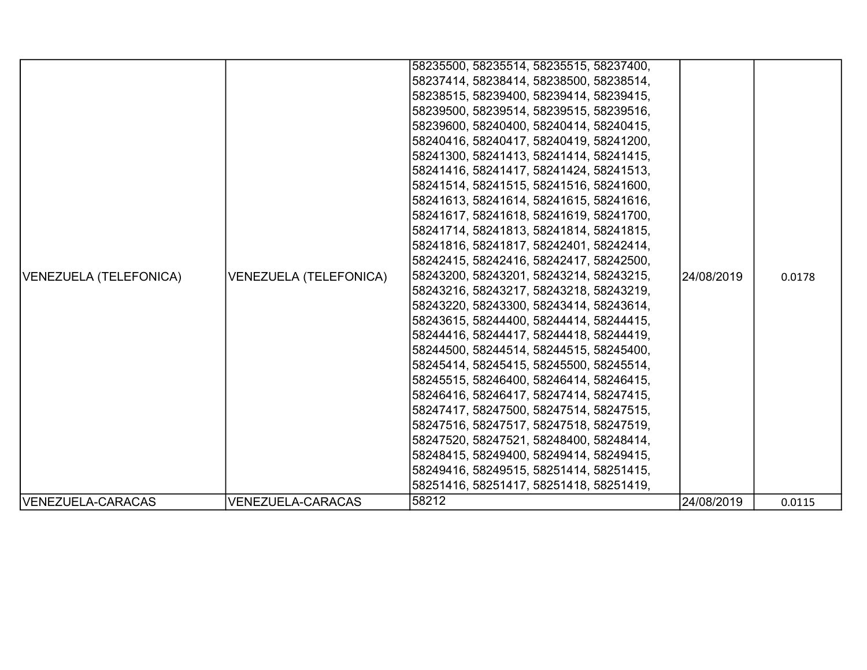| VENEZUELA (TELEFONICA) | <b>VENEZUELA (TELEFONICA)</b> | 58235500, 58235514, 58235515, 58237400,<br>58237414, 58238414, 58238500, 58238514,<br>58238515, 58239400, 58239414, 58239415,<br>58239500, 58239514, 58239515, 58239516,<br>58239600, 58240400, 58240414, 58240415,<br> 58240416, 58240417, 58240419, 58241200,<br>58241300, 58241413, 58241414, 58241415,<br>58241416, 58241417, 58241424, 58241513,<br> 58241514, 58241515, 58241516, 58241600,<br>58241613, 58241614, 58241615, 58241616,<br>58241617, 58241618, 58241619, 58241700,<br>58241714, 58241813, 58241814, 58241815,<br>58241816, 58241817, 58242401, 58242414,<br> 58242415, 58242416, 58242417, 58242500,<br> 58243200, 58243201, 58243214, 58243215,<br>58243216, 58243217, 58243218, 58243219,<br>58243220, 58243300, 58243414, 58243614,<br> 58243615, 58244400, 58244414, 58244415,<br> 58244416, 58244417, 58244418, 58244419,<br> 58244500, 58244514, 58244515, 58245400,<br> 58245414, 58245415, 58245500, 58245514,<br> 58245515, 58246400, 58246414, 58246415,<br> 58246416, 58246417, 58247414, 58247415,<br>58247417, 58247500, 58247514, 58247515,<br> 58247516, 58247517, 58247518, 58247519, | 24/08/2019 | 0.0178 |
|------------------------|-------------------------------|----------------------------------------------------------------------------------------------------------------------------------------------------------------------------------------------------------------------------------------------------------------------------------------------------------------------------------------------------------------------------------------------------------------------------------------------------------------------------------------------------------------------------------------------------------------------------------------------------------------------------------------------------------------------------------------------------------------------------------------------------------------------------------------------------------------------------------------------------------------------------------------------------------------------------------------------------------------------------------------------------------------------------------------------------------------------------------------------------------------------------|------------|--------|
|                        |                               | 58247520, 58247521, 58248400, 58248414,<br>58248415, 58249400, 58249414, 58249415,<br>58249416, 58249515, 58251414, 58251415,                                                                                                                                                                                                                                                                                                                                                                                                                                                                                                                                                                                                                                                                                                                                                                                                                                                                                                                                                                                              |            |        |
|                        |                               | 58251416, 58251417, 58251418, 58251419,                                                                                                                                                                                                                                                                                                                                                                                                                                                                                                                                                                                                                                                                                                                                                                                                                                                                                                                                                                                                                                                                                    |            |        |
| VENEZUELA-CARACAS      | <b>VENEZUELA-CARACAS</b>      | 58212                                                                                                                                                                                                                                                                                                                                                                                                                                                                                                                                                                                                                                                                                                                                                                                                                                                                                                                                                                                                                                                                                                                      | 24/08/2019 | 0.0115 |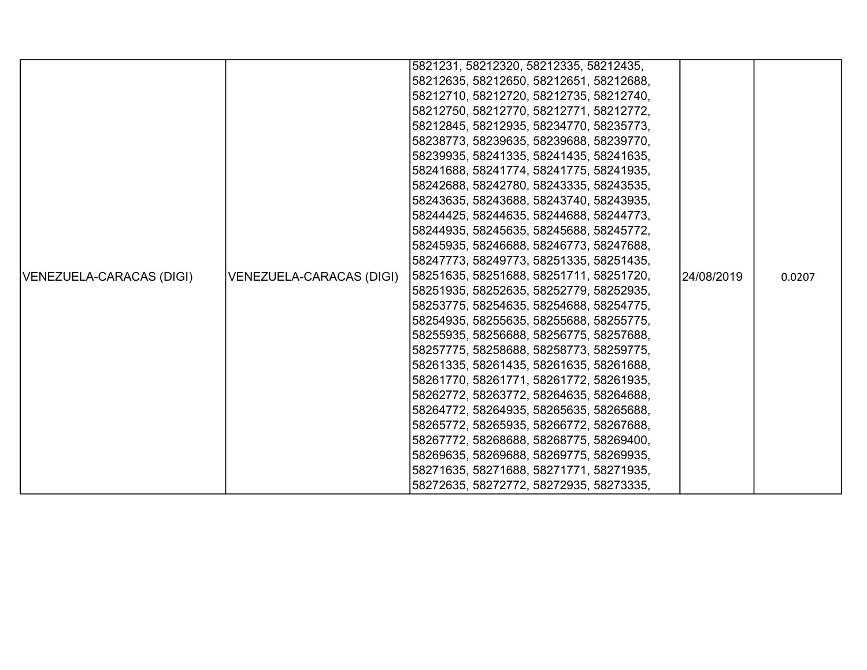|                          |                          | 5821231, 58212320, 58212335, 58212435,  |            |        |
|--------------------------|--------------------------|-----------------------------------------|------------|--------|
|                          |                          | 58212635, 58212650, 58212651, 58212688, |            |        |
|                          |                          | 58212710, 58212720, 58212735, 58212740, |            |        |
|                          |                          | 58212750, 58212770, 58212771, 58212772, |            |        |
|                          |                          | 58212845, 58212935, 58234770, 58235773, |            |        |
|                          |                          | 58238773, 58239635, 58239688, 58239770, |            |        |
|                          |                          | 58239935, 58241335, 58241435, 58241635, |            |        |
|                          |                          | 58241688, 58241774, 58241775, 58241935, |            |        |
|                          |                          | 58242688, 58242780, 58243335, 58243535, |            |        |
|                          |                          | 58243635, 58243688, 58243740, 58243935, |            |        |
|                          |                          | 58244425, 58244635, 58244688, 58244773, |            |        |
|                          |                          | 58244935, 58245635, 58245688, 58245772, |            |        |
|                          |                          | 58245935, 58246688, 58246773, 58247688, |            |        |
|                          |                          | 58247773, 58249773, 58251335, 58251435, |            |        |
| VENEZUELA-CARACAS (DIGI) | VENEZUELA-CARACAS (DIGI) | 58251635, 58251688, 58251711, 58251720, | 24/08/2019 | 0.0207 |
|                          |                          | 58251935, 58252635, 58252779, 58252935, |            |        |
|                          |                          | 58253775, 58254635, 58254688, 58254775, |            |        |
|                          |                          | 58254935, 58255635, 58255688, 58255775, |            |        |
|                          |                          | 58255935, 58256688, 58256775, 58257688, |            |        |
|                          |                          | 58257775, 58258688, 58258773, 58259775, |            |        |
|                          |                          | 58261335, 58261435, 58261635, 58261688, |            |        |
|                          |                          | 58261770, 58261771, 58261772, 58261935, |            |        |
|                          |                          | 58262772, 58263772, 58264635, 58264688, |            |        |
|                          |                          | 58264772, 58264935, 58265635, 58265688, |            |        |
|                          |                          | 58265772, 58265935, 58266772, 58267688, |            |        |
|                          |                          | 58267772, 58268688, 58268775, 58269400, |            |        |
|                          |                          | 58269635, 58269688, 58269775, 58269935, |            |        |
|                          |                          | 58271635, 58271688, 58271771, 58271935, |            |        |
|                          |                          | 58272635, 58272772, 58272935, 58273335, |            |        |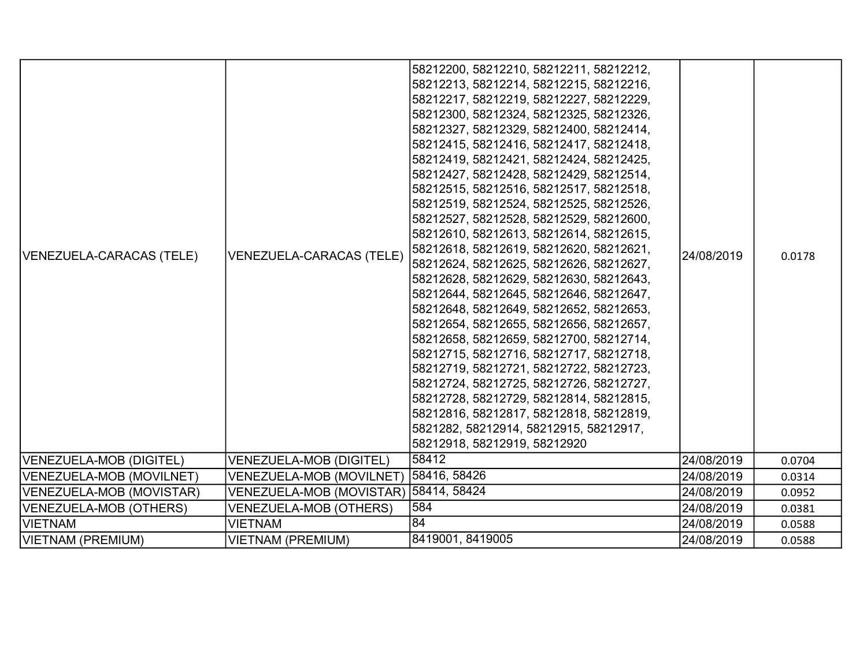| VENEZUELA-CARACAS (TELE) | VENEZUELA-CARACAS (TELE)              | 58212200, 58212210, 58212211, 58212212,<br>58212213, 58212214, 58212215, 58212216,<br>58212217, 58212219, 58212227, 58212229,<br>58212300, 58212324, 58212325, 58212326,<br>58212327, 58212329, 58212400, 58212414,<br>58212415, 58212416, 58212417, 58212418,<br>58212419, 58212421, 58212424, 58212425,<br>58212427, 58212428, 58212429, 58212514,<br>58212515, 58212516, 58212517, 58212518,<br>58212519, 58212524, 58212525, 58212526,<br>58212527, 58212528, 58212529, 58212600,<br>58212610, 58212613, 58212614, 58212615,<br>58212618, 58212619, 58212620, 58212621,<br>58212624, 58212625, 58212626, 58212627,<br>58212628, 58212629, 58212630, 58212643,<br>58212644, 58212645, 58212646, 58212647,<br>58212648, 58212649, 58212652, 58212653,<br>58212654, 58212655, 58212656, 58212657,<br>58212658, 58212659, 58212700, 58212714,<br>58212715, 58212716, 58212717, 58212718,<br>58212719, 58212721, 58212722, 58212723,<br>58212724, 58212725, 58212726, 58212727,<br>58212728, 58212729, 58212814, 58212815,<br>58212816, 58212817, 58212818, 58212819,<br>5821282, 58212914, 58212915, 58212917,<br>58212918, 58212919, 58212920 | 24/08/2019 | 0.0178 |
|--------------------------|---------------------------------------|------------------------------------------------------------------------------------------------------------------------------------------------------------------------------------------------------------------------------------------------------------------------------------------------------------------------------------------------------------------------------------------------------------------------------------------------------------------------------------------------------------------------------------------------------------------------------------------------------------------------------------------------------------------------------------------------------------------------------------------------------------------------------------------------------------------------------------------------------------------------------------------------------------------------------------------------------------------------------------------------------------------------------------------------------------------------------------------------------------------------------------------------|------------|--------|
| VENEZUELA-MOB (DIGITEL)  | <b>VENEZUELA-MOB (DIGITEL)</b>        | 58412                                                                                                                                                                                                                                                                                                                                                                                                                                                                                                                                                                                                                                                                                                                                                                                                                                                                                                                                                                                                                                                                                                                                          | 24/08/2019 | 0.0704 |
| VENEZUELA-MOB (MOVILNET) | VENEZUELA-MOB (MOVILNET)              | 58416, 58426                                                                                                                                                                                                                                                                                                                                                                                                                                                                                                                                                                                                                                                                                                                                                                                                                                                                                                                                                                                                                                                                                                                                   | 24/08/2019 | 0.0314 |
| VENEZUELA-MOB (MOVISTAR) | VENEZUELA-MOB (MOVISTAR) 58414, 58424 |                                                                                                                                                                                                                                                                                                                                                                                                                                                                                                                                                                                                                                                                                                                                                                                                                                                                                                                                                                                                                                                                                                                                                | 24/08/2019 | 0.0952 |
| VENEZUELA-MOB (OTHERS)   | <b>VENEZUELA-MOB (OTHERS)</b>         | 584                                                                                                                                                                                                                                                                                                                                                                                                                                                                                                                                                                                                                                                                                                                                                                                                                                                                                                                                                                                                                                                                                                                                            | 24/08/2019 | 0.0381 |
| <b>VIETNAM</b>           | <b>VIETNAM</b>                        | 84                                                                                                                                                                                                                                                                                                                                                                                                                                                                                                                                                                                                                                                                                                                                                                                                                                                                                                                                                                                                                                                                                                                                             | 24/08/2019 | 0.0588 |
| VIETNAM (PREMIUM)        | <b>VIETNAM (PREMIUM)</b>              | 8419001, 8419005                                                                                                                                                                                                                                                                                                                                                                                                                                                                                                                                                                                                                                                                                                                                                                                                                                                                                                                                                                                                                                                                                                                               | 24/08/2019 | 0.0588 |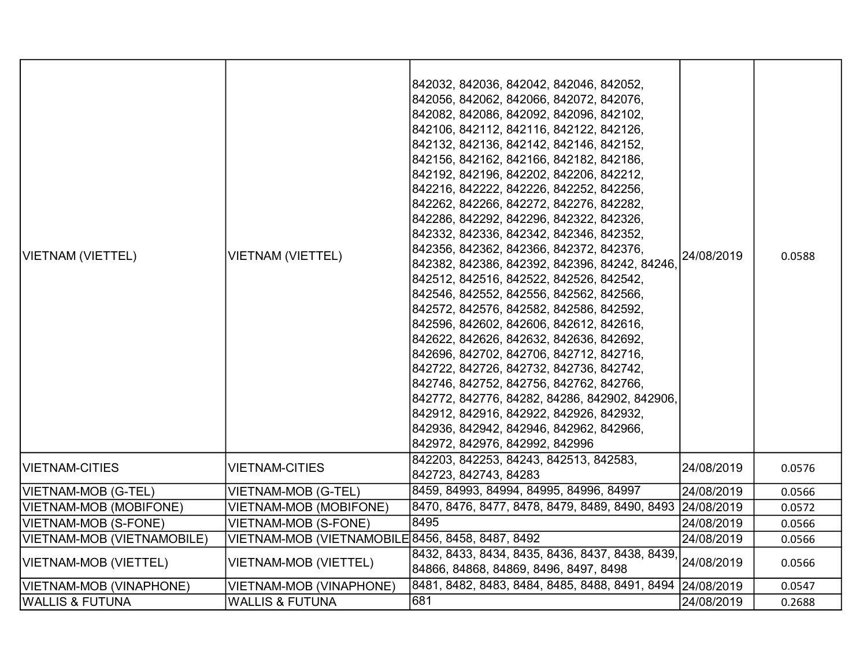| VIETNAM (VIETTEL)          | <b>VIETNAM (VIETTEL)</b>                         | 842032, 842036, 842042, 842046, 842052,<br>842056, 842062, 842066, 842072, 842076,<br>842082, 842086, 842092, 842096, 842102,<br>842106, 842112, 842116, 842122, 842126,<br>842132, 842136, 842142, 842146, 842152,<br>842156, 842162, 842166, 842182, 842186,<br>842192, 842196, 842202, 842206, 842212,<br>842216, 842222, 842226, 842252, 842256,<br>842262, 842266, 842272, 842276, 842282,<br>842286, 842292, 842296, 842322, 842326,<br>842332, 842336, 842342, 842346, 842352,<br>842356, 842362, 842366, 842372, 842376,<br>842382, 842386, 842392, 842396, 84242, 84246,<br>842512, 842516, 842522, 842526, 842542,<br>842546, 842552, 842556, 842562, 842566,<br>842572, 842576, 842582, 842586, 842592,<br>842596, 842602, 842606, 842612, 842616,<br>842622, 842626, 842632, 842636, 842692,<br>842696, 842702, 842706, 842712, 842716,<br>842722, 842726, 842732, 842736, 842742,<br>842746, 842752, 842756, 842762, 842766,<br>842772, 842776, 84282, 84286, 842902, 842906,<br>842912, 842916, 842922, 842926, 842932,<br>842936, 842942, 842946, 842962, 842966,<br>842972, 842976, 842992, 842996 | 24/08/2019 | 0.0588 |
|----------------------------|--------------------------------------------------|--------------------------------------------------------------------------------------------------------------------------------------------------------------------------------------------------------------------------------------------------------------------------------------------------------------------------------------------------------------------------------------------------------------------------------------------------------------------------------------------------------------------------------------------------------------------------------------------------------------------------------------------------------------------------------------------------------------------------------------------------------------------------------------------------------------------------------------------------------------------------------------------------------------------------------------------------------------------------------------------------------------------------------------------------------------------------------------------------------------------|------------|--------|
| <b>VIETNAM-CITIES</b>      | <b>VIETNAM-CITIES</b>                            | 842203, 842253, 84243, 842513, 842583,<br>842723, 842743, 84283                                                                                                                                                                                                                                                                                                                                                                                                                                                                                                                                                                                                                                                                                                                                                                                                                                                                                                                                                                                                                                                    | 24/08/2019 | 0.0576 |
| VIETNAM-MOB (G-TEL)        | VIETNAM-MOB (G-TEL)                              | 8459, 84993, 84994, 84995, 84996, 84997                                                                                                                                                                                                                                                                                                                                                                                                                                                                                                                                                                                                                                                                                                                                                                                                                                                                                                                                                                                                                                                                            | 24/08/2019 | 0.0566 |
| VIETNAM-MOB (MOBIFONE)     | <b>VIETNAM-MOB (MOBIFONE)</b>                    | 8470, 8476, 8477, 8478, 8479, 8489, 8490, 8493 24/08/2019                                                                                                                                                                                                                                                                                                                                                                                                                                                                                                                                                                                                                                                                                                                                                                                                                                                                                                                                                                                                                                                          |            | 0.0572 |
| VIETNAM-MOB (S-FONE)       | <b>VIETNAM-MOB (S-FONE)</b>                      | 8495                                                                                                                                                                                                                                                                                                                                                                                                                                                                                                                                                                                                                                                                                                                                                                                                                                                                                                                                                                                                                                                                                                               | 24/08/2019 | 0.0566 |
| VIETNAM-MOB (VIETNAMOBILE) | VIETNAM-MOB (VIETNAMOBILE 8456, 8458, 8487, 8492 |                                                                                                                                                                                                                                                                                                                                                                                                                                                                                                                                                                                                                                                                                                                                                                                                                                                                                                                                                                                                                                                                                                                    | 24/08/2019 | 0.0566 |
| VIETNAM-MOB (VIETTEL)      | VIETNAM-MOB (VIETTEL)                            | 8432, 8433, 8434, 8435, 8436, 8437, 8438, 8439,<br>84866, 84868, 84869, 8496, 8497, 8498                                                                                                                                                                                                                                                                                                                                                                                                                                                                                                                                                                                                                                                                                                                                                                                                                                                                                                                                                                                                                           | 24/08/2019 | 0.0566 |
| VIETNAM-MOB (VINAPHONE)    | VIETNAM-MOB (VINAPHONE)                          | 8481, 8482, 8483, 8484, 8485, 8488, 8491, 8494 24/08/2019                                                                                                                                                                                                                                                                                                                                                                                                                                                                                                                                                                                                                                                                                                                                                                                                                                                                                                                                                                                                                                                          |            | 0.0547 |
| <b>WALLIS &amp; FUTUNA</b> | <b>WALLIS &amp; FUTUNA</b>                       | 681                                                                                                                                                                                                                                                                                                                                                                                                                                                                                                                                                                                                                                                                                                                                                                                                                                                                                                                                                                                                                                                                                                                | 24/08/2019 | 0.2688 |